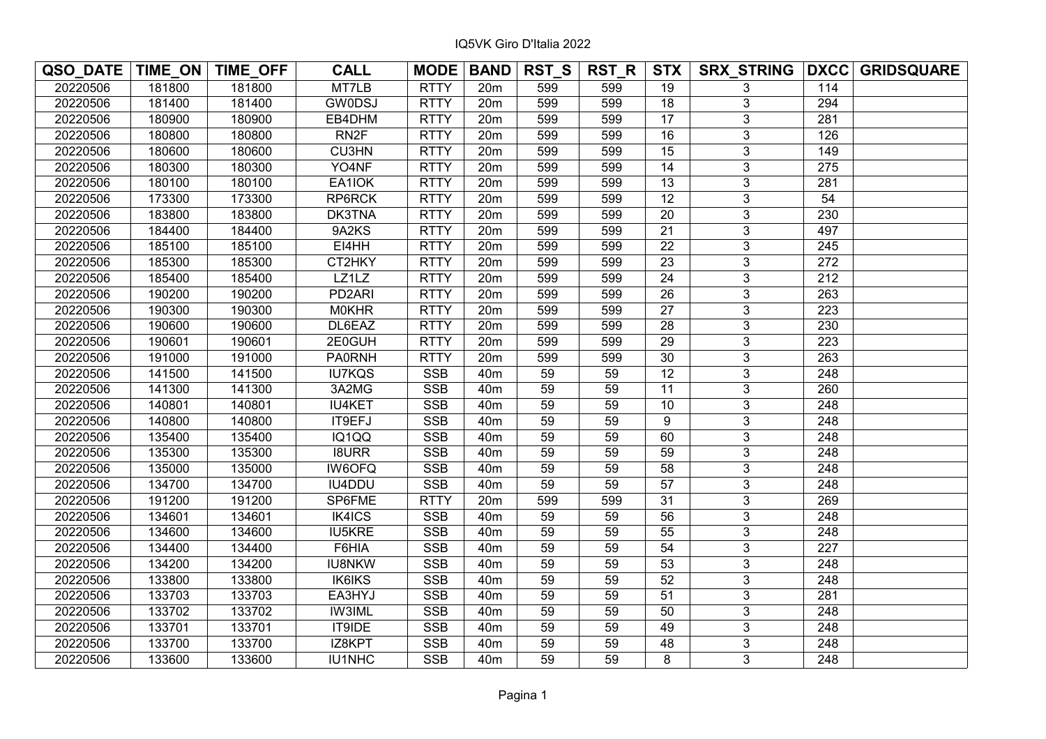| QSO_DATE   TIME_ON   TIME_OFF |        |        | <b>CALL</b>         | <b>MODE</b> | <b>BAND</b>     | <b>RST_S</b> | $RST_R$ | STX             |                |                  | SRX_STRING DXCC GRIDSQUARE |
|-------------------------------|--------|--------|---------------------|-------------|-----------------|--------------|---------|-----------------|----------------|------------------|----------------------------|
| 20220506                      | 181800 | 181800 | MT7LB               | <b>RTTY</b> | 20m             | 599          | 599     | 19              | 3              | 114              |                            |
| 20220506                      | 181400 | 181400 | <b>GW0DSJ</b>       | <b>RTTY</b> | 20 <sub>m</sub> | 599          | 599     | 18              | 3              | 294              |                            |
| 20220506                      | 180900 | 180900 | EB4DHM              | <b>RTTY</b> | 20 <sub>m</sub> | 599          | 599     | $\overline{17}$ | 3              | $\overline{281}$ |                            |
| 20220506                      | 180800 | 180800 | RN <sub>2</sub> F   | <b>RTTY</b> | 20m             | 599          | 599     | 16              | 3              | 126              |                            |
| 20220506                      | 180600 | 180600 | <b>CU3HN</b>        | <b>RTTY</b> | 20m             | 599          | 599     | 15              | $\overline{3}$ | 149              |                            |
| 20220506                      | 180300 | 180300 | YO4NF               | <b>RTTY</b> | 20m             | 599          | 599     | $\overline{14}$ | $\overline{3}$ | $\overline{275}$ |                            |
| 20220506                      | 180100 | 180100 | EA1IOK              | <b>RTTY</b> | 20m             | 599          | 599     | 13              | $\overline{3}$ | 281              |                            |
| 20220506                      | 173300 | 173300 | RP6RCK              | <b>RTTY</b> | 20m             | 599          | 599     | $\overline{12}$ | 3              | 54               |                            |
| 20220506                      | 183800 | 183800 | DK3TNA              | <b>RTTY</b> | 20m             | 599          | 599     | $\overline{20}$ | 3              | 230              |                            |
| 20220506                      | 184400 | 184400 | 9A2KS               | <b>RTTY</b> | 20m             | 599          | 599     | $\overline{21}$ | 3              | 497              |                            |
| 20220506                      | 185100 | 185100 | EI4HH               | <b>RTTY</b> | 20m             | 599          | 599     | $\overline{22}$ | 3              | 245              |                            |
| 20220506                      | 185300 | 185300 | CT2HKY              | <b>RTTY</b> | 20 <sub>m</sub> | 599          | 599     | $\overline{23}$ | 3              | $\overline{272}$ |                            |
| 20220506                      | 185400 | 185400 | LZ1LZ               | <b>RTTY</b> | 20m             | 599          | 599     | 24              | 3              | $\overline{212}$ |                            |
| 20220506                      | 190200 | 190200 | PD <sub>2</sub> ARI | <b>RTTY</b> | 20m             | 599          | 599     | $\overline{26}$ | $\overline{3}$ | $\overline{263}$ |                            |
| 20220506                      | 190300 | 190300 | <b>MOKHR</b>        | <b>RTTY</b> | 20m             | 599          | 599     | 27              | $\overline{3}$ | 223              |                            |
| 20220506                      | 190600 | 190600 | DL6EAZ              | <b>RTTY</b> | 20m             | 599          | 599     | 28              | $\overline{3}$ | 230              |                            |
| 20220506                      | 190601 | 190601 | 2E0GUH              | <b>RTTY</b> | 20m             | 599          | 599     | $\overline{29}$ | $\overline{3}$ | 223              |                            |
| 20220506                      | 191000 | 191000 | <b>PA0RNH</b>       | <b>RTTY</b> | 20m             | 599          | 599     | $\overline{30}$ | $\overline{3}$ | 263              |                            |
| 20220506                      | 141500 | 141500 | <b>IU7KQS</b>       | <b>SSB</b>  | 40 <sub>m</sub> | 59           | 59      | $\overline{12}$ | 3              | 248              |                            |
| 20220506                      | 141300 | 141300 | 3A2MG               | <b>SSB</b>  | 40 <sub>m</sub> | 59           | 59      | 11              | 3              | 260              |                            |
| 20220506                      | 140801 | 140801 | <b>IU4KET</b>       | <b>SSB</b>  | 40 <sub>m</sub> | 59           | 59      | 10              | 3              | 248              |                            |
| 20220506                      | 140800 | 140800 | IT9EFJ              | <b>SSB</b>  | 40 <sub>m</sub> | 59           | 59      | 9               | 3              | 248              |                            |
| 20220506                      | 135400 | 135400 | IQ1QQ               | <b>SSB</b>  | 40 <sub>m</sub> | 59           | 59      | 60              | 3              | $\overline{248}$ |                            |
| 20220506                      | 135300 | 135300 | <b>I8URR</b>        | <b>SSB</b>  | 40 <sub>m</sub> | 59           | 59      | 59              | 3              | 248              |                            |
| 20220506                      | 135000 | 135000 | <b>IW6OFQ</b>       | <b>SSB</b>  | 40 <sub>m</sub> | 59           | 59      | $\overline{58}$ | $\overline{3}$ | 248              |                            |
| 20220506                      | 134700 | 134700 | IU4DDU              | <b>SSB</b>  | 40 <sub>m</sub> | 59           | 59      | 57              | 3              | 248              |                            |
| 20220506                      | 191200 | 191200 | SP6FME              | <b>RTTY</b> | 20m             | 599          | 599     | $\overline{31}$ | 3              | 269              |                            |
| 20220506                      | 134601 | 134601 | IK4ICS              | <b>SSB</b>  | 40 <sub>m</sub> | 59           | 59      | $\overline{56}$ | $\overline{3}$ | 248              |                            |
| 20220506                      | 134600 | 134600 | <b>IU5KRE</b>       | <b>SSB</b>  | 40 <sub>m</sub> | 59           | 59      | 55              | 3              | 248              |                            |
| 20220506                      | 134400 | 134400 | F6HIA               | <b>SSB</b>  | 40 <sub>m</sub> | 59           | 59      | $\overline{54}$ | 3              | 227              |                            |
| 20220506                      | 134200 | 134200 | <b>IU8NKW</b>       | <b>SSB</b>  | 40 <sub>m</sub> | 59           | 59      | $\overline{53}$ | 3              | 248              |                            |
| 20220506                      | 133800 | 133800 | <b>IK6IKS</b>       | <b>SSB</b>  | 40 <sub>m</sub> | 59           | 59      | $\overline{52}$ | 3              | 248              |                            |
| 20220506                      | 133703 | 133703 | EA3HYJ              | <b>SSB</b>  | 40m             | 59           | 59      | $\overline{51}$ | 3              | 281              |                            |
| 20220506                      | 133702 | 133702 | <b>IW3IML</b>       | <b>SSB</b>  | 40 <sub>m</sub> | 59           | 59      | $\overline{50}$ | $\overline{3}$ | $\overline{248}$ |                            |
| 20220506                      | 133701 | 133701 | <b>IT9IDE</b>       | <b>SSB</b>  | 40 <sub>m</sub> | 59           | 59      | 49              | 3              | 248              |                            |
| 20220506                      | 133700 | 133700 | IZ8KPT              | <b>SSB</b>  | 40 <sub>m</sub> | 59           | 59      | 48              | $\overline{3}$ | 248              |                            |
| 20220506                      | 133600 | 133600 | IU1NHC              | <b>SSB</b>  | 40 <sub>m</sub> | 59           | 59      | 8               | $\overline{3}$ | 248              |                            |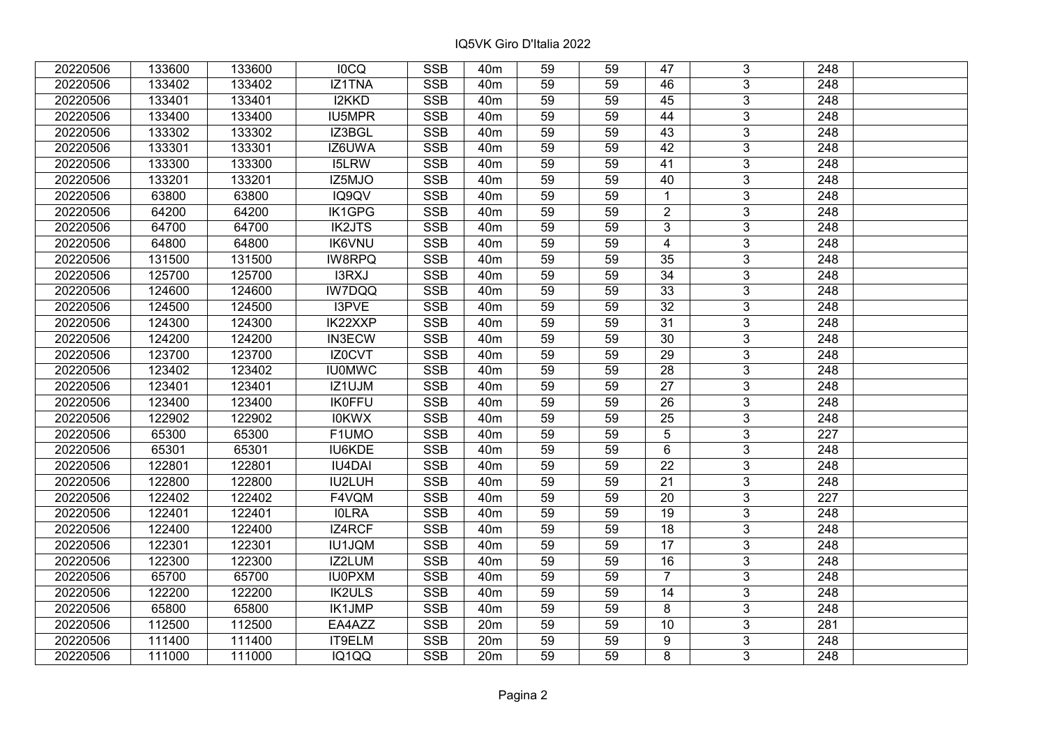| 20220506 | 133600 | 133600 | <b>IOCQ</b>   | <b>SSB</b>              | 40 <sub>m</sub> | 59              | 59 | 47               | 3              | 248              |  |
|----------|--------|--------|---------------|-------------------------|-----------------|-----------------|----|------------------|----------------|------------------|--|
| 20220506 | 133402 | 133402 | IZ1TNA        | <b>SSB</b>              | 40 <sub>m</sub> | 59              | 59 | 46               | 3              | 248              |  |
| 20220506 | 133401 | 133401 | I2KKD         | SSB                     | 40 <sub>m</sub> | $\overline{59}$ | 59 | $\overline{45}$  | $\overline{3}$ | 248              |  |
| 20220506 | 133400 | 133400 | IU5MPR        | <b>SSB</b>              | 40 <sub>m</sub> | 59              | 59 | 44               | $\overline{3}$ | $\overline{248}$ |  |
| 20220506 | 133302 | 133302 | IZ3BGL        | <b>SSB</b>              | 40 <sub>m</sub> | 59              | 59 | 43               | 3              | 248              |  |
| 20220506 | 133301 | 133301 | IZ6UWA        | <b>SSB</b>              | 40 <sub>m</sub> | 59              | 59 | 42               | $\overline{3}$ | 248              |  |
| 20220506 | 133300 | 133300 | <b>I5LRW</b>  | <b>SSB</b>              | 40 <sub>m</sub> | 59              | 59 | 41               | $\overline{3}$ | 248              |  |
| 20220506 | 133201 | 133201 | IZ5MJO        | <b>SSB</b>              | 40 <sub>m</sub> | 59              | 59 | 40               | 3              | 248              |  |
| 20220506 | 63800  | 63800  | IQ9QV         | <b>SSB</b>              | 40 <sub>m</sub> | 59              | 59 | $\mathbf{1}$     | $\overline{3}$ | $\overline{248}$ |  |
| 20220506 | 64200  | 64200  | IK1GPG        | <b>SSB</b>              | 40 <sub>m</sub> | 59              | 59 | $\overline{2}$   | $\overline{3}$ | 248              |  |
| 20220506 | 64700  | 64700  | <b>IK2JTS</b> | <b>SSB</b>              | 40 <sub>m</sub> | 59              | 59 | 3                | 3              | 248              |  |
| 20220506 | 64800  | 64800  | <b>IK6VNU</b> | <b>SSB</b>              | 40 <sub>m</sub> | 59              | 59 | $\overline{4}$   | $\overline{3}$ | 248              |  |
| 20220506 | 131500 | 131500 | <b>IW8RPQ</b> | <b>SSB</b>              | 40 <sub>m</sub> | 59              | 59 | 35               | 3              | 248              |  |
| 20220506 | 125700 | 125700 | I3RXJ         | <b>SSB</b>              | 40 <sub>m</sub> | 59              | 59 | $\overline{34}$  | $\overline{3}$ | 248              |  |
| 20220506 | 124600 | 124600 | IW7DQQ        | <b>SSB</b>              | 40 <sub>m</sub> | 59              | 59 | 33               | 3              | 248              |  |
| 20220506 | 124500 | 124500 | I3PVE         | <b>SSB</b>              | 40 <sub>m</sub> | 59              | 59 | 32               | 3              | 248              |  |
| 20220506 | 124300 | 124300 | IK22XXP       | <b>SSB</b>              | 40 <sub>m</sub> | 59              | 59 | 31               | 3              | 248              |  |
| 20220506 | 124200 | 124200 | <b>IN3ECW</b> | <b>SSB</b>              | 40 <sub>m</sub> | 59              | 59 | 30               | 3              | 248              |  |
| 20220506 | 123700 | 123700 | IZ0CVT        | <b>SSB</b>              | 40 <sub>m</sub> | 59              | 59 | 29               | 3              | 248              |  |
| 20220506 | 123402 | 123402 | <b>IU0MWC</b> | <b>SSB</b>              | 40 <sub>m</sub> | 59              | 59 | 28               | $\overline{3}$ | 248              |  |
| 20220506 | 123401 | 123401 | IZ1UJM        | <b>SSB</b>              | 40 <sub>m</sub> | 59              | 59 | 27               | $\overline{3}$ | 248              |  |
| 20220506 | 123400 | 123400 | <b>IK0FFU</b> | <b>SSB</b>              | 40 <sub>m</sub> | 59              | 59 | 26               | 3              | 248              |  |
| 20220506 | 122902 | 122902 | <b>IOKWX</b>  | SSB                     | 40 <sub>m</sub> | 59              | 59 | 25               | $\overline{3}$ | 248              |  |
| 20220506 | 65300  | 65300  | F1UMO         | <b>SSB</b>              | 40 <sub>m</sub> | 59              | 59 | 5                | 3              | 227              |  |
| 20220506 | 65301  | 65301  | IU6KDE        | <b>SSB</b>              | 40 <sub>m</sub> | 59              | 59 | $6\phantom{1}$   | 3              | 248              |  |
| 20220506 | 122801 | 122801 | <b>IU4DAI</b> | <b>SSB</b>              | 40 <sub>m</sub> | 59              | 59 | $\overline{22}$  | $\overline{3}$ | $\overline{248}$ |  |
| 20220506 | 122800 | 122800 | IU2LUH        | <b>SSB</b>              | 40 <sub>m</sub> | 59              | 59 | $\overline{21}$  | $\overline{3}$ | $\overline{248}$ |  |
| 20220506 | 122402 | 122402 | F4VQM         | <b>SSB</b>              | 40 <sub>m</sub> | 59              | 59 | $\overline{20}$  | $\overline{3}$ | $\overline{227}$ |  |
| 20220506 | 122401 | 122401 | <b>IOLRA</b>  | <b>SSB</b>              | 40 <sub>m</sub> | 59              | 59 | $\overline{19}$  | $\overline{3}$ | 248              |  |
| 20220506 | 122400 | 122400 | IZ4RCF        | <b>SSB</b>              | 40 <sub>m</sub> | 59              | 59 | $\overline{18}$  | $\overline{3}$ | 248              |  |
| 20220506 | 122301 | 122301 | <b>IU1JQM</b> | <b>SSB</b>              | 40 <sub>m</sub> | $\overline{59}$ | 59 | $\overline{17}$  | $\overline{3}$ | $\overline{248}$ |  |
| 20220506 | 122300 | 122300 | IZ2LUM        | <b>SSB</b>              | 40 <sub>m</sub> | 59              | 59 | 16               | $\overline{3}$ | 248              |  |
| 20220506 | 65700  | 65700  | <b>IU0PXM</b> | <b>SSB</b>              | 40 <sub>m</sub> | 59              | 59 | $\overline{7}$   | 3              | 248              |  |
| 20220506 | 122200 | 122200 | <b>IK2ULS</b> | <b>SSB</b>              | 40 <sub>m</sub> | 59              | 59 | 14               | $\overline{3}$ | 248              |  |
| 20220506 | 65800  | 65800  | IK1JMP        | <b>SSB</b>              | 40 <sub>m</sub> | 59              | 59 | 8                | 3              | 248              |  |
| 20220506 | 112500 | 112500 | EA4AZZ        | <b>SSB</b>              | 20 <sub>m</sub> | 59              | 59 | 10               | 3              | 281              |  |
| 20220506 | 111400 | 111400 | IT9ELM        | $\overline{\text{SSB}}$ | 20m             | 59              | 59 | $\boldsymbol{9}$ | $\overline{3}$ | 248              |  |
| 20220506 | 111000 | 111000 | IQ1QQ         | <b>SSB</b>              | 20m             | 59              | 59 | 8                | $\overline{3}$ | 248              |  |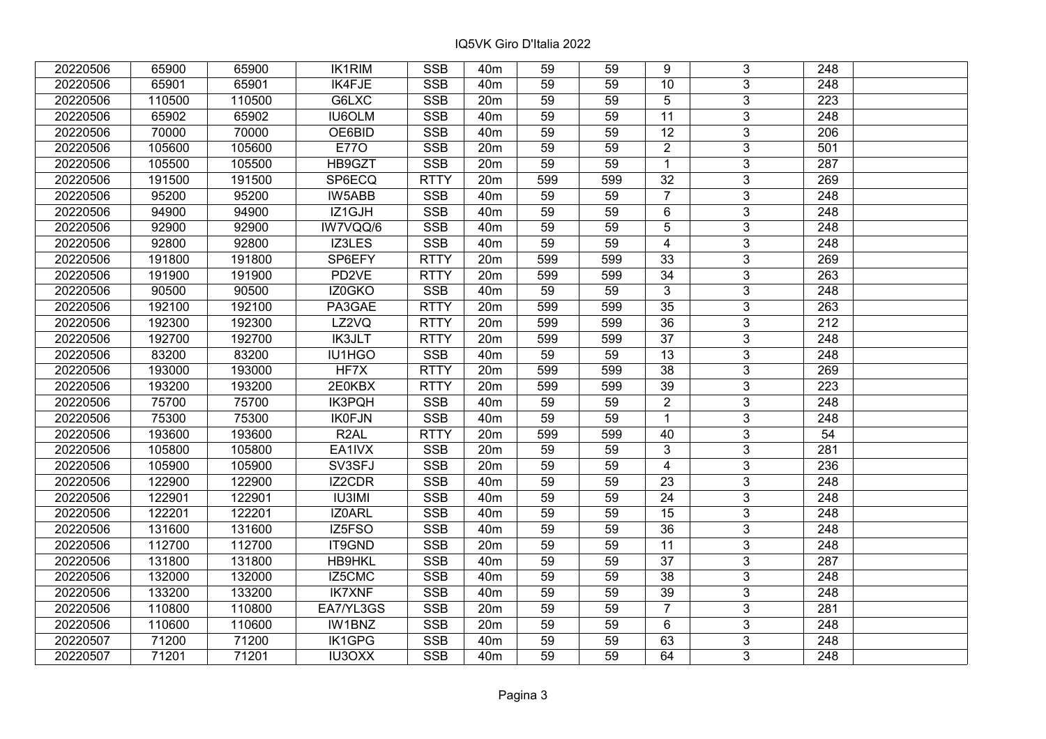| 20220506 | 65900  | 65900  | <b>IK1RIM</b>     | <b>SSB</b>              | 40 <sub>m</sub> | 59              | 59  | 9               | 3              | 248              |  |
|----------|--------|--------|-------------------|-------------------------|-----------------|-----------------|-----|-----------------|----------------|------------------|--|
| 20220506 | 65901  | 65901  | IK4FJE            | <b>SSB</b>              | 40 <sub>m</sub> | 59              | 59  | 10              | $\overline{3}$ | 248              |  |
| 20220506 | 110500 | 110500 | G6LXC             | $\overline{\text{SSB}}$ | 20m             | 59              | 59  | 5               | $\overline{3}$ | $\overline{223}$ |  |
| 20220506 | 65902  | 65902  | <b>IU6OLM</b>     | <b>SSB</b>              | 40 <sub>m</sub> | 59              | 59  | 11              | $\overline{3}$ | $\overline{248}$ |  |
| 20220506 | 70000  | 70000  | OE6BID            | <b>SSB</b>              | 40 <sub>m</sub> | 59              | 59  | $\overline{12}$ | 3              | 206              |  |
| 20220506 | 105600 | 105600 | <b>E770</b>       | <b>SSB</b>              | 20m             | 59              | 59  | $\overline{2}$  | $\overline{3}$ | 501              |  |
| 20220506 | 105500 | 105500 | HB9GZT            | <b>SSB</b>              | 20m             | 59              | 59  | $\mathbf{1}$    | $\overline{3}$ | 287              |  |
| 20220506 | 191500 | 191500 | SP6ECQ            | <b>RTTY</b>             | 20m             | 599             | 599 | 32              | 3              | 269              |  |
| 20220506 | 95200  | 95200  | <b>IW5ABB</b>     | <b>SSB</b>              | 40 <sub>m</sub> | 59              | 59  | $\overline{7}$  | $\overline{3}$ | $\overline{248}$ |  |
| 20220506 | 94900  | 94900  | IZ1GJH            | <b>SSB</b>              | 40 <sub>m</sub> | 59              | 59  | 6               | $\overline{3}$ | 248              |  |
| 20220506 | 92900  | 92900  | IW7VQQ/6          | <b>SSB</b>              | 40 <sub>m</sub> | 59              | 59  | 5               | 3              | 248              |  |
| 20220506 | 92800  | 92800  | IZ3LES            | <b>SSB</b>              | 40 <sub>m</sub> | 59              | 59  | $\overline{4}$  | $\overline{3}$ | 248              |  |
| 20220506 | 191800 | 191800 | SP6EFY            | <b>RTTY</b>             | 20 <sub>m</sub> | 599             | 599 | 33              | 3              | 269              |  |
| 20220506 | 191900 | 191900 | PD <sub>2VE</sub> | <b>RTTY</b>             | 20 <sub>m</sub> | 599             | 599 | $\overline{34}$ | $\overline{3}$ | 263              |  |
| 20220506 | 90500  | 90500  | IZ0GKO            | <b>SSB</b>              | 40 <sub>m</sub> | 59              | 59  | $\mathfrak{S}$  | 3              | 248              |  |
| 20220506 | 192100 | 192100 | PA3GAE            | <b>RTTY</b>             | 20m             | 599             | 599 | 35              | 3              | 263              |  |
| 20220506 | 192300 | 192300 | LZ2VQ             | <b>RTTY</b>             | 20m             | 599             | 599 | $\overline{36}$ | $\overline{3}$ | 212              |  |
| 20220506 | 192700 | 192700 | <b>IK3JLT</b>     | <b>RTTY</b>             | 20m             | 599             | 599 | 37              | 3              | 248              |  |
| 20220506 | 83200  | 83200  | IU1HGO            | <b>SSB</b>              | 40 <sub>m</sub> | 59              | 59  | 13              | 3              | 248              |  |
| 20220506 | 193000 | 193000 | HF7X              | <b>RTTY</b>             | 20m             | 599             | 599 | $\overline{38}$ | $\overline{3}$ | 269              |  |
| 20220506 | 193200 | 193200 | 2E0KBX            | <b>RTTY</b>             | 20m             | 599             | 599 | 39              | $\overline{3}$ | 223              |  |
| 20220506 | 75700  | 75700  | IK3PQH            | <b>SSB</b>              | 40 <sub>m</sub> | 59              | 59  | $\overline{2}$  | 3              | 248              |  |
| 20220506 | 75300  | 75300  | <b>IK0FJN</b>     | SSB                     | 40 <sub>m</sub> | 59              | 59  | $\overline{1}$  | $\overline{3}$ | 248              |  |
| 20220506 | 193600 | 193600 | R <sub>2</sub> AL | <b>RTTY</b>             | 20m             | 599             | 599 | 40              | $\overline{3}$ | 54               |  |
| 20220506 | 105800 | 105800 | EA1IVX            | <b>SSB</b>              | 20m             | 59              | 59  | 3               | 3              | 281              |  |
| 20220506 | 105900 | 105900 | SV3SFJ            | <b>SSB</b>              | 20m             | 59              | 59  | $\overline{4}$  | $\overline{3}$ | 236              |  |
| 20220506 | 122900 | 122900 | IZ2CDR            | <b>SSB</b>              | 40 <sub>m</sub> | 59              | 59  | 23              | $\overline{3}$ | $\overline{248}$ |  |
| 20220506 | 122901 | 122901 | <b>IU3IMI</b>     | <b>SSB</b>              | 40 <sub>m</sub> | 59              | 59  | $\overline{24}$ | $\overline{3}$ | $\overline{248}$ |  |
| 20220506 | 122201 | 122201 | IZ0ARL            | <b>SSB</b>              | 40 <sub>m</sub> | 59              | 59  | $\overline{15}$ | $\overline{3}$ | $\overline{248}$ |  |
| 20220506 | 131600 | 131600 | IZ5FSO            | <b>SSB</b>              | 40 <sub>m</sub> | 59              | 59  | 36              | $\overline{3}$ | 248              |  |
| 20220506 | 112700 | 112700 | IT9GND            | <b>SSB</b>              | 20m             | $\overline{59}$ | 59  | $\overline{11}$ | $\overline{3}$ | $\overline{248}$ |  |
| 20220506 | 131800 | 131800 | <b>HB9HKL</b>     | <b>SSB</b>              | 40 <sub>m</sub> | 59              | 59  | 37              | $\overline{3}$ | 287              |  |
| 20220506 | 132000 | 132000 | IZ5CMC            | <b>SSB</b>              | 40 <sub>m</sub> | 59              | 59  | 38              | 3              | 248              |  |
| 20220506 | 133200 | 133200 | <b>IK7XNF</b>     | <b>SSB</b>              | 40 <sub>m</sub> | 59              | 59  | $\overline{39}$ | $\overline{3}$ | $\overline{248}$ |  |
| 20220506 | 110800 | 110800 | EA7/YL3GS         | <b>SSB</b>              | 20m             | 59              | 59  | $\overline{7}$  | $\overline{3}$ | 281              |  |
| 20220506 | 110600 | 110600 | IW1BNZ            | <b>SSB</b>              | 20 <sub>m</sub> | 59              | 59  | 6               | 3              | 248              |  |
| 20220507 | 71200  | 71200  | IK1GPG            | SSB                     | 40 <sub>m</sub> | 59              | 59  | 63              | $\overline{3}$ | 248              |  |
| 20220507 | 71201  | 71201  | <b>IU3OXX</b>     | <b>SSB</b>              | 40 <sub>m</sub> | 59              | 59  | 64              | $\overline{3}$ | 248              |  |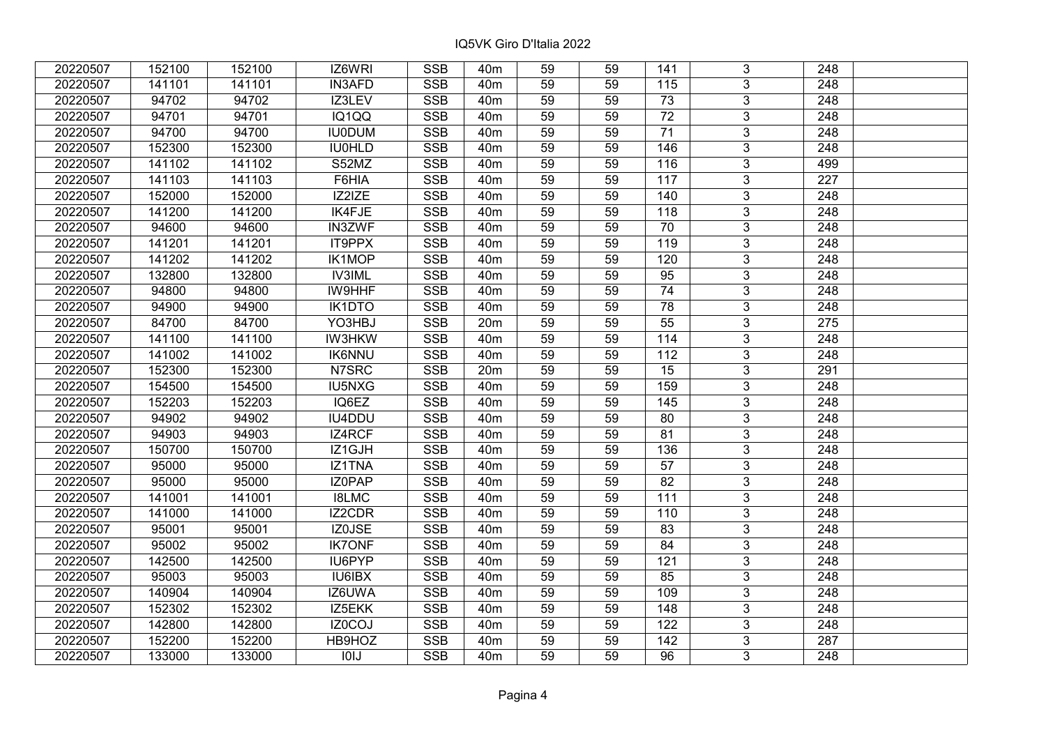| 20220507 | 152100 | 152100 | IZ6WRI        | <b>SSB</b> | 40 <sub>m</sub> | 59              | 59 | 141              | 3                       | 248              |  |
|----------|--------|--------|---------------|------------|-----------------|-----------------|----|------------------|-------------------------|------------------|--|
| 20220507 | 141101 | 141101 | <b>IN3AFD</b> | <b>SSB</b> | 40 <sub>m</sub> | 59              | 59 | 115              | $\overline{3}$          | 248              |  |
| 20220507 | 94702  | 94702  | IZ3LEV        | <b>SSB</b> | 40 <sub>m</sub> | 59              | 59 | $\overline{73}$  | $\overline{3}$          | 248              |  |
| 20220507 | 94701  | 94701  | IQ1QQ         | <b>SSB</b> | 40m             | 59              | 59 | $\overline{72}$  | $\overline{3}$          | $\overline{248}$ |  |
| 20220507 | 94700  | 94700  | <b>IU0DUM</b> | <b>SSB</b> | 40 <sub>m</sub> | 59              | 59 | $\overline{71}$  | $\overline{3}$          | 248              |  |
| 20220507 | 152300 | 152300 | <b>IU0HLD</b> | <b>SSB</b> | 40m             | 59              | 59 | 146              | $\overline{3}$          | $\overline{248}$ |  |
| 20220507 | 141102 | 141102 | S52MZ         | <b>SSB</b> | 40m             | 59              | 59 | 116              | $\overline{3}$          | 499              |  |
| 20220507 | 141103 | 141103 | F6HIA         | <b>SSB</b> | 40m             | 59              | 59 | 117              | $\overline{3}$          | 227              |  |
| 20220507 | 152000 | 152000 | IZ2IZE        | SSB        | 40 <sub>m</sub> | 59              | 59 | 140              | $\overline{\mathbf{3}}$ | 248              |  |
| 20220507 | 141200 | 141200 | <b>IK4FJE</b> | <b>SSB</b> | 40m             | 59              | 59 | 118              | $\overline{3}$          | 248              |  |
| 20220507 | 94600  | 94600  | <b>IN3ZWF</b> | <b>SSB</b> | 40m             | 59              | 59 | 70               | $\overline{3}$          | 248              |  |
| 20220507 | 141201 | 141201 | IT9PPX        | <b>SSB</b> | 40m             | $\overline{59}$ | 59 | 119              | $\overline{3}$          | 248              |  |
| 20220507 | 141202 | 141202 | <b>IK1MOP</b> | <b>SSB</b> | 40m             | 59              | 59 | 120              | $\overline{3}$          | 248              |  |
| 20220507 | 132800 | 132800 | <b>IV3IML</b> | <b>SSB</b> | 40m             | 59              | 59 | 95               | $\mathbf{3}$            | 248              |  |
| 20220507 | 94800  | 94800  | IW9HHF        | <b>SSB</b> | 40m             | 59              | 59 | $\overline{74}$  | $\overline{3}$          | $\overline{248}$ |  |
| 20220507 | 94900  | 94900  | IK1DTO        | <b>SSB</b> | 40 <sub>m</sub> | 59              | 59 | 78               | $\overline{3}$          | 248              |  |
| 20220507 | 84700  | 84700  | YO3HBJ        | <b>SSB</b> | 20m             | 59              | 59 | 55               | $\mathbf{3}$            | 275              |  |
| 20220507 | 141100 | 141100 | <b>IW3HKW</b> | <b>SSB</b> | 40m             | 59              | 59 | 114              | $\overline{3}$          | 248              |  |
| 20220507 | 141002 | 141002 | <b>IK6NNU</b> | <b>SSB</b> | 40 <sub>m</sub> | 59              | 59 | 112              | $\overline{3}$          | 248              |  |
| 20220507 | 152300 | 152300 | N7SRC         | <b>SSB</b> | 20m             | 59              | 59 | 15               | $\overline{3}$          | 291              |  |
| 20220507 | 154500 | 154500 | <b>IU5NXG</b> | SSB        | 40m             | 59              | 59 | 159              | $\overline{3}$          | 248              |  |
| 20220507 | 152203 | 152203 | IQ6EZ         | <b>SSB</b> | 40 <sub>m</sub> | 59              | 59 | 145              | $\overline{3}$          | 248              |  |
| 20220507 | 94902  | 94902  | IU4DDU        | <b>SSB</b> | 40 <sub>m</sub> | 59              | 59 | 80               | $\overline{3}$          | 248              |  |
| 20220507 | 94903  | 94903  | IZ4RCF        | <b>SSB</b> | 40m             | 59              | 59 | 81               | $\overline{3}$          | 248              |  |
| 20220507 | 150700 | 150700 | IZ1GJH        | <b>SSB</b> | 40 <sub>m</sub> | 59              | 59 | $\overline{136}$ | $\overline{3}$          | 248              |  |
| 20220507 | 95000  | 95000  | IZ1TNA        | <b>SSB</b> | 40 <sub>m</sub> | 59              | 59 | 57               | $\overline{3}$          | $\overline{248}$ |  |
| 20220507 | 95000  | 95000  | IZ0PAP        | <b>SSB</b> | 40 <sub>m</sub> | 59              | 59 | $\overline{82}$  | $\overline{3}$          | $\overline{248}$ |  |
| 20220507 | 141001 | 141001 | <b>I8LMC</b>  | <b>SSB</b> | 40 <sub>m</sub> | 59              | 59 | 111              | $\overline{3}$          | 248              |  |
| 20220507 | 141000 | 141000 | IZ2CDR        | <b>SSB</b> | 40 <sub>m</sub> | 59              | 59 | 110              | $\overline{3}$          | $\overline{248}$ |  |
| 20220507 | 95001  | 95001  | <b>IZ0JSE</b> | SSB        | 40 <sub>m</sub> | 59              | 59 | $\overline{83}$  | $\overline{3}$          | $\overline{248}$ |  |
| 20220507 | 95002  | 95002  | <b>IK7ONF</b> | <b>SSB</b> | 40 <sub>m</sub> | 59              | 59 | 84               | $\overline{3}$          | 248              |  |
| 20220507 | 142500 | 142500 | IU6PYP        | <b>SSB</b> | 40 <sub>m</sub> | 59              | 59 | 121              | $\overline{3}$          | 248              |  |
| 20220507 | 95003  | 95003  | IU6IBX        | <b>SSB</b> | 40 <sub>m</sub> | 59              | 59 | 85               | $\mathbf{3}$            | 248              |  |
| 20220507 | 140904 | 140904 | IZ6UWA        | <b>SSB</b> | 40 <sub>m</sub> | 59              | 59 | 109              | $\overline{3}$          | 248              |  |
| 20220507 | 152302 | 152302 | IZ5EKK        | <b>SSB</b> | 40 <sub>m</sub> | 59              | 59 | 148              | $\overline{3}$          | 248              |  |
| 20220507 | 142800 | 142800 | IZ0COJ        | <b>SSB</b> | 40m             | 59              | 59 | 122              | 3                       | 248              |  |
| 20220507 | 152200 | 152200 | HB9HOZ        | <b>SSB</b> | 40m             | 59              | 59 | 142              | $\overline{3}$          | 287              |  |
| 20220507 | 133000 | 133000 | <b>IOIJ</b>   | <b>SSB</b> | 40m             | 59              | 59 | 96               | 3                       | 248              |  |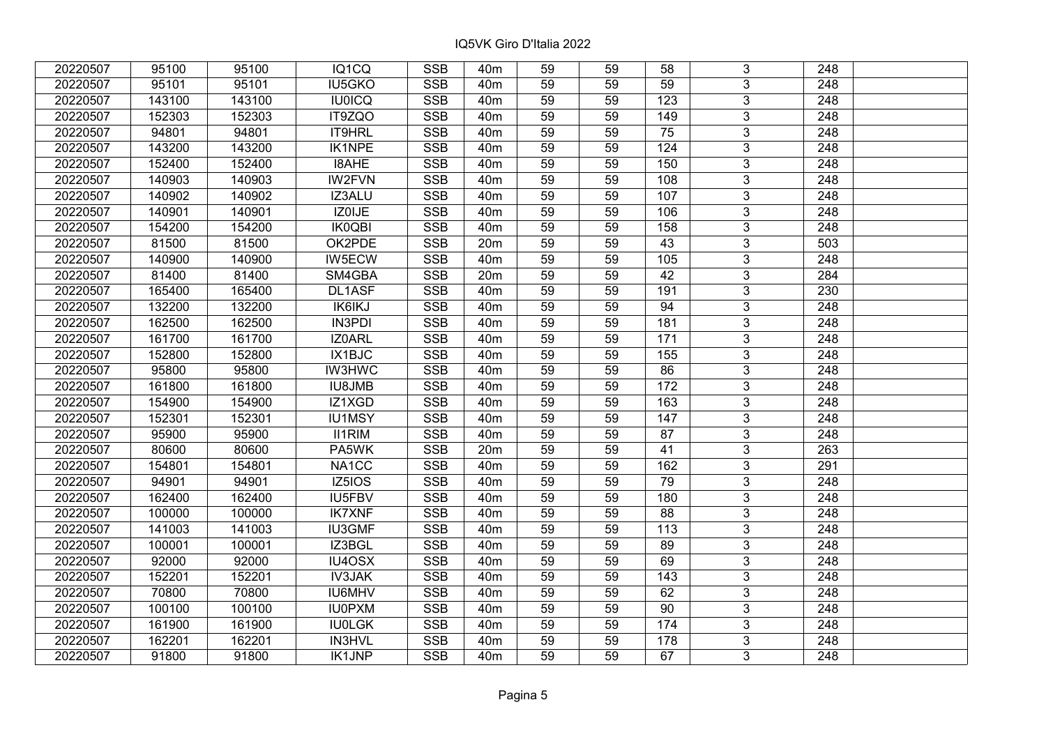| 20220507 | 95100  | 95100  | IQ1CQ         | <b>SSB</b> | 40 <sub>m</sub> | 59              | 59 | 58  | 3                         | 248              |  |
|----------|--------|--------|---------------|------------|-----------------|-----------------|----|-----|---------------------------|------------------|--|
| 20220507 | 95101  | 95101  | IU5GKO        | <b>SSB</b> | 40 <sub>m</sub> | 59              | 59 | 59  | $\overline{3}$            | 248              |  |
| 20220507 | 143100 | 143100 | <b>IU0ICQ</b> | <b>SSB</b> | 40 <sub>m</sub> | 59              | 59 | 123 | $\overline{3}$            | 248              |  |
| 20220507 | 152303 | 152303 | IT9ZQO        | <b>SSB</b> | 40 <sub>m</sub> | 59              | 59 | 149 | $\overline{3}$            | $\overline{248}$ |  |
| 20220507 | 94801  | 94801  | IT9HRL        | <b>SSB</b> | 40 <sub>m</sub> | 59              | 59 | 75  | 3                         | 248              |  |
| 20220507 | 143200 | 143200 | <b>IK1NPE</b> | <b>SSB</b> | 40 <sub>m</sub> | 59              | 59 | 124 | $\overline{3}$            | 248              |  |
| 20220507 | 152400 | 152400 | <b>I8AHE</b>  | <b>SSB</b> | 40 <sub>m</sub> | 59              | 59 | 150 | $\overline{3}$            | 248              |  |
| 20220507 | 140903 | 140903 | <b>IW2FVN</b> | <b>SSB</b> | 40m             | 59              | 59 | 108 | $\overline{3}$            | 248              |  |
| 20220507 | 140902 | 140902 | IZ3ALU        | SSB        | 40 <sub>m</sub> | 59              | 59 | 107 | $\overline{\mathbf{3}}$   | $\overline{248}$ |  |
| 20220507 | 140901 | 140901 | IZ0IJE        | <b>SSB</b> | 40m             | 59              | 59 | 106 | $\overline{3}$            | 248              |  |
| 20220507 | 154200 | 154200 | <b>IK0QBI</b> | <b>SSB</b> | 40m             | 59              | 59 | 158 | 3                         | 248              |  |
| 20220507 | 81500  | 81500  | OK2PDE        | <b>SSB</b> | 20m             | 59              | 59 | 43  | $\overline{3}$            | 503              |  |
| 20220507 | 140900 | 140900 | IW5ECW        | <b>SSB</b> | 40 <sub>m</sub> | 59              | 59 | 105 | $\mathbf{3}$              | 248              |  |
| 20220507 | 81400  | 81400  | SM4GBA        | <b>SSB</b> | 20m             | 59              | 59 | 42  | $\overline{3}$            | 284              |  |
| 20220507 | 165400 | 165400 | DL1ASF        | <b>SSB</b> | 40 <sub>m</sub> | 59              | 59 | 191 | $\overline{3}$            | 230              |  |
| 20220507 | 132200 | 132200 | <b>IK6IKJ</b> | <b>SSB</b> | 40m             | 59              | 59 | 94  | $\mathfrak{S}$            | 248              |  |
| 20220507 | 162500 | 162500 | <b>IN3PDI</b> | <b>SSB</b> | 40m             | 59              | 59 | 181 | $\overline{3}$            | 248              |  |
| 20220507 | 161700 | 161700 | IZ0ARL        | <b>SSB</b> | 40 <sub>m</sub> | 59              | 59 | 171 | 3                         | 248              |  |
| 20220507 | 152800 | 152800 | IX1BJC        | <b>SSB</b> | 40m             | 59              | 59 | 155 | $\mathbf{3}$              | 248              |  |
| 20220507 | 95800  | 95800  | <b>IW3HWC</b> | <b>SSB</b> | 40 <sub>m</sub> | 59              | 59 | 86  | $\overline{3}$            | 248              |  |
| 20220507 | 161800 | 161800 | <b>IU8JMB</b> | <b>SSB</b> | 40 <sub>m</sub> | 59              | 59 | 172 | $\overline{3}$            | 248              |  |
| 20220507 | 154900 | 154900 | IZ1XGD        | <b>SSB</b> | 40m             | 59              | 59 | 163 | $\overline{3}$            | 248              |  |
| 20220507 | 152301 | 152301 | <b>IU1MSY</b> | <b>SSB</b> | 40 <sub>m</sub> | 59              | 59 | 147 | $\overline{3}$            | 248              |  |
| 20220507 | 95900  | 95900  | <b>II1RIM</b> | <b>SSB</b> | 40 <sub>m</sub> | 59              | 59 | 87  | $\overline{3}$            | 248              |  |
| 20220507 | 80600  | 80600  | PA5WK         | <b>SSB</b> | 20m             | 59              | 59 | 41  | $\overline{3}$            | 263              |  |
| 20220507 | 154801 | 154801 | NA1CC         | <b>SSB</b> | 40 <sub>m</sub> | 59              | 59 | 162 | $\overline{3}$            | 291              |  |
| 20220507 | 94901  | 94901  | IZ5IOS        | <b>SSB</b> | 40 <sub>m</sub> | 59              | 59 | 79  | $\overline{3}$            | 248              |  |
| 20220507 | 162400 | 162400 | IU5FBV        | <b>SSB</b> | 40 <sub>m</sub> | 59              | 59 | 180 | $\overline{3}$            | $\overline{248}$ |  |
| 20220507 | 100000 | 100000 | <b>IK7XNF</b> | <b>SSB</b> | 40 <sub>m</sub> | 59              | 59 | 88  | $\overline{3}$            | $\overline{248}$ |  |
| 20220507 | 141003 | 141003 | <b>IU3GMF</b> | <b>SSB</b> | 40 <sub>m</sub> | 59              | 59 | 113 | $\overline{3}$            | 248              |  |
| 20220507 | 100001 | 100001 | IZ3BGL        | SSB        | 40 <sub>m</sub> | $\overline{59}$ | 59 | 89  | $\overline{\overline{3}}$ | $\overline{248}$ |  |
| 20220507 | 92000  | 92000  | IU4OSX        | <b>SSB</b> | 40 <sub>m</sub> | 59              | 59 | 69  | $\overline{3}$            | 248              |  |
| 20220507 | 152201 | 152201 | <b>IV3JAK</b> | <b>SSB</b> | 40 <sub>m</sub> | 59              | 59 | 143 | 3                         | 248              |  |
| 20220507 | 70800  | 70800  | <b>IU6MHV</b> | <b>SSB</b> | 40m             | 59              | 59 | 62  | $\overline{3}$            | $\overline{248}$ |  |
| 20220507 | 100100 | 100100 | <b>IU0PXM</b> | <b>SSB</b> | 40 <sub>m</sub> | 59              | 59 | 90  | $\overline{3}$            | 248              |  |
| 20220507 | 161900 | 161900 | <b>IU0LGK</b> | <b>SSB</b> | 40m             | 59              | 59 | 174 | 3                         | 248              |  |
| 20220507 | 162201 | 162201 | <b>IN3HVL</b> | SSB        | 40 <sub>m</sub> | 59              | 59 | 178 | $\overline{3}$            | 248              |  |
| 20220507 | 91800  | 91800  | <b>IK1JNP</b> | <b>SSB</b> | 40 <sub>m</sub> | 59              | 59 | 67  | $\overline{3}$            | 248              |  |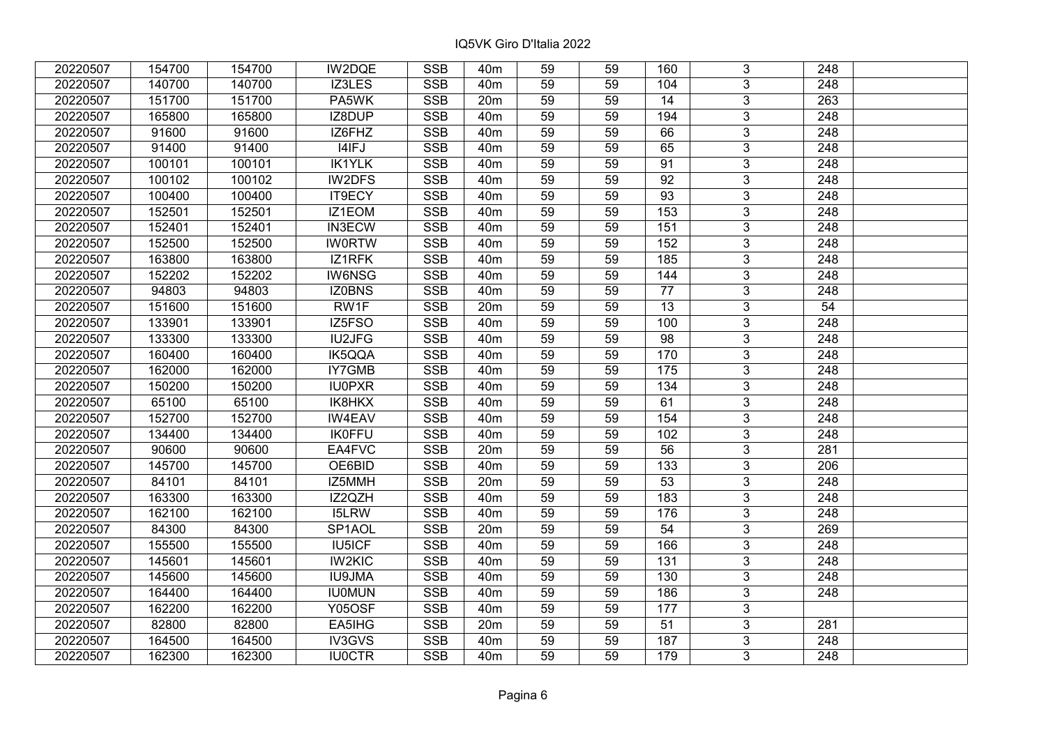| 20220507 | 154700 | 154700 | IW2DQE        | <b>SSB</b>              | 40 <sub>m</sub> | 59              | 59 | 160             | 3                         | 248              |  |
|----------|--------|--------|---------------|-------------------------|-----------------|-----------------|----|-----------------|---------------------------|------------------|--|
| 20220507 | 140700 | 140700 | IZ3LES        | <b>SSB</b>              | 40 <sub>m</sub> | 59              | 59 | 104             | $\overline{3}$            | 248              |  |
| 20220507 | 151700 | 151700 | PA5WK         | <b>SSB</b>              | 20m             | 59              | 59 | 14              | $\overline{3}$            | 263              |  |
| 20220507 | 165800 | 165800 | IZ8DUP        | <b>SSB</b>              | 40 <sub>m</sub> | 59              | 59 | 194             | $\overline{3}$            | $\overline{248}$ |  |
| 20220507 | 91600  | 91600  | IZ6FHZ        | <b>SSB</b>              | 40 <sub>m</sub> | 59              | 59 | 66              | 3                         | 248              |  |
| 20220507 | 91400  | 91400  | I4IFJ         | <b>SSB</b>              | 40 <sub>m</sub> | 59              | 59 | 65              | $\overline{3}$            | $\overline{248}$ |  |
| 20220507 | 100101 | 100101 | <b>IK1YLK</b> | <b>SSB</b>              | 40 <sub>m</sub> | 59              | 59 | 91              | $\overline{3}$            | 248              |  |
| 20220507 | 100102 | 100102 | IW2DFS        | <b>SSB</b>              | 40 <sub>m</sub> | 59              | 59 | 92              | $\overline{3}$            | 248              |  |
| 20220507 | 100400 | 100400 | IT9ECY        | SSB                     | 40 <sub>m</sub> | 59              | 59 | $\overline{93}$ | $\overline{3}$            | $\overline{248}$ |  |
| 20220507 | 152501 | 152501 | IZ1EOM        | <b>SSB</b>              | 40m             | 59              | 59 | 153             | $\overline{3}$            | 248              |  |
| 20220507 | 152401 | 152401 | <b>IN3ECW</b> | <b>SSB</b>              | 40 <sub>m</sub> | 59              | 59 | 151             | 3                         | 248              |  |
| 20220507 | 152500 | 152500 | <b>IW0RTW</b> | <b>SSB</b>              | 40 <sub>m</sub> | 59              | 59 | 152             | $\overline{3}$            | 248              |  |
| 20220507 | 163800 | 163800 | IZ1RFK        | <b>SSB</b>              | 40 <sub>m</sub> | 59              | 59 | 185             | $\mathbf{3}$              | 248              |  |
| 20220507 | 152202 | 152202 | <b>IW6NSG</b> | <b>SSB</b>              | 40m             | 59              | 59 | 144             | $\overline{3}$            | 248              |  |
| 20220507 | 94803  | 94803  | IZ0BNS        | <b>SSB</b>              | 40 <sub>m</sub> | 59              | 59 | 77              | $\overline{3}$            | 248              |  |
| 20220507 | 151600 | 151600 | RW1F          | <b>SSB</b>              | 20m             | 59              | 59 | 13              | 3                         | 54               |  |
| 20220507 | 133901 | 133901 | IZ5FSO        | <b>SSB</b>              | 40 <sub>m</sub> | 59              | 59 | 100             | $\overline{3}$            | 248              |  |
| 20220507 | 133300 | 133300 | <b>IU2JFG</b> | <b>SSB</b>              | 40 <sub>m</sub> | 59              | 59 | 98              | 3                         | 248              |  |
| 20220507 | 160400 | 160400 | IK5QQA        | <b>SSB</b>              | 40 <sub>m</sub> | 59              | 59 | 170             | $\mathbf{3}$              | 248              |  |
| 20220507 | 162000 | 162000 | IY7GMB        | <b>SSB</b>              | 40 <sub>m</sub> | 59              | 59 | 175             | $\overline{3}$            | 248              |  |
| 20220507 | 150200 | 150200 | <b>IU0PXR</b> | <b>SSB</b>              | 40 <sub>m</sub> | 59              | 59 | 134             | $\overline{3}$            | 248              |  |
| 20220507 | 65100  | 65100  | IK8HKX        | <b>SSB</b>              | 40 <sub>m</sub> | 59              | 59 | 61              | $\overline{3}$            | 248              |  |
| 20220507 | 152700 | 152700 | <b>IW4EAV</b> | <b>SSB</b>              | 40 <sub>m</sub> | 59              | 59 | 154             | $\overline{3}$            | 248              |  |
| 20220507 | 134400 | 134400 | <b>IK0FFU</b> | <b>SSB</b>              | 40 <sub>m</sub> | 59              | 59 | 102             | $\overline{3}$            | 248              |  |
| 20220507 | 90600  | 90600  | EA4FVC        | <b>SSB</b>              | 20m             | 59              | 59 | 56              | $\overline{3}$            | 281              |  |
| 20220507 | 145700 | 145700 | OE6BID        | <b>SSB</b>              | 40 <sub>m</sub> | 59              | 59 | 133             | $\overline{3}$            | 206              |  |
| 20220507 | 84101  | 84101  | IZ5MMH        | <b>SSB</b>              | 20m             | 59              | 59 | $\overline{53}$ | $\overline{3}$            | 248              |  |
| 20220507 | 163300 | 163300 | IZ2QZH        | <b>SSB</b>              | 40 <sub>m</sub> | 59              | 59 | 183             | $\overline{3}$            | $\overline{248}$ |  |
| 20220507 | 162100 | 162100 | <b>I5LRW</b>  | <b>SSB</b>              | 40 <sub>m</sub> | 59              | 59 | 176             | $\overline{3}$            | $\overline{248}$ |  |
| 20220507 | 84300  | 84300  | SP1AOL        | <b>SSB</b>              | 20m             | 59              | 59 | 54              | $\overline{3}$            | 269              |  |
| 20220507 | 155500 | 155500 | <b>IU5ICF</b> | $\overline{\text{SSB}}$ | 40 <sub>m</sub> | $\overline{59}$ | 59 | 166             | $\overline{\overline{3}}$ | $\overline{248}$ |  |
| 20220507 | 145601 | 145601 | <b>IW2KIC</b> | <b>SSB</b>              | 40 <sub>m</sub> | 59              | 59 | $131$           | $\overline{3}$            | 248              |  |
| 20220507 | 145600 | 145600 | <b>IU9JMA</b> | <b>SSB</b>              | 40m             | 59              | 59 | 130             | 3                         | 248              |  |
| 20220507 | 164400 | 164400 | <b>IU0MUN</b> | <b>SSB</b>              | 40 <sub>m</sub> | 59              | 59 | 186             | $\overline{3}$            | 248              |  |
| 20220507 | 162200 | 162200 | <b>Y05OSF</b> | <b>SSB</b>              | 40m             | 59              | 59 | 177             | $\overline{3}$            |                  |  |
| 20220507 | 82800  | 82800  | EA5IHG        | <b>SSB</b>              | 20m             | 59              | 59 | 51              | 3                         | 281              |  |
| 20220507 | 164500 | 164500 | IV3GVS        | SSB                     | 40m             | 59              | 59 | 187             | $\overline{3}$            | 248              |  |
| 20220507 | 162300 | 162300 | <b>IU0CTR</b> | <b>SSB</b>              | 40 <sub>m</sub> | 59              | 59 | 179             | $\overline{3}$            | 248              |  |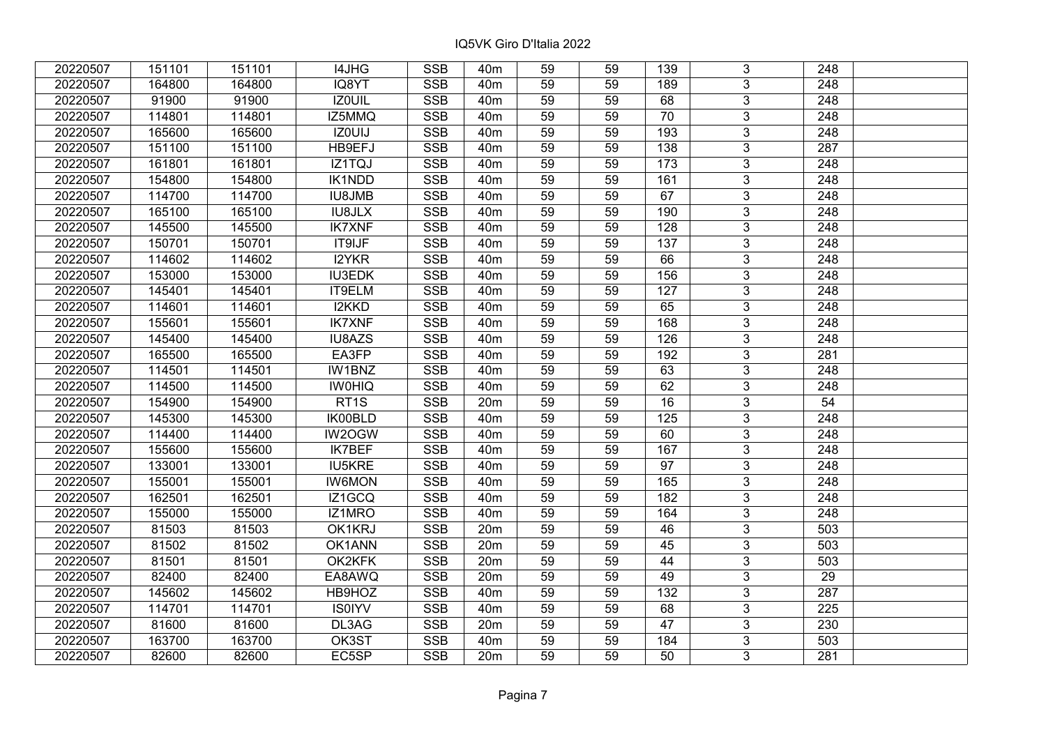| 20220507 | 151101 | 151101 | I4JHG             | <b>SSB</b> | 40 <sub>m</sub> | 59              | 59 | 139              | 3                         | 248              |  |
|----------|--------|--------|-------------------|------------|-----------------|-----------------|----|------------------|---------------------------|------------------|--|
| 20220507 | 164800 | 164800 | IQ8YT             | <b>SSB</b> | 40 <sub>m</sub> | 59              | 59 | 189              | $\overline{3}$            | 248              |  |
| 20220507 | 91900  | 91900  | <b>IZOUIL</b>     | <b>SSB</b> | 40 <sub>m</sub> | 59              | 59 | 68               | $\overline{3}$            | 248              |  |
| 20220507 | 114801 | 114801 | IZ5MMQ            | <b>SSB</b> | 40 <sub>m</sub> | 59              | 59 | $\overline{70}$  | $\overline{3}$            | $\overline{248}$ |  |
| 20220507 | 165600 | 165600 | IZ0UIJ            | <b>SSB</b> | 40 <sub>m</sub> | 59              | 59 | 193              | 3                         | 248              |  |
| 20220507 | 151100 | 151100 | HB9EFJ            | <b>SSB</b> | 40m             | 59              | 59 | 138              | $\overline{3}$            | $\overline{287}$ |  |
| 20220507 | 161801 | 161801 | IZ1TQJ            | <b>SSB</b> | 40m             | 59              | 59 | 173              | $\overline{3}$            | 248              |  |
| 20220507 | 154800 | 154800 | IK1NDD            | <b>SSB</b> | 40 <sub>m</sub> | 59              | 59 | 161              | $\overline{3}$            | 248              |  |
| 20220507 | 114700 | 114700 | <b>IU8JMB</b>     | SSB        | 40m             | 59              | 59 | 67               | $\overline{3}$            | $\overline{248}$ |  |
| 20220507 | 165100 | 165100 | <b>IU8JLX</b>     | <b>SSB</b> | 40m             | 59              | 59 | 190              | $\overline{3}$            | 248              |  |
| 20220507 | 145500 | 145500 | <b>IK7XNF</b>     | <b>SSB</b> | 40 <sub>m</sub> | 59              | 59 | 128              | 3                         | 248              |  |
| 20220507 | 150701 | 150701 | <b>IT9IJF</b>     | <b>SSB</b> | 40m             | 59              | 59 | 137              | $\overline{3}$            | 248              |  |
| 20220507 | 114602 | 114602 | I2YKR             | <b>SSB</b> | 40m             | 59              | 59 | 66               | $\mathbf{3}$              | 248              |  |
| 20220507 | 153000 | 153000 | <b>IU3EDK</b>     | <b>SSB</b> | 40 <sub>m</sub> | 59              | 59 | 156              | $\overline{3}$            | 248              |  |
| 20220507 | 145401 | 145401 | IT9ELM            | <b>SSB</b> | 40m             | 59              | 59 | 127              | $\overline{3}$            | 248              |  |
| 20220507 | 114601 | 114601 | I2KKD             | <b>SSB</b> | 40m             | 59              | 59 | 65               | 3                         | 248              |  |
| 20220507 | 155601 | 155601 | <b>IK7XNF</b>     | <b>SSB</b> | 40 <sub>m</sub> | 59              | 59 | 168              | $\overline{3}$            | 248              |  |
| 20220507 | 145400 | 145400 | <b>IU8AZS</b>     | <b>SSB</b> | 40 <sub>m</sub> | 59              | 59 | 126              | 3                         | 248              |  |
| 20220507 | 165500 | 165500 | EA3FP             | <b>SSB</b> | 40 <sub>m</sub> | 59              | 59 | 192              | $\mathbf{3}$              | 281              |  |
| 20220507 | 114501 | 114501 | IW1BNZ            | <b>SSB</b> | 40 <sub>m</sub> | 59              | 59 | 63               | $\overline{3}$            | 248              |  |
| 20220507 | 114500 | 114500 | <b>IWOHIQ</b>     | <b>SSB</b> | 40m             | 59              | 59 | 62               | $\overline{3}$            | 248              |  |
| 20220507 | 154900 | 154900 | RT <sub>1</sub> S | <b>SSB</b> | 20m             | 59              | 59 | 16               | $\overline{3}$            | 54               |  |
| 20220507 | 145300 | 145300 | IK00BLD           | <b>SSB</b> | 40 <sub>m</sub> | 59              | 59 | 125              | $\overline{3}$            | 248              |  |
| 20220507 | 114400 | 114400 | IW2OGW            | <b>SSB</b> | 40m             | 59              | 59 | 60               | $\overline{3}$            | 248              |  |
| 20220507 | 155600 | 155600 | <b>IK7BEF</b>     | <b>SSB</b> | 40 <sub>m</sub> | 59              | 59 | 167              | $\overline{3}$            | 248              |  |
| 20220507 | 133001 | 133001 | <b>IU5KRE</b>     | <b>SSB</b> | 40 <sub>m</sub> | 59              | 59 | 97               | $\overline{3}$            | $\overline{248}$ |  |
| 20220507 | 155001 | 155001 | <b>IW6MON</b>     | <b>SSB</b> | 40m             | 59              | 59 | 165              | $\overline{3}$            | 248              |  |
| 20220507 | 162501 | 162501 | IZ1GCQ            | <b>SSB</b> | 40 <sub>m</sub> | 59              | 59 | 182              | $\overline{3}$            | $\overline{248}$ |  |
| 20220507 | 155000 | 155000 | IZ1MRO            | <b>SSB</b> | 40m             | 59              | 59 | 164              | $\overline{3}$            | $\overline{248}$ |  |
| 20220507 | 81503  | 81503  | OK1KRJ            | <b>SSB</b> | 20m             | 59              | 59 | 46               | $\overline{3}$            | 503              |  |
| 20220507 | 81502  | 81502  | OK1ANN            | SSB        | 20m             | $\overline{59}$ | 59 | $\overline{45}$  | $\overline{\overline{3}}$ | $\overline{503}$ |  |
| 20220507 | 81501  | 81501  | OK2KFK            | <b>SSB</b> | 20m             | 59              | 59 | 44               | $\overline{3}$            | 503              |  |
| 20220507 | 82400  | 82400  | EA8AWQ            | <b>SSB</b> | 20m             | 59              | 59 | 49               | 3                         | 29               |  |
| 20220507 | 145602 | 145602 | HB9HOZ            | <b>SSB</b> | 40 <sub>m</sub> | 59              | 59 | $\overline{132}$ | $\overline{3}$            | $\overline{287}$ |  |
| 20220507 | 114701 | 114701 | <b>IS0IYV</b>     | <b>SSB</b> | 40 <sub>m</sub> | 59              | 59 | 68               | 3                         | 225              |  |
| 20220507 | 81600  | 81600  | DL3AG             | <b>SSB</b> | 20m             | 59              | 59 | 47               | 3                         | 230              |  |
| 20220507 | 163700 | 163700 | OK3ST             | SSB        | 40 <sub>m</sub> | 59              | 59 | 184              | $\overline{3}$            | 503              |  |
| 20220507 | 82600  | 82600  | EC5SP             | <b>SSB</b> | 20m             | 59              | 59 | 50               | $\overline{3}$            | 281              |  |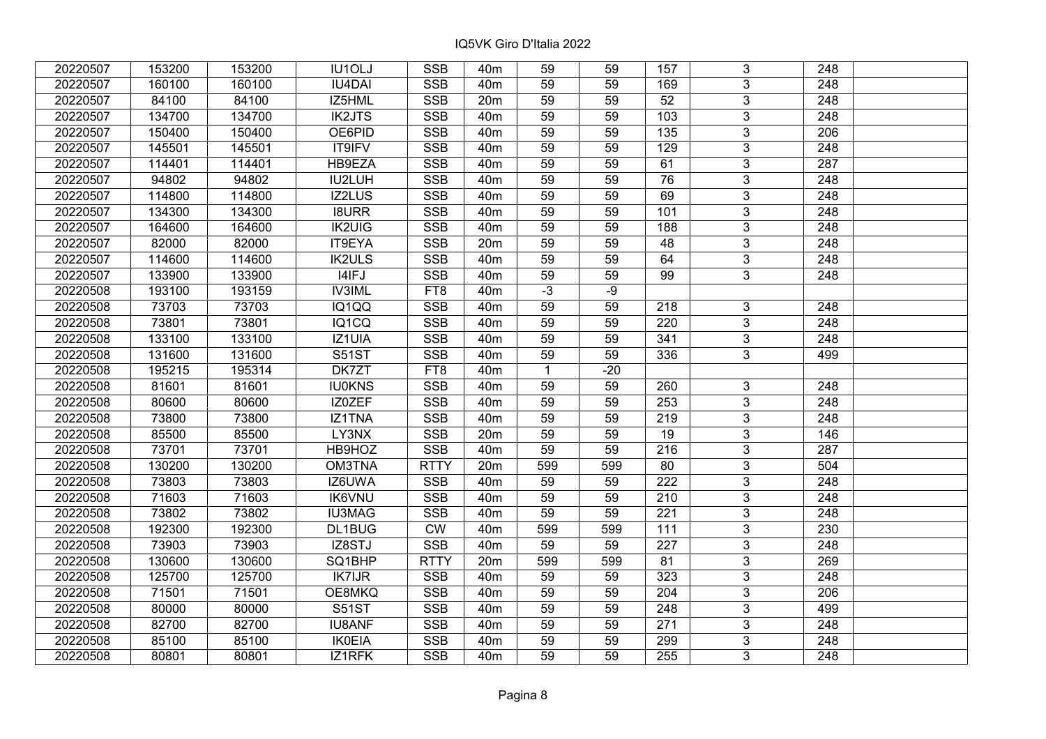| 20220507 | 153200 | 153200 | IU1OLJ        | <b>SSB</b>      | 40 <sub>m</sub> | 59           | 59    | 157              | 3                       | 248              |  |
|----------|--------|--------|---------------|-----------------|-----------------|--------------|-------|------------------|-------------------------|------------------|--|
| 20220507 | 160100 | 160100 | <b>IU4DAI</b> | <b>SSB</b>      | 40 <sub>m</sub> | 59           | 59    | 169              | $\overline{3}$          | 248              |  |
| 20220507 | 84100  | 84100  | IZ5HML        | <b>SSB</b>      | 20m             | 59           | 59    | $\overline{52}$  | $\overline{3}$          | 248              |  |
| 20220507 | 134700 | 134700 | <b>IK2JTS</b> | <b>SSB</b>      | 40 <sub>m</sub> | 59           | 59    | 103              | $\overline{3}$          | 248              |  |
| 20220507 | 150400 | 150400 | OE6PID        | <b>SSB</b>      | 40 <sub>m</sub> | 59           | 59    | 135              | $\overline{3}$          | 206              |  |
| 20220507 | 145501 | 145501 | IT9IFV        | SSB             | 40 <sub>m</sub> | 59           | 59    | 129              | $\overline{3}$          | 248              |  |
| 20220507 | 114401 | 114401 | HB9EZA        | <b>SSB</b>      | 40 <sub>m</sub> | 59           | 59    | 61               | $\overline{3}$          | $\overline{287}$ |  |
| 20220507 | 94802  | 94802  | IU2LUH        | <b>SSB</b>      | 40 <sub>m</sub> | 59           | 59    | 76               | $\overline{3}$          | 248              |  |
| 20220507 | 114800 | 114800 | <b>IZ2LUS</b> | <b>SSB</b>      | 40 <sub>m</sub> | 59           | 59    | 69               | $\overline{3}$          | 248              |  |
| 20220507 | 134300 | 134300 | <b>I8URR</b>  | <b>SSB</b>      | 40 <sub>m</sub> | 59           | 59    | 101              | $\overline{3}$          | 248              |  |
| 20220507 | 164600 | 164600 | <b>IK2UIG</b> | <b>SSB</b>      | 40 <sub>m</sub> | 59           | 59    | 188              | $\overline{3}$          | 248              |  |
| 20220507 | 82000  | 82000  | IT9EYA        | <b>SSB</b>      | 20m             | 59           | 59    | 48               | $\overline{3}$          | 248              |  |
| 20220507 | 114600 | 114600 | <b>IK2ULS</b> | <b>SSB</b>      | 40 <sub>m</sub> | 59           | 59    | 64               | $\mathbf{3}$            | 248              |  |
| 20220507 | 133900 | 133900 | I4IFJ         | <b>SSB</b>      | 40 <sub>m</sub> | 59           | 59    | 99               | $\overline{3}$          | 248              |  |
| 20220508 | 193100 | 193159 | <b>IV3IML</b> | FT8             | 40 <sub>m</sub> | $-3$         | $-9$  |                  |                         |                  |  |
| 20220508 | 73703  | 73703  | IQ1QQ         | <b>SSB</b>      | 40 <sub>m</sub> | 59           | 59    | 218              | $3\overline{3}$         | 248              |  |
| 20220508 | 73801  | 73801  | IQ1CQ         | <b>SSB</b>      | 40 <sub>m</sub> | 59           | 59    | 220              | $\overline{3}$          | 248              |  |
| 20220508 | 133100 | 133100 | IZ1UIA        | <b>SSB</b>      | 40 <sub>m</sub> | 59           | 59    | 341              | $\mathbf{3}$            | 248              |  |
| 20220508 | 131600 | 131600 | <b>S51ST</b>  | <b>SSB</b>      | 40 <sub>m</sub> | 59           | 59    | 336              | 3                       | 499              |  |
| 20220508 | 195215 | 195314 | DK7ZT         | FT <sub>8</sub> | 40 <sub>m</sub> | $\mathbf{1}$ | $-20$ |                  |                         |                  |  |
| 20220508 | 81601  | 81601  | <b>IU0KNS</b> | <b>SSB</b>      | 40 <sub>m</sub> | 59           | 59    | 260              | 3                       | 248              |  |
| 20220508 | 80600  | 80600  | IZ0ZEF        | <b>SSB</b>      | 40 <sub>m</sub> | 59           | 59    | 253              | 3                       | 248              |  |
| 20220508 | 73800  | 73800  | IZ1TNA        | <b>SSB</b>      | 40 <sub>m</sub> | 59           | 59    | 219              | $\overline{3}$          | 248              |  |
| 20220508 | 85500  | 85500  | LY3NX         | <b>SSB</b>      | 20m             | 59           | 59    | 19               | $\overline{3}$          | 146              |  |
| 20220508 | 73701  | 73701  | HB9HOZ        | <b>SSB</b>      | 40 <sub>m</sub> | 59           | 59    | $\overline{216}$ | $\overline{3}$          | 287              |  |
| 20220508 | 130200 | 130200 | OM3TNA        | <b>RTTY</b>     | 20m             | 599          | 599   | 80               | $\overline{3}$          | 504              |  |
| 20220508 | 73803  | 73803  | IZ6UWA        | <b>SSB</b>      | 40 <sub>m</sub> | 59           | 59    | 222              | $\overline{3}$          | 248              |  |
| 20220508 | 71603  | 71603  | <b>IK6VNU</b> | <b>SSB</b>      | 40m             | 59           | 59    | 210              | $\overline{3}$          | 248              |  |
| 20220508 | 73802  | 73802  | <b>IU3MAG</b> | <b>SSB</b>      | 40 <sub>m</sub> | 59           | 59    | $\overline{221}$ | $\overline{\mathbf{3}}$ | $\overline{248}$ |  |
| 20220508 | 192300 | 192300 | DL1BUG        | CW              | 40 <sub>m</sub> | 599          | 599   | $111$            | $\overline{3}$          | 230              |  |
| 20220508 | 73903  | 73903  | IZ8STJ        | <b>SSB</b>      | 40 <sub>m</sub> | 59           | 59    | $\overline{227}$ | $\overline{3}$          | $\overline{248}$ |  |
| 20220508 | 130600 | 130600 | SQ1BHP        | <b>RTTY</b>     | 20m             | 599          | 599   | 81               | $\overline{3}$          | 269              |  |
| 20220508 | 125700 | 125700 | <b>IK7IJR</b> | <b>SSB</b>      | 40 <sub>m</sub> | 59           | 59    | 323              | $\overline{3}$          | 248              |  |
| 20220508 | 71501  | 71501  | OE8MKQ        | <b>SSB</b>      | 40 <sub>m</sub> | 59           | 59    | 204              | $\overline{3}$          | 206              |  |
| 20220508 | 80000  | 80000  | <b>S51ST</b>  | <b>SSB</b>      | 40 <sub>m</sub> | 59           | 59    | 248              | $\overline{3}$          | 499              |  |
| 20220508 | 82700  | 82700  | <b>IU8ANF</b> | <b>SSB</b>      | 40 <sub>m</sub> | 59           | 59    | 271              | 3                       | 248              |  |
| 20220508 | 85100  | 85100  | <b>IK0EIA</b> | <b>SSB</b>      | 40 <sub>m</sub> | 59           | 59    | 299              | $\overline{3}$          | 248              |  |
| 20220508 | 80801  | 80801  | IZ1RFK        | <b>SSB</b>      | 40 <sub>m</sub> | 59           | 59    | 255              | 3                       | 248              |  |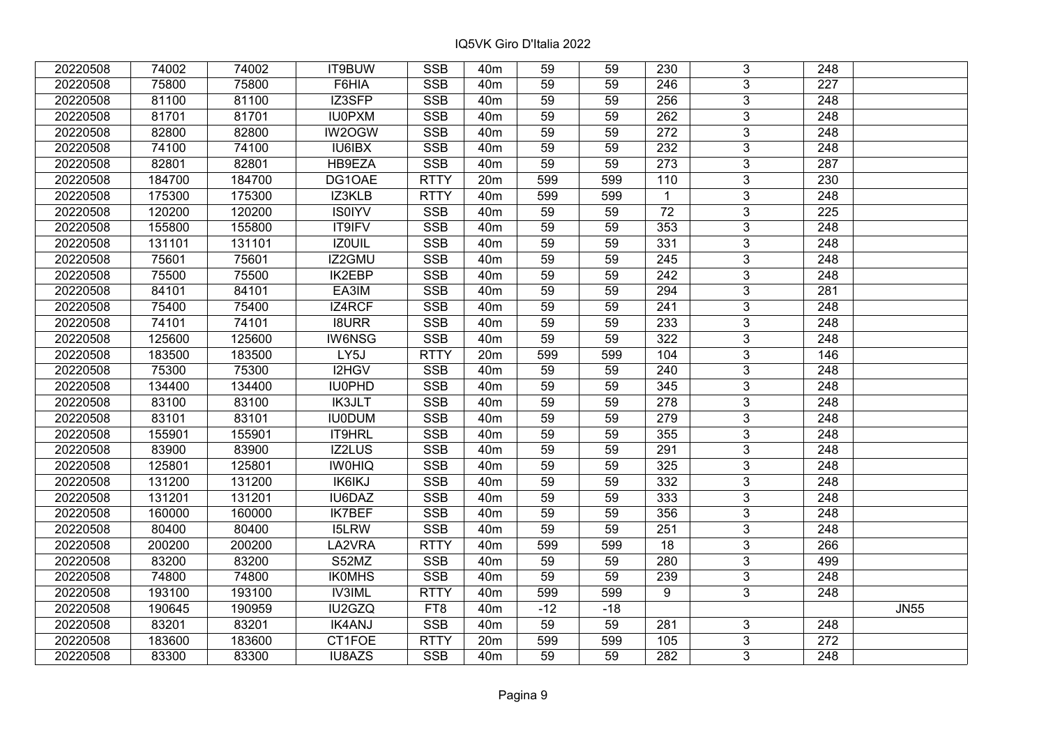| 20220508 | 74002  | 74002  | IT9BUW        | <b>SSB</b>  | 40 <sub>m</sub> | 59              | 59    | 230              | 3              | 248              |             |
|----------|--------|--------|---------------|-------------|-----------------|-----------------|-------|------------------|----------------|------------------|-------------|
| 20220508 | 75800  | 75800  | F6HIA         | <b>SSB</b>  | 40 <sub>m</sub> | 59              | 59    | 246              | 3              | 227              |             |
| 20220508 | 81100  | 81100  | IZ3SFP        | SSB         | 40 <sub>m</sub> | $\overline{59}$ | 59    | 256              | $\overline{3}$ | 248              |             |
| 20220508 | 81701  | 81701  | <b>IU0PXM</b> | <b>SSB</b>  | 40 <sub>m</sub> | 59              | 59    | 262              | $\overline{3}$ | $\overline{248}$ |             |
| 20220508 | 82800  | 82800  | IW2OGW        | <b>SSB</b>  | 40 <sub>m</sub> | 59              | 59    | 272              | 3              | 248              |             |
| 20220508 | 74100  | 74100  | <b>IU6IBX</b> | <b>SSB</b>  | 40 <sub>m</sub> | 59              | 59    | 232              | $\overline{3}$ | 248              |             |
| 20220508 | 82801  | 82801  | HB9EZA        | <b>SSB</b>  | 40 <sub>m</sub> | 59              | 59    | 273              | $\overline{3}$ | 287              |             |
| 20220508 | 184700 | 184700 | DG1OAE        | <b>RTTY</b> | 20m             | 599             | 599   | 110              | $\overline{3}$ | 230              |             |
| 20220508 | 175300 | 175300 | IZ3KLB        | <b>RTTY</b> | 40 <sub>m</sub> | 599             | 599   | $\overline{1}$   | $\overline{3}$ | $\overline{248}$ |             |
| 20220508 | 120200 | 120200 | <b>IS0IYV</b> | <b>SSB</b>  | 40 <sub>m</sub> | 59              | 59    | 72               | $\overline{3}$ | 225              |             |
| 20220508 | 155800 | 155800 | IT9IFV        | <b>SSB</b>  | 40 <sub>m</sub> | 59              | 59    | 353              | 3              | 248              |             |
| 20220508 | 131101 | 131101 | <b>IZOUIL</b> | <b>SSB</b>  | 40 <sub>m</sub> | 59              | 59    | 331              | $\overline{3}$ | 248              |             |
| 20220508 | 75601  | 75601  | IZ2GMU        | <b>SSB</b>  | 40 <sub>m</sub> | 59              | 59    | 245              | 3              | 248              |             |
| 20220508 | 75500  | 75500  | <b>IK2EBP</b> | <b>SSB</b>  | 40 <sub>m</sub> | 59              | 59    | 242              | 3              | 248              |             |
| 20220508 | 84101  | 84101  | EA3IM         | <b>SSB</b>  | 40 <sub>m</sub> | 59              | 59    | 294              | $\overline{3}$ | 281              |             |
| 20220508 | 75400  | 75400  | IZ4RCF        | <b>SSB</b>  | 40 <sub>m</sub> | 59              | 59    | 241              | 3              | 248              |             |
| 20220508 | 74101  | 74101  | <b>I8URR</b>  | <b>SSB</b>  | 40 <sub>m</sub> | 59              | 59    | 233              | 3              | 248              |             |
| 20220508 | 125600 | 125600 | <b>IW6NSG</b> | <b>SSB</b>  | 40 <sub>m</sub> | 59              | 59    | 322              | 3              | 248              |             |
| 20220508 | 183500 | 183500 | LY5J          | <b>RTTY</b> | 20m             | 599             | 599   | 104              | $\overline{3}$ | 146              |             |
| 20220508 | 75300  | 75300  | I2HGV         | <b>SSB</b>  | 40 <sub>m</sub> | 59              | 59    | 240              | $\overline{3}$ | 248              |             |
| 20220508 | 134400 | 134400 | <b>IU0PHD</b> | <b>SSB</b>  | 40 <sub>m</sub> | 59              | 59    | 345              | $\overline{3}$ | 248              |             |
| 20220508 | 83100  | 83100  | <b>IK3JLT</b> | <b>SSB</b>  | 40 <sub>m</sub> | 59              | 59    | 278              | $\overline{3}$ | 248              |             |
| 20220508 | 83101  | 83101  | <b>IU0DUM</b> | <b>SSB</b>  | 40 <sub>m</sub> | 59              | 59    | 279              | 3              | 248              |             |
| 20220508 | 155901 | 155901 | IT9HRL        | <b>SSB</b>  | 40 <sub>m</sub> | 59              | 59    | $\overline{355}$ | $\overline{3}$ | 248              |             |
| 20220508 | 83900  | 83900  | IZ2LUS        | <b>SSB</b>  | 40 <sub>m</sub> | 59              | 59    | 291              | $\overline{3}$ | 248              |             |
| 20220508 | 125801 | 125801 | <b>IWOHIQ</b> | <b>SSB</b>  | 40 <sub>m</sub> | 59              | 59    | 325              | $\overline{3}$ | 248              |             |
| 20220508 | 131200 | 131200 | <b>IK6IKJ</b> | <b>SSB</b>  | 40 <sub>m</sub> | $\overline{59}$ | 59    | $\frac{1}{332}$  | $\overline{3}$ | $\overline{248}$ |             |
| 20220508 | 131201 | 131201 | IU6DAZ        | <b>SSB</b>  | 40 <sub>m</sub> | 59              | 59    | 333              | $\overline{3}$ | 248              |             |
| 20220508 | 160000 | 160000 | <b>IK7BEF</b> | <b>SSB</b>  | 40 <sub>m</sub> | 59              | 59    | 356              | $\overline{3}$ | $\overline{248}$ |             |
| 20220508 | 80400  | 80400  | <b>I5LRW</b>  | SSB         | 40 <sub>m</sub> | $\overline{59}$ | 59    | $\overline{251}$ | $\overline{3}$ | $\overline{248}$ |             |
| 20220508 | 200200 | 200200 | LA2VRA        | <b>RTTY</b> | 40 <sub>m</sub> | 599             | 599   | 18               | $\overline{3}$ | 266              |             |
| 20220508 | 83200  | 83200  | S52MZ         | <b>SSB</b>  | 40 <sub>m</sub> | 59              | 59    | 280              | $\overline{3}$ | 499              |             |
| 20220508 | 74800  | 74800  | <b>IKOMHS</b> | <b>SSB</b>  | 40 <sub>m</sub> | 59              | 59    | 239              | 3              | 248              |             |
| 20220508 | 193100 | 193100 | <b>IV3IML</b> | <b>RTTY</b> | 40 <sub>m</sub> | 599             | 599   | 9                | $\overline{3}$ | 248              |             |
| 20220508 | 190645 | 190959 | IU2GZQ        | FT8         | 40 <sub>m</sub> | $-12$           | $-18$ |                  |                |                  | <b>JN55</b> |
| 20220508 | 83201  | 83201  | <b>IK4ANJ</b> | <b>SSB</b>  | 40 <sub>m</sub> | 59              | 59    | 281              | 3              | 248              |             |
| 20220508 | 183600 | 183600 | CT1FOE        | <b>RTTY</b> | 20m             | 599             | 599   | 105              | $\overline{3}$ | 272              |             |
| 20220508 | 83300  | 83300  | IU8AZS        | <b>SSB</b>  | 40 <sub>m</sub> | 59              | 59    | 282              | 3              | 248              |             |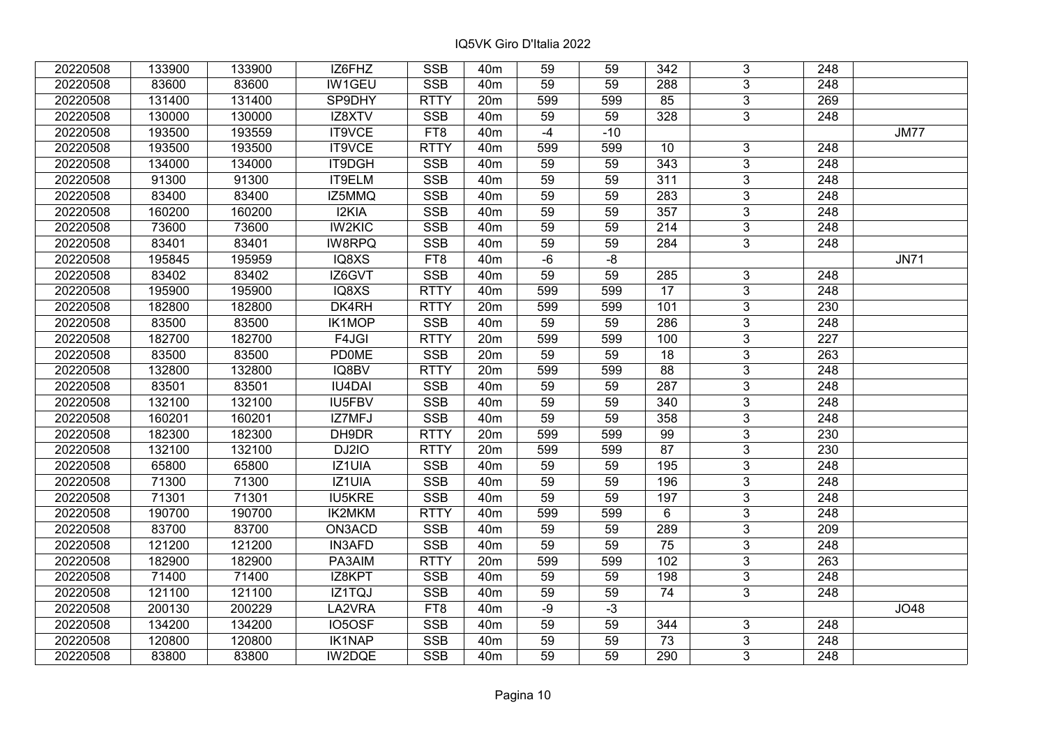| 20220508 | 133900 | 133900 | IZ6FHZ        | <b>SSB</b>  | 40 <sub>m</sub> | 59              | 59    | 342              | 3              | 248              |             |
|----------|--------|--------|---------------|-------------|-----------------|-----------------|-------|------------------|----------------|------------------|-------------|
| 20220508 | 83600  | 83600  | IW1GEU        | <b>SSB</b>  | 40 <sub>m</sub> | 59              | 59    | 288              | $\overline{3}$ | 248              |             |
| 20220508 | 131400 | 131400 | SP9DHY        | <b>RTTY</b> | 20m             | 599             | 599   | 85               | $\overline{3}$ | 269              |             |
| 20220508 | 130000 | 130000 | IZ8XTV        | <b>SSB</b>  | 40 <sub>m</sub> | 59              | 59    | 328              | $\overline{3}$ | 248              |             |
| 20220508 | 193500 | 193559 | IT9VCE        | FT8         | 40 <sub>m</sub> | $-4$            | $-10$ |                  |                |                  | <b>JM77</b> |
| 20220508 | 193500 | 193500 | IT9VCE        | <b>RTTY</b> | 40 <sub>m</sub> | 599             | 599   | 10               | 3              | 248              |             |
| 20220508 | 134000 | 134000 | IT9DGH        | <b>SSB</b>  | 40 <sub>m</sub> | 59              | 59    | 343              | $\overline{3}$ | 248              |             |
| 20220508 | 91300  | 91300  | IT9ELM        | <b>SSB</b>  | 40 <sub>m</sub> | 59              | 59    | 311              | $\overline{3}$ | 248              |             |
| 20220508 | 83400  | 83400  | IZ5MMQ        | <b>SSB</b>  | 40 <sub>m</sub> | $\overline{59}$ | 59    | $\overline{283}$ | $\overline{3}$ | $\overline{248}$ |             |
| 20220508 | 160200 | 160200 | I2KIA         | SSB         | 40 <sub>m</sub> | 59              | 59    | 357              | $\overline{3}$ | 248              |             |
| 20220508 | 73600  | 73600  | <b>IW2KIC</b> | <b>SSB</b>  | 40 <sub>m</sub> | 59              | 59    | 214              | 3              | 248              |             |
| 20220508 | 83401  | 83401  | <b>IW8RPQ</b> | <b>SSB</b>  | 40m             | $\overline{59}$ | 59    | 284              | $\overline{3}$ | 248              |             |
| 20220508 | 195845 | 195959 | IQ8XS         | FT8         | 40 <sub>m</sub> | $-6$            | $-8$  |                  |                |                  | <b>JN71</b> |
| 20220508 | 83402  | 83402  | IZ6GVT        | <b>SSB</b>  | 40m             | 59              | 59    | 285              | $\mathbf{3}$   | 248              |             |
| 20220508 | 195900 | 195900 | IQ8XS         | <b>RTTY</b> | 40 <sub>m</sub> | 599             | 599   | $\overline{17}$  | $\overline{3}$ | $\overline{248}$ |             |
| 20220508 | 182800 | 182800 | DK4RH         | <b>RTTY</b> | 20m             | 599             | 599   | 101              | $\overline{3}$ | 230              |             |
| 20220508 | 83500  | 83500  | <b>IK1MOP</b> | <b>SSB</b>  | 40 <sub>m</sub> | 59              | 59    | 286              | 3              | 248              |             |
| 20220508 | 182700 | 182700 | F4JGI         | <b>RTTY</b> | 20m             | 599             | 599   | 100              | 3              | $\overline{227}$ |             |
| 20220508 | 83500  | 83500  | <b>PD0ME</b>  | <b>SSB</b>  | 20m             | 59              | 59    | 18               | $\overline{3}$ | 263              |             |
| 20220508 | 132800 | 132800 | IQ8BV         | <b>RTTY</b> | 20m             | 599             | 599   | 88               | $\overline{3}$ | 248              |             |
| 20220508 | 83501  | 83501  | <b>IU4DAI</b> | SSB         | 40 <sub>m</sub> | 59              | 59    | 287              | $\overline{3}$ | 248              |             |
| 20220508 | 132100 | 132100 | IU5FBV        | <b>SSB</b>  | 40 <sub>m</sub> | 59              | 59    | 340              | $\overline{3}$ | 248              |             |
| 20220508 | 160201 | 160201 | IZ7MFJ        | <b>SSB</b>  | 40 <sub>m</sub> | 59              | 59    | 358              | $\overline{3}$ | 248              |             |
| 20220508 | 182300 | 182300 | DH9DR         | <b>RTTY</b> | 20 <sub>m</sub> | 599             | 599   | 99               | $\overline{3}$ | 230              |             |
| 20220508 | 132100 | 132100 | DJ2IO         | <b>RTTY</b> | 20m             | 599             | 599   | 87               | $\overline{3}$ | 230              |             |
| 20220508 | 65800  | 65800  | IZ1UIA        | <b>SSB</b>  | 40 <sub>m</sub> | 59              | 59    | 195              | $\overline{3}$ | $\overline{248}$ |             |
| 20220508 | 71300  | 71300  | IZ1UIA        | <b>SSB</b>  | 40 <sub>m</sub> | $\overline{59}$ | 59    | 196              | $\overline{3}$ | $\overline{248}$ |             |
| 20220508 | 71301  | 71301  | <b>IU5KRE</b> | <b>SSB</b>  | 40 <sub>m</sub> | 59              | 59    | 197              | $\overline{3}$ | 248              |             |
| 20220508 | 190700 | 190700 | <b>IK2MKM</b> | <b>RTTY</b> | 40 <sub>m</sub> | 599             | 599   | 6                | $\overline{3}$ | $\overline{248}$ |             |
| 20220508 | 83700  | 83700  | ON3ACD        | SSB         | 40 <sub>m</sub> | 59              | 59    | 289              | $\overline{3}$ | $\overline{209}$ |             |
| 20220508 | 121200 | 121200 | <b>IN3AFD</b> | <b>SSB</b>  | 40 <sub>m</sub> | 59              | 59    | 75               | $\overline{3}$ | 248              |             |
| 20220508 | 182900 | 182900 | PA3AIM        | <b>RTTY</b> | 20m             | 599             | 599   | 102              | $\overline{3}$ | 263              |             |
| 20220508 | 71400  | 71400  | IZ8KPT        | <b>SSB</b>  | 40 <sub>m</sub> | 59              | 59    | 198              | 3              | 248              |             |
| 20220508 | 121100 | 121100 | IZ1TQJ        | <b>SSB</b>  | 40 <sub>m</sub> | 59              | 59    | 74               | $\overline{3}$ | 248              |             |
| 20220508 | 200130 | 200229 | LA2VRA        | FT8         | 40 <sub>m</sub> | $-9$            | $-3$  |                  |                |                  | JO48        |
| 20220508 | 134200 | 134200 | IO5OSF        | <b>SSB</b>  | 40m             | 59              | 59    | 344              | 3              | 248              |             |
| 20220508 | 120800 | 120800 | IK1NAP        | SSB         | 40 <sub>m</sub> | 59              | 59    | 73               | $\overline{3}$ | 248              |             |
| 20220508 | 83800  | 83800  | IW2DQE        | <b>SSB</b>  | 40 <sub>m</sub> | 59              | 59    | 290              | 3              | 248              |             |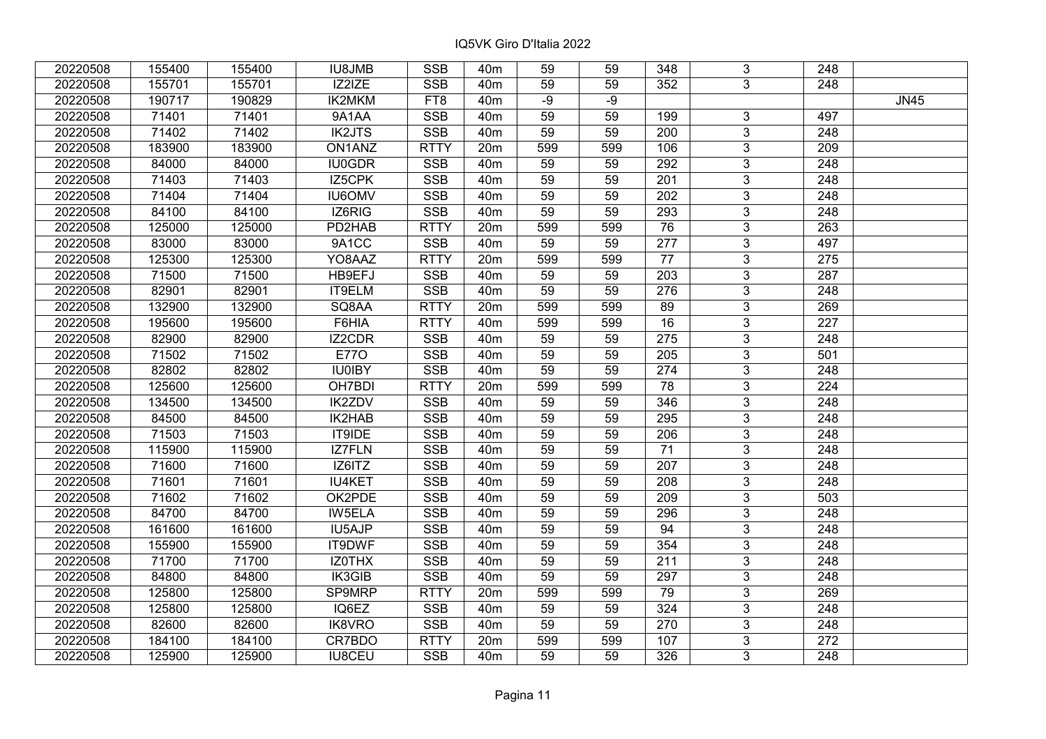| 20220508 | 155400 | 155400 | <b>IU8JMB</b> | <b>SSB</b>              | 40 <sub>m</sub> | 59              | 59  | 348              | 3              | 248              |             |
|----------|--------|--------|---------------|-------------------------|-----------------|-----------------|-----|------------------|----------------|------------------|-------------|
| 20220508 | 155701 | 155701 | IZ2IZE        | <b>SSB</b>              | 40 <sub>m</sub> | 59              | 59  | 352              | 3              | 248              |             |
| 20220508 | 190717 | 190829 | IK2MKM        | FT8                     | 40 <sub>m</sub> | $-9$            | -9  |                  |                |                  | <b>JN45</b> |
| 20220508 | 71401  | 71401  | 9A1AA         | <b>SSB</b>              | 40 <sub>m</sub> | 59              | 59  | 199              | 3              | 497              |             |
| 20220508 | 71402  | 71402  | <b>IK2JTS</b> | <b>SSB</b>              | 40 <sub>m</sub> | 59              | 59  | 200              | $\overline{3}$ | 248              |             |
| 20220508 | 183900 | 183900 | ON1ANZ        | <b>RTTY</b>             | 20m             | 599             | 599 | 106              | $\overline{3}$ | 209              |             |
| 20220508 | 84000  | 84000  | <b>IU0GDR</b> | <b>SSB</b>              | 40 <sub>m</sub> | 59              | 59  | 292              | $\overline{3}$ | 248              |             |
| 20220508 | 71403  | 71403  | IZ5CPK        | <b>SSB</b>              | 40m             | 59              | 59  | 201              | $\overline{3}$ | 248              |             |
| 20220508 | 71404  | 71404  | <b>IU6OMV</b> | SSB                     | 40 <sub>m</sub> | 59              | 59  | $\overline{202}$ | $\overline{3}$ | $\overline{248}$ |             |
| 20220508 | 84100  | 84100  | IZ6RIG        | <b>SSB</b>              | 40 <sub>m</sub> | 59              | 59  | 293              | $\overline{3}$ | 248              |             |
| 20220508 | 125000 | 125000 | PD2HAB        | <b>RTTY</b>             | 20m             | 599             | 599 | 76               | 3              | 263              |             |
| 20220508 | 83000  | 83000  | 9A1CC         | <b>SSB</b>              | 40 <sub>m</sub> | 59              | 59  | $\overline{277}$ | $\overline{3}$ | 497              |             |
| 20220508 | 125300 | 125300 | YO8AAZ        | <b>RTTY</b>             | 20m             | 599             | 599 | 77               | 3              | 275              |             |
| 20220508 | 71500  | 71500  | HB9EFJ        | <b>SSB</b>              | 40 <sub>m</sub> | 59              | 59  | 203              | 3              | 287              |             |
| 20220508 | 82901  | 82901  | IT9ELM        | <b>SSB</b>              | 40 <sub>m</sub> | 59              | 59  | 276              | $\overline{3}$ | 248              |             |
| 20220508 | 132900 | 132900 | SQ8AA         | <b>RTTY</b>             | 20m             | 599             | 599 | 89               | 3              | 269              |             |
| 20220508 | 195600 | 195600 | F6HIA         | <b>RTTY</b>             | 40 <sub>m</sub> | 599             | 599 | 16               | 3              | 227              |             |
| 20220508 | 82900  | 82900  | <b>IZ2CDR</b> | <b>SSB</b>              | 40 <sub>m</sub> | 59              | 59  | $\overline{275}$ | 3              | 248              |             |
| 20220508 | 71502  | 71502  | <b>E770</b>   | <b>SSB</b>              | 40 <sub>m</sub> | 59              | 59  | 205              | $\overline{3}$ | 501              |             |
| 20220508 | 82802  | 82802  | <b>IU0IBY</b> | <b>SSB</b>              | 40 <sub>m</sub> | 59              | 59  | 274              | $\overline{3}$ | 248              |             |
| 20220508 | 125600 | 125600 | OH7BDI        | <b>RTTY</b>             | 20m             | 599             | 599 | 78               | $\overline{3}$ | 224              |             |
| 20220508 | 134500 | 134500 | <b>IK2ZDV</b> | <b>SSB</b>              | 40 <sub>m</sub> | 59              | 59  | 346              | $\overline{3}$ | 248              |             |
| 20220508 | 84500  | 84500  | IK2HAB        | <b>SSB</b>              | 40 <sub>m</sub> | 59              | 59  | 295              | 3              | 248              |             |
| 20220508 | 71503  | 71503  | IT9IDE        | <b>SSB</b>              | 40 <sub>m</sub> | 59              | 59  | 206              | $\overline{3}$ | 248              |             |
| 20220508 | 115900 | 115900 | IZ7FLN        | <b>SSB</b>              | 40 <sub>m</sub> | 59              | 59  | 71               | $\overline{3}$ | 248              |             |
| 20220508 | 71600  | 71600  | IZ6ITZ        | <b>SSB</b>              | 40 <sub>m</sub> | 59              | 59  | 207              | $\overline{3}$ | $\overline{248}$ |             |
| 20220508 | 71601  | 71601  | <b>IU4KET</b> | <b>SSB</b>              | 40 <sub>m</sub> | $\overline{59}$ | 59  | $\overline{208}$ | $\overline{3}$ | $\overline{248}$ |             |
| 20220508 | 71602  | 71602  | OK2PDE        | <b>SSB</b>              | 40 <sub>m</sub> | 59              | 59  | 209              | $\overline{3}$ | 503              |             |
| 20220508 | 84700  | 84700  | <b>IW5ELA</b> | <b>SSB</b>              | 40 <sub>m</sub> | 59              | 59  | 296              | $\overline{3}$ | $\overline{248}$ |             |
| 20220508 | 161600 | 161600 | IU5AJP        | $\overline{\text{SSB}}$ | 40 <sub>m</sub> | $\overline{59}$ | 59  | 94               | $\overline{3}$ | $\overline{248}$ |             |
| 20220508 | 155900 | 155900 | IT9DWF        | <b>SSB</b>              | 40 <sub>m</sub> | 59              | 59  | $\frac{1}{354}$  | $\overline{3}$ | 248              |             |
| 20220508 | 71700  | 71700  | IZ0THX        | <b>SSB</b>              | 40 <sub>m</sub> | 59              | 59  | 211              | $\overline{3}$ | 248              |             |
| 20220508 | 84800  | 84800  | IK3GIB        | <b>SSB</b>              | 40 <sub>m</sub> | 59              | 59  | 297              | 3              | 248              |             |
| 20220508 | 125800 | 125800 | SP9MRP        | <b>RTTY</b>             | 20m             | 599             | 599 | 79               | $\overline{3}$ | 269              |             |
| 20220508 | 125800 | 125800 | IQ6EZ         | <b>SSB</b>              | 40 <sub>m</sub> | 59              | 59  | 324              | $\overline{3}$ | 248              |             |
| 20220508 | 82600  | 82600  | <b>IK8VRO</b> | <b>SSB</b>              | 40 <sub>m</sub> | 59              | 59  | 270              | 3              | 248              |             |
| 20220508 | 184100 | 184100 | CR7BDO        | <b>RTTY</b>             | 20 <sub>m</sub> | 599             | 599 | 107              | 3              | 272              |             |
| 20220508 | 125900 | 125900 | <b>IU8CEU</b> | <b>SSB</b>              | 40 <sub>m</sub> | 59              | 59  | 326              | 3              | 248              |             |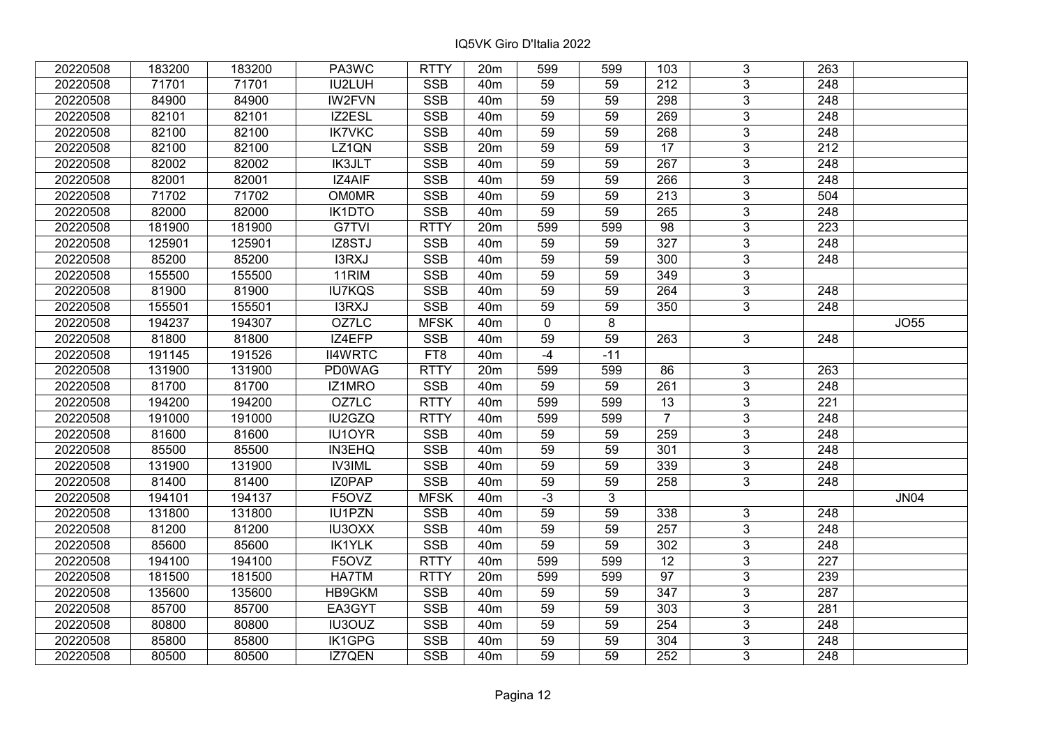| 20220508 | 183200 | 183200 | PA3WC          | <b>RTTY</b>             | 20 <sub>m</sub> | 599             | 599             | 103              | 3              | 263              |             |
|----------|--------|--------|----------------|-------------------------|-----------------|-----------------|-----------------|------------------|----------------|------------------|-------------|
| 20220508 | 71701  | 71701  | IU2LUH         | <b>SSB</b>              | 40 <sub>m</sub> | 59              | 59              | 212              | $\overline{3}$ | 248              |             |
| 20220508 | 84900  | 84900  | <b>IW2FVN</b>  | <b>SSB</b>              | 40 <sub>m</sub> | $\overline{59}$ | 59              | 298              | $\overline{3}$ | 248              |             |
| 20220508 | 82101  | 82101  | IZ2ESL         | <b>SSB</b>              | 40 <sub>m</sub> | 59              | 59              | 269              | $\overline{3}$ | 248              |             |
| 20220508 | 82100  | 82100  | <b>IK7VKC</b>  | SSB                     | 40 <sub>m</sub> | 59              | 59              | 268              | $\overline{3}$ | 248              |             |
| 20220508 | 82100  | 82100  | LZ1QN          | SSB                     | 20m             | 59              | 59              | $\overline{17}$  | $\overline{3}$ | 212              |             |
| 20220508 | 82002  | 82002  | <b>IK3JLT</b>  | <b>SSB</b>              | 40m             | 59              | 59              | $\overline{267}$ | $\overline{3}$ | 248              |             |
| 20220508 | 82001  | 82001  | IZ4AIF         | <b>SSB</b>              | 40 <sub>m</sub> | 59              | 59              | 266              | $\overline{3}$ | 248              |             |
| 20220508 | 71702  | 71702  | <b>OM0MR</b>   | <b>SSB</b>              | 40 <sub>m</sub> | 59              | 59              | 213              | $\overline{3}$ | 504              |             |
| 20220508 | 82000  | 82000  | <b>IK1DTO</b>  | <b>SSB</b>              | 40 <sub>m</sub> | 59              | 59              | 265              | $\overline{3}$ | 248              |             |
| 20220508 | 181900 | 181900 | G7TVI          | <b>RTTY</b>             | 20m             | 599             | 599             | 98               | $\overline{3}$ | 223              |             |
| 20220508 | 125901 | 125901 | IZ8STJ         | <b>SSB</b>              | 40 <sub>m</sub> | 59              | 59              | 327              | $\overline{3}$ | 248              |             |
| 20220508 | 85200  | 85200  | I3RXJ          | <b>SSB</b>              | 40 <sub>m</sub> | 59              | 59              | 300              | $\overline{3}$ | 248              |             |
| 20220508 | 155500 | 155500 | 11RIM          | <b>SSB</b>              | 40 <sub>m</sub> | 59              | 59              | 349              | $\overline{3}$ |                  |             |
| 20220508 | 81900  | 81900  | <b>IU7KQS</b>  | <b>SSB</b>              | 40 <sub>m</sub> | 59              | 59              | 264              | 3              | 248              |             |
| 20220508 | 155501 | 155501 | I3RXJ          | <b>SSB</b>              | 40 <sub>m</sub> | 59              | 59              | 350              | $\overline{3}$ | 248              |             |
| 20220508 | 194237 | 194307 | OZ7LC          | <b>MFSK</b>             | 40 <sub>m</sub> | $\mathbf 0$     | 8               |                  |                |                  | <b>JO55</b> |
| 20220508 | 81800  | 81800  | IZ4EFP         | <b>SSB</b>              | 40 <sub>m</sub> | 59              | 59              | 263              | 3              | 248              |             |
| 20220508 | 191145 | 191526 | <b>II4WRTC</b> | FT8                     | 40 <sub>m</sub> | $-4$            | $-11$           |                  |                |                  |             |
| 20220508 | 131900 | 131900 | <b>PD0WAG</b>  | <b>RTTY</b>             | 20m             | 599             | 599             | 86               | $\mathbf{3}$   | 263              |             |
| 20220508 | 81700  | 81700  | IZ1MRO         | SSB                     | 40 <sub>m</sub> | 59              | 59              | 261              | $\overline{3}$ | 248              |             |
| 20220508 | 194200 | 194200 | OZ7LC          | <b>RTTY</b>             | 40 <sub>m</sub> | 599             | 599             | 13               | $\overline{3}$ | 221              |             |
| 20220508 | 191000 | 191000 | IU2GZQ         | <b>RTTY</b>             | 40 <sub>m</sub> | 599             | 599             | $\overline{7}$   | $\overline{3}$ | 248              |             |
| 20220508 | 81600  | 81600  | IU1OYR         | <b>SSB</b>              | 40 <sub>m</sub> | 59              | 59              | 259              | $\overline{3}$ | 248              |             |
| 20220508 | 85500  | 85500  | <b>IN3EHQ</b>  | <b>SSB</b>              | 40 <sub>m</sub> | 59              | 59              | 301              | $\overline{3}$ | 248              |             |
| 20220508 | 131900 | 131900 | <b>IV3IML</b>  | SSB                     | 40 <sub>m</sub> | $\overline{59}$ | 59              | $\frac{1}{339}$  | $\overline{3}$ | $\overline{248}$ |             |
| 20220508 | 81400  | 81400  | IZ0PAP         | <b>SSB</b>              | 40 <sub>m</sub> | 59              | 59              | 258              | $\overline{3}$ | 248              |             |
| 20220508 | 194101 | 194137 | F5OVZ          | <b>MFSK</b>             | 40m             | $-3$            | 3               |                  |                |                  | <b>JN04</b> |
| 20220508 | 131800 | 131800 | <b>IU1PZN</b>  | <b>SSB</b>              | 40 <sub>m</sub> | 59              | $\overline{59}$ | 338              | $\overline{3}$ | 248              |             |
| 20220508 | 81200  | 81200  | <b>IU3OXX</b>  | <b>SSB</b>              | 40 <sub>m</sub> | 59              | 59              | 257              | $\overline{3}$ | $\overline{248}$ |             |
| 20220508 | 85600  | 85600  | <b>IK1YLK</b>  | <b>SSB</b>              | 40 <sub>m</sub> | 59              | 59              | 302              | $\overline{3}$ | 248              |             |
| 20220508 | 194100 | 194100 | F5OVZ          | <b>RTTY</b>             | 40 <sub>m</sub> | 599             | 599             | $\overline{12}$  | $\overline{3}$ | $\overline{227}$ |             |
| 20220508 | 181500 | 181500 | HA7TM          | <b>RTTY</b>             | 20m             | 599             | 599             | 97               | 3              | 239              |             |
| 20220508 | 135600 | 135600 | HB9GKM         | <b>SSB</b>              | 40 <sub>m</sub> | 59              | 59              | 347              | 3              | 287              |             |
| 20220508 | 85700  | 85700  | EA3GYT         | <b>SSB</b>              | 40 <sub>m</sub> | 59              | 59              | 303              | $\overline{3}$ | 281              |             |
| 20220508 | 80800  | 80800  | IU3OUZ         | <b>SSB</b>              | 40 <sub>m</sub> | 59              | 59              | 254              | 3              | 248              |             |
| 20220508 | 85800  | 85800  | IK1GPG         | $\overline{\text{SSB}}$ | 40 <sub>m</sub> | 59              | 59              | 304              | $\overline{3}$ | 248              |             |
| 20220508 | 80500  | 80500  | IZ7QEN         | <b>SSB</b>              | 40 <sub>m</sub> | 59              | 59              | 252              | $\overline{3}$ | 248              |             |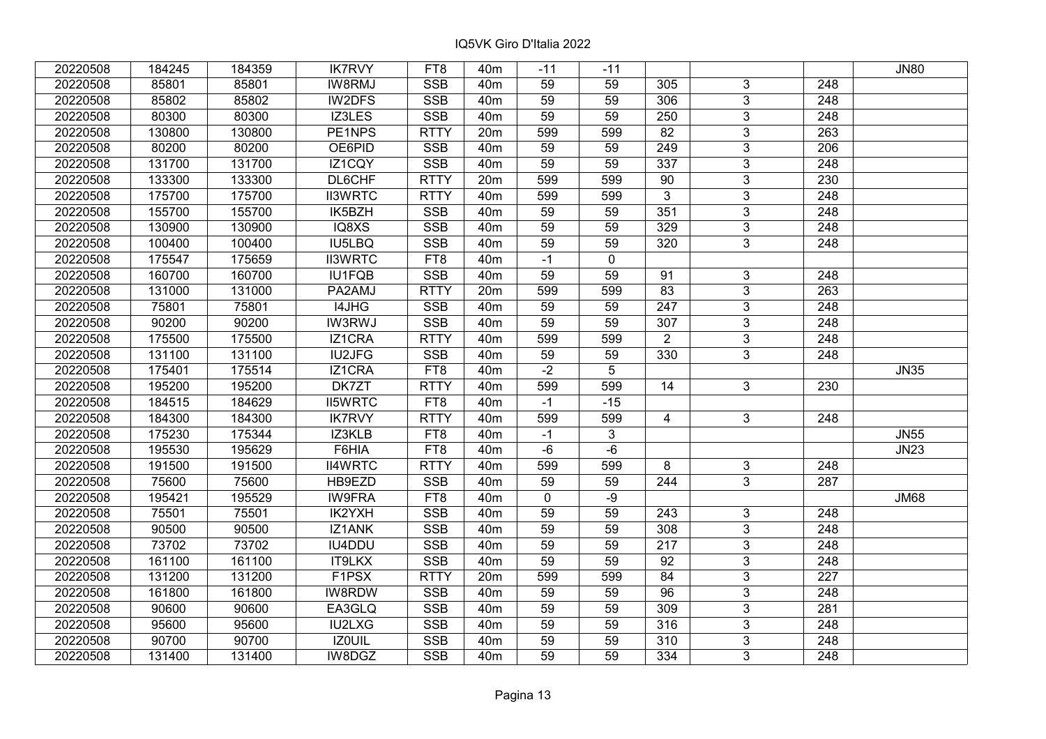| 20220508 | 184245 | 184359 | <b>IK7RVY</b>  | FT8         | 40 <sub>m</sub> | $-11$           | $-11$          |                  |                |                  | <b>JN80</b> |
|----------|--------|--------|----------------|-------------|-----------------|-----------------|----------------|------------------|----------------|------------------|-------------|
| 20220508 | 85801  | 85801  | <b>IW8RMJ</b>  | <b>SSB</b>  | 40 <sub>m</sub> | 59              | 59             | 305              | $\mathbf{3}$   | 248              |             |
| 20220508 | 85802  | 85802  | IW2DFS         | SSB         | 40 <sub>m</sub> | 59              | 59             | 306              | $\overline{3}$ | $\overline{248}$ |             |
| 20220508 | 80300  | 80300  | IZ3LES         | <b>SSB</b>  | 40 <sub>m</sub> | 59              | 59             | 250              | $\overline{3}$ | $\overline{248}$ |             |
| 20220508 | 130800 | 130800 | PE1NPS         | <b>RTTY</b> | 20 <sub>m</sub> | 599             | 599            | 82               | 3              | 263              |             |
| 20220508 | 80200  | 80200  | OE6PID         | <b>SSB</b>  | 40 <sub>m</sub> | 59              | 59             | $\overline{249}$ | $\overline{3}$ | 206              |             |
| 20220508 | 131700 | 131700 | IZ1CQY         | <b>SSB</b>  | 40 <sub>m</sub> | 59              | 59             | 337              | $\overline{3}$ | 248              |             |
| 20220508 | 133300 | 133300 | DL6CHF         | <b>RTTY</b> | 20 <sub>m</sub> | 599             | 599            | 90               | $\mathfrak{S}$ | 230              |             |
| 20220508 | 175700 | 175700 | <b>II3WRTC</b> | <b>RTTY</b> | 40 <sub>m</sub> | 599             | 599            | $\overline{3}$   | $\overline{3}$ | $\overline{248}$ |             |
| 20220508 | 155700 | 155700 | IK5BZH         | <b>SSB</b>  | 40 <sub>m</sub> | 59              | 59             | 351              | $\overline{3}$ | 248              |             |
| 20220508 | 130900 | 130900 | IQ8XS          | <b>SSB</b>  | 40 <sub>m</sub> | 59              | 59             | 329              | $\mathfrak{S}$ | 248              |             |
| 20220508 | 100400 | 100400 | <b>IU5LBQ</b>  | <b>SSB</b>  | 40 <sub>m</sub> | 59              | 59             | 320              | $\overline{3}$ | 248              |             |
| 20220508 | 175547 | 175659 | <b>II3WRTC</b> | FT8         | 40 <sub>m</sub> | $-1$            | $\mathbf 0$    |                  |                |                  |             |
| 20220508 | 160700 | 160700 | <b>IU1FQB</b>  | <b>SSB</b>  | 40 <sub>m</sub> | 59              | 59             | 91               | 3              | 248              |             |
| 20220508 | 131000 | 131000 | PA2AMJ         | <b>RTTY</b> | 20 <sub>m</sub> | 599             | 599            | $\overline{83}$  | $\overline{3}$ | 263              |             |
| 20220508 | 75801  | 75801  | I4JHG          | <b>SSB</b>  | 40 <sub>m</sub> | 59              | 59             | 247              | $\mathfrak{S}$ | 248              |             |
| 20220508 | 90200  | 90200  | <b>IW3RWJ</b>  | <b>SSB</b>  | 40 <sub>m</sub> | 59              | 59             | 307              | $\mathfrak{S}$ | 248              |             |
| 20220508 | 175500 | 175500 | IZ1CRA         | <b>RTTY</b> | 40 <sub>m</sub> | 599             | 599            | $\overline{2}$   | $\mathbf{3}$   | $\overline{248}$ |             |
| 20220508 | 131100 | 131100 | IU2JFG         | <b>SSB</b>  | 40 <sub>m</sub> | 59              | 59             | 330              | $\overline{3}$ | 248              |             |
| 20220508 | 175401 | 175514 | IZ1CRA         | FT8         | 40 <sub>m</sub> | $-2$            | 5              |                  |                |                  | <b>JN35</b> |
| 20220508 | 195200 | 195200 | DK7ZT          | <b>RTTY</b> | 40 <sub>m</sub> | 599             | 599            | 14               | $\overline{3}$ | 230              |             |
| 20220508 | 184515 | 184629 | <b>II5WRTC</b> | FT8         | 40 <sub>m</sub> | $-1$            | $-15$          |                  |                |                  |             |
| 20220508 | 184300 | 184300 | <b>IK7RVY</b>  | <b>RTTY</b> | 40 <sub>m</sub> | 599             | 599            | 4                | $\mathbf{3}$   | 248              |             |
| 20220508 | 175230 | 175344 | IZ3KLB         | FT8         | 40 <sub>m</sub> | $-1$            | $\mathfrak{S}$ |                  |                |                  | <b>JN55</b> |
| 20220508 | 195530 | 195629 | F6HIA          | FT8         | 40 <sub>m</sub> | $-6$            | $-6$           |                  |                |                  | <b>JN23</b> |
| 20220508 | 191500 | 191500 | <b>II4WRTC</b> | <b>RTTY</b> | 40 <sub>m</sub> | 599             | 599            | 8                | 3              | 248              |             |
| 20220508 | 75600  | 75600  | HB9EZD         | <b>SSB</b>  | 40 <sub>m</sub> | 59              | 59             | 244              | $\overline{3}$ | 287              |             |
| 20220508 | 195421 | 195529 | <b>IW9FRA</b>  | FT8         | 40 <sub>m</sub> | $\mathbf 0$     | $-9$           |                  |                |                  | <b>JM68</b> |
| 20220508 | 75501  | 75501  | IK2YXH         | <b>SSB</b>  | 40 <sub>m</sub> | 59              | 59             | 243              | 3              | 248              |             |
| 20220508 | 90500  | 90500  | IZ1ANK         | SSB         | 40 <sub>m</sub> | $\overline{59}$ | 59             | 308              | $\overline{3}$ | $\overline{248}$ |             |
| 20220508 | 73702  | 73702  | <b>IU4DDU</b>  | <b>SSB</b>  | 40 <sub>m</sub> | 59              | 59             | $\overline{217}$ | $\overline{3}$ | $\overline{248}$ |             |
| 20220508 | 161100 | 161100 | IT9LKX         | <b>SSB</b>  | 40 <sub>m</sub> | 59              | 59             | 92               | $\overline{3}$ | 248              |             |
| 20220508 | 131200 | 131200 | F1PSX          | <b>RTTY</b> | 20m             | 599             | 599            | 84               | 3              | 227              |             |
| 20220508 | 161800 | 161800 | IW8RDW         | <b>SSB</b>  | 40 <sub>m</sub> | 59              | 59             | $\overline{96}$  | 3              | 248              |             |
| 20220508 | 90600  | 90600  | EA3GLQ         | <b>SSB</b>  | 40 <sub>m</sub> | 59              | 59             | 309              | $\mathfrak{S}$ | 281              |             |
| 20220508 | 95600  | 95600  | <b>IU2LXG</b>  | <b>SSB</b>  | 40 <sub>m</sub> | 59              | 59             | 316              | 3              | 248              |             |
| 20220508 | 90700  | 90700  | IZ0UIL         | <b>SSB</b>  | 40 <sub>m</sub> | 59              | 59             | 310              | $\mathfrak{S}$ | 248              |             |
| 20220508 | 131400 | 131400 | IW8DGZ         | <b>SSB</b>  | 40 <sub>m</sub> | 59              | 59             | 334              | 3              | 248              |             |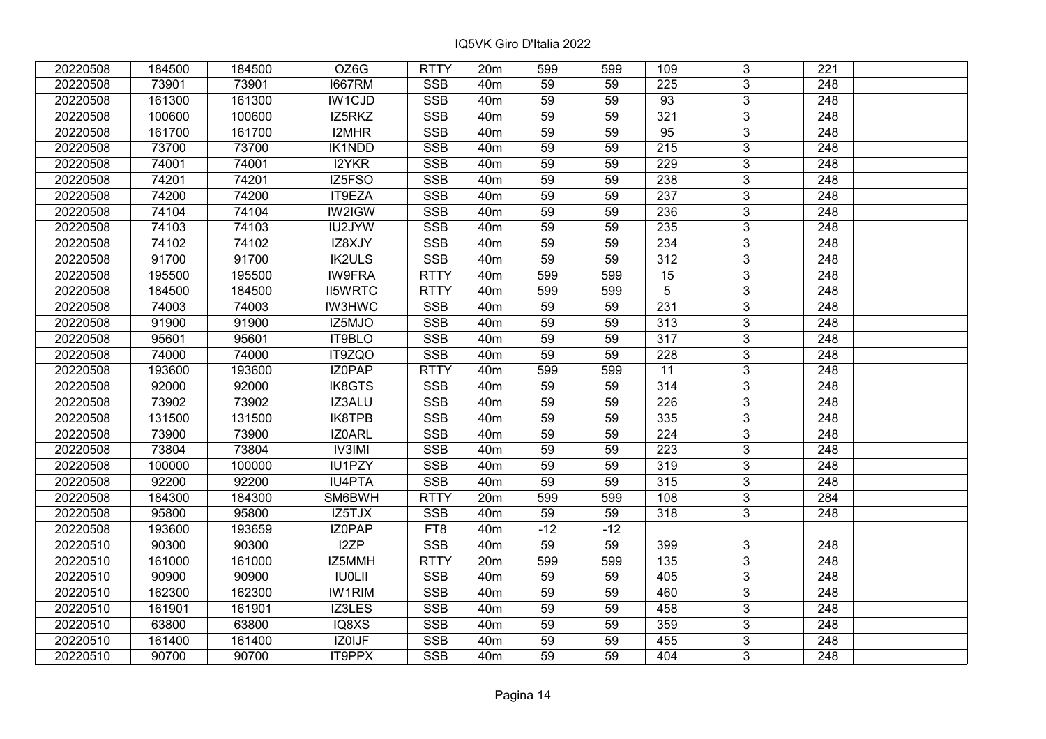| 20220508 | 184500 | 184500 | OZ6G           | <b>RTTY</b>             | 20 <sub>m</sub> | 599             | 599   | 109             | 3              | 221              |  |
|----------|--------|--------|----------------|-------------------------|-----------------|-----------------|-------|-----------------|----------------|------------------|--|
| 20220508 | 73901  | 73901  | <b>I667RM</b>  | <b>SSB</b>              | 40 <sub>m</sub> | 59              | 59    | 225             | 3              | 248              |  |
| 20220508 | 161300 | 161300 | IW1CJD         | <b>SSB</b>              | 40 <sub>m</sub> | 59              | 59    | $\overline{93}$ | $\overline{3}$ | 248              |  |
| 20220508 | 100600 | 100600 | IZ5RKZ         | <b>SSB</b>              | 40 <sub>m</sub> | 59              | 59    | 321             | $\overline{3}$ | 248              |  |
| 20220508 | 161700 | 161700 | I2MHR          | <b>SSB</b>              | 40 <sub>m</sub> | 59              | 59    | $\overline{95}$ | $\overline{3}$ | 248              |  |
| 20220508 | 73700  | 73700  | <b>IK1NDD</b>  | SSB                     | 40 <sub>m</sub> | 59              | 59    | 215             | $\overline{3}$ | 248              |  |
| 20220508 | 74001  | 74001  | I2YKR          | <b>SSB</b>              | 40m             | 59              | 59    | 229             | $\overline{3}$ | 248              |  |
| 20220508 | 74201  | 74201  | IZ5FSO         | <b>SSB</b>              | 40 <sub>m</sub> | 59              | 59    | 238             | $\overline{3}$ | $\overline{248}$ |  |
| 20220508 | 74200  | 74200  | IT9EZA         | <b>SSB</b>              | 40 <sub>m</sub> | 59              | 59    | 237             | $\overline{3}$ | 248              |  |
| 20220508 | 74104  | 74104  | IW2IGW         | <b>SSB</b>              | 40 <sub>m</sub> | 59              | 59    | 236             | $\overline{3}$ | 248              |  |
| 20220508 | 74103  | 74103  | IU2JYW         | <b>SSB</b>              | 40 <sub>m</sub> | 59              | 59    | 235             | $\overline{3}$ | 248              |  |
| 20220508 | 74102  | 74102  | IZ8XJY         | <b>SSB</b>              | 40 <sub>m</sub> | 59              | 59    | 234             | $\overline{3}$ | 248              |  |
| 20220508 | 91700  | 91700  | <b>IK2ULS</b>  | <b>SSB</b>              | 40 <sub>m</sub> | 59              | 59    | 312             | $\overline{3}$ | 248              |  |
| 20220508 | 195500 | 195500 | <b>IW9FRA</b>  | <b>RTTY</b>             | 40 <sub>m</sub> | 599             | 599   | 15              | 3              | 248              |  |
| 20220508 | 184500 | 184500 | <b>II5WRTC</b> | <b>RTTY</b>             | 40 <sub>m</sub> | 599             | 599   | 5               | 3              | 248              |  |
| 20220508 | 74003  | 74003  | <b>IW3HWC</b>  | <b>SSB</b>              | 40 <sub>m</sub> | 59              | 59    | 231             | 3              | 248              |  |
| 20220508 | 91900  | 91900  | IZ5MJO         | <b>SSB</b>              | 40 <sub>m</sub> | 59              | 59    | 313             | 3              | 248              |  |
| 20220508 | 95601  | 95601  | IT9BLO         | <b>SSB</b>              | 40 <sub>m</sub> | 59              | 59    | 317             | 3              | 248              |  |
| 20220508 | 74000  | 74000  | IT9ZQO         | <b>SSB</b>              | 40 <sub>m</sub> | 59              | 59    | 228             | $\overline{3}$ | 248              |  |
| 20220508 | 193600 | 193600 | IZ0PAP         | <b>RTTY</b>             | 40 <sub>m</sub> | 599             | 599   | 11              | $\overline{3}$ | 248              |  |
| 20220508 | 92000  | 92000  | <b>IK8GTS</b>  | <b>SSB</b>              | 40 <sub>m</sub> | 59              | 59    | 314             | $\overline{3}$ | 248              |  |
| 20220508 | 73902  | 73902  | IZ3ALU         | <b>SSB</b>              | 40 <sub>m</sub> | 59              | 59    | 226             | $\overline{3}$ | 248              |  |
| 20220508 | 131500 | 131500 | IK8TPB         | <b>SSB</b>              | 40 <sub>m</sub> | 59              | 59    | 335             | 3              | 248              |  |
| 20220508 | 73900  | 73900  | IZ0ARL         | <b>SSB</b>              | 40 <sub>m</sub> | 59              | 59    | 224             | $\overline{3}$ | 248              |  |
| 20220508 | 73804  | 73804  | <b>IV3IMI</b>  | <b>SSB</b>              | 40 <sub>m</sub> | 59              | 59    | 223             | $\overline{3}$ | 248              |  |
| 20220508 | 100000 | 100000 | IU1PZY         | <b>SSB</b>              | 40 <sub>m</sub> | $\overline{59}$ | 59    | 319             | $\overline{3}$ | $\overline{248}$ |  |
| 20220508 | 92200  | 92200  | <b>IU4PTA</b>  | <b>SSB</b>              | 40 <sub>m</sub> | 59              | 59    | 315             | $\overline{3}$ | $\overline{248}$ |  |
| 20220508 | 184300 | 184300 | SM6BWH         | <b>RTTY</b>             | 20m             | 599             | 599   | 108             | 3              | 284              |  |
| 20220508 | 95800  | 95800  | IZ5TJX         | <b>SSB</b>              | 40 <sub>m</sub> | 59              | 59    | 318             | $\overline{3}$ | 248              |  |
| 20220508 | 193600 | 193659 | <b>IZOPAP</b>  | FT8                     | 40 <sub>m</sub> | $-12$           | $-12$ |                 |                |                  |  |
| 20220510 | 90300  | 90300  | I2ZP           | <b>SSB</b>              | 40 <sub>m</sub> | 59              | 59    | 399             | 3              | 248              |  |
| 20220510 | 161000 | 161000 | IZ5MMH         | <b>RTTY</b>             | 20m             | 599             | 599   | 135             | $\overline{3}$ | 248              |  |
| 20220510 | 90900  | 90900  | <b>IU0LII</b>  | <b>SSB</b>              | 40 <sub>m</sub> | 59              | 59    | 405             | 3              | 248              |  |
| 20220510 | 162300 | 162300 | <b>IW1RIM</b>  | <b>SSB</b>              | 40 <sub>m</sub> | 59              | 59    | 460             | 3              | 248              |  |
| 20220510 | 161901 | 161901 | IZ3LES         | <b>SSB</b>              | 40 <sub>m</sub> | 59              | 59    | 458             | $\overline{3}$ | 248              |  |
| 20220510 | 63800  | 63800  | IQ8XS          | <b>SSB</b>              | 40 <sub>m</sub> | 59              | 59    | 359             | 3              | 248              |  |
| 20220510 | 161400 | 161400 | IZ0IJF         | $\overline{\text{SSB}}$ | 40 <sub>m</sub> | 59              | 59    | 455             | $\overline{3}$ | 248              |  |
| 20220510 | 90700  | 90700  | IT9PPX         | <b>SSB</b>              | 40 <sub>m</sub> | 59              | 59    | 404             | $\overline{3}$ | 248              |  |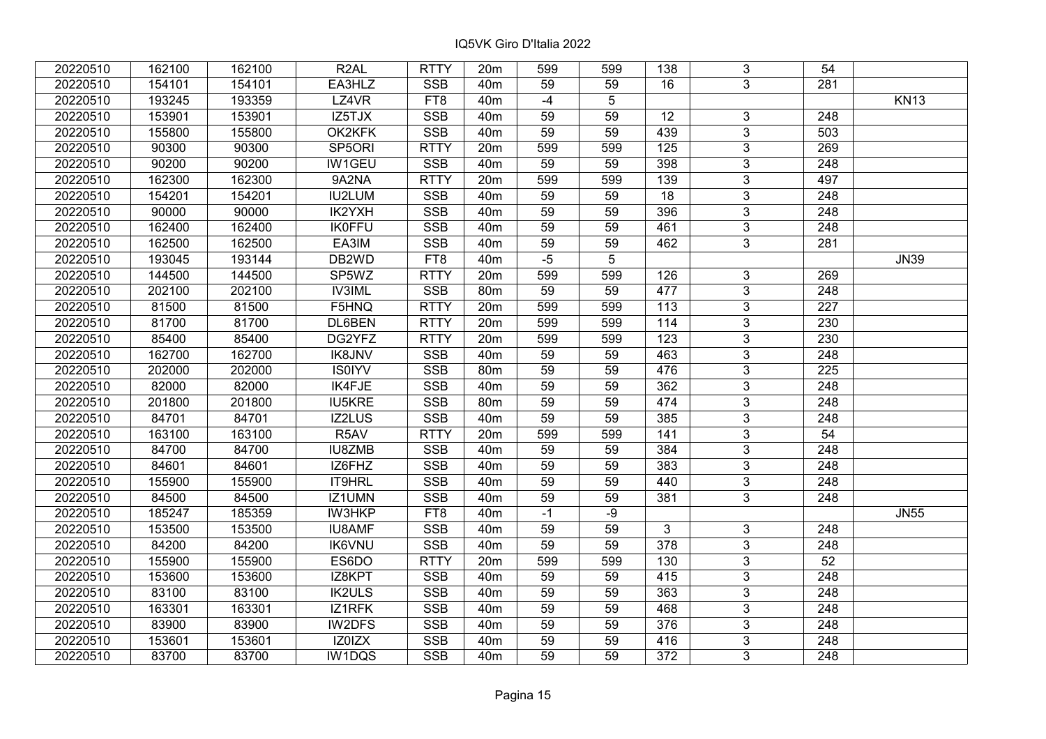| 20220510 | 162100 | 162100 | R <sub>2</sub> AL | <b>RTTY</b> | 20m             | 599  | 599  | 138              | 3              | 54               |             |
|----------|--------|--------|-------------------|-------------|-----------------|------|------|------------------|----------------|------------------|-------------|
| 20220510 | 154101 | 154101 | EA3HLZ            | <b>SSB</b>  | 40 <sub>m</sub> | 59   | 59   | 16               | 3              | 281              |             |
| 20220510 | 193245 | 193359 | LZ4VR             | FT8         | 40 <sub>m</sub> | $-4$ | 5    |                  |                |                  | <b>KN13</b> |
| 20220510 | 153901 | 153901 | IZ5TJX            | <b>SSB</b>  | 40 <sub>m</sub> | 59   | 59   | 12               | 3              | 248              |             |
| 20220510 | 155800 | 155800 | OK2KFK            | <b>SSB</b>  | 40 <sub>m</sub> | 59   | 59   | 439              | $\overline{3}$ | 503              |             |
| 20220510 | 90300  | 90300  | SP5ORI            | <b>RTTY</b> | 20m             | 599  | 599  | $\frac{1}{25}$   | $\overline{3}$ | 269              |             |
| 20220510 | 90200  | 90200  | <b>IW1GEU</b>     | <b>SSB</b>  | 40 <sub>m</sub> | 59   | 59   | 398              | $\overline{3}$ | 248              |             |
| 20220510 | 162300 | 162300 | 9A2NA             | <b>RTTY</b> | 20m             | 599  | 599  | 139              | 3              | 497              |             |
| 20220510 | 154201 | 154201 | <b>IU2LUM</b>     | <b>SSB</b>  | 40 <sub>m</sub> | 59   | 59   | $\overline{18}$  | $\overline{3}$ | 248              |             |
| 20220510 | 90000  | 90000  | IK2YXH            | SSB         | 40 <sub>m</sub> | 59   | 59   | 396              | $\overline{3}$ | 248              |             |
| 20220510 | 162400 | 162400 | <b>IK0FFU</b>     | <b>SSB</b>  | 40 <sub>m</sub> | 59   | 59   | 461              | 3              | 248              |             |
| 20220510 | 162500 | 162500 | EA3IM             | <b>SSB</b>  | 40 <sub>m</sub> | 59   | 59   | 462              | $\overline{3}$ | 281              |             |
| 20220510 | 193045 | 193144 | DB2WD             | FT8         | 40 <sub>m</sub> | $-5$ | 5    |                  |                |                  | <b>JN39</b> |
| 20220510 | 144500 | 144500 | SP5WZ             | <b>RTTY</b> | 20m             | 599  | 599  | 126              | $\mathbf{3}$   | 269              |             |
| 20220510 | 202100 | 202100 | <b>IV3IML</b>     | <b>SSB</b>  | 80m             | 59   | 59   | 477              | $\overline{3}$ | 248              |             |
| 20220510 | 81500  | 81500  | F5HNQ             | <b>RTTY</b> | 20m             | 599  | 599  | 113              | 3              | 227              |             |
| 20220510 | 81700  | 81700  | DL6BEN            | <b>RTTY</b> | 20m             | 599  | 599  | 114              | 3              | 230              |             |
| 20220510 | 85400  | 85400  | DG2YFZ            | <b>RTTY</b> | 20m             | 599  | 599  | 123              | $\overline{3}$ | 230              |             |
| 20220510 | 162700 | 162700 | <b>IK8JNV</b>     | <b>SSB</b>  | 40 <sub>m</sub> | 59   | 59   | 463              | 3              | 248              |             |
| 20220510 | 202000 | 202000 | <b>IS0IYV</b>     | <b>SSB</b>  | 80m             | 59   | 59   | 476              | $\overline{3}$ | 225              |             |
| 20220510 | 82000  | 82000  | IK4FJE            | <b>SSB</b>  | 40 <sub>m</sub> | 59   | 59   | 362              | $\overline{3}$ | 248              |             |
| 20220510 | 201800 | 201800 | <b>IU5KRE</b>     | <b>SSB</b>  | 80m             | 59   | 59   | 474              | 3              | 248              |             |
| 20220510 | 84701  | 84701  | IZ2LUS            | <b>SSB</b>  | 40 <sub>m</sub> | 59   | 59   | 385              | 3              | 248              |             |
| 20220510 | 163100 | 163100 | R5AV              | <b>RTTY</b> | 20m             | 599  | 599  | 141              | 3              | 54               |             |
| 20220510 | 84700  | 84700  | IU8ZMB            | <b>SSB</b>  | 40 <sub>m</sub> | 59   | 59   | 384              | $\overline{3}$ | 248              |             |
| 20220510 | 84601  | 84601  | IZ6FHZ            | <b>SSB</b>  | 40 <sub>m</sub> | 59   | 59   | 383              | $\overline{3}$ | 248              |             |
| 20220510 | 155900 | 155900 | IT9HRL            | <b>SSB</b>  | 40 <sub>m</sub> | 59   | 59   | 440              | $\overline{3}$ | 248              |             |
| 20220510 | 84500  | 84500  | IZ1UMN            | <b>SSB</b>  | 40 <sub>m</sub> | 59   | 59   | 381              | $\overline{3}$ | 248              |             |
| 20220510 | 185247 | 185359 | IW3HKP            | FT8         | 40 <sub>m</sub> | $-1$ | $-9$ |                  |                |                  | <b>JN55</b> |
| 20220510 | 153500 | 153500 | <b>IU8AMF</b>     | <b>SSB</b>  | 40 <sub>m</sub> | 59   | 59   | 3                | 3              | 248              |             |
| 20220510 | 84200  | 84200  | <b>IK6VNU</b>     | <b>SSB</b>  | 40 <sub>m</sub> | 59   | 59   | $\overline{378}$ | $\overline{3}$ | $\overline{248}$ |             |
| 20220510 | 155900 | 155900 | ES6DO             | <b>RTTY</b> | 20m             | 599  | 599  | 130              | $\overline{3}$ | 52               |             |
| 20220510 | 153600 | 153600 | IZ8KPT            | <b>SSB</b>  | 40 <sub>m</sub> | 59   | 59   | 415              | 3              | 248              |             |
| 20220510 | 83100  | 83100  | <b>IK2ULS</b>     | <b>SSB</b>  | 40 <sub>m</sub> | 59   | 59   | 363              | 3              | 248              |             |
| 20220510 | 163301 | 163301 | IZ1RFK            | <b>SSB</b>  | 40 <sub>m</sub> | 59   | 59   | 468              | 3              | 248              |             |
| 20220510 | 83900  | 83900  | IW2DFS            | <b>SSB</b>  | 40 <sub>m</sub> | 59   | 59   | 376              | 3              | 248              |             |
| 20220510 | 153601 | 153601 | IZ0IZX            | SSB         | 40 <sub>m</sub> | 59   | 59   | 416              | $\overline{3}$ | 248              |             |
| 20220510 | 83700  | 83700  | IW1DQS            | <b>SSB</b>  | 40 <sub>m</sub> | 59   | 59   | 372              | $\overline{3}$ | 248              |             |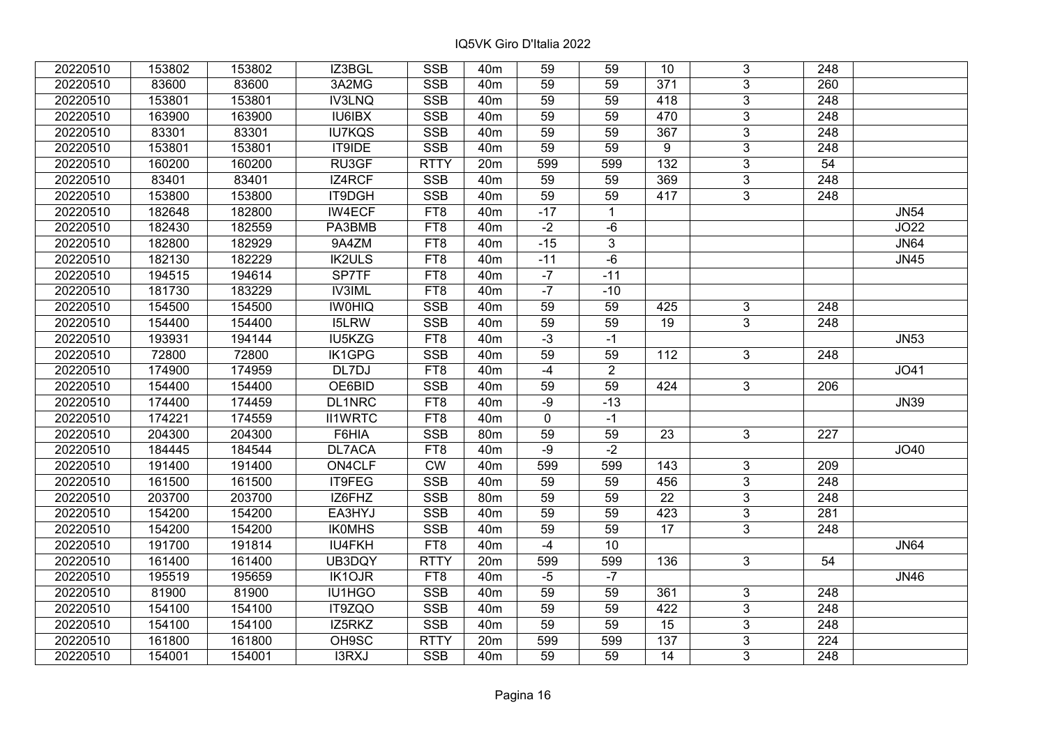| 20220510 | 153802 | 153802 | IZ3BGL         | <b>SSB</b>  | 40 <sub>m</sub> | 59              | 59             | 10              | 3              | 248              |             |
|----------|--------|--------|----------------|-------------|-----------------|-----------------|----------------|-----------------|----------------|------------------|-------------|
| 20220510 | 83600  | 83600  | 3A2MG          | <b>SSB</b>  | 40 <sub>m</sub> | 59              | 59             | 371             | $\overline{3}$ | 260              |             |
| 20220510 | 153801 | 153801 | <b>IV3LNQ</b>  | <b>SSB</b>  | 40 <sub>m</sub> | $\overline{59}$ | 59             | 418             | $\overline{3}$ | $\overline{248}$ |             |
| 20220510 | 163900 | 163900 | IU6IBX         | <b>SSB</b>  | 40 <sub>m</sub> | 59              | 59             | 470             | $\overline{3}$ | $\overline{248}$ |             |
| 20220510 | 83301  | 83301  | <b>IU7KQS</b>  | <b>SSB</b>  | 40 <sub>m</sub> | 59              | 59             | 367             | $\overline{3}$ | 248              |             |
| 20220510 | 153801 | 153801 | IT9IDE         | SSB         | 40 <sub>m</sub> | 59              | 59             | 9               | $\overline{3}$ | 248              |             |
| 20220510 | 160200 | 160200 | RU3GF          | <b>RTTY</b> | 20m             | 599             | 599            | $\frac{132}{ }$ | $\overline{3}$ | $\overline{54}$  |             |
| 20220510 | 83401  | 83401  | IZ4RCF         | <b>SSB</b>  | 40 <sub>m</sub> | 59              | 59             | 369             | 3              | 248              |             |
| 20220510 | 153800 | 153800 | IT9DGH         | SSB         | 40 <sub>m</sub> | $\overline{59}$ | 59             | 417             | $\overline{3}$ | $\overline{248}$ |             |
| 20220510 | 182648 | 182800 | <b>IW4ECF</b>  | FT8         | 40 <sub>m</sub> | $-17$           | $\mathbf{1}$   |                 |                |                  | <b>JN54</b> |
| 20220510 | 182430 | 182559 | PA3BMB         | FT8         | 40 <sub>m</sub> | $-2$            | $-6$           |                 |                |                  | JO22        |
| 20220510 | 182800 | 182929 | 9A4ZM          | FT8         | 40 <sub>m</sub> | $-15$           | $\overline{3}$ |                 |                |                  | <b>JN64</b> |
| 20220510 | 182130 | 182229 | <b>IK2ULS</b>  | FT8         | 40 <sub>m</sub> | $-11$           | $-6$           |                 |                |                  | <b>JN45</b> |
| 20220510 | 194515 | 194614 | SP7TF          | FT8         | 40 <sub>m</sub> | $-7$            | $-11$          |                 |                |                  |             |
| 20220510 | 181730 | 183229 | <b>IV3IML</b>  | FT8         | 40 <sub>m</sub> | $-7$            | $-10$          |                 |                |                  |             |
| 20220510 | 154500 | 154500 | <b>IWOHIQ</b>  | <b>SSB</b>  | 40 <sub>m</sub> | 59              | 59             | 425             | 3              | 248              |             |
| 20220510 | 154400 | 154400 | <b>I5LRW</b>   | <b>SSB</b>  | 40 <sub>m</sub> | 59              | 59             | 19              | $\overline{3}$ | 248              |             |
| 20220510 | 193931 | 194144 | IU5KZG         | FT8         | 40 <sub>m</sub> | $-3$            | $-1$           |                 |                |                  | <b>JN53</b> |
| 20220510 | 72800  | 72800  | IK1GPG         | <b>SSB</b>  | 40 <sub>m</sub> | 59              | 59             | 112             | 3              | 248              |             |
| 20220510 | 174900 | 174959 | DL7DJ          | FT8         | 40 <sub>m</sub> | $-4$            | $\overline{2}$ |                 |                |                  | JO41        |
| 20220510 | 154400 | 154400 | OE6BID         | <b>SSB</b>  | 40 <sub>m</sub> | $\overline{59}$ | 59             | 424             | $\overline{3}$ | 206              |             |
| 20220510 | 174400 | 174459 | DL1NRC         | FT8         | 40 <sub>m</sub> | $-9$            | $-13$          |                 |                |                  | <b>JN39</b> |
| 20220510 | 174221 | 174559 | <b>II1WRTC</b> | FT8         | 40 <sub>m</sub> | $\mathbf 0$     | $-1$           |                 |                |                  |             |
| 20220510 | 204300 | 204300 | F6HIA          | <b>SSB</b>  | 80 <sub>m</sub> | 59              | 59             | 23              | 3              | 227              |             |
| 20220510 | 184445 | 184544 | <b>DL7ACA</b>  | FT8         | 40 <sub>m</sub> | $-9$            | $-2$           |                 |                |                  | JO40        |
| 20220510 | 191400 | 191400 | ON4CLF         | <b>CW</b>   | 40 <sub>m</sub> | 599             | 599            | 143             | 3              | 209              |             |
| 20220510 | 161500 | 161500 | IT9FEG         | <b>SSB</b>  | 40 <sub>m</sub> | 59              | 59             | 456             | $\overline{3}$ | $\overline{248}$ |             |
| 20220510 | 203700 | 203700 | IZ6FHZ         | <b>SSB</b>  | 80m             | 59              | 59             | $\overline{22}$ | $\overline{3}$ | $\overline{248}$ |             |
| 20220510 | 154200 | 154200 | EA3HYJ         | <b>SSB</b>  | 40 <sub>m</sub> | 59              | 59             | 423             | $\overline{3}$ | 281              |             |
| 20220510 | 154200 | 154200 | <b>IKOMHS</b>  | SSB         | 40 <sub>m</sub> | $\overline{59}$ | 59             | $\overline{17}$ | $\overline{3}$ | $\overline{248}$ |             |
| 20220510 | 191700 | 191814 | <b>IU4FKH</b>  | FT8         | 40 <sub>m</sub> | $-4$            | 10             |                 |                |                  | <b>JN64</b> |
| 20220510 | 161400 | 161400 | UB3DQY         | <b>RTTY</b> | 20m             | 599             | 599            | 136             | $\overline{3}$ | 54               |             |
| 20220510 | 195519 | 195659 | <b>IK1OJR</b>  | FT8         | 40 <sub>m</sub> | $-5$            | $-7$           |                 |                |                  | <b>JN46</b> |
| 20220510 | 81900  | 81900  | IU1HGO         | <b>SSB</b>  | 40 <sub>m</sub> | 59              | 59             | 361             | 3              | 248              |             |
| 20220510 | 154100 | 154100 | IT9ZQO         | <b>SSB</b>  | 40 <sub>m</sub> | 59              | 59             | 422             | $\overline{3}$ | 248              |             |
| 20220510 | 154100 | 154100 | IZ5RKZ         | SSB         | 40 <sub>m</sub> | 59              | 59             | 15              | 3              | 248              |             |
| 20220510 | 161800 | 161800 | OH9SC          | <b>RTTY</b> | 20m             | 599             | 599            | 137             | 3              | 224              |             |
| 20220510 | 154001 | 154001 | I3RXJ          | <b>SSB</b>  | 40 <sub>m</sub> | 59              | 59             | 14              | 3              | 248              |             |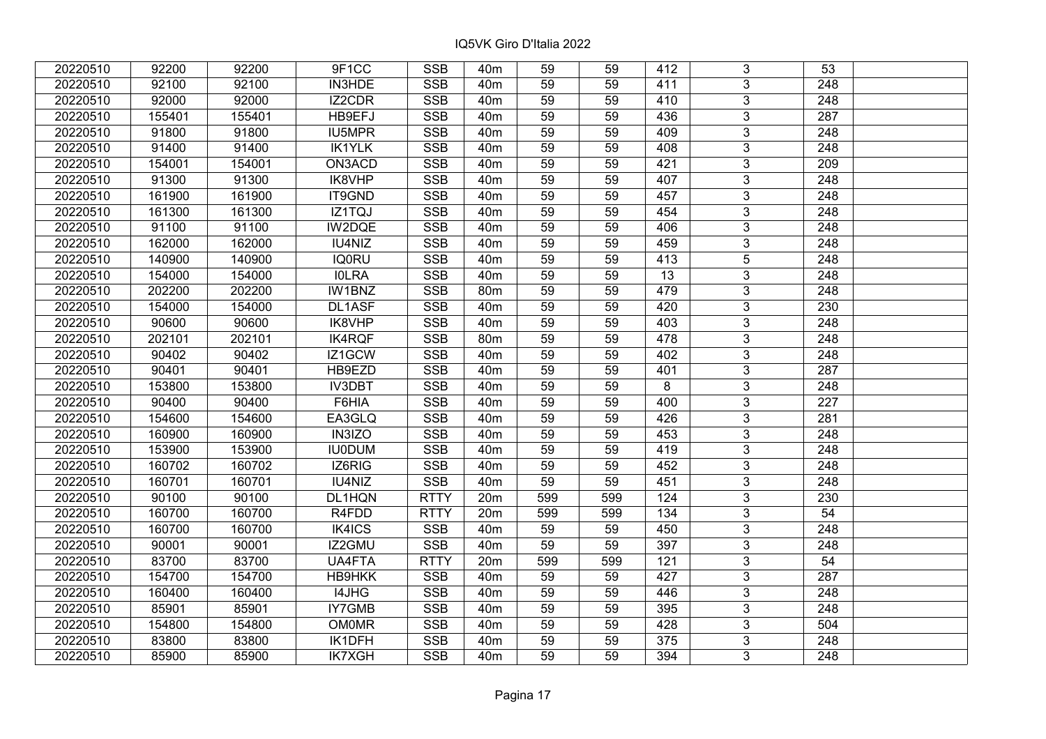| 20220510 | 92200  | 92200  | 9F1CC         | <b>SSB</b>  | 40 <sub>m</sub> | 59              | 59  | 412             | 3              | 53               |  |
|----------|--------|--------|---------------|-------------|-----------------|-----------------|-----|-----------------|----------------|------------------|--|
| 20220510 | 92100  | 92100  | IN3HDE        | <b>SSB</b>  | 40 <sub>m</sub> | 59              | 59  | 411             | 3              | 248              |  |
| 20220510 | 92000  | 92000  | IZ2CDR        | <b>SSB</b>  | 40 <sub>m</sub> | 59              | 59  | 410             | $\overline{3}$ | 248              |  |
| 20220510 | 155401 | 155401 | HB9EFJ        | <b>SSB</b>  | 40 <sub>m</sub> | 59              | 59  | 436             | $\overline{3}$ | 287              |  |
| 20220510 | 91800  | 91800  | <b>IU5MPR</b> | <b>SSB</b>  | 40 <sub>m</sub> | 59              | 59  | 409             | $\overline{3}$ | 248              |  |
| 20220510 | 91400  | 91400  | <b>IK1YLK</b> | SSB         | 40 <sub>m</sub> | 59              | 59  | 408             | $\overline{3}$ | 248              |  |
| 20220510 | 154001 | 154001 | ON3ACD        | <b>SSB</b>  | 40 <sub>m</sub> | 59              | 59  | 421             | $\overline{3}$ | 209              |  |
| 20220510 | 91300  | 91300  | IK8VHP        | <b>SSB</b>  | 40 <sub>m</sub> | 59              | 59  | 407             | $\overline{3}$ | 248              |  |
| 20220510 | 161900 | 161900 | IT9GND        | <b>SSB</b>  | 40 <sub>m</sub> | 59              | 59  | 457             | $\overline{3}$ | 248              |  |
| 20220510 | 161300 | 161300 | IZ1TQJ        | <b>SSB</b>  | 40 <sub>m</sub> | 59              | 59  | 454             | $\overline{3}$ | 248              |  |
| 20220510 | 91100  | 91100  | IW2DQE        | <b>SSB</b>  | 40 <sub>m</sub> | 59              | 59  | 406             | $\overline{3}$ | 248              |  |
| 20220510 | 162000 | 162000 | IU4NIZ        | <b>SSB</b>  | 40 <sub>m</sub> | 59              | 59  | 459             | $\overline{3}$ | 248              |  |
| 20220510 | 140900 | 140900 | <b>IQ0RU</b>  | <b>SSB</b>  | 40 <sub>m</sub> | 59              | 59  | 413             | $\overline{5}$ | 248              |  |
| 20220510 | 154000 | 154000 | <b>IOLRA</b>  | <b>SSB</b>  | 40 <sub>m</sub> | 59              | 59  | 13              | 3              | 248              |  |
| 20220510 | 202200 | 202200 | IW1BNZ        | <b>SSB</b>  | 80 <sub>m</sub> | 59              | 59  | 479             | 3              | 248              |  |
| 20220510 | 154000 | 154000 | DL1ASF        | <b>SSB</b>  | 40 <sub>m</sub> | 59              | 59  | 420             | $\overline{3}$ | 230              |  |
| 20220510 | 90600  | 90600  | IK8VHP        | <b>SSB</b>  | 40 <sub>m</sub> | 59              | 59  | 403             | 3              | 248              |  |
| 20220510 | 202101 | 202101 | <b>IK4RQF</b> | <b>SSB</b>  | 80 <sub>m</sub> | 59              | 59  | 478             | 3              | 248              |  |
| 20220510 | 90402  | 90402  | IZ1GCW        | <b>SSB</b>  | 40 <sub>m</sub> | 59              | 59  | 402             | 3              | 248              |  |
| 20220510 | 90401  | 90401  | HB9EZD        | <b>SSB</b>  | 40 <sub>m</sub> | 59              | 59  | 401             | $\overline{3}$ | 287              |  |
| 20220510 | 153800 | 153800 | <b>IV3DBT</b> | <b>SSB</b>  | 40 <sub>m</sub> | 59              | 59  | 8               | $\overline{3}$ | 248              |  |
| 20220510 | 90400  | 90400  | F6HIA         | <b>SSB</b>  | 40 <sub>m</sub> | 59              | 59  | 400             | $\overline{3}$ | 227              |  |
| 20220510 | 154600 | 154600 | EA3GLQ        | <b>SSB</b>  | 40 <sub>m</sub> | 59              | 59  | 426             | $\overline{3}$ | 281              |  |
| 20220510 | 160900 | 160900 | IN3IZO        | <b>SSB</b>  | 40 <sub>m</sub> | 59              | 59  | 453             | $\overline{3}$ | 248              |  |
| 20220510 | 153900 | 153900 | <b>IU0DUM</b> | <b>SSB</b>  | 40 <sub>m</sub> | 59              | 59  | 419             | $\overline{3}$ | 248              |  |
| 20220510 | 160702 | 160702 | IZ6RIG        | SSB         | 40 <sub>m</sub> | $\overline{59}$ | 59  | 452             | $\overline{3}$ | $\overline{248}$ |  |
| 20220510 | 160701 | 160701 | IU4NIZ        | <b>SSB</b>  | 40 <sub>m</sub> | $\overline{59}$ | 59  | 451             | $\overline{3}$ | $\overline{248}$ |  |
| 20220510 | 90100  | 90100  | DL1HQN        | <b>RTTY</b> | 20m             | 599             | 599 | 124             | 3              | 230              |  |
| 20220510 | 160700 | 160700 | R4FDD         | <b>RTTY</b> | 20m             | 599             | 599 | 134             | $\overline{3}$ | 54               |  |
| 20220510 | 160700 | 160700 | IK4ICS        | <b>SSB</b>  | 40 <sub>m</sub> | 59              | 59  | 450             | $\overline{3}$ | 248              |  |
| 20220510 | 90001  | 90001  | IZ2GMU        | <b>SSB</b>  | 40 <sub>m</sub> | 59              | 59  | 397             | $\overline{3}$ | 248              |  |
| 20220510 | 83700  | 83700  | <b>UA4FTA</b> | <b>RTTY</b> | 20m             | 599             | 599 | 121             | $\overline{3}$ | 54               |  |
| 20220510 | 154700 | 154700 | <b>HB9HKK</b> | <b>SSB</b>  | 40 <sub>m</sub> | 59              | 59  | 427             | 3              | 287              |  |
| 20220510 | 160400 | 160400 | I4JHG         | <b>SSB</b>  | 40 <sub>m</sub> | 59              | 59  | 446             | 3              | 248              |  |
| 20220510 | 85901  | 85901  | <b>IY7GMB</b> | <b>SSB</b>  | 40 <sub>m</sub> | 59              | 59  | 395             | 3              | 248              |  |
| 20220510 | 154800 | 154800 | <b>OM0MR</b>  | <b>SSB</b>  | 40 <sub>m</sub> | 59              | 59  | 428             | 3              | 504              |  |
| 20220510 | 83800  | 83800  | IK1DFH        | SSB         | 40 <sub>m</sub> | 59              | 59  | $\frac{1}{375}$ | $\overline{3}$ | 248              |  |
| 20220510 | 85900  | 85900  | <b>IK7XGH</b> | <b>SSB</b>  | 40 <sub>m</sub> | 59              | 59  | 394             | $\overline{3}$ | 248              |  |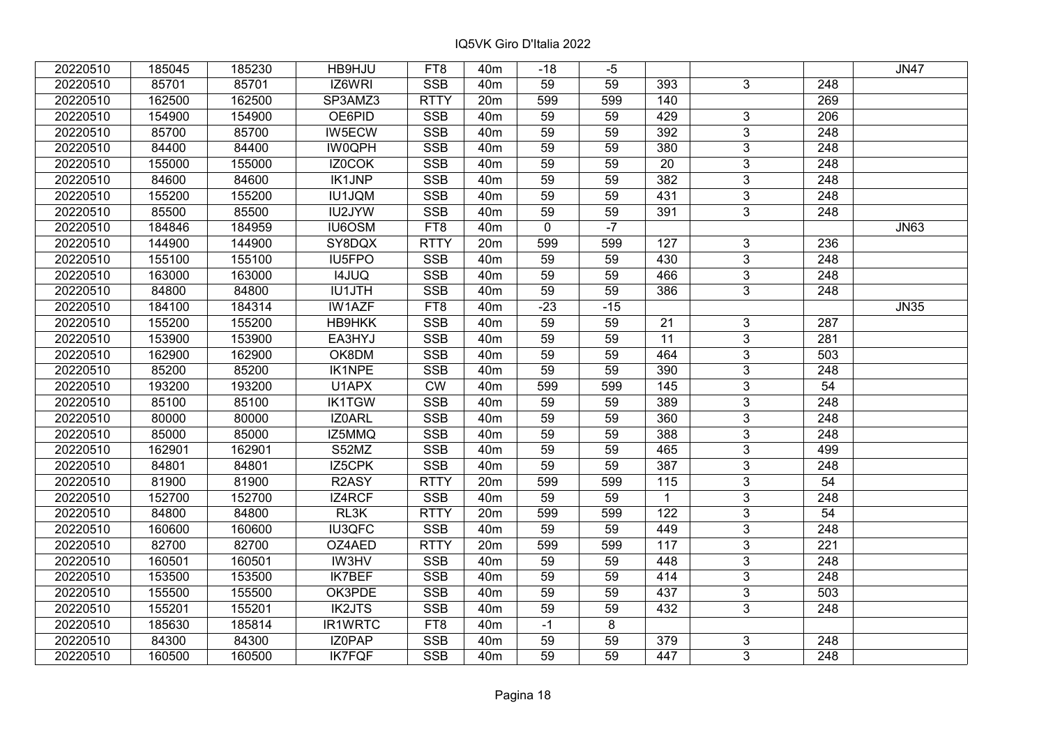| 20220510 | 185045 | 185230 | HB9HJU        | FT8                     | 40 <sub>m</sub> | $-18$           | -5    |              |                |                  | <b>JN47</b> |
|----------|--------|--------|---------------|-------------------------|-----------------|-----------------|-------|--------------|----------------|------------------|-------------|
| 20220510 | 85701  | 85701  | IZ6WRI        | <b>SSB</b>              | 40 <sub>m</sub> | 59              | 59    | 393          | 3              | 248              |             |
| 20220510 | 162500 | 162500 | SP3AMZ3       | <b>RTTY</b>             | 20m             | 599             | 599   | 140          |                | 269              |             |
| 20220510 | 154900 | 154900 | OE6PID        | <b>SSB</b>              | 40 <sub>m</sub> | 59              | 59    | 429          | 3              | $\overline{206}$ |             |
| 20220510 | 85700  | 85700  | IW5ECW        | <b>SSB</b>              | 40 <sub>m</sub> | 59              | 59    | 392          | $\overline{3}$ | 248              |             |
| 20220510 | 84400  | 84400  | <b>IW0QPH</b> | <b>SSB</b>              | 40 <sub>m</sub> | 59              | 59    | 380          | $\overline{3}$ | 248              |             |
| 20220510 | 155000 | 155000 | IZ0COK        | <b>SSB</b>              | 40 <sub>m</sub> | 59              | 59    | 20           | $\overline{3}$ | 248              |             |
| 20220510 | 84600  | 84600  | <b>IK1JNP</b> | <b>SSB</b>              | 40 <sub>m</sub> | 59              | 59    | 382          | 3              | 248              |             |
| 20220510 | 155200 | 155200 | <b>IU1JQM</b> | <b>SSB</b>              | 40 <sub>m</sub> | $\overline{59}$ | 59    | 431          | $\overline{3}$ | $\overline{248}$ |             |
| 20220510 | 85500  | 85500  | IU2JYW        | SSB                     | 40 <sub>m</sub> | 59              | 59    | 391          | $\overline{3}$ | 248              |             |
| 20220510 | 184846 | 184959 | IU6OSM        | FT8                     | 40 <sub>m</sub> | $\mathbf 0$     | $-7$  |              |                |                  | <b>JN63</b> |
| 20220510 | 144900 | 144900 | SY8DQX        | <b>RTTY</b>             | 20m             | 599             | 599   | 127          | $\overline{3}$ | 236              |             |
| 20220510 | 155100 | 155100 | IU5FPO        | <b>SSB</b>              | 40 <sub>m</sub> | 59              | 59    | 430          | 3              | 248              |             |
| 20220510 | 163000 | 163000 | <b>I4JUQ</b>  | <b>SSB</b>              | 40 <sub>m</sub> | 59              | 59    | 466          | $\overline{3}$ | 248              |             |
| 20220510 | 84800  | 84800  | <b>IU1JTH</b> | <b>SSB</b>              | 40 <sub>m</sub> | 59              | 59    | 386          | $\overline{3}$ | 248              |             |
| 20220510 | 184100 | 184314 | <b>IW1AZF</b> | FT8                     | 40 <sub>m</sub> | $-23$           | $-15$ |              |                |                  | <b>JN35</b> |
| 20220510 | 155200 | 155200 | <b>HB9HKK</b> | <b>SSB</b>              | 40 <sub>m</sub> | 59              | 59    | 21           | 3              | 287              |             |
| 20220510 | 153900 | 153900 | EA3HYJ        | <b>SSB</b>              | 40 <sub>m</sub> | 59              | 59    | 11           | 3              | 281              |             |
| 20220510 | 162900 | 162900 | OK8DM         | <b>SSB</b>              | 40 <sub>m</sub> | 59              | 59    | 464          | 3              | 503              |             |
| 20220510 | 85200  | 85200  | <b>IK1NPE</b> | <b>SSB</b>              | 40 <sub>m</sub> | 59              | 59    | 390          | $\overline{3}$ | 248              |             |
| 20220510 | 193200 | 193200 | U1APX         | <b>CW</b>               | 40 <sub>m</sub> | 599             | 599   | 145          | $\overline{3}$ | 54               |             |
| 20220510 | 85100  | 85100  | <b>IK1TGW</b> | <b>SSB</b>              | 40 <sub>m</sub> | 59              | 59    | 389          | 3              | 248              |             |
| 20220510 | 80000  | 80000  | IZ0ARL        | <b>SSB</b>              | 40 <sub>m</sub> | 59              | 59    | 360          | $\overline{3}$ | 248              |             |
| 20220510 | 85000  | 85000  | IZ5MMQ        | <b>SSB</b>              | 40 <sub>m</sub> | 59              | 59    | 388          | $\overline{3}$ | 248              |             |
| 20220510 | 162901 | 162901 | S52MZ         | <b>SSB</b>              | 40 <sub>m</sub> | 59              | 59    | 465          | 3              | 499              |             |
| 20220510 | 84801  | 84801  | IZ5CPK        | <b>SSB</b>              | 40 <sub>m</sub> | $\overline{59}$ | 59    | 387          | $\overline{3}$ | $\overline{248}$ |             |
| 20220510 | 81900  | 81900  | R2ASY         | <b>RTTY</b>             | 20m             | 599             | 599   | 115          | $\overline{3}$ | 54               |             |
| 20220510 | 152700 | 152700 | IZ4RCF        | <b>SSB</b>              | 40 <sub>m</sub> | 59              | 59    | $\mathbf{1}$ | $\overline{3}$ | 248              |             |
| 20220510 | 84800  | 84800  | RL3K          | <b>RTTY</b>             | 20m             | 599             | 599   | 122          | $\overline{3}$ | $\overline{54}$  |             |
| 20220510 | 160600 | 160600 | <b>IU3QFC</b> | <b>SSB</b>              | 40 <sub>m</sub> | 59              | 59    | 449          | $\overline{3}$ | 248              |             |
| 20220510 | 82700  | 82700  | OZ4AED        | <b>RTTY</b>             | 20m             | 599             | 599   | 117          | $\overline{3}$ | $\overline{221}$ |             |
| 20220510 | 160501 | 160501 | IW3HV         | <b>SSB</b>              | 40 <sub>m</sub> | 59              | 59    | 448          | $\overline{3}$ | 248              |             |
| 20220510 | 153500 | 153500 | <b>IK7BEF</b> | <b>SSB</b>              | 40 <sub>m</sub> | 59              | 59    | 414          | 3              | 248              |             |
| 20220510 | 155500 | 155500 | OK3PDE        | <b>SSB</b>              | 40 <sub>m</sub> | $\overline{59}$ | 59    | 437          | $\overline{3}$ | 503              |             |
| 20220510 | 155201 | 155201 | <b>IK2JTS</b> | <b>SSB</b>              | 40 <sub>m</sub> | 59              | 59    | 432          | $\overline{3}$ | 248              |             |
| 20220510 | 185630 | 185814 | IR1WRTC       | FT8                     | 40 <sub>m</sub> | $-1$            | 8     |              |                |                  |             |
| 20220510 | 84300  | 84300  | IZ0PAP        | $\overline{\text{SSB}}$ | 40 <sub>m</sub> | 59              | 59    | 379          | 3              | 248              |             |
| 20220510 | 160500 | 160500 | <b>IK7FQF</b> | <b>SSB</b>              | 40 <sub>m</sub> | 59              | 59    | 447          | $\overline{3}$ | 248              |             |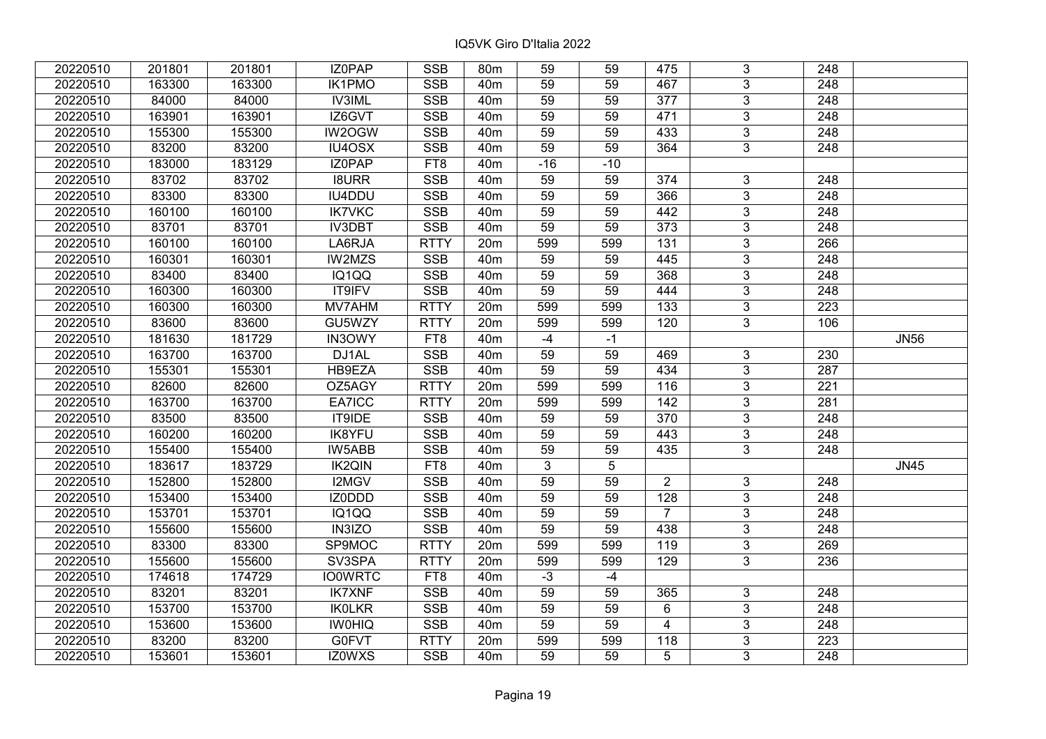| 20220510 | 201801 | 201801 | IZ0PAP         | <b>SSB</b>      | 80m             | 59              | 59              | 475              | 3              | 248              |             |
|----------|--------|--------|----------------|-----------------|-----------------|-----------------|-----------------|------------------|----------------|------------------|-------------|
| 20220510 | 163300 | 163300 | <b>IK1PMO</b>  | <b>SSB</b>      | 40 <sub>m</sub> | 59              | 59              | 467              | $\overline{3}$ | 248              |             |
| 20220510 | 84000  | 84000  | <b>IV3IML</b>  | <b>SSB</b>      | 40 <sub>m</sub> | $\overline{59}$ | 59              | $\overline{377}$ | $\overline{3}$ | 248              |             |
| 20220510 | 163901 | 163901 | IZ6GVT         | <b>SSB</b>      | 40m             | 59              | 59              | 471              | $\overline{3}$ | $\overline{248}$ |             |
| 20220510 | 155300 | 155300 | IW2OGW         | <b>SSB</b>      | 40 <sub>m</sub> | 59              | 59              | 433              | $\overline{3}$ | 248              |             |
| 20220510 | 83200  | 83200  | IU4OSX         | <b>SSB</b>      | 40m             | 59              | 59              | 364              | $\overline{3}$ | 248              |             |
| 20220510 | 183000 | 183129 | IZ0PAP         | FT8             | 40m             | $-16$           | $-10$           |                  |                |                  |             |
| 20220510 | 83702  | 83702  | <b>I8URR</b>   | <b>SSB</b>      | 40m             | 59              | 59              | 374              | 3              | 248              |             |
| 20220510 | 83300  | 83300  | IU4DDU         | SSB             | 40 <sub>m</sub> | 59              | 59              | 366              | $\overline{3}$ | $\overline{248}$ |             |
| 20220510 | 160100 | 160100 | <b>IK7VKC</b>  | SSB             | 40m             | 59              | 59              | 442              | $\overline{3}$ | 248              |             |
| 20220510 | 83701  | 83701  | <b>IV3DBT</b>  | <b>SSB</b>      | 40 <sub>m</sub> | 59              | 59              | 373              | 3              | 248              |             |
| 20220510 | 160100 | 160100 | LA6RJA         | <b>RTTY</b>     | 20m             | 599             | 599             | $131$            | $\overline{3}$ | 266              |             |
| 20220510 | 160301 | 160301 | IW2MZS         | <b>SSB</b>      | 40 <sub>m</sub> | 59              | 59              | 445              | $\overline{3}$ | 248              |             |
| 20220510 | 83400  | 83400  | IQ1QQ          | <b>SSB</b>      | 40 <sub>m</sub> | 59              | 59              | 368              | 3              | 248              |             |
| 20220510 | 160300 | 160300 | IT9IFV         | <b>SSB</b>      | 40 <sub>m</sub> | 59              | 59              | 444              | $\overline{3}$ | $\overline{248}$ |             |
| 20220510 | 160300 | 160300 | MV7AHM         | <b>RTTY</b>     | 20m             | 599             | 599             | 133              | $\overline{3}$ | $\overline{223}$ |             |
| 20220510 | 83600  | 83600  | GU5WZY         | <b>RTTY</b>     | 20m             | 599             | 599             | 120              | 3              | 106              |             |
| 20220510 | 181630 | 181729 | <b>IN3OWY</b>  | FT <sub>8</sub> | 40 <sub>m</sub> | $-4$            | $-1$            |                  |                |                  | <b>JN56</b> |
| 20220510 | 163700 | 163700 | DJ1AL          | <b>SSB</b>      | 40 <sub>m</sub> | 59              | 59              | 469              | $\mathbf{3}$   | 230              |             |
| 20220510 | 155301 | 155301 | HB9EZA         | <b>SSB</b>      | 40 <sub>m</sub> | 59              | 59              | 434              | $\overline{3}$ | 287              |             |
| 20220510 | 82600  | 82600  | OZ5AGY         | <b>RTTY</b>     | 20m             | 599             | 599             | 116              | $\overline{3}$ | 221              |             |
| 20220510 | 163700 | 163700 | EA7ICC         | <b>RTTY</b>     | 20m             | 599             | 599             | 142              | $\overline{3}$ | 281              |             |
| 20220510 | 83500  | 83500  | IT9IDE         | <b>SSB</b>      | 40 <sub>m</sub> | 59              | 59              | 370              | $\overline{3}$ | 248              |             |
| 20220510 | 160200 | 160200 | <b>IK8YFU</b>  | <b>SSB</b>      | 40 <sub>m</sub> | 59              | 59              | 443              | $\overline{3}$ | 248              |             |
| 20220510 | 155400 | 155400 | IW5ABB         | <b>SSB</b>      | 40 <sub>m</sub> | 59              | 59              | 435              | $\overline{3}$ | 248              |             |
| 20220510 | 183617 | 183729 | <b>IK2QIN</b>  | FT8             | 40 <sub>m</sub> | 3               | $5\phantom{.0}$ |                  |                |                  | <b>JN45</b> |
| 20220510 | 152800 | 152800 | I2MGV          | <b>SSB</b>      | 40 <sub>m</sub> | $\overline{59}$ | 59              | $\overline{2}$   | 3              | 248              |             |
| 20220510 | 153400 | 153400 | IZ0DDD         | <b>SSB</b>      | 40 <sub>m</sub> | 59              | 59              | 128              | $\overline{3}$ | 248              |             |
| 20220510 | 153701 | 153701 | IQ1QQ          | <b>SSB</b>      | 40 <sub>m</sub> | 59              | 59              | $\overline{7}$   | $\overline{3}$ | $\overline{248}$ |             |
| 20220510 | 155600 | 155600 | <b>IN3IZO</b>  | SSB             | 40 <sub>m</sub> | $\overline{59}$ | 59              | 438              | $\overline{3}$ | $\overline{248}$ |             |
| 20220510 | 83300  | 83300  | SP9MOC         | <b>RTTY</b>     | 20m             | 599             | 599             | 119              | $\overline{3}$ | 269              |             |
| 20220510 | 155600 | 155600 | SV3SPA         | <b>RTTY</b>     | 20m             | 599             | 599             | 129              | $\overline{3}$ | 236              |             |
| 20220510 | 174618 | 174729 | <b>IO0WRTC</b> | FT8             | 40 <sub>m</sub> | $-3$            | $-4$            |                  |                |                  |             |
| 20220510 | 83201  | 83201  | <b>IK7XNF</b>  | <b>SSB</b>      | 40 <sub>m</sub> | 59              | 59              | 365              | 3              | 248              |             |
| 20220510 | 153700 | 153700 | <b>IKOLKR</b>  | <b>SSB</b>      | 40 <sub>m</sub> | 59              | 59              | 6                | $\overline{3}$ | 248              |             |
| 20220510 | 153600 | 153600 | <b>IWOHIQ</b>  | SSB             | 40 <sub>m</sub> | 59              | 59              | $\overline{4}$   | 3              | 248              |             |
| 20220510 | 83200  | 83200  | G0FVT          | <b>RTTY</b>     | 20m             | 599             | 599             | 118              | $\overline{3}$ | $\overline{223}$ |             |
| 20220510 | 153601 | 153601 | IZ0WXS         | <b>SSB</b>      | 40 <sub>m</sub> | 59              | 59              | 5                | 3              | 248              |             |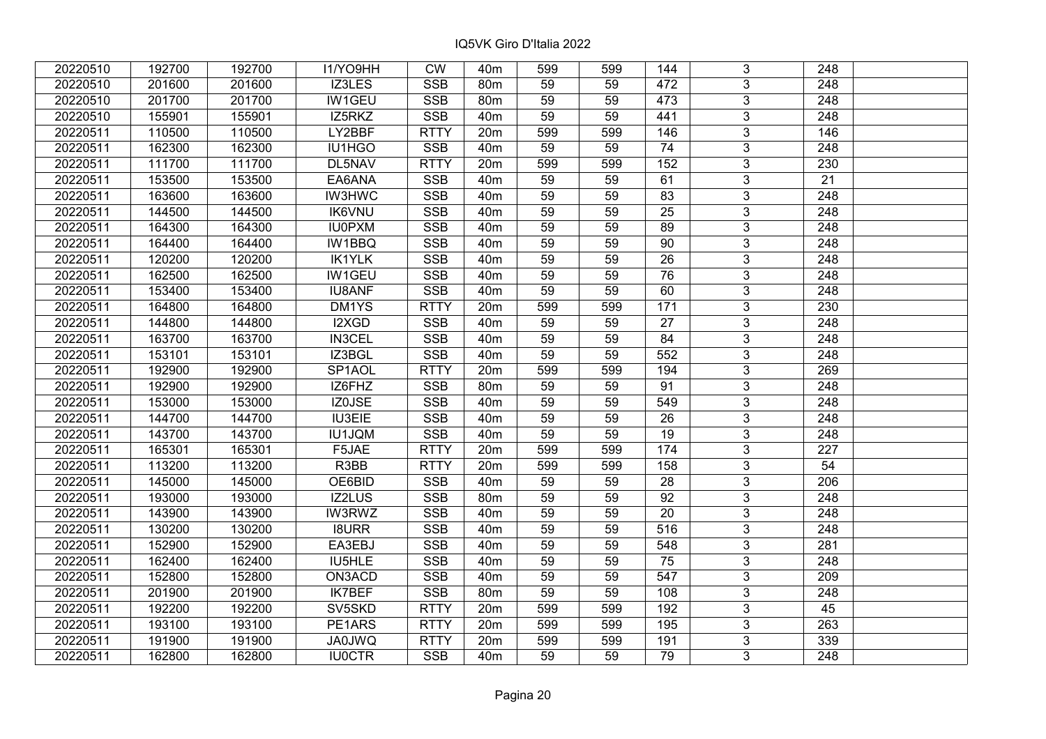| 20220510 | 192700 | 192700 | I1/YO9HH      | <b>CW</b>               | 40 <sub>m</sub> | 599             | 599 | 144             | 3              | 248              |  |
|----------|--------|--------|---------------|-------------------------|-----------------|-----------------|-----|-----------------|----------------|------------------|--|
| 20220510 | 201600 | 201600 | IZ3LES        | <b>SSB</b>              | 80 <sub>m</sub> | 59              | 59  | 472             | 3              | 248              |  |
| 20220510 | 201700 | 201700 | <b>IW1GEU</b> | <b>SSB</b>              | 80 <sub>m</sub> | $\overline{59}$ | 59  | 473             | $\overline{3}$ | 248              |  |
| 20220510 | 155901 | 155901 | IZ5RKZ        | <b>SSB</b>              | 40 <sub>m</sub> | 59              | 59  | 441             | $\overline{3}$ | $\overline{248}$ |  |
| 20220511 | 110500 | 110500 | LY2BBF        | <b>RTTY</b>             | 20m             | 599             | 599 | 146             | 3              | 146              |  |
| 20220511 | 162300 | 162300 | IU1HGO        | <b>SSB</b>              | 40 <sub>m</sub> | 59              | 59  | 74              | $\overline{3}$ | 248              |  |
| 20220511 | 111700 | 111700 | DL5NAV        | <b>RTTY</b>             | 20m             | 599             | 599 | 152             | $\overline{3}$ | 230              |  |
| 20220511 | 153500 | 153500 | EA6ANA        | <b>SSB</b>              | 40 <sub>m</sub> | 59              | 59  | 61              | $\overline{3}$ | 21               |  |
| 20220511 | 163600 | 163600 | <b>IW3HWC</b> | SSB                     | 40 <sub>m</sub> | 59              | 59  | 83              | $\overline{3}$ | 248              |  |
| 20220511 | 144500 | 144500 | <b>IK6VNU</b> | <b>SSB</b>              | 40 <sub>m</sub> | 59              | 59  | 25              | $\overline{3}$ | 248              |  |
| 20220511 | 164300 | 164300 | <b>IU0PXM</b> | <b>SSB</b>              | 40 <sub>m</sub> | 59              | 59  | 89              | 3              | 248              |  |
| 20220511 | 164400 | 164400 | <b>IW1BBQ</b> | <b>SSB</b>              | 40 <sub>m</sub> | 59              | 59  | 90              | $\overline{3}$ | 248              |  |
| 20220511 | 120200 | 120200 | <b>IK1YLK</b> | <b>SSB</b>              | 40 <sub>m</sub> | 59              | 59  | 26              | 3              | 248              |  |
| 20220511 | 162500 | 162500 | IW1GEU        | <b>SSB</b>              | 40 <sub>m</sub> | 59              | 59  | 76              | 3              | 248              |  |
| 20220511 | 153400 | 153400 | <b>IU8ANF</b> | <b>SSB</b>              | 40 <sub>m</sub> | 59              | 59  | 60              | $\overline{3}$ | $\overline{248}$ |  |
| 20220511 | 164800 | 164800 | DM1YS         | <b>RTTY</b>             | 20m             | 599             | 599 | 171             | 3              | 230              |  |
| 20220511 | 144800 | 144800 | I2XGD         | <b>SSB</b>              | 40 <sub>m</sub> | 59              | 59  | 27              | 3              | 248              |  |
| 20220511 | 163700 | 163700 | <b>IN3CEL</b> | <b>SSB</b>              | 40 <sub>m</sub> | 59              | 59  | 84              | 3              | 248              |  |
| 20220511 | 153101 | 153101 | IZ3BGL        | <b>SSB</b>              | 40 <sub>m</sub> | 59              | 59  | 552             | $\overline{3}$ | 248              |  |
| 20220511 | 192900 | 192900 | SP1AOL        | <b>RTTY</b>             | 20m             | 599             | 599 | 194             | $\overline{3}$ | 269              |  |
| 20220511 | 192900 | 192900 | IZ6FHZ        | <b>SSB</b>              | 80 <sub>m</sub> | 59              | 59  | 91              | $\overline{3}$ | 248              |  |
| 20220511 | 153000 | 153000 | IZ0JSE        | <b>SSB</b>              | 40 <sub>m</sub> | 59              | 59  | 549             | $\overline{3}$ | 248              |  |
| 20220511 | 144700 | 144700 | IU3EIE        | <b>SSB</b>              | 40 <sub>m</sub> | 59              | 59  | 26              | 3              | 248              |  |
| 20220511 | 143700 | 143700 | IU1JQM        | <b>SSB</b>              | 40 <sub>m</sub> | 59              | 59  | 19              | $\overline{3}$ | 248              |  |
| 20220511 | 165301 | 165301 | F5JAE         | <b>RTTY</b>             | 20m             | 599             | 599 | 174             | $\overline{3}$ | 227              |  |
| 20220511 | 113200 | 113200 | R3BB          | <b>RTTY</b>             | 20m             | 599             | 599 | 158             | $\overline{3}$ | 54               |  |
| 20220511 | 145000 | 145000 | OE6BID        | <b>SSB</b>              | 40 <sub>m</sub> | 59              | 59  | $\overline{28}$ | $\overline{3}$ | $\overline{206}$ |  |
| 20220511 | 193000 | 193000 | IZ2LUS        | <b>SSB</b>              | 80m             | 59              | 59  | 92              | $\overline{3}$ | 248              |  |
| 20220511 | 143900 | 143900 | <b>IW3RWZ</b> | <b>SSB</b>              | 40 <sub>m</sub> | 59              | 59  | $\overline{20}$ | $\overline{3}$ | 248              |  |
| 20220511 | 130200 | 130200 | <b>I8URR</b>  | $\overline{\text{SSB}}$ | 40 <sub>m</sub> | $\overline{59}$ | 59  | 516             | $\overline{3}$ | $\overline{248}$ |  |
| 20220511 | 152900 | 152900 | EA3EBJ        | <b>SSB</b>              | 40 <sub>m</sub> | 59              | 59  | 548             | $\overline{3}$ | 281              |  |
| 20220511 | 162400 | 162400 | IU5HLE        | <b>SSB</b>              | 40 <sub>m</sub> | 59              | 59  | 75              | $\overline{3}$ | 248              |  |
| 20220511 | 152800 | 152800 | ON3ACD        | <b>SSB</b>              | 40 <sub>m</sub> | 59              | 59  | 547             | 3              | 209              |  |
| 20220511 | 201900 | 201900 | <b>IK7BEF</b> | <b>SSB</b>              | 80m             | 59              | 59  | 108             | $\overline{3}$ | 248              |  |
| 20220511 | 192200 | 192200 | SV5SKD        | <b>RTTY</b>             | 20m             | 599             | 599 | 192             | 3              | 45               |  |
| 20220511 | 193100 | 193100 | PE1ARS        | <b>RTTY</b>             | 20m             | 599             | 599 | 195             | 3              | 263              |  |
| 20220511 | 191900 | 191900 | JA0JWQ        | <b>RTTY</b>             | 20m             | 599             | 599 | 191             | 3              | 339              |  |
| 20220511 | 162800 | 162800 | <b>IU0CTR</b> | <b>SSB</b>              | 40 <sub>m</sub> | 59              | 59  | 79              | 3              | 248              |  |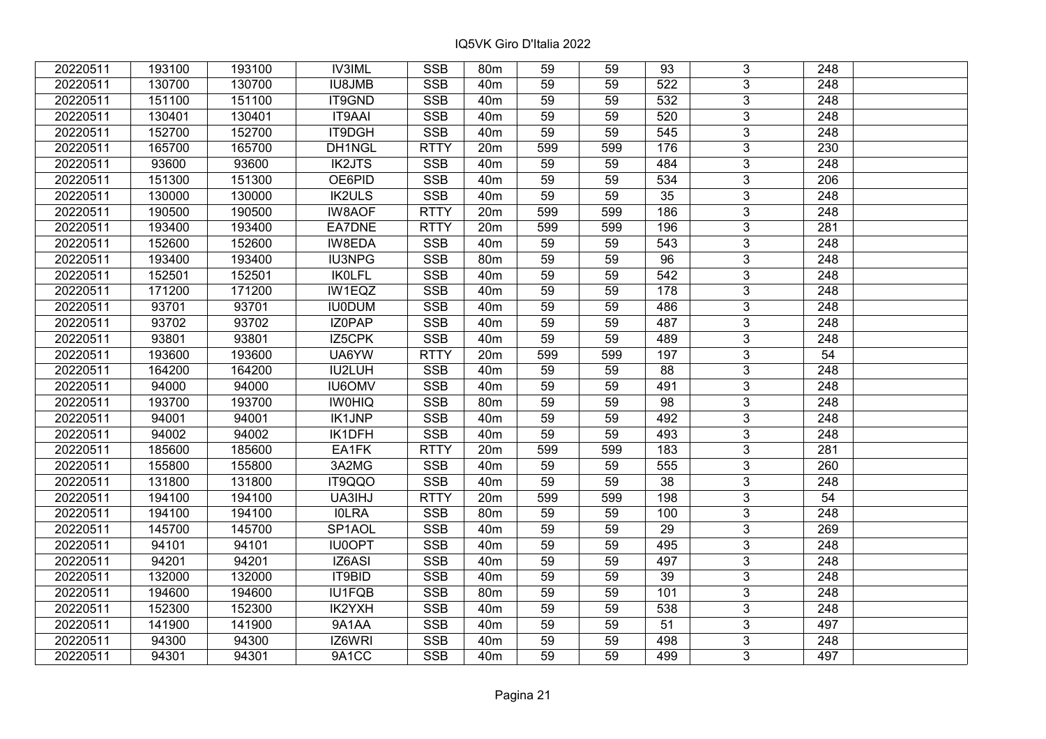| 20220511 | 193100 | 193100 | <b>IV3IML</b> | <b>SSB</b>  | 80m             | 59  | 59  | 93               | 3                         | 248              |  |
|----------|--------|--------|---------------|-------------|-----------------|-----|-----|------------------|---------------------------|------------------|--|
| 20220511 | 130700 | 130700 | <b>IU8JMB</b> | <b>SSB</b>  | 40 <sub>m</sub> | 59  | 59  | 522              | $\overline{3}$            | 248              |  |
| 20220511 | 151100 | 151100 | IT9GND        | <b>SSB</b>  | 40 <sub>m</sub> | 59  | 59  | $\overline{532}$ | $\overline{3}$            | 248              |  |
| 20220511 | 130401 | 130401 | <b>IT9AAI</b> | <b>SSB</b>  | 40 <sub>m</sub> | 59  | 59  | 520              | $\overline{3}$            | $\overline{248}$ |  |
| 20220511 | 152700 | 152700 | <b>IT9DGH</b> | <b>SSB</b>  | 40 <sub>m</sub> | 59  | 59  | 545              | 3                         | 248              |  |
| 20220511 | 165700 | 165700 | DH1NGL        | <b>RTTY</b> | 20m             | 599 | 599 | 176              | $\overline{3}$            | 230              |  |
| 20220511 | 93600  | 93600  | <b>IK2JTS</b> | <b>SSB</b>  | 40 <sub>m</sub> | 59  | 59  | 484              | $\overline{3}$            | 248              |  |
| 20220511 | 151300 | 151300 | OE6PID        | <b>SSB</b>  | 40m             | 59  | 59  | 534              | $\overline{3}$            | 206              |  |
| 20220511 | 130000 | 130000 | <b>IK2ULS</b> | SSB         | 40 <sub>m</sub> | 59  | 59  | 35               | $\overline{3}$            | $\overline{248}$ |  |
| 20220511 | 190500 | 190500 | <b>IW8AOF</b> | <b>RTTY</b> | 20m             | 599 | 599 | 186              | $\overline{3}$            | 248              |  |
| 20220511 | 193400 | 193400 | EA7DNE        | <b>RTTY</b> | 20m             | 599 | 599 | 196              | 3                         | 281              |  |
| 20220511 | 152600 | 152600 | <b>IW8EDA</b> | <b>SSB</b>  | 40m             | 59  | 59  | 543              | $\overline{3}$            | 248              |  |
| 20220511 | 193400 | 193400 | <b>IU3NPG</b> | <b>SSB</b>  | 80m             | 59  | 59  | 96               | $\mathbf{3}$              | 248              |  |
| 20220511 | 152501 | 152501 | <b>IKOLFL</b> | <b>SSB</b>  | 40m             | 59  | 59  | 542              | $\overline{3}$            | 248              |  |
| 20220511 | 171200 | 171200 | IW1EQZ        | <b>SSB</b>  | 40m             | 59  | 59  | 178              | $\overline{3}$            | 248              |  |
| 20220511 | 93701  | 93701  | <b>IU0DUM</b> | <b>SSB</b>  | 40m             | 59  | 59  | 486              | 3                         | 248              |  |
| 20220511 | 93702  | 93702  | IZ0PAP        | <b>SSB</b>  | 40 <sub>m</sub> | 59  | 59  | 487              | $\overline{3}$            | 248              |  |
| 20220511 | 93801  | 93801  | IZ5CPK        | <b>SSB</b>  | 40 <sub>m</sub> | 59  | 59  | 489              | 3                         | 248              |  |
| 20220511 | 193600 | 193600 | UA6YW         | <b>RTTY</b> | 20m             | 599 | 599 | 197              | 3                         | 54               |  |
| 20220511 | 164200 | 164200 | IU2LUH        | <b>SSB</b>  | 40 <sub>m</sub> | 59  | 59  | 88               | $\overline{3}$            | 248              |  |
| 20220511 | 94000  | 94000  | <b>IU6OMV</b> | <b>SSB</b>  | 40m             | 59  | 59  | 491              | $\overline{3}$            | 248              |  |
| 20220511 | 193700 | 193700 | <b>IWOHIQ</b> | <b>SSB</b>  | 80m             | 59  | 59  | 98               | $\overline{3}$            | 248              |  |
| 20220511 | 94001  | 94001  | IK1JNP        | <b>SSB</b>  | 40 <sub>m</sub> | 59  | 59  | 492              | $\overline{3}$            | 248              |  |
| 20220511 | 94002  | 94002  | IK1DFH        | <b>SSB</b>  | 40 <sub>m</sub> | 59  | 59  | 493              | $\overline{3}$            | 248              |  |
| 20220511 | 185600 | 185600 | EA1FK         | <b>RTTY</b> | 20m             | 599 | 599 | 183              | $\overline{3}$            | 281              |  |
| 20220511 | 155800 | 155800 | 3A2MG         | <b>SSB</b>  | 40 <sub>m</sub> | 59  | 59  | 555              | $\overline{3}$            | 260              |  |
| 20220511 | 131800 | 131800 | IT9QQO        | <b>SSB</b>  | 40 <sub>m</sub> | 59  | 59  | $\overline{38}$  | $\overline{3}$            | 248              |  |
| 20220511 | 194100 | 194100 | UA3IHJ        | <b>RTTY</b> | 20m             | 599 | 599 | 198              | $\overline{3}$            | 54               |  |
| 20220511 | 194100 | 194100 | <b>IOLRA</b>  | <b>SSB</b>  | 80m             | 59  | 59  | 100              | $\overline{3}$            | 248              |  |
| 20220511 | 145700 | 145700 | SP1AOL        | <b>SSB</b>  | 40 <sub>m</sub> | 59  | 59  | 29               | $\overline{3}$            | 269              |  |
| 20220511 | 94101  | 94101  | <b>IU0OPT</b> | <b>SSB</b>  | 40 <sub>m</sub> | 59  | 59  | 495              | $\overline{\overline{3}}$ | $\overline{248}$ |  |
| 20220511 | 94201  | 94201  | IZ6ASI        | <b>SSB</b>  | 40 <sub>m</sub> | 59  | 59  | 497              | $\overline{3}$            | 248              |  |
| 20220511 | 132000 | 132000 | IT9BID        | <b>SSB</b>  | 40 <sub>m</sub> | 59  | 59  | 39               | 3                         | 248              |  |
| 20220511 | 194600 | 194600 | IU1FQB        | <b>SSB</b>  | 80 <sub>m</sub> | 59  | 59  | 101              | $\overline{3}$            | $\overline{248}$ |  |
| 20220511 | 152300 | 152300 | IK2YXH        | <b>SSB</b>  | 40 <sub>m</sub> | 59  | 59  | 538              | 3                         | 248              |  |
| 20220511 | 141900 | 141900 | 9A1AA         | <b>SSB</b>  | 40m             | 59  | 59  | 51               | 3                         | 497              |  |
| 20220511 | 94300  | 94300  | IZ6WRI        | SSB         | 40 <sub>m</sub> | 59  | 59  | 498              | $\overline{3}$            | 248              |  |
| 20220511 | 94301  | 94301  | 9A1CC         | <b>SSB</b>  | 40m             | 59  | 59  | 499              | $\overline{3}$            | 497              |  |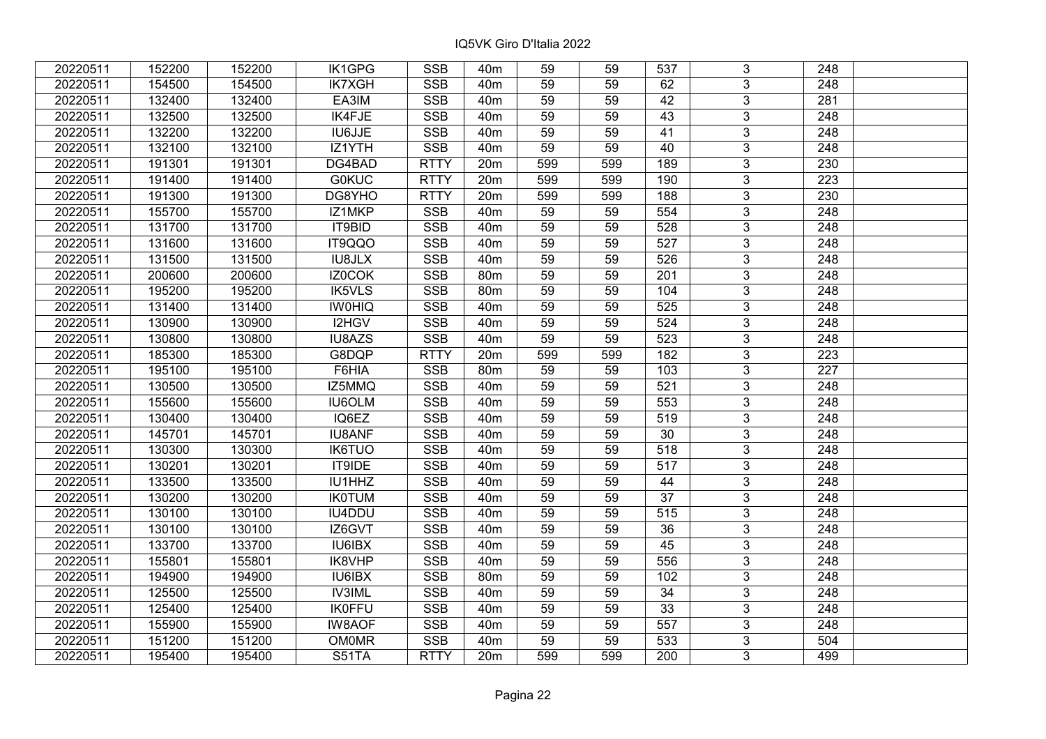| 20220511 | 152200 | 152200 | IK1GPG        | <b>SSB</b>  | 40 <sub>m</sub> | 59  | 59  | 537              | 3                       | 248              |  |
|----------|--------|--------|---------------|-------------|-----------------|-----|-----|------------------|-------------------------|------------------|--|
| 20220511 | 154500 | 154500 | <b>IK7XGH</b> | <b>SSB</b>  | 40 <sub>m</sub> | 59  | 59  | 62               | 3                       | 248              |  |
| 20220511 | 132400 | 132400 | EA3IM         | <b>SSB</b>  | 40 <sub>m</sub> | 59  | 59  | 42               | $\overline{3}$          | 281              |  |
| 20220511 | 132500 | 132500 | IK4FJE        | <b>SSB</b>  | 40 <sub>m</sub> | 59  | 59  | 43               | $\overline{3}$          | 248              |  |
| 20220511 | 132200 | 132200 | IU6JJE        | <b>SSB</b>  | 40 <sub>m</sub> | 59  | 59  | 41               | $\overline{3}$          | 248              |  |
| 20220511 | 132100 | 132100 | IZ1YTH        | <b>SSB</b>  | 40 <sub>m</sub> | 59  | 59  | 40               | 3                       | 248              |  |
| 20220511 | 191301 | 191301 | DG4BAD        | <b>RTTY</b> | 20m             | 599 | 599 | 189              | $\overline{3}$          | 230              |  |
| 20220511 | 191400 | 191400 | <b>G0KUC</b>  | <b>RTTY</b> | 20m             | 599 | 599 | 190              | $\overline{3}$          | 223              |  |
| 20220511 | 191300 | 191300 | DG8YHO        | <b>RTTY</b> | 20m             | 599 | 599 | 188              | $\overline{3}$          | 230              |  |
| 20220511 | 155700 | 155700 | IZ1MKP        | SSB         | 40 <sub>m</sub> | 59  | 59  | 554              | $\overline{3}$          | $\overline{248}$ |  |
| 20220511 | 131700 | 131700 | IT9BID        | <b>SSB</b>  | 40 <sub>m</sub> | 59  | 59  | 528              | $\mathbf{3}$            | 248              |  |
| 20220511 | 131600 | 131600 | IT9QQO        | <b>SSB</b>  | 40m             | 59  | 59  | 527              | $\overline{3}$          | 248              |  |
| 20220511 | 131500 | 131500 | <b>IU8JLX</b> | <b>SSB</b>  | 40m             | 59  | 59  | 526              | $\overline{3}$          | 248              |  |
| 20220511 | 200600 | 200600 | IZ0COK        | <b>SSB</b>  | 80m             | 59  | 59  | 201              | $\mathbf{3}$            | 248              |  |
| 20220511 | 195200 | 195200 | <b>IK5VLS</b> | <b>SSB</b>  | 80m             | 59  | 59  | 104              | 3                       | 248              |  |
| 20220511 | 131400 | 131400 | <b>IWOHIQ</b> | <b>SSB</b>  | 40m             | 59  | 59  | 525              | 3                       | 248              |  |
| 20220511 | 130900 | 130900 | I2HGV         | <b>SSB</b>  | 40 <sub>m</sub> | 59  | 59  | 524              | $\overline{3}$          | 248              |  |
| 20220511 | 130800 | 130800 | <b>IU8AZS</b> | <b>SSB</b>  | 40m             | 59  | 59  | 523              | $\mathbf{3}$            | 248              |  |
| 20220511 | 185300 | 185300 | G8DQP         | <b>RTTY</b> | 20m             | 599 | 599 | 182              | 3                       | 223              |  |
| 20220511 | 195100 | 195100 | F6HIA         | <b>SSB</b>  | 80 <sub>m</sub> | 59  | 59  | 103              | $\overline{3}$          | 227              |  |
| 20220511 | 130500 | 130500 | IZ5MMQ        | <b>SSB</b>  | 40m             | 59  | 59  | 521              | $\overline{3}$          | 248              |  |
| 20220511 | 155600 | 155600 | <b>IU6OLM</b> | <b>SSB</b>  | 40 <sub>m</sub> | 59  | 59  | 553              | 3                       | 248              |  |
| 20220511 | 130400 | 130400 | IQ6EZ         | <b>SSB</b>  | 40m             | 59  | 59  | 519              | $\overline{3}$          | 248              |  |
| 20220511 | 145701 | 145701 | <b>IU8ANF</b> | <b>SSB</b>  | 40 <sub>m</sub> | 59  | 59  | 30               | $\overline{3}$          | 248              |  |
| 20220511 | 130300 | 130300 | <b>IK6TUO</b> | <b>SSB</b>  | 40 <sub>m</sub> | 59  | 59  | 518              | $\overline{3}$          | 248              |  |
| 20220511 | 130201 | 130201 | <b>IT9IDE</b> | <b>SSB</b>  | 40 <sub>m</sub> | 59  | 59  | $\overline{517}$ | $\overline{3}$          | $\overline{248}$ |  |
| 20220511 | 133500 | 133500 | IU1HHZ        | <b>SSB</b>  | 40 <sub>m</sub> | 59  | 59  | 44               | $\overline{3}$          | 248              |  |
| 20220511 | 130200 | 130200 | <b>IK0TUM</b> | <b>SSB</b>  | 40 <sub>m</sub> | 59  | 59  | 37               | $\overline{3}$          | 248              |  |
| 20220511 | 130100 | 130100 | IU4DDU        | <b>SSB</b>  | 40 <sub>m</sub> | 59  | 59  | 515              | $\overline{\mathbf{3}}$ | 248              |  |
| 20220511 | 130100 | 130100 | IZ6GVT        | <b>SSB</b>  | 40 <sub>m</sub> | 59  | 59  | $\overline{36}$  | $\overline{3}$          | $\overline{248}$ |  |
| 20220511 | 133700 | 133700 | <b>IU6IBX</b> | <b>SSB</b>  | 40 <sub>m</sub> | 59  | 59  | 45               | $\overline{3}$          | 248              |  |
| 20220511 | 155801 | 155801 | IK8VHP        | <b>SSB</b>  | 40m             | 59  | 59  | 556              | $\overline{3}$          | 248              |  |
| 20220511 | 194900 | 194900 | IU6IBX        | <b>SSB</b>  | 80 <sub>m</sub> | 59  | 59  | 102              | $\overline{3}$          | 248              |  |
| 20220511 | 125500 | 125500 | <b>IV3IML</b> | <b>SSB</b>  | 40 <sub>m</sub> | 59  | 59  | 34               | $\overline{3}$          | 248              |  |
| 20220511 | 125400 | 125400 | <b>IK0FFU</b> | <b>SSB</b>  | 40m             | 59  | 59  | 33               | 3                       | 248              |  |
| 20220511 | 155900 | 155900 | <b>IW8AOF</b> | <b>SSB</b>  | 40m             | 59  | 59  | $\overline{557}$ | $\overline{3}$          | 248              |  |
| 20220511 | 151200 | 151200 | <b>OM0MR</b>  | <b>SSB</b>  | 40m             | 59  | 59  | 533              | 3                       | 504              |  |
| 20220511 | 195400 | 195400 | S51TA         | <b>RTTY</b> | 20m             | 599 | 599 | 200              | 3                       | 499              |  |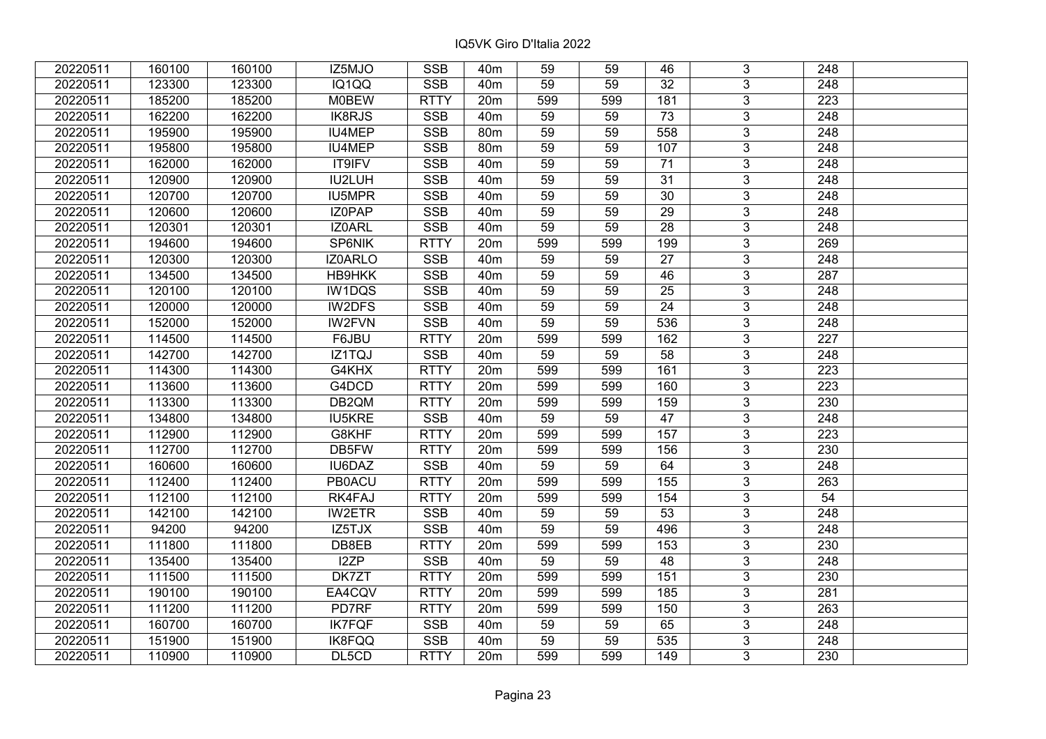| 20220511 | 160100 | 160100 | IZ5MJO        | <b>SSB</b>  | 40 <sub>m</sub> | 59              | 59  | 46               | 3              | 248              |  |
|----------|--------|--------|---------------|-------------|-----------------|-----------------|-----|------------------|----------------|------------------|--|
| 20220511 | 123300 | 123300 | IQ1QQ         | <b>SSB</b>  | 40 <sub>m</sub> | 59              | 59  | 32               | $\overline{3}$ | 248              |  |
| 20220511 | 185200 | 185200 | <b>M0BEW</b>  | <b>RTTY</b> | 20m             | 599             | 599 | 181              | $\overline{3}$ | $\overline{223}$ |  |
| 20220511 | 162200 | 162200 | <b>IK8RJS</b> | <b>SSB</b>  | 40 <sub>m</sub> | 59              | 59  | $\overline{73}$  | $\overline{3}$ | $\overline{248}$ |  |
| 20220511 | 195900 | 195900 | IU4MEP        | <b>SSB</b>  | 80 <sub>m</sub> | 59              | 59  | 558              | 3              | 248              |  |
| 20220511 | 195800 | 195800 | IU4MEP        | <b>SSB</b>  | 80m             | 59              | 59  | 107              | $\overline{3}$ | 248              |  |
| 20220511 | 162000 | 162000 | IT9IFV        | <b>SSB</b>  | 40 <sub>m</sub> | 59              | 59  | 71               | $\overline{3}$ | 248              |  |
| 20220511 | 120900 | 120900 | IU2LUH        | <b>SSB</b>  | 40 <sub>m</sub> | 59              | 59  | 31               | $\overline{3}$ | 248              |  |
| 20220511 | 120700 | 120700 | <b>IU5MPR</b> | <b>SSB</b>  | 40 <sub>m</sub> | 59              | 59  | 30               | $\overline{3}$ | $\overline{248}$ |  |
| 20220511 | 120600 | 120600 | IZ0PAP        | <b>SSB</b>  | 40 <sub>m</sub> | 59              | 59  | 29               | $\overline{3}$ | 248              |  |
| 20220511 | 120301 | 120301 | IZ0ARL        | <b>SSB</b>  | 40 <sub>m</sub> | 59              | 59  | 28               | 3              | 248              |  |
| 20220511 | 194600 | 194600 | SP6NIK        | <b>RTTY</b> | 20m             | 599             | 599 | 199              | $\overline{3}$ | 269              |  |
| 20220511 | 120300 | 120300 | IZ0ARLO       | <b>SSB</b>  | 40 <sub>m</sub> | 59              | 59  | 27               | 3              | 248              |  |
| 20220511 | 134500 | 134500 | HB9HKK        | <b>SSB</b>  | 40m             | 59              | 59  | 46               | 3              | 287              |  |
| 20220511 | 120100 | 120100 | IW1DQS        | <b>SSB</b>  | 40 <sub>m</sub> | 59              | 59  | 25               | $\overline{3}$ | 248              |  |
| 20220511 | 120000 | 120000 | IW2DFS        | <b>SSB</b>  | 40 <sub>m</sub> | 59              | 59  | 24               | $\overline{3}$ | 248              |  |
| 20220511 | 152000 | 152000 | <b>IW2FVN</b> | <b>SSB</b>  | 40 <sub>m</sub> | 59              | 59  | 536              | 3              | 248              |  |
| 20220511 | 114500 | 114500 | F6JBU         | <b>RTTY</b> | 20m             | 599             | 599 | 162              | 3              | 227              |  |
| 20220511 | 142700 | 142700 | IZ1TQJ        | <b>SSB</b>  | 40 <sub>m</sub> | 59              | 59  | $\overline{58}$  | $\overline{3}$ | 248              |  |
| 20220511 | 114300 | 114300 | G4KHX         | <b>RTTY</b> | 20m             | 599             | 599 | 161              | $\overline{3}$ | 223              |  |
| 20220511 | 113600 | 113600 | G4DCD         | <b>RTTY</b> | 20 <sub>m</sub> | 599             | 599 | 160              | $\overline{3}$ | 223              |  |
| 20220511 | 113300 | 113300 | DB2QM         | <b>RTTY</b> | 20m             | 599             | 599 | 159              | $\overline{3}$ | 230              |  |
| 20220511 | 134800 | 134800 | <b>IU5KRE</b> | <b>SSB</b>  | 40 <sub>m</sub> | 59              | 59  | 47               | 3              | 248              |  |
| 20220511 | 112900 | 112900 | G8KHF         | <b>RTTY</b> | 20m             | 599             | 599 | 157              | $\overline{3}$ | 223              |  |
| 20220511 | 112700 | 112700 | DB5FW         | <b>RTTY</b> | 20m             | 599             | 599 | 156              | $\overline{3}$ | 230              |  |
| 20220511 | 160600 | 160600 | IU6DAZ        | <b>SSB</b>  | 40 <sub>m</sub> | 59              | 59  | 64               | $\overline{3}$ | 248              |  |
| 20220511 | 112400 | 112400 | <b>PB0ACU</b> | <b>RTTY</b> | 20m             | 599             | 599 | $\overline{155}$ | $\overline{3}$ | $\overline{263}$ |  |
| 20220511 | 112100 | 112100 | RK4FAJ        | <b>RTTY</b> | 20m             | 599             | 599 | 154              | $\overline{3}$ | 54               |  |
| 20220511 | 142100 | 142100 | <b>IW2ETR</b> | <b>SSB</b>  | 40 <sub>m</sub> | 59              | 59  | $\overline{53}$  | $\overline{3}$ | 248              |  |
| 20220511 | 94200  | 94200  | IZ5TJX        | SSB         | 40 <sub>m</sub> | $\overline{59}$ | 59  | 496              | $\overline{3}$ | $\overline{248}$ |  |
| 20220511 | 111800 | 111800 | DB8EB         | <b>RTTY</b> | 20m             | 599             | 599 | 153              | $\overline{3}$ | 230              |  |
| 20220511 | 135400 | 135400 | I2ZP          | <b>SSB</b>  | 40 <sub>m</sub> | 59              | 59  | 48               | $\overline{3}$ | 248              |  |
| 20220511 | 111500 | 111500 | DK7ZT         | <b>RTTY</b> | 20m             | 599             | 599 | 151              | 3              | 230              |  |
| 20220511 | 190100 | 190100 | EA4CQV        | <b>RTTY</b> | 20m             | 599             | 599 | 185              | $\overline{3}$ | 281              |  |
| 20220511 | 111200 | 111200 | PD7RF         | <b>RTTY</b> | 20m             | 599             | 599 | 150              | $\overline{3}$ | 263              |  |
| 20220511 | 160700 | 160700 | <b>IK7FQF</b> | <b>SSB</b>  | 40 <sub>m</sub> | 59              | 59  | 65               | 3              | 248              |  |
| 20220511 | 151900 | 151900 | IK8FQQ        | SSB         | 40 <sub>m</sub> | 59              | 59  | 535              | 3              | 248              |  |
| 20220511 | 110900 | 110900 | DL5CD         | <b>RTTY</b> | 20m             | 599             | 599 | 149              | 3              | 230              |  |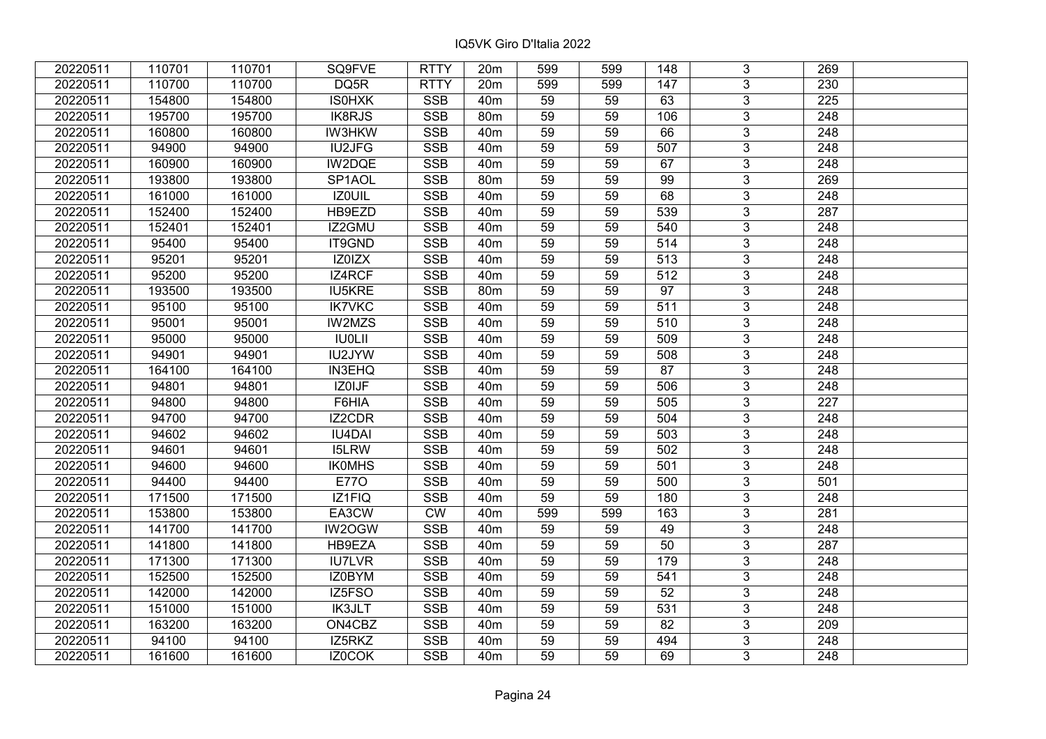| 20220511 | 110701 | 110701 | SQ9FVE        | <b>RTTY</b> | 20m             | 599 | 599 | 148              | 3              | 269              |  |
|----------|--------|--------|---------------|-------------|-----------------|-----|-----|------------------|----------------|------------------|--|
| 20220511 | 110700 | 110700 | DQ5R          | <b>RTTY</b> | 20m             | 599 | 599 | 147              | $\overline{3}$ | 230              |  |
| 20220511 | 154800 | 154800 | <b>ISOHXK</b> | <b>SSB</b>  | 40 <sub>m</sub> | 59  | 59  | 63               | $\overline{3}$ | 225              |  |
| 20220511 | 195700 | 195700 | IK8RJS        | <b>SSB</b>  | 80m             | 59  | 59  | 106              | $\overline{3}$ | 248              |  |
| 20220511 | 160800 | 160800 | <b>IW3HKW</b> | <b>SSB</b>  | 40 <sub>m</sub> | 59  | 59  | 66               | 3              | 248              |  |
| 20220511 | 94900  | 94900  | IU2JFG        | <b>SSB</b>  | 40 <sub>m</sub> | 59  | 59  | 507              | $\overline{3}$ | 248              |  |
| 20220511 | 160900 | 160900 | IW2DQE        | <b>SSB</b>  | 40 <sub>m</sub> | 59  | 59  | 67               | $\overline{3}$ | 248              |  |
| 20220511 | 193800 | 193800 | SP1AOL        | <b>SSB</b>  | 80 <sub>m</sub> | 59  | 59  | 99               | 3              | 269              |  |
| 20220511 | 161000 | 161000 | <b>IZOUIL</b> | <b>SSB</b>  | 40 <sub>m</sub> | 59  | 59  | 68               | $\overline{3}$ | $\overline{248}$ |  |
| 20220511 | 152400 | 152400 | HB9EZD        | <b>SSB</b>  | 40 <sub>m</sub> | 59  | 59  | 539              | $\overline{3}$ | 287              |  |
| 20220511 | 152401 | 152401 | IZ2GMU        | <b>SSB</b>  | 40 <sub>m</sub> | 59  | 59  | 540              | 3              | 248              |  |
| 20220511 | 95400  | 95400  | IT9GND        | <b>SSB</b>  | 40 <sub>m</sub> | 59  | 59  | 514              | $\overline{3}$ | 248              |  |
| 20220511 | 95201  | 95201  | IZ0IZX        | <b>SSB</b>  | 40 <sub>m</sub> | 59  | 59  | 513              | 3              | 248              |  |
| 20220511 | 95200  | 95200  | IZ4RCF        | <b>SSB</b>  | 40 <sub>m</sub> | 59  | 59  | $\overline{512}$ | $\overline{3}$ | 248              |  |
| 20220511 | 193500 | 193500 | <b>IU5KRE</b> | <b>SSB</b>  | 80 <sub>m</sub> | 59  | 59  | $\overline{97}$  | 3              | 248              |  |
| 20220511 | 95100  | 95100  | <b>IK7VKC</b> | <b>SSB</b>  | 40 <sub>m</sub> | 59  | 59  | 511              | 3              | 248              |  |
| 20220511 | 95001  | 95001  | IW2MZS        | <b>SSB</b>  | 40 <sub>m</sub> | 59  | 59  | 510              | $\overline{3}$ | 248              |  |
| 20220511 | 95000  | 95000  | <b>IU0LII</b> | <b>SSB</b>  | 40 <sub>m</sub> | 59  | 59  | 509              | 3              | 248              |  |
| 20220511 | 94901  | 94901  | IU2JYW        | <b>SSB</b>  | 40 <sub>m</sub> | 59  | 59  | 508              | 3              | 248              |  |
| 20220511 | 164100 | 164100 | <b>IN3EHQ</b> | <b>SSB</b>  | 40 <sub>m</sub> | 59  | 59  | 87               | $\overline{3}$ | 248              |  |
| 20220511 | 94801  | 94801  | IZ0IJF        | <b>SSB</b>  | 40 <sub>m</sub> | 59  | 59  | 506              | $\overline{3}$ | 248              |  |
| 20220511 | 94800  | 94800  | F6HIA         | <b>SSB</b>  | 40 <sub>m</sub> | 59  | 59  | 505              | 3              | 227              |  |
| 20220511 | 94700  | 94700  | IZ2CDR        | SSB         | 40 <sub>m</sub> | 59  | 59  | 504              | $\overline{3}$ | 248              |  |
| 20220511 | 94602  | 94602  | <b>IU4DAI</b> | <b>SSB</b>  | 40 <sub>m</sub> | 59  | 59  | 503              | $\overline{3}$ | 248              |  |
| 20220511 | 94601  | 94601  | <b>I5LRW</b>  | <b>SSB</b>  | 40 <sub>m</sub> | 59  | 59  | 502              | 3              | 248              |  |
| 20220511 | 94600  | 94600  | <b>IKOMHS</b> | <b>SSB</b>  | 40 <sub>m</sub> | 59  | 59  | 501              | $\overline{3}$ | $\overline{248}$ |  |
| 20220511 | 94400  | 94400  | <b>E770</b>   | <b>SSB</b>  | 40 <sub>m</sub> | 59  | 59  | 500              | $\overline{3}$ | 501              |  |
| 20220511 | 171500 | 171500 | IZ1FIQ        | <b>SSB</b>  | 40 <sub>m</sub> | 59  | 59  | 180              | $\overline{3}$ | $\overline{248}$ |  |
| 20220511 | 153800 | 153800 | EA3CW         | <b>CW</b>   | 40 <sub>m</sub> | 599 | 599 | 163              | $\overline{3}$ | 281              |  |
| 20220511 | 141700 | 141700 | IW2OGW        | <b>SSB</b>  | 40 <sub>m</sub> | 59  | 59  | 49               | $\overline{3}$ | 248              |  |
| 20220511 | 141800 | 141800 | HB9EZA        | SSB         | 40 <sub>m</sub> | 59  | 59  | $\overline{50}$  | $\overline{3}$ | $\overline{287}$ |  |
| 20220511 | 171300 | 171300 | <b>IU7LVR</b> | <b>SSB</b>  | 40 <sub>m</sub> | 59  | 59  | 179              | $\overline{3}$ | 248              |  |
| 20220511 | 152500 | 152500 | IZ0BYM        | <b>SSB</b>  | 40 <sub>m</sub> | 59  | 59  | 541              | 3              | 248              |  |
| 20220511 | 142000 | 142000 | IZ5FSO        | <b>SSB</b>  | 40 <sub>m</sub> | 59  | 59  | $\overline{52}$  | $\overline{3}$ | $\overline{248}$ |  |
| 20220511 | 151000 | 151000 | IK3JLT        | <b>SSB</b>  | 40 <sub>m</sub> | 59  | 59  | 531              | 3              | 248              |  |
| 20220511 | 163200 | 163200 | ON4CBZ        | <b>SSB</b>  | 40 <sub>m</sub> | 59  | 59  | 82               | 3              | 209              |  |
| 20220511 | 94100  | 94100  | IZ5RKZ        | SSB         | 40 <sub>m</sub> | 59  | 59  | 494              | $\overline{3}$ | 248              |  |
| 20220511 | 161600 | 161600 | IZ0COK        | <b>SSB</b>  | 40 <sub>m</sub> | 59  | 59  | 69               | $\overline{3}$ | 248              |  |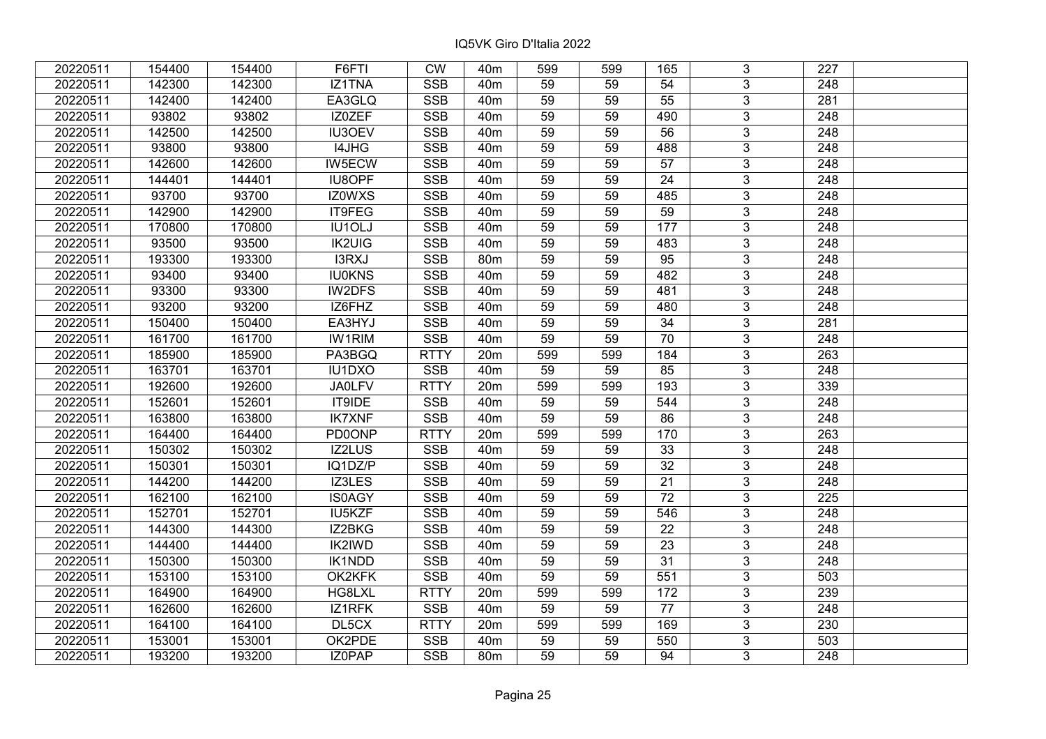| 20220511 | 154400 | 154400 | F6FTI         | <b>CW</b>   | 40 <sub>m</sub> | 599 | 599 | 165             | 3              | 227              |  |
|----------|--------|--------|---------------|-------------|-----------------|-----|-----|-----------------|----------------|------------------|--|
| 20220511 | 142300 | 142300 | IZ1TNA        | <b>SSB</b>  | 40 <sub>m</sub> | 59  | 59  | 54              | 3 <sup>1</sup> | 248              |  |
| 20220511 | 142400 | 142400 | EA3GLQ        | <b>SSB</b>  | 40 <sub>m</sub> | 59  | 59  | $\overline{55}$ | $\overline{3}$ | 281              |  |
| 20220511 | 93802  | 93802  | IZ0ZEF        | <b>SSB</b>  | 40 <sub>m</sub> | 59  | 59  | 490             | $\overline{3}$ | 248              |  |
| 20220511 | 142500 | 142500 | IU3OEV        | <b>SSB</b>  | 40 <sub>m</sub> | 59  | 59  | 56              | 3 <sup>1</sup> | 248              |  |
| 20220511 | 93800  | 93800  | I4JHG         | <b>SSB</b>  | 40 <sub>m</sub> | 59  | 59  | 488             | $\overline{3}$ | 248              |  |
| 20220511 | 142600 | 142600 | IW5ECW        | <b>SSB</b>  | 40 <sub>m</sub> | 59  | 59  | 57              | $\overline{3}$ | 248              |  |
| 20220511 | 144401 | 144401 | <b>IU8OPF</b> | <b>SSB</b>  | 40 <sub>m</sub> | 59  | 59  | 24              | $\overline{3}$ | 248              |  |
| 20220511 | 93700  | 93700  | <b>IZ0WXS</b> | <b>SSB</b>  | 40 <sub>m</sub> | 59  | 59  | 485             | $\overline{3}$ | 248              |  |
| 20220511 | 142900 | 142900 | IT9FEG        | <b>SSB</b>  | 40 <sub>m</sub> | 59  | 59  | 59              | $\overline{3}$ | 248              |  |
| 20220511 | 170800 | 170800 | IU1OLJ        | <b>SSB</b>  | 40 <sub>m</sub> | 59  | 59  | 177             | $\overline{3}$ | 248              |  |
| 20220511 | 93500  | 93500  | <b>IK2UIG</b> | <b>SSB</b>  | 40 <sub>m</sub> | 59  | 59  | 483             | $\overline{3}$ | 248              |  |
| 20220511 | 193300 | 193300 | I3RXJ         | <b>SSB</b>  | 80m             | 59  | 59  | 95              | 3              | 248              |  |
| 20220511 | 93400  | 93400  | <b>IU0KNS</b> | <b>SSB</b>  | 40 <sub>m</sub> | 59  | 59  | 482             | $\overline{3}$ | 248              |  |
| 20220511 | 93300  | 93300  | IW2DFS        | <b>SSB</b>  | 40 <sub>m</sub> | 59  | 59  | 481             | $\mathfrak{S}$ | 248              |  |
| 20220511 | 93200  | 93200  | IZ6FHZ        | <b>SSB</b>  | 40 <sub>m</sub> | 59  | 59  | 480             | 3              | 248              |  |
| 20220511 | 150400 | 150400 | EA3HYJ        | <b>SSB</b>  | 40 <sub>m</sub> | 59  | 59  | 34              | $\mathfrak{S}$ | 281              |  |
| 20220511 | 161700 | 161700 | <b>IW1RIM</b> | <b>SSB</b>  | 40 <sub>m</sub> | 59  | 59  | 70              | $\mathfrak{S}$ | 248              |  |
| 20220511 | 185900 | 185900 | PA3BGQ        | <b>RTTY</b> | 20m             | 599 | 599 | 184             | $\mathfrak{S}$ | 263              |  |
| 20220511 | 163701 | 163701 | <b>IU1DXO</b> | <b>SSB</b>  | 40 <sub>m</sub> | 59  | 59  | 85              | $\overline{3}$ | 248              |  |
| 20220511 | 192600 | 192600 | <b>JA0LFV</b> | <b>RTTY</b> | 20m             | 599 | 599 | 193             | $\overline{3}$ | 339              |  |
| 20220511 | 152601 | 152601 | IT9IDE        | <b>SSB</b>  | 40 <sub>m</sub> | 59  | 59  | 544             | $\mathfrak{S}$ | 248              |  |
| 20220511 | 163800 | 163800 | <b>IK7XNF</b> | <b>SSB</b>  | 40 <sub>m</sub> | 59  | 59  | 86              | $\overline{3}$ | 248              |  |
| 20220511 | 164400 | 164400 | <b>PD0ONP</b> | <b>RTTY</b> | 20m             | 599 | 599 | 170             | $\mathbf{3}$   | 263              |  |
| 20220511 | 150302 | 150302 | IZ2LUS        | <b>SSB</b>  | 40 <sub>m</sub> | 59  | 59  | $\overline{33}$ | $\overline{3}$ | 248              |  |
| 20220511 | 150301 | 150301 | IQ1DZ/P       | <b>SSB</b>  | 40 <sub>m</sub> | 59  | 59  | $\overline{32}$ | $\overline{3}$ | 248              |  |
| 20220511 | 144200 | 144200 | IZ3LES        | <b>SSB</b>  | 40 <sub>m</sub> | 59  | 59  | 21              | $\mathfrak{S}$ | 248              |  |
| 20220511 | 162100 | 162100 | <b>IS0AGY</b> | <b>SSB</b>  | 40 <sub>m</sub> | 59  | 59  | $\overline{72}$ | $\overline{3}$ | $\overline{225}$ |  |
| 20220511 | 152701 | 152701 | IU5KZF        | <b>SSB</b>  | 40 <sub>m</sub> | 59  | 59  | 546             | $\overline{3}$ | 248              |  |
| 20220511 | 144300 | 144300 | IZ2BKG        | <b>SSB</b>  | 40 <sub>m</sub> | 59  | 59  | $\overline{22}$ | $\overline{3}$ | 248              |  |
| 20220511 | 144400 | 144400 | <b>IK2IWD</b> | <b>SSB</b>  | 40 <sub>m</sub> | 59  | 59  | $\overline{23}$ | $\overline{3}$ | 248              |  |
| 20220511 | 150300 | 150300 | IK1NDD        | <b>SSB</b>  | 40 <sub>m</sub> | 59  | 59  | $\overline{31}$ | $\overline{3}$ | 248              |  |
| 20220511 | 153100 | 153100 | OK2KFK        | <b>SSB</b>  | 40 <sub>m</sub> | 59  | 59  | 551             | $\mathbf{3}$   | 503              |  |
| 20220511 | 164900 | 164900 | HG8LXL        | <b>RTTY</b> | 20m             | 599 | 599 | 172             | $\overline{3}$ | 239              |  |
| 20220511 | 162600 | 162600 | IZ1RFK        | <b>SSB</b>  | 40 <sub>m</sub> | 59  | 59  | 77              | $\overline{3}$ | 248              |  |
| 20220511 | 164100 | 164100 | DL5CX         | <b>RTTY</b> | 20m             | 599 | 599 | 169             | 3              | 230              |  |
| 20220511 | 153001 | 153001 | OK2PDE        | <b>SSB</b>  | 40 <sub>m</sub> | 59  | 59  | 550             | $\mathfrak{S}$ | 503              |  |
| 20220511 | 193200 | 193200 | IZ0PAP        | <b>SSB</b>  | 80 <sub>m</sub> | 59  | 59  | 94              | 3 <sup>1</sup> | 248              |  |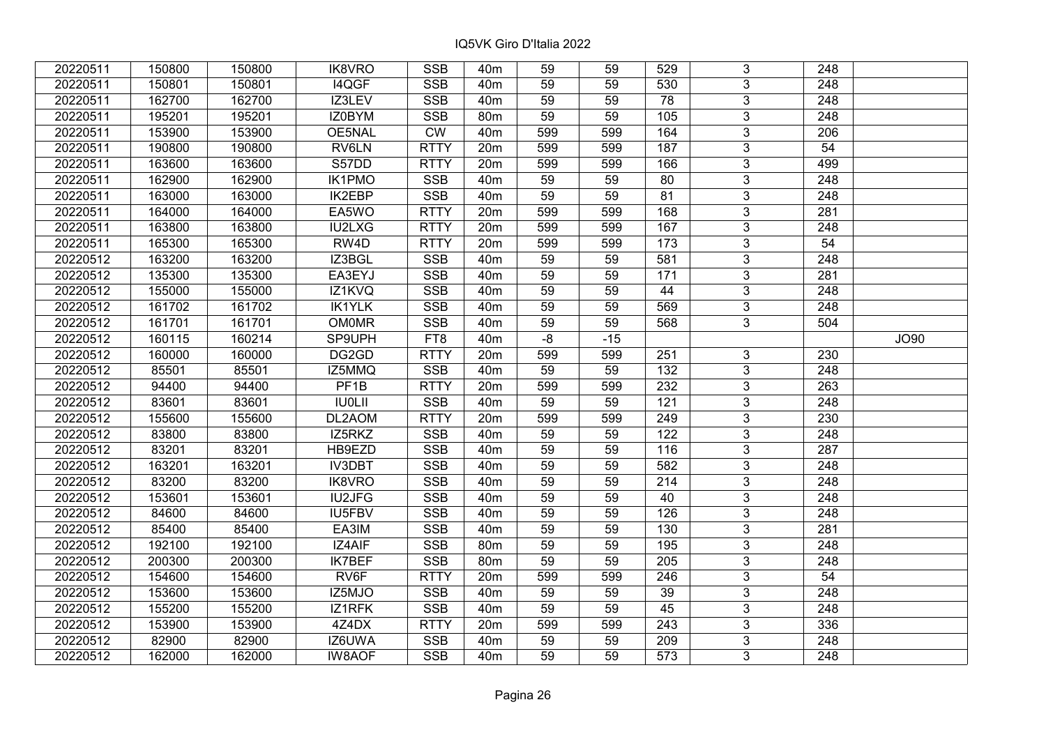| 20220511 | 150800 | 150800 | <b>IK8VRO</b>    | <b>SSB</b>  | 40 <sub>m</sub> | 59              | 59    | 529             | 3              | 248              |      |
|----------|--------|--------|------------------|-------------|-----------------|-----------------|-------|-----------------|----------------|------------------|------|
| 20220511 | 150801 | 150801 | <b>I4QGF</b>     | <b>SSB</b>  | 40 <sub>m</sub> | 59              | 59    | 530             | 3              | 248              |      |
| 20220511 | 162700 | 162700 | IZ3LEV           | <b>SSB</b>  | 40 <sub>m</sub> | 59              | 59    | $\overline{78}$ | $\overline{3}$ | 248              |      |
| 20220511 | 195201 | 195201 | IZ0BYM           | <b>SSB</b>  | 80m             | 59              | 59    | 105             | $\overline{3}$ | 248              |      |
| 20220511 | 153900 | 153900 | OE5NAL           | <b>CW</b>   | 40 <sub>m</sub> | 599             | 599   | 164             | $\overline{3}$ | 206              |      |
| 20220511 | 190800 | 190800 | RV6LN            | <b>RTTY</b> | 20m             | 599             | 599   | 187             | $\overline{3}$ | 54               |      |
| 20220511 | 163600 | 163600 | S57DD            | <b>RTTY</b> | 20m             | 599             | 599   | 166             | $\overline{3}$ | 499              |      |
| 20220511 | 162900 | 162900 | <b>IK1PMO</b>    | <b>SSB</b>  | 40 <sub>m</sub> | 59              | 59    | 80              | $\overline{3}$ | 248              |      |
| 20220511 | 163000 | 163000 | <b>IK2EBP</b>    | <b>SSB</b>  | 40 <sub>m</sub> | 59              | 59    | 81              | $\overline{3}$ | 248              |      |
| 20220511 | 164000 | 164000 | EA5WO            | <b>RTTY</b> | 20m             | 599             | 599   | 168             | $\overline{3}$ | 281              |      |
| 20220511 | 163800 | 163800 | IU2LXG           | <b>RTTY</b> | 20 <sub>m</sub> | 599             | 599   | 167             | $\overline{3}$ | 248              |      |
| 20220511 | 165300 | 165300 | RW4D             | <b>RTTY</b> | 20m             | 599             | 599   | 173             | $\overline{3}$ | 54               |      |
| 20220512 | 163200 | 163200 | IZ3BGL           | <b>SSB</b>  | 40 <sub>m</sub> | 59              | 59    | 581             | 3              | 248              |      |
| 20220512 | 135300 | 135300 | EA3EYJ           | <b>SSB</b>  | 40 <sub>m</sub> | 59              | 59    | 171             | $\overline{3}$ | 281              |      |
| 20220512 | 155000 | 155000 | IZ1KVQ           | <b>SSB</b>  | 40 <sub>m</sub> | 59              | 59    | 44              | 3              | 248              |      |
| 20220512 | 161702 | 161702 | <b>IK1YLK</b>    | <b>SSB</b>  | 40 <sub>m</sub> | 59              | 59    | 569             | 3              | 248              |      |
| 20220512 | 161701 | 161701 | <b>OM0MR</b>     | <b>SSB</b>  | 40 <sub>m</sub> | 59              | 59    | 568             | $\overline{3}$ | 504              |      |
| 20220512 | 160115 | 160214 | SP9UPH           | FT8         | 40 <sub>m</sub> | -8              | $-15$ |                 |                |                  | JO90 |
| 20220512 | 160000 | 160000 | DG2GD            | <b>RTTY</b> | 20m             | 599             | 599   | 251             | 3              | 230              |      |
| 20220512 | 85501  | 85501  | IZ5MMQ           | <b>SSB</b>  | 40 <sub>m</sub> | 59              | 59    | 132             | $\overline{3}$ | 248              |      |
| 20220512 | 94400  | 94400  | PF <sub>1B</sub> | <b>RTTY</b> | 20m             | 599             | 599   | 232             | $\overline{3}$ | 263              |      |
| 20220512 | 83601  | 83601  | <b>IUOLII</b>    | <b>SSB</b>  | 40 <sub>m</sub> | 59              | 59    | 121             | 3              | 248              |      |
| 20220512 | 155600 | 155600 | DL2AOM           | <b>RTTY</b> | 20m             | 599             | 599   | 249             | $\overline{3}$ | 230              |      |
| 20220512 | 83800  | 83800  | IZ5RKZ           | <b>SSB</b>  | 40 <sub>m</sub> | 59              | 59    | 122             | $\overline{3}$ | 248              |      |
| 20220512 | 83201  | 83201  | HB9EZD           | <b>SSB</b>  | 40 <sub>m</sub> | $\overline{59}$ | 59    | 116             | $\overline{3}$ | 287              |      |
| 20220512 | 163201 | 163201 | IV3DBT           | <b>SSB</b>  | 40 <sub>m</sub> | $\overline{59}$ | 59    | 582             | $\overline{3}$ | 248              |      |
| 20220512 | 83200  | 83200  | IK8VRO           | <b>SSB</b>  | 40 <sub>m</sub> | 59              | 59    | 214             | $\overline{3}$ | 248              |      |
| 20220512 | 153601 | 153601 | <b>IU2JFG</b>    | <b>SSB</b>  | 40 <sub>m</sub> | 59              | 59    | 40              | $\overline{3}$ | $\overline{248}$ |      |
| 20220512 | 84600  | 84600  | <b>IU5FBV</b>    | <b>SSB</b>  | 40 <sub>m</sub> | $\overline{59}$ | 59    | 126             | $\overline{3}$ | 248              |      |
| 20220512 | 85400  | 85400  | EA3IM            | <b>SSB</b>  | 40 <sub>m</sub> | 59              | 59    | 130             | $\overline{3}$ | 281              |      |
| 20220512 | 192100 | 192100 | <b>IZ4AIF</b>    | <b>SSB</b>  | 80 <sub>m</sub> | 59              | 59    | 195             | $\overline{3}$ | 248              |      |
| 20220512 | 200300 | 200300 | <b>IK7BEF</b>    | <b>SSB</b>  | 80m             | 59              | 59    | 205             | $\overline{3}$ | 248              |      |
| 20220512 | 154600 | 154600 | RV6F             | <b>RTTY</b> | 20m             | 599             | 599   | 246             | 3              | 54               |      |
| 20220512 | 153600 | 153600 | IZ5MJO           | <b>SSB</b>  | 40 <sub>m</sub> | 59              | 59    | 39              | $\overline{3}$ | 248              |      |
| 20220512 | 155200 | 155200 | IZ1RFK           | <b>SSB</b>  | 40 <sub>m</sub> | 59              | 59    | 45              | $\overline{3}$ | 248              |      |
| 20220512 | 153900 | 153900 | 4Z4DX            | <b>RTTY</b> | 20m             | 599             | 599   | 243             | 3              | 336              |      |
| 20220512 | 82900  | 82900  | IZ6UWA           | <b>SSB</b>  | 40 <sub>m</sub> | 59              | 59    | 209             | $\overline{3}$ | 248              |      |
| 20220512 | 162000 | 162000 | <b>IW8AOF</b>    | <b>SSB</b>  | 40 <sub>m</sub> | 59              | 59    | 573             | 3              | 248              |      |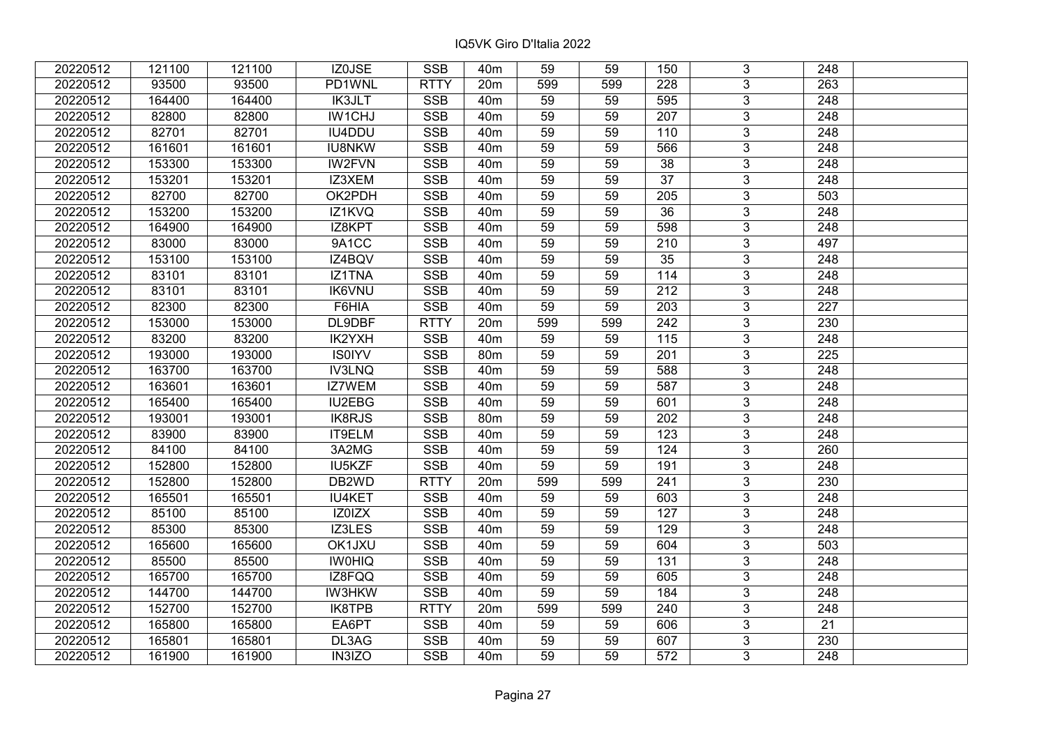| 20220512 | 121100 | 121100 | IZ0JSE        | <b>SSB</b>  | 40 <sub>m</sub> | 59  | 59  | 150              | 3              | 248              |  |
|----------|--------|--------|---------------|-------------|-----------------|-----|-----|------------------|----------------|------------------|--|
| 20220512 | 93500  | 93500  | PD1WNL        | <b>RTTY</b> | 20m             | 599 | 599 | 228              | 3              | 263              |  |
| 20220512 | 164400 | 164400 | <b>IK3JLT</b> | <b>SSB</b>  | 40 <sub>m</sub> | 59  | 59  | 595              | $\overline{3}$ | 248              |  |
| 20220512 | 82800  | 82800  | IW1CHJ        | <b>SSB</b>  | 40 <sub>m</sub> | 59  | 59  | $\overline{207}$ | $\overline{3}$ | $\overline{248}$ |  |
| 20220512 | 82701  | 82701  | IU4DDU        | <b>SSB</b>  | 40 <sub>m</sub> | 59  | 59  | 110              | 3              | 248              |  |
| 20220512 | 161601 | 161601 | <b>IU8NKW</b> | <b>SSB</b>  | 40 <sub>m</sub> | 59  | 59  | 566              | $\overline{3}$ | 248              |  |
| 20220512 | 153300 | 153300 | <b>IW2FVN</b> | <b>SSB</b>  | 40 <sub>m</sub> | 59  | 59  | 38               | $\overline{3}$ | 248              |  |
| 20220512 | 153201 | 153201 | IZ3XEM        | <b>SSB</b>  | 40 <sub>m</sub> | 59  | 59  | 37               | 3              | 248              |  |
| 20220512 | 82700  | 82700  | OK2PDH        | <b>SSB</b>  | 40 <sub>m</sub> | 59  | 59  | 205              | $\overline{3}$ | $\overline{503}$ |  |
| 20220512 | 153200 | 153200 | IZ1KVQ        | <b>SSB</b>  | 40 <sub>m</sub> | 59  | 59  | 36               | $\overline{3}$ | 248              |  |
| 20220512 | 164900 | 164900 | IZ8KPT        | <b>SSB</b>  | 40 <sub>m</sub> | 59  | 59  | 598              | 3              | 248              |  |
| 20220512 | 83000  | 83000  | 9A1CC         | <b>SSB</b>  | 40 <sub>m</sub> | 59  | 59  | 210              | $\overline{3}$ | 497              |  |
| 20220512 | 153100 | 153100 | IZ4BQV        | <b>SSB</b>  | 40 <sub>m</sub> | 59  | 59  | 35               | 3              | 248              |  |
| 20220512 | 83101  | 83101  | IZ1TNA        | <b>SSB</b>  | 40 <sub>m</sub> | 59  | 59  | 114              | $\overline{3}$ | 248              |  |
| 20220512 | 83101  | 83101  | <b>IK6VNU</b> | <b>SSB</b>  | 40 <sub>m</sub> | 59  | 59  | 212              | 3              | 248              |  |
| 20220512 | 82300  | 82300  | F6HIA         | <b>SSB</b>  | 40 <sub>m</sub> | 59  | 59  | 203              | 3              | 227              |  |
| 20220512 | 153000 | 153000 | DL9DBF        | <b>RTTY</b> | 20m             | 599 | 599 | 242              | 3              | 230              |  |
| 20220512 | 83200  | 83200  | IK2YXH        | <b>SSB</b>  | 40 <sub>m</sub> | 59  | 59  | 115              | 3              | 248              |  |
| 20220512 | 193000 | 193000 | <b>IS0IYV</b> | <b>SSB</b>  | 80 <sub>m</sub> | 59  | 59  | 201              | 3              | 225              |  |
| 20220512 | 163700 | 163700 | <b>IV3LNQ</b> | <b>SSB</b>  | 40 <sub>m</sub> | 59  | 59  | 588              | $\overline{3}$ | 248              |  |
| 20220512 | 163601 | 163601 | IZ7WEM        | <b>SSB</b>  | 40 <sub>m</sub> | 59  | 59  | 587              | $\overline{3}$ | 248              |  |
| 20220512 | 165400 | 165400 | IU2EBG        | <b>SSB</b>  | 40 <sub>m</sub> | 59  | 59  | 601              | 3              | 248              |  |
| 20220512 | 193001 | 193001 | <b>IK8RJS</b> | <b>SSB</b>  | 80 <sub>m</sub> | 59  | 59  | 202              | $\overline{3}$ | 248              |  |
| 20220512 | 83900  | 83900  | IT9ELM        | <b>SSB</b>  | 40 <sub>m</sub> | 59  | 59  | 123              | 3              | 248              |  |
| 20220512 | 84100  | 84100  | 3A2MG         | <b>SSB</b>  | 40 <sub>m</sub> | 59  | 59  | 124              | 3              | 260              |  |
| 20220512 | 152800 | 152800 | IU5KZF        | <b>SSB</b>  | 40 <sub>m</sub> | 59  | 59  | 191              | $\overline{3}$ | $\overline{248}$ |  |
| 20220512 | 152800 | 152800 | DB2WD         | <b>RTTY</b> | 20m             | 599 | 599 | 241              | $\overline{3}$ | 230              |  |
| 20220512 | 165501 | 165501 | <b>IU4KET</b> | <b>SSB</b>  | 40 <sub>m</sub> | 59  | 59  | 603              | $\overline{3}$ | $\overline{248}$ |  |
| 20220512 | 85100  | 85100  | IZ0IZX        | <b>SSB</b>  | 40 <sub>m</sub> | 59  | 59  | 127              | $\overline{3}$ | 248              |  |
| 20220512 | 85300  | 85300  | IZ3LES        | <b>SSB</b>  | 40 <sub>m</sub> | 59  | 59  | 129              | $\overline{3}$ | 248              |  |
| 20220512 | 165600 | 165600 | OK1JXU        | <b>SSB</b>  | 40 <sub>m</sub> | 59  | 59  | 604              | $\overline{3}$ | 503              |  |
| 20220512 | 85500  | 85500  | <b>IWOHIQ</b> | <b>SSB</b>  | 40 <sub>m</sub> | 59  | 59  | $\overline{131}$ | $\overline{3}$ | 248              |  |
| 20220512 | 165700 | 165700 | IZ8FQQ        | <b>SSB</b>  | 40 <sub>m</sub> | 59  | 59  | 605              | 3              | 248              |  |
| 20220512 | 144700 | 144700 | <b>IW3HKW</b> | <b>SSB</b>  | 40 <sub>m</sub> | 59  | 59  | 184              | $\overline{3}$ | 248              |  |
| 20220512 | 152700 | 152700 | <b>IK8TPB</b> | <b>RTTY</b> | 20m             | 599 | 599 | 240              | 3              | 248              |  |
| 20220512 | 165800 | 165800 | EA6PT         | <b>SSB</b>  | 40 <sub>m</sub> | 59  | 59  | 606              | 3              | 21               |  |
| 20220512 | 165801 | 165801 | DL3AG         | <b>SSB</b>  | 40 <sub>m</sub> | 59  | 59  | 607              | $\overline{3}$ | 230              |  |
| 20220512 | 161900 | 161900 | IN3IZO        | <b>SSB</b>  | 40 <sub>m</sub> | 59  | 59  | 572              | $\overline{3}$ | 248              |  |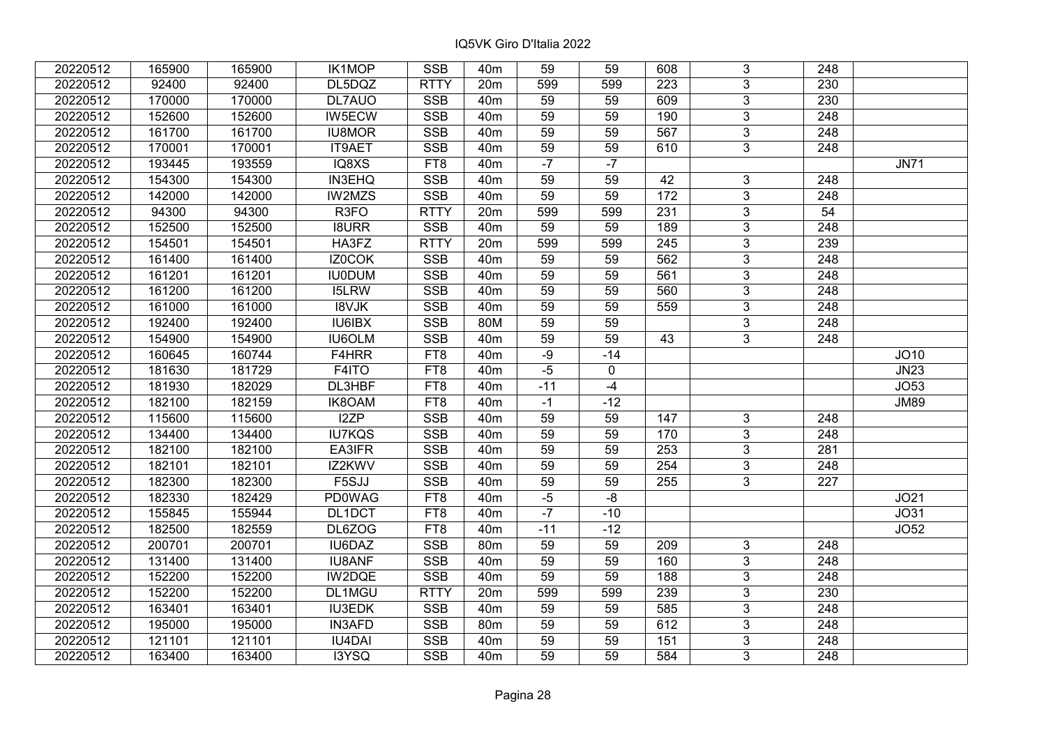| 20220512 | 165900 | 165900 | <b>IK1MOP</b>    | <b>SSB</b>      | 40 <sub>m</sub> | 59              | 59    | 608             | 3              | 248              |             |
|----------|--------|--------|------------------|-----------------|-----------------|-----------------|-------|-----------------|----------------|------------------|-------------|
| 20220512 | 92400  | 92400  | DL5DQZ           | <b>RTTY</b>     | 20m             | 599             | 599   | 223             | 3              | 230              |             |
| 20220512 | 170000 | 170000 | DL7AUO           | <b>SSB</b>      | 40 <sub>m</sub> | 59              | 59    | 609             | $\overline{3}$ | 230              |             |
| 20220512 | 152600 | 152600 | IW5ECW           | <b>SSB</b>      | 40 <sub>m</sub> | 59              | 59    | 190             | $\overline{3}$ | $\overline{248}$ |             |
| 20220512 | 161700 | 161700 | <b>IU8MOR</b>    | <b>SSB</b>      | 40 <sub>m</sub> | 59              | 59    | 567             | 3              | 248              |             |
| 20220512 | 170001 | 170001 | <b>IT9AET</b>    | <b>SSB</b>      | 40 <sub>m</sub> | 59              | 59    | 610             | 3              | 248              |             |
| 20220512 | 193445 | 193559 | IQ8XS            | FT8             | 40 <sub>m</sub> | $-7$            | $-7$  |                 |                |                  | <b>JN71</b> |
| 20220512 | 154300 | 154300 | IN3EHQ           | <b>SSB</b>      | 40 <sub>m</sub> | 59              | 59    | 42              | 3              | 248              |             |
| 20220512 | 142000 | 142000 | <b>IW2MZS</b>    | SSB             | 40 <sub>m</sub> | $\overline{59}$ | 59    | $\frac{172}{ }$ | $\overline{3}$ | 248              |             |
| 20220512 | 94300  | 94300  | R <sub>3FO</sub> | <b>RTTY</b>     | 20m             | 599             | 599   | 231             | $\overline{3}$ | 54               |             |
| 20220512 | 152500 | 152500 | <b>I8URR</b>     | <b>SSB</b>      | 40 <sub>m</sub> | 59              | 59    | 189             | $\mathfrak{S}$ | 248              |             |
| 20220512 | 154501 | 154501 | HA3FZ            | <b>RTTY</b>     | 20 <sub>m</sub> | 599             | 599   | 245             | $\overline{3}$ | 239              |             |
| 20220512 | 161400 | 161400 | IZ0COK           | <b>SSB</b>      | 40 <sub>m</sub> | 59              | 59    | 562             | $\overline{3}$ | 248              |             |
| 20220512 | 161201 | 161201 | <b>IU0DUM</b>    | <b>SSB</b>      | 40 <sub>m</sub> | 59              | 59    | 561             | 3              | 248              |             |
| 20220512 | 161200 | 161200 | <b>I5LRW</b>     | <b>SSB</b>      | 40 <sub>m</sub> | 59              | 59    | 560             | $\overline{3}$ | 248              |             |
| 20220512 | 161000 | 161000 | <b>I8VJK</b>     | <b>SSB</b>      | 40 <sub>m</sub> | 59              | 59    | 559             | $\mathfrak{S}$ | 248              |             |
| 20220512 | 192400 | 192400 | <b>IU6IBX</b>    | <b>SSB</b>      | 80M             | 59              | 59    |                 | $\mathfrak{S}$ | 248              |             |
| 20220512 | 154900 | 154900 | IU6OLM           | <b>SSB</b>      | 40 <sub>m</sub> | 59              | 59    | 43              | 3              | 248              |             |
| 20220512 | 160645 | 160744 | F4HRR            | FT8             | 40 <sub>m</sub> | $-9$            | $-14$ |                 |                |                  | JO10        |
| 20220512 | 181630 | 181729 | F4ITO            | FT8             | 40 <sub>m</sub> | $-5$            | 0     |                 |                |                  | <b>JN23</b> |
| 20220512 | 181930 | 182029 | DL3HBF           | FT <sub>8</sub> | 40 <sub>m</sub> | $-11$           | $-4$  |                 |                |                  | JO53        |
| 20220512 | 182100 | 182159 | IK8OAM           | FT8             | 40 <sub>m</sub> | $-1$            | $-12$ |                 |                |                  | <b>JM89</b> |
| 20220512 | 115600 | 115600 | I2ZP             | <b>SSB</b>      | 40 <sub>m</sub> | 59              | 59    | 147             | $\mathfrak{Z}$ | 248              |             |
| 20220512 | 134400 | 134400 | <b>IU7KQS</b>    | <b>SSB</b>      | 40 <sub>m</sub> | 59              | 59    | 170             | $\overline{3}$ | 248              |             |
| 20220512 | 182100 | 182100 | EA3IFR           | <b>SSB</b>      | 40 <sub>m</sub> | 59              | 59    | 253             | $\overline{3}$ | 281              |             |
| 20220512 | 182101 | 182101 | IZ2KWV           | <b>SSB</b>      | 40 <sub>m</sub> | 59              | 59    | 254             | $\mathfrak{S}$ | 248              |             |
| 20220512 | 182300 | 182300 | F5SJJ            | <b>SSB</b>      | 40 <sub>m</sub> | $\overline{59}$ | 59    | 255             | $\overline{3}$ | $\overline{227}$ |             |
| 20220512 | 182330 | 182429 | <b>PD0WAG</b>    | FT8             | 40 <sub>m</sub> | $-5$            | $-8$  |                 |                |                  | JO21        |
| 20220512 | 155845 | 155944 | DL1DCT           | FT8             | 40 <sub>m</sub> | $-7$            | $-10$ |                 |                |                  | JO31        |
| 20220512 | 182500 | 182559 | DL6ZOG           | FT8             | 40 <sub>m</sub> | $-11$           | $-12$ |                 |                |                  | JO52        |
| 20220512 | 200701 | 200701 | <b>IU6DAZ</b>    | <b>SSB</b>      | 80 <sub>m</sub> | 59              | 59    | 209             | $\overline{3}$ | 248              |             |
| 20220512 | 131400 | 131400 | <b>IU8ANF</b>    | <b>SSB</b>      | 40 <sub>m</sub> | 59              | 59    | 160             | $\overline{3}$ | 248              |             |
| 20220512 | 152200 | 152200 | IW2DQE           | <b>SSB</b>      | 40 <sub>m</sub> | 59              | 59    | 188             | 3              | 248              |             |
| 20220512 | 152200 | 152200 | DL1MGU           | <b>RTTY</b>     | 20m             | 599             | 599   | 239             | 3              | 230              |             |
| 20220512 | 163401 | 163401 | <b>IU3EDK</b>    | <b>SSB</b>      | 40 <sub>m</sub> | 59              | 59    | 585             | $\mathfrak{S}$ | 248              |             |
| 20220512 | 195000 | 195000 | <b>IN3AFD</b>    | <b>SSB</b>      | 80 <sub>m</sub> | 59              | 59    | 612             | 3              | 248              |             |
| 20220512 | 121101 | 121101 | <b>IU4DAI</b>    | SSB             | 40 <sub>m</sub> | 59              | 59    | 151             | $\mathfrak{S}$ | 248              |             |
| 20220512 | 163400 | 163400 | I3YSQ            | <b>SSB</b>      | 40 <sub>m</sub> | 59              | 59    | 584             | 3              | 248              |             |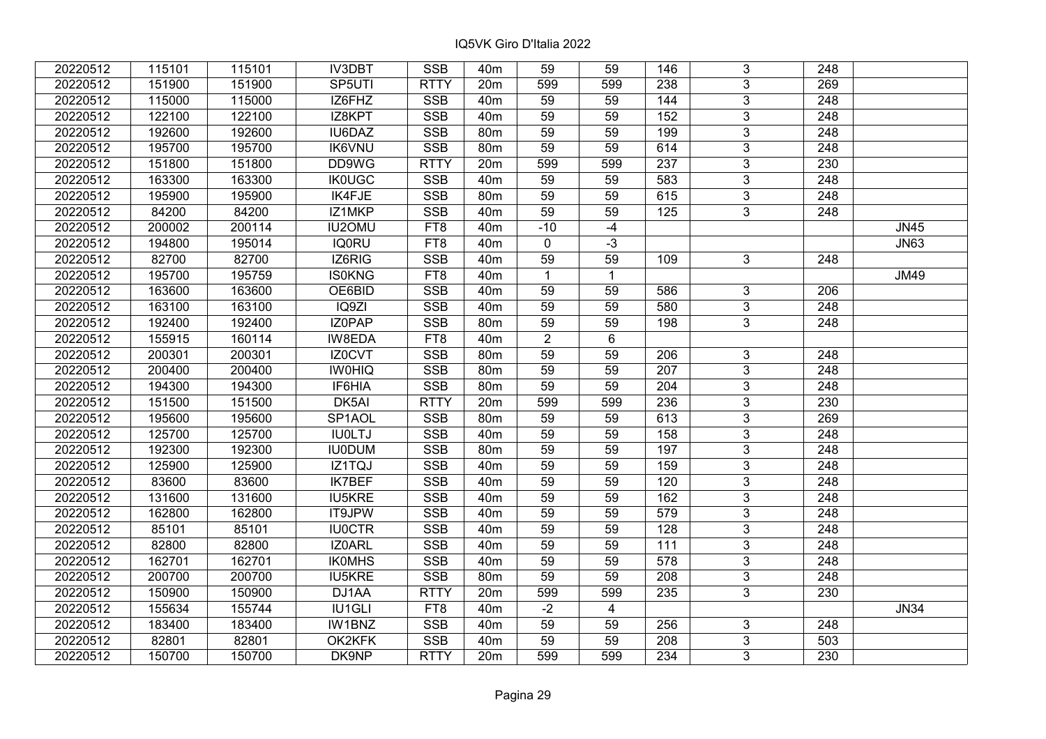| 20220512 | 115101 | 115101 | <b>IV3DBT</b> | <b>SSB</b>  | 40 <sub>m</sub> | 59              | 59             | 146              | 3              | 248              |             |
|----------|--------|--------|---------------|-------------|-----------------|-----------------|----------------|------------------|----------------|------------------|-------------|
| 20220512 | 151900 | 151900 | SP5UTI        | <b>RTTY</b> | 20m             | 599             | 599            | 238              | 3              | 269              |             |
| 20220512 | 115000 | 115000 | IZ6FHZ        | <b>SSB</b>  | 40 <sub>m</sub> | 59              | 59             | 144              | $\overline{3}$ | 248              |             |
| 20220512 | 122100 | 122100 | IZ8KPT        | <b>SSB</b>  | 40 <sub>m</sub> | 59              | 59             | 152              | $\overline{3}$ | 248              |             |
| 20220512 | 192600 | 192600 | IU6DAZ        | <b>SSB</b>  | 80m             | 59              | 59             | 199              | $\overline{3}$ | 248              |             |
| 20220512 | 195700 | 195700 | <b>IK6VNU</b> | SSB         | 80m             | 59              | 59             | 614              | $\overline{3}$ | 248              |             |
| 20220512 | 151800 | 151800 | DD9WG         | <b>RTTY</b> | 20m             | 599             | 599            | 237              | $\overline{3}$ | 230              |             |
| 20220512 | 163300 | 163300 | <b>IK0UGC</b> | <b>SSB</b>  | 40 <sub>m</sub> | 59              | 59             | 583              | $\overline{3}$ | 248              |             |
| 20220512 | 195900 | 195900 | IK4FJE        | <b>SSB</b>  | 80m             | 59              | 59             | 615              | $\overline{3}$ | 248              |             |
| 20220512 | 84200  | 84200  | IZ1MKP        | <b>SSB</b>  | 40 <sub>m</sub> | 59              | 59             | 125              | $\overline{3}$ | 248              |             |
| 20220512 | 200002 | 200114 | <b>IU2OMU</b> | FT8         | 40 <sub>m</sub> | $-10$           | $-4$           |                  |                |                  | <b>JN45</b> |
| 20220512 | 194800 | 195014 | <b>IQ0RU</b>  | FT8         | 40 <sub>m</sub> | $\mathbf 0$     | $-3$           |                  |                |                  | <b>JN63</b> |
| 20220512 | 82700  | 82700  | IZ6RIG        | <b>SSB</b>  | 40 <sub>m</sub> | 59              | 59             | 109              | 3              | 248              |             |
| 20220512 | 195700 | 195759 | <b>IS0KNG</b> | FT8         | 40 <sub>m</sub> | $\mathbf{1}$    | $\mathbf{1}$   |                  |                |                  | <b>JM49</b> |
| 20220512 | 163600 | 163600 | OE6BID        | <b>SSB</b>  | 40 <sub>m</sub> | 59              | 59             | 586              | 3              | 206              |             |
| 20220512 | 163100 | 163100 | IQ9ZI         | <b>SSB</b>  | 40 <sub>m</sub> | 59              | 59             | 580              | 3              | 248              |             |
| 20220512 | 192400 | 192400 | IZ0PAP        | <b>SSB</b>  | 80 <sub>m</sub> | 59              | 59             | 198              | $\overline{3}$ | 248              |             |
| 20220512 | 155915 | 160114 | IW8EDA        | FT8         | 40 <sub>m</sub> | $\overline{2}$  | 6              |                  |                |                  |             |
| 20220512 | 200301 | 200301 | IZ0CVT        | <b>SSB</b>  | 80 <sub>m</sub> | 59              | 59             | 206              | 3              | 248              |             |
| 20220512 | 200400 | 200400 | <b>IWOHIQ</b> | <b>SSB</b>  | 80m             | 59              | 59             | 207              | $\overline{3}$ | 248              |             |
| 20220512 | 194300 | 194300 | IF6HIA        | <b>SSB</b>  | 80m             | 59              | 59             | 204              | $\overline{3}$ | 248              |             |
| 20220512 | 151500 | 151500 | DK5AI         | <b>RTTY</b> | 20m             | 599             | 599            | 236              | 3              | 230              |             |
| 20220512 | 195600 | 195600 | SP1AOL        | <b>SSB</b>  | 80m             | 59              | 59             | 613              | $\overline{3}$ | 269              |             |
| 20220512 | 125700 | 125700 | <b>IUOLTJ</b> | <b>SSB</b>  | 40 <sub>m</sub> | 59              | 59             | 158              | $\overline{3}$ | 248              |             |
| 20220512 | 192300 | 192300 | <b>IU0DUM</b> | SSB         | 80 <sub>m</sub> | $\overline{59}$ | 59             | 197              | $\overline{3}$ | 248              |             |
| 20220512 | 125900 | 125900 | IZ1TQJ        | <b>SSB</b>  | 40 <sub>m</sub> | 59              | 59             | 159              | $\overline{3}$ | $\overline{248}$ |             |
| 20220512 | 83600  | 83600  | <b>IK7BEF</b> | <b>SSB</b>  | 40 <sub>m</sub> | 59              | 59             | 120              | $\overline{3}$ | 248              |             |
| 20220512 | 131600 | 131600 | <b>IU5KRE</b> | <b>SSB</b>  | 40 <sub>m</sub> | 59              | 59             | 162              | $\overline{3}$ | 248              |             |
| 20220512 | 162800 | 162800 | IT9JPW        | <b>SSB</b>  | 40 <sub>m</sub> | $\overline{59}$ | 59             | 579              | $\overline{3}$ | $\overline{248}$ |             |
| 20220512 | 85101  | 85101  | <b>IU0CTR</b> | <b>SSB</b>  | 40 <sub>m</sub> | 59              | 59             | 128              | $\overline{3}$ | 248              |             |
| 20220512 | 82800  | 82800  | IZ0ARL        | <b>SSB</b>  | 40 <sub>m</sub> | 59              | 59             | $\frac{111}{11}$ | $\overline{3}$ | $\overline{248}$ |             |
| 20220512 | 162701 | 162701 | <b>IKOMHS</b> | <b>SSB</b>  | 40 <sub>m</sub> | 59              | 59             | 578              | $\overline{3}$ | 248              |             |
| 20220512 | 200700 | 200700 | <b>IU5KRE</b> | <b>SSB</b>  | 80m             | 59              | 59             | 208              | 3              | 248              |             |
| 20220512 | 150900 | 150900 | DJ1AA         | <b>RTTY</b> | 20m             | 599             | 599            | 235              | $\overline{3}$ | 230              |             |
| 20220512 | 155634 | 155744 | <b>IU1GLI</b> | FT8         | 40 <sub>m</sub> | $-2$            | $\overline{4}$ |                  |                |                  | <b>JN34</b> |
| 20220512 | 183400 | 183400 | IW1BNZ        | <b>SSB</b>  | 40 <sub>m</sub> | 59              | 59             | 256              | 3              | 248              |             |
| 20220512 | 82801  | 82801  | OK2KFK        | SSB         | 40 <sub>m</sub> | 59              | 59             | 208              | $\overline{3}$ | 503              |             |
| 20220512 | 150700 | 150700 | DK9NP         | <b>RTTY</b> | 20m             | 599             | 599            | 234              | 3              | 230              |             |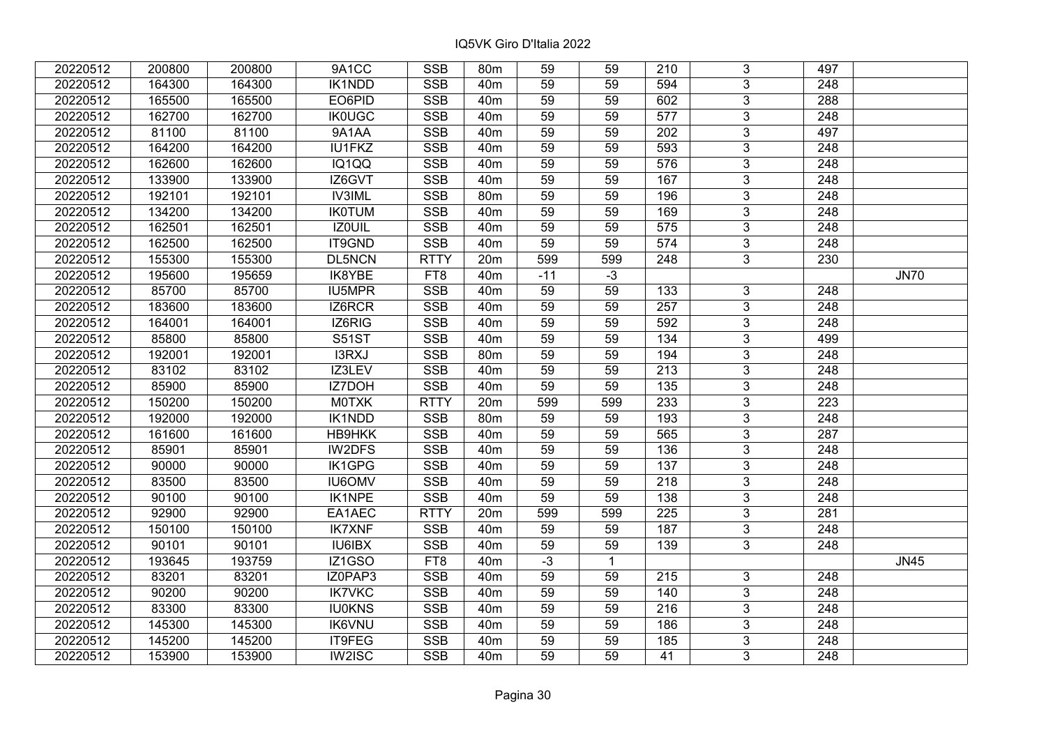| 20220512 | 200800 | 200800 | 9A1CC         | <b>SSB</b>  | 80m             | 59              | 59           | 210              | 3              | 497              |             |
|----------|--------|--------|---------------|-------------|-----------------|-----------------|--------------|------------------|----------------|------------------|-------------|
| 20220512 | 164300 | 164300 | IK1NDD        | <b>SSB</b>  | 40 <sub>m</sub> | 59              | 59           | 594              | 3              | 248              |             |
| 20220512 | 165500 | 165500 | EO6PID        | <b>SSB</b>  | 40 <sub>m</sub> | $\overline{59}$ | 59           | 602              | $\overline{3}$ | 288              |             |
| 20220512 | 162700 | 162700 | <b>IK0UGC</b> | <b>SSB</b>  | 40 <sub>m</sub> | 59              | 59           | 577              | $\overline{3}$ | 248              |             |
| 20220512 | 81100  | 81100  | 9A1AA         | <b>SSB</b>  | 40 <sub>m</sub> | 59              | 59           | 202              | $\overline{3}$ | 497              |             |
| 20220512 | 164200 | 164200 | <b>IU1FKZ</b> | SSB         | 40 <sub>m</sub> | 59              | 59           | 593              | $\overline{3}$ | 248              |             |
| 20220512 | 162600 | 162600 | IQ1QQ         | <b>SSB</b>  | 40 <sub>m</sub> | 59              | 59           | 576              | $\overline{3}$ | 248              |             |
| 20220512 | 133900 | 133900 | IZ6GVT        | <b>SSB</b>  | 40 <sub>m</sub> | 59              | 59           | 167              | $\overline{3}$ | 248              |             |
| 20220512 | 192101 | 192101 | <b>IV3IML</b> | <b>SSB</b>  | 80m             | 59              | 59           | 196              | $\overline{3}$ | 248              |             |
| 20220512 | 134200 | 134200 | <b>IKOTUM</b> | <b>SSB</b>  | 40 <sub>m</sub> | 59              | 59           | 169              | $\overline{3}$ | 248              |             |
| 20220512 | 162501 | 162501 | <b>IZOUIL</b> | <b>SSB</b>  | 40 <sub>m</sub> | 59              | 59           | 575              | $\overline{3}$ | 248              |             |
| 20220512 | 162500 | 162500 | IT9GND        | <b>SSB</b>  | 40 <sub>m</sub> | 59              | 59           | 574              | $\overline{3}$ | 248              |             |
| 20220512 | 155300 | 155300 | DL5NCN        | <b>RTTY</b> | 20 <sub>m</sub> | 599             | 599          | 248              | 3              | 230              |             |
| 20220512 | 195600 | 195659 | IK8YBE        | FT8         | 40 <sub>m</sub> | $-11$           | $-3$         |                  |                |                  | <b>JN70</b> |
| 20220512 | 85700  | 85700  | IU5MPR        | <b>SSB</b>  | 40 <sub>m</sub> | 59              | 59           | 133              | 3              | 248              |             |
| 20220512 | 183600 | 183600 | IZ6RCR        | <b>SSB</b>  | 40 <sub>m</sub> | 59              | 59           | 257              | 3              | 248              |             |
| 20220512 | 164001 | 164001 | IZ6RIG        | <b>SSB</b>  | 40 <sub>m</sub> | 59              | 59           | 592              | 3              | 248              |             |
| 20220512 | 85800  | 85800  | <b>S51ST</b>  | <b>SSB</b>  | 40 <sub>m</sub> | 59              | 59           | 134              | $\overline{3}$ | 499              |             |
| 20220512 | 192001 | 192001 | I3RXJ         | <b>SSB</b>  | 80 <sub>m</sub> | 59              | 59           | 194              | 3              | 248              |             |
| 20220512 | 83102  | 83102  | IZ3LEV        | SSB         | 40 <sub>m</sub> | 59              | 59           | 213              | $\overline{3}$ | 248              |             |
| 20220512 | 85900  | 85900  | IZ7DOH        | <b>SSB</b>  | 40 <sub>m</sub> | 59              | 59           | 135              | $\overline{3}$ | 248              |             |
| 20220512 | 150200 | 150200 | <b>MOTXK</b>  | <b>RTTY</b> | 20m             | 599             | 599          | 233              | $\overline{3}$ | 223              |             |
| 20220512 | 192000 | 192000 | IK1NDD        | <b>SSB</b>  | 80m             | 59              | 59           | 193              | $\overline{3}$ | 248              |             |
| 20220512 | 161600 | 161600 | HB9HKK        | <b>SSB</b>  | 40 <sub>m</sub> | 59              | 59           | 565              | $\overline{3}$ | 287              |             |
| 20220512 | 85901  | 85901  | IW2DFS        | SSB         | 40 <sub>m</sub> | $\overline{59}$ | 59           | $\frac{136}{ }$  | $\overline{3}$ | 248              |             |
| 20220512 | 90000  | 90000  | IK1GPG        | <b>SSB</b>  | 40 <sub>m</sub> | 59              | 59           | 137              | $\overline{3}$ | $\overline{248}$ |             |
| 20220512 | 83500  | 83500  | <b>IU6OMV</b> | <b>SSB</b>  | 40m             | 59              | 59           | 218              | $\overline{3}$ | 248              |             |
| 20220512 | 90100  | 90100  | IK1NPE        | <b>SSB</b>  | 40 <sub>m</sub> | 59              | 59           | 138              | $\overline{3}$ | 248              |             |
| 20220512 | 92900  | 92900  | EA1AEC        | <b>RTTY</b> | 20m             | 599             | 599          | $\overline{225}$ | $\overline{3}$ | $\overline{281}$ |             |
| 20220512 | 150100 | 150100 | <b>IK7XNF</b> | <b>SSB</b>  | 40 <sub>m</sub> | 59              | 59           | 187              | $\overline{3}$ | 248              |             |
| 20220512 | 90101  | 90101  | <b>IU6IBX</b> | <b>SSB</b>  | 40 <sub>m</sub> | 59              | 59           | 139              | $\overline{3}$ | 248              |             |
| 20220512 | 193645 | 193759 | IZ1GSO        | FT8         | 40 <sub>m</sub> | $-3$            | $\mathbf{1}$ |                  |                |                  | <b>JN45</b> |
| 20220512 | 83201  | 83201  | IZ0PAP3       | <b>SSB</b>  | 40 <sub>m</sub> | 59              | 59           | 215              | 3              | 248              |             |
| 20220512 | 90200  | 90200  | <b>IK7VKC</b> | <b>SSB</b>  | 40 <sub>m</sub> | 59              | 59           | 140              | $\overline{3}$ | 248              |             |
| 20220512 | 83300  | 83300  | <b>IU0KNS</b> | <b>SSB</b>  | 40 <sub>m</sub> | 59              | 59           | 216              | $\overline{3}$ | 248              |             |
| 20220512 | 145300 | 145300 | <b>IK6VNU</b> | <b>SSB</b>  | 40 <sub>m</sub> | 59              | 59           | 186              | 3              | 248              |             |
| 20220512 | 145200 | 145200 | IT9FEG        | <b>SSB</b>  | 40 <sub>m</sub> | 59              | 59           | 185              | $\overline{3}$ | 248              |             |
| 20220512 | 153900 | 153900 | IW2ISC        | <b>SSB</b>  | 40 <sub>m</sub> | 59              | 59           | 41               | 3              | 248              |             |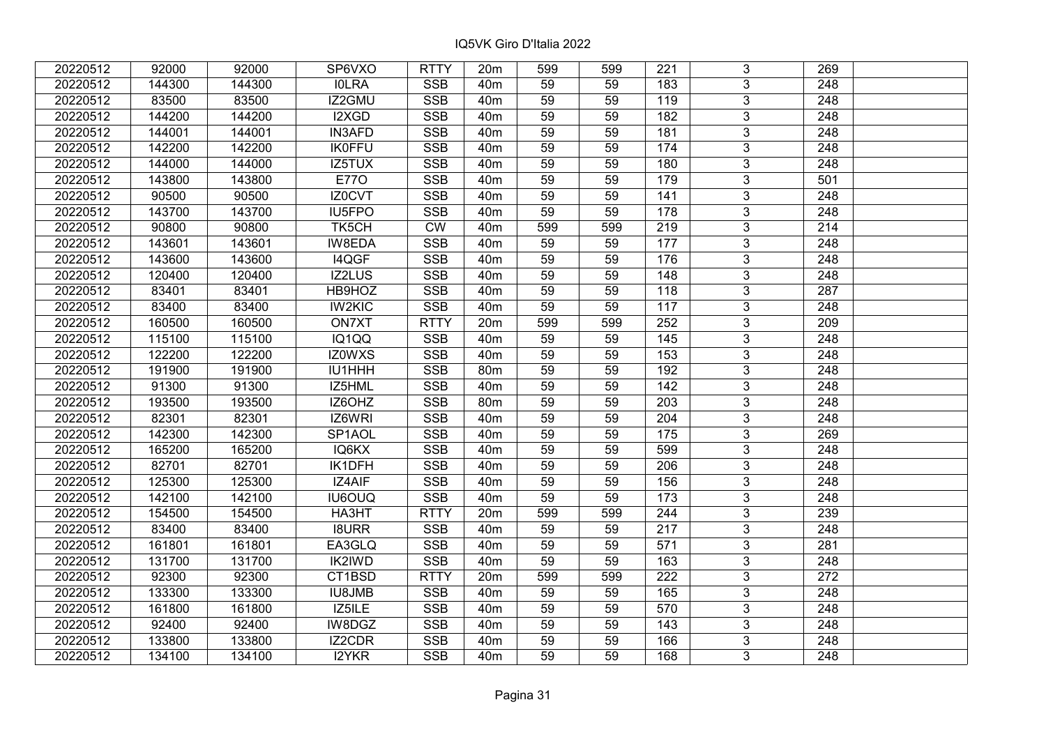| 20220512 | 92000  | 92000  | SP6VXO        | <b>RTTY</b> | 20 <sub>m</sub> | 599             | 599 | 221              | 3              | 269              |  |
|----------|--------|--------|---------------|-------------|-----------------|-----------------|-----|------------------|----------------|------------------|--|
| 20220512 | 144300 | 144300 | <b>IOLRA</b>  | <b>SSB</b>  | 40 <sub>m</sub> | 59              | 59  | 183              | 3              | 248              |  |
| 20220512 | 83500  | 83500  | IZ2GMU        | <b>SSB</b>  | 40 <sub>m</sub> | 59              | 59  | 119              | $\overline{3}$ | 248              |  |
| 20220512 | 144200 | 144200 | I2XGD         | <b>SSB</b>  | 40 <sub>m</sub> | 59              | 59  | 182              | $\overline{3}$ | 248              |  |
| 20220512 | 144001 | 144001 | <b>IN3AFD</b> | <b>SSB</b>  | 40 <sub>m</sub> | 59              | 59  | 181              | 3              | 248              |  |
| 20220512 | 142200 | 142200 | <b>IK0FFU</b> | SSB         | 40 <sub>m</sub> | 59              | 59  | 174              | $\overline{3}$ | 248              |  |
| 20220512 | 144000 | 144000 | IZ5TUX        | <b>SSB</b>  | 40 <sub>m</sub> | 59              | 59  | 180              | $\overline{3}$ | 248              |  |
| 20220512 | 143800 | 143800 | <b>E770</b>   | <b>SSB</b>  | 40 <sub>m</sub> | 59              | 59  | 179              | $\overline{3}$ | 501              |  |
| 20220512 | 90500  | 90500  | IZ0CVT        | <b>SSB</b>  | 40 <sub>m</sub> | 59              | 59  | 141              | $\overline{3}$ | 248              |  |
| 20220512 | 143700 | 143700 | <b>IU5FPO</b> | <b>SSB</b>  | 40 <sub>m</sub> | 59              | 59  | 178              | $\overline{3}$ | 248              |  |
| 20220512 | 90800  | 90800  | TK5CH         | <b>CW</b>   | 40 <sub>m</sub> | 599             | 599 | 219              | $\overline{3}$ | 214              |  |
| 20220512 | 143601 | 143601 | IW8EDA        | <b>SSB</b>  | 40 <sub>m</sub> | 59              | 59  | 177              | $\overline{3}$ | 248              |  |
| 20220512 | 143600 | 143600 | I4QGF         | <b>SSB</b>  | 40 <sub>m</sub> | 59              | 59  | 176              | 3              | 248              |  |
| 20220512 | 120400 | 120400 | IZ2LUS        | <b>SSB</b>  | 40 <sub>m</sub> | 59              | 59  | 148              | $\overline{3}$ | 248              |  |
| 20220512 | 83401  | 83401  | HB9HOZ        | <b>SSB</b>  | 40 <sub>m</sub> | 59              | 59  | 118              | 3              | 287              |  |
| 20220512 | 83400  | 83400  | <b>IW2KIC</b> | <b>SSB</b>  | 40 <sub>m</sub> | 59              | 59  | 117              | 3              | 248              |  |
| 20220512 | 160500 | 160500 | ON7XT         | <b>RTTY</b> | 20m             | 599             | 599 | 252              | 3              | 209              |  |
| 20220512 | 115100 | 115100 | IQ1QQ         | <b>SSB</b>  | 40 <sub>m</sub> | 59              | 59  | 145              | 3              | 248              |  |
| 20220512 | 122200 | 122200 | IZ0WXS        | <b>SSB</b>  | 40 <sub>m</sub> | 59              | 59  | 153              | 3              | 248              |  |
| 20220512 | 191900 | 191900 | IU1HHH        | <b>SSB</b>  | 80m             | 59              | 59  | 192              | $\overline{3}$ | 248              |  |
| 20220512 | 91300  | 91300  | IZ5HML        | <b>SSB</b>  | 40 <sub>m</sub> | 59              | 59  | 142              | $\overline{3}$ | 248              |  |
| 20220512 | 193500 | 193500 | IZ6OHZ        | <b>SSB</b>  | 80 <sub>m</sub> | 59              | 59  | 203              | 3              | 248              |  |
| 20220512 | 82301  | 82301  | IZ6WRI        | <b>SSB</b>  | 40 <sub>m</sub> | 59              | 59  | 204              | $\overline{3}$ | 248              |  |
| 20220512 | 142300 | 142300 | SP1AOL        | <b>SSB</b>  | 40 <sub>m</sub> | 59              | 59  | 175              | $\overline{3}$ | 269              |  |
| 20220512 | 165200 | 165200 | IQ6KX         | SSB         | 40 <sub>m</sub> | $\overline{59}$ | 59  | 599              | $\overline{3}$ | 248              |  |
| 20220512 | 82701  | 82701  | IK1DFH        | <b>SSB</b>  | 40 <sub>m</sub> | 59              | 59  | $\overline{206}$ | $\overline{3}$ | $\overline{248}$ |  |
| 20220512 | 125300 | 125300 | IZ4AIF        | <b>SSB</b>  | 40 <sub>m</sub> | 59              | 59  | 156              | 3              | 248              |  |
| 20220512 | 142100 | 142100 | <b>IU6OUQ</b> | <b>SSB</b>  | 40 <sub>m</sub> | 59              | 59  | $\frac{1}{173}$  | $\overline{3}$ | 248              |  |
| 20220512 | 154500 | 154500 | HA3HT         | <b>RTTY</b> | 20m             | 599             | 599 | $\overline{244}$ | $\overline{3}$ | 239              |  |
| 20220512 | 83400  | 83400  | <b>I8URR</b>  | <b>SSB</b>  | 40 <sub>m</sub> | 59              | 59  | 217              | $\overline{3}$ | 248              |  |
| 20220512 | 161801 | 161801 | EA3GLQ        | <b>SSB</b>  | 40 <sub>m</sub> | 59              | 59  | 571              | $\overline{3}$ | $\overline{281}$ |  |
| 20220512 | 131700 | 131700 | IK2IWD        | <b>SSB</b>  | 40 <sub>m</sub> | 59              | 59  | 163              | $\overline{3}$ | 248              |  |
| 20220512 | 92300  | 92300  | CT1BSD        | <b>RTTY</b> | 20m             | 599             | 599 | 222              | 3              | 272              |  |
| 20220512 | 133300 | 133300 | <b>IU8JMB</b> | <b>SSB</b>  | 40 <sub>m</sub> | 59              | 59  | 165              | $\overline{3}$ | 248              |  |
| 20220512 | 161800 | 161800 | IZ5ILE        | <b>SSB</b>  | 40 <sub>m</sub> | 59              | 59  | 570              | $\overline{3}$ | 248              |  |
| 20220512 | 92400  | 92400  | IW8DGZ        | <b>SSB</b>  | 40 <sub>m</sub> | 59              | 59  | 143              | 3              | 248              |  |
| 20220512 | 133800 | 133800 | IZ2CDR        | <b>SSB</b>  | 40 <sub>m</sub> | 59              | 59  | 166              | 3              | 248              |  |
| 20220512 | 134100 | 134100 | I2YKR         | <b>SSB</b>  | 40 <sub>m</sub> | 59              | 59  | 168              | 3              | 248              |  |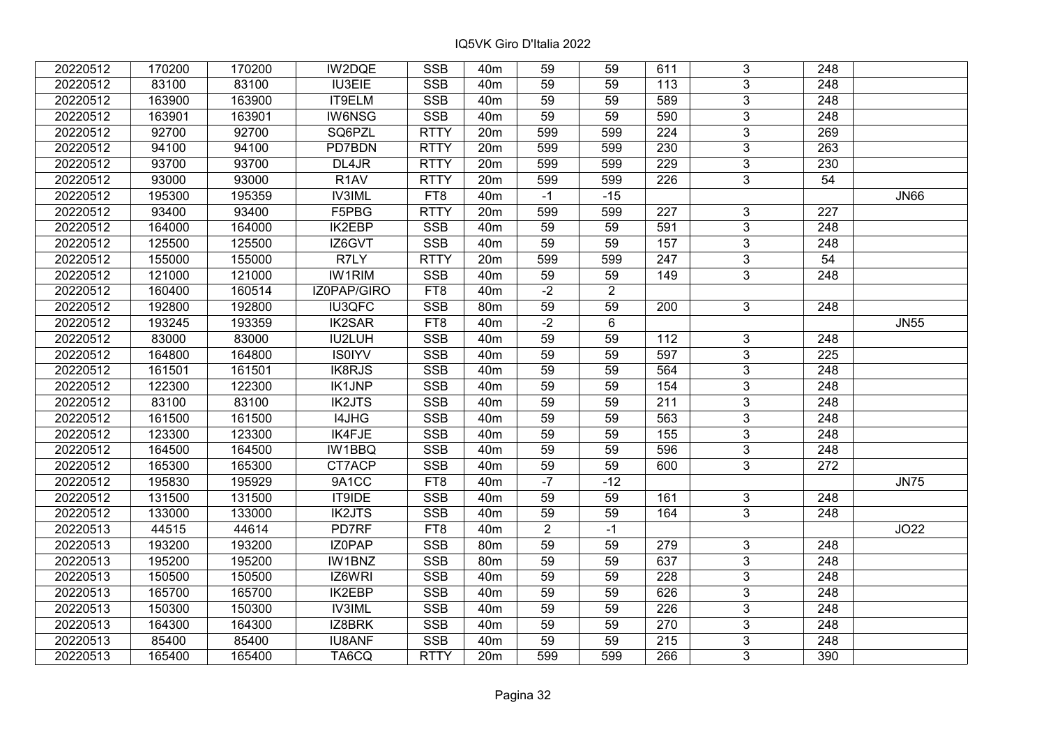| 20220512 | 170200 | 170200 | IW2DQE            | <b>SSB</b>  | 40 <sub>m</sub> | 59             | 59             | 611 | 3              | 248              |             |
|----------|--------|--------|-------------------|-------------|-----------------|----------------|----------------|-----|----------------|------------------|-------------|
| 20220512 | 83100  | 83100  | <b>IU3EIE</b>     | <b>SSB</b>  | 40 <sub>m</sub> | 59             | 59             | 113 | 3              | 248              |             |
| 20220512 | 163900 | 163900 | IT9ELM            | <b>SSB</b>  | 40 <sub>m</sub> | 59             | 59             | 589 | $\overline{3}$ | 248              |             |
| 20220512 | 163901 | 163901 | <b>IW6NSG</b>     | <b>SSB</b>  | 40 <sub>m</sub> | 59             | 59             | 590 | $\overline{3}$ | $\overline{248}$ |             |
| 20220512 | 92700  | 92700  | SQ6PZL            | <b>RTTY</b> | 20m             | 599            | 599            | 224 | 3              | 269              |             |
| 20220512 | 94100  | 94100  | PD7BDN            | <b>RTTY</b> | 20m             | 599            | 599            | 230 | 3              | 263              |             |
| 20220512 | 93700  | 93700  | DL4JR             | <b>RTTY</b> | 20m             | 599            | 599            | 229 | $\overline{3}$ | 230              |             |
| 20220512 | 93000  | 93000  | R <sub>1</sub> AV | <b>RTTY</b> | 20 <sub>m</sub> | 599            | 599            | 226 | $\mathbf{3}$   | 54               |             |
| 20220512 | 195300 | 195359 | <b>IV3IML</b>     | FT8         | 40 <sub>m</sub> | $-1$           | $-15$          |     |                |                  | <b>JN66</b> |
| 20220512 | 93400  | 93400  | F5PBG             | <b>RTTY</b> | 20 <sub>m</sub> | 599            | 599            | 227 | $\overline{3}$ | 227              |             |
| 20220512 | 164000 | 164000 | IK2EBP            | <b>SSB</b>  | 40 <sub>m</sub> | 59             | 59             | 591 | $\mathfrak{S}$ | 248              |             |
| 20220512 | 125500 | 125500 | IZ6GVT            | SSB         | 40 <sub>m</sub> | 59             | 59             | 157 | $\overline{3}$ | 248              |             |
| 20220512 | 155000 | 155000 | R7LY              | <b>RTTY</b> | 20 <sub>m</sub> | 599            | 599            | 247 | $\mathbf{3}$   | 54               |             |
| 20220512 | 121000 | 121000 | <b>IW1RIM</b>     | <b>SSB</b>  | 40 <sub>m</sub> | 59             | 59             | 149 | 3              | 248              |             |
| 20220512 | 160400 | 160514 | IZ0PAP/GIRO       | FT8         | 40 <sub>m</sub> | $-2$           | $\overline{2}$ |     |                |                  |             |
| 20220512 | 192800 | 192800 | <b>IU3QFC</b>     | <b>SSB</b>  | 80m             | 59             | 59             | 200 | $\mathbf{3}$   | 248              |             |
| 20220512 | 193245 | 193359 | <b>IK2SAR</b>     | FT8         | 40 <sub>m</sub> | $-2$           | 6              |     |                |                  | <b>JN55</b> |
| 20220512 | 83000  | 83000  | <b>IU2LUH</b>     | <b>SSB</b>  | 40 <sub>m</sub> | 59             | 59             | 112 | $\mathbf{3}$   | 248              |             |
| 20220512 | 164800 | 164800 | <b>IS0IYV</b>     | <b>SSB</b>  | 40 <sub>m</sub> | 59             | 59             | 597 | $\mathbf{3}$   | 225              |             |
| 20220512 | 161501 | 161501 | IK8RJS            | <b>SSB</b>  | 40 <sub>m</sub> | 59             | 59             | 564 | $\overline{3}$ | 248              |             |
| 20220512 | 122300 | 122300 | <b>IK1JNP</b>     | <b>SSB</b>  | 40 <sub>m</sub> | 59             | 59             | 154 | $\overline{3}$ | 248              |             |
| 20220512 | 83100  | 83100  | <b>IK2JTS</b>     | <b>SSB</b>  | 40 <sub>m</sub> | 59             | 59             | 211 | $\overline{3}$ | 248              |             |
| 20220512 | 161500 | 161500 | I4JHG             | <b>SSB</b>  | 40 <sub>m</sub> | 59             | 59             | 563 | $\mathfrak{S}$ | 248              |             |
| 20220512 | 123300 | 123300 | <b>IK4FJE</b>     | <b>SSB</b>  | 40 <sub>m</sub> | 59             | 59             | 155 | $\overline{3}$ | 248              |             |
| 20220512 | 164500 | 164500 | IW1BBQ            | <b>SSB</b>  | 40 <sub>m</sub> | 59             | 59             | 596 | $\overline{3}$ | 248              |             |
| 20220512 | 165300 | 165300 | CT7ACP            | <b>SSB</b>  | 40 <sub>m</sub> | 59             | 59             | 600 | $\mathbf{3}$   | 272              |             |
| 20220512 | 195830 | 195929 | 9A1CC             | FT8         | 40 <sub>m</sub> | $-7$           | $-12$          |     |                |                  | <b>JN75</b> |
| 20220512 | 131500 | 131500 | IT9IDE            | <b>SSB</b>  | 40 <sub>m</sub> | 59             | 59             | 161 | $\mathbf{3}$   | 248              |             |
| 20220512 | 133000 | 133000 | <b>IK2JTS</b>     | <b>SSB</b>  | 40 <sub>m</sub> | 59             | 59             | 164 | $\overline{3}$ | 248              |             |
| 20220513 | 44515  | 44614  | PD7RF             | FT8         | 40 <sub>m</sub> | $\overline{2}$ | $-1$           |     |                |                  | JO22        |
| 20220513 | 193200 | 193200 | IZ0PAP            | <b>SSB</b>  | 80m             | 59             | 59             | 279 | 3              | 248              |             |
| 20220513 | 195200 | 195200 | IW1BNZ            | <b>SSB</b>  | 80m             | 59             | 59             | 637 | $\overline{3}$ | 248              |             |
| 20220513 | 150500 | 150500 | IZ6WRI            | <b>SSB</b>  | 40 <sub>m</sub> | 59             | 59             | 228 | 3              | 248              |             |
| 20220513 | 165700 | 165700 | <b>IK2EBP</b>     | <b>SSB</b>  | 40 <sub>m</sub> | 59             | 59             | 626 | 3              | 248              |             |
| 20220513 | 150300 | 150300 | <b>IV3IML</b>     | <b>SSB</b>  | 40 <sub>m</sub> | 59             | 59             | 226 | $\mathfrak{S}$ | 248              |             |
| 20220513 | 164300 | 164300 | IZ8BRK            | <b>SSB</b>  | 40 <sub>m</sub> | 59             | 59             | 270 | 3              | 248              |             |
| 20220513 | 85400  | 85400  | <b>IU8ANF</b>     | SSB         | 40 <sub>m</sub> | 59             | 59             | 215 | $\mathfrak{S}$ | 248              |             |
| 20220513 | 165400 | 165400 | TA6CQ             | <b>RTTY</b> | 20 <sub>m</sub> | 599            | 599            | 266 | 3              | 390              |             |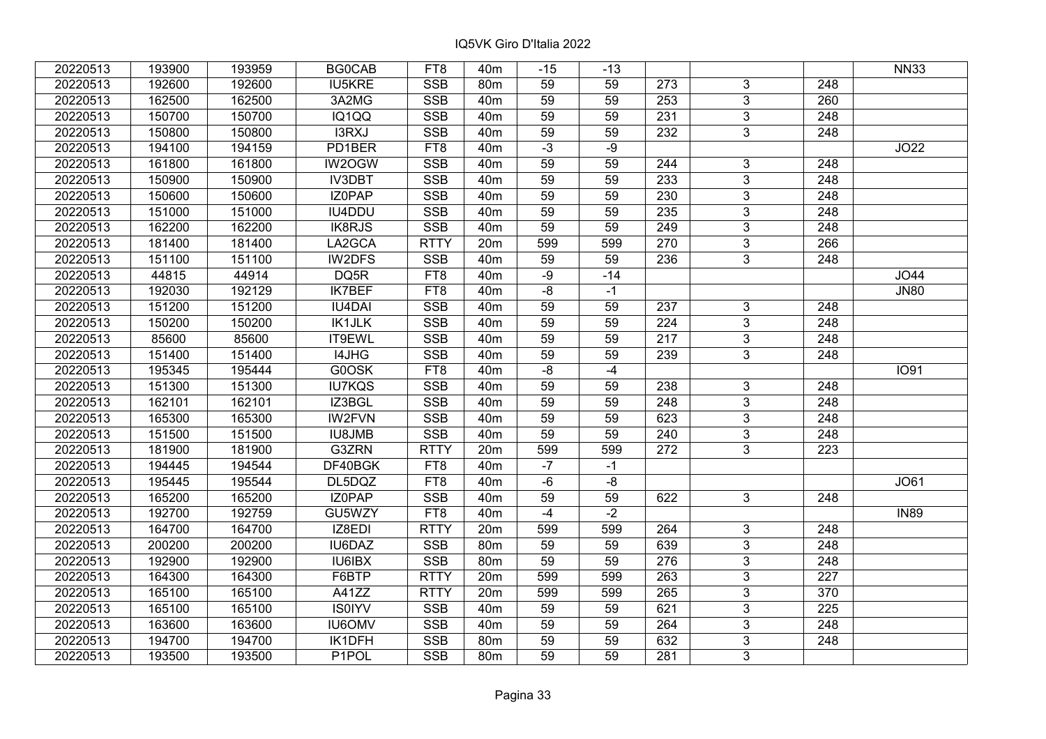| 20220513 | 193900 | 193959 | <b>BG0CAB</b> | FT <sub>8</sub> | 40 <sub>m</sub> | $-15$           | $-13$ |                  |                |                  | <b>NN33</b> |
|----------|--------|--------|---------------|-----------------|-----------------|-----------------|-------|------------------|----------------|------------------|-------------|
| 20220513 | 192600 | 192600 | <b>IU5KRE</b> | <b>SSB</b>      | 80m             | 59              | 59    | 273              | 3              | 248              |             |
| 20220513 | 162500 | 162500 | 3A2MG         | <b>SSB</b>      | 40 <sub>m</sub> | $\overline{59}$ | 59    | 253              | $\overline{3}$ | 260              |             |
| 20220513 | 150700 | 150700 | IQ1QQ         | <b>SSB</b>      | 40 <sub>m</sub> | 59              | 59    | $\overline{231}$ | 3              | $\overline{248}$ |             |
| 20220513 | 150800 | 150800 | I3RXJ         | <b>SSB</b>      | 40 <sub>m</sub> | 59              | 59    | 232              | $\mathbf{3}$   | 248              |             |
| 20220513 | 194100 | 194159 | PD1BER        | FT8             | 40 <sub>m</sub> | $-3$            | -9    |                  |                |                  | JO22        |
| 20220513 | 161800 | 161800 | IW2OGW        | <b>SSB</b>      | 40 <sub>m</sub> | 59              | 59    | 244              | 3              | 248              |             |
| 20220513 | 150900 | 150900 | <b>IV3DBT</b> | <b>SSB</b>      | 40 <sub>m</sub> | 59              | 59    | 233              | $\overline{3}$ | 248              |             |
| 20220513 | 150600 | 150600 | <b>IZOPAP</b> | SSB             | 40 <sub>m</sub> | 59              | 59    | $\overline{230}$ | $\overline{3}$ | $\overline{248}$ |             |
| 20220513 | 151000 | 151000 | <b>IU4DDU</b> | SSB             | 40 <sub>m</sub> | 59              | 59    | 235              | $\overline{3}$ | 248              |             |
| 20220513 | 162200 | 162200 | <b>IK8RJS</b> | <b>SSB</b>      | 40 <sub>m</sub> | 59              | 59    | 249              | 3              | 248              |             |
| 20220513 | 181400 | 181400 | LA2GCA        | <b>RTTY</b>     | 20 <sub>m</sub> | 599             | 599   | 270              | $\overline{3}$ | 266              |             |
| 20220513 | 151100 | 151100 | <b>IW2DFS</b> | <b>SSB</b>      | 40 <sub>m</sub> | 59              | 59    | 236              | $\overline{3}$ | 248              |             |
| 20220513 | 44815  | 44914  | DQ5R          | FT8             | 40 <sub>m</sub> | $-9$            | $-14$ |                  |                |                  | JO44        |
| 20220513 | 192030 | 192129 | <b>IK7BEF</b> | FT8             | 40 <sub>m</sub> | $-8$            | $-1$  |                  |                |                  | <b>JN80</b> |
| 20220513 | 151200 | 151200 | <b>IU4DAI</b> | <b>SSB</b>      | 40 <sub>m</sub> | 59              | 59    | 237              | 3              | 248              |             |
| 20220513 | 150200 | 150200 | <b>IK1JLK</b> | <b>SSB</b>      | 40 <sub>m</sub> | 59              | 59    | 224              | 3              | 248              |             |
| 20220513 | 85600  | 85600  | IT9EWL        | <b>SSB</b>      | 40 <sub>m</sub> | 59              | 59    | 217              | $\overline{3}$ | $\overline{248}$ |             |
| 20220513 | 151400 | 151400 | I4JHG         | <b>SSB</b>      | 40 <sub>m</sub> | 59              | 59    | 239              | 3              | 248              |             |
| 20220513 | 195345 | 195444 | G0OSK         | FT8             | 40 <sub>m</sub> | $-8$            | $-4$  |                  |                |                  | <b>IO91</b> |
| 20220513 | 151300 | 151300 | <b>IU7KQS</b> | <b>SSB</b>      | 40 <sub>m</sub> | 59              | 59    | 238              | 3              | 248              |             |
| 20220513 | 162101 | 162101 | IZ3BGL        | <b>SSB</b>      | 40 <sub>m</sub> | 59              | 59    | 248              | 3              | 248              |             |
| 20220513 | 165300 | 165300 | <b>IW2FVN</b> | <b>SSB</b>      | 40 <sub>m</sub> | 59              | 59    | 623              | 3              | 248              |             |
| 20220513 | 151500 | 151500 | <b>IU8JMB</b> | <b>SSB</b>      | 40 <sub>m</sub> | 59              | 59    | 240              | $\mathfrak{S}$ | 248              |             |
| 20220513 | 181900 | 181900 | G3ZRN         | <b>RTTY</b>     | 20m             | 599             | 599   | 272              | $\overline{3}$ | 223              |             |
| 20220513 | 194445 | 194544 | DF40BGK       | FT8             | 40m             | $-7$            | $-1$  |                  |                |                  |             |
| 20220513 | 195445 | 195544 | DL5DQZ        | FT8             | 40 <sub>m</sub> | $-6$            | -8    |                  |                |                  | JO61        |
| 20220513 | 165200 | 165200 | IZ0PAP        | <b>SSB</b>      | 40 <sub>m</sub> | 59              | 59    | 622              | 3              | 248              |             |
| 20220513 | 192700 | 192759 | GU5WZY        | FT8             | 40 <sub>m</sub> | $-4$            | $-2$  |                  |                |                  | <b>IN89</b> |
| 20220513 | 164700 | 164700 | IZ8EDI        | <b>RTTY</b>     | 20m             | 599             | 599   | 264              | 3              | 248              |             |
| 20220513 | 200200 | 200200 | <b>IU6DAZ</b> | <b>SSB</b>      | 80 <sub>m</sub> | 59              | 59    | 639              | $\overline{3}$ | $\overline{248}$ |             |
| 20220513 | 192900 | 192900 | IU6IBX        | <b>SSB</b>      | 80 <sub>m</sub> | 59              | 59    | 276              | $\overline{3}$ | 248              |             |
| 20220513 | 164300 | 164300 | F6BTP         | <b>RTTY</b>     | 20m             | 599             | 599   | 263              | 3              | 227              |             |
| 20220513 | 165100 | 165100 | A41ZZ         | <b>RTTY</b>     | 20m             | 599             | 599   | 265              | 3              | 370              |             |
| 20220513 | 165100 | 165100 | <b>IS0IYV</b> | <b>SSB</b>      | 40 <sub>m</sub> | 59              | 59    | 621              | 3              | 225              |             |
| 20220513 | 163600 | 163600 | <b>IU6OMV</b> | <b>SSB</b>      | 40m             | 59              | 59    | 264              | 3              | 248              |             |
| 20220513 | 194700 | 194700 | IK1DFH        | SSB             | 80m             | 59              | 59    | 632              | $\overline{3}$ | $\overline{248}$ |             |
| 20220513 | 193500 | 193500 | P1POL         | <b>SSB</b>      | 80m             | 59              | 59    | 281              | $\overline{3}$ |                  |             |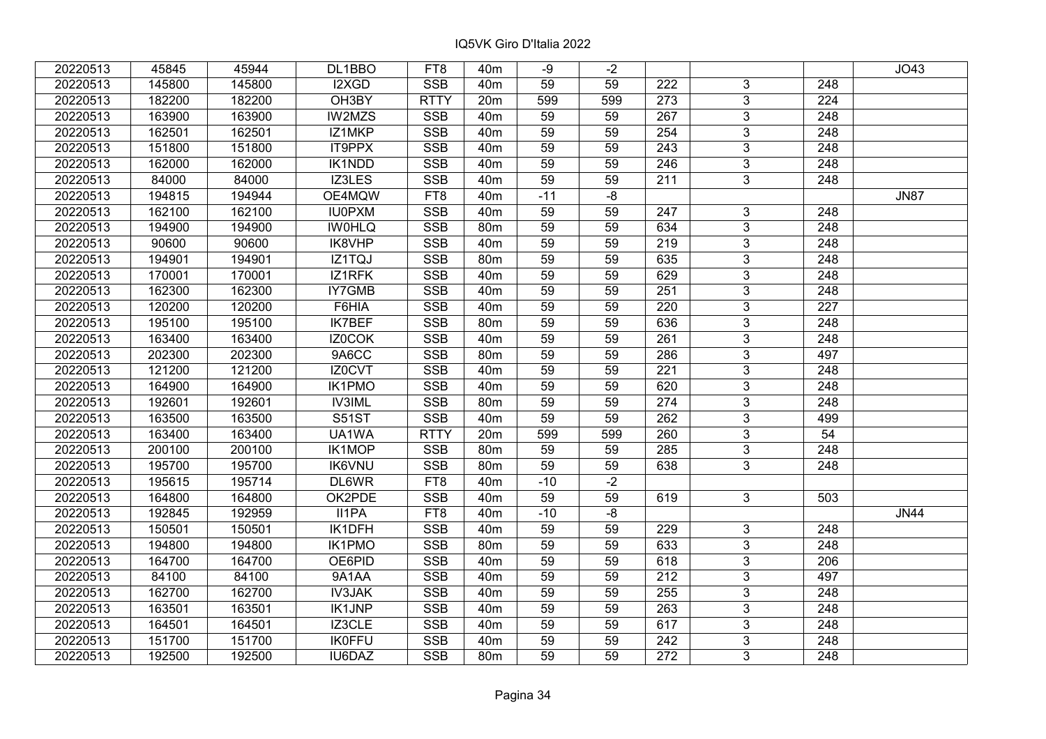| 20220513 | 45845  | 45944  | DL1BBO        | FT8             | 40 <sub>m</sub> | -9              | -2   |                  |                |                  | JO43        |
|----------|--------|--------|---------------|-----------------|-----------------|-----------------|------|------------------|----------------|------------------|-------------|
| 20220513 | 145800 | 145800 | I2XGD         | <b>SSB</b>      | 40 <sub>m</sub> | 59              | 59   | 222              | 3              | 248              |             |
| 20220513 | 182200 | 182200 | OH3BY         | <b>RTTY</b>     | 20m             | 599             | 599  | 273              | $\overline{3}$ | $\overline{224}$ |             |
| 20220513 | 163900 | 163900 | IW2MZS        | <b>SSB</b>      | 40 <sub>m</sub> | 59              | 59   | $\overline{267}$ | $\overline{3}$ | $\overline{248}$ |             |
| 20220513 | 162501 | 162501 | IZ1MKP        | <b>SSB</b>      | 40 <sub>m</sub> | 59              | 59   | 254              | 3              | 248              |             |
| 20220513 | 151800 | 151800 | IT9PPX        | <b>SSB</b>      | 40 <sub>m</sub> | 59              | 59   | 243              | $\overline{3}$ | 248              |             |
| 20220513 | 162000 | 162000 | <b>IK1NDD</b> | <b>SSB</b>      | 40 <sub>m</sub> | 59              | 59   | 246              | $\overline{3}$ | 248              |             |
| 20220513 | 84000  | 84000  | IZ3LES        | <b>SSB</b>      | 40 <sub>m</sub> | 59              | 59   | 211              | 3              | 248              |             |
| 20220513 | 194815 | 194944 | OE4MQW        | FT <sub>8</sub> | 40 <sub>m</sub> | $-11$           | $-8$ |                  |                |                  | <b>JN87</b> |
| 20220513 | 162100 | 162100 | <b>IU0PXM</b> | SSB             | 40 <sub>m</sub> | 59              | 59   | 247              | $\overline{3}$ | 248              |             |
| 20220513 | 194900 | 194900 | <b>IWOHLQ</b> | <b>SSB</b>      | 80m             | 59              | 59   | 634              | 3              | 248              |             |
| 20220513 | 90600  | 90600  | IK8VHP        | <b>SSB</b>      | 40 <sub>m</sub> | 59              | 59   | 219              | $\overline{3}$ | 248              |             |
| 20220513 | 194901 | 194901 | IZ1TQJ        | <b>SSB</b>      | 80m             | 59              | 59   | 635              | 3              | 248              |             |
| 20220513 | 170001 | 170001 | IZ1RFK        | <b>SSB</b>      | 40m             | 59              | 59   | 629              | $\overline{3}$ | 248              |             |
| 20220513 | 162300 | 162300 | IY7GMB        | <b>SSB</b>      | 40 <sub>m</sub> | 59              | 59   | 251              | $\overline{3}$ | 248              |             |
| 20220513 | 120200 | 120200 | F6HIA         | <b>SSB</b>      | 40 <sub>m</sub> | 59              | 59   | 220              | $\overline{3}$ | 227              |             |
| 20220513 | 195100 | 195100 | <b>IK7BEF</b> | <b>SSB</b>      | 80 <sub>m</sub> | 59              | 59   | 636              | $\overline{3}$ | 248              |             |
| 20220513 | 163400 | 163400 | IZ0COK        | <b>SSB</b>      | 40 <sub>m</sub> | 59              | 59   | 261              | 3              | 248              |             |
| 20220513 | 202300 | 202300 | 9A6CC         | <b>SSB</b>      | 80 <sub>m</sub> | 59              | 59   | 286              | 3              | 497              |             |
| 20220513 | 121200 | 121200 | IZ0CVT        | <b>SSB</b>      | 40 <sub>m</sub> | 59              | 59   | 221              | $\overline{3}$ | 248              |             |
| 20220513 | 164900 | 164900 | <b>IK1PMO</b> | <b>SSB</b>      | 40 <sub>m</sub> | 59              | 59   | 620              | $\overline{3}$ | 248              |             |
| 20220513 | 192601 | 192601 | <b>IV3IML</b> | <b>SSB</b>      | 80 <sub>m</sub> | 59              | 59   | 274              | 3              | 248              |             |
| 20220513 | 163500 | 163500 | <b>S51ST</b>  | SSB             | 40 <sub>m</sub> | 59              | 59   | 262              | $\overline{3}$ | 499              |             |
| 20220513 | 163400 | 163400 | UA1WA         | <b>RTTY</b>     | 20m             | 599             | 599  | 260              | $\overline{3}$ | 54               |             |
| 20220513 | 200100 | 200100 | IK1MOP        | <b>SSB</b>      | 80 <sub>m</sub> | 59              | 59   | 285              | $\mathbf{3}$   | 248              |             |
| 20220513 | 195700 | 195700 | <b>IK6VNU</b> | <b>SSB</b>      | 80 <sub>m</sub> | 59              | 59   | 638              | $\overline{3}$ | 248              |             |
| 20220513 | 195615 | 195714 | DL6WR         | FT8             | 40 <sub>m</sub> | $-10$           | $-2$ |                  |                |                  |             |
| 20220513 | 164800 | 164800 | OK2PDE        | <b>SSB</b>      | 40 <sub>m</sub> | 59              | 59   | 619              | 3 <sup>1</sup> | 503              |             |
| 20220513 | 192845 | 192959 | II1PA         | FT <sub>8</sub> | 40 <sub>m</sub> | $-10$           | $-8$ |                  |                |                  | <b>JN44</b> |
| 20220513 | 150501 | 150501 | IK1DFH        | <b>SSB</b>      | 40 <sub>m</sub> | 59              | 59   | 229              | 3              | 248              |             |
| 20220513 | 194800 | 194800 | <b>IK1PMO</b> | SSB             | 80 <sub>m</sub> | $\overline{59}$ | 59   | 633              | $\overline{3}$ | $\overline{248}$ |             |
| 20220513 | 164700 | 164700 | OE6PID        | <b>SSB</b>      | 40 <sub>m</sub> | 59              | 59   | 618              | $\overline{3}$ | 206              |             |
| 20220513 | 84100  | 84100  | 9A1AA         | <b>SSB</b>      | 40 <sub>m</sub> | 59              | 59   | 212              | 3              | 497              |             |
| 20220513 | 162700 | 162700 | <b>IV3JAK</b> | <b>SSB</b>      | 40 <sub>m</sub> | 59              | 59   | 255              | $\overline{3}$ | 248              |             |
| 20220513 | 163501 | 163501 | <b>IK1JNP</b> | <b>SSB</b>      | 40 <sub>m</sub> | 59              | 59   | 263              | $\overline{3}$ | 248              |             |
| 20220513 | 164501 | 164501 | IZ3CLE        | <b>SSB</b>      | 40 <sub>m</sub> | 59              | 59   | 617              | 3              | 248              |             |
| 20220513 | 151700 | 151700 | <b>IK0FFU</b> | SSB             | 40 <sub>m</sub> | 59              | 59   | 242              | $\overline{3}$ | 248              |             |
| 20220513 | 192500 | 192500 | IU6DAZ        | <b>SSB</b>      | 80m             | 59              | 59   | 272              | $\overline{3}$ | 248              |             |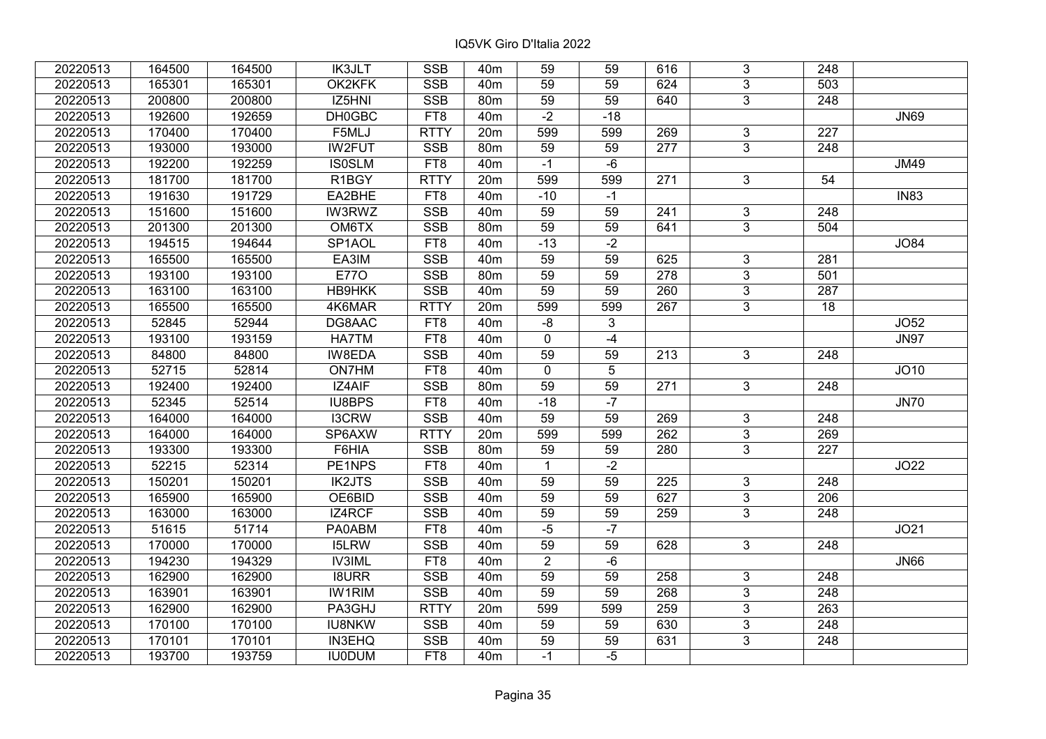| 20220513 | 164500 | 164500 | <b>IK3JLT</b> | <b>SSB</b>  | 40 <sub>m</sub> | 59              | 59         | 616              | 3              | 248              |             |
|----------|--------|--------|---------------|-------------|-----------------|-----------------|------------|------------------|----------------|------------------|-------------|
| 20220513 | 165301 | 165301 | OK2KFK        | <b>SSB</b>  | 40 <sub>m</sub> | 59              | 59         | 624              | 3              | 503              |             |
| 20220513 | 200800 | 200800 | IZ5HNI        | <b>SSB</b>  | 80 <sub>m</sub> | $\overline{59}$ | 59         | 640              | $\overline{3}$ | $\overline{248}$ |             |
| 20220513 | 192600 | 192659 | DH0GBC        | FT8         | 40 <sub>m</sub> | $-2$            | $-18$      |                  |                |                  | <b>JN69</b> |
| 20220513 | 170400 | 170400 | F5MLJ         | <b>RTTY</b> | 20m             | 599             | 599        | 269              | 3              | 227              |             |
| 20220513 | 193000 | 193000 | <b>IW2FUT</b> | <b>SSB</b>  | 80 <sub>m</sub> | 59              | 59         | $\overline{277}$ | $\overline{3}$ | $\overline{248}$ |             |
| 20220513 | 192200 | 192259 | <b>IS0SLM</b> | FT8         | 40 <sub>m</sub> | $-1$            | $-6$       |                  |                |                  | <b>JM49</b> |
| 20220513 | 181700 | 181700 | R1BGY         | <b>RTTY</b> | 20m             | 599             | 599        | 271              | 3              | 54               |             |
| 20220513 | 191630 | 191729 | EA2BHE        | FT8         | 40 <sub>m</sub> | $-10$           | $-1$       |                  |                |                  | <b>IN83</b> |
| 20220513 | 151600 | 151600 | IW3RWZ        | SSB         | 40 <sub>m</sub> | $\overline{59}$ | 59         | 241              | $\overline{3}$ | 248              |             |
| 20220513 | 201300 | 201300 | OM6TX         | <b>SSB</b>  | 80m             | 59              | 59         | 641              | 3              | 504              |             |
| 20220513 | 194515 | 194644 | SP1AOL        | FT8         | 40 <sub>m</sub> | $-13$           | $-2$       |                  |                |                  | JO84        |
| 20220513 | 165500 | 165500 | EA3IM         | <b>SSB</b>  | 40 <sub>m</sub> | 59              | 59         | 625              | $\overline{3}$ | 281              |             |
| 20220513 | 193100 | 193100 | <b>E770</b>   | <b>SSB</b>  | 80m             | 59              | 59         | 278              | $\overline{3}$ | 501              |             |
| 20220513 | 163100 | 163100 | <b>HB9HKK</b> | SSB         | 40 <sub>m</sub> | $\overline{59}$ | 59         | 260              | $\overline{3}$ | 287              |             |
| 20220513 | 165500 | 165500 | 4K6MAR        | <b>RTTY</b> | 20m             | 599             | 599        | 267              | 3              | 18               |             |
| 20220513 | 52845  | 52944  | DG8AAC        | FT8         | 40 <sub>m</sub> | $-8$            | 3          |                  |                |                  | JO52        |
| 20220513 | 193100 | 193159 | <b>HA7TM</b>  | FT8         | 40 <sub>m</sub> | 0               | $-4$       |                  |                |                  | <b>JN97</b> |
| 20220513 | 84800  | 84800  | IW8EDA        | <b>SSB</b>  | 40 <sub>m</sub> | 59              | 59         | 213              | 3              | 248              |             |
| 20220513 | 52715  | 52814  | ON7HM         | FT8         | 40 <sub>m</sub> | 0               | $\sqrt{5}$ |                  |                |                  | JO10        |
| 20220513 | 192400 | 192400 | IZ4AIF        | <b>SSB</b>  | 80 <sub>m</sub> | 59              | 59         | 271              | 3              | 248              |             |
| 20220513 | 52345  | 52514  | <b>IU8BPS</b> | FT8         | 40 <sub>m</sub> | $-18$           | $-7$       |                  |                |                  | <b>JN70</b> |
| 20220513 | 164000 | 164000 | <b>I3CRW</b>  | <b>SSB</b>  | 40 <sub>m</sub> | 59              | 59         | 269              | 3              | 248              |             |
| 20220513 | 164000 | 164000 | SP6AXW        | <b>RTTY</b> | 20 <sub>m</sub> | 599             | 599        | 262              | $\mathfrak{S}$ | 269              |             |
| 20220513 | 193300 | 193300 | F6HIA         | <b>SSB</b>  | 80m             | 59              | 59         | 280              | $\overline{3}$ | $\overline{227}$ |             |
| 20220513 | 52215  | 52314  | PE1NPS        | FT8         | 40 <sub>m</sub> | $\mathbf{1}$    | $-2$       |                  |                |                  | <b>JO22</b> |
| 20220513 | 150201 | 150201 | <b>IK2JTS</b> | <b>SSB</b>  | 40 <sub>m</sub> | 59              | 59         | 225              | 3              | 248              |             |
| 20220513 | 165900 | 165900 | OE6BID        | <b>SSB</b>  | 40 <sub>m</sub> | 59              | 59         | 627              | $\overline{3}$ | 206              |             |
| 20220513 | 163000 | 163000 | IZ4RCF        | <b>SSB</b>  | 40 <sub>m</sub> | 59              | 59         | 259              | $\overline{3}$ | 248              |             |
| 20220513 | 51615  | 51714  | PA0ABM        | FT8         | 40 <sub>m</sub> | $-5$            | $-7$       |                  |                |                  | JO21        |
| 20220513 | 170000 | 170000 | <b>I5LRW</b>  | <b>SSB</b>  | 40 <sub>m</sub> | 59              | 59         | 628              | $\overline{3}$ | 248              |             |
| 20220513 | 194230 | 194329 | <b>IV3IML</b> | FT8         | 40 <sub>m</sub> | $\overline{2}$  | $-6$       |                  |                |                  | <b>JN66</b> |
| 20220513 | 162900 | 162900 | <b>I8URR</b>  | <b>SSB</b>  | 40 <sub>m</sub> | 59              | 59         | 258              | 3              | 248              |             |
| 20220513 | 163901 | 163901 | <b>IW1RIM</b> | <b>SSB</b>  | 40 <sub>m</sub> | 59              | 59         | 268              | $\overline{3}$ | $\overline{248}$ |             |
| 20220513 | 162900 | 162900 | PA3GHJ        | <b>RTTY</b> | 20m             | 599             | 599        | 259              | 3              | 263              |             |
| 20220513 | 170100 | 170100 | <b>IU8NKW</b> | <b>SSB</b>  | 40 <sub>m</sub> | 59              | 59         | 630              | 3              | 248              |             |
| 20220513 | 170101 | 170101 | <b>IN3EHQ</b> | SSB         | 40m             | 59              | 59         | 631              | $\overline{3}$ | $\overline{248}$ |             |
| 20220513 | 193700 | 193759 | <b>IU0DUM</b> | FT8         | 40 <sub>m</sub> | $-1$            | $-5$       |                  |                |                  |             |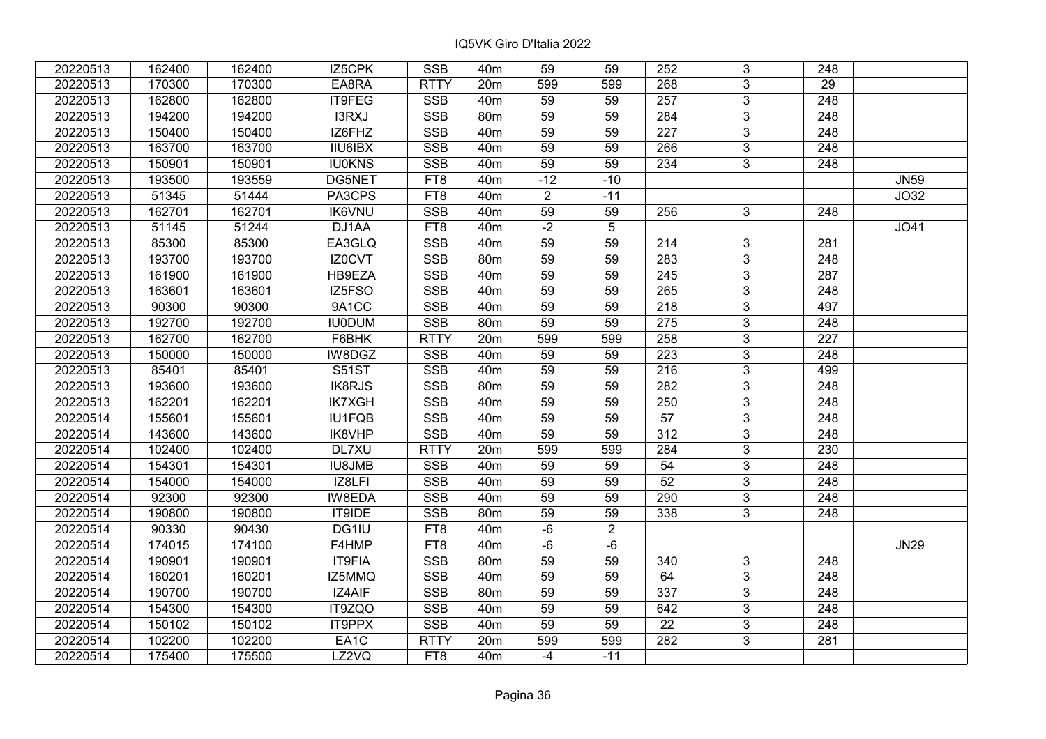| 20220513 | 162400 | 162400 | IZ5CPK         | <b>SSB</b>  | 40 <sub>m</sub> | 59              | 59             | 252             | 3              | 248              |                   |
|----------|--------|--------|----------------|-------------|-----------------|-----------------|----------------|-----------------|----------------|------------------|-------------------|
| 20220513 | 170300 | 170300 | EA8RA          | <b>RTTY</b> | 20m             | 599             | 599            | 268             | $\overline{3}$ | 29               |                   |
| 20220513 | 162800 | 162800 | IT9FEG         | <b>SSB</b>  | 40 <sub>m</sub> | $\overline{59}$ | 59             | 257             | $\overline{3}$ | 248              |                   |
| 20220513 | 194200 | 194200 | I3RXJ          | <b>SSB</b>  | 80 <sub>m</sub> | 59              | 59             | 284             | $\overline{3}$ | $\overline{248}$ |                   |
| 20220513 | 150400 | 150400 | IZ6FHZ         | <b>SSB</b>  | 40 <sub>m</sub> | 59              | 59             | 227             | $\overline{3}$ | 248              |                   |
| 20220513 | 163700 | 163700 | <b>IIU6IBX</b> | <b>SSB</b>  | 40 <sub>m</sub> | 59              | 59             | 266             | $\overline{3}$ | $\overline{248}$ |                   |
| 20220513 | 150901 | 150901 | <b>IU0KNS</b>  | <b>SSB</b>  | 40 <sub>m</sub> | 59              | 59             | 234             | $\overline{3}$ | 248              |                   |
| 20220513 | 193500 | 193559 | DG5NET         | FT8         | 40 <sub>m</sub> | $-12$           | $-10$          |                 |                |                  | <b>JN59</b>       |
| 20220513 | 51345  | 51444  | PA3CPS         | FT8         | 40 <sub>m</sub> | $\overline{2}$  | $-11$          |                 |                |                  | J <sub>O</sub> 32 |
| 20220513 | 162701 | 162701 | <b>IK6VNU</b>  | <b>SSB</b>  | 40 <sub>m</sub> | 59              | 59             | 256             | 3              | 248              |                   |
| 20220513 | 51145  | 51244  | DJ1AA          | FT8         | 40 <sub>m</sub> | $-2$            | 5              |                 |                |                  | JO41              |
| 20220513 | 85300  | 85300  | EA3GLQ         | <b>SSB</b>  | 40 <sub>m</sub> | 59              | 59             | 214             | $\overline{3}$ | 281              |                   |
| 20220513 | 193700 | 193700 | IZ0CVT         | <b>SSB</b>  | 80m             | 59              | 59             | 283             | 3              | 248              |                   |
| 20220513 | 161900 | 161900 | HB9EZA         | <b>SSB</b>  | 40 <sub>m</sub> | 59              | 59             | 245             | 3              | 287              |                   |
| 20220513 | 163601 | 163601 | IZ5FSO         | <b>SSB</b>  | 40 <sub>m</sub> | 59              | 59             | 265             | $\overline{3}$ | 248              |                   |
| 20220513 | 90300  | 90300  | 9A1CC          | <b>SSB</b>  | 40 <sub>m</sub> | 59              | 59             | 218             | 3              | 497              |                   |
| 20220513 | 192700 | 192700 | <b>IU0DUM</b>  | <b>SSB</b>  | 80m             | 59              | 59             | 275             | 3              | 248              |                   |
| 20220513 | 162700 | 162700 | F6BHK          | <b>RTTY</b> | 20m             | 599             | 599            | 258             | 3              | 227              |                   |
| 20220513 | 150000 | 150000 | IW8DGZ         | <b>SSB</b>  | 40 <sub>m</sub> | 59              | 59             | 223             | $\overline{3}$ | 248              |                   |
| 20220513 | 85401  | 85401  | S51ST          | <b>SSB</b>  | 40 <sub>m</sub> | 59              | 59             | 216             | $\overline{3}$ | 499              |                   |
| 20220513 | 193600 | 193600 | IK8RJS         | SSB         | 80 <sub>m</sub> | 59              | 59             | 282             | $\overline{3}$ | $\overline{248}$ |                   |
| 20220513 | 162201 | 162201 | <b>IK7XGH</b>  | <b>SSB</b>  | 40 <sub>m</sub> | 59              | 59             | 250             | $\overline{3}$ | 248              |                   |
| 20220514 | 155601 | 155601 | <b>IU1FQB</b>  | <b>SSB</b>  | 40 <sub>m</sub> | 59              | 59             | 57              | 3              | 248              |                   |
| 20220514 | 143600 | 143600 | IK8VHP         | <b>SSB</b>  | 40 <sub>m</sub> | 59              | 59             | 312             | $\overline{3}$ | 248              |                   |
| 20220514 | 102400 | 102400 | DL7XU          | <b>RTTY</b> | 20m             | 599             | 599            | 284             | $\overline{3}$ | 230              |                   |
| 20220514 | 154301 | 154301 | <b>IU8JMB</b>  | <b>SSB</b>  | 40 <sub>m</sub> | 59              | 59             | 54              | $\overline{3}$ | $\overline{248}$ |                   |
| 20220514 | 154000 | 154000 | IZ8LFI         | <b>SSB</b>  | 40 <sub>m</sub> | $\overline{59}$ | 59             | $\overline{52}$ | $\overline{3}$ | $\overline{248}$ |                   |
| 20220514 | 92300  | 92300  | IW8EDA         | <b>SSB</b>  | 40 <sub>m</sub> | 59              | 59             | 290             | $\overline{3}$ | $\overline{248}$ |                   |
| 20220514 | 190800 | 190800 | IT9IDE         | <b>SSB</b>  | 80m             | 59              | 59             | 338             | $\overline{3}$ | 248              |                   |
| 20220514 | 90330  | 90430  | DG1IU          | FT8         | 40 <sub>m</sub> | $-6$            | $\overline{2}$ |                 |                |                  |                   |
| 20220514 | 174015 | 174100 | F4HMP          | FT8         | 40 <sub>m</sub> | $-6$            | $-6$           |                 |                |                  | <b>JN29</b>       |
| 20220514 | 190901 | 190901 | IT9FIA         | <b>SSB</b>  | 80m             | 59              | 59             | 340             | 3              | 248              |                   |
| 20220514 | 160201 | 160201 | IZ5MMQ         | <b>SSB</b>  | 40 <sub>m</sub> | 59              | 59             | 64              | $\overline{3}$ | 248              |                   |
| 20220514 | 190700 | 190700 | IZ4AIF         | <b>SSB</b>  | 80m             | 59              | 59             | 337             | $\overline{3}$ | 248              |                   |
| 20220514 | 154300 | 154300 | IT9ZQO         | <b>SSB</b>  | 40 <sub>m</sub> | 59              | 59             | 642             | 3              | 248              |                   |
| 20220514 | 150102 | 150102 | IT9PPX         | <b>SSB</b>  | 40 <sub>m</sub> | 59              | 59             | 22              | 3              | 248              |                   |
| 20220514 | 102200 | 102200 | EA1C           | <b>RTTY</b> | 20m             | 599             | 599            | 282             | $\overline{3}$ | 281              |                   |
| 20220514 | 175400 | 175500 | LZ2VQ          | FT8         | 40 <sub>m</sub> | $-4$            | $-11$          |                 |                |                  |                   |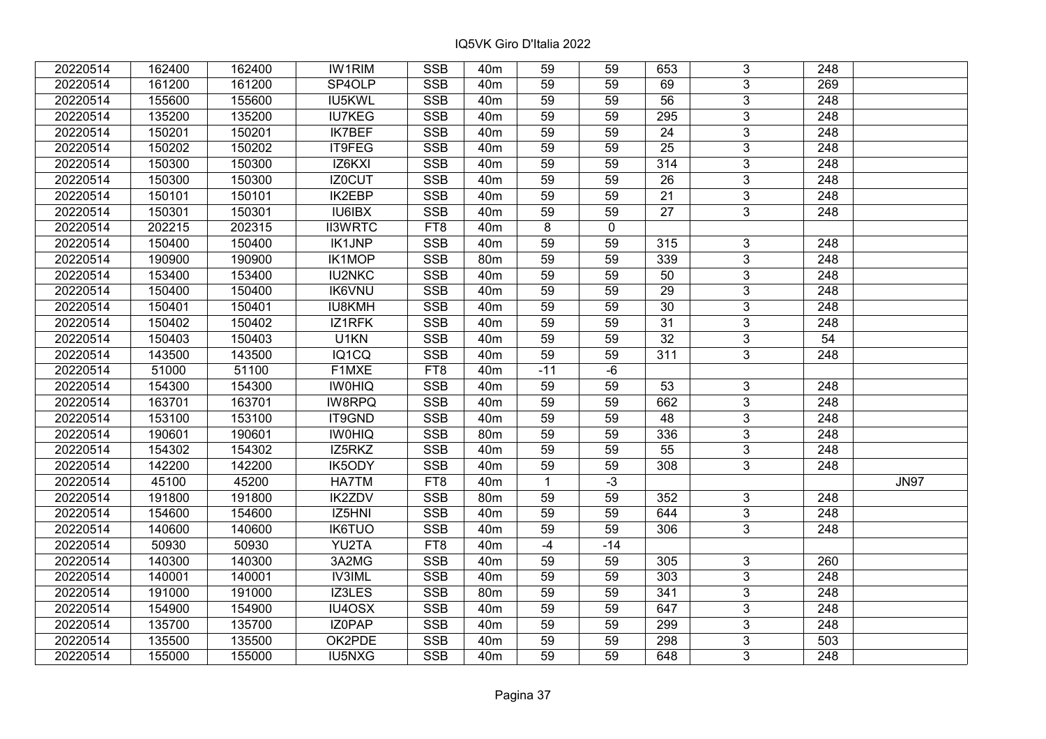| 20220514 | 162400 | 162400 | <b>IW1RIM</b>  | <b>SSB</b> | 40 <sub>m</sub> | 59              | 59          | 653             | 3              | 248              |             |
|----------|--------|--------|----------------|------------|-----------------|-----------------|-------------|-----------------|----------------|------------------|-------------|
| 20220514 | 161200 | 161200 | SP4OLP         | <b>SSB</b> | 40 <sub>m</sub> | 59              | 59          | 69              | $\overline{3}$ | 269              |             |
| 20220514 | 155600 | 155600 | IU5KWL         | <b>SSB</b> | 40 <sub>m</sub> | 59              | 59          | $\overline{56}$ | $\overline{3}$ | 248              |             |
| 20220514 | 135200 | 135200 | <b>IU7KEG</b>  | <b>SSB</b> | 40 <sub>m</sub> | 59              | 59          | 295             | $\overline{3}$ | $\overline{248}$ |             |
| 20220514 | 150201 | 150201 | <b>IK7BEF</b>  | <b>SSB</b> | 40 <sub>m</sub> | 59              | 59          | 24              | $\overline{3}$ | 248              |             |
| 20220514 | 150202 | 150202 | IT9FEG         | <b>SSB</b> | 40m             | 59              | 59          | $\overline{25}$ | $\overline{3}$ | 248              |             |
| 20220514 | 150300 | 150300 | IZ6KXI         | SSB        | 40 <sub>m</sub> | 59              | 59          | 314             | $\overline{3}$ | 248              |             |
| 20220514 | 150300 | 150300 | <b>IZ0CUT</b>  | <b>SSB</b> | 40 <sub>m</sub> | 59              | 59          | 26              | $\overline{3}$ | 248              |             |
| 20220514 | 150101 | 150101 | <b>IK2EBP</b>  | SSB        | 40 <sub>m</sub> | 59              | 59          | $\overline{21}$ | $\overline{3}$ | $\overline{248}$ |             |
| 20220514 | 150301 | 150301 | <b>IU6IBX</b>  | <b>SSB</b> | 40 <sub>m</sub> | 59              | 59          | 27              | $\overline{3}$ | 248              |             |
| 20220514 | 202215 | 202315 | <b>II3WRTC</b> | FT8        | 40m             | 8               | $\mathbf 0$ |                 |                |                  |             |
| 20220514 | 150400 | 150400 | <b>IK1JNP</b>  | <b>SSB</b> | 40m             | $\overline{59}$ | 59          | 315             | $\overline{3}$ | 248              |             |
| 20220514 | 190900 | 190900 | <b>IK1MOP</b>  | <b>SSB</b> | 80m             | 59              | 59          | 339             | $\mathbf{3}$   | 248              |             |
| 20220514 | 153400 | 153400 | <b>IU2NKC</b>  | <b>SSB</b> | 40m             | 59              | 59          | 50              | $\mathbf{3}$   | 248              |             |
| 20220514 | 150400 | 150400 | <b>IK6VNU</b>  | <b>SSB</b> | 40 <sub>m</sub> | 59              | 59          | 29              | $\overline{3}$ | $\overline{248}$ |             |
| 20220514 | 150401 | 150401 | <b>IU8KMH</b>  | <b>SSB</b> | 40 <sub>m</sub> | 59              | 59          | 30              | $\overline{3}$ | 248              |             |
| 20220514 | 150402 | 150402 | IZ1RFK         | <b>SSB</b> | 40m             | 59              | 59          | 31              | $\mathbf{3}$   | 248              |             |
| 20220514 | 150403 | 150403 | U1KN           | <b>SSB</b> | 40 <sub>m</sub> | 59              | 59          | $\overline{32}$ | $\mathbf{3}$   | 54               |             |
| 20220514 | 143500 | 143500 | IQ1CQ          | <b>SSB</b> | 40 <sub>m</sub> | 59              | 59          | 311             | $\overline{3}$ | 248              |             |
| 20220514 | 51000  | 51100  | F1MXE          | FT8        | 40m             | $-11$           | $-6$        |                 |                |                  |             |
| 20220514 | 154300 | 154300 | <b>IWOHIQ</b>  | <b>SSB</b> | 40 <sub>m</sub> | 59              | 59          | 53              | 3              | 248              |             |
| 20220514 | 163701 | 163701 | IW8RPQ         | <b>SSB</b> | 40 <sub>m</sub> | 59              | 59          | 662             | $\overline{3}$ | 248              |             |
| 20220514 | 153100 | 153100 | IT9GND         | <b>SSB</b> | 40 <sub>m</sub> | 59              | 59          | 48              | $\mathfrak{S}$ | 248              |             |
| 20220514 | 190601 | 190601 | <b>IWOHIQ</b>  | <b>SSB</b> | 80m             | 59              | 59          | 336             | $\overline{3}$ | 248              |             |
| 20220514 | 154302 | 154302 | IZ5RKZ         | <b>SSB</b> | 40 <sub>m</sub> | 59              | 59          | 55              | $\overline{3}$ | $\overline{248}$ |             |
| 20220514 | 142200 | 142200 | IK5ODY         | <b>SSB</b> | 40 <sub>m</sub> | 59              | 59          | 308             | $\overline{3}$ | 248              |             |
| 20220514 | 45100  | 45200  | HA7TM          | FT8        | 40 <sub>m</sub> | $\mathbf{1}$    | $-3$        |                 |                |                  | <b>JN97</b> |
| 20220514 | 191800 | 191800 | <b>IK2ZDV</b>  | <b>SSB</b> | 80m             | 59              | 59          | 352             | $\mathbf{3}$   | 248              |             |
| 20220514 | 154600 | 154600 | IZ5HNI         | <b>SSB</b> | 40 <sub>m</sub> | 59              | 59          | 644             | $\overline{3}$ | $\overline{248}$ |             |
| 20220514 | 140600 | 140600 | <b>IK6TUO</b>  | <b>SSB</b> | 40 <sub>m</sub> | 59              | 59          | 306             | $\overline{3}$ | $\overline{248}$ |             |
| 20220514 | 50930  | 50930  | YU2TA          | FT8        | 40 <sub>m</sub> | $-4$            | $-14$       |                 |                |                  |             |
| 20220514 | 140300 | 140300 | 3A2MG          | <b>SSB</b> | 40 <sub>m</sub> | 59              | 59          | 305             | $\overline{3}$ | 260              |             |
| 20220514 | 140001 | 140001 | <b>IV3IML</b>  | <b>SSB</b> | 40 <sub>m</sub> | 59              | 59          | 303             | $\overline{3}$ | 248              |             |
| 20220514 | 191000 | 191000 | IZ3LES         | <b>SSB</b> | 80m             | 59              | 59          | 341             | $\overline{3}$ | 248              |             |
| 20220514 | 154900 | 154900 | IU4OSX         | <b>SSB</b> | 40 <sub>m</sub> | 59              | 59          | 647             | 3              | 248              |             |
| 20220514 | 135700 | 135700 | IZ0PAP         | <b>SSB</b> | 40m             | 59              | 59          | 299             | 3              | 248              |             |
| 20220514 | 135500 | 135500 | OK2PDE         | <b>SSB</b> | 40m             | 59              | 59          | 298             | 3              | 503              |             |
| 20220514 | 155000 | 155000 | <b>IU5NXG</b>  | <b>SSB</b> | 40m             | 59              | 59          | 648             | 3              | 248              |             |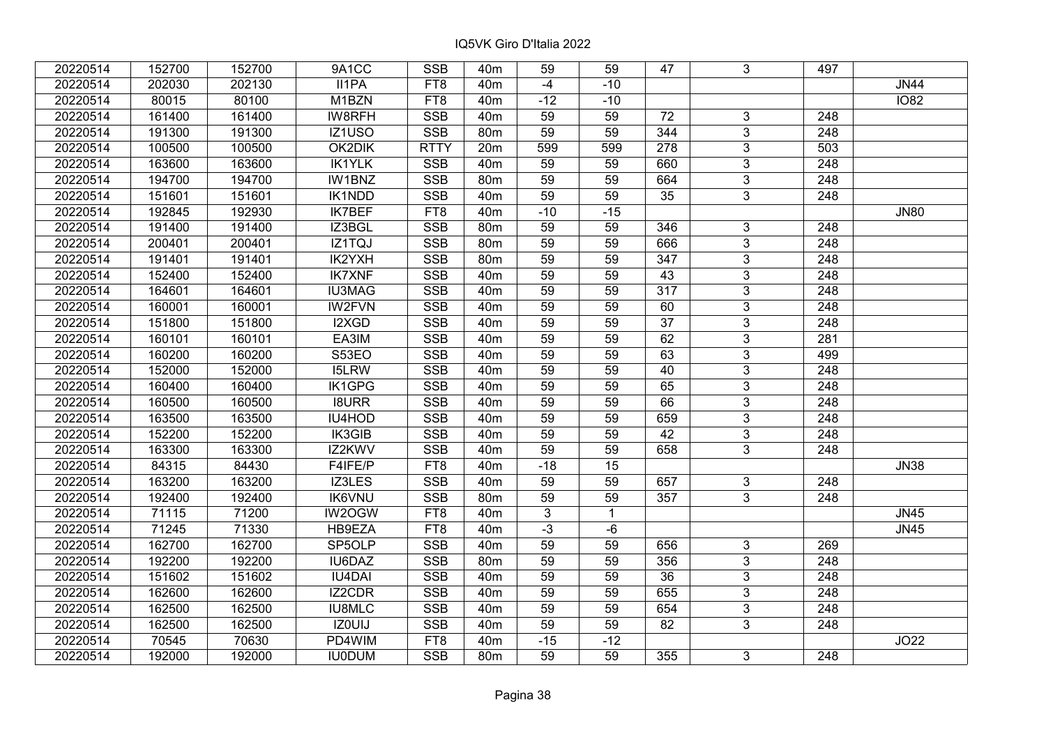| 20220514 | 152700 | 152700 | 9A1CC         | <b>SSB</b>      | 40 <sub>m</sub> | 59              | 59           | 47              | 3              | 497              |             |
|----------|--------|--------|---------------|-----------------|-----------------|-----------------|--------------|-----------------|----------------|------------------|-------------|
| 20220514 | 202030 | 202130 | II1PA         | FT8             | 40 <sub>m</sub> | $-4$            | $-10$        |                 |                |                  | <b>JN44</b> |
| 20220514 | 80015  | 80100  | M1BZN         | FT8             | 40 <sub>m</sub> | $-12$           | $-10$        |                 |                |                  | <b>IO82</b> |
| 20220514 | 161400 | 161400 | IW8RFH        | <b>SSB</b>      | 40 <sub>m</sub> | 59              | 59           | 72              | 3              | 248              |             |
| 20220514 | 191300 | 191300 | IZ1USO        | <b>SSB</b>      | 80 <sub>m</sub> | 59              | 59           | 344             | $\overline{3}$ | 248              |             |
| 20220514 | 100500 | 100500 | OK2DIK        | <b>RTTY</b>     | 20m             | 599             | 599          | 278             | $\overline{3}$ | 503              |             |
| 20220514 | 163600 | 163600 | <b>IK1YLK</b> | <b>SSB</b>      | 40 <sub>m</sub> | 59              | 59           | 660             | 3              | 248              |             |
| 20220514 | 194700 | 194700 | IW1BNZ        | SSB             | 80m             | 59              | 59           | 664             | 3              | 248              |             |
| 20220514 | 151601 | 151601 | <b>IK1NDD</b> | <b>SSB</b>      | 40 <sub>m</sub> | $\overline{59}$ | 59           | $\overline{35}$ | $\overline{3}$ | $\overline{248}$ |             |
| 20220514 | 192845 | 192930 | <b>IK7BEF</b> | FT8             | 40 <sub>m</sub> | $-10$           | $-15$        |                 |                |                  | <b>JN80</b> |
| 20220514 | 191400 | 191400 | IZ3BGL        | <b>SSB</b>      | 80m             | 59              | 59           | 346             | 3              | 248              |             |
| 20220514 | 200401 | 200401 | IZ1TQJ        | <b>SSB</b>      | 80m             | $\overline{59}$ | 59           | 666             | $\overline{3}$ | 248              |             |
| 20220514 | 191401 | 191401 | IK2YXH        | <b>SSB</b>      | 80m             | 59              | 59           | 347             | 3              | 248              |             |
| 20220514 | 152400 | 152400 | <b>IK7XNF</b> | <b>SSB</b>      | 40m             | 59              | 59           | 43              | $\overline{3}$ | 248              |             |
| 20220514 | 164601 | 164601 | <b>IU3MAG</b> | <b>SSB</b>      | 40 <sub>m</sub> | 59              | 59           | 317             | 3              | 248              |             |
| 20220514 | 160001 | 160001 | <b>IW2FVN</b> | <b>SSB</b>      | 40m             | 59              | 59           | 60              | 3              | 248              |             |
| 20220514 | 151800 | 151800 | I2XGD         | <b>SSB</b>      | 40 <sub>m</sub> | 59              | 59           | $\overline{37}$ | $\overline{3}$ | 248              |             |
| 20220514 | 160101 | 160101 | EA3IM         | <b>SSB</b>      | 40 <sub>m</sub> | 59              | 59           | 62              | 3              | 281              |             |
| 20220514 | 160200 | 160200 | S53EO         | <b>SSB</b>      | 40 <sub>m</sub> | 59              | 59           | 63              | 3              | 499              |             |
| 20220514 | 152000 | 152000 | <b>I5LRW</b>  | <b>SSB</b>      | 40 <sub>m</sub> | 59              | 59           | 40              | $\overline{3}$ | $\overline{248}$ |             |
| 20220514 | 160400 | 160400 | <b>IK1GPG</b> | <b>SSB</b>      | 40m             | 59              | 59           | 65              | $\overline{3}$ | 248              |             |
| 20220514 | 160500 | 160500 | <b>I8URR</b>  | <b>SSB</b>      | 40 <sub>m</sub> | 59              | 59           | 66              | 3              | 248              |             |
| 20220514 | 163500 | 163500 | IU4HOD        | <b>SSB</b>      | 40 <sub>m</sub> | 59              | 59           | 659             | $\overline{3}$ | 248              |             |
| 20220514 | 152200 | 152200 | IK3GIB        | <b>SSB</b>      | 40m             | 59              | 59           | 42              | $\mathfrak{S}$ | 248              |             |
| 20220514 | 163300 | 163300 | IZ2KWV        | <b>SSB</b>      | 40 <sub>m</sub> | 59              | 59           | 658             | 3              | 248              |             |
| 20220514 | 84315  | 84430  | F4IFE/P       | FT8             | 40 <sub>m</sub> | $-18$           | 15           |                 |                |                  | <b>JN38</b> |
| 20220514 | 163200 | 163200 | IZ3LES        | <b>SSB</b>      | 40 <sub>m</sub> | 59              | 59           | 657             | $\mathbf{3}$   | 248              |             |
| 20220514 | 192400 | 192400 | <b>IK6VNU</b> | <b>SSB</b>      | 80m             | 59              | 59           | 357             | $\overline{3}$ | 248              |             |
| 20220514 | 71115  | 71200  | IW2OGW        | FT <sub>8</sub> | 40 <sub>m</sub> | $\overline{3}$  | $\mathbf{1}$ |                 |                |                  | <b>JN45</b> |
| 20220514 | 71245  | 71330  | HB9EZA        | FT8             | 40 <sub>m</sub> | $-3$            | $-6$         |                 |                |                  | <b>JN45</b> |
| 20220514 | 162700 | 162700 | SP5OLP        | <b>SSB</b>      | 40 <sub>m</sub> | $\overline{59}$ | 59           | 656             | $\overline{3}$ | 269              |             |
| 20220514 | 192200 | 192200 | <b>IU6DAZ</b> | <b>SSB</b>      | 80m             | 59              | 59           | 356             | $\overline{3}$ | 248              |             |
| 20220514 | 151602 | 151602 | <b>IU4DAI</b> | <b>SSB</b>      | 40 <sub>m</sub> | 59              | 59           | 36              | 3              | 248              |             |
| 20220514 | 162600 | 162600 | IZ2CDR        | SSB             | 40 <sub>m</sub> | 59              | 59           | 655             | $\overline{3}$ | $\overline{248}$ |             |
| 20220514 | 162500 | 162500 | <b>IU8MLC</b> | <b>SSB</b>      | 40 <sub>m</sub> | 59              | 59           | 654             | 3              | 248              |             |
| 20220514 | 162500 | 162500 | IZ0UIJ        | <b>SSB</b>      | 40 <sub>m</sub> | 59              | 59           | 82              | 3              | 248              |             |
| 20220514 | 70545  | 70630  | PD4WIM        | FT8             | 40 <sub>m</sub> | $-15$           | $-12$        |                 |                |                  | JO22        |
| 20220514 | 192000 | 192000 | <b>IU0DUM</b> | <b>SSB</b>      | 80m             | 59              | 59           | 355             | 3              | 248              |             |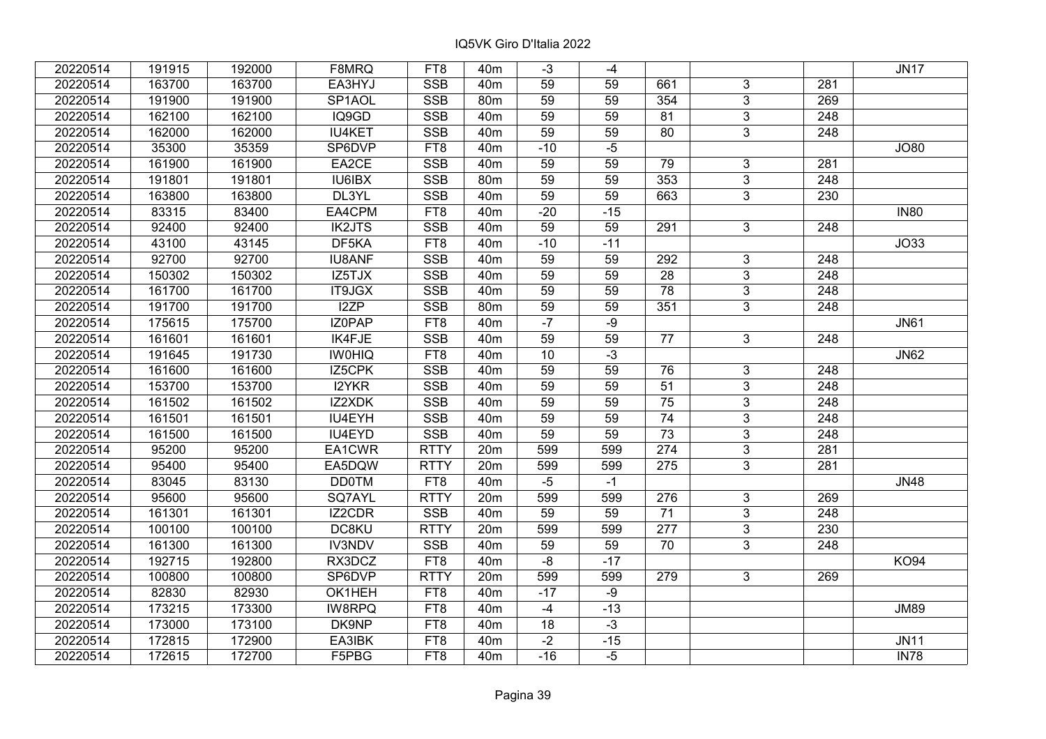| 20220514 | 191915 | 192000 | F8MRQ               | FT8             | 40 <sub>m</sub> | $-3$            | -4    |                  |                |                  | <b>JN17</b>       |
|----------|--------|--------|---------------------|-----------------|-----------------|-----------------|-------|------------------|----------------|------------------|-------------------|
| 20220514 | 163700 | 163700 | EA3HYJ              | <b>SSB</b>      | 40 <sub>m</sub> | 59              | 59    | 661              | 3              | 281              |                   |
| 20220514 | 191900 | 191900 | SP <sub>1</sub> AOL | <b>SSB</b>      | 80m             | $\overline{59}$ | 59    | $\frac{1}{354}$  | $\overline{3}$ | 269              |                   |
| 20220514 | 162100 | 162100 | IQ9GD               | <b>SSB</b>      | 40 <sub>m</sub> | 59              | 59    | 81               | $\overline{3}$ | $\overline{248}$ |                   |
| 20220514 | 162000 | 162000 | <b>IU4KET</b>       | <b>SSB</b>      | 40 <sub>m</sub> | 59              | 59    | 80               | $\mathbf{3}$   | 248              |                   |
| 20220514 | 35300  | 35359  | SP6DVP              | FT8             | 40 <sub>m</sub> | $-10$           | $-5$  |                  |                |                  | <b>JO80</b>       |
| 20220514 | 161900 | 161900 | EA2CE               | <b>SSB</b>      | 40 <sub>m</sub> | $\overline{59}$ | 59    | 79               | 3              | 281              |                   |
| 20220514 | 191801 | 191801 | <b>IU6IBX</b>       | <b>SSB</b>      | 80m             | 59              | 59    | 353              | $\mathbf{3}$   | 248              |                   |
| 20220514 | 163800 | 163800 | DL3YL               | SSB             | 40 <sub>m</sub> | 59              | 59    | 663              | $\overline{3}$ | 230              |                   |
| 20220514 | 83315  | 83400  | EA4CPM              | FT8             | 40 <sub>m</sub> | $-20$           | $-15$ |                  |                |                  | <b>IN80</b>       |
| 20220514 | 92400  | 92400  | <b>IK2JTS</b>       | <b>SSB</b>      | 40 <sub>m</sub> | 59              | 59    | 291              | 3              | 248              |                   |
| 20220514 | 43100  | 43145  | DF <sub>5</sub> KA  | FT8             | 40 <sub>m</sub> | $-10$           | $-11$ |                  |                |                  | J <sub>O</sub> 33 |
| 20220514 | 92700  | 92700  | <b>IU8ANF</b>       | <b>SSB</b>      | 40 <sub>m</sub> | 59              | 59    | 292              | $\overline{3}$ | 248              |                   |
| 20220514 | 150302 | 150302 | IZ5TJX              | <b>SSB</b>      | 40 <sub>m</sub> | 59              | 59    | $\overline{28}$  | $\overline{3}$ | 248              |                   |
| 20220514 | 161700 | 161700 | <b>IT9JGX</b>       | <b>SSB</b>      | 40 <sub>m</sub> | $\overline{59}$ | 59    | $\overline{78}$  | $\overline{3}$ | $\overline{248}$ |                   |
| 20220514 | 191700 | 191700 | I2ZP                | <b>SSB</b>      | 80m             | 59              | 59    | 351              | 3 <sup>1</sup> | 248              |                   |
| 20220514 | 175615 | 175700 | IZ0PAP              | FT8             | 40 <sub>m</sub> | $-7$            | $-9$  |                  |                |                  | <b>JN61</b>       |
| 20220514 | 161601 | 161601 | <b>IK4FJE</b>       | <b>SSB</b>      | 40 <sub>m</sub> | $\overline{59}$ | 59    | 77               | 3              | 248              |                   |
| 20220514 | 191645 | 191730 | <b>IW0HIQ</b>       | FT8             | 40 <sub>m</sub> | 10              | $-3$  |                  |                |                  | <b>JN62</b>       |
| 20220514 | 161600 | 161600 | IZ5CPK              | <b>SSB</b>      | 40 <sub>m</sub> | 59              | 59    | 76               | $\overline{3}$ | 248              |                   |
| 20220514 | 153700 | 153700 | I2YKR               | <b>SSB</b>      | 40 <sub>m</sub> | 59              | 59    | $\overline{51}$  | $\overline{3}$ | 248              |                   |
| 20220514 | 161502 | 161502 | IZ2XDK              | <b>SSB</b>      | 40 <sub>m</sub> | 59              | 59    | $\overline{75}$  | $\overline{3}$ | 248              |                   |
| 20220514 | 161501 | 161501 | <b>IU4EYH</b>       | <b>SSB</b>      | 40m             | 59              | 59    | 74               | $\overline{3}$ | 248              |                   |
| 20220514 | 161500 | 161500 | IU4EYD              | <b>SSB</b>      | 40 <sub>m</sub> | 59              | 59    | 73               | $\mathfrak{S}$ | 248              |                   |
| 20220514 | 95200  | 95200  | EA1CWR              | <b>RTTY</b>     | 20m             | 599             | 599   | 274              | $\overline{3}$ | 281              |                   |
| 20220514 | 95400  | 95400  | EA5DQW              | <b>RTTY</b>     | 20m             | 599             | 599   | 275              | $\overline{3}$ | 281              |                   |
| 20220514 | 83045  | 83130  | <b>DD0TM</b>        | FT8             | 40 <sub>m</sub> | $-5$            | $-1$  |                  |                |                  | <b>JN48</b>       |
| 20220514 | 95600  | 95600  | SQ7AYL              | <b>RTTY</b>     | 20m             | 599             | 599   | 276              | $\mathbf{3}$   | 269              |                   |
| 20220514 | 161301 | 161301 | IZ2CDR              | <b>SSB</b>      | 40 <sub>m</sub> | 59              | 59    | $\overline{71}$  | $\overline{3}$ | 248              |                   |
| 20220514 | 100100 | 100100 | DC8KU               | <b>RTTY</b>     | 20m             | 599             | 599   | $\overline{277}$ | $\overline{3}$ | 230              |                   |
| 20220514 | 161300 | 161300 | <b>IV3NDV</b>       | <b>SSB</b>      | 40 <sub>m</sub> | 59              | 59    | 70               | $\overline{3}$ | $\overline{248}$ |                   |
| 20220514 | 192715 | 192800 | RX3DCZ              | FT8             | 40 <sub>m</sub> | $-8$            | $-17$ |                  |                |                  | <b>KO94</b>       |
| 20220514 | 100800 | 100800 | SP6DVP              | <b>RTTY</b>     | 20m             | 599             | 599   | 279              | 3              | 269              |                   |
| 20220514 | 82830  | 82930  | OK1HEH              | FT8             | 40 <sub>m</sub> | $-17$           | $-9$  |                  |                |                  |                   |
| 20220514 | 173215 | 173300 | IW8RPQ              | FT8             | 40 <sub>m</sub> | $-4$            | $-13$ |                  |                |                  | <b>JM89</b>       |
| 20220514 | 173000 | 173100 | DK9NP               | FT <sub>8</sub> | 40 <sub>m</sub> | 18              | $-3$  |                  |                |                  |                   |
| 20220514 | 172815 | 172900 | EA3IBK              | FT8             | 40 <sub>m</sub> | $-2$            | $-15$ |                  |                |                  | <b>JN11</b>       |
| 20220514 | 172615 | 172700 | F5PBG               | FT8             | 40 <sub>m</sub> | $-16$           | $-5$  |                  |                |                  | <b>IN78</b>       |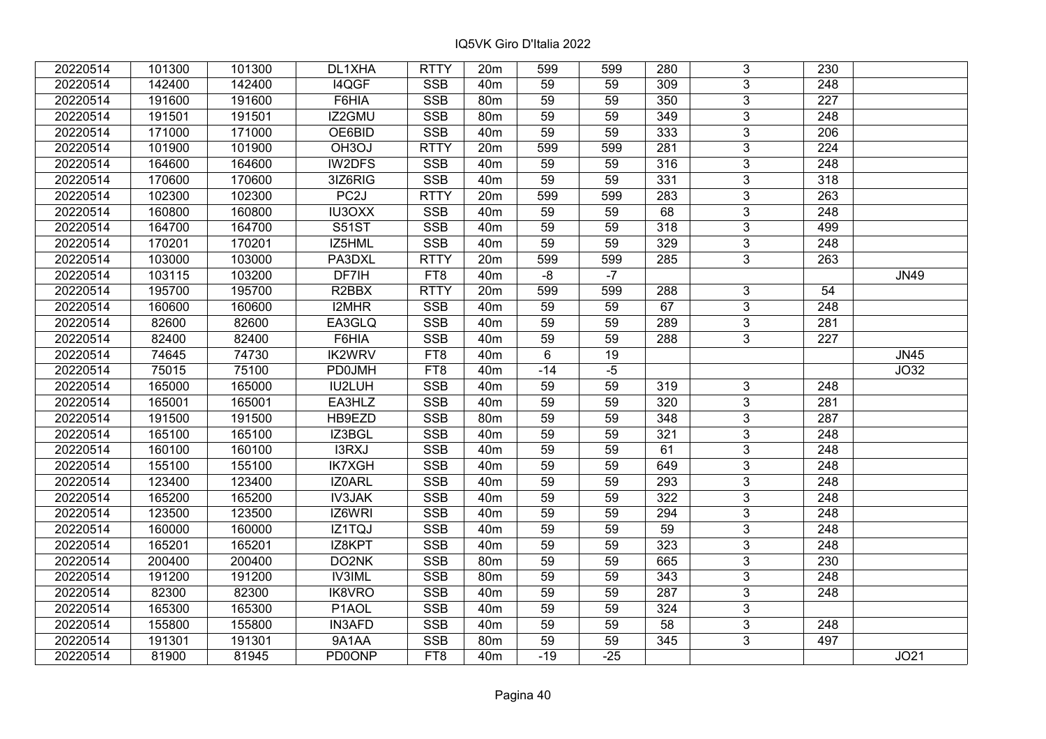| 20220514 | 101300 | 101300 | DL1XHA             | <b>RTTY</b> | 20 <sub>m</sub> | 599             | 599   | 280             | 3              | 230              |             |
|----------|--------|--------|--------------------|-------------|-----------------|-----------------|-------|-----------------|----------------|------------------|-------------|
| 20220514 | 142400 | 142400 | I4QGF              | <b>SSB</b>  | 40 <sub>m</sub> | 59              | 59    | 309             | 3              | 248              |             |
| 20220514 | 191600 | 191600 | F6HIA              | <b>SSB</b>  | 80 <sub>m</sub> | 59              | 59    | 350             | $\overline{3}$ | 227              |             |
| 20220514 | 191501 | 191501 | IZ2GMU             | <b>SSB</b>  | 80m             | 59              | 59    | 349             | $\overline{3}$ | 248              |             |
| 20220514 | 171000 | 171000 | OE6BID             | <b>SSB</b>  | 40 <sub>m</sub> | 59              | 59    | 333             | $\overline{3}$ | 206              |             |
| 20220514 | 101900 | 101900 | OH <sub>3</sub> OJ | <b>RTTY</b> | 20m             | 599             | 599   | 281             | $\overline{3}$ | 224              |             |
| 20220514 | 164600 | 164600 | IW2DFS             | <b>SSB</b>  | 40 <sub>m</sub> | 59              | 59    | 316             | $\overline{3}$ | 248              |             |
| 20220514 | 170600 | 170600 | 3IZ6RIG            | <b>SSB</b>  | 40 <sub>m</sub> | 59              | 59    | 331             | $\overline{3}$ | 318              |             |
| 20220514 | 102300 | 102300 | PC <sub>2</sub> J  | <b>RTTY</b> | 20m             | 599             | 599   | 283             | $\overline{3}$ | 263              |             |
| 20220514 | 160800 | 160800 | <b>IU3OXX</b>      | <b>SSB</b>  | 40 <sub>m</sub> | 59              | 59    | 68              | $\overline{3}$ | 248              |             |
| 20220514 | 164700 | 164700 | <b>S51ST</b>       | <b>SSB</b>  | 40 <sub>m</sub> | 59              | 59    | 318             | $\overline{3}$ | 499              |             |
| 20220514 | 170201 | 170201 | IZ5HML             | <b>SSB</b>  | 40 <sub>m</sub> | 59              | 59    | 329             | $\overline{3}$ | 248              |             |
| 20220514 | 103000 | 103000 | PA3DXL             | <b>RTTY</b> | 20 <sub>m</sub> | 599             | 599   | 285             | $\overline{3}$ | 263              |             |
| 20220514 | 103115 | 103200 | DF7IH              | FT8         | 40 <sub>m</sub> | $-8$            | $-7$  |                 |                |                  | <b>JN49</b> |
| 20220514 | 195700 | 195700 | R <sub>2</sub> BBX | <b>RTTY</b> | 20m             | 599             | 599   | 288             | 3              | 54               |             |
| 20220514 | 160600 | 160600 | <b>I2MHR</b>       | <b>SSB</b>  | 40 <sub>m</sub> | 59              | 59    | 67              | 3              | 248              |             |
| 20220514 | 82600  | 82600  | EA3GLQ             | <b>SSB</b>  | 40 <sub>m</sub> | 59              | 59    | 289             | 3              | 281              |             |
| 20220514 | 82400  | 82400  | F6HIA              | <b>SSB</b>  | 40 <sub>m</sub> | 59              | 59    | 288             | 3              | 227              |             |
| 20220514 | 74645  | 74730  | <b>IK2WRV</b>      | FT8         | 40 <sub>m</sub> | 6               | 19    |                 |                |                  | <b>JN45</b> |
| 20220514 | 75015  | 75100  | <b>PD0JMH</b>      | FT8         | 40m             | $-14$           | $-5$  |                 |                |                  | JO32        |
| 20220514 | 165000 | 165000 | IU2LUH             | SSB         | 40 <sub>m</sub> | 59              | 59    | 319             | 3              | 248              |             |
| 20220514 | 165001 | 165001 | EA3HLZ             | <b>SSB</b>  | 40 <sub>m</sub> | 59              | 59    | 320             | 3              | 281              |             |
| 20220514 | 191500 | 191500 | HB9EZD             | <b>SSB</b>  | 80 <sub>m</sub> | 59              | 59    | 348             | 3              | 287              |             |
| 20220514 | 165100 | 165100 | IZ3BGL             | <b>SSB</b>  | 40 <sub>m</sub> | 59              | 59    | 321             | $\overline{3}$ | 248              |             |
| 20220514 | 160100 | 160100 | I3RXJ              | <b>SSB</b>  | 40 <sub>m</sub> | 59              | 59    | 61              | $\overline{3}$ | 248              |             |
| 20220514 | 155100 | 155100 | <b>IK7XGH</b>      | SSB         | 40 <sub>m</sub> | 59              | 59    | 649             | $\overline{3}$ | $\overline{248}$ |             |
| 20220514 | 123400 | 123400 | IZ0ARL             | <b>SSB</b>  | 40 <sub>m</sub> | $\overline{59}$ | 59    | 293             | $\overline{3}$ | $\overline{248}$ |             |
| 20220514 | 165200 | 165200 | <b>IV3JAK</b>      | <b>SSB</b>  | 40 <sub>m</sub> | 59              | 59    | 322             | $\overline{3}$ | 248              |             |
| 20220514 | 123500 | 123500 | IZ6WRI             | <b>SSB</b>  | 40 <sub>m</sub> | 59              | 59    | 294             | $\overline{3}$ | $\overline{248}$ |             |
| 20220514 | 160000 | 160000 | IZ1TQJ             | <b>SSB</b>  | 40 <sub>m</sub> | 59              | 59    | 59              | $\overline{3}$ | 248              |             |
| 20220514 | 165201 | 165201 | IZ8KPT             | <b>SSB</b>  | 40 <sub>m</sub> | 59              | 59    | 323             | $\overline{3}$ | 248              |             |
| 20220514 | 200400 | 200400 | DO2NK              | <b>SSB</b>  | 80 <sub>m</sub> | 59              | 59    | 665             | $\overline{3}$ | 230              |             |
| 20220514 | 191200 | 191200 | <b>IV3IML</b>      | <b>SSB</b>  | 80m             | 59              | 59    | 343             | 3              | 248              |             |
| 20220514 | 82300  | 82300  | <b>IK8VRO</b>      | <b>SSB</b>  | 40 <sub>m</sub> | 59              | 59    | 287             | 3              | 248              |             |
| 20220514 | 165300 | 165300 | P1AOL              | <b>SSB</b>  | 40 <sub>m</sub> | 59              | 59    | 324             | 3              |                  |             |
| 20220514 | 155800 | 155800 | <b>IN3AFD</b>      | <b>SSB</b>  | 40 <sub>m</sub> | 59              | 59    | 58              | 3              | 248              |             |
| 20220514 | 191301 | 191301 | 9A1AA              | SSB         | 80 <sub>m</sub> | 59              | 59    | $\frac{1}{345}$ | $\overline{3}$ | 497              |             |
| 20220514 | 81900  | 81945  | <b>PD0ONP</b>      | FT8         | 40 <sub>m</sub> | $-19$           | $-25$ |                 |                |                  | JO21        |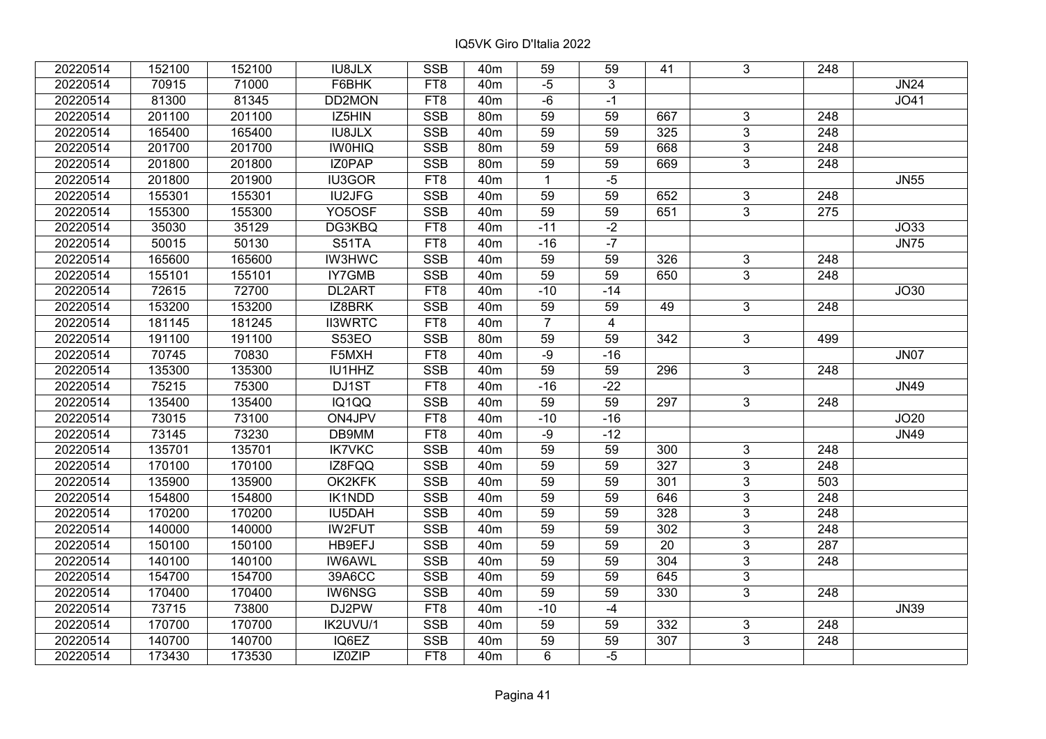| 20220514 | 152100 | 152100 | <b>IU8JLX</b>       | <b>SSB</b>      | 40 <sub>m</sub> | 59              | 59             | 41              | 3              | 248              |             |
|----------|--------|--------|---------------------|-----------------|-----------------|-----------------|----------------|-----------------|----------------|------------------|-------------|
| 20220514 | 70915  | 71000  | F6BHK               | FT8             | 40 <sub>m</sub> | $-5$            | 3              |                 |                |                  | <b>JN24</b> |
| 20220514 | 81300  | 81345  | DD2MON              | FT8             | 40 <sub>m</sub> | $-6$            | $-1$           |                 |                |                  | JO41        |
| 20220514 | 201100 | 201100 | IZ5HIN              | <b>SSB</b>      | 80m             | $\overline{59}$ | 59             | 667             | 3              | 248              |             |
| 20220514 | 165400 | 165400 | <b>IU8JLX</b>       | <b>SSB</b>      | 40 <sub>m</sub> | 59              | 59             | 325             | $\overline{3}$ | 248              |             |
| 20220514 | 201700 | 201700 | <b>IW0HIQ</b>       | <b>SSB</b>      | 80 <sub>m</sub> | 59              | 59             | 668             | $\mathfrak{S}$ | 248              |             |
| 20220514 | 201800 | 201800 | <b>IZOPAP</b>       | <b>SSB</b>      | 80m             | $\overline{59}$ | 59             | 669             | $\overline{3}$ | 248              |             |
| 20220514 | 201800 | 201900 | <b>IU3GOR</b>       | FT8             | 40 <sub>m</sub> | $\mathbf{1}$    | $-5$           |                 |                |                  | <b>JN55</b> |
| 20220514 | 155301 | 155301 | <b>IU2JFG</b>       | <b>SSB</b>      | 40 <sub>m</sub> | 59              | 59             | 652             | 3              | 248              |             |
| 20220514 | 155300 | 155300 | YO <sub>5</sub> OSF | SSB             | 40 <sub>m</sub> | $\overline{59}$ | 59             | 651             | $\overline{3}$ | 275              |             |
| 20220514 | 35030  | 35129  | DG3KBQ              | FT8             | 40 <sub>m</sub> | $-11$           | $-2$           |                 |                |                  | JO33        |
| 20220514 | 50015  | 50130  | <b>S51TA</b>        | FT <sub>8</sub> | 40 <sub>m</sub> | $-16$           | $-7$           |                 |                |                  | <b>JN75</b> |
| 20220514 | 165600 | 165600 | <b>IW3HWC</b>       | <b>SSB</b>      | 40m             | 59              | 59             | 326             | 3              | 248              |             |
| 20220514 | 155101 | 155101 | IY7GMB              | <b>SSB</b>      | 40 <sub>m</sub> | 59              | 59             | 650             | $\overline{3}$ | 248              |             |
| 20220514 | 72615  | 72700  | DL2ART              | FT8             | 40 <sub>m</sub> | $-10$           | $-14$          |                 |                |                  | JO30        |
| 20220514 | 153200 | 153200 | IZ8BRK              | <b>SSB</b>      | 40 <sub>m</sub> | 59              | 59             | 49              | 3              | 248              |             |
| 20220514 | 181145 | 181245 | <b>II3WRTC</b>      | FT8             | 40 <sub>m</sub> | $\overline{7}$  | $\overline{4}$ |                 |                |                  |             |
| 20220514 | 191100 | 191100 | S53EO               | <b>SSB</b>      | 80m             | 59              | 59             | 342             | $\mathbf{3}$   | 499              |             |
| 20220514 | 70745  | 70830  | F5MXH               | FT8             | 40 <sub>m</sub> | $-9$            | $-16$          |                 |                |                  | <b>JN07</b> |
| 20220514 | 135300 | 135300 | IU1HHZ              | <b>SSB</b>      | 40 <sub>m</sub> | $\overline{59}$ | 59             | 296             | $\overline{3}$ | 248              |             |
| 20220514 | 75215  | 75300  | DJ1ST               | FT8             | 40m             | $-16$           | $-22$          |                 |                |                  | <b>JN49</b> |
| 20220514 | 135400 | 135400 | IQ1QQ               | <b>SSB</b>      | 40m             | 59              | 59             | 297             | $\mathbf{3}$   | 248              |             |
| 20220514 | 73015  | 73100  | ON4JPV              | FT8             | 40 <sub>m</sub> | $-10$           | $-16$          |                 |                |                  | JO20        |
| 20220514 | 73145  | 73230  | DB9MM               | FT8             | 40 <sub>m</sub> | $-9$            | $-12$          |                 |                |                  | <b>JN49</b> |
| 20220514 | 135701 | 135701 | <b>IK7VKC</b>       | <b>SSB</b>      | 40 <sub>m</sub> | 59              | 59             | 300             | 3              | 248              |             |
| 20220514 | 170100 | 170100 | IZ8FQQ              | <b>SSB</b>      | 40 <sub>m</sub> | $\overline{59}$ | 59             | 327             | $\overline{3}$ | $\overline{248}$ |             |
| 20220514 | 135900 | 135900 | OK2KFK              | <b>SSB</b>      | 40 <sub>m</sub> | $\overline{59}$ | 59             | 301             | $\overline{3}$ | 503              |             |
| 20220514 | 154800 | 154800 | IK1NDD              | <b>SSB</b>      | 40 <sub>m</sub> | 59              | 59             | 646             | $\mathfrak{S}$ | 248              |             |
| 20220514 | 170200 | 170200 | IU5DAH              | <b>SSB</b>      | 40 <sub>m</sub> | 59              | 59             | 328             | $\overline{3}$ | 248              |             |
| 20220514 | 140000 | 140000 | <b>IW2FUT</b>       | <b>SSB</b>      | 40 <sub>m</sub> | $\overline{59}$ | 59             | 302             | $\overline{3}$ | $\overline{248}$ |             |
| 20220514 | 150100 | 150100 | HB9EFJ              | <b>SSB</b>      | 40 <sub>m</sub> | 59              | 59             | $\overline{20}$ | $\overline{3}$ | $\overline{287}$ |             |
| 20220514 | 140100 | 140100 | <b>IW6AWL</b>       | <b>SSB</b>      | 40 <sub>m</sub> | 59              | 59             | 304             | $\overline{3}$ | 248              |             |
| 20220514 | 154700 | 154700 | 39A6CC              | <b>SSB</b>      | 40 <sub>m</sub> | 59              | 59             | 645             | $\overline{3}$ |                  |             |
| 20220514 | 170400 | 170400 | IW6NSG              | <b>SSB</b>      | 40 <sub>m</sub> | 59              | 59             | 330             | $\overline{3}$ | 248              |             |
| 20220514 | 73715  | 73800  | DJ2PW               | FT8             | 40 <sub>m</sub> | $-10$           | $-4$           |                 |                |                  | <b>JN39</b> |
| 20220514 | 170700 | 170700 | IK2UVU/1            | <b>SSB</b>      | 40 <sub>m</sub> | $\overline{59}$ | 59             | 332             | 3              | 248              |             |
| 20220514 | 140700 | 140700 | IQ6EZ               | <b>SSB</b>      | 40 <sub>m</sub> | 59              | 59             | 307             | $\overline{3}$ | 248              |             |
| 20220514 | 173430 | 173530 | IZ0ZIP              | FT8             | 40 <sub>m</sub> | 6               | $-5$           |                 |                |                  |             |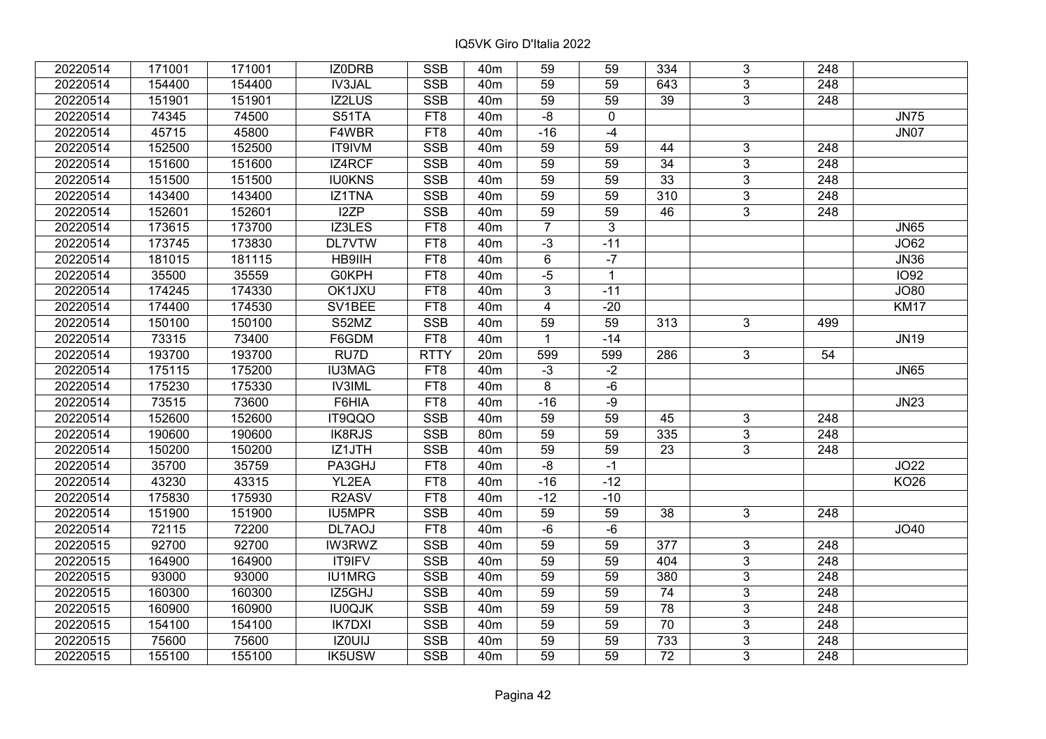| 20220514 | 171001 | 171001 | IZ0DRB                         | <b>SSB</b>      | 40 <sub>m</sub> | 59                      | 59           | 334             | 3              | 248              |                  |
|----------|--------|--------|--------------------------------|-----------------|-----------------|-------------------------|--------------|-----------------|----------------|------------------|------------------|
| 20220514 | 154400 | 154400 | IV3JAL                         | <b>SSB</b>      | 40 <sub>m</sub> | 59                      | 59           | 643             | 3              | 248              |                  |
| 20220514 | 151901 | 151901 | <b>IZ2LUS</b>                  | <b>SSB</b>      | 40 <sub>m</sub> | $\overline{59}$         | 59           | $\overline{39}$ | $\overline{3}$ | $\overline{248}$ |                  |
| 20220514 | 74345  | 74500  | S51TA                          | FT8             | 40 <sub>m</sub> | $-8$                    | $\mathbf 0$  |                 |                |                  | <b>JN75</b>      |
| 20220514 | 45715  | 45800  | F4WBR                          | FT8             | 40 <sub>m</sub> | $-16$                   | $-4$         |                 |                |                  | <b>JN07</b>      |
| 20220514 | 152500 | 152500 | IT9IVM                         | <b>SSB</b>      | 40 <sub>m</sub> | 59                      | 59           | 44              | 3              | 248              |                  |
| 20220514 | 151600 | 151600 | IZ4RCF                         | <b>SSB</b>      | 40 <sub>m</sub> | 59                      | 59           | $\overline{34}$ | $\overline{3}$ | 248              |                  |
| 20220514 | 151500 | 151500 | <b>IU0KNS</b>                  | <b>SSB</b>      | 40 <sub>m</sub> | 59                      | 59           | 33              | 3              | 248              |                  |
| 20220514 | 143400 | 143400 | IZ1TNA                         | SSB             | 40 <sub>m</sub> | 59                      | 59           | 310             | $\overline{3}$ | $\overline{248}$ |                  |
| 20220514 | 152601 | 152601 | I2ZP                           | SSB             | 40 <sub>m</sub> | 59                      | 59           | 46              | $\overline{3}$ | 248              |                  |
| 20220514 | 173615 | 173700 | IZ3LES                         | FT8             | 40 <sub>m</sub> | $\overline{7}$          | $\mathbf{3}$ |                 |                |                  | <b>JN65</b>      |
| 20220514 | 173745 | 173830 | <b>DL7VTW</b>                  | FT8             | 40 <sub>m</sub> | $-3$                    | $-11$        |                 |                |                  | J <sub>062</sub> |
| 20220514 | 181015 | 181115 | HB9IIH                         | FT <sub>8</sub> | 40 <sub>m</sub> | 6                       | $-7$         |                 |                |                  | <b>JN36</b>      |
| 20220514 | 35500  | 35559  | <b>G0KPH</b>                   | FT8             | 40 <sub>m</sub> | $-5$                    | $\mathbf{1}$ |                 |                |                  | <b>IO92</b>      |
| 20220514 | 174245 | 174330 | OK1JXU                         | FT8             | 40 <sub>m</sub> | 3                       | $-11$        |                 |                |                  | JO80             |
| 20220514 | 174400 | 174530 | SV1BEE                         | FT8             | 40 <sub>m</sub> | $\overline{\mathbf{4}}$ | $-20$        |                 |                |                  | <b>KM17</b>      |
| 20220514 | 150100 | 150100 | S52MZ                          | <b>SSB</b>      | 40 <sub>m</sub> | 59                      | 59           | 313             | 3              | 499              |                  |
| 20220514 | 73315  | 73400  | F6GDM                          | FT8             | 40 <sub>m</sub> | $\mathbf{1}$            | $-14$        |                 |                |                  | <b>JN19</b>      |
| 20220514 | 193700 | 193700 | RU7D                           | <b>RTTY</b>     | 20m             | 599                     | 599          | 286             | 3              | 54               |                  |
| 20220514 | 175115 | 175200 | <b>IU3MAG</b>                  | FT8             | 40 <sub>m</sub> | $-3$                    | $-2$         |                 |                |                  | <b>JN65</b>      |
| 20220514 | 175230 | 175330 | <b>IV3IML</b>                  | FT8             | 40 <sub>m</sub> | 8                       | -6           |                 |                |                  |                  |
| 20220514 | 73515  | 73600  | F6HIA                          | FT8             | 40 <sub>m</sub> | $-16$                   | $-9$         |                 |                |                  | <b>JN23</b>      |
| 20220514 | 152600 | 152600 | IT9QQO                         | <b>SSB</b>      | 40 <sub>m</sub> | 59                      | 59           | 45              | 3              | 248              |                  |
| 20220514 | 190600 | 190600 | <b>IK8RJS</b>                  | <b>SSB</b>      | 80 <sub>m</sub> | 59                      | 59           | 335             | 3              | 248              |                  |
| 20220514 | 150200 | 150200 | IZ1JTH                         | <b>SSB</b>      | 40 <sub>m</sub> | 59                      | 59           | 23              | $\overline{3}$ | 248              |                  |
| 20220514 | 35700  | 35759  | PA3GHJ                         | FT8             | 40m             | -8                      | $-1$         |                 |                |                  | JO22             |
| 20220514 | 43230  | 43315  | YL2EA                          | FT8             | 40 <sub>m</sub> | $-16$                   | $-12$        |                 |                |                  | <b>KO26</b>      |
| 20220514 | 175830 | 175930 | R <sub>2</sub> A <sub>SV</sub> | FT8             | 40 <sub>m</sub> | $-12$                   | $-10$        |                 |                |                  |                  |
| 20220514 | 151900 | 151900 | IU5MPR                         | <b>SSB</b>      | 40 <sub>m</sub> | 59                      | 59           | 38              | $\overline{3}$ | 248              |                  |
| 20220514 | 72115  | 72200  | DL7AOJ                         | FT8             | 40 <sub>m</sub> | $-6$                    | -6           |                 |                |                  | JO40             |
| 20220515 | 92700  | 92700  | <b>IW3RWZ</b>                  | <b>SSB</b>      | 40 <sub>m</sub> | 59                      | 59           | 377             | $\overline{3}$ | 248              |                  |
| 20220515 | 164900 | 164900 | IT9IFV                         | <b>SSB</b>      | 40 <sub>m</sub> | 59                      | 59           | 404             | $\overline{3}$ | 248              |                  |
| 20220515 | 93000  | 93000  | <b>IU1MRG</b>                  | <b>SSB</b>      | 40 <sub>m</sub> | 59                      | 59           | 380             | 3              | 248              |                  |
| 20220515 | 160300 | 160300 | IZ5GHJ                         | <b>SSB</b>      | 40 <sub>m</sub> | 59                      | 59           | 74              | 3              | 248              |                  |
| 20220515 | 160900 | 160900 | <b>IU0QJK</b>                  | <b>SSB</b>      | 40 <sub>m</sub> | 59                      | 59           | $\overline{78}$ | 3              | 248              |                  |
| 20220515 | 154100 | 154100 | <b>IK7DXI</b>                  | <b>SSB</b>      | 40 <sub>m</sub> | 59                      | 59           | 70              | 3              | 248              |                  |
| 20220515 | 75600  | 75600  | IZ0UIJ                         | SSB             | 40m             | 59                      | 59           | 733             | 3              | $\overline{248}$ |                  |
| 20220515 | 155100 | 155100 | <b>IK5USW</b>                  | <b>SSB</b>      | 40 <sub>m</sub> | 59                      | 59           | 72              | 3              | 248              |                  |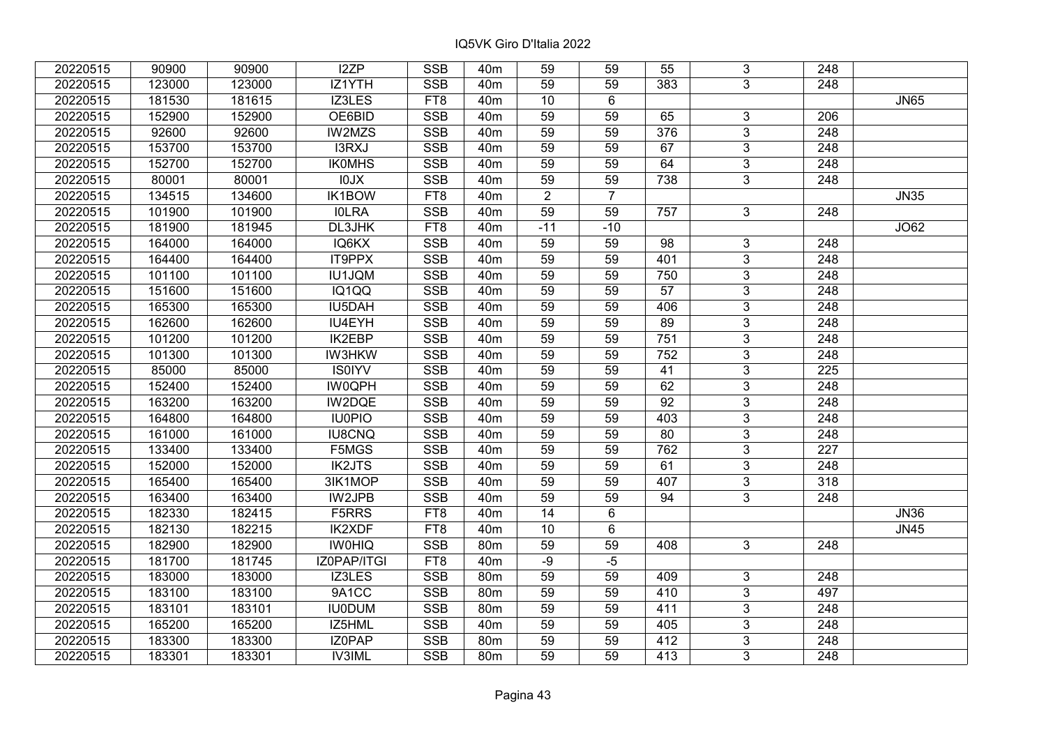| 20220515 | 90900  | 90900  | I2ZP          | <b>SSB</b>      | 40 <sub>m</sub> | 59              | 59              | 55  | 3               | 248              |             |
|----------|--------|--------|---------------|-----------------|-----------------|-----------------|-----------------|-----|-----------------|------------------|-------------|
| 20220515 | 123000 | 123000 | IZ1YTH        | <b>SSB</b>      | 40 <sub>m</sub> | 59              | 59              | 383 | 3               | 248              |             |
| 20220515 | 181530 | 181615 | IZ3LES        | FT8             | 40 <sub>m</sub> | 10              | 6               |     |                 |                  | <b>JN65</b> |
| 20220515 | 152900 | 152900 | OE6BID        | <b>SSB</b>      | 40 <sub>m</sub> | 59              | 59              | 65  | 3               | 206              |             |
| 20220515 | 92600  | 92600  | IW2MZS        | <b>SSB</b>      | 40 <sub>m</sub> | 59              | 59              | 376 | $\overline{3}$  | 248              |             |
| 20220515 | 153700 | 153700 | I3RXJ         | SSB             | 40 <sub>m</sub> | 59              | 59              | 67  | $\overline{3}$  | 248              |             |
| 20220515 | 152700 | 152700 | <b>IKOMHS</b> | <b>SSB</b>      | 40 <sub>m</sub> | 59              | 59              | 64  | 3               | 248              |             |
| 20220515 | 80001  | 80001  | <b>XL01</b>   | <b>SSB</b>      | 40 <sub>m</sub> | $\overline{59}$ | 59              | 738 | $\overline{3}$  | $\overline{248}$ |             |
| 20220515 | 134515 | 134600 | <b>IK1BOW</b> | FT <sub>8</sub> | 40 <sub>m</sub> | $\overline{2}$  | $\overline{7}$  |     |                 |                  | <b>JN35</b> |
| 20220515 | 101900 | 101900 | <b>IOLRA</b>  | <b>SSB</b>      | 40 <sub>m</sub> | 59              | 59              | 757 | $\overline{3}$  | 248              |             |
| 20220515 | 181900 | 181945 | DL3JHK        | FT8             | 40 <sub>m</sub> | $-11$           | $-10$           |     |                 |                  | JO62        |
| 20220515 | 164000 | 164000 | IQ6KX         | <b>SSB</b>      | 40 <sub>m</sub> | 59              | 59              | 98  | $\overline{3}$  | 248              |             |
| 20220515 | 164400 | 164400 | IT9PPX        | <b>SSB</b>      | 40 <sub>m</sub> | 59              | 59              | 401 | $\overline{3}$  | 248              |             |
| 20220515 | 101100 | 101100 | IU1JQM        | <b>SSB</b>      | 40 <sub>m</sub> | 59              | 59              | 750 | 3               | 248              |             |
| 20220515 | 151600 | 151600 | IQ1QQ         | <b>SSB</b>      | 40 <sub>m</sub> | 59              | 59              | 57  | 3               | 248              |             |
| 20220515 | 165300 | 165300 | IU5DAH        | <b>SSB</b>      | 40 <sub>m</sub> | 59              | 59              | 406 | $\overline{3}$  | 248              |             |
| 20220515 | 162600 | 162600 | IU4EYH        | <b>SSB</b>      | 40 <sub>m</sub> | 59              | 59              | 89  | 3               | 248              |             |
| 20220515 | 101200 | 101200 | <b>IK2EBP</b> | <b>SSB</b>      | 40 <sub>m</sub> | 59              | 59              | 751 | 3               | 248              |             |
| 20220515 | 101300 | 101300 | <b>IW3HKW</b> | <b>SSB</b>      | 40 <sub>m</sub> | 59              | 59              | 752 | 3               | 248              |             |
| 20220515 | 85000  | 85000  | <b>IS0IYV</b> | <b>SSB</b>      | 40 <sub>m</sub> | 59              | 59              | 41  | $\overline{3}$  | 225              |             |
| 20220515 | 152400 | 152400 | <b>IW0QPH</b> | <b>SSB</b>      | 40 <sub>m</sub> | 59              | 59              | 62  | $\overline{3}$  | 248              |             |
| 20220515 | 163200 | 163200 | IW2DQE        | <b>SSB</b>      | 40 <sub>m</sub> | 59              | 59              | 92  | $\overline{3}$  | 248              |             |
| 20220515 | 164800 | 164800 | <b>IU0PIO</b> | <b>SSB</b>      | 40 <sub>m</sub> | 59              | 59              | 403 | 3               | 248              |             |
| 20220515 | 161000 | 161000 | IU8CNQ        | <b>SSB</b>      | 40 <sub>m</sub> | 59              | 59              | 80  | $\overline{3}$  | 248              |             |
| 20220515 | 133400 | 133400 | F5MGS         | <b>SSB</b>      | 40 <sub>m</sub> | 59              | 59              | 762 | $\overline{3}$  | 227              |             |
| 20220515 | 152000 | 152000 | <b>IK2JTS</b> | <b>SSB</b>      | 40 <sub>m</sub> | 59              | 59              | 61  | $\overline{3}$  | 248              |             |
| 20220515 | 165400 | 165400 | 3IK1MOP       | <b>SSB</b>      | 40 <sub>m</sub> | 59              | 59              | 407 | $\overline{3}$  | 318              |             |
| 20220515 | 163400 | 163400 | IW2JPB        | <b>SSB</b>      | 40 <sub>m</sub> | 59              | 59              | 94  | $\overline{3}$  | 248              |             |
| 20220515 | 182330 | 182415 | F5RRS         | FT <sub>8</sub> | 40 <sub>m</sub> | $\overline{14}$ | $\sqrt{6}$      |     |                 |                  | <b>JN36</b> |
| 20220515 | 182130 | 182215 | <b>IK2XDF</b> | FT <sub>8</sub> | 40 <sub>m</sub> | 10              | $6\overline{6}$ |     |                 |                  | <b>JN45</b> |
| 20220515 | 182900 | 182900 | <b>IWOHIQ</b> | <b>SSB</b>      | 80m             | 59              | 59              | 408 | $3\overline{3}$ | 248              |             |
| 20220515 | 181700 | 181745 | IZ0PAP/ITGI   | FT <sub>8</sub> | 40 <sub>m</sub> | $-9$            | $-5$            |     |                 |                  |             |
| 20220515 | 183000 | 183000 | IZ3LES        | <b>SSB</b>      | 80m             | 59              | 59              | 409 | 3               | 248              |             |
| 20220515 | 183100 | 183100 | 9A1CC         | <b>SSB</b>      | 80 <sub>m</sub> | 59              | 59              | 410 | 3               | 497              |             |
| 20220515 | 183101 | 183101 | <b>IU0DUM</b> | <b>SSB</b>      | 80m             | 59              | 59              | 411 | 3               | 248              |             |
| 20220515 | 165200 | 165200 | IZ5HML        | <b>SSB</b>      | 40 <sub>m</sub> | 59              | 59              | 405 | 3               | 248              |             |
| 20220515 | 183300 | 183300 | IZ0PAP        | SSB             | 80m             | 59              | 59              | 412 | $\overline{3}$  | $\overline{248}$ |             |
| 20220515 | 183301 | 183301 | <b>IV3IML</b> | <b>SSB</b>      | 80m             | 59              | 59              | 413 | 3               | 248              |             |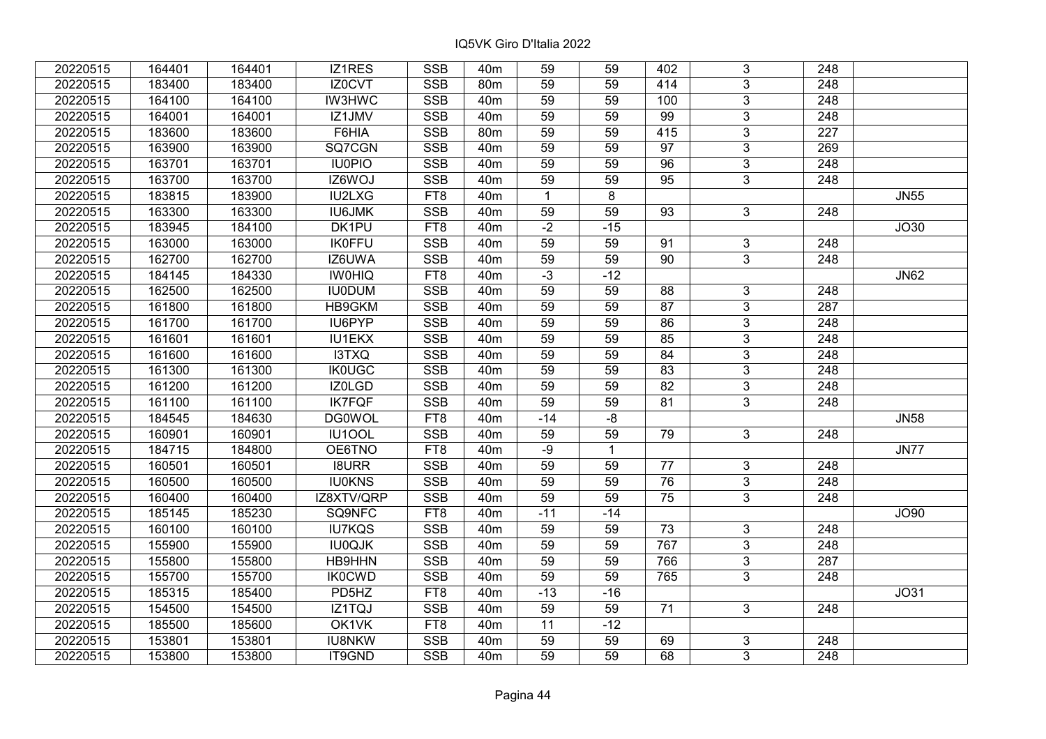| 20220515 | 164401 | 164401 | IZ1RES        | <b>SSB</b> | 40 <sub>m</sub> | 59              | 59             | 402             | 3              | 248              |             |
|----------|--------|--------|---------------|------------|-----------------|-----------------|----------------|-----------------|----------------|------------------|-------------|
| 20220515 | 183400 | 183400 | IZ0CVT        | <b>SSB</b> | 80 <sub>m</sub> | 59              | 59             | 414             | 3              | 248              |             |
| 20220515 | 164100 | 164100 | <b>IW3HWC</b> | <b>SSB</b> | 40 <sub>m</sub> | $\overline{59}$ | 59             | 100             | $\overline{3}$ | $\overline{248}$ |             |
| 20220515 | 164001 | 164001 | IZ1JMV        | <b>SSB</b> | 40 <sub>m</sub> | 59              | 59             | $\overline{99}$ | $\overline{3}$ | $\overline{248}$ |             |
| 20220515 | 183600 | 183600 | F6HIA         | <b>SSB</b> | 80m             | 59              | 59             | 415             | $\overline{3}$ | 227              |             |
| 20220515 | 163900 | 163900 | SQ7CGN        | SSB        | 40 <sub>m</sub> | 59              | 59             | $\overline{97}$ | $\overline{3}$ | 269              |             |
| 20220515 | 163701 | 163701 | <b>IU0PIO</b> | <b>SSB</b> | 40 <sub>m</sub> | 59              | 59             | 96              | $\overline{3}$ | $\overline{248}$ |             |
| 20220515 | 163700 | 163700 | IZ6WOJ        | <b>SSB</b> | 40m             | 59              | 59             | 95              | 3              | 248              |             |
| 20220515 | 183815 | 183900 | <b>IU2LXG</b> | FT8        | 40 <sub>m</sub> | $\mathbf 1$     | $\overline{8}$ |                 |                |                  | <b>JN55</b> |
| 20220515 | 163300 | 163300 | <b>IU6JMK</b> | SSB        | 40 <sub>m</sub> | 59              | 59             | 93              | $\overline{3}$ | 248              |             |
| 20220515 | 183945 | 184100 | DK1PU         | FT8        | 40 <sub>m</sub> | $-2$            | $-15$          |                 |                |                  | JO30        |
| 20220515 | 163000 | 163000 | <b>IK0FFU</b> | <b>SSB</b> | 40 <sub>m</sub> | $\overline{59}$ | 59             | 91              | $\overline{3}$ | $\overline{248}$ |             |
| 20220515 | 162700 | 162700 | IZ6UWA        | <b>SSB</b> | 40 <sub>m</sub> | 59              | 59             | 90              | $\overline{3}$ | 248              |             |
| 20220515 | 184145 | 184330 | <b>IW0HIQ</b> | FT8        | 40 <sub>m</sub> | $-3$            | $-12$          |                 |                |                  | <b>JN62</b> |
| 20220515 | 162500 | 162500 | <b>IU0DUM</b> | <b>SSB</b> | 40 <sub>m</sub> | $\overline{59}$ | 59             | 88              | 3              | 248              |             |
| 20220515 | 161800 | 161800 | HB9GKM        | <b>SSB</b> | 40 <sub>m</sub> | 59              | 59             | 87              | $\overline{3}$ | $\overline{287}$ |             |
| 20220515 | 161700 | 161700 | IU6PYP        | <b>SSB</b> | 40 <sub>m</sub> | 59              | 59             | 86              | $\overline{3}$ | 248              |             |
| 20220515 | 161601 | 161601 | <b>IU1EKX</b> | <b>SSB</b> | 40 <sub>m</sub> | 59              | 59             | 85              | $\overline{3}$ | $\overline{248}$ |             |
| 20220515 | 161600 | 161600 | I3TXQ         | <b>SSB</b> | 40 <sub>m</sub> | 59              | 59             | 84              | $\overline{3}$ | 248              |             |
| 20220515 | 161300 | 161300 | <b>IK0UGC</b> | <b>SSB</b> | 40 <sub>m</sub> | 59              | 59             | 83              | $\overline{3}$ | 248              |             |
| 20220515 | 161200 | 161200 | IZ0LGD        | <b>SSB</b> | 40 <sub>m</sub> | $\overline{59}$ | 59             | $\overline{82}$ | $\overline{3}$ | 248              |             |
| 20220515 | 161100 | 161100 | <b>IK7FQF</b> | <b>SSB</b> | 40m             | 59              | 59             | 81              | $\overline{3}$ | 248              |             |
| 20220515 | 184545 | 184630 | <b>DG0WOL</b> | FT8        | 40m             | $-14$           | -8             |                 |                |                  | <b>JN58</b> |
| 20220515 | 160901 | 160901 | IU1OOL        | <b>SSB</b> | 40 <sub>m</sub> | 59              | 59             | 79              | 3              | 248              |             |
| 20220515 | 184715 | 184800 | OE6TNO        | FT8        | 40m             | $-9$            | $\mathbf{1}$   |                 |                |                  | <b>JN77</b> |
| 20220515 | 160501 | 160501 | <b>I8URR</b>  | <b>SSB</b> | 40m             | 59              | 59             | 77              | 3              | 248              |             |
| 20220515 | 160500 | 160500 | <b>IU0KNS</b> | <b>SSB</b> | 40 <sub>m</sub> | $\overline{59}$ | 59             | $\overline{76}$ | $\overline{3}$ | $\overline{248}$ |             |
| 20220515 | 160400 | 160400 | IZ8XTV/QRP    | <b>SSB</b> | 40 <sub>m</sub> | 59              | 59             | 75              | $\overline{3}$ | $\overline{248}$ |             |
| 20220515 | 185145 | 185230 | SQ9NFC        | FT8        | 40 <sub>m</sub> | $-11$           | $-14$          |                 |                |                  | <b>JO90</b> |
| 20220515 | 160100 | 160100 | <b>IU7KQS</b> | SSB        | 40 <sub>m</sub> | 59              | 59             | $\overline{73}$ | 3              | 248              |             |
| 20220515 | 155900 | 155900 | <b>IU0QJK</b> | <b>SSB</b> | 40 <sub>m</sub> | 59              | 59             | 767             | $\overline{3}$ | $\overline{248}$ |             |
| 20220515 | 155800 | 155800 | HB9HHN        | <b>SSB</b> | 40 <sub>m</sub> | 59              | 59             | 766             | $\overline{3}$ | 287              |             |
| 20220515 | 155700 | 155700 | <b>IK0CWD</b> | <b>SSB</b> | 40 <sub>m</sub> | 59              | 59             | 765             | 3              | 248              |             |
| 20220515 | 185315 | 185400 | PD5HZ         | FT8        | 40 <sub>m</sub> | $-13$           | $-16$          |                 |                |                  | JO31        |
| 20220515 | 154500 | 154500 | IZ1TQJ        | <b>SSB</b> | 40 <sub>m</sub> | 59              | 59             | 71              | 3              | 248              |             |
| 20220515 | 185500 | 185600 | OK1VK         | FT8        | 40 <sub>m</sub> | 11              | $-12$          |                 |                |                  |             |
| 20220515 | 153801 | 153801 | <b>IU8NKW</b> | SSB        | 40 <sub>m</sub> | 59              | 59             | 69              | 3              | 248              |             |
| 20220515 | 153800 | 153800 | IT9GND        | <b>SSB</b> | 40 <sub>m</sub> | 59              | 59             | 68              | 3              | 248              |             |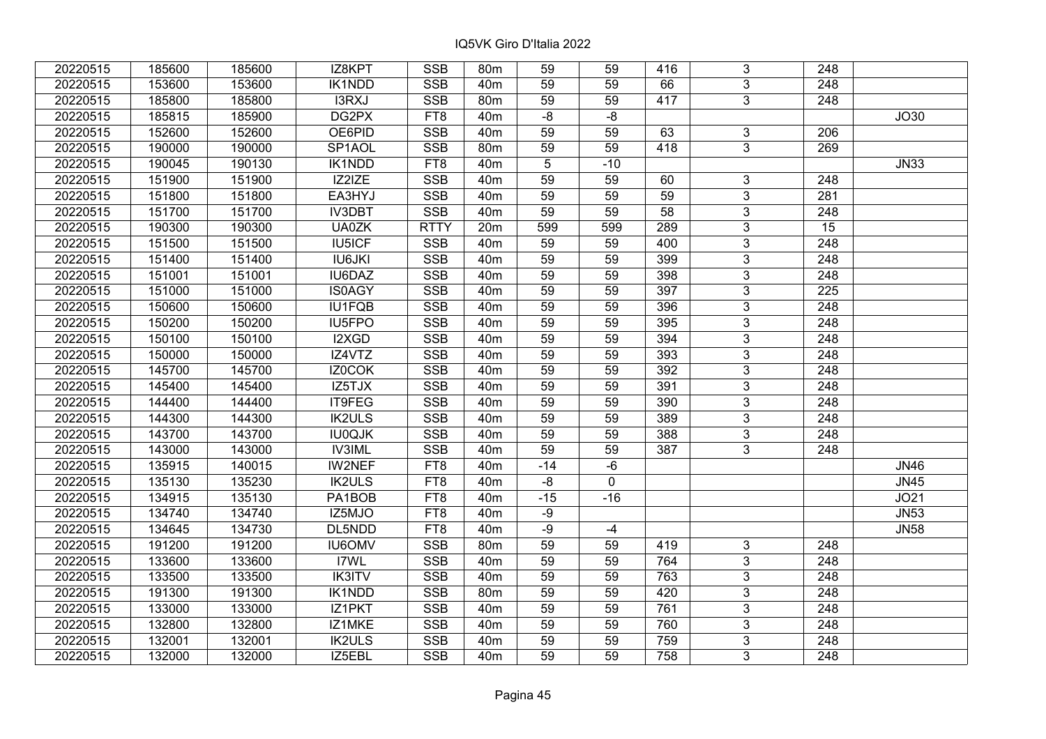| 20220515 | 185600 | 185600 | IZ8KPT              | <b>SSB</b>              | 80 <sub>m</sub> | 59              | 59          | 416             | 3              | 248              |             |
|----------|--------|--------|---------------------|-------------------------|-----------------|-----------------|-------------|-----------------|----------------|------------------|-------------|
| 20220515 | 153600 | 153600 | <b>IK1NDD</b>       | <b>SSB</b>              | 40 <sub>m</sub> | 59              | 59          | 66              | 3              | 248              |             |
| 20220515 | 185800 | 185800 | I3RXJ               | <b>SSB</b>              | 80 <sub>m</sub> | $\overline{59}$ | 59          | 417             | $\overline{3}$ | $\overline{248}$ |             |
| 20220515 | 185815 | 185900 | DG2PX               | FT8                     | 40 <sub>m</sub> | -8              | -8          |                 |                |                  | JO30        |
| 20220515 | 152600 | 152600 | OE6PID              | <b>SSB</b>              | 40 <sub>m</sub> | 59              | 59          | 63              | 3              | 206              |             |
| 20220515 | 190000 | 190000 | SP <sub>1</sub> AOL | <b>SSB</b>              | 80m             | 59              | 59          | 418             | $\overline{3}$ | 269              |             |
| 20220515 | 190045 | 190130 | IK1NDD              | FT8                     | 40 <sub>m</sub> | 5               | $-10$       |                 |                |                  | <b>JN33</b> |
| 20220515 | 151900 | 151900 | IZ2IZE              | <b>SSB</b>              | 40 <sub>m</sub> | 59              | 59          | 60              | 3              | 248              |             |
| 20220515 | 151800 | 151800 | EA3HYJ              | <b>SSB</b>              | 40 <sub>m</sub> | $\overline{59}$ | 59          | $\overline{59}$ | $\overline{3}$ | $\overline{281}$ |             |
| 20220515 | 151700 | 151700 | <b>IV3DBT</b>       | SSB                     | 40 <sub>m</sub> | 59              | 59          | 58              | $\overline{3}$ | 248              |             |
| 20220515 | 190300 | 190300 | UA0ZK               | <b>RTTY</b>             | 20m             | 599             | 599         | 289             | 3              | 15               |             |
| 20220515 | 151500 | 151500 | <b>IU5ICF</b>       | <b>SSB</b>              | 40 <sub>m</sub> | 59              | 59          | 400             | $\overline{3}$ | 248              |             |
| 20220515 | 151400 | 151400 | <b>IU6JKI</b>       | <b>SSB</b>              | 40 <sub>m</sub> | 59              | 59          | 399             | 3              | 248              |             |
| 20220515 | 151001 | 151001 | IU6DAZ              | <b>SSB</b>              | 40 <sub>m</sub> | 59              | 59          | 398             | $\overline{3}$ | 248              |             |
| 20220515 | 151000 | 151000 | <b>IS0AGY</b>       | <b>SSB</b>              | 40 <sub>m</sub> | 59              | 59          | 397             | 3              | 225              |             |
| 20220515 | 150600 | 150600 | <b>IU1FQB</b>       | <b>SSB</b>              | 40 <sub>m</sub> | 59              | 59          | 396             | 3              | 248              |             |
| 20220515 | 150200 | 150200 | IU5FPO              | <b>SSB</b>              | 40 <sub>m</sub> | 59              | 59          | 395             | 3              | 248              |             |
| 20220515 | 150100 | 150100 | I2XGD               | <b>SSB</b>              | 40 <sub>m</sub> | 59              | 59          | 394             | 3              | 248              |             |
| 20220515 | 150000 | 150000 | IZ4VTZ              | <b>SSB</b>              | 40 <sub>m</sub> | 59              | 59          | 393             | 3              | 248              |             |
| 20220515 | 145700 | 145700 | IZ0COK              | <b>SSB</b>              | 40 <sub>m</sub> | 59              | 59          | 392             | $\overline{3}$ | 248              |             |
| 20220515 | 145400 | 145400 | IZ5TJX              | <b>SSB</b>              | 40 <sub>m</sub> | 59              | 59          | 391             | $\overline{3}$ | 248              |             |
| 20220515 | 144400 | 144400 | IT9FEG              | <b>SSB</b>              | 40 <sub>m</sub> | 59              | 59          | 390             | 3              | 248              |             |
| 20220515 | 144300 | 144300 | <b>IK2ULS</b>       | <b>SSB</b>              | 40 <sub>m</sub> | 59              | 59          | 389             | $\overline{3}$ | 248              |             |
| 20220515 | 143700 | 143700 | <b>IU0QJK</b>       | <b>SSB</b>              | 40 <sub>m</sub> | 59              | 59          | 388             | 3              | 248              |             |
| 20220515 | 143000 | 143000 | <b>IV3IML</b>       | <b>SSB</b>              | 40 <sub>m</sub> | 59              | 59          | 387             | 3              | 248              |             |
| 20220515 | 135915 | 140015 | IW2NEF              | FT8                     | 40 <sub>m</sub> | $-14$           | $-6$        |                 |                |                  | <b>JN46</b> |
| 20220515 | 135130 | 135230 | <b>IK2ULS</b>       | FT8                     | 40 <sub>m</sub> | $-8$            | $\mathbf 0$ |                 |                |                  | <b>JN45</b> |
| 20220515 | 134915 | 135130 | PA1BOB              | FT8                     | 40 <sub>m</sub> | $-15$           | $-16$       |                 |                |                  | JO21        |
| 20220515 | 134740 | 134740 | IZ5MJO              | FT8                     | 40 <sub>m</sub> | $-9$            |             |                 |                |                  | <b>JN53</b> |
| 20220515 | 134645 | 134730 | DL5NDD              | FT <sub>8</sub>         | 40 <sub>m</sub> | $-9$            | $-4$        |                 |                |                  | <b>JN58</b> |
| 20220515 | 191200 | 191200 | <b>IU6OMV</b>       | <b>SSB</b>              | 80 <sub>m</sub> | $\overline{59}$ | 59          | 419             | $\overline{3}$ | 248              |             |
| 20220515 | 133600 | 133600 | I7WL                | <b>SSB</b>              | 40 <sub>m</sub> | 59              | 59          | 764             | $\overline{3}$ | 248              |             |
| 20220515 | 133500 | 133500 | <b>IK3ITV</b>       | <b>SSB</b>              | 40 <sub>m</sub> | 59              | 59          | 763             | 3              | 248              |             |
| 20220515 | 191300 | 191300 | IK1NDD              | <b>SSB</b>              | 80 <sub>m</sub> | 59              | 59          | 420             | $\overline{3}$ | $\overline{248}$ |             |
| 20220515 | 133000 | 133000 | IZ1PKT              | <b>SSB</b>              | 40 <sub>m</sub> | 59              | 59          | 761             | 3              | 248              |             |
| 20220515 | 132800 | 132800 | IZ1MKE              | <b>SSB</b>              | 40 <sub>m</sub> | 59              | 59          | 760             | 3              | 248              |             |
| 20220515 | 132001 | 132001 | <b>IK2ULS</b>       | $\overline{\text{SSB}}$ | 40 <sub>m</sub> | 59              | 59          | 759             | $\overline{3}$ | 248              |             |
| 20220515 | 132000 | 132000 | IZ5EBL              | <b>SSB</b>              | 40 <sub>m</sub> | 59              | 59          | 758             | $\overline{3}$ | 248              |             |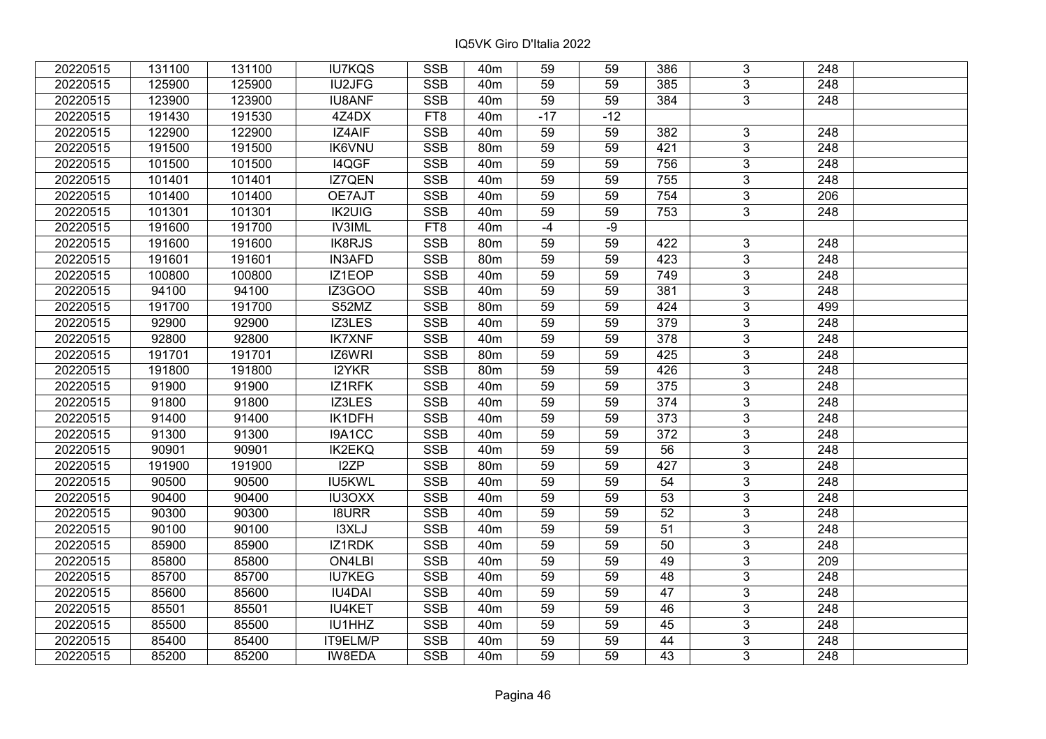| 20220515 | 131100 | 131100 | <b>IU7KQS</b> | <b>SSB</b>              | 40 <sub>m</sub> | 59    | 59    | 386             | 3              | 248              |  |
|----------|--------|--------|---------------|-------------------------|-----------------|-------|-------|-----------------|----------------|------------------|--|
| 20220515 | 125900 | 125900 | <b>IU2JFG</b> | <b>SSB</b>              | 40 <sub>m</sub> | 59    | 59    | 385             | $\overline{3}$ | 248              |  |
| 20220515 | 123900 | 123900 | <b>IU8ANF</b> | $\overline{\text{SSB}}$ | 40 <sub>m</sub> | 59    | 59    | $\frac{1}{384}$ | $\overline{3}$ | $\overline{248}$ |  |
| 20220515 | 191430 | 191530 | 4Z4DX         | FT8                     | 40 <sub>m</sub> | $-17$ | $-12$ |                 |                |                  |  |
| 20220515 | 122900 | 122900 | IZ4AIF        | <b>SSB</b>              | 40 <sub>m</sub> | 59    | 59    | 382             | 3              | 248              |  |
| 20220515 | 191500 | 191500 | <b>IK6VNU</b> | <b>SSB</b>              | 80m             | 59    | 59    | 421             | $\overline{3}$ | 248              |  |
| 20220515 | 101500 | 101500 | I4QGF         | <b>SSB</b>              | 40 <sub>m</sub> | 59    | 59    | 756             | $\overline{3}$ | 248              |  |
| 20220515 | 101401 | 101401 | IZ7QEN        | <b>SSB</b>              | 40 <sub>m</sub> | 59    | 59    | 755             | 3              | 248              |  |
| 20220515 | 101400 | 101400 | OE7AJT        | <b>SSB</b>              | 40 <sub>m</sub> | 59    | 59    | 754             | $\overline{3}$ | $\overline{206}$ |  |
| 20220515 | 101301 | 101301 | <b>IK2UIG</b> | <b>SSB</b>              | 40 <sub>m</sub> | 59    | 59    | 753             | $\overline{3}$ | 248              |  |
| 20220515 | 191600 | 191700 | <b>IV3IML</b> | FT8                     | 40 <sub>m</sub> | $-4$  | $-9$  |                 |                |                  |  |
| 20220515 | 191600 | 191600 | IK8RJS        | <b>SSB</b>              | 80m             | 59    | 59    | 422             | $\overline{3}$ | 248              |  |
| 20220515 | 191601 | 191601 | <b>IN3AFD</b> | <b>SSB</b>              | 80 <sub>m</sub> | 59    | 59    | 423             | 3              | 248              |  |
| 20220515 | 100800 | 100800 | IZ1EOP        | <b>SSB</b>              | 40 <sub>m</sub> | 59    | 59    | 749             | $\overline{3}$ | 248              |  |
| 20220515 | 94100  | 94100  | IZ3GOO        | <b>SSB</b>              | 40 <sub>m</sub> | 59    | 59    | 381             | 3              | 248              |  |
| 20220515 | 191700 | 191700 | S52MZ         | <b>SSB</b>              | 80 <sub>m</sub> | 59    | 59    | 424             | 3              | 499              |  |
| 20220515 | 92900  | 92900  | IZ3LES        | <b>SSB</b>              | 40 <sub>m</sub> | 59    | 59    | 379             | 3              | 248              |  |
| 20220515 | 92800  | 92800  | <b>IK7XNF</b> | <b>SSB</b>              | 40 <sub>m</sub> | 59    | 59    | 378             | 3              | 248              |  |
| 20220515 | 191701 | 191701 | IZ6WRI        | <b>SSB</b>              | 80 <sub>m</sub> | 59    | 59    | 425             | 3              | 248              |  |
| 20220515 | 191800 | 191800 | I2YKR         | <b>SSB</b>              | 80m             | 59    | 59    | 426             | $\overline{3}$ | 248              |  |
| 20220515 | 91900  | 91900  | IZ1RFK        | <b>SSB</b>              | 40 <sub>m</sub> | 59    | 59    | 375             | $\overline{3}$ | 248              |  |
| 20220515 | 91800  | 91800  | IZ3LES        | <b>SSB</b>              | 40 <sub>m</sub> | 59    | 59    | 374             | 3              | 248              |  |
| 20220515 | 91400  | 91400  | IK1DFH        | SSB                     | 40 <sub>m</sub> | 59    | 59    | 373             | $\overline{3}$ | 248              |  |
| 20220515 | 91300  | 91300  | I9A1CC        | <b>SSB</b>              | 40 <sub>m</sub> | 59    | 59    | 372             | 3              | 248              |  |
| 20220515 | 90901  | 90901  | <b>IK2EKQ</b> | <b>SSB</b>              | 40 <sub>m</sub> | 59    | 59    | 56              | 3              | 248              |  |
| 20220515 | 191900 | 191900 | I2ZP          | <b>SSB</b>              | 80m             | 59    | 59    | 427             | $\overline{3}$ | $\overline{248}$ |  |
| 20220515 | 90500  | 90500  | IU5KWL        | <b>SSB</b>              | 40 <sub>m</sub> | 59    | 59    | 54              | $\overline{3}$ | $\overline{248}$ |  |
| 20220515 | 90400  | 90400  | <b>IU3OXX</b> | <b>SSB</b>              | 40 <sub>m</sub> | 59    | 59    | $\overline{53}$ | $\overline{3}$ | $\overline{248}$ |  |
| 20220515 | 90300  | 90300  | <b>I8URR</b>  | <b>SSB</b>              | 40 <sub>m</sub> | 59    | 59    | 52              | $\overline{3}$ | $\overline{248}$ |  |
| 20220515 | 90100  | 90100  | I3XLJ         | <b>SSB</b>              | 40 <sub>m</sub> | 59    | 59    | $\overline{51}$ | $\overline{3}$ | 248              |  |
| 20220515 | 85900  | 85900  | <b>IZ1RDK</b> | SSB                     | 40 <sub>m</sub> | 59    | 59    | $\overline{50}$ | $\overline{3}$ | $\overline{248}$ |  |
| 20220515 | 85800  | 85800  | ON4LBI        | <b>SSB</b>              | 40 <sub>m</sub> | 59    | 59    | 49              | $\overline{3}$ | 209              |  |
| 20220515 | 85700  | 85700  | <b>IU7KEG</b> | <b>SSB</b>              | 40 <sub>m</sub> | 59    | 59    | 48              | 3              | 248              |  |
| 20220515 | 85600  | 85600  | <b>IU4DAI</b> | <b>SSB</b>              | 40 <sub>m</sub> | 59    | 59    | 47              | $\overline{3}$ | 248              |  |
| 20220515 | 85501  | 85501  | <b>IU4KET</b> | <b>SSB</b>              | 40 <sub>m</sub> | 59    | 59    | 46              | 3              | 248              |  |
| 20220515 | 85500  | 85500  | IU1HHZ        | <b>SSB</b>              | 40 <sub>m</sub> | 59    | 59    | 45              | 3              | 248              |  |
| 20220515 | 85400  | 85400  | IT9ELM/P      | SSB                     | 40 <sub>m</sub> | 59    | 59    | 44              | $\overline{3}$ | 248              |  |
| 20220515 | 85200  | 85200  | IW8EDA        | <b>SSB</b>              | 40 <sub>m</sub> | 59    | 59    | 43              | $\overline{3}$ | 248              |  |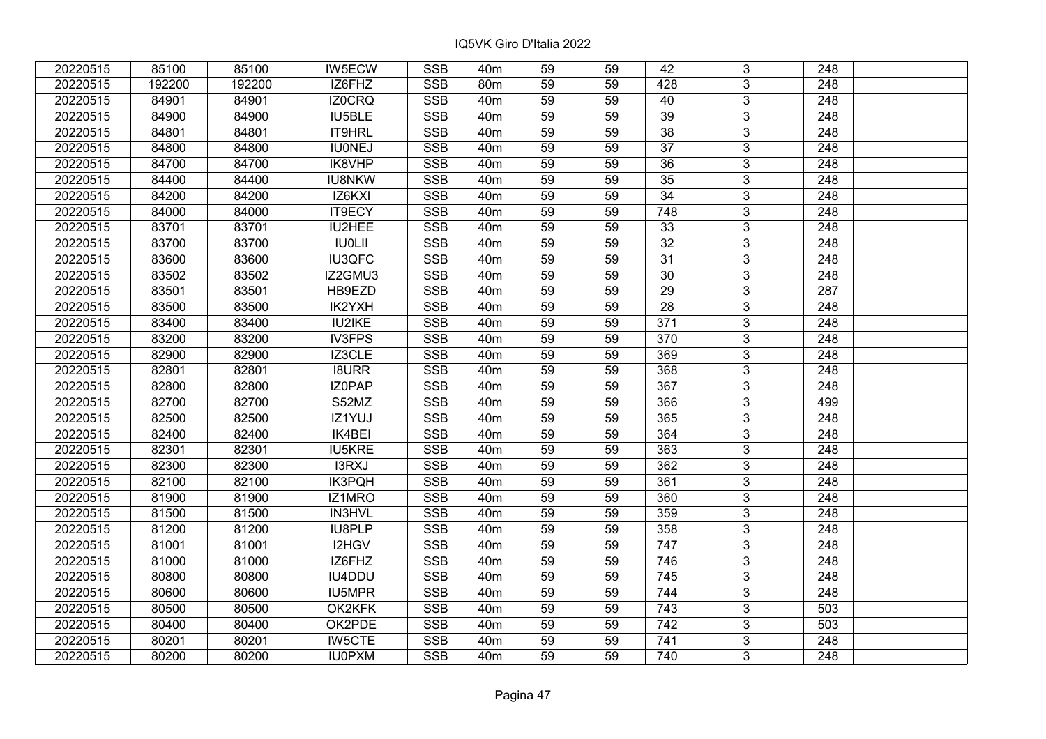| 20220515 | 85100  | 85100  | <b>IW5ECW</b> | <b>SSB</b>              | 40 <sub>m</sub> | 59              | 59 | 42              | 3              | 248              |  |
|----------|--------|--------|---------------|-------------------------|-----------------|-----------------|----|-----------------|----------------|------------------|--|
| 20220515 | 192200 | 192200 | IZ6FHZ        | <b>SSB</b>              | 80 <sub>m</sub> | 59              | 59 | 428             | 3              | 248              |  |
| 20220515 | 84901  | 84901  | IZ0CRQ        | SSB                     | 40 <sub>m</sub> | $\overline{59}$ | 59 | 40              | $\overline{3}$ | 248              |  |
| 20220515 | 84900  | 84900  | IU5BLE        | <b>SSB</b>              | 40 <sub>m</sub> | 59              | 59 | $\overline{39}$ | $\overline{3}$ | $\overline{248}$ |  |
| 20220515 | 84801  | 84801  | IT9HRL        | <b>SSB</b>              | 40 <sub>m</sub> | 59              | 59 | $\overline{38}$ | 3              | 248              |  |
| 20220515 | 84800  | 84800  | <b>IU0NEJ</b> | <b>SSB</b>              | 40 <sub>m</sub> | 59              | 59 | $\overline{37}$ | $\overline{3}$ | 248              |  |
| 20220515 | 84700  | 84700  | IK8VHP        | <b>SSB</b>              | 40 <sub>m</sub> | 59              | 59 | 36              | $\overline{3}$ | 248              |  |
| 20220515 | 84400  | 84400  | <b>IU8NKW</b> | <b>SSB</b>              | 40 <sub>m</sub> | 59              | 59 | 35              | 3              | 248              |  |
| 20220515 | 84200  | 84200  | IZ6KXI        | <b>SSB</b>              | 40 <sub>m</sub> | 59              | 59 | $\overline{34}$ | $\overline{3}$ | $\overline{248}$ |  |
| 20220515 | 84000  | 84000  | <b>IT9ECY</b> | <b>SSB</b>              | 40 <sub>m</sub> | 59              | 59 | 748             | $\overline{3}$ | 248              |  |
| 20220515 | 83701  | 83701  | IU2HEE        | <b>SSB</b>              | 40 <sub>m</sub> | 59              | 59 | 33              | 3              | 248              |  |
| 20220515 | 83700  | 83700  | <b>IU0LII</b> | <b>SSB</b>              | 40 <sub>m</sub> | 59              | 59 | 32              | $\overline{3}$ | 248              |  |
| 20220515 | 83600  | 83600  | <b>IU3QFC</b> | <b>SSB</b>              | 40 <sub>m</sub> | 59              | 59 | 31              | 3              | 248              |  |
| 20220515 | 83502  | 83502  | IZ2GMU3       | <b>SSB</b>              | 40 <sub>m</sub> | 59              | 59 | 30              | $\overline{3}$ | 248              |  |
| 20220515 | 83501  | 83501  | HB9EZD        | <b>SSB</b>              | 40 <sub>m</sub> | 59              | 59 | 29              | 3              | 287              |  |
| 20220515 | 83500  | 83500  | IK2YXH        | <b>SSB</b>              | 40 <sub>m</sub> | 59              | 59 | 28              | 3              | 248              |  |
| 20220515 | 83400  | 83400  | <b>IU2IKE</b> | <b>SSB</b>              | 40 <sub>m</sub> | 59              | 59 | 371             | 3              | 248              |  |
| 20220515 | 83200  | 83200  | <b>IV3FPS</b> | <b>SSB</b>              | 40 <sub>m</sub> | 59              | 59 | 370             | 3              | 248              |  |
| 20220515 | 82900  | 82900  | IZ3CLE        | <b>SSB</b>              | 40 <sub>m</sub> | 59              | 59 | 369             | 3              | 248              |  |
| 20220515 | 82801  | 82801  | <b>I8URR</b>  | <b>SSB</b>              | 40 <sub>m</sub> | 59              | 59 | 368             | $\overline{3}$ | 248              |  |
| 20220515 | 82800  | 82800  | IZ0PAP        | <b>SSB</b>              | 40 <sub>m</sub> | 59              | 59 | 367             | $\overline{3}$ | 248              |  |
| 20220515 | 82700  | 82700  | S52MZ         | <b>SSB</b>              | 40 <sub>m</sub> | 59              | 59 | 366             | 3              | 499              |  |
| 20220515 | 82500  | 82500  | IZ1YUJ        | <b>SSB</b>              | 40 <sub>m</sub> | 59              | 59 | 365             | $\overline{3}$ | 248              |  |
| 20220515 | 82400  | 82400  | IK4BEI        | <b>SSB</b>              | 40 <sub>m</sub> | 59              | 59 | 364             | 3              | 248              |  |
| 20220515 | 82301  | 82301  | <b>IU5KRE</b> | <b>SSB</b>              | 40 <sub>m</sub> | 59              | 59 | 363             | 3              | 248              |  |
| 20220515 | 82300  | 82300  | I3RXJ         | <b>SSB</b>              | 40 <sub>m</sub> | 59              | 59 | 362             | $\overline{3}$ | $\overline{248}$ |  |
| 20220515 | 82100  | 82100  | <b>IK3PQH</b> | <b>SSB</b>              | 40 <sub>m</sub> | 59              | 59 | 361             | $\overline{3}$ | $\overline{248}$ |  |
| 20220515 | 81900  | 81900  | IZ1MRO        | <b>SSB</b>              | 40 <sub>m</sub> | 59              | 59 | 360             | $\overline{3}$ | $\overline{248}$ |  |
| 20220515 | 81500  | 81500  | IN3HVL        | <b>SSB</b>              | 40 <sub>m</sub> | 59              | 59 | 359             | $\overline{3}$ | 248              |  |
| 20220515 | 81200  | 81200  | <b>IU8PLP</b> | <b>SSB</b>              | 40 <sub>m</sub> | 59              | 59 | 358             | $\overline{3}$ | 248              |  |
| 20220515 | 81001  | 81001  | I2HGV         | <b>SSB</b>              | 40 <sub>m</sub> | $\overline{59}$ | 59 | 747             | $\overline{3}$ | $\overline{248}$ |  |
| 20220515 | 81000  | 81000  | IZ6FHZ        | <b>SSB</b>              | 40 <sub>m</sub> | 59              | 59 | 746             | $\overline{3}$ | 248              |  |
| 20220515 | 80800  | 80800  | IU4DDU        | <b>SSB</b>              | 40 <sub>m</sub> | 59              | 59 | 745             | 3              | 248              |  |
| 20220515 | 80600  | 80600  | IU5MPR        | <b>SSB</b>              | 40 <sub>m</sub> | 59              | 59 | 744             | $\overline{3}$ | 248              |  |
| 20220515 | 80500  | 80500  | OK2KFK        | <b>SSB</b>              | 40 <sub>m</sub> | 59              | 59 | 743             | 3              | 503              |  |
| 20220515 | 80400  | 80400  | OK2PDE        | <b>SSB</b>              | 40 <sub>m</sub> | 59              | 59 | 742             | 3              | 503              |  |
| 20220515 | 80201  | 80201  | <b>IW5CTE</b> | $\overline{\text{SSB}}$ | 40 <sub>m</sub> | 59              | 59 | 741             | $\overline{3}$ | 248              |  |
| 20220515 | 80200  | 80200  | <b>IU0PXM</b> | <b>SSB</b>              | 40 <sub>m</sub> | 59              | 59 | 740             | $\overline{3}$ | 248              |  |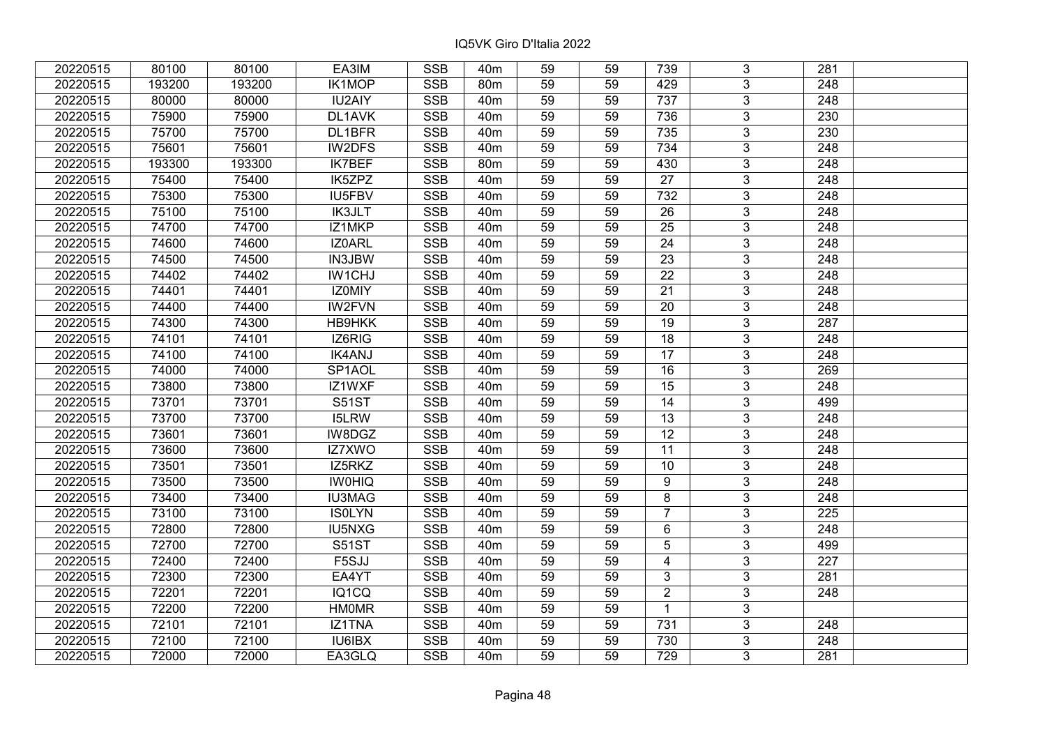| 20220515 | 80100  | 80100  | EA3IM         | <b>SSB</b>              | 40 <sub>m</sub> | 59              | 59 | 739             | 3              | 281              |  |
|----------|--------|--------|---------------|-------------------------|-----------------|-----------------|----|-----------------|----------------|------------------|--|
| 20220515 | 193200 | 193200 | IK1MOP        | <b>SSB</b>              | 80 <sub>m</sub> | 59              | 59 | 429             | $\overline{3}$ | 248              |  |
| 20220515 | 80000  | 80000  | <b>IU2AIY</b> | <b>SSB</b>              | 40 <sub>m</sub> | 59              | 59 | 737             | $\overline{3}$ | 248              |  |
| 20220515 | 75900  | 75900  | DL1AVK        | <b>SSB</b>              | 40 <sub>m</sub> | 59              | 59 | 736             | $\overline{3}$ | 230              |  |
| 20220515 | 75700  | 75700  | DL1BFR        | <b>SSB</b>              | 40 <sub>m</sub> | 59              | 59 | 735             | $\overline{3}$ | 230              |  |
| 20220515 | 75601  | 75601  | IW2DFS        | SSB                     | 40 <sub>m</sub> | 59              | 59 | 734             | $\overline{3}$ | 248              |  |
| 20220515 | 193300 | 193300 | <b>IK7BEF</b> | <b>SSB</b>              | 80 <sub>m</sub> | 59              | 59 | 430             | $\overline{3}$ | 248              |  |
| 20220515 | 75400  | 75400  | IK5ZPZ        | <b>SSB</b>              | 40 <sub>m</sub> | 59              | 59 | $\overline{27}$ | $\overline{3}$ | 248              |  |
| 20220515 | 75300  | 75300  | <b>IU5FBV</b> | <b>SSB</b>              | 40 <sub>m</sub> | 59              | 59 | 732             | $\overline{3}$ | 248              |  |
| 20220515 | 75100  | 75100  | <b>IK3JLT</b> | <b>SSB</b>              | 40 <sub>m</sub> | 59              | 59 | 26              | $\overline{3}$ | 248              |  |
| 20220515 | 74700  | 74700  | IZ1MKP        | <b>SSB</b>              | 40 <sub>m</sub> | 59              | 59 | 25              | $\overline{3}$ | 248              |  |
| 20220515 | 74600  | 74600  | IZ0ARL        | <b>SSB</b>              | 40m             | 59              | 59 | 24              | $\overline{3}$ | 248              |  |
| 20220515 | 74500  | 74500  | IN3JBW        | <b>SSB</b>              | 40 <sub>m</sub> | 59              | 59 | 23              | $\overline{3}$ | 248              |  |
| 20220515 | 74402  | 74402  | IW1CHJ        | <b>SSB</b>              | 40 <sub>m</sub> | 59              | 59 | $\overline{22}$ | $\overline{3}$ | 248              |  |
| 20220515 | 74401  | 74401  | IZ0MIY        | <b>SSB</b>              | 40 <sub>m</sub> | 59              | 59 | 21              | 3              | 248              |  |
| 20220515 | 74400  | 74400  | <b>IW2FVN</b> | <b>SSB</b>              | 40 <sub>m</sub> | 59              | 59 | 20              | $\overline{3}$ | 248              |  |
| 20220515 | 74300  | 74300  | <b>HB9HKK</b> | <b>SSB</b>              | 40 <sub>m</sub> | 59              | 59 | 19              | 3              | 287              |  |
| 20220515 | 74101  | 74101  | IZ6RIG        | <b>SSB</b>              | 40 <sub>m</sub> | 59              | 59 | 18              | 3              | 248              |  |
| 20220515 | 74100  | 74100  | <b>IK4ANJ</b> | <b>SSB</b>              | 40 <sub>m</sub> | 59              | 59 | $\overline{17}$ | $\overline{3}$ | 248              |  |
| 20220515 | 74000  | 74000  | SP1AOL        | <b>SSB</b>              | 40 <sub>m</sub> | 59              | 59 | 16              | $\overline{3}$ | 269              |  |
| 20220515 | 73800  | 73800  | IZ1WXF        | <b>SSB</b>              | 40 <sub>m</sub> | 59              | 59 | 15              | $\overline{3}$ | 248              |  |
| 20220515 | 73701  | 73701  | <b>S51ST</b>  | <b>SSB</b>              | 40 <sub>m</sub> | 59              | 59 | 14              | $\overline{3}$ | 499              |  |
| 20220515 | 73700  | 73700  | <b>I5LRW</b>  | <b>SSB</b>              | 40 <sub>m</sub> | 59              | 59 | 13              | $\overline{3}$ | 248              |  |
| 20220515 | 73601  | 73601  | IW8DGZ        | <b>SSB</b>              | 40 <sub>m</sub> | 59              | 59 | 12              | $\overline{3}$ | 248              |  |
| 20220515 | 73600  | 73600  | IZ7XWO        | <b>SSB</b>              | 40 <sub>m</sub> | 59              | 59 | 11              | $\overline{3}$ | 248              |  |
| 20220515 | 73501  | 73501  | IZ5RKZ        | SSB                     | 40 <sub>m</sub> | $\overline{59}$ | 59 | 10              | $\overline{3}$ | $\overline{248}$ |  |
| 20220515 | 73500  | 73500  | <b>IWOHIQ</b> | <b>SSB</b>              | 40 <sub>m</sub> | 59              | 59 | 9               | $\overline{3}$ | $\overline{248}$ |  |
| 20220515 | 73400  | 73400  | <b>IU3MAG</b> | <b>SSB</b>              | 40 <sub>m</sub> | 59              | 59 | 8               | 3              | 248              |  |
| 20220515 | 73100  | 73100  | <b>ISOLYN</b> | <b>SSB</b>              | 40 <sub>m</sub> | 59              | 59 | $\overline{7}$  | $\overline{3}$ | $\overline{225}$ |  |
| 20220515 | 72800  | 72800  | <b>IU5NXG</b> | <b>SSB</b>              | 40 <sub>m</sub> | 59              | 59 | $6\phantom{1}$  | $\overline{3}$ | $\overline{248}$ |  |
| 20220515 | 72700  | 72700  | <b>S51ST</b>  | <b>SSB</b>              | 40 <sub>m</sub> | 59              | 59 | 5               | $\overline{3}$ | 499              |  |
| 20220515 | 72400  | 72400  | F5SJJ         | <b>SSB</b>              | 40 <sub>m</sub> | 59              | 59 | $\overline{4}$  | $\overline{3}$ | $\overline{227}$ |  |
| 20220515 | 72300  | 72300  | EA4YT         | <b>SSB</b>              | 40 <sub>m</sub> | 59              | 59 | $\mathfrak{S}$  | 3              | 281              |  |
| 20220515 | 72201  | 72201  | IQ1CQ         | <b>SSB</b>              | 40 <sub>m</sub> | 59              | 59 | $\overline{2}$  | 3              | 248              |  |
| 20220515 | 72200  | 72200  | <b>HMOMR</b>  | <b>SSB</b>              | 40 <sub>m</sub> | 59              | 59 | $\mathbf{1}$    | $\overline{3}$ |                  |  |
| 20220515 | 72101  | 72101  | IZ1TNA        | <b>SSB</b>              | 40 <sub>m</sub> | 59              | 59 | 731             | 3              | 248              |  |
| 20220515 | 72100  | 72100  | IU6IBX        | $\overline{\text{SSB}}$ | 40 <sub>m</sub> | 59              | 59 | 730             | $\overline{3}$ | $\overline{248}$ |  |
| 20220515 | 72000  | 72000  | EA3GLQ        | <b>SSB</b>              | 40 <sub>m</sub> | 59              | 59 | 729             | $\overline{3}$ | 281              |  |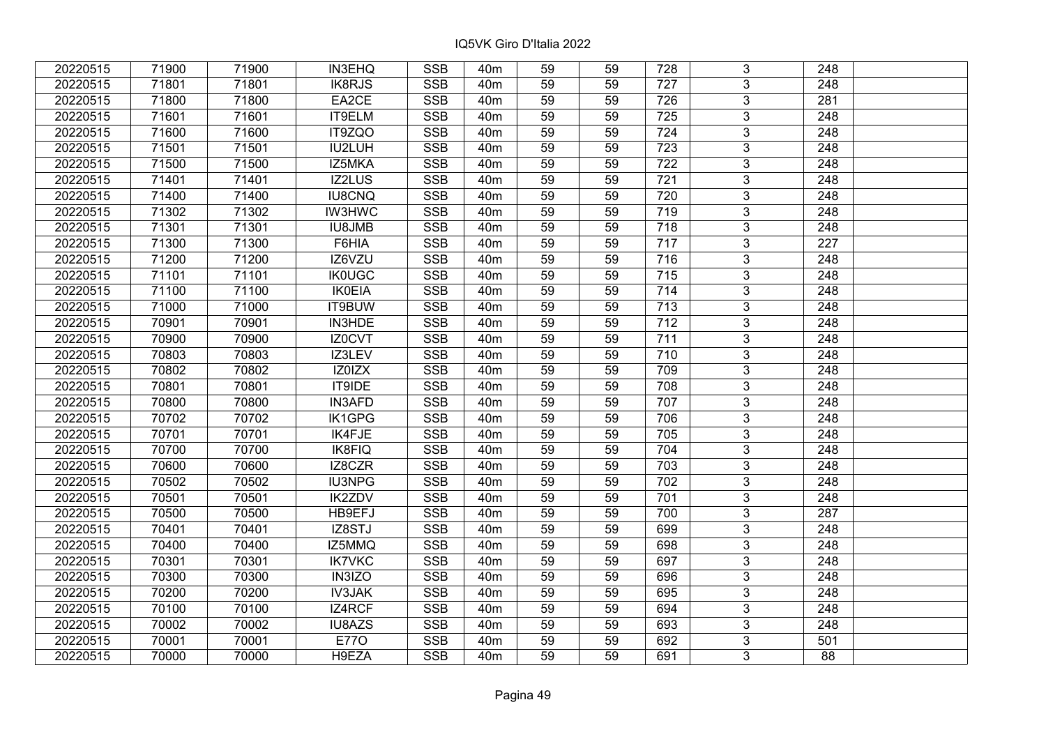| 20220515 | 71900 | 71900 | <b>IN3EHQ</b> | <b>SSB</b> | 40 <sub>m</sub> | 59              | 59 | 728              | 3              | 248              |  |
|----------|-------|-------|---------------|------------|-----------------|-----------------|----|------------------|----------------|------------------|--|
| 20220515 | 71801 | 71801 | IK8RJS        | <b>SSB</b> | 40 <sub>m</sub> | 59              | 59 | 727              | $\overline{3}$ | 248              |  |
| 20220515 | 71800 | 71800 | EA2CE         | <b>SSB</b> | 40 <sub>m</sub> | 59              | 59 | 726              | $\overline{3}$ | 281              |  |
| 20220515 | 71601 | 71601 | IT9ELM        | <b>SSB</b> | 40 <sub>m</sub> | 59              | 59 | 725              | $\overline{3}$ | 248              |  |
| 20220515 | 71600 | 71600 | IT9ZQO        | <b>SSB</b> | 40 <sub>m</sub> | 59              | 59 | 724              | $\overline{3}$ | 248              |  |
| 20220515 | 71501 | 71501 | IU2LUH        | <b>SSB</b> | 40 <sub>m</sub> | 59              | 59 | 723              | $\overline{3}$ | 248              |  |
| 20220515 | 71500 | 71500 | IZ5MKA        | <b>SSB</b> | 40 <sub>m</sub> | 59              | 59 | $\overline{722}$ | $\overline{3}$ | 248              |  |
| 20220515 | 71401 | 71401 | <b>IZ2LUS</b> | <b>SSB</b> | 40 <sub>m</sub> | 59              | 59 | 721              | $\overline{3}$ | 248              |  |
| 20220515 | 71400 | 71400 | <b>IU8CNQ</b> | <b>SSB</b> | 40 <sub>m</sub> | 59              | 59 | 720              | $\overline{3}$ | 248              |  |
| 20220515 | 71302 | 71302 | <b>IW3HWC</b> | <b>SSB</b> | 40 <sub>m</sub> | 59              | 59 | 719              | $\overline{3}$ | 248              |  |
| 20220515 | 71301 | 71301 | <b>IU8JMB</b> | <b>SSB</b> | 40 <sub>m</sub> | 59              | 59 | 718              | $\overline{3}$ | 248              |  |
| 20220515 | 71300 | 71300 | F6HIA         | <b>SSB</b> | 40 <sub>m</sub> | 59              | 59 | 717              | $\overline{3}$ | 227              |  |
| 20220515 | 71200 | 71200 | IZ6VZU        | <b>SSB</b> | 40 <sub>m</sub> | 59              | 59 | 716              | $\overline{3}$ | 248              |  |
| 20220515 | 71101 | 71101 | <b>IK0UGC</b> | <b>SSB</b> | 40 <sub>m</sub> | 59              | 59 | 715              | $\overline{3}$ | 248              |  |
| 20220515 | 71100 | 71100 | <b>IK0EIA</b> | <b>SSB</b> | 40 <sub>m</sub> | 59              | 59 | 714              | 3              | 248              |  |
| 20220515 | 71000 | 71000 | IT9BUW        | <b>SSB</b> | 40 <sub>m</sub> | 59              | 59 | $\overline{713}$ | $\overline{3}$ | 248              |  |
| 20220515 | 70901 | 70901 | IN3HDE        | <b>SSB</b> | 40 <sub>m</sub> | 59              | 59 | 712              | 3              | 248              |  |
| 20220515 | 70900 | 70900 | IZ0CVT        | <b>SSB</b> | 40 <sub>m</sub> | 59              | 59 | 711              | 3              | 248              |  |
| 20220515 | 70803 | 70803 | IZ3LEV        | <b>SSB</b> | 40 <sub>m</sub> | 59              | 59 | 710              | $\overline{3}$ | 248              |  |
| 20220515 | 70802 | 70802 | IZ0IZX        | <b>SSB</b> | 40 <sub>m</sub> | 59              | 59 | 709              | $\overline{3}$ | 248              |  |
| 20220515 | 70801 | 70801 | <b>IT9IDE</b> | SSB        | 40 <sub>m</sub> | 59              | 59 | 708              | $\overline{3}$ | 248              |  |
| 20220515 | 70800 | 70800 | <b>IN3AFD</b> | <b>SSB</b> | 40 <sub>m</sub> | 59              | 59 | 707              | $\overline{3}$ | 248              |  |
| 20220515 | 70702 | 70702 | IK1GPG        | <b>SSB</b> | 40 <sub>m</sub> | 59              | 59 | 706              | $\overline{3}$ | 248              |  |
| 20220515 | 70701 | 70701 | IK4FJE        | <b>SSB</b> | 40 <sub>m</sub> | 59              | 59 | 705              | $\overline{3}$ | 248              |  |
| 20220515 | 70700 | 70700 | <b>IK8FIQ</b> | <b>SSB</b> | 40 <sub>m</sub> | 59              | 59 | 704              | $\overline{3}$ | 248              |  |
| 20220515 | 70600 | 70600 | IZ8CZR        | SSB        | 40 <sub>m</sub> | $\overline{59}$ | 59 | 703              | $\overline{3}$ | $\overline{248}$ |  |
| 20220515 | 70502 | 70502 | <b>IU3NPG</b> | <b>SSB</b> | 40 <sub>m</sub> | 59              | 59 | 702              | $\overline{3}$ | $\overline{248}$ |  |
| 20220515 | 70501 | 70501 | <b>IK2ZDV</b> | <b>SSB</b> | 40 <sub>m</sub> | 59              | 59 | 701              | 3              | 248              |  |
| 20220515 | 70500 | 70500 | HB9EFJ        | <b>SSB</b> | 40 <sub>m</sub> | $\overline{59}$ | 59 | 700              | $\overline{3}$ | $\overline{287}$ |  |
| 20220515 | 70401 | 70401 | IZ8STJ        | <b>SSB</b> | 40 <sub>m</sub> | 59              | 59 | 699              | $\overline{3}$ | 248              |  |
| 20220515 | 70400 | 70400 | IZ5MMQ        | <b>SSB</b> | 40 <sub>m</sub> | 59              | 59 | 698              | $\overline{3}$ | 248              |  |
| 20220515 | 70301 | 70301 | <b>IK7VKC</b> | <b>SSB</b> | 40 <sub>m</sub> | 59              | 59 | 697              | $\overline{3}$ | 248              |  |
| 20220515 | 70300 | 70300 | IN3IZO        | <b>SSB</b> | 40 <sub>m</sub> | 59              | 59 | 696              | 3              | 248              |  |
| 20220515 | 70200 | 70200 | <b>IV3JAK</b> | <b>SSB</b> | 40 <sub>m</sub> | 59              | 59 | 695              | 3              | 248              |  |
| 20220515 | 70100 | 70100 | IZ4RCF        | <b>SSB</b> | 40 <sub>m</sub> | 59              | 59 | 694              | $\overline{3}$ | 248              |  |
| 20220515 | 70002 | 70002 | IU8AZS        | <b>SSB</b> | 40 <sub>m</sub> | 59              | 59 | 693              | $\overline{3}$ | 248              |  |
| 20220515 | 70001 | 70001 | <b>E770</b>   | SSB        | 40 <sub>m</sub> | 59              | 59 | 692              | $\overline{3}$ | 501              |  |
| 20220515 | 70000 | 70000 | H9EZA         | <b>SSB</b> | 40 <sub>m</sub> | 59              | 59 | 691              | $\overline{3}$ | 88               |  |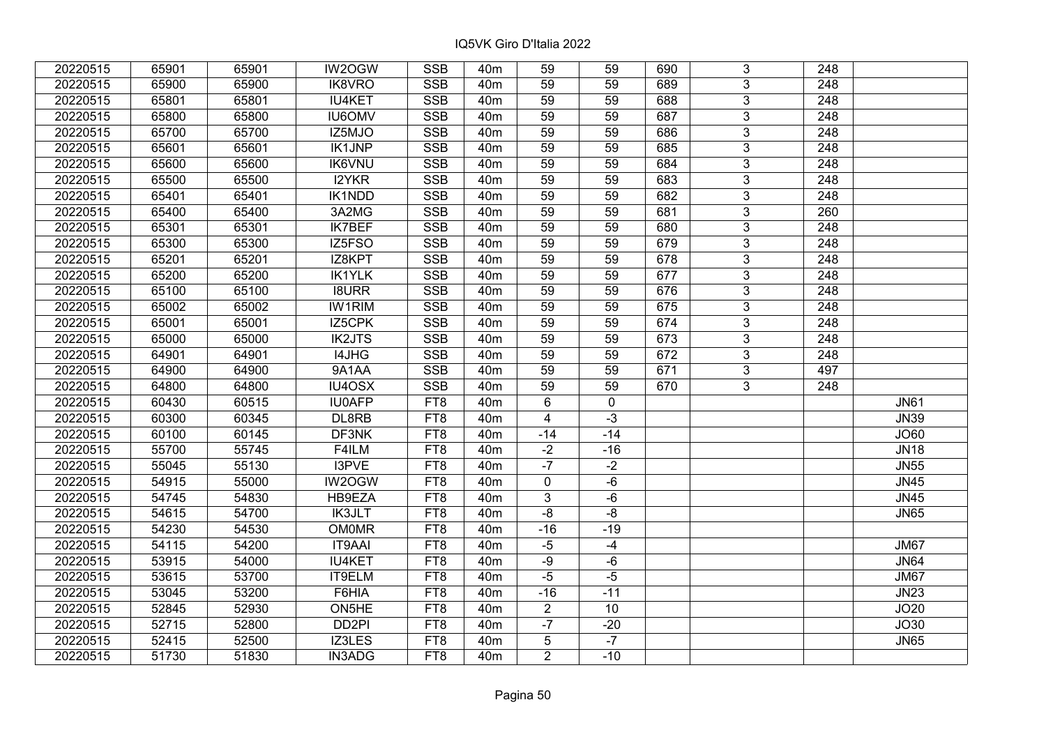| 20220515 | 65901 | 65901 | IW2OGW            | <b>SSB</b>      | 40 <sub>m</sub> | 59              | 59          | 690 | 3              | 248              |             |
|----------|-------|-------|-------------------|-----------------|-----------------|-----------------|-------------|-----|----------------|------------------|-------------|
| 20220515 | 65900 | 65900 | IK8VRO            | <b>SSB</b>      | 40 <sub>m</sub> | 59              | 59          | 689 | 3              | 248              |             |
| 20220515 | 65801 | 65801 | <b>IU4KET</b>     | <b>SSB</b>      | 40 <sub>m</sub> | 59              | 59          | 688 | $\overline{3}$ | $\overline{248}$ |             |
| 20220515 | 65800 | 65800 | <b>IU6OMV</b>     | <b>SSB</b>      | 40 <sub>m</sub> | 59              | 59          | 687 | 3              | $\overline{248}$ |             |
| 20220515 | 65700 | 65700 | IZ5MJO            | <b>SSB</b>      | 40 <sub>m</sub> | 59              | 59          | 686 | 3              | 248              |             |
| 20220515 | 65601 | 65601 | <b>IK1JNP</b>     | SSB             | 40 <sub>m</sub> | 59              | 59          | 685 | $\overline{3}$ | $\overline{248}$ |             |
| 20220515 | 65600 | 65600 | <b>IK6VNU</b>     | SSB             | 40 <sub>m</sub> | 59              | 59          | 684 | 3              | 248              |             |
| 20220515 | 65500 | 65500 | <b>I2YKR</b>      | <b>SSB</b>      | 40 <sub>m</sub> | $\overline{59}$ | 59          | 683 | $\overline{3}$ | $\overline{248}$ |             |
| 20220515 | 65401 | 65401 | <b>IK1NDD</b>     | SSB             | 40 <sub>m</sub> | 59              | 59          | 682 | $\overline{3}$ | 248              |             |
| 20220515 | 65400 | 65400 | 3A2MG             | <b>SSB</b>      | 40 <sub>m</sub> | 59              | 59          | 681 | $\overline{3}$ | 260              |             |
| 20220515 | 65301 | 65301 | <b>IK7BEF</b>     | <b>SSB</b>      | 40 <sub>m</sub> | 59              | 59          | 680 | $\overline{3}$ | 248              |             |
| 20220515 | 65300 | 65300 | IZ5FSO            | <b>SSB</b>      | 40 <sub>m</sub> | 59              | 59          | 679 | $\overline{3}$ | 248              |             |
| 20220515 | 65201 | 65201 | IZ8KPT            | <b>SSB</b>      | 40 <sub>m</sub> | 59              | 59          | 678 | 3              | 248              |             |
| 20220515 | 65200 | 65200 | <b>IK1YLK</b>     | <b>SSB</b>      | 40 <sub>m</sub> | 59              | 59          | 677 | 3              | 248              |             |
| 20220515 | 65100 | 65100 | <b>I8URR</b>      | <b>SSB</b>      | 40 <sub>m</sub> | 59              | 59          | 676 | 3              | 248              |             |
| 20220515 | 65002 | 65002 | <b>IW1RIM</b>     | <b>SSB</b>      | 40 <sub>m</sub> | 59              | 59          | 675 | 3              | 248              |             |
| 20220515 | 65001 | 65001 | IZ5CPK            | <b>SSB</b>      | 40 <sub>m</sub> | 59              | 59          | 674 | $\overline{3}$ | 248              |             |
| 20220515 | 65000 | 65000 | <b>IK2JTS</b>     | <b>SSB</b>      | 40 <sub>m</sub> | 59              | 59          | 673 | 3              | 248              |             |
| 20220515 | 64901 | 64901 | I4JHG             | <b>SSB</b>      | 40 <sub>m</sub> | 59              | 59          | 672 | 3              | 248              |             |
| 20220515 | 64900 | 64900 | 9A1AA             | <b>SSB</b>      | 40 <sub>m</sub> | 59              | 59          | 671 | $\overline{3}$ | 497              |             |
| 20220515 | 64800 | 64800 | IU4OSX            | <b>SSB</b>      | 40 <sub>m</sub> | 59              | 59          | 670 | $\overline{3}$ | 248              |             |
| 20220515 | 60430 | 60515 | <b>IU0AFP</b>     | FT8             | 40 <sub>m</sub> | 6               | $\mathbf 0$ |     |                |                  | <b>JN61</b> |
| 20220515 | 60300 | 60345 | DL8RB             | FT8             | 40 <sub>m</sub> | $\overline{4}$  | $-3$        |     |                |                  | <b>JN39</b> |
| 20220515 | 60100 | 60145 | DF3NK             | FT8             | 40 <sub>m</sub> | $-14$           | $-14$       |     |                |                  | <b>JO60</b> |
| 20220515 | 55700 | 55745 | F4ILM             | FT8             | 40 <sub>m</sub> | $-2$            | $-16$       |     |                |                  | <b>JN18</b> |
| 20220515 | 55045 | 55130 | I3PVE             | FT8             | 40 <sub>m</sub> | $-7$            | $-2$        |     |                |                  | <b>JN55</b> |
| 20220515 | 54915 | 55000 | IW2OGW            | FT8             | 40 <sub>m</sub> | $\mathbf 0$     | $-6$        |     |                |                  | <b>JN45</b> |
| 20220515 | 54745 | 54830 | HB9EZA            | FT8             | 40 <sub>m</sub> | 3               | $-6$        |     |                |                  | <b>JN45</b> |
| 20220515 | 54615 | 54700 | <b>IK3JLT</b>     | FT <sub>8</sub> | 40 <sub>m</sub> | $-8$            | -8          |     |                |                  | <b>JN65</b> |
| 20220515 | 54230 | 54530 | <b>OM0MR</b>      | FT8             | 40 <sub>m</sub> | $-16$           | $-19$       |     |                |                  |             |
| 20220515 | 54115 | 54200 | <b>IT9AAI</b>     | FT <sub>8</sub> | 40 <sub>m</sub> | $-5$            | $-4$        |     |                |                  | <b>JM67</b> |
| 20220515 | 53915 | 54000 | <b>IU4KET</b>     | FT <sub>8</sub> | 40 <sub>m</sub> | $-9$            | $-6$        |     |                |                  | <b>JN64</b> |
| 20220515 | 53615 | 53700 | IT9ELM            | FT8             | 40 <sub>m</sub> | $-5$            | $-5$        |     |                |                  | <b>JM67</b> |
| 20220515 | 53045 | 53200 | F6HIA             | FT8             | 40 <sub>m</sub> | $-16$           | $-11$       |     |                |                  | <b>JN23</b> |
| 20220515 | 52845 | 52930 | ON5HE             | FT8             | 40 <sub>m</sub> | $\overline{2}$  | 10          |     |                |                  | JO20        |
| 20220515 | 52715 | 52800 | DD <sub>2PI</sub> | FT8             | 40 <sub>m</sub> | $-7$            | $-20$       |     |                |                  | JO30        |
| 20220515 | 52415 | 52500 | IZ3LES            | FT8             | 40 <sub>m</sub> | 5               | $-7$        |     |                |                  | <b>JN65</b> |
| 20220515 | 51730 | 51830 | <b>IN3ADG</b>     | FT8             | 40 <sub>m</sub> | $\overline{2}$  | $-10$       |     |                |                  |             |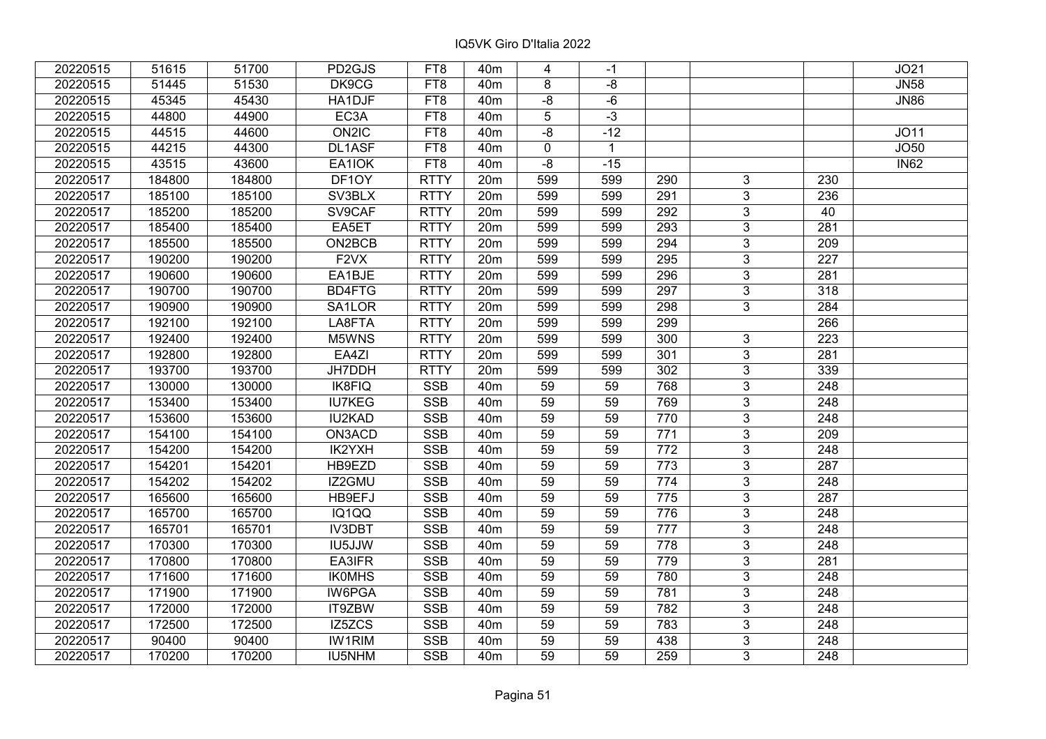| 20220515 | 51615  | 51700  | PD2GJS            | FT8             | 40 <sub>m</sub> | 4           | -1           |     |                |                  | JO21        |
|----------|--------|--------|-------------------|-----------------|-----------------|-------------|--------------|-----|----------------|------------------|-------------|
| 20220515 | 51445  | 51530  | DK9CG             | FT8             | 40 <sub>m</sub> | 8           | -8           |     |                |                  | <b>JN58</b> |
| 20220515 | 45345  | 45430  | HA1DJF            | FT8             | 40 <sub>m</sub> | $-8$        | $-6$         |     |                |                  | <b>JN86</b> |
| 20220515 | 44800  | 44900  | EC <sub>3</sub> A | FT8             | 40 <sub>m</sub> | 5           | $-3$         |     |                |                  |             |
| 20220515 | 44515  | 44600  | ON2IC             | FT8             | 40 <sub>m</sub> | $-8$        | $-12$        |     |                |                  | JO11        |
| 20220515 | 44215  | 44300  | DL1ASF            | FT <sub>8</sub> | 40 <sub>m</sub> | $\mathbf 0$ | $\mathbf{1}$ |     |                |                  | JO50        |
| 20220515 | 43515  | 43600  | EA1IOK            | FT8             | 40 <sub>m</sub> | $-8$        | $-15$        |     |                |                  | <b>IN62</b> |
| 20220517 | 184800 | 184800 | DF1OY             | <b>RTTY</b>     | 20m             | 599         | 599          | 290 | 3              | 230              |             |
| 20220517 | 185100 | 185100 | SV3BLX            | <b>RTTY</b>     | 20 <sub>m</sub> | 599         | 599          | 291 | $\overline{3}$ | 236              |             |
| 20220517 | 185200 | 185200 | SV9CAF            | <b>RTTY</b>     | 20m             | 599         | 599          | 292 | $\overline{3}$ | 40               |             |
| 20220517 | 185400 | 185400 | EA5ET             | <b>RTTY</b>     | 20m             | 599         | 599          | 293 | $\overline{3}$ | 281              |             |
| 20220517 | 185500 | 185500 | ON2BCB            | <b>RTTY</b>     | 20m             | 599         | 599          | 294 | $\overline{3}$ | 209              |             |
| 20220517 | 190200 | 190200 | F <sub>2</sub> VX | <b>RTTY</b>     | 20 <sub>m</sub> | 599         | 599          | 295 | $\overline{3}$ | 227              |             |
| 20220517 | 190600 | 190600 | EA1BJE            | <b>RTTY</b>     | 20 <sub>m</sub> | 599         | 599          | 296 | 3              | 281              |             |
| 20220517 | 190700 | 190700 | BD4FTG            | <b>RTTY</b>     | 20 <sub>m</sub> | 599         | 599          | 297 | 3              | 318              |             |
| 20220517 | 190900 | 190900 | SA1LOR            | <b>RTTY</b>     | 20 <sub>m</sub> | 599         | 599          | 298 | 3              | 284              |             |
| 20220517 | 192100 | 192100 | LA8FTA            | <b>RTTY</b>     | 20m             | 599         | 599          | 299 |                | 266              |             |
| 20220517 | 192400 | 192400 | M5WNS             | <b>RTTY</b>     | 20 <sub>m</sub> | 599         | 599          | 300 | $\mathbf{3}$   | 223              |             |
| 20220517 | 192800 | 192800 | EA4ZI             | <b>RTTY</b>     | 20m             | 599         | 599          | 301 | 3              | 281              |             |
| 20220517 | 193700 | 193700 | JH7DDH            | <b>RTTY</b>     | 20 <sub>m</sub> | 599         | 599          | 302 | $\overline{3}$ | 339              |             |
| 20220517 | 130000 | 130000 | IK8FIQ            | <b>SSB</b>      | 40 <sub>m</sub> | 59          | 59           | 768 | $\overline{3}$ | 248              |             |
| 20220517 | 153400 | 153400 | <b>IU7KEG</b>     | <b>SSB</b>      | 40 <sub>m</sub> | 59          | 59           | 769 | 3              | 248              |             |
| 20220517 | 153600 | 153600 | <b>IU2KAD</b>     | <b>SSB</b>      | 40 <sub>m</sub> | 59          | 59           | 770 | $\overline{3}$ | 248              |             |
| 20220517 | 154100 | 154100 | ON3ACD            | <b>SSB</b>      | 40 <sub>m</sub> | 59          | 59           | 771 | $\overline{3}$ | 209              |             |
| 20220517 | 154200 | 154200 | IK2YXH            | <b>SSB</b>      | 40 <sub>m</sub> | 59          | 59           | 772 | $\mathbf{3}$   | 248              |             |
| 20220517 | 154201 | 154201 | HB9EZD            | <b>SSB</b>      | 40 <sub>m</sub> | 59          | 59           | 773 | $\overline{3}$ | $\overline{287}$ |             |
| 20220517 | 154202 | 154202 | IZ2GMU            | <b>SSB</b>      | 40 <sub>m</sub> | 59          | 59           | 774 | $\overline{3}$ | $\overline{248}$ |             |
| 20220517 | 165600 | 165600 | HB9EFJ            | <b>SSB</b>      | 40 <sub>m</sub> | 59          | 59           | 775 | 3              | 287              |             |
| 20220517 | 165700 | 165700 | IQ1QQ             | <b>SSB</b>      | 40 <sub>m</sub> | 59          | 59           | 776 | $\overline{3}$ | 248              |             |
| 20220517 | 165701 | 165701 | <b>IV3DBT</b>     | <b>SSB</b>      | 40 <sub>m</sub> | 59          | 59           | 777 | $\overline{3}$ | $\overline{248}$ |             |
| 20220517 | 170300 | 170300 | IU5JJW            | <b>SSB</b>      | 40 <sub>m</sub> | 59          | 59           | 778 | $\overline{3}$ | 248              |             |
| 20220517 | 170800 | 170800 | EA3IFR            | <b>SSB</b>      | 40 <sub>m</sub> | 59          | 59           | 779 | $\overline{3}$ | 281              |             |
| 20220517 | 171600 | 171600 | <b>IKOMHS</b>     | <b>SSB</b>      | 40 <sub>m</sub> | 59          | 59           | 780 | $\overline{3}$ | 248              |             |
| 20220517 | 171900 | 171900 | IW6PGA            | <b>SSB</b>      | 40 <sub>m</sub> | 59          | 59           | 781 | 3              | 248              |             |
| 20220517 | 172000 | 172000 | IT9ZBW            | <b>SSB</b>      | 40 <sub>m</sub> | 59          | 59           | 782 | 3              | 248              |             |
| 20220517 | 172500 | 172500 | IZ5ZCS            | <b>SSB</b>      | 40 <sub>m</sub> | 59          | 59           | 783 | 3              | $\overline{248}$ |             |
| 20220517 | 90400  | 90400  | <b>IW1RIM</b>     | <b>SSB</b>      | 40 <sub>m</sub> | 59          | 59           | 438 | 3              | 248              |             |
| 20220517 | 170200 | 170200 | <b>IU5NHM</b>     | <b>SSB</b>      | 40 <sub>m</sub> | 59          | 59           | 259 | 3              | 248              |             |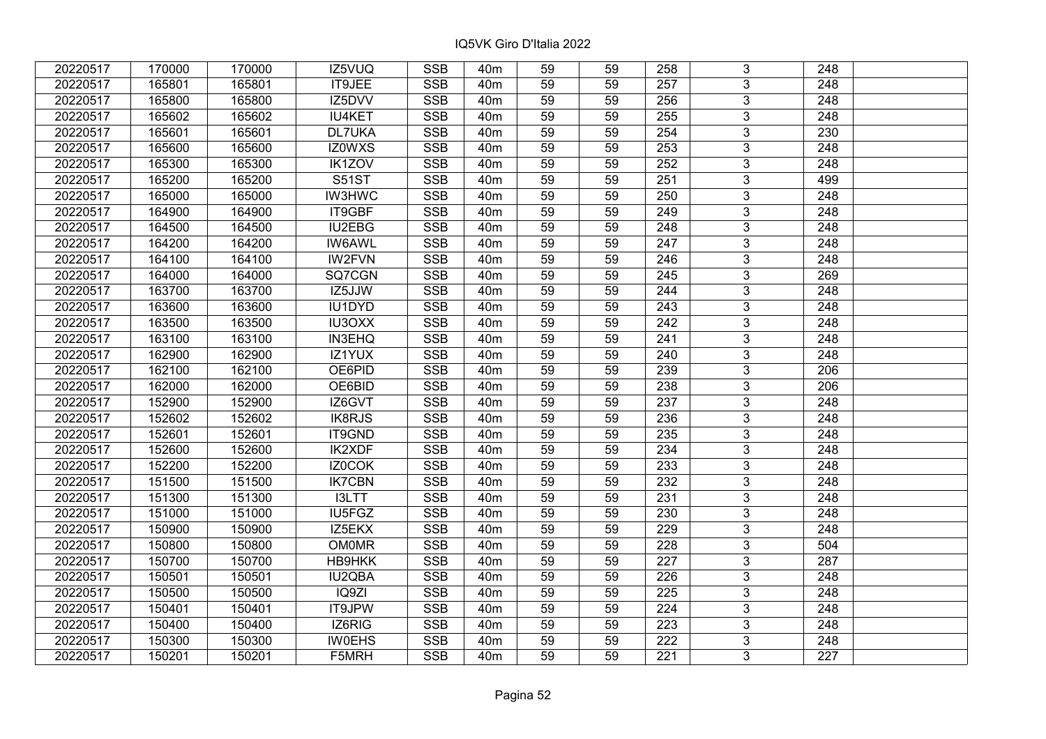| 20220517 | 170000 | 170000 | IZ5VUQ        | <b>SSB</b> | 40 <sub>m</sub> | 59              | 59 | 258              | 3              | 248              |  |
|----------|--------|--------|---------------|------------|-----------------|-----------------|----|------------------|----------------|------------------|--|
| 20220517 | 165801 | 165801 | IT9JEE        | <b>SSB</b> | 40 <sub>m</sub> | 59              | 59 | 257              | 3              | 248              |  |
| 20220517 | 165800 | 165800 | IZ5DVV        | <b>SSB</b> | 40 <sub>m</sub> | 59              | 59 | 256              | $\overline{3}$ | 248              |  |
| 20220517 | 165602 | 165602 | <b>IU4KET</b> | <b>SSB</b> | 40 <sub>m</sub> | 59              | 59 | 255              | $\overline{3}$ | 248              |  |
| 20220517 | 165601 | 165601 | <b>DL7UKA</b> | <b>SSB</b> | 40 <sub>m</sub> | 59              | 59 | 254              | $\overline{3}$ | 230              |  |
| 20220517 | 165600 | 165600 | IZ0WXS        | <b>SSB</b> | 40 <sub>m</sub> | 59              | 59 | 253              | $\overline{3}$ | 248              |  |
| 20220517 | 165300 | 165300 | IK1ZOV        | <b>SSB</b> | 40 <sub>m</sub> | 59              | 59 | 252              | $\overline{3}$ | 248              |  |
| 20220517 | 165200 | 165200 | <b>S51ST</b>  | <b>SSB</b> | 40 <sub>m</sub> | 59              | 59 | 251              | $\overline{3}$ | 499              |  |
| 20220517 | 165000 | 165000 | <b>IW3HWC</b> | <b>SSB</b> | 40 <sub>m</sub> | 59              | 59 | 250              | $\overline{3}$ | 248              |  |
| 20220517 | 164900 | 164900 | IT9GBF        | <b>SSB</b> | 40 <sub>m</sub> | 59              | 59 | 249              | $\overline{3}$ | 248              |  |
| 20220517 | 164500 | 164500 | IU2EBG        | <b>SSB</b> | 40 <sub>m</sub> | 59              | 59 | 248              | $\overline{3}$ | 248              |  |
| 20220517 | 164200 | 164200 | <b>IW6AWL</b> | <b>SSB</b> | 40 <sub>m</sub> | 59              | 59 | 247              | $\overline{3}$ | 248              |  |
| 20220517 | 164100 | 164100 | <b>IW2FVN</b> | <b>SSB</b> | 40 <sub>m</sub> | 59              | 59 | 246              | $\overline{3}$ | 248              |  |
| 20220517 | 164000 | 164000 | SQ7CGN        | <b>SSB</b> | 40 <sub>m</sub> | 59              | 59 | 245              | $\overline{3}$ | 269              |  |
| 20220517 | 163700 | 163700 | IZ5JJW        | <b>SSB</b> | 40 <sub>m</sub> | 59              | 59 | 244              | 3              | 248              |  |
| 20220517 | 163600 | 163600 | IU1DYD        | <b>SSB</b> | 40 <sub>m</sub> | 59              | 59 | 243              | $\overline{3}$ | 248              |  |
| 20220517 | 163500 | 163500 | <b>IU3OXX</b> | <b>SSB</b> | 40 <sub>m</sub> | 59              | 59 | 242              | 3              | 248              |  |
| 20220517 | 163100 | 163100 | <b>IN3EHQ</b> | <b>SSB</b> | 40 <sub>m</sub> | 59              | 59 | 241              | 3              | 248              |  |
| 20220517 | 162900 | 162900 | IZ1YUX        | <b>SSB</b> | 40 <sub>m</sub> | 59              | 59 | 240              | $\overline{3}$ | 248              |  |
| 20220517 | 162100 | 162100 | OE6PID        | <b>SSB</b> | 40 <sub>m</sub> | 59              | 59 | 239              | $\overline{3}$ | 206              |  |
| 20220517 | 162000 | 162000 | OE6BID        | <b>SSB</b> | 40 <sub>m</sub> | 59              | 59 | 238              | $\overline{3}$ | 206              |  |
| 20220517 | 152900 | 152900 | IZ6GVT        | <b>SSB</b> | 40 <sub>m</sub> | 59              | 59 | 237              | $\overline{3}$ | 248              |  |
| 20220517 | 152602 | 152602 | <b>IK8RJS</b> | <b>SSB</b> | 40 <sub>m</sub> | 59              | 59 | 236              | $\overline{3}$ | 248              |  |
| 20220517 | 152601 | 152601 | IT9GND        | <b>SSB</b> | 40 <sub>m</sub> | 59              | 59 | 235              | $\overline{3}$ | 248              |  |
| 20220517 | 152600 | 152600 | <b>IK2XDF</b> | <b>SSB</b> | 40 <sub>m</sub> | 59              | 59 | 234              | $\overline{3}$ | 248              |  |
| 20220517 | 152200 | 152200 | IZ0COK        | <b>SSB</b> | 40 <sub>m</sub> | $\overline{59}$ | 59 | 233              | $\overline{3}$ | $\overline{248}$ |  |
| 20220517 | 151500 | 151500 | <b>IK7CBN</b> | <b>SSB</b> | 40 <sub>m</sub> | $\overline{59}$ | 59 | 232              | $\overline{3}$ | $\overline{248}$ |  |
| 20220517 | 151300 | 151300 | I3LTT         | <b>SSB</b> | 40 <sub>m</sub> | 59              | 59 | 231              | $\overline{3}$ | 248              |  |
| 20220517 | 151000 | 151000 | IU5FGZ        | <b>SSB</b> | 40 <sub>m</sub> | $\overline{59}$ | 59 | 230              | $\overline{3}$ | $\overline{248}$ |  |
| 20220517 | 150900 | 150900 | IZ5EKX        | <b>SSB</b> | 40 <sub>m</sub> | 59              | 59 | 229              | $\overline{3}$ | 248              |  |
| 20220517 | 150800 | 150800 | <b>OM0MR</b>  | <b>SSB</b> | 40 <sub>m</sub> | 59              | 59 | 228              | $\overline{3}$ | 504              |  |
| 20220517 | 150700 | 150700 | <b>HB9HKK</b> | <b>SSB</b> | 40 <sub>m</sub> | 59              | 59 | 227              | $\overline{3}$ | 287              |  |
| 20220517 | 150501 | 150501 | IU2QBA        | <b>SSB</b> | 40 <sub>m</sub> | 59              | 59 | 226              | 3              | 248              |  |
| 20220517 | 150500 | 150500 | IQ9ZI         | <b>SSB</b> | 40 <sub>m</sub> | 59              | 59 | 225              | 3              | 248              |  |
| 20220517 | 150401 | 150401 | IT9JPW        | <b>SSB</b> | 40 <sub>m</sub> | 59              | 59 | 224              | 3              | 248              |  |
| 20220517 | 150400 | 150400 | IZ6RIG        | <b>SSB</b> | 40m             | 59              | 59 | 223              | 3              | 248              |  |
| 20220517 | 150300 | 150300 | <b>IW0EHS</b> | SSB        | 40 <sub>m</sub> | 59              | 59 | $\overline{222}$ | $\overline{3}$ | 248              |  |
| 20220517 | 150201 | 150201 | F5MRH         | <b>SSB</b> | 40 <sub>m</sub> | 59              | 59 | 221              | $\overline{3}$ | 227              |  |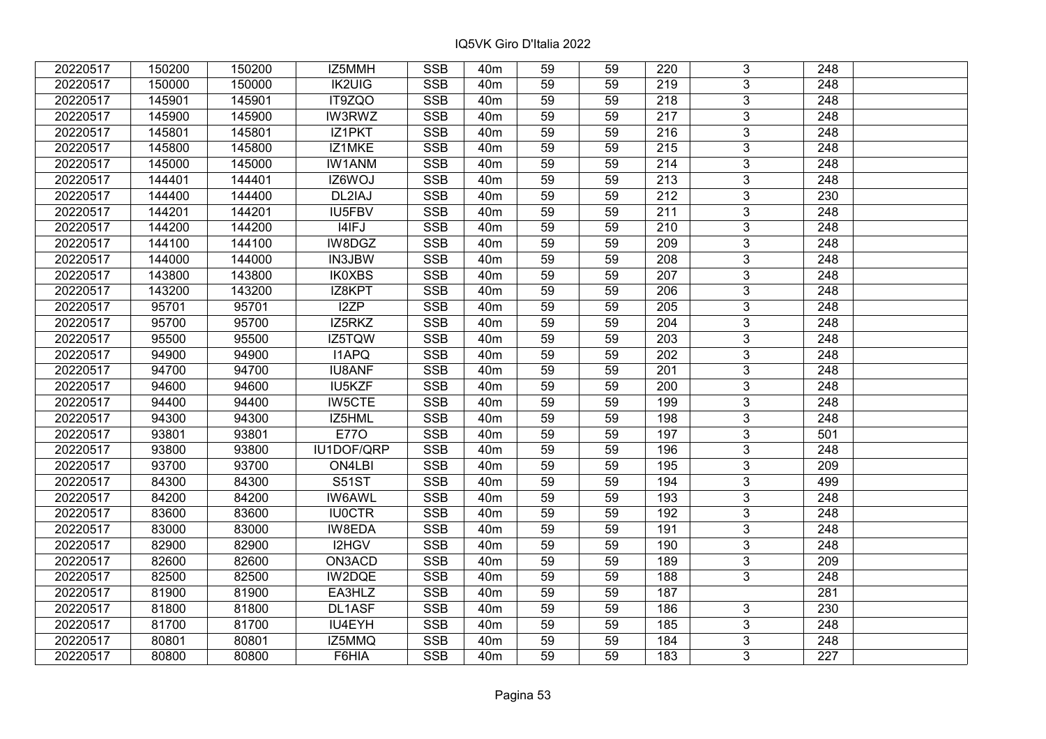| 20220517 | 150200 | 150200 | IZ5MMH        | <b>SSB</b> | 40 <sub>m</sub> | 59              | 59 | 220              | 3                       | 248              |  |
|----------|--------|--------|---------------|------------|-----------------|-----------------|----|------------------|-------------------------|------------------|--|
| 20220517 | 150000 | 150000 | <b>IK2UIG</b> | <b>SSB</b> | 40 <sub>m</sub> | 59              | 59 | 219              | $\overline{3}$          | 248              |  |
| 20220517 | 145901 | 145901 | IT9ZQO        | <b>SSB</b> | 40 <sub>m</sub> | 59              | 59 | 218              | $\overline{3}$          | 248              |  |
| 20220517 | 145900 | 145900 | IW3RWZ        | <b>SSB</b> | 40 <sub>m</sub> | 59              | 59 | $\overline{217}$ | $\overline{3}$          | $\overline{248}$ |  |
| 20220517 | 145801 | 145801 | IZ1PKT        | <b>SSB</b> | 40 <sub>m</sub> | 59              | 59 | 216              | $\overline{3}$          | 248              |  |
| 20220517 | 145800 | 145800 | IZ1MKE        | <b>SSB</b> | 40m             | 59              | 59 | 215              | $\overline{3}$          | 248              |  |
| 20220517 | 145000 | 145000 | <b>IW1ANM</b> | <b>SSB</b> | 40m             | 59              | 59 | 214              | $\overline{3}$          | 248              |  |
| 20220517 | 144401 | 144401 | IZ6WOJ        | <b>SSB</b> | 40m             | 59              | 59 | 213              | $\overline{3}$          | 248              |  |
| 20220517 | 144400 | 144400 | DL2IAJ        | SSB        | 40 <sub>m</sub> | 59              | 59 | $\overline{212}$ | $\overline{\mathbf{3}}$ | $\overline{230}$ |  |
| 20220517 | 144201 | 144201 | <b>IU5FBV</b> | <b>SSB</b> | 40m             | 59              | 59 | 211              | $\overline{3}$          | 248              |  |
| 20220517 | 144200 | 144200 | I4IFJ         | <b>SSB</b> | 40m             | 59              | 59 | 210              | 3                       | 248              |  |
| 20220517 | 144100 | 144100 | IW8DGZ        | <b>SSB</b> | 40m             | $\overline{59}$ | 59 | $\overline{209}$ | $\overline{3}$          | 248              |  |
| 20220517 | 144000 | 144000 | <b>IN3JBW</b> | <b>SSB</b> | 40m             | 59              | 59 | 208              | $\mathbf{3}$            | 248              |  |
| 20220517 | 143800 | 143800 | <b>IK0XBS</b> | <b>SSB</b> | 40m             | 59              | 59 | 207              | 3                       | 248              |  |
| 20220517 | 143200 | 143200 | IZ8KPT        | <b>SSB</b> | 40 <sub>m</sub> | 59              | 59 | 206              | $\overline{3}$          | $\overline{248}$ |  |
| 20220517 | 95701  | 95701  | I2ZP          | <b>SSB</b> | 40 <sub>m</sub> | 59              | 59 | 205              | $\overline{3}$          | 248              |  |
| 20220517 | 95700  | 95700  | IZ5RKZ        | <b>SSB</b> | 40m             | 59              | 59 | 204              | $\mathbf{3}$            | 248              |  |
| 20220517 | 95500  | 95500  | IZ5TQW        | <b>SSB</b> | 40m             | 59              | 59 | 203              | $\overline{3}$          | 248              |  |
| 20220517 | 94900  | 94900  | <b>I1APQ</b>  | <b>SSB</b> | 40 <sub>m</sub> | 59              | 59 | 202              | $\overline{3}$          | 248              |  |
| 20220517 | 94700  | 94700  | <b>IU8ANF</b> | <b>SSB</b> | 40m             | 59              | 59 | 201              | $\overline{3}$          | 248              |  |
| 20220517 | 94600  | 94600  | IU5KZF        | <b>SSB</b> | 40m             | 59              | 59 | 200              | $\overline{3}$          | 248              |  |
| 20220517 | 94400  | 94400  | <b>IW5CTE</b> | <b>SSB</b> | 40 <sub>m</sub> | 59              | 59 | 199              | $\overline{3}$          | 248              |  |
| 20220517 | 94300  | 94300  | IZ5HML        | <b>SSB</b> | 40 <sub>m</sub> | 59              | 59 | 198              | 3                       | 248              |  |
| 20220517 | 93801  | 93801  | <b>E770</b>   | <b>SSB</b> | 40m             | 59              | 59 | 197              | $\overline{3}$          | 501              |  |
| 20220517 | 93800  | 93800  | IU1DOF/QRP    | <b>SSB</b> | 40 <sub>m</sub> | 59              | 59 | 196              | $\overline{3}$          | 248              |  |
| 20220517 | 93700  | 93700  | ON4LBI        | <b>SSB</b> | 40 <sub>m</sub> | 59              | 59 | 195              | $\overline{3}$          | $\overline{209}$ |  |
| 20220517 | 84300  | 84300  | <b>S51ST</b>  | <b>SSB</b> | 40 <sub>m</sub> | 59              | 59 | 194              | $\overline{3}$          | 499              |  |
| 20220517 | 84200  | 84200  | <b>IW6AWL</b> | <b>SSB</b> | 40 <sub>m</sub> | 59              | 59 | 193              | $\overline{3}$          | 248              |  |
| 20220517 | 83600  | 83600  | <b>IU0CTR</b> | <b>SSB</b> | 40 <sub>m</sub> | 59              | 59 | 192              | $\overline{3}$          | $\overline{248}$ |  |
| 20220517 | 83000  | 83000  | IW8EDA        | <b>SSB</b> | 40 <sub>m</sub> | 59              | 59 | 191              | $\overline{3}$          | $\overline{248}$ |  |
| 20220517 | 82900  | 82900  | I2HGV         | <b>SSB</b> | 40 <sub>m</sub> | 59              | 59 | 190              | $\overline{3}$          | 248              |  |
| 20220517 | 82600  | 82600  | ON3ACD        | <b>SSB</b> | 40 <sub>m</sub> | 59              | 59 | 189              | $\overline{3}$          | 209              |  |
| 20220517 | 82500  | 82500  | IW2DQE        | <b>SSB</b> | 40 <sub>m</sub> | 59              | 59 | 188              | $\mathbf{3}$            | 248              |  |
| 20220517 | 81900  | 81900  | EA3HLZ        | <b>SSB</b> | 40 <sub>m</sub> | 59              | 59 | 187              |                         | 281              |  |
| 20220517 | 81800  | 81800  | DL1ASF        | <b>SSB</b> | 40 <sub>m</sub> | 59              | 59 | 186              | 3                       | 230              |  |
| 20220517 | 81700  | 81700  | IU4EYH        | <b>SSB</b> | 40m             | 59              | 59 | 185              | 3                       | 248              |  |
| 20220517 | 80801  | 80801  | IZ5MMQ        | <b>SSB</b> | 40m             | 59              | 59 | 184              | 3                       | 248              |  |
| 20220517 | 80800  | 80800  | F6HIA         | <b>SSB</b> | 40m             | 59              | 59 | 183              | 3                       | 227              |  |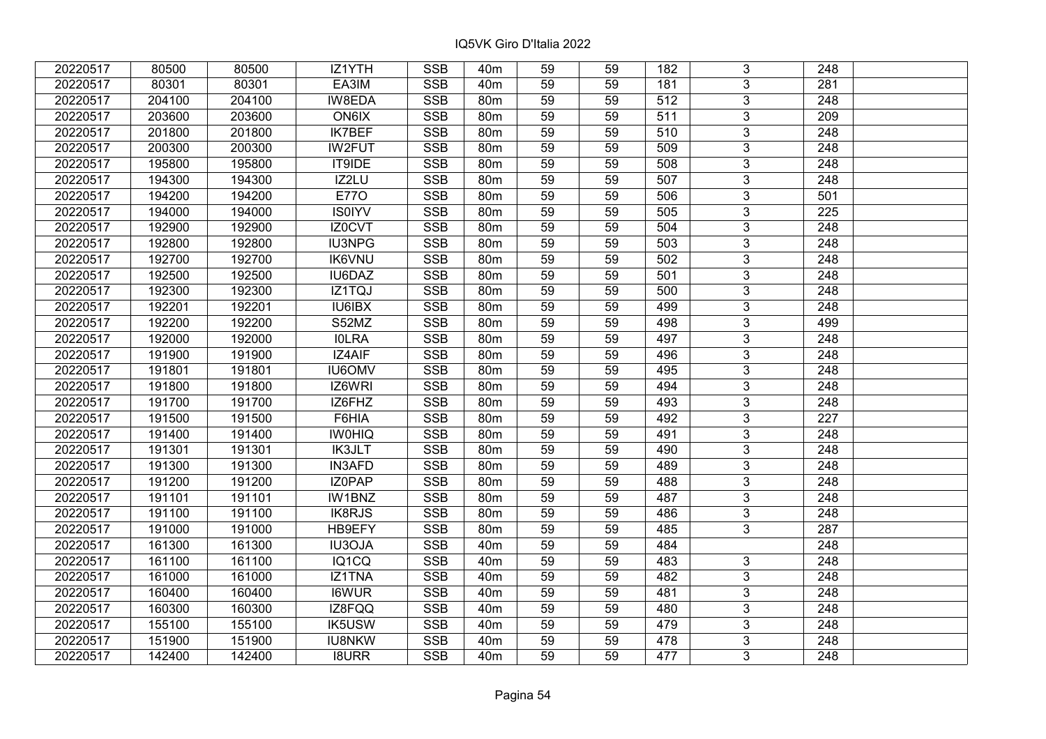| 20220517 | 80500  | 80500  | IZ1YTH        | <b>SSB</b> | 40 <sub>m</sub> | 59              | 59 | 182              | 3              | 248              |  |
|----------|--------|--------|---------------|------------|-----------------|-----------------|----|------------------|----------------|------------------|--|
| 20220517 | 80301  | 80301  | EA3IM         | <b>SSB</b> | 40 <sub>m</sub> | 59              | 59 | 181              | 3              | 281              |  |
| 20220517 | 204100 | 204100 | IW8EDA        | <b>SSB</b> | 80 <sub>m</sub> | 59              | 59 | $\overline{512}$ | $\overline{3}$ | 248              |  |
| 20220517 | 203600 | 203600 | ON6IX         | <b>SSB</b> | 80m             | 59              | 59 | 511              | $\overline{3}$ | 209              |  |
| 20220517 | 201800 | 201800 | <b>IK7BEF</b> | <b>SSB</b> | 80m             | 59              | 59 | 510              | $\overline{3}$ | 248              |  |
| 20220517 | 200300 | 200300 | <b>IW2FUT</b> | <b>SSB</b> | 80m             | 59              | 59 | 509              | $\overline{3}$ | 248              |  |
| 20220517 | 195800 | 195800 | IT9IDE        | <b>SSB</b> | 80 <sub>m</sub> | 59              | 59 | 508              | $\overline{3}$ | 248              |  |
| 20220517 | 194300 | 194300 | IZ2LU         | <b>SSB</b> | 80m             | 59              | 59 | 507              | $\overline{3}$ | 248              |  |
| 20220517 | 194200 | 194200 | <b>E770</b>   | <b>SSB</b> | 80m             | 59              | 59 | 506              | $\overline{3}$ | 501              |  |
| 20220517 | 194000 | 194000 | <b>IS0IYV</b> | <b>SSB</b> | 80 <sub>m</sub> | 59              | 59 | 505              | $\overline{3}$ | 225              |  |
| 20220517 | 192900 | 192900 | IZ0CVT        | <b>SSB</b> | 80m             | 59              | 59 | 504              | $\overline{3}$ | 248              |  |
| 20220517 | 192800 | 192800 | <b>IU3NPG</b> | <b>SSB</b> | 80m             | 59              | 59 | 503              | $\overline{3}$ | 248              |  |
| 20220517 | 192700 | 192700 | <b>IK6VNU</b> | <b>SSB</b> | 80m             | 59              | 59 | 502              | $\overline{3}$ | 248              |  |
| 20220517 | 192500 | 192500 | IU6DAZ        | <b>SSB</b> | 80m             | 59              | 59 | 501              | $\overline{3}$ | 248              |  |
| 20220517 | 192300 | 192300 | IZ1TQJ        | <b>SSB</b> | 80 <sub>m</sub> | 59              | 59 | 500              | 3              | 248              |  |
| 20220517 | 192201 | 192201 | IU6IBX        | <b>SSB</b> | 80 <sub>m</sub> | 59              | 59 | 499              | $\overline{3}$ | 248              |  |
| 20220517 | 192200 | 192200 | S52MZ         | <b>SSB</b> | 80m             | 59              | 59 | 498              | 3              | 499              |  |
| 20220517 | 192000 | 192000 | <b>IOLRA</b>  | <b>SSB</b> | 80 <sub>m</sub> | 59              | 59 | 497              | 3              | 248              |  |
| 20220517 | 191900 | 191900 | IZ4AIF        | <b>SSB</b> | 80m             | 59              | 59 | 496              | $\overline{3}$ | 248              |  |
| 20220517 | 191801 | 191801 | <b>IU6OMV</b> | <b>SSB</b> | 80m             | 59              | 59 | 495              | $\overline{3}$ | 248              |  |
| 20220517 | 191800 | 191800 | IZ6WRI        | <b>SSB</b> | 80 <sub>m</sub> | 59              | 59 | 494              | $\overline{3}$ | 248              |  |
| 20220517 | 191700 | 191700 | IZ6FHZ        | <b>SSB</b> | 80m             | 59              | 59 | 493              | $\overline{3}$ | 248              |  |
| 20220517 | 191500 | 191500 | F6HIA         | <b>SSB</b> | 80m             | 59              | 59 | 492              | $\overline{3}$ | 227              |  |
| 20220517 | 191400 | 191400 | <b>IWOHIQ</b> | <b>SSB</b> | 80 <sub>m</sub> | 59              | 59 | 491              | $\overline{3}$ | 248              |  |
| 20220517 | 191301 | 191301 | <b>IK3JLT</b> | <b>SSB</b> | 80m             | 59              | 59 | 490              | $\overline{3}$ | 248              |  |
| 20220517 | 191300 | 191300 | <b>IN3AFD</b> | <b>SSB</b> | 80 <sub>m</sub> | $\overline{59}$ | 59 | 489              | $\overline{3}$ | $\overline{248}$ |  |
| 20220517 | 191200 | 191200 | IZ0PAP        | <b>SSB</b> | 80m             | $\overline{59}$ | 59 | 488              | $\overline{3}$ | $\overline{248}$ |  |
| 20220517 | 191101 | 191101 | IW1BNZ        | <b>SSB</b> | 80m             | 59              | 59 | 487              | $\overline{3}$ | 248              |  |
| 20220517 | 191100 | 191100 | <b>IK8RJS</b> | <b>SSB</b> | 80 <sub>m</sub> | $\overline{59}$ | 59 | 486              | $\overline{3}$ | $\overline{248}$ |  |
| 20220517 | 191000 | 191000 | HB9EFY        | <b>SSB</b> | 80 <sub>m</sub> | $\overline{59}$ | 59 | 485              | $\overline{3}$ | 287              |  |
| 20220517 | 161300 | 161300 | <b>IU3OJA</b> | <b>SSB</b> | 40 <sub>m</sub> | 59              | 59 | 484              |                | 248              |  |
| 20220517 | 161100 | 161100 | IQ1CQ         | <b>SSB</b> | 40 <sub>m</sub> | 59              | 59 | 483              | $\overline{3}$ | 248              |  |
| 20220517 | 161000 | 161000 | IZ1TNA        | <b>SSB</b> | 40 <sub>m</sub> | 59              | 59 | 482              | 3              | 248              |  |
| 20220517 | 160400 | 160400 | <b>I6WUR</b>  | <b>SSB</b> | 40 <sub>m</sub> | 59              | 59 | 481              | 3              | 248              |  |
| 20220517 | 160300 | 160300 | IZ8FQQ        | <b>SSB</b> | 40 <sub>m</sub> | 59              | 59 | 480              | 3              | 248              |  |
| 20220517 | 155100 | 155100 | <b>IK5USW</b> | <b>SSB</b> | 40 <sub>m</sub> | 59              | 59 | 479              | 3              | 248              |  |
| 20220517 | 151900 | 151900 | <b>IU8NKW</b> | SSB        | 40 <sub>m</sub> | 59              | 59 | 478              | $\overline{3}$ | 248              |  |
| 20220517 | 142400 | 142400 | <b>I8URR</b>  | <b>SSB</b> | 40 <sub>m</sub> | 59              | 59 | 477              | $\overline{3}$ | 248              |  |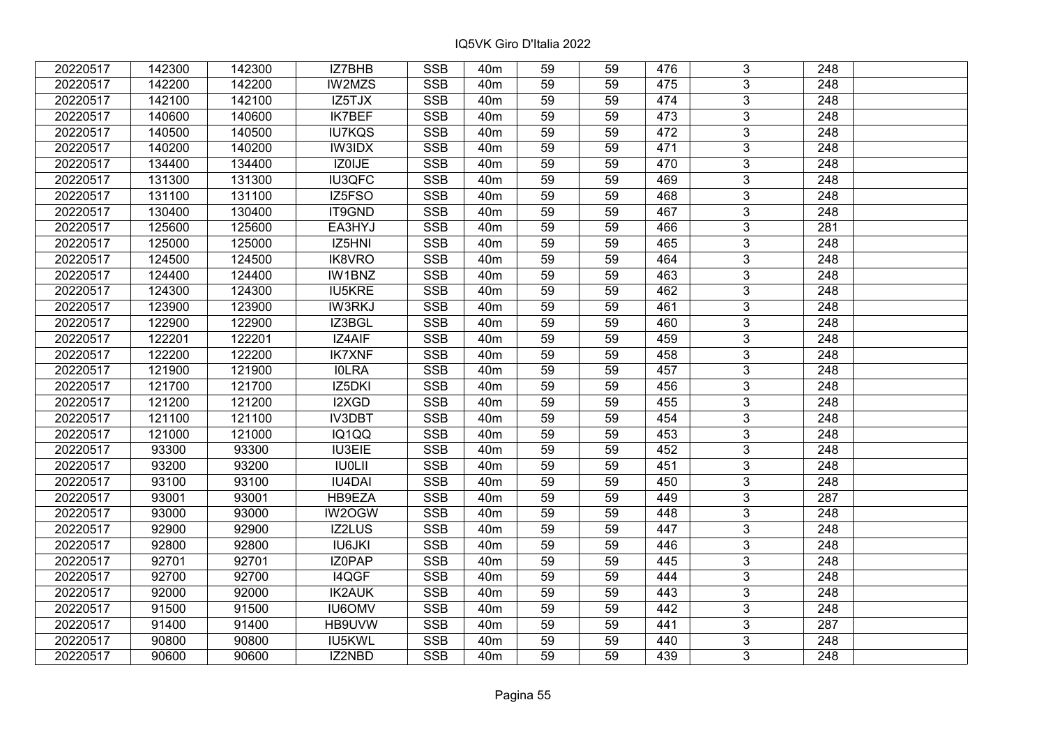| 20220517 | 142300 | 142300 | IZ7BHB        | <b>SSB</b>              | 40 <sub>m</sub> | 59              | 59 | 476 | 3              | 248              |  |
|----------|--------|--------|---------------|-------------------------|-----------------|-----------------|----|-----|----------------|------------------|--|
| 20220517 | 142200 | 142200 | IW2MZS        | <b>SSB</b>              | 40 <sub>m</sub> | 59              | 59 | 475 | $\overline{3}$ | 248              |  |
| 20220517 | 142100 | 142100 | IZ5TJX        | <b>SSB</b>              | 40 <sub>m</sub> | 59              | 59 | 474 | $\overline{3}$ | 248              |  |
| 20220517 | 140600 | 140600 | <b>IK7BEF</b> | <b>SSB</b>              | 40 <sub>m</sub> | 59              | 59 | 473 | $\overline{3}$ | $\overline{248}$ |  |
| 20220517 | 140500 | 140500 | <b>IU7KQS</b> | <b>SSB</b>              | 40 <sub>m</sub> | 59              | 59 | 472 | 3              | 248              |  |
| 20220517 | 140200 | 140200 | <b>IW3IDX</b> | <b>SSB</b>              | 40 <sub>m</sub> | 59              | 59 | 471 | $\overline{3}$ | 248              |  |
| 20220517 | 134400 | 134400 | IZ0IJE        | <b>SSB</b>              | 40 <sub>m</sub> | 59              | 59 | 470 | $\overline{3}$ | 248              |  |
| 20220517 | 131300 | 131300 | IU3QFC        | <b>SSB</b>              | 40 <sub>m</sub> | 59              | 59 | 469 | $\overline{3}$ | 248              |  |
| 20220517 | 131100 | 131100 | IZ5FSO        | <b>SSB</b>              | 40 <sub>m</sub> | 59              | 59 | 468 | $\overline{3}$ | $\overline{248}$ |  |
| 20220517 | 130400 | 130400 | IT9GND        | <b>SSB</b>              | 40 <sub>m</sub> | 59              | 59 | 467 | $\overline{3}$ | 248              |  |
| 20220517 | 125600 | 125600 | EA3HYJ        | <b>SSB</b>              | 40 <sub>m</sub> | 59              | 59 | 466 | 3              | 281              |  |
| 20220517 | 125000 | 125000 | IZ5HNI        | <b>SSB</b>              | 40 <sub>m</sub> | $\overline{59}$ | 59 | 465 | $\overline{3}$ | 248              |  |
| 20220517 | 124500 | 124500 | IK8VRO        | <b>SSB</b>              | 40 <sub>m</sub> | 59              | 59 | 464 | 3              | 248              |  |
| 20220517 | 124400 | 124400 | IW1BNZ        | <b>SSB</b>              | 40 <sub>m</sub> | 59              | 59 | 463 | 3              | 248              |  |
| 20220517 | 124300 | 124300 | <b>IU5KRE</b> | <b>SSB</b>              | 40 <sub>m</sub> | 59              | 59 | 462 | $\overline{3}$ | $\overline{248}$ |  |
| 20220517 | 123900 | 123900 | <b>IW3RKJ</b> | <b>SSB</b>              | 40 <sub>m</sub> | 59              | 59 | 461 | 3              | 248              |  |
| 20220517 | 122900 | 122900 | IZ3BGL        | <b>SSB</b>              | 40 <sub>m</sub> | 59              | 59 | 460 | 3              | 248              |  |
| 20220517 | 122201 | 122201 | IZ4AIF        | <b>SSB</b>              | 40 <sub>m</sub> | 59              | 59 | 459 | 3              | 248              |  |
| 20220517 | 122200 | 122200 | <b>IK7XNF</b> | <b>SSB</b>              | 40 <sub>m</sub> | 59              | 59 | 458 | $\overline{3}$ | 248              |  |
| 20220517 | 121900 | 121900 | <b>IOLRA</b>  | <b>SSB</b>              | 40 <sub>m</sub> | 59              | 59 | 457 | $\overline{3}$ | 248              |  |
| 20220517 | 121700 | 121700 | IZ5DKI        | SSB                     | 40 <sub>m</sub> | 59              | 59 | 456 | $\overline{3}$ | 248              |  |
| 20220517 | 121200 | 121200 | I2XGD         | <b>SSB</b>              | 40 <sub>m</sub> | 59              | 59 | 455 | $\overline{3}$ | 248              |  |
| 20220517 | 121100 | 121100 | <b>IV3DBT</b> | <b>SSB</b>              | 40 <sub>m</sub> | 59              | 59 | 454 | 3              | 248              |  |
| 20220517 | 121000 | 121000 | IQ1QQ         | <b>SSB</b>              | 40 <sub>m</sub> | 59              | 59 | 453 | $\overline{3}$ | 248              |  |
| 20220517 | 93300  | 93300  | <b>IU3EIE</b> | <b>SSB</b>              | 40 <sub>m</sub> | 59              | 59 | 452 | $\overline{3}$ | 248              |  |
| 20220517 | 93200  | 93200  | <b>IU0LII</b> | <b>SSB</b>              | 40 <sub>m</sub> | 59              | 59 | 451 | $\overline{3}$ | $\overline{248}$ |  |
| 20220517 | 93100  | 93100  | <b>IU4DAI</b> | <b>SSB</b>              | 40 <sub>m</sub> | 59              | 59 | 450 | $\overline{3}$ | $\overline{248}$ |  |
| 20220517 | 93001  | 93001  | HB9EZA        | <b>SSB</b>              | 40 <sub>m</sub> | 59              | 59 | 449 | $\overline{3}$ | 287              |  |
| 20220517 | 93000  | 93000  | IW2OGW        | <b>SSB</b>              | 40 <sub>m</sub> | 59              | 59 | 448 | $\overline{3}$ | 248              |  |
| 20220517 | 92900  | 92900  | IZ2LUS        | $\overline{\text{SSB}}$ | 40 <sub>m</sub> | 59              | 59 | 447 | $\overline{3}$ | $\overline{248}$ |  |
| 20220517 | 92800  | 92800  | <b>IU6JKI</b> | <b>SSB</b>              | 40 <sub>m</sub> | 59              | 59 | 446 | $\overline{3}$ | 248              |  |
| 20220517 | 92701  | 92701  | <b>IZOPAP</b> | <b>SSB</b>              | 40 <sub>m</sub> | 59              | 59 | 445 | $\overline{3}$ | 248              |  |
| 20220517 | 92700  | 92700  | I4QGF         | <b>SSB</b>              | 40 <sub>m</sub> | 59              | 59 | 444 | 3              | 248              |  |
| 20220517 | 92000  | 92000  | <b>IK2AUK</b> | <b>SSB</b>              | 40 <sub>m</sub> | 59              | 59 | 443 | $\overline{3}$ | 248              |  |
| 20220517 | 91500  | 91500  | <b>IU6OMV</b> | <b>SSB</b>              | 40 <sub>m</sub> | 59              | 59 | 442 | $\overline{3}$ | 248              |  |
| 20220517 | 91400  | 91400  | HB9UVW        | <b>SSB</b>              | 40 <sub>m</sub> | 59              | 59 | 441 | 3              | 287              |  |
| 20220517 | 90800  | 90800  | IU5KWL        | <b>SSB</b>              | 40 <sub>m</sub> | 59              | 59 | 440 | 3              | 248              |  |
| 20220517 | 90600  | 90600  | IZ2NBD        | <b>SSB</b>              | 40 <sub>m</sub> | 59              | 59 | 439 | 3              | 248              |  |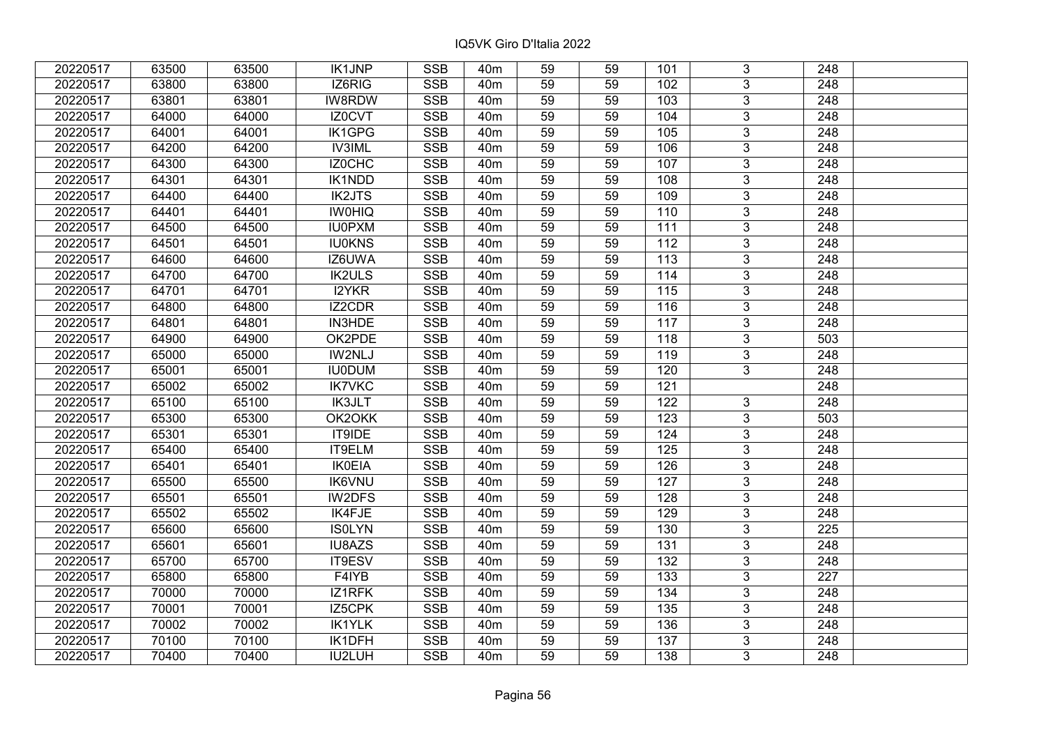| 20220517 | 63500 | 63500 | <b>IK1JNP</b> | <b>SSB</b>              | 40 <sub>m</sub> | 59              | 59 | 101              | 3              | 248              |  |
|----------|-------|-------|---------------|-------------------------|-----------------|-----------------|----|------------------|----------------|------------------|--|
| 20220517 | 63800 | 63800 | IZ6RIG        | <b>SSB</b>              | 40 <sub>m</sub> | 59              | 59 | 102              | 3              | 248              |  |
| 20220517 | 63801 | 63801 | IW8RDW        | <b>SSB</b>              | 40 <sub>m</sub> | 59              | 59 | 103              | $\overline{3}$ | 248              |  |
| 20220517 | 64000 | 64000 | IZ0CVT        | <b>SSB</b>              | 40 <sub>m</sub> | 59              | 59 | 104              | $\overline{3}$ | 248              |  |
| 20220517 | 64001 | 64001 | <b>IK1GPG</b> | <b>SSB</b>              | 40 <sub>m</sub> | 59              | 59 | 105              | $\overline{3}$ | 248              |  |
| 20220517 | 64200 | 64200 | <b>IV3IML</b> | SSB                     | 40 <sub>m</sub> | 59              | 59 | 106              | $\overline{3}$ | 248              |  |
| 20220517 | 64300 | 64300 | IZ0CHC        | <b>SSB</b>              | 40m             | 59              | 59 | 107              | $\overline{3}$ | 248              |  |
| 20220517 | 64301 | 64301 | <b>IK1NDD</b> | <b>SSB</b>              | 40 <sub>m</sub> | 59              | 59 | 108              | $\overline{3}$ | 248              |  |
| 20220517 | 64400 | 64400 | <b>IK2JTS</b> | <b>SSB</b>              | 40 <sub>m</sub> | 59              | 59 | 109              | $\overline{3}$ | 248              |  |
| 20220517 | 64401 | 64401 | <b>IWOHIQ</b> | <b>SSB</b>              | 40 <sub>m</sub> | 59              | 59 | 110              | $\overline{3}$ | 248              |  |
| 20220517 | 64500 | 64500 | <b>IU0PXM</b> | <b>SSB</b>              | 40 <sub>m</sub> | 59              | 59 | 111              | $\overline{3}$ | 248              |  |
| 20220517 | 64501 | 64501 | <b>IU0KNS</b> | <b>SSB</b>              | 40 <sub>m</sub> | 59              | 59 | 112              | $\overline{3}$ | 248              |  |
| 20220517 | 64600 | 64600 | IZ6UWA        | <b>SSB</b>              | 40 <sub>m</sub> | 59              | 59 | 113              | $\overline{3}$ | 248              |  |
| 20220517 | 64700 | 64700 | <b>IK2ULS</b> | <b>SSB</b>              | 40 <sub>m</sub> | 59              | 59 | 114              | $\overline{3}$ | 248              |  |
| 20220517 | 64701 | 64701 | I2YKR         | <b>SSB</b>              | 40 <sub>m</sub> | 59              | 59 | 115              | 3              | 248              |  |
| 20220517 | 64800 | 64800 | IZ2CDR        | <b>SSB</b>              | 40 <sub>m</sub> | 59              | 59 | 116              | 3              | 248              |  |
| 20220517 | 64801 | 64801 | <b>IN3HDE</b> | <b>SSB</b>              | 40 <sub>m</sub> | 59              | 59 | 117              | 3              | 248              |  |
| 20220517 | 64900 | 64900 | OK2PDE        | <b>SSB</b>              | 40 <sub>m</sub> | 59              | 59 | 118              | 3              | 503              |  |
| 20220517 | 65000 | 65000 | IW2NLJ        | <b>SSB</b>              | 40 <sub>m</sub> | 59              | 59 | 119              | $\overline{3}$ | 248              |  |
| 20220517 | 65001 | 65001 | <b>IU0DUM</b> | <b>SSB</b>              | 40 <sub>m</sub> | 59              | 59 | 120              | $\overline{3}$ | 248              |  |
| 20220517 | 65002 | 65002 | <b>IK7VKC</b> | <b>SSB</b>              | 40 <sub>m</sub> | 59              | 59 | 121              |                | 248              |  |
| 20220517 | 65100 | 65100 | <b>IK3JLT</b> | <b>SSB</b>              | 40 <sub>m</sub> | 59              | 59 | 122              | 3              | 248              |  |
| 20220517 | 65300 | 65300 | OK2OKK        | <b>SSB</b>              | 40 <sub>m</sub> | 59              | 59 | 123              | 3              | 503              |  |
| 20220517 | 65301 | 65301 | IT9IDE        | <b>SSB</b>              | 40 <sub>m</sub> | 59              | 59 | 124              | $\overline{3}$ | 248              |  |
| 20220517 | 65400 | 65400 | IT9ELM        | <b>SSB</b>              | 40 <sub>m</sub> | 59              | 59 | 125              | $\overline{3}$ | 248              |  |
| 20220517 | 65401 | 65401 | <b>IK0EIA</b> | SSB                     | 40 <sub>m</sub> | $\overline{59}$ | 59 | 126              | $\overline{3}$ | $\overline{248}$ |  |
| 20220517 | 65500 | 65500 | <b>IK6VNU</b> | <b>SSB</b>              | 40 <sub>m</sub> | 59              | 59 | $\overline{127}$ | $\overline{3}$ | $\overline{248}$ |  |
| 20220517 | 65501 | 65501 | IW2DFS        | <b>SSB</b>              | 40 <sub>m</sub> | 59              | 59 | 128              | 3              | 248              |  |
| 20220517 | 65502 | 65502 | <b>IK4FJE</b> | <b>SSB</b>              | 40 <sub>m</sub> | 59              | 59 | 129              | $\overline{3}$ | $\overline{248}$ |  |
| 20220517 | 65600 | 65600 | <b>ISOLYN</b> | <b>SSB</b>              | 40 <sub>m</sub> | 59              | 59 | 130              | $\overline{3}$ | $\overline{225}$ |  |
| 20220517 | 65601 | 65601 | IU8AZS        | <b>SSB</b>              | 40 <sub>m</sub> | 59              | 59 | 131              | $\overline{3}$ | 248              |  |
| 20220517 | 65700 | 65700 | IT9ESV        | <b>SSB</b>              | 40 <sub>m</sub> | 59              | 59 | 132              | $\overline{3}$ | $\overline{248}$ |  |
| 20220517 | 65800 | 65800 | F4IYB         | <b>SSB</b>              | 40 <sub>m</sub> | 59              | 59 | $\overline{133}$ | 3              | 227              |  |
| 20220517 | 70000 | 70000 | IZ1RFK        | <b>SSB</b>              | 40 <sub>m</sub> | 59              | 59 | 134              | 3              | 248              |  |
| 20220517 | 70001 | 70001 | IZ5CPK        | <b>SSB</b>              | 40 <sub>m</sub> | 59              | 59 | 135              | $\overline{3}$ | 248              |  |
| 20220517 | 70002 | 70002 | <b>IK1YLK</b> | <b>SSB</b>              | 40m             | 59              | 59 | 136              | 3              | 248              |  |
| 20220517 | 70100 | 70100 | IK1DFH        | $\overline{\text{SSB}}$ | 40 <sub>m</sub> | 59              | 59 | 137              | $\overline{3}$ | 248              |  |
| 20220517 | 70400 | 70400 | IU2LUH        | <b>SSB</b>              | 40 <sub>m</sub> | 59              | 59 | 138              | $\overline{3}$ | 248              |  |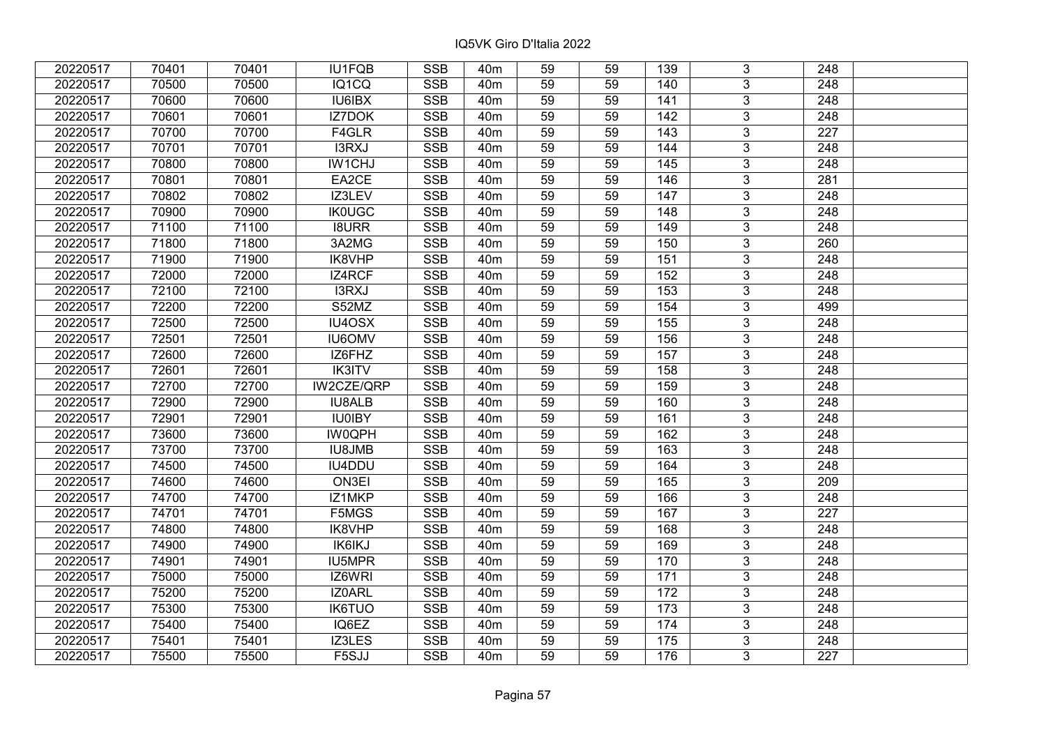| 20220517 | 70401 | 70401 | IU1FQB            | <b>SSB</b>              | 40 <sub>m</sub> | 59              | 59 | 139               | 3              | 248              |  |
|----------|-------|-------|-------------------|-------------------------|-----------------|-----------------|----|-------------------|----------------|------------------|--|
| 20220517 | 70500 | 70500 | IQ1CQ             | <b>SSB</b>              | 40 <sub>m</sub> | 59              | 59 | 140               | $\overline{3}$ | 248              |  |
| 20220517 | 70600 | 70600 | IU6IBX            | SSB                     | 40 <sub>m</sub> | $\overline{59}$ | 59 | 141               | $\overline{3}$ | 248              |  |
| 20220517 | 70601 | 70601 | IZ7DOK            | <b>SSB</b>              | 40 <sub>m</sub> | 59              | 59 | $\frac{142}{ }$   | $\overline{3}$ | $\overline{248}$ |  |
| 20220517 | 70700 | 70700 | F4GLR             | SSB                     | 40 <sub>m</sub> | 59              | 59 | $\overline{143}$  | $\overline{3}$ | 227              |  |
| 20220517 | 70701 | 70701 | I3RXJ             | <b>SSB</b>              | 40 <sub>m</sub> | 59              | 59 | 144               | $\overline{3}$ | 248              |  |
| 20220517 | 70800 | 70800 | IW1CHJ            | <b>SSB</b>              | 40m             | 59              | 59 | 145               | $\overline{3}$ | 248              |  |
| 20220517 | 70801 | 70801 | EA2CE             | <b>SSB</b>              | 40 <sub>m</sub> | 59              | 59 | 146               | $\overline{3}$ | 281              |  |
| 20220517 | 70802 | 70802 | IZ3LEV            | <b>SSB</b>              | 40 <sub>m</sub> | 59              | 59 | 147               | $\overline{3}$ | 248              |  |
| 20220517 | 70900 | 70900 | <b>IK0UGC</b>     | <b>SSB</b>              | 40 <sub>m</sub> | 59              | 59 | 148               | $\overline{3}$ | 248              |  |
| 20220517 | 71100 | 71100 | <b>I8URR</b>      | <b>SSB</b>              | 40 <sub>m</sub> | 59              | 59 | 149               | $\overline{3}$ | 248              |  |
| 20220517 | 71800 | 71800 | 3A2MG             | <b>SSB</b>              | 40m             | 59              | 59 | 150               | $\overline{3}$ | 260              |  |
| 20220517 | 71900 | 71900 | IK8VHP            | <b>SSB</b>              | 40 <sub>m</sub> | 59              | 59 | 151               | $\overline{3}$ | 248              |  |
| 20220517 | 72000 | 72000 | IZ4RCF            | <b>SSB</b>              | 40 <sub>m</sub> | 59              | 59 | 152               | $\overline{3}$ | 248              |  |
| 20220517 | 72100 | 72100 | I3RXJ             | <b>SSB</b>              | 40 <sub>m</sub> | 59              | 59 | 153               | 3              | 248              |  |
| 20220517 | 72200 | 72200 | S52MZ             | <b>SSB</b>              | 40 <sub>m</sub> | 59              | 59 | 154               | $\overline{3}$ | 499              |  |
| 20220517 | 72500 | 72500 | IU4OSX            | <b>SSB</b>              | 40 <sub>m</sub> | 59              | 59 | 155               | 3              | 248              |  |
| 20220517 | 72501 | 72501 | <b>IU6OMV</b>     | <b>SSB</b>              | 40 <sub>m</sub> | 59              | 59 | 156               | 3              | 248              |  |
| 20220517 | 72600 | 72600 | IZ6FHZ            | <b>SSB</b>              | 40 <sub>m</sub> | 59              | 59 | 157               | $\overline{3}$ | 248              |  |
| 20220517 | 72601 | 72601 | IK3ITV            | <b>SSB</b>              | 40 <sub>m</sub> | 59              | 59 | 158               | $\overline{3}$ | 248              |  |
| 20220517 | 72700 | 72700 | <b>IW2CZE/QRP</b> | <b>SSB</b>              | 40 <sub>m</sub> | 59              | 59 | 159               | $\overline{3}$ | 248              |  |
| 20220517 | 72900 | 72900 | <b>IU8ALB</b>     | <b>SSB</b>              | 40 <sub>m</sub> | 59              | 59 | 160               | $\overline{3}$ | 248              |  |
| 20220517 | 72901 | 72901 | <b>IU0IBY</b>     | <b>SSB</b>              | 40 <sub>m</sub> | 59              | 59 | 161               | $\overline{3}$ | 248              |  |
| 20220517 | 73600 | 73600 | <b>IW0QPH</b>     | <b>SSB</b>              | 40 <sub>m</sub> | 59              | 59 | 162               | $\overline{3}$ | 248              |  |
| 20220517 | 73700 | 73700 | <b>IU8JMB</b>     | <b>SSB</b>              | 40 <sub>m</sub> | 59              | 59 | 163               | $\overline{3}$ | 248              |  |
| 20220517 | 74500 | 74500 | IU4DDU            | SSB                     | 40 <sub>m</sub> | $\overline{59}$ | 59 | 164               | $\overline{3}$ | $\overline{248}$ |  |
| 20220517 | 74600 | 74600 | ON3EI             | <b>SSB</b>              | 40 <sub>m</sub> | 59              | 59 | 165               | $\overline{3}$ | 209              |  |
| 20220517 | 74700 | 74700 | IZ1MKP            | <b>SSB</b>              | 40m             | 59              | 59 | 166               | $\overline{3}$ | 248              |  |
| 20220517 | 74701 | 74701 | F5MGS             | <b>SSB</b>              | 40 <sub>m</sub> | 59              | 59 | 167               | $\overline{3}$ | $\overline{227}$ |  |
| 20220517 | 74800 | 74800 | IK8VHP            | <b>SSB</b>              | 40 <sub>m</sub> | 59              | 59 | 168               | $\overline{3}$ | 248              |  |
| 20220517 | 74900 | 74900 | <b>IK6IKJ</b>     | <b>SSB</b>              | 40 <sub>m</sub> | 59              | 59 | 169               | $\overline{3}$ | 248              |  |
| 20220517 | 74901 | 74901 | <b>IU5MPR</b>     | <b>SSB</b>              | 40 <sub>m</sub> | 59              | 59 | 170               | $\overline{3}$ | $\overline{248}$ |  |
| 20220517 | 75000 | 75000 | IZ6WRI            | <b>SSB</b>              | 40 <sub>m</sub> | 59              | 59 | $171$             | $\overline{3}$ | 248              |  |
| 20220517 | 75200 | 75200 | IZ0ARL            | <b>SSB</b>              | 40 <sub>m</sub> | 59              | 59 | 172               | 3              | 248              |  |
| 20220517 | 75300 | 75300 | <b>IK6TUO</b>     | <b>SSB</b>              | 40 <sub>m</sub> | 59              | 59 | $\frac{173}{ }$   | $\overline{3}$ | 248              |  |
| 20220517 | 75400 | 75400 | IQ6EZ             | <b>SSB</b>              | 40 <sub>m</sub> | 59              | 59 | 174               | $\overline{3}$ | 248              |  |
| 20220517 | 75401 | 75401 | IZ3LES            | $\overline{\text{SSB}}$ | 40 <sub>m</sub> | $\overline{59}$ | 59 | $\frac{175}{175}$ | $\overline{3}$ | 248              |  |
| 20220517 | 75500 | 75500 | F5SJJ             | <b>SSB</b>              | 40 <sub>m</sub> | 59              | 59 | 176               | $\overline{3}$ | 227              |  |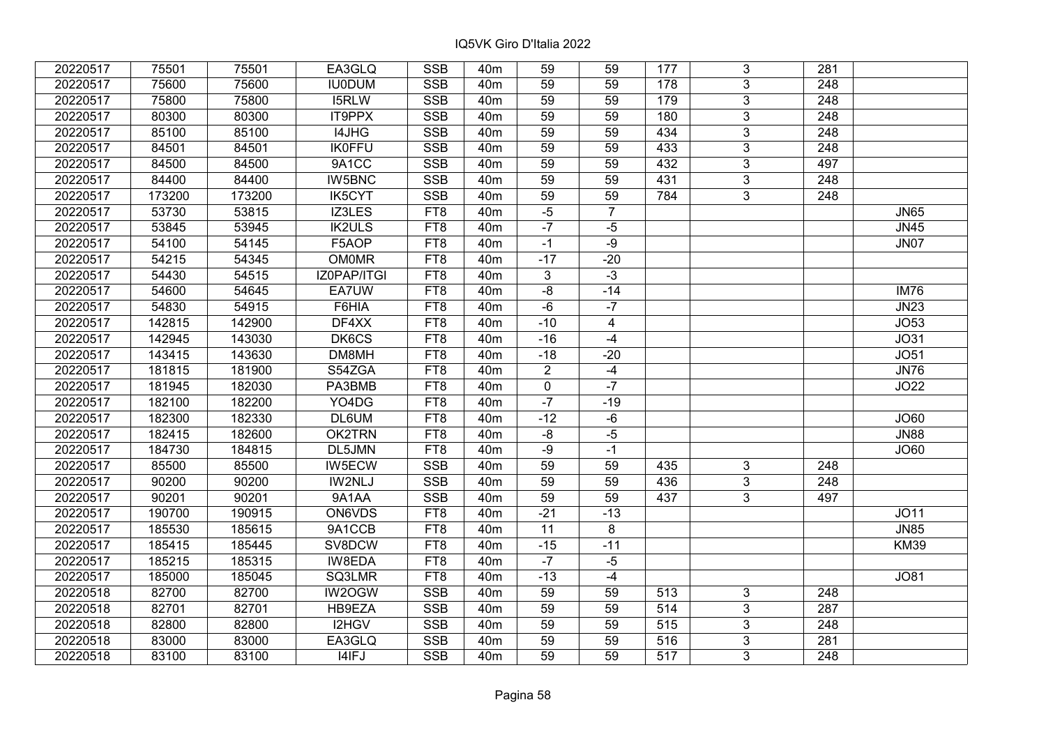| 20220517 | 75501  | 75501  | EA3GLQ        | <b>SSB</b> | 40 <sub>m</sub> | 59              | 59             | 177 | 3              | 281              |             |
|----------|--------|--------|---------------|------------|-----------------|-----------------|----------------|-----|----------------|------------------|-------------|
| 20220517 | 75600  | 75600  | <b>IU0DUM</b> | <b>SSB</b> | 40 <sub>m</sub> | 59              | 59             | 178 | 3              | 248              |             |
| 20220517 | 75800  | 75800  | I5RLW         | <b>SSB</b> | 40 <sub>m</sub> | 59              | 59             | 179 | 3              | 248              |             |
| 20220517 | 80300  | 80300  | IT9PPX        | <b>SSB</b> | 40 <sub>m</sub> | 59              | 59             | 180 | $\overline{3}$ | $\overline{248}$ |             |
| 20220517 | 85100  | 85100  | I4JHG         | <b>SSB</b> | 40 <sub>m</sub> | 59              | 59             | 434 | $\overline{3}$ | 248              |             |
| 20220517 | 84501  | 84501  | <b>IK0FFU</b> | <b>SSB</b> | 40 <sub>m</sub> | 59              | 59             | 433 | 3              | 248              |             |
| 20220517 | 84500  | 84500  | 9A1CC         | <b>SSB</b> | 40 <sub>m</sub> | 59              | 59             | 432 | $\overline{3}$ | 497              |             |
| 20220517 | 84400  | 84400  | IW5BNC        | <b>SSB</b> | 40 <sub>m</sub> | 59              | 59             | 431 | 3              | 248              |             |
| 20220517 | 173200 | 173200 | <b>IK5CYT</b> | <b>SSB</b> | 40 <sub>m</sub> | 59              | 59             | 784 | $\overline{3}$ | 248              |             |
| 20220517 | 53730  | 53815  | IZ3LES        | FT8        | 40 <sub>m</sub> | $-5$            | $\overline{7}$ |     |                |                  | <b>JN65</b> |
| 20220517 | 53845  | 53945  | <b>IK2ULS</b> | FT8        | 40 <sub>m</sub> | $-7$            | $-5$           |     |                |                  | <b>JN45</b> |
| 20220517 | 54100  | 54145  | F5AOP         | FT8        | 40 <sub>m</sub> | $-1$            | $-9$           |     |                |                  | <b>JN07</b> |
| 20220517 | 54215  | 54345  | <b>OM0MR</b>  | FT8        | 40 <sub>m</sub> | $-17$           | $-20$          |     |                |                  |             |
| 20220517 | 54430  | 54515  | IZ0PAP/ITGI   | FT8        | 40 <sub>m</sub> | 3               | $-3$           |     |                |                  |             |
| 20220517 | 54600  | 54645  | EA7UW         | FT8        | 40 <sub>m</sub> | $-8$            | $-14$          |     |                |                  | <b>IM76</b> |
| 20220517 | 54830  | 54915  | F6HIA         | FT8        | 40 <sub>m</sub> | $-6$            | $-7$           |     |                |                  | <b>JN23</b> |
| 20220517 | 142815 | 142900 | DF4XX         | FT8        | 40 <sub>m</sub> | $-10$           | $\overline{4}$ |     |                |                  | JO53        |
| 20220517 | 142945 | 143030 | DK6CS         | FT8        | 40 <sub>m</sub> | $-16$           | $-4$           |     |                |                  | JO31        |
| 20220517 | 143415 | 143630 | DM8MH         | FT8        | 40 <sub>m</sub> | $-18$           | $-20$          |     |                |                  | JO51        |
| 20220517 | 181815 | 181900 | S54ZGA        | FT8        | 40 <sub>m</sub> | $\overline{2}$  | $-4$           |     |                |                  | <b>JN76</b> |
| 20220517 | 181945 | 182030 | PA3BMB        | FT8        | 40 <sub>m</sub> | $\mathbf 0$     | $-7$           |     |                |                  | JO22        |
| 20220517 | 182100 | 182200 | YO4DG         | FT8        | 40 <sub>m</sub> | $-7$            | $-19$          |     |                |                  |             |
| 20220517 | 182300 | 182330 | DL6UM         | FT8        | 40 <sub>m</sub> | $-12$           | $-6$           |     |                |                  | JO60        |
| 20220517 | 182415 | 182600 | OK2TRN        | FT8        | 40 <sub>m</sub> | $-8$            | $-5$           |     |                |                  | <b>JN88</b> |
| 20220517 | 184730 | 184815 | DL5JMN        | FT8        | 40 <sub>m</sub> | $-9$            | $-1$           |     |                |                  | JO60        |
| 20220517 | 85500  | 85500  | IW5ECW        | <b>SSB</b> | 40 <sub>m</sub> | $\overline{59}$ | 59             | 435 | 3              | 248              |             |
| 20220517 | 90200  | 90200  | IW2NLJ        | <b>SSB</b> | 40 <sub>m</sub> | $\overline{59}$ | 59             | 436 | $\overline{3}$ | $\overline{248}$ |             |
| 20220517 | 90201  | 90201  | 9A1AA         | <b>SSB</b> | 40 <sub>m</sub> | 59              | 59             | 437 | 3              | 497              |             |
| 20220517 | 190700 | 190915 | <b>ON6VDS</b> | FT8        | 40 <sub>m</sub> | $-21$           | $-13$          |     |                |                  | <b>JO11</b> |
| 20220517 | 185530 | 185615 | 9A1CCB        | FT8        | 40 <sub>m</sub> | 11              | $\overline{8}$ |     |                |                  | <b>JN85</b> |
| 20220517 | 185415 | 185445 | SV8DCW        | FT8        | 40 <sub>m</sub> | $-15$           | $-11$          |     |                |                  | <b>KM39</b> |
| 20220517 | 185215 | 185315 | <b>IW8EDA</b> | FT8        | 40 <sub>m</sub> | $-7$            | $-5$           |     |                |                  |             |
| 20220517 | 185000 | 185045 | SQ3LMR        | FT8        | 40 <sub>m</sub> | $-13$           | $-4$           |     |                |                  | <b>JO81</b> |
| 20220518 | 82700  | 82700  | IW2OGW        | <b>SSB</b> | 40 <sub>m</sub> | 59              | 59             | 513 | 3              | 248              |             |
| 20220518 | 82701  | 82701  | HB9EZA        | <b>SSB</b> | 40 <sub>m</sub> | 59              | 59             | 514 | 3              | 287              |             |
| 20220518 | 82800  | 82800  | I2HGV         | <b>SSB</b> | 40 <sub>m</sub> | 59              | 59             | 515 | 3              | $\overline{248}$ |             |
| 20220518 | 83000  | 83000  | EA3GLQ        | <b>SSB</b> | 40 <sub>m</sub> | 59              | 59             | 516 | 3              | 281              |             |
| 20220518 | 83100  | 83100  | I4IFJ         | <b>SSB</b> | 40 <sub>m</sub> | 59              | 59             | 517 | 3              | 248              |             |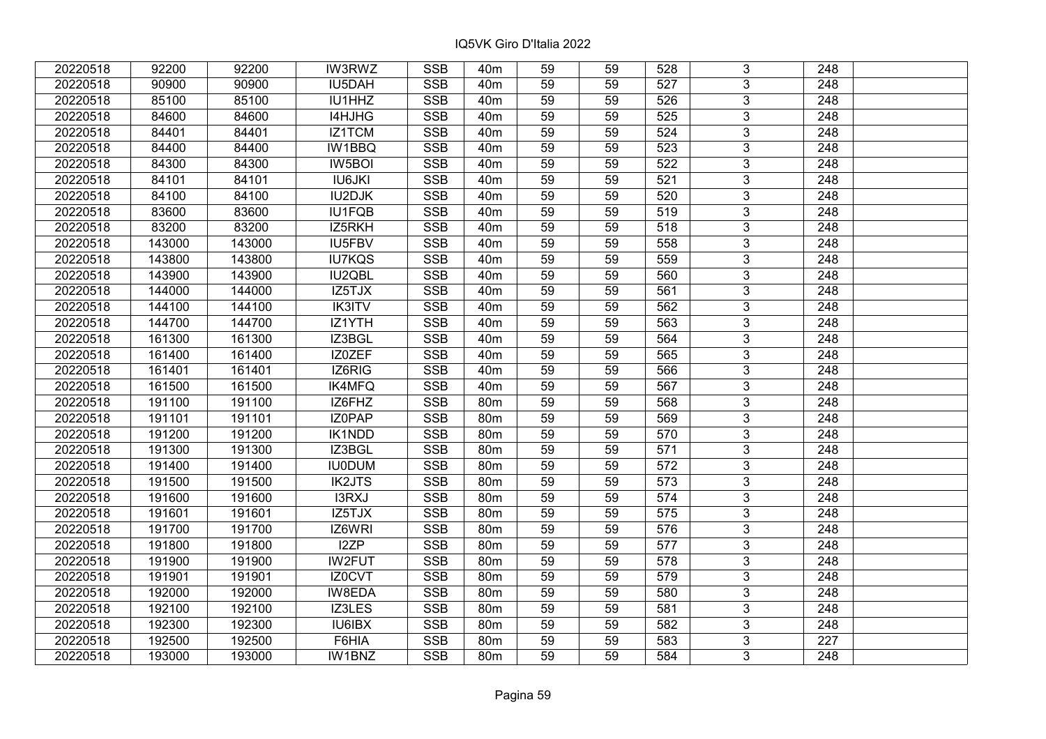| 20220518 | 92200  | 92200  | <b>IW3RWZ</b> | <b>SSB</b> | 40m             | 59              | 59 | 528              | 3              | 248              |  |
|----------|--------|--------|---------------|------------|-----------------|-----------------|----|------------------|----------------|------------------|--|
| 20220518 | 90900  | 90900  | IU5DAH        | <b>SSB</b> | 40 <sub>m</sub> | 59              | 59 | 527              | 3              | 248              |  |
| 20220518 | 85100  | 85100  | IU1HHZ        | <b>SSB</b> | 40 <sub>m</sub> | 59              | 59 | 526              | $\overline{3}$ | 248              |  |
| 20220518 | 84600  | 84600  | I4HJHG        | <b>SSB</b> | 40 <sub>m</sub> | 59              | 59 | 525              | $\overline{3}$ | 248              |  |
| 20220518 | 84401  | 84401  | IZ1TCM        | <b>SSB</b> | 40 <sub>m</sub> | 59              | 59 | 524              | 3              | 248              |  |
| 20220518 | 84400  | 84400  | IW1BBQ        | SSB        | 40 <sub>m</sub> | 59              | 59 | 523              | $\overline{3}$ | 248              |  |
| 20220518 | 84300  | 84300  | IW5BOI        | <b>SSB</b> | 40 <sub>m</sub> | 59              | 59 | 522              | $\overline{3}$ | 248              |  |
| 20220518 | 84101  | 84101  | <b>IU6JKI</b> | <b>SSB</b> | 40 <sub>m</sub> | 59              | 59 | 521              | $\overline{3}$ | 248              |  |
| 20220518 | 84100  | 84100  | <b>IU2DJK</b> | <b>SSB</b> | 40 <sub>m</sub> | 59              | 59 | 520              | $\overline{3}$ | 248              |  |
| 20220518 | 83600  | 83600  | <b>IU1FQB</b> | <b>SSB</b> | 40 <sub>m</sub> | 59              | 59 | 519              | $\overline{3}$ | 248              |  |
| 20220518 | 83200  | 83200  | IZ5RKH        | <b>SSB</b> | 40 <sub>m</sub> | 59              | 59 | 518              | $\overline{3}$ | 248              |  |
| 20220518 | 143000 | 143000 | IU5FBV        | <b>SSB</b> | 40 <sub>m</sub> | 59              | 59 | 558              | $\overline{3}$ | 248              |  |
| 20220518 | 143800 | 143800 | <b>IU7KQS</b> | <b>SSB</b> | 40 <sub>m</sub> | 59              | 59 | 559              | 3              | 248              |  |
| 20220518 | 143900 | 143900 | IU2QBL        | <b>SSB</b> | 40 <sub>m</sub> | 59              | 59 | 560              | $\overline{3}$ | 248              |  |
| 20220518 | 144000 | 144000 | IZ5TJX        | <b>SSB</b> | 40 <sub>m</sub> | 59              | 59 | 561              | 3              | 248              |  |
| 20220518 | 144100 | 144100 | <b>IK3ITV</b> | <b>SSB</b> | 40 <sub>m</sub> | 59              | 59 | 562              | 3              | 248              |  |
| 20220518 | 144700 | 144700 | IZ1YTH        | <b>SSB</b> | 40 <sub>m</sub> | 59              | 59 | 563              | 3              | 248              |  |
| 20220518 | 161300 | 161300 | IZ3BGL        | <b>SSB</b> | 40 <sub>m</sub> | 59              | 59 | 564              | 3              | 248              |  |
| 20220518 | 161400 | 161400 | IZ0ZEF        | <b>SSB</b> | 40 <sub>m</sub> | 59              | 59 | 565              | 3              | 248              |  |
| 20220518 | 161401 | 161401 | IZ6RIG        | <b>SSB</b> | 40 <sub>m</sub> | 59              | 59 | 566              | $\overline{3}$ | 248              |  |
| 20220518 | 161500 | 161500 | IK4MFQ        | <b>SSB</b> | 40 <sub>m</sub> | 59              | 59 | 567              | $\overline{3}$ | 248              |  |
| 20220518 | 191100 | 191100 | IZ6FHZ        | <b>SSB</b> | 80 <sub>m</sub> | 59              | 59 | 568              | 3              | 248              |  |
| 20220518 | 191101 | 191101 | IZ0PAP        | <b>SSB</b> | 80m             | 59              | 59 | 569              | $\overline{3}$ | 248              |  |
| 20220518 | 191200 | 191200 | IK1NDD        | <b>SSB</b> | 80m             | 59              | 59 | 570              | $\overline{3}$ | 248              |  |
| 20220518 | 191300 | 191300 | IZ3BGL        | SSB        | 80 <sub>m</sub> | $\overline{59}$ | 59 | 571              | $\overline{3}$ | 248              |  |
| 20220518 | 191400 | 191400 | <b>IU0DUM</b> | <b>SSB</b> | 80m             | 59              | 59 | 572              | $\overline{3}$ | 248              |  |
| 20220518 | 191500 | 191500 | <b>IK2JTS</b> | <b>SSB</b> | <b>80m</b>      | 59              | 59 | 573              | 3              | 248              |  |
| 20220518 | 191600 | 191600 | <b>I3RXJ</b>  | <b>SSB</b> | 80m             | 59              | 59 | 574              | $\overline{3}$ | 248              |  |
| 20220518 | 191601 | 191601 | IZ5TJX        | <b>SSB</b> | 80 <sub>m</sub> | 59              | 59 | $\overline{575}$ | $\overline{3}$ | $\overline{248}$ |  |
| 20220518 | 191700 | 191700 | IZ6WRI        | <b>SSB</b> | 80m             | 59              | 59 | 576              | $\overline{3}$ | 248              |  |
| 20220518 | 191800 | 191800 | I2ZP          | <b>SSB</b> | 80 <sub>m</sub> | 59              | 59 | 577              | $\overline{3}$ | $\overline{248}$ |  |
| 20220518 | 191900 | 191900 | <b>IW2FUT</b> | <b>SSB</b> | 80m             | 59              | 59 | 578              | $\overline{3}$ | 248              |  |
| 20220518 | 191901 | 191901 | IZ0CVT        | <b>SSB</b> | 80m             | 59              | 59 | 579              | 3              | 248              |  |
| 20220518 | 192000 | 192000 | IW8EDA        | <b>SSB</b> | 80m             | 59              | 59 | 580              | $\overline{3}$ | 248              |  |
| 20220518 | 192100 | 192100 | IZ3LES        | <b>SSB</b> | 80m             | 59              | 59 | 581              | 3              | 248              |  |
| 20220518 | 192300 | 192300 | IU6IBX        | <b>SSB</b> | 80 <sub>m</sub> | 59              | 59 | 582              | 3              | 248              |  |
| 20220518 | 192500 | 192500 | F6HIA         | <b>SSB</b> | 80 <sub>m</sub> | 59              | 59 | 583              | 3              | 227              |  |
| 20220518 | 193000 | 193000 | IW1BNZ        | <b>SSB</b> | 80m             | 59              | 59 | 584              | 3              | 248              |  |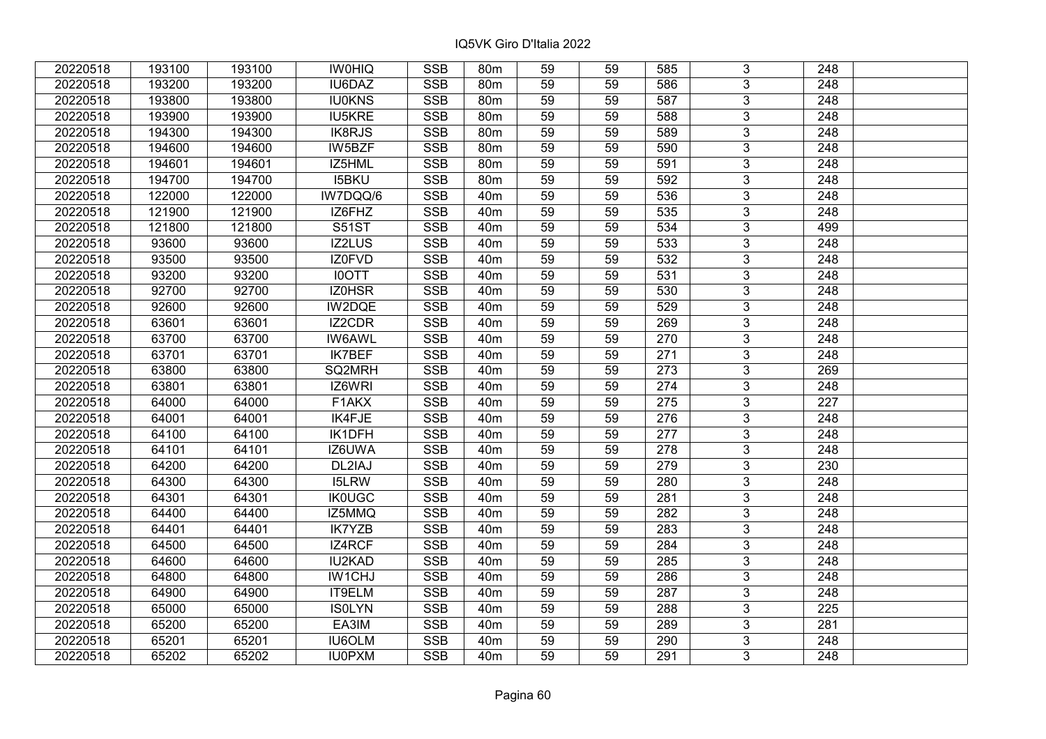| 20220518 | 193100 | 193100 | <b>IWOHIQ</b> | <b>SSB</b>              | 80 <sub>m</sub> | 59              | 59 | 585 | 3              | 248              |  |
|----------|--------|--------|---------------|-------------------------|-----------------|-----------------|----|-----|----------------|------------------|--|
| 20220518 | 193200 | 193200 | IU6DAZ        | <b>SSB</b>              | 80 <sub>m</sub> | 59              | 59 | 586 | 3              | 248              |  |
| 20220518 | 193800 | 193800 | <b>IU0KNS</b> | <b>SSB</b>              | 80 <sub>m</sub> | 59              | 59 | 587 | $\overline{3}$ | 248              |  |
| 20220518 | 193900 | 193900 | <b>IU5KRE</b> | <b>SSB</b>              | 80m             | 59              | 59 | 588 | 3              | 248              |  |
| 20220518 | 194300 | 194300 | <b>IK8RJS</b> | <b>SSB</b>              | 80m             | 59              | 59 | 589 | $\overline{3}$ | 248              |  |
| 20220518 | 194600 | 194600 | IW5BZF        | <b>SSB</b>              | 80m             | 59              | 59 | 590 | $\overline{3}$ | 248              |  |
| 20220518 | 194601 | 194601 | IZ5HML        | <b>SSB</b>              | 80 <sub>m</sub> | 59              | 59 | 591 | $\overline{3}$ | 248              |  |
| 20220518 | 194700 | 194700 | <b>I5BKU</b>  | <b>SSB</b>              | 80m             | 59              | 59 | 592 | $\overline{3}$ | $\overline{248}$ |  |
| 20220518 | 122000 | 122000 | IW7DQQ/6      | <b>SSB</b>              | 40 <sub>m</sub> | 59              | 59 | 536 | $\overline{3}$ | 248              |  |
| 20220518 | 121900 | 121900 | IZ6FHZ        | <b>SSB</b>              | 40 <sub>m</sub> | 59              | 59 | 535 | $\overline{3}$ | 248              |  |
| 20220518 | 121800 | 121800 | <b>S51ST</b>  | <b>SSB</b>              | 40 <sub>m</sub> | 59              | 59 | 534 | $\overline{3}$ | 499              |  |
| 20220518 | 93600  | 93600  | IZ2LUS        | <b>SSB</b>              | 40 <sub>m</sub> | 59              | 59 | 533 | $\overline{3}$ | 248              |  |
| 20220518 | 93500  | 93500  | IZ0FVD        | <b>SSB</b>              | 40 <sub>m</sub> | 59              | 59 | 532 | $\overline{3}$ | 248              |  |
| 20220518 | 93200  | 93200  | <b>IOOTT</b>  | <b>SSB</b>              | 40 <sub>m</sub> | 59              | 59 | 531 | 3              | 248              |  |
| 20220518 | 92700  | 92700  | IZ0HSR        | <b>SSB</b>              | 40 <sub>m</sub> | 59              | 59 | 530 | 3              | 248              |  |
| 20220518 | 92600  | 92600  | IW2DQE        | <b>SSB</b>              | 40 <sub>m</sub> | 59              | 59 | 529 | 3              | 248              |  |
| 20220518 | 63601  | 63601  | IZ2CDR        | <b>SSB</b>              | 40 <sub>m</sub> | 59              | 59 | 269 | 3              | 248              |  |
| 20220518 | 63700  | 63700  | <b>IW6AWL</b> | <b>SSB</b>              | 40 <sub>m</sub> | 59              | 59 | 270 | 3              | 248              |  |
| 20220518 | 63701  | 63701  | <b>IK7BEF</b> | <b>SSB</b>              | 40 <sub>m</sub> | 59              | 59 | 271 | $\overline{3}$ | 248              |  |
| 20220518 | 63800  | 63800  | SQ2MRH        | <b>SSB</b>              | 40 <sub>m</sub> | 59              | 59 | 273 | $\overline{3}$ | 269              |  |
| 20220518 | 63801  | 63801  | IZ6WRI        | <b>SSB</b>              | 40 <sub>m</sub> | 59              | 59 | 274 | $\overline{3}$ | 248              |  |
| 20220518 | 64000  | 64000  | F1AKX         | <b>SSB</b>              | 40 <sub>m</sub> | 59              | 59 | 275 | $\overline{3}$ | 227              |  |
| 20220518 | 64001  | 64001  | IK4FJE        | <b>SSB</b>              | 40 <sub>m</sub> | 59              | 59 | 276 | 3              | 248              |  |
| 20220518 | 64100  | 64100  | IK1DFH        | <b>SSB</b>              | 40 <sub>m</sub> | 59              | 59 | 277 | $\overline{3}$ | 248              |  |
| 20220518 | 64101  | 64101  | IZ6UWA        | <b>SSB</b>              | 40 <sub>m</sub> | 59              | 59 | 278 | $\overline{3}$ | 248              |  |
| 20220518 | 64200  | 64200  | DL2IAJ        | SSB                     | 40 <sub>m</sub> | $\overline{59}$ | 59 | 279 | $\overline{3}$ | 230              |  |
| 20220518 | 64300  | 64300  | <b>I5LRW</b>  | <b>SSB</b>              | 40 <sub>m</sub> | 59              | 59 | 280 | $\overline{3}$ | $\overline{248}$ |  |
| 20220518 | 64301  | 64301  | <b>IK0UGC</b> | <b>SSB</b>              | 40 <sub>m</sub> | 59              | 59 | 281 | 3              | 248              |  |
| 20220518 | 64400  | 64400  | IZ5MMQ        | <b>SSB</b>              | 40 <sub>m</sub> | 59              | 59 | 282 | $\overline{3}$ | $\overline{248}$ |  |
| 20220518 | 64401  | 64401  | <b>IK7YZB</b> | <b>SSB</b>              | 40 <sub>m</sub> | 59              | 59 | 283 | $\overline{3}$ | $\overline{248}$ |  |
| 20220518 | 64500  | 64500  | IZ4RCF        | <b>SSB</b>              | 40 <sub>m</sub> | 59              | 59 | 284 | $\overline{3}$ | 248              |  |
| 20220518 | 64600  | 64600  | <b>IU2KAD</b> | <b>SSB</b>              | 40 <sub>m</sub> | 59              | 59 | 285 | $\overline{3}$ | 248              |  |
| 20220518 | 64800  | 64800  | IW1CHJ        | <b>SSB</b>              | 40 <sub>m</sub> | 59              | 59 | 286 | 3              | 248              |  |
| 20220518 | 64900  | 64900  | IT9ELM        | <b>SSB</b>              | 40 <sub>m</sub> | 59              | 59 | 287 | 3              | 248              |  |
| 20220518 | 65000  | 65000  | <b>ISOLYN</b> | <b>SSB</b>              | 40 <sub>m</sub> | 59              | 59 | 288 | 3              | 225              |  |
| 20220518 | 65200  | 65200  | EA3IM         | <b>SSB</b>              | 40 <sub>m</sub> | 59              | 59 | 289 | 3              | 281              |  |
| 20220518 | 65201  | 65201  | <b>IU6OLM</b> | $\overline{\text{SSB}}$ | 40 <sub>m</sub> | 59              | 59 | 290 | $\overline{3}$ | 248              |  |
| 20220518 | 65202  | 65202  | <b>IU0PXM</b> | <b>SSB</b>              | 40 <sub>m</sub> | 59              | 59 | 291 | $\overline{3}$ | 248              |  |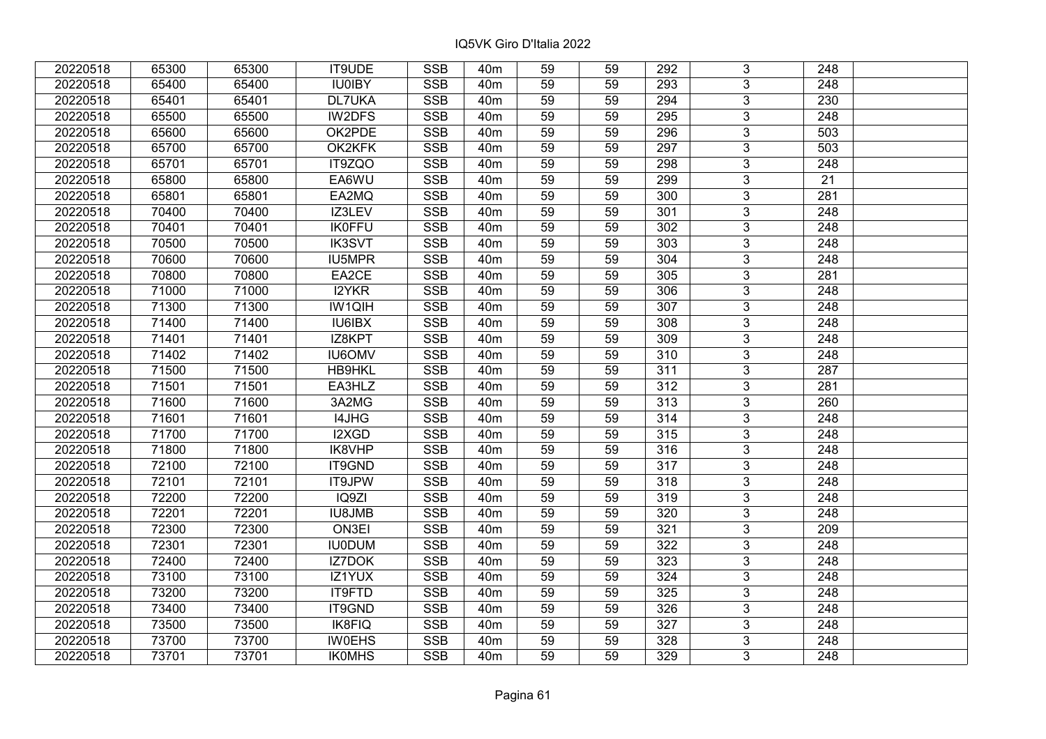| 20220518 | 65300 | 65300 | IT9UDE        | <b>SSB</b> | 40 <sub>m</sub> | 59              | 59 | 292              | 3              | 248              |  |
|----------|-------|-------|---------------|------------|-----------------|-----------------|----|------------------|----------------|------------------|--|
| 20220518 | 65400 | 65400 | <b>IU0IBY</b> | <b>SSB</b> | 40 <sub>m</sub> | 59              | 59 | 293              | $\overline{3}$ | 248              |  |
| 20220518 | 65401 | 65401 | <b>DL7UKA</b> | <b>SSB</b> | 40 <sub>m</sub> | 59              | 59 | 294              | $\overline{3}$ | 230              |  |
| 20220518 | 65500 | 65500 | IW2DFS        | <b>SSB</b> | 40 <sub>m</sub> | 59              | 59 | 295              | $\overline{3}$ | 248              |  |
| 20220518 | 65600 | 65600 | OK2PDE        | <b>SSB</b> | 40 <sub>m</sub> | 59              | 59 | 296              | $\overline{3}$ | 503              |  |
| 20220518 | 65700 | 65700 | OK2KFK        | <b>SSB</b> | 40 <sub>m</sub> | 59              | 59 | 297              | $\overline{3}$ | 503              |  |
| 20220518 | 65701 | 65701 | IT9ZQO        | <b>SSB</b> | 40 <sub>m</sub> | 59              | 59 | 298              | $\overline{3}$ | 248              |  |
| 20220518 | 65800 | 65800 | EA6WU         | <b>SSB</b> | 40 <sub>m</sub> | 59              | 59 | 299              | $\overline{3}$ | $\overline{21}$  |  |
| 20220518 | 65801 | 65801 | EA2MQ         | <b>SSB</b> | 40 <sub>m</sub> | 59              | 59 | 300              | $\overline{3}$ | 281              |  |
| 20220518 | 70400 | 70400 | IZ3LEV        | <b>SSB</b> | 40 <sub>m</sub> | 59              | 59 | 301              | $\overline{3}$ | 248              |  |
| 20220518 | 70401 | 70401 | <b>IK0FFU</b> | <b>SSB</b> | 40 <sub>m</sub> | 59              | 59 | 302              | $\overline{3}$ | 248              |  |
| 20220518 | 70500 | 70500 | <b>IK3SVT</b> | <b>SSB</b> | 40 <sub>m</sub> | 59              | 59 | 303              | $\overline{3}$ | 248              |  |
| 20220518 | 70600 | 70600 | IU5MPR        | <b>SSB</b> | 40 <sub>m</sub> | 59              | 59 | 304              | $\overline{3}$ | 248              |  |
| 20220518 | 70800 | 70800 | EA2CE         | <b>SSB</b> | 40 <sub>m</sub> | 59              | 59 | 305              | $\overline{3}$ | 281              |  |
| 20220518 | 71000 | 71000 | <b>I2YKR</b>  | <b>SSB</b> | 40 <sub>m</sub> | 59              | 59 | 306              | 3              | 248              |  |
| 20220518 | 71300 | 71300 | <b>IW1QIH</b> | <b>SSB</b> | 40 <sub>m</sub> | 59              | 59 | 307              | $\overline{3}$ | 248              |  |
| 20220518 | 71400 | 71400 | <b>IU6IBX</b> | <b>SSB</b> | 40 <sub>m</sub> | 59              | 59 | 308              | 3              | 248              |  |
| 20220518 | 71401 | 71401 | IZ8KPT        | <b>SSB</b> | 40 <sub>m</sub> | 59              | 59 | 309              | 3              | 248              |  |
| 20220518 | 71402 | 71402 | <b>IU6OMV</b> | <b>SSB</b> | 40 <sub>m</sub> | 59              | 59 | 310              | $\overline{3}$ | 248              |  |
| 20220518 | 71500 | 71500 | <b>HB9HKL</b> | <b>SSB</b> | 40 <sub>m</sub> | 59              | 59 | 311              | $\overline{3}$ | 287              |  |
| 20220518 | 71501 | 71501 | EA3HLZ        | <b>SSB</b> | 40 <sub>m</sub> | 59              | 59 | 312              | $\overline{3}$ | 281              |  |
| 20220518 | 71600 | 71600 | 3A2MG         | <b>SSB</b> | 40 <sub>m</sub> | 59              | 59 | 313              | $\overline{3}$ | 260              |  |
| 20220518 | 71601 | 71601 | I4JHG         | <b>SSB</b> | 40 <sub>m</sub> | 59              | 59 | 314              | $\overline{3}$ | 248              |  |
| 20220518 | 71700 | 71700 | I2XGD         | <b>SSB</b> | 40 <sub>m</sub> | 59              | 59 | 315              | $\overline{3}$ | 248              |  |
| 20220518 | 71800 | 71800 | IK8VHP        | <b>SSB</b> | 40 <sub>m</sub> | 59              | 59 | 316              | $\overline{3}$ | 248              |  |
| 20220518 | 72100 | 72100 | IT9GND        | SSB        | 40 <sub>m</sub> | $\overline{59}$ | 59 | $\overline{317}$ | $\overline{3}$ | $\overline{248}$ |  |
| 20220518 | 72101 | 72101 | IT9JPW        | <b>SSB</b> | 40 <sub>m</sub> | 59              | 59 | 318              | $\overline{3}$ | $\overline{248}$ |  |
| 20220518 | 72200 | 72200 | IQ9ZI         | <b>SSB</b> | 40 <sub>m</sub> | 59              | 59 | 319              | 3              | 248              |  |
| 20220518 | 72201 | 72201 | <b>IU8JMB</b> | <b>SSB</b> | 40 <sub>m</sub> | $\overline{59}$ | 59 | 320              | $\overline{3}$ | $\overline{248}$ |  |
| 20220518 | 72300 | 72300 | ON3EI         | <b>SSB</b> | 40 <sub>m</sub> | 59              | 59 | 321              | $\overline{3}$ | 209              |  |
| 20220518 | 72301 | 72301 | <b>IU0DUM</b> | <b>SSB</b> | 40 <sub>m</sub> | 59              | 59 | 322              | $\overline{3}$ | 248              |  |
| 20220518 | 72400 | 72400 | <b>IZ7DOK</b> | <b>SSB</b> | 40 <sub>m</sub> | 59              | 59 | 323              | $\overline{3}$ | 248              |  |
| 20220518 | 73100 | 73100 | IZ1YUX        | <b>SSB</b> | 40 <sub>m</sub> | 59              | 59 | 324              | 3              | 248              |  |
| 20220518 | 73200 | 73200 | IT9FTD        | <b>SSB</b> | 40 <sub>m</sub> | 59              | 59 | 325              | 3              | 248              |  |
| 20220518 | 73400 | 73400 | IT9GND        | <b>SSB</b> | 40 <sub>m</sub> | 59              | 59 | 326              | $\overline{3}$ | 248              |  |
| 20220518 | 73500 | 73500 | IK8FIQ        | <b>SSB</b> | 40 <sub>m</sub> | 59              | 59 | 327              | 3              | 248              |  |
| 20220518 | 73700 | 73700 | <b>IW0EHS</b> | SSB        | 40 <sub>m</sub> | 59              | 59 | 328              | $\overline{3}$ | 248              |  |
| 20220518 | 73701 | 73701 | <b>IKOMHS</b> | <b>SSB</b> | 40 <sub>m</sub> | 59              | 59 | 329              | $\overline{3}$ | 248              |  |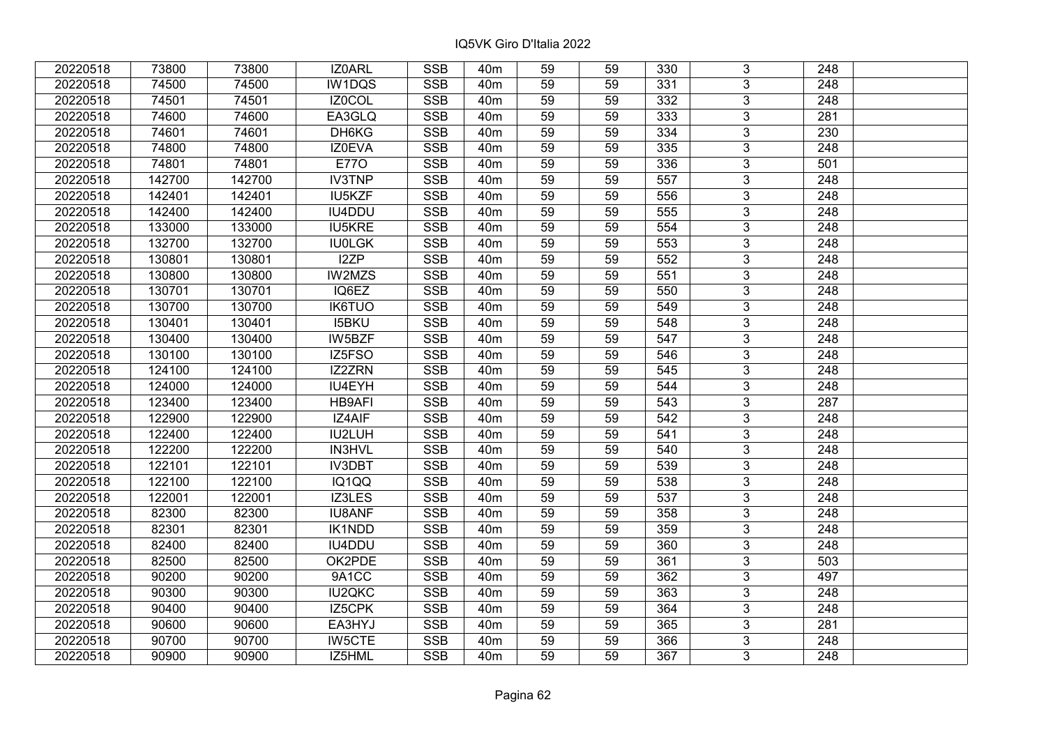| 20220518 | 73800  | 73800  | IZ0ARL        | <b>SSB</b> | 40 <sub>m</sub> | 59              | 59 | 330             | 3              | 248              |  |
|----------|--------|--------|---------------|------------|-----------------|-----------------|----|-----------------|----------------|------------------|--|
| 20220518 | 74500  | 74500  | IW1DQS        | <b>SSB</b> | 40 <sub>m</sub> | 59              | 59 | 331             | 3              | 248              |  |
| 20220518 | 74501  | 74501  | IZ0COL        | <b>SSB</b> | 40 <sub>m</sub> | 59              | 59 | $\frac{1}{332}$ | $\overline{3}$ | 248              |  |
| 20220518 | 74600  | 74600  | EA3GLQ        | <b>SSB</b> | 40 <sub>m</sub> | 59              | 59 | 333             | $\overline{3}$ | 281              |  |
| 20220518 | 74601  | 74601  | DH6KG         | <b>SSB</b> | 40 <sub>m</sub> | 59              | 59 | $\frac{1}{334}$ | $\overline{3}$ | 230              |  |
| 20220518 | 74800  | 74800  | IZ0EVA        | <b>SSB</b> | 40 <sub>m</sub> | 59              | 59 | 335             | $\overline{3}$ | 248              |  |
| 20220518 | 74801  | 74801  | <b>E770</b>   | <b>SSB</b> | 40 <sub>m</sub> | 59              | 59 | 336             | $\overline{3}$ | 501              |  |
| 20220518 | 142700 | 142700 | <b>IV3TNP</b> | <b>SSB</b> | 40 <sub>m</sub> | 59              | 59 | 557             | $\overline{3}$ | 248              |  |
| 20220518 | 142401 | 142401 | <b>IU5KZF</b> | <b>SSB</b> | 40 <sub>m</sub> | 59              | 59 | 556             | $\overline{3}$ | 248              |  |
| 20220518 | 142400 | 142400 | IU4DDU        | <b>SSB</b> | 40 <sub>m</sub> | 59              | 59 | 555             | $\overline{3}$ | 248              |  |
| 20220518 | 133000 | 133000 | <b>IU5KRE</b> | <b>SSB</b> | 40 <sub>m</sub> | 59              | 59 | 554             | $\overline{3}$ | 248              |  |
| 20220518 | 132700 | 132700 | <b>IU0LGK</b> | <b>SSB</b> | 40 <sub>m</sub> | 59              | 59 | 553             | $\overline{3}$ | 248              |  |
| 20220518 | 130801 | 130801 | I2ZP          | <b>SSB</b> | 40 <sub>m</sub> | 59              | 59 | 552             | $\overline{3}$ | 248              |  |
| 20220518 | 130800 | 130800 | <b>IW2MZS</b> | <b>SSB</b> | 40 <sub>m</sub> | 59              | 59 | 551             | $\overline{3}$ | 248              |  |
| 20220518 | 130701 | 130701 | IQ6EZ         | <b>SSB</b> | 40 <sub>m</sub> | 59              | 59 | 550             | 3              | 248              |  |
| 20220518 | 130700 | 130700 | <b>IK6TUO</b> | <b>SSB</b> | 40 <sub>m</sub> | 59              | 59 | 549             | 3              | 248              |  |
| 20220518 | 130401 | 130401 | <b>I5BKU</b>  | <b>SSB</b> | 40 <sub>m</sub> | 59              | 59 | 548             | 3              | 248              |  |
| 20220518 | 130400 | 130400 | IW5BZF        | <b>SSB</b> | 40 <sub>m</sub> | 59              | 59 | 547             | 3              | 248              |  |
| 20220518 | 130100 | 130100 | IZ5FSO        | <b>SSB</b> | 40 <sub>m</sub> | 59              | 59 | 546             | $\overline{3}$ | 248              |  |
| 20220518 | 124100 | 124100 | IZ2ZRN        | <b>SSB</b> | 40 <sub>m</sub> | 59              | 59 | 545             | $\overline{3}$ | 248              |  |
| 20220518 | 124000 | 124000 | IU4EYH        | <b>SSB</b> | 40 <sub>m</sub> | 59              | 59 | 544             | $\overline{3}$ | 248              |  |
| 20220518 | 123400 | 123400 | HB9AFI        | <b>SSB</b> | 40 <sub>m</sub> | 59              | 59 | 543             | $\overline{3}$ | 287              |  |
| 20220518 | 122900 | 122900 | IZ4AIF        | <b>SSB</b> | 40 <sub>m</sub> | 59              | 59 | 542             | 3              | 248              |  |
| 20220518 | 122400 | 122400 | IU2LUH        | <b>SSB</b> | 40 <sub>m</sub> | 59              | 59 | 541             | $\overline{3}$ | 248              |  |
| 20220518 | 122200 | 122200 | <b>IN3HVL</b> | <b>SSB</b> | 40 <sub>m</sub> | 59              | 59 | 540             | $\overline{3}$ | 248              |  |
| 20220518 | 122101 | 122101 | IV3DBT        | <b>SSB</b> | 40 <sub>m</sub> | $\overline{59}$ | 59 | 539             | $\overline{3}$ | $\overline{248}$ |  |
| 20220518 | 122100 | 122100 | IQ1QQ         | <b>SSB</b> | 40 <sub>m</sub> | 59              | 59 | 538             | $\overline{3}$ | $\overline{248}$ |  |
| 20220518 | 122001 | 122001 | IZ3LES        | <b>SSB</b> | 40 <sub>m</sub> | 59              | 59 | 537             | 3              | 248              |  |
| 20220518 | 82300  | 82300  | <b>IU8ANF</b> | <b>SSB</b> | 40 <sub>m</sub> | $\overline{59}$ | 59 | 358             | $\overline{3}$ | $\overline{248}$ |  |
| 20220518 | 82301  | 82301  | <b>IK1NDD</b> | <b>SSB</b> | 40 <sub>m</sub> | 59              | 59 | 359             | $\overline{3}$ | 248              |  |
| 20220518 | 82400  | 82400  | IU4DDU        | <b>SSB</b> | 40 <sub>m</sub> | 59              | 59 | 360             | $\overline{3}$ | 248              |  |
| 20220518 | 82500  | 82500  | OK2PDE        | <b>SSB</b> | 40 <sub>m</sub> | 59              | 59 | 361             | $\overline{3}$ | 503              |  |
| 20220518 | 90200  | 90200  | 9A1CC         | <b>SSB</b> | 40 <sub>m</sub> | 59              | 59 | 362             | 3              | 497              |  |
| 20220518 | 90300  | 90300  | <b>IU2QKC</b> | <b>SSB</b> | 40 <sub>m</sub> | 59              | 59 | 363             | 3              | 248              |  |
| 20220518 | 90400  | 90400  | IZ5CPK        | <b>SSB</b> | 40 <sub>m</sub> | 59              | 59 | 364             | $\overline{3}$ | 248              |  |
| 20220518 | 90600  | 90600  | EA3HYJ        | <b>SSB</b> | 40 <sub>m</sub> | 59              | 59 | 365             | 3              | 281              |  |
| 20220518 | 90700  | 90700  | <b>IW5CTE</b> | <b>SSB</b> | 40 <sub>m</sub> | 59              | 59 | 366             | $\overline{3}$ | 248              |  |
| 20220518 | 90900  | 90900  | IZ5HML        | <b>SSB</b> | 40 <sub>m</sub> | 59              | 59 | 367             | $\overline{3}$ | 248              |  |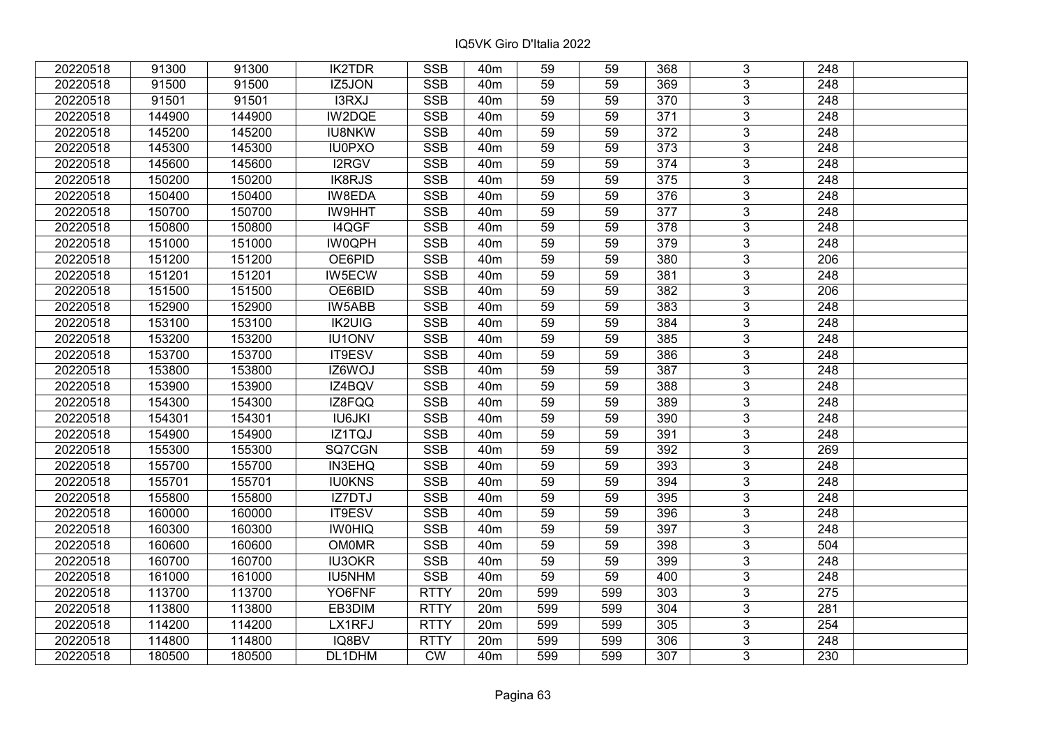| 20220518 | 91300  | 91300  | <b>IK2TDR</b> | <b>SSB</b>  | 40m             | 59              | 59  | 368              | 3              | 248              |  |
|----------|--------|--------|---------------|-------------|-----------------|-----------------|-----|------------------|----------------|------------------|--|
| 20220518 | 91500  | 91500  | IZ5JON        | <b>SSB</b>  | 40 <sub>m</sub> | 59              | 59  | 369              | 3              | 248              |  |
| 20220518 | 91501  | 91501  | I3RXJ         | <b>SSB</b>  | 40 <sub>m</sub> | 59              | 59  | $\overline{370}$ | $\overline{3}$ | 248              |  |
| 20220518 | 144900 | 144900 | IW2DQE        | <b>SSB</b>  | 40 <sub>m</sub> | 59              | 59  | 371              | $\overline{3}$ | 248              |  |
| 20220518 | 145200 | 145200 | <b>IU8NKW</b> | <b>SSB</b>  | 40 <sub>m</sub> | 59              | 59  | 372              | 3              | 248              |  |
| 20220518 | 145300 | 145300 | <b>IU0PXO</b> | SSB         | 40 <sub>m</sub> | 59              | 59  | 373              | $\overline{3}$ | 248              |  |
| 20220518 | 145600 | 145600 | I2RGV         | <b>SSB</b>  | 40 <sub>m</sub> | 59              | 59  | 374              | $\overline{3}$ | 248              |  |
| 20220518 | 150200 | 150200 | <b>IK8RJS</b> | <b>SSB</b>  | 40 <sub>m</sub> | 59              | 59  | $\frac{1}{375}$  | $\overline{3}$ | 248              |  |
| 20220518 | 150400 | 150400 | <b>IW8EDA</b> | <b>SSB</b>  | 40 <sub>m</sub> | 59              | 59  | 376              | $\overline{3}$ | 248              |  |
| 20220518 | 150700 | 150700 | <b>IW9HHT</b> | <b>SSB</b>  | 40 <sub>m</sub> | 59              | 59  | 377              | $\overline{3}$ | 248              |  |
| 20220518 | 150800 | 150800 | I4QGF         | <b>SSB</b>  | 40 <sub>m</sub> | 59              | 59  | 378              | $\overline{3}$ | 248              |  |
| 20220518 | 151000 | 151000 | <b>IW0QPH</b> | <b>SSB</b>  | 40 <sub>m</sub> | 59              | 59  | 379              | $\overline{3}$ | 248              |  |
| 20220518 | 151200 | 151200 | OE6PID        | <b>SSB</b>  | 40 <sub>m</sub> | 59              | 59  | 380              | 3              | 206              |  |
| 20220518 | 151201 | 151201 | IW5ECW        | <b>SSB</b>  | 40 <sub>m</sub> | 59              | 59  | 381              | $\overline{3}$ | 248              |  |
| 20220518 | 151500 | 151500 | OE6BID        | <b>SSB</b>  | 40 <sub>m</sub> | 59              | 59  | 382              | 3              | 206              |  |
| 20220518 | 152900 | 152900 | IW5ABB        | <b>SSB</b>  | 40 <sub>m</sub> | 59              | 59  | 383              | 3              | 248              |  |
| 20220518 | 153100 | 153100 | <b>IK2UIG</b> | <b>SSB</b>  | 40 <sub>m</sub> | 59              | 59  | 384              | 3              | 248              |  |
| 20220518 | 153200 | 153200 | <b>IU1ONV</b> | <b>SSB</b>  | 40 <sub>m</sub> | 59              | 59  | 385              | 3              | 248              |  |
| 20220518 | 153700 | 153700 | IT9ESV        | <b>SSB</b>  | 40 <sub>m</sub> | 59              | 59  | 386              | 3              | 248              |  |
| 20220518 | 153800 | 153800 | IZ6WOJ        | <b>SSB</b>  | 40 <sub>m</sub> | 59              | 59  | 387              | $\overline{3}$ | 248              |  |
| 20220518 | 153900 | 153900 | IZ4BQV        | <b>SSB</b>  | 40 <sub>m</sub> | 59              | 59  | 388              | $\overline{3}$ | 248              |  |
| 20220518 | 154300 | 154300 | IZ8FQQ        | <b>SSB</b>  | 40 <sub>m</sub> | 59              | 59  | 389              | 3              | 248              |  |
| 20220518 | 154301 | 154301 | <b>IU6JKI</b> | <b>SSB</b>  | 40 <sub>m</sub> | 59              | 59  | 390              | $\overline{3}$ | 248              |  |
| 20220518 | 154900 | 154900 | IZ1TQJ        | <b>SSB</b>  | 40 <sub>m</sub> | 59              | 59  | 391              | $\overline{3}$ | 248              |  |
| 20220518 | 155300 | 155300 | SQ7CGN        | <b>SSB</b>  | 40 <sub>m</sub> | $\overline{59}$ | 59  | 392              | $\overline{3}$ | 269              |  |
| 20220518 | 155700 | 155700 | IN3EHQ        | <b>SSB</b>  | 40 <sub>m</sub> | 59              | 59  | 393              | $\overline{3}$ | 248              |  |
| 20220518 | 155701 | 155701 | <b>IU0KNS</b> | <b>SSB</b>  | 40 <sub>m</sub> | 59              | 59  | 394              | 3              | 248              |  |
| 20220518 | 155800 | 155800 | IZ7DTJ        | <b>SSB</b>  | 40 <sub>m</sub> | 59              | 59  | 395              | $\overline{3}$ | 248              |  |
| 20220518 | 160000 | 160000 | <b>IT9ESV</b> | <b>SSB</b>  | 40 <sub>m</sub> | 59              | 59  | 396              | $\overline{3}$ | $\overline{248}$ |  |
| 20220518 | 160300 | 160300 | <b>IWOHIQ</b> | <b>SSB</b>  | 40 <sub>m</sub> | 59              | 59  | 397              | $\overline{3}$ | 248              |  |
| 20220518 | 160600 | 160600 | <b>OM0MR</b>  | <b>SSB</b>  | 40 <sub>m</sub> | 59              | 59  | 398              | $\overline{3}$ | 504              |  |
| 20220518 | 160700 | 160700 | <b>IU3OKR</b> | <b>SSB</b>  | 40 <sub>m</sub> | 59              | 59  | 399              | $\overline{3}$ | $\overline{248}$ |  |
| 20220518 | 161000 | 161000 | IU5NHM        | <b>SSB</b>  | 40 <sub>m</sub> | 59              | 59  | 400              | 3              | 248              |  |
| 20220518 | 113700 | 113700 | YO6FNF        | <b>RTTY</b> | 20m             | 599             | 599 | 303              | $\overline{3}$ | 275              |  |
| 20220518 | 113800 | 113800 | EB3DIM        | <b>RTTY</b> | 20m             | 599             | 599 | 304              | 3              | 281              |  |
| 20220518 | 114200 | 114200 | LX1RFJ        | <b>RTTY</b> | 20m             | 599             | 599 | 305              | 3              | 254              |  |
| 20220518 | 114800 | 114800 | IQ8BV         | <b>RTTY</b> | 20 <sub>m</sub> | 599             | 599 | 306              | 3              | 248              |  |
| 20220518 | 180500 | 180500 | DL1DHM        | <b>CW</b>   | 40 <sub>m</sub> | 599             | 599 | 307              | 3              | 230              |  |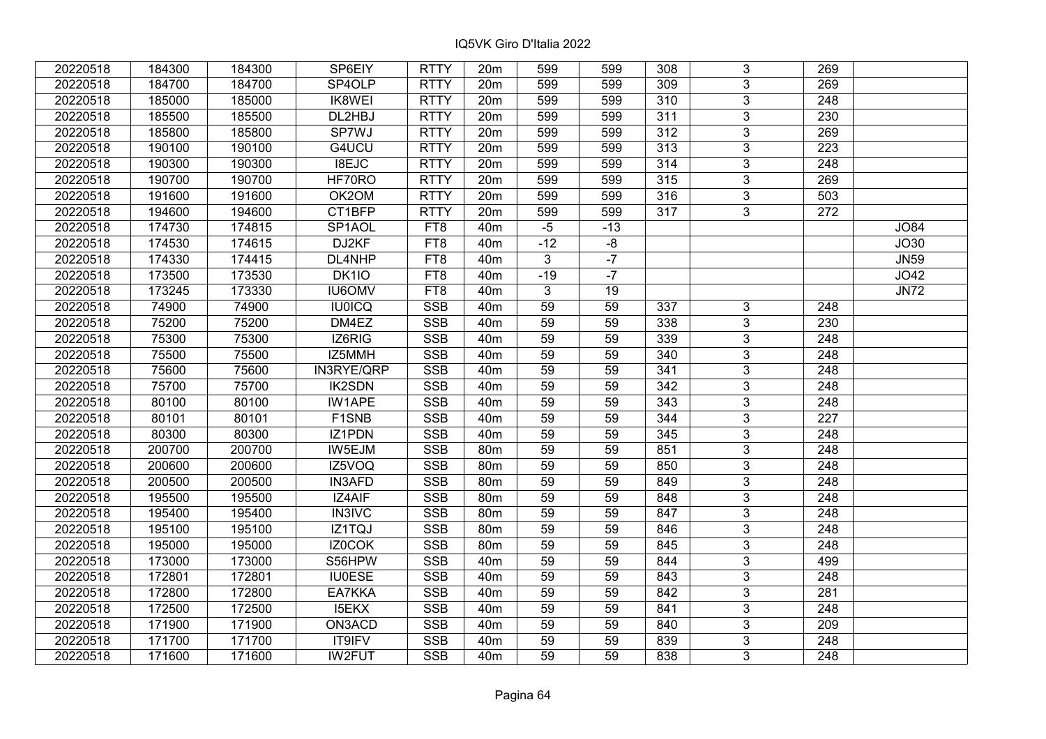| 20220518 | 184300 | 184300 | SP6EIY              | <b>RTTY</b>     | 20 <sub>m</sub> | 599             | 599   | 308 | 3              | 269              |             |
|----------|--------|--------|---------------------|-----------------|-----------------|-----------------|-------|-----|----------------|------------------|-------------|
| 20220518 | 184700 | 184700 | SP4OLP              | <b>RTTY</b>     | 20m             | 599             | 599   | 309 | 3              | 269              |             |
| 20220518 | 185000 | 185000 | <b>IK8WEI</b>       | <b>RTTY</b>     | 20m             | 599             | 599   | 310 | $\overline{3}$ | 248              |             |
| 20220518 | 185500 | 185500 | DL2HBJ              | <b>RTTY</b>     | 20m             | 599             | 599   | 311 | $\overline{3}$ | 230              |             |
| 20220518 | 185800 | 185800 | SP7WJ               | <b>RTTY</b>     | 20m             | 599             | 599   | 312 | 3              | 269              |             |
| 20220518 | 190100 | 190100 | G4UCU               | <b>RTTY</b>     | 20m             | 599             | 599   | 313 | $\overline{3}$ | 223              |             |
| 20220518 | 190300 | 190300 | I8EJC               | <b>RTTY</b>     | 20m             | 599             | 599   | 314 | $\overline{3}$ | 248              |             |
| 20220518 | 190700 | 190700 | HF70RO              | <b>RTTY</b>     | 20m             | 599             | 599   | 315 | $\overline{3}$ | 269              |             |
| 20220518 | 191600 | 191600 | OK2OM               | <b>RTTY</b>     | 20m             | 599             | 599   | 316 | $\overline{3}$ | 503              |             |
| 20220518 | 194600 | 194600 | CT1BFP              | <b>RTTY</b>     | 20m             | 599             | 599   | 317 | $\overline{3}$ | 272              |             |
| 20220518 | 174730 | 174815 | SP <sub>1</sub> AOL | FT8             | 40 <sub>m</sub> | $-5$            | $-13$ |     |                |                  | <b>JO84</b> |
| 20220518 | 174530 | 174615 | DJ2KF               | FT <sub>8</sub> | 40 <sub>m</sub> | $-12$           | $-8$  |     |                |                  | JO30        |
| 20220518 | 174330 | 174415 | DL4NHP              | FT8             | 40 <sub>m</sub> | 3               | $-7$  |     |                |                  | <b>JN59</b> |
| 20220518 | 173500 | 173530 | DK1IO               | FT8             | 40 <sub>m</sub> | $-19$           | $-7$  |     |                |                  | JO42        |
| 20220518 | 173245 | 173330 | <b>IU6OMV</b>       | FT8             | 40 <sub>m</sub> | 3               | 19    |     |                |                  | <b>JN72</b> |
| 20220518 | 74900  | 74900  | <b>IU0ICQ</b>       | <b>SSB</b>      | 40 <sub>m</sub> | 59              | 59    | 337 | $\mathbf{3}$   | 248              |             |
| 20220518 | 75200  | 75200  | DM4EZ               | <b>SSB</b>      | 40 <sub>m</sub> | 59              | 59    | 338 | 3              | 230              |             |
| 20220518 | 75300  | 75300  | IZ6RIG              | <b>SSB</b>      | 40 <sub>m</sub> | 59              | 59    | 339 | 3              | 248              |             |
| 20220518 | 75500  | 75500  | IZ5MMH              | <b>SSB</b>      | 40 <sub>m</sub> | 59              | 59    | 340 | 3              | 248              |             |
| 20220518 | 75600  | 75600  | IN3RYE/QRP          | <b>SSB</b>      | 40 <sub>m</sub> | 59              | 59    | 341 | $\overline{3}$ | 248              |             |
| 20220518 | 75700  | 75700  | <b>IK2SDN</b>       | <b>SSB</b>      | 40 <sub>m</sub> | 59              | 59    | 342 | $\overline{3}$ | 248              |             |
| 20220518 | 80100  | 80100  | IW1APE              | <b>SSB</b>      | 40 <sub>m</sub> | 59              | 59    | 343 | 3              | 248              |             |
| 20220518 | 80101  | 80101  | F1SNB               | <b>SSB</b>      | 40 <sub>m</sub> | 59              | 59    | 344 | $\overline{3}$ | 227              |             |
| 20220518 | 80300  | 80300  | IZ1PDN              | <b>SSB</b>      | 40 <sub>m</sub> | 59              | 59    | 345 | $\overline{3}$ | 248              |             |
| 20220518 | 200700 | 200700 | IW5EJM              | SSB             | 80 <sub>m</sub> | $\overline{59}$ | 59    | 851 | $\overline{3}$ | 248              |             |
| 20220518 | 200600 | 200600 | IZ5VOQ              | <b>SSB</b>      | 80m             | 59              | 59    | 850 | $\overline{3}$ | $\overline{248}$ |             |
| 20220518 | 200500 | 200500 | <b>IN3AFD</b>       | <b>SSB</b>      | 80m             | 59              | 59    | 849 | 3              | 248              |             |
| 20220518 | 195500 | 195500 | IZ4AIF              | <b>SSB</b>      | 80m             | 59              | 59    | 848 | $\overline{3}$ | 248              |             |
| 20220518 | 195400 | 195400 | <b>IN3IVC</b>       | <b>SSB</b>      | 80 <sub>m</sub> | 59              | 59    | 847 | $\overline{3}$ | $\overline{248}$ |             |
| 20220518 | 195100 | 195100 | IZ1TQJ              | <b>SSB</b>      | 80m             | 59              | 59    | 846 | $\overline{3}$ | 248              |             |
| 20220518 | 195000 | 195000 | IZ0COK              | <b>SSB</b>      | 80m             | 59              | 59    | 845 | $\overline{3}$ | $\overline{248}$ |             |
| 20220518 | 173000 | 173000 | S56HPW              | <b>SSB</b>      | 40 <sub>m</sub> | 59              | 59    | 844 | $\overline{3}$ | 499              |             |
| 20220518 | 172801 | 172801 | <b>IU0ESE</b>       | <b>SSB</b>      | 40 <sub>m</sub> | 59              | 59    | 843 | 3              | 248              |             |
| 20220518 | 172800 | 172800 | EA7KKA              | <b>SSB</b>      | 40 <sub>m</sub> | 59              | 59    | 842 | $\overline{3}$ | 281              |             |
| 20220518 | 172500 | 172500 | <b>I5EKX</b>        | <b>SSB</b>      | 40 <sub>m</sub> | 59              | 59    | 841 | 3              | 248              |             |
| 20220518 | 171900 | 171900 | ON3ACD              | <b>SSB</b>      | 40 <sub>m</sub> | 59              | 59    | 840 | 3              | 209              |             |
| 20220518 | 171700 | 171700 | <b>IT9IFV</b>       | <b>SSB</b>      | 40 <sub>m</sub> | 59              | 59    | 839 | 3              | 248              |             |
| 20220518 | 171600 | 171600 | <b>IW2FUT</b>       | <b>SSB</b>      | 40 <sub>m</sub> | 59              | 59    | 838 | 3              | 248              |             |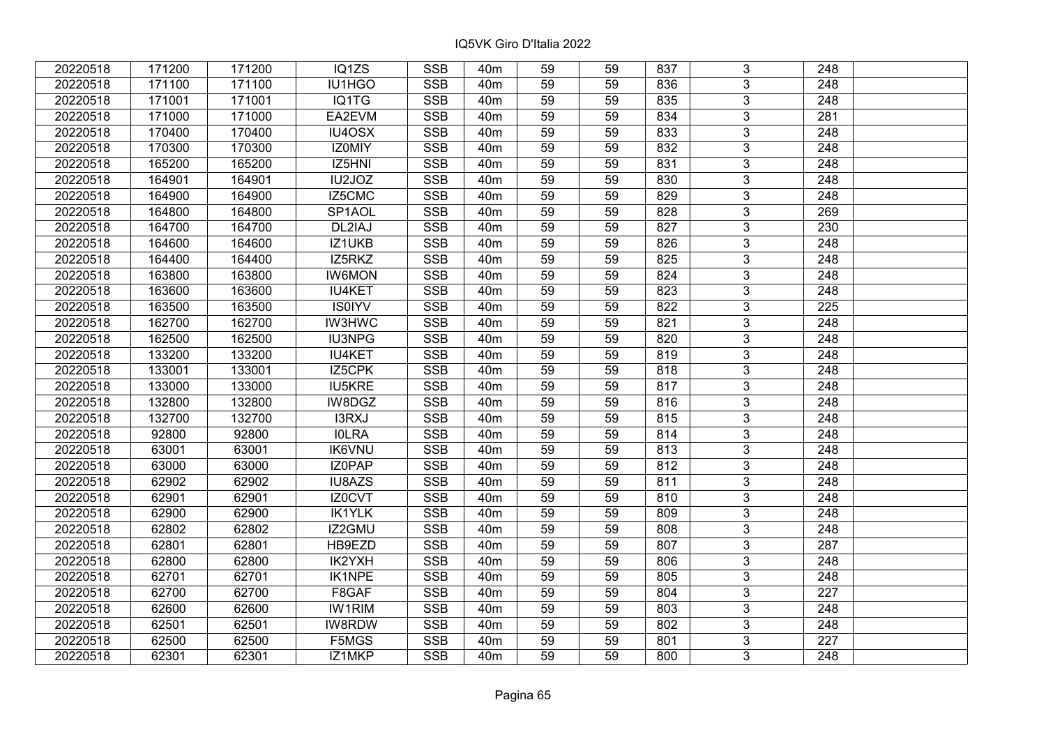| 20220518 | 171200 | 171200 | IQ1ZS         | <b>SSB</b>              | 40m             | 59              | 59 | 837 | 3              | 248              |  |
|----------|--------|--------|---------------|-------------------------|-----------------|-----------------|----|-----|----------------|------------------|--|
| 20220518 | 171100 | 171100 | IU1HGO        | <b>SSB</b>              | 40 <sub>m</sub> | 59              | 59 | 836 | 3              | 248              |  |
| 20220518 | 171001 | 171001 | IQ1TG         | <b>SSB</b>              | 40 <sub>m</sub> | 59              | 59 | 835 | $\overline{3}$ | 248              |  |
| 20220518 | 171000 | 171000 | EA2EVM        | <b>SSB</b>              | 40 <sub>m</sub> | 59              | 59 | 834 | $\overline{3}$ | 281              |  |
| 20220518 | 170400 | 170400 | IU4OSX        | <b>SSB</b>              | 40 <sub>m</sub> | 59              | 59 | 833 | $\overline{3}$ | 248              |  |
| 20220518 | 170300 | 170300 | IZ0MIY        | <b>SSB</b>              | 40 <sub>m</sub> | 59              | 59 | 832 | $\overline{3}$ | 248              |  |
| 20220518 | 165200 | 165200 | IZ5HNI        | <b>SSB</b>              | 40m             | 59              | 59 | 831 | $\overline{3}$ | 248              |  |
| 20220518 | 164901 | 164901 | IU2JOZ        | <b>SSB</b>              | 40 <sub>m</sub> | 59              | 59 | 830 | $\overline{3}$ | 248              |  |
| 20220518 | 164900 | 164900 | IZ5CMC        | <b>SSB</b>              | 40 <sub>m</sub> | 59              | 59 | 829 | $\overline{3}$ | 248              |  |
| 20220518 | 164800 | 164800 | SP1AOL        | <b>SSB</b>              | 40 <sub>m</sub> | 59              | 59 | 828 | $\overline{3}$ | 269              |  |
| 20220518 | 164700 | 164700 | DL2IAJ        | <b>SSB</b>              | 40 <sub>m</sub> | 59              | 59 | 827 | $\overline{3}$ | 230              |  |
| 20220518 | 164600 | 164600 | IZ1UKB        | <b>SSB</b>              | 40 <sub>m</sub> | 59              | 59 | 826 | $\overline{3}$ | 248              |  |
| 20220518 | 164400 | 164400 | IZ5RKZ        | <b>SSB</b>              | 40 <sub>m</sub> | 59              | 59 | 825 | $\overline{3}$ | 248              |  |
| 20220518 | 163800 | 163800 | <b>IW6MON</b> | <b>SSB</b>              | 40 <sub>m</sub> | 59              | 59 | 824 | 3              | 248              |  |
| 20220518 | 163600 | 163600 | <b>IU4KET</b> | <b>SSB</b>              | 40 <sub>m</sub> | 59              | 59 | 823 | 3              | 248              |  |
| 20220518 | 163500 | 163500 | <b>IS0IYV</b> | <b>SSB</b>              | 40 <sub>m</sub> | 59              | 59 | 822 | 3              | 225              |  |
| 20220518 | 162700 | 162700 | <b>IW3HWC</b> | <b>SSB</b>              | 40 <sub>m</sub> | 59              | 59 | 821 | 3              | 248              |  |
| 20220518 | 162500 | 162500 | <b>IU3NPG</b> | <b>SSB</b>              | 40 <sub>m</sub> | 59              | 59 | 820 | 3              | 248              |  |
| 20220518 | 133200 | 133200 | <b>IU4KET</b> | <b>SSB</b>              | 40 <sub>m</sub> | 59              | 59 | 819 | $\overline{3}$ | 248              |  |
| 20220518 | 133001 | 133001 | IZ5CPK        | <b>SSB</b>              | 40 <sub>m</sub> | 59              | 59 | 818 | $\overline{3}$ | 248              |  |
| 20220518 | 133000 | 133000 | <b>IU5KRE</b> | <b>SSB</b>              | 40 <sub>m</sub> | 59              | 59 | 817 | $\overline{3}$ | 248              |  |
| 20220518 | 132800 | 132800 | IW8DGZ        | <b>SSB</b>              | 40 <sub>m</sub> | 59              | 59 | 816 | $\overline{3}$ | 248              |  |
| 20220518 | 132700 | 132700 | I3RXJ         | <b>SSB</b>              | 40 <sub>m</sub> | 59              | 59 | 815 | 3              | 248              |  |
| 20220518 | 92800  | 92800  | <b>IOLRA</b>  | <b>SSB</b>              | 40 <sub>m</sub> | 59              | 59 | 814 | $\overline{3}$ | 248              |  |
| 20220518 | 63001  | 63001  | <b>IK6VNU</b> | <b>SSB</b>              | 40 <sub>m</sub> | 59              | 59 | 813 | $\overline{3}$ | 248              |  |
| 20220518 | 63000  | 63000  | IZ0PAP        | SSB                     | 40 <sub>m</sub> | $\overline{59}$ | 59 | 812 | $\overline{3}$ | $\overline{248}$ |  |
| 20220518 | 62902  | 62902  | IU8AZS        | <b>SSB</b>              | 40 <sub>m</sub> | 59              | 59 | 811 | $\overline{3}$ | $\overline{248}$ |  |
| 20220518 | 62901  | 62901  | IZ0CVT        | <b>SSB</b>              | 40 <sub>m</sub> | 59              | 59 | 810 | 3              | 248              |  |
| 20220518 | 62900  | 62900  | <b>IK1YLK</b> | <b>SSB</b>              | 40 <sub>m</sub> | 59              | 59 | 809 | $\overline{3}$ | $\overline{248}$ |  |
| 20220518 | 62802  | 62802  | IZ2GMU        | <b>SSB</b>              | 40 <sub>m</sub> | 59              | 59 | 808 | $\overline{3}$ | $\overline{248}$ |  |
| 20220518 | 62801  | 62801  | HB9EZD        | <b>SSB</b>              | 40 <sub>m</sub> | 59              | 59 | 807 | $\overline{3}$ | 287              |  |
| 20220518 | 62800  | 62800  | IK2YXH        | <b>SSB</b>              | 40 <sub>m</sub> | 59              | 59 | 806 | $\overline{3}$ | 248              |  |
| 20220518 | 62701  | 62701  | <b>IK1NPE</b> | <b>SSB</b>              | 40 <sub>m</sub> | 59              | 59 | 805 | 3              | 248              |  |
| 20220518 | 62700  | 62700  | F8GAF         | <b>SSB</b>              | 40 <sub>m</sub> | 59              | 59 | 804 | 3              | 227              |  |
| 20220518 | 62600  | 62600  | <b>IW1RIM</b> | <b>SSB</b>              | 40 <sub>m</sub> | 59              | 59 | 803 | 3              | 248              |  |
| 20220518 | 62501  | 62501  | <b>IW8RDW</b> | <b>SSB</b>              | 40m             | 59              | 59 | 802 | 3              | 248              |  |
| 20220518 | 62500  | 62500  | F5MGS         | $\overline{\text{SSB}}$ | 40 <sub>m</sub> | 59              | 59 | 801 | $\overline{3}$ | 227              |  |
| 20220518 | 62301  | 62301  | IZ1MKP        | <b>SSB</b>              | 40 <sub>m</sub> | 59              | 59 | 800 | $\overline{3}$ | 248              |  |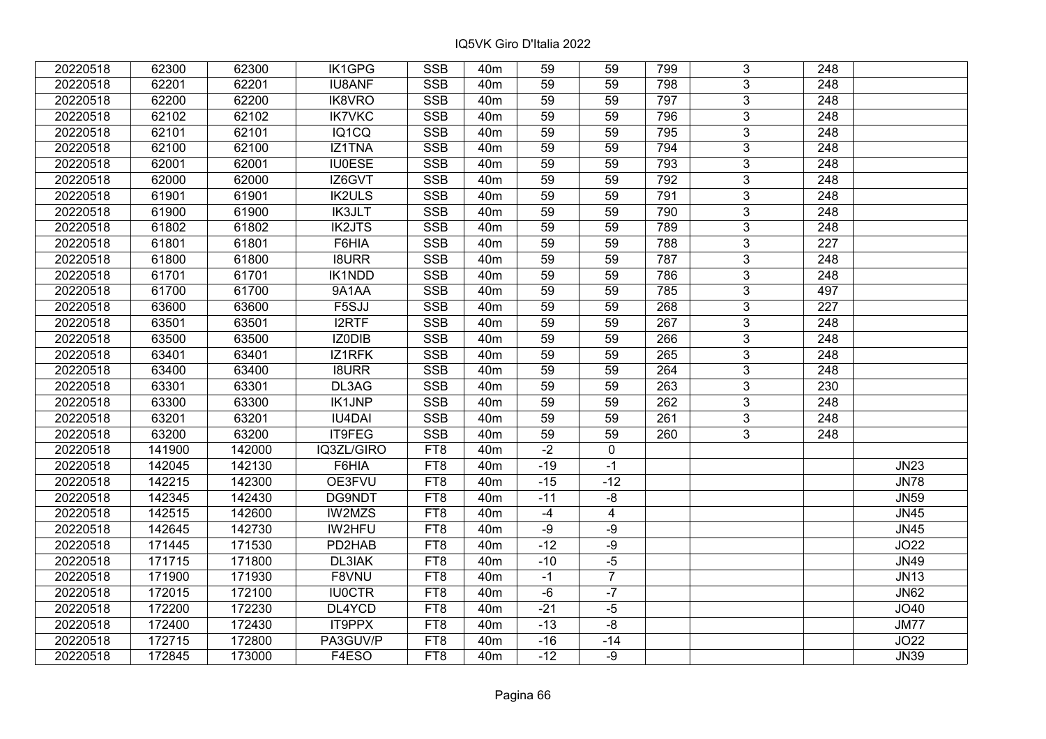| 20220518 | 62300  | 62300  | IK1GPG        | <b>SSB</b>      | 40 <sub>m</sub> | 59    | 59             | 799 | 3              | 248              |             |
|----------|--------|--------|---------------|-----------------|-----------------|-------|----------------|-----|----------------|------------------|-------------|
| 20220518 | 62201  | 62201  | <b>IU8ANF</b> | <b>SSB</b>      | 40 <sub>m</sub> | 59    | 59             | 798 | 3              | 248              |             |
| 20220518 | 62200  | 62200  | IK8VRO        | <b>SSB</b>      | 40 <sub>m</sub> | 59    | 59             | 797 | $\overline{3}$ | 248              |             |
| 20220518 | 62102  | 62102  | <b>IK7VKC</b> | <b>SSB</b>      | 40 <sub>m</sub> | 59    | 59             | 796 | 3              | 248              |             |
| 20220518 | 62101  | 62101  | IQ1CQ         | <b>SSB</b>      | 40 <sub>m</sub> | 59    | 59             | 795 | 3              | 248              |             |
| 20220518 | 62100  | 62100  | <b>IZ1TNA</b> | SSB             | 40 <sub>m</sub> | 59    | 59             | 794 | $\overline{3}$ | 248              |             |
| 20220518 | 62001  | 62001  | <b>IU0ESE</b> | <b>SSB</b>      | 40 <sub>m</sub> | 59    | 59             | 793 | $\overline{3}$ | 248              |             |
| 20220518 | 62000  | 62000  | IZ6GVT        | <b>SSB</b>      | 40 <sub>m</sub> | 59    | 59             | 792 | $\overline{3}$ | $\overline{248}$ |             |
| 20220518 | 61901  | 61901  | <b>IK2ULS</b> | <b>SSB</b>      | 40 <sub>m</sub> | 59    | 59             | 791 | $\overline{3}$ | 248              |             |
| 20220518 | 61900  | 61900  | <b>IK3JLT</b> | <b>SSB</b>      | 40m             | 59    | 59             | 790 | $\overline{3}$ | 248              |             |
| 20220518 | 61802  | 61802  | <b>IK2JTS</b> | <b>SSB</b>      | 40 <sub>m</sub> | 59    | 59             | 789 | $\overline{3}$ | 248              |             |
| 20220518 | 61801  | 61801  | F6HIA         | <b>SSB</b>      | 40m             | 59    | 59             | 788 | $\overline{3}$ | 227              |             |
| 20220518 | 61800  | 61800  | <b>I8URR</b>  | <b>SSB</b>      | 40m             | 59    | 59             | 787 | 3              | 248              |             |
| 20220518 | 61701  | 61701  | <b>IK1NDD</b> | <b>SSB</b>      | 40 <sub>m</sub> | 59    | 59             | 786 | $\overline{3}$ | 248              |             |
| 20220518 | 61700  | 61700  | 9A1AA         | <b>SSB</b>      | 40 <sub>m</sub> | 59    | 59             | 785 | 3              | 497              |             |
| 20220518 | 63600  | 63600  | F5SJJ         | <b>SSB</b>      | 40 <sub>m</sub> | 59    | 59             | 268 | 3              | 227              |             |
| 20220518 | 63501  | 63501  | <b>I2RTF</b>  | <b>SSB</b>      | 40 <sub>m</sub> | 59    | 59             | 267 | 3              | 248              |             |
| 20220518 | 63500  | 63500  | IZ0DIB        | <b>SSB</b>      | 40 <sub>m</sub> | 59    | 59             | 266 | $\mathbf{3}$   | 248              |             |
| 20220518 | 63401  | 63401  | IZ1RFK        | <b>SSB</b>      | 40 <sub>m</sub> | 59    | 59             | 265 | 3              | 248              |             |
| 20220518 | 63400  | 63400  | <b>I8URR</b>  | <b>SSB</b>      | 40 <sub>m</sub> | 59    | 59             | 264 | $\overline{3}$ | 248              |             |
| 20220518 | 63301  | 63301  | DL3AG         | <b>SSB</b>      | 40 <sub>m</sub> | 59    | 59             | 263 | $\overline{3}$ | 230              |             |
| 20220518 | 63300  | 63300  | <b>IK1JNP</b> | <b>SSB</b>      | 40 <sub>m</sub> | 59    | 59             | 262 | 3              | 248              |             |
| 20220518 | 63201  | 63201  | <b>IU4DAI</b> | <b>SSB</b>      | 40 <sub>m</sub> | 59    | 59             | 261 | $\overline{3}$ | 248              |             |
| 20220518 | 63200  | 63200  | IT9FEG        | <b>SSB</b>      | 40m             | 59    | 59             | 260 | $\mathbf{3}$   | 248              |             |
| 20220518 | 141900 | 142000 | IQ3ZL/GIRO    | FT8             | 40 <sub>m</sub> | $-2$  | $\mathbf 0$    |     |                |                  |             |
| 20220518 | 142045 | 142130 | F6HIA         | FT8             | 40 <sub>m</sub> | $-19$ | $-1$           |     |                |                  | <b>JN23</b> |
| 20220518 | 142215 | 142300 | OE3FVU        | FT8             | 40m             | $-15$ | $-12$          |     |                |                  | <b>JN78</b> |
| 20220518 | 142345 | 142430 | DG9NDT        | FT8             | 40 <sub>m</sub> | $-11$ | -8             |     |                |                  | <b>JN59</b> |
| 20220518 | 142515 | 142600 | <b>IW2MZS</b> | FT8             | 40 <sub>m</sub> | $-4$  | $\overline{4}$ |     |                |                  | <b>JN45</b> |
| 20220518 | 142645 | 142730 | IW2HFU        | FT8             | 40 <sub>m</sub> | $-9$  | $-9$           |     |                |                  | <b>JN45</b> |
| 20220518 | 171445 | 171530 | PD2HAB        | FT <sub>8</sub> | 40 <sub>m</sub> | $-12$ | $-9$           |     |                |                  | <b>JO22</b> |
| 20220518 | 171715 | 171800 | DL3IAK        | FT8             | 40m             | $-10$ | $-5$           |     |                |                  | <b>JN49</b> |
| 20220518 | 171900 | 171930 | F8VNU         | FT8             | 40 <sub>m</sub> | $-1$  | $\overline{7}$ |     |                |                  | <b>JN13</b> |
| 20220518 | 172015 | 172100 | <b>IU0CTR</b> | FT8             | 40m             | $-6$  | $-7$           |     |                |                  | <b>JN62</b> |
| 20220518 | 172200 | 172230 | DL4YCD        | FT8             | 40m             | $-21$ | $-5$           |     |                |                  | JO40        |
| 20220518 | 172400 | 172430 | <b>IT9PPX</b> | FT8             | 40 <sub>m</sub> | $-13$ | -8             |     |                |                  | <b>JM77</b> |
| 20220518 | 172715 | 172800 | PA3GUV/P      | FT8             | 40 <sub>m</sub> | $-16$ | $-14$          |     |                |                  | JO22        |
| 20220518 | 172845 | 173000 | F4ESO         | FT8             | 40 <sub>m</sub> | $-12$ | $-9$           |     |                |                  | <b>JN39</b> |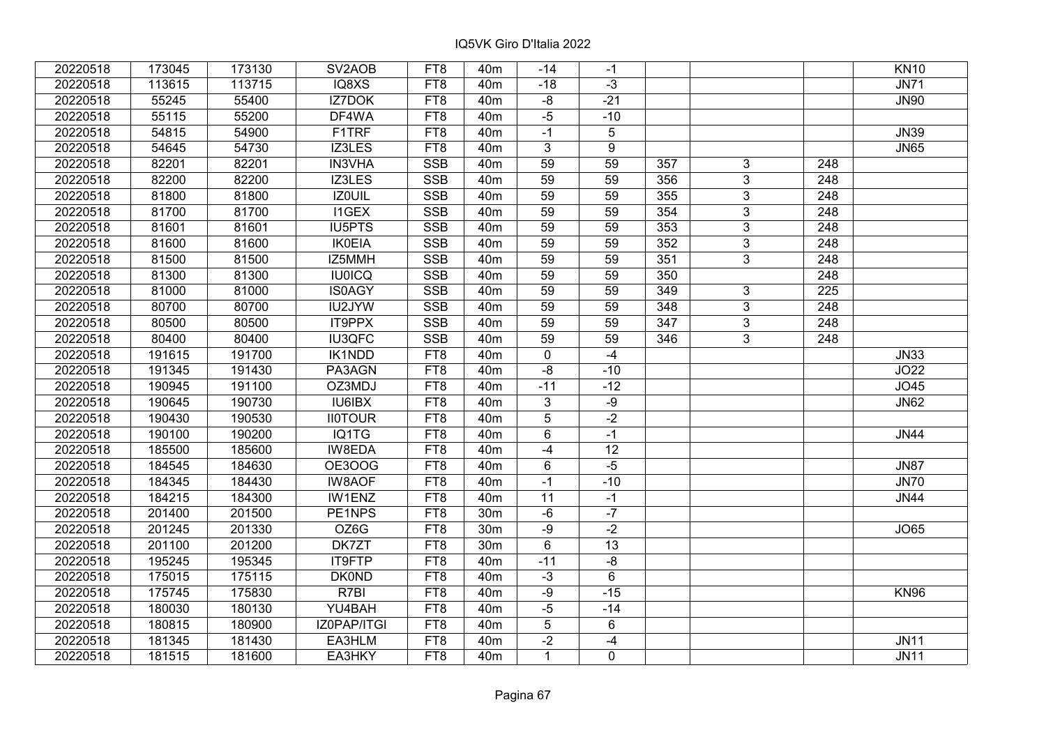| 20220518 | 173045 | 173130 | SV <sub>2</sub> AOB | FT8             | 40 <sub>m</sub> | -14             | -1    |                 |                |                  | <b>KN10</b> |
|----------|--------|--------|---------------------|-----------------|-----------------|-----------------|-------|-----------------|----------------|------------------|-------------|
| 20220518 | 113615 | 113715 | IQ8XS               | FT8             | 40 <sub>m</sub> | $-18$           | $-3$  |                 |                |                  | <b>JN71</b> |
| 20220518 | 55245  | 55400  | <b>IZ7DOK</b>       | FT8             | 40 <sub>m</sub> | $-8$            | $-21$ |                 |                |                  | <b>JN90</b> |
| 20220518 | 55115  | 55200  | DF4WA               | FT8             | 40 <sub>m</sub> | $-5$            | $-10$ |                 |                |                  |             |
| 20220518 | 54815  | 54900  | F1TRF               | FT8             | 40 <sub>m</sub> | $-1$            | 5     |                 |                |                  | <b>JN39</b> |
| 20220518 | 54645  | 54730  | IZ3LES              | FT8             | 40 <sub>m</sub> | 3               | 9     |                 |                |                  | <b>JN65</b> |
| 20220518 | 82201  | 82201  | <b>IN3VHA</b>       | <b>SSB</b>      | 40 <sub>m</sub> | $\overline{59}$ | 59    | 357             | 3              | 248              |             |
| 20220518 | 82200  | 82200  | IZ3LES              | <b>SSB</b>      | 40 <sub>m</sub> | 59              | 59    | 356             | $\overline{3}$ | 248              |             |
| 20220518 | 81800  | 81800  | <b>IZOUIL</b>       | SSB             | 40 <sub>m</sub> | 59              | 59    | $\frac{1}{355}$ | $\overline{3}$ | 248              |             |
| 20220518 | 81700  | 81700  | <b>I1GEX</b>        | SSB             | 40 <sub>m</sub> | 59              | 59    | 354             | $\overline{3}$ | 248              |             |
| 20220518 | 81601  | 81601  | <b>IU5PTS</b>       | <b>SSB</b>      | 40 <sub>m</sub> | 59              | 59    | 353             | 3              | 248              |             |
| 20220518 | 81600  | 81600  | <b>IK0EIA</b>       | SSB             | 40 <sub>m</sub> | 59              | 59    | 352             | $\overline{3}$ | 248              |             |
| 20220518 | 81500  | 81500  | IZ5MMH              | <b>SSB</b>      | 40 <sub>m</sub> | 59              | 59    | 351             | $\overline{3}$ | 248              |             |
| 20220518 | 81300  | 81300  | <b>IU0ICQ</b>       | <b>SSB</b>      | 40m             | 59              | 59    | 350             |                | 248              |             |
| 20220518 | 81000  | 81000  | <b>IS0AGY</b>       | <b>SSB</b>      | 40m             | $\overline{59}$ | 59    | 349             | $\overline{3}$ | $\overline{225}$ |             |
| 20220518 | 80700  | 80700  | IU2JYW              | <b>SSB</b>      | 40 <sub>m</sub> | 59              | 59    | 348             | $\overline{3}$ | 248              |             |
| 20220518 | 80500  | 80500  | IT9PPX              | <b>SSB</b>      | 40m             | 59              | 59    | 347             | 3              | 248              |             |
| 20220518 | 80400  | 80400  | <b>IU3QFC</b>       | <b>SSB</b>      | 40 <sub>m</sub> | 59              | 59    | 346             | 3              | 248              |             |
| 20220518 | 191615 | 191700 | IK1NDD              | FT8             | 40 <sub>m</sub> | 0               | $-4$  |                 |                |                  | <b>JN33</b> |
| 20220518 | 191345 | 191430 | PA3AGN              | FT8             | 40m             | $-8$            | $-10$ |                 |                |                  | JO22        |
| 20220518 | 190945 | 191100 | OZ3MDJ              | FT8             | 40 <sub>m</sub> | $-11$           | $-12$ |                 |                |                  | JO45        |
| 20220518 | 190645 | 190730 | <b>IU6IBX</b>       | FT8             | 40 <sub>m</sub> | $\mathbf{3}$    | $-9$  |                 |                |                  | <b>JN62</b> |
| 20220518 | 190430 | 190530 | <b>II0TOUR</b>      | FT8             | 40m             | $\overline{5}$  | $-2$  |                 |                |                  |             |
| 20220518 | 190100 | 190200 | IQ1TG               | FT8             | 40 <sub>m</sub> | 6               | $-1$  |                 |                |                  | <b>JN44</b> |
| 20220518 | 185500 | 185600 | IW8EDA              | FT8             | 40 <sub>m</sub> | $-4$            | 12    |                 |                |                  |             |
| 20220518 | 184545 | 184630 | <b>OE3OOG</b>       | FT8             | 40 <sub>m</sub> | 6               | $-5$  |                 |                |                  | <b>JN87</b> |
| 20220518 | 184345 | 184430 | <b>IW8AOF</b>       | FT8             | 40 <sub>m</sub> | $-1$            | $-10$ |                 |                |                  | <b>JN70</b> |
| 20220518 | 184215 | 184300 | IW1ENZ              | FT8             | 40 <sub>m</sub> | $\overline{11}$ | $-1$  |                 |                |                  | <b>JN44</b> |
| 20220518 | 201400 | 201500 | PE1NPS              | FT8             | 30 <sub>m</sub> | $-6$            | $-7$  |                 |                |                  |             |
| 20220518 | 201245 | 201330 | OZ6G                | FT8             | 30m             | $-9$            | $-2$  |                 |                |                  | <b>JO65</b> |
| 20220518 | 201100 | 201200 | DK7ZT               | FT <sub>8</sub> | 30 <sub>m</sub> | $6\overline{6}$ | 13    |                 |                |                  |             |
| 20220518 | 195245 | 195345 | <b>IT9FTP</b>       | FT8             | 40 <sub>m</sub> | $-11$           | $-8$  |                 |                |                  |             |
| 20220518 | 175015 | 175115 | <b>DK0ND</b>        | FT8             | 40 <sub>m</sub> | $-3$            | 6     |                 |                |                  |             |
| 20220518 | 175745 | 175830 | R7BI                | FT8             | 40 <sub>m</sub> | $-9$            | $-15$ |                 |                |                  | <b>KN96</b> |
| 20220518 | 180030 | 180130 | YU4BAH              | FT8             | 40 <sub>m</sub> | $-5$            | $-14$ |                 |                |                  |             |
| 20220518 | 180815 | 180900 | IZ0PAP/ITGI         | FT <sub>8</sub> | 40 <sub>m</sub> | 5               | 6     |                 |                |                  |             |
| 20220518 | 181345 | 181430 | EA3HLM              | FT8             | 40 <sub>m</sub> | $-2$            | $-4$  |                 |                |                  | <b>JN11</b> |
| 20220518 | 181515 | 181600 | EA3HKY              | FT8             | 40 <sub>m</sub> | $\mathbf{1}$    | 0     |                 |                |                  | <b>JN11</b> |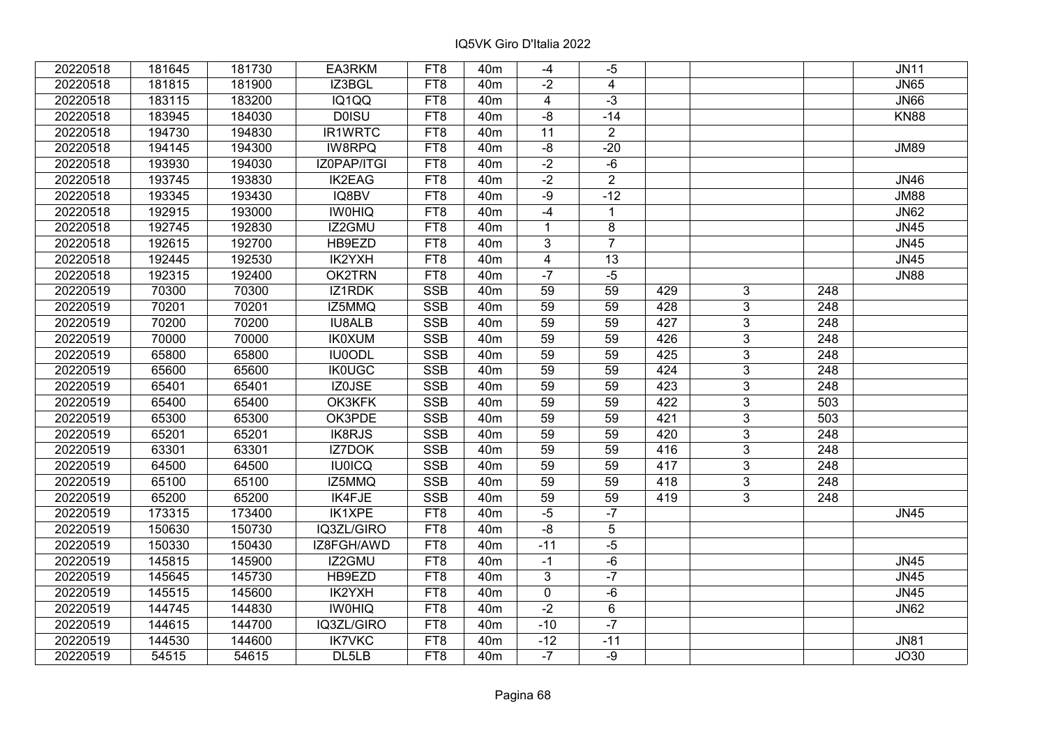| 20220518 | 181645 | 181730 | EA3RKM        | FT <sub>8</sub> | 40 <sub>m</sub> | $-4$            | $-5$                    |     |                |                  | <b>JN11</b> |
|----------|--------|--------|---------------|-----------------|-----------------|-----------------|-------------------------|-----|----------------|------------------|-------------|
| 20220518 | 181815 | 181900 | IZ3BGL        | FT8             | 40 <sub>m</sub> | $-2$            | $\overline{\mathbf{4}}$ |     |                |                  | <b>JN65</b> |
| 20220518 | 183115 | 183200 | IQ1QQ         | FT8             | 40 <sub>m</sub> | $\overline{4}$  | $-3$                    |     |                |                  | <b>JN66</b> |
| 20220518 | 183945 | 184030 | <b>DOISU</b>  | FT8             | 40 <sub>m</sub> | $-8$            | $-14$                   |     |                |                  | <b>KN88</b> |
| 20220518 | 194730 | 194830 | IR1WRTC       | FT8             | 40 <sub>m</sub> | 11              | $\overline{2}$          |     |                |                  |             |
| 20220518 | 194145 | 194300 | IW8RPQ        | FT <sub>8</sub> | 40 <sub>m</sub> | $-\sqrt{8}$     | $-20$                   |     |                |                  | <b>JM89</b> |
| 20220518 | 193930 | 194030 | IZ0PAP/ITGI   | FT8             | 40 <sub>m</sub> | $-2$            | $-6$                    |     |                |                  |             |
| 20220518 | 193745 | 193830 | <b>IK2EAG</b> | FT8             | 40 <sub>m</sub> | $-2$            | $\overline{2}$          |     |                |                  | <b>JN46</b> |
| 20220518 | 193345 | 193430 | IQ8BV         | FT <sub>8</sub> | 40 <sub>m</sub> | $-9$            | $-12$                   |     |                |                  | <b>JM88</b> |
| 20220518 | 192915 | 193000 | <b>IWOHIQ</b> | FT8             | 40 <sub>m</sub> | $-4$            | $\overline{1}$          |     |                |                  | <b>JN62</b> |
| 20220518 | 192745 | 192830 | IZ2GMU        | FT8             | 40 <sub>m</sub> | $\mathbf{1}$    | 8                       |     |                |                  | <b>JN45</b> |
| 20220518 | 192615 | 192700 | HB9EZD        | FT <sub>8</sub> | 40 <sub>m</sub> | $\overline{3}$  | $\overline{7}$          |     |                |                  | <b>JN45</b> |
| 20220518 | 192445 | 192530 | IK2YXH        | FT <sub>8</sub> | 40 <sub>m</sub> | 4               | 13                      |     |                |                  | <b>JN45</b> |
| 20220518 | 192315 | 192400 | OK2TRN        | FT8             | 40 <sub>m</sub> | $-7$            | $-5$                    |     |                |                  | <b>JN88</b> |
| 20220519 | 70300  | 70300  | IZ1RDK        | <b>SSB</b>      | 40 <sub>m</sub> | 59              | 59                      | 429 | 3              | 248              |             |
| 20220519 | 70201  | 70201  | IZ5MMQ        | <b>SSB</b>      | 40 <sub>m</sub> | 59              | 59                      | 428 | 3              | 248              |             |
| 20220519 | 70200  | 70200  | <b>IU8ALB</b> | <b>SSB</b>      | 40 <sub>m</sub> | 59              | 59                      | 427 | 3              | 248              |             |
| 20220519 | 70000  | 70000  | <b>IK0XUM</b> | <b>SSB</b>      | 40 <sub>m</sub> | 59              | 59                      | 426 | 3              | 248              |             |
| 20220519 | 65800  | 65800  | <b>IU0ODL</b> | <b>SSB</b>      | 40 <sub>m</sub> | 59              | 59                      | 425 | 3              | 248              |             |
| 20220519 | 65600  | 65600  | <b>IK0UGC</b> | <b>SSB</b>      | 40 <sub>m</sub> | 59              | 59                      | 424 | $\overline{3}$ | 248              |             |
| 20220519 | 65401  | 65401  | IZ0JSE        | <b>SSB</b>      | 40 <sub>m</sub> | 59              | 59                      | 423 | $\overline{3}$ | 248              |             |
| 20220519 | 65400  | 65400  | OK3KFK        | <b>SSB</b>      | 40 <sub>m</sub> | 59              | 59                      | 422 | 3              | 503              |             |
| 20220519 | 65300  | 65300  | OK3PDE        | <b>SSB</b>      | 40 <sub>m</sub> | 59              | 59                      | 421 | $\overline{3}$ | $\overline{503}$ |             |
| 20220519 | 65201  | 65201  | <b>IK8RJS</b> | <b>SSB</b>      | 40 <sub>m</sub> | 59              | 59                      | 420 | 3              | 248              |             |
| 20220519 | 63301  | 63301  | IZ7DOK        | <b>SSB</b>      | 40 <sub>m</sub> | 59              | 59                      | 416 | 3              | 248              |             |
| 20220519 | 64500  | 64500  | <b>IU0ICQ</b> | <b>SSB</b>      | 40 <sub>m</sub> | $\overline{59}$ | 59                      | 417 | $\overline{3}$ | $\overline{248}$ |             |
| 20220519 | 65100  | 65100  | IZ5MMQ        | <b>SSB</b>      | 40 <sub>m</sub> | $\overline{59}$ | 59                      | 418 | $\overline{3}$ | $\overline{248}$ |             |
| 20220519 | 65200  | 65200  | IK4FJE        | <b>SSB</b>      | 40 <sub>m</sub> | 59              | 59                      | 419 | 3              | 248              |             |
| 20220519 | 173315 | 173400 | <b>IK1XPE</b> | FT8             | 40 <sub>m</sub> | $-5$            | $-7$                    |     |                |                  | <b>JN45</b> |
| 20220519 | 150630 | 150730 | IQ3ZL/GIRO    | FT <sub>8</sub> | 40 <sub>m</sub> | $-8$            | $\overline{5}$          |     |                |                  |             |
| 20220519 | 150330 | 150430 | IZ8FGH/AWD    | FT8             | 40 <sub>m</sub> | $-11$           | $-5$                    |     |                |                  |             |
| 20220519 | 145815 | 145900 | IZ2GMU        | FT8             | 40 <sub>m</sub> | $-1$            | $-6$                    |     |                |                  | <b>JN45</b> |
| 20220519 | 145645 | 145730 | HB9EZD        | FT8             | 40 <sub>m</sub> | 3               | $-7$                    |     |                |                  | <b>JN45</b> |
| 20220519 | 145515 | 145600 | IK2YXH        | FT8             | 40 <sub>m</sub> | $\mathbf 0$     | $-6$                    |     |                |                  | <b>JN45</b> |
| 20220519 | 144745 | 144830 | <b>IWOHIQ</b> | FT8             | 40 <sub>m</sub> | $-2$            | 6                       |     |                |                  | <b>JN62</b> |
| 20220519 | 144615 | 144700 | IQ3ZL/GIRO    | FT8             | 40 <sub>m</sub> | $-10$           | $-7$                    |     |                |                  |             |
| 20220519 | 144530 | 144600 | <b>IK7VKC</b> | FT8             | 40 <sub>m</sub> | $-12$           | $-11$                   |     |                |                  | <b>JN81</b> |
| 20220519 | 54515  | 54615  | DL5LB         | FT8             | 40 <sub>m</sub> | $-7$            | -9                      |     |                |                  | <b>JO30</b> |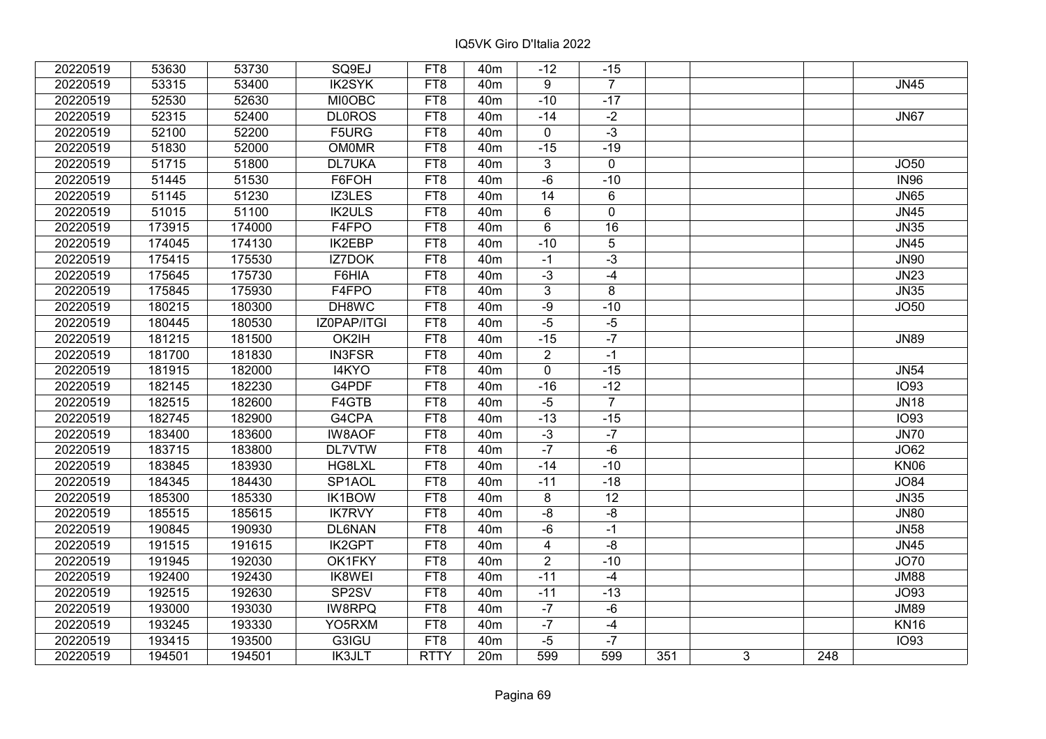| 20220519 | 53630  | 53730  | SQ9EJ               | FT8             | 40 <sub>m</sub> | $-12$                   | $-15$          |     |   |     |             |
|----------|--------|--------|---------------------|-----------------|-----------------|-------------------------|----------------|-----|---|-----|-------------|
| 20220519 | 53315  | 53400  | <b>IK2SYK</b>       | FT8             | 40 <sub>m</sub> | 9                       | $\overline{7}$ |     |   |     | <b>JN45</b> |
| 20220519 | 52530  | 52630  | <b>MI0OBC</b>       | FT8             | 40 <sub>m</sub> | $-10$                   | $-17$          |     |   |     |             |
| 20220519 | 52315  | 52400  | <b>DL0ROS</b>       | FT8             | 40 <sub>m</sub> | $-14$                   | $-2$           |     |   |     | <b>JN67</b> |
| 20220519 | 52100  | 52200  | F5URG               | FT8             | 40 <sub>m</sub> | $\mathbf 0$             | $-3$           |     |   |     |             |
| 20220519 | 51830  | 52000  | <b>OM0MR</b>        | FT8             | 40 <sub>m</sub> | $-15$                   | $-19$          |     |   |     |             |
| 20220519 | 51715  | 51800  | <b>DL7UKA</b>       | FT8             | 40 <sub>m</sub> | 3                       | 0              |     |   |     | JO50        |
| 20220519 | 51445  | 51530  | F6FOH               | FT8             | 40 <sub>m</sub> | $-6$                    | $-10$          |     |   |     | <b>IN96</b> |
| 20220519 | 51145  | 51230  | IZ3LES              | FT <sub>8</sub> | 40m             | 14                      | 6              |     |   |     | <b>JN65</b> |
| 20220519 | 51015  | 51100  | <b>IK2ULS</b>       | FT8             | 40 <sub>m</sub> | $6\overline{6}$         | $\overline{0}$ |     |   |     | JN45        |
| 20220519 | 173915 | 174000 | F4FPO               | FT8             | 40 <sub>m</sub> | 6                       | 16             |     |   |     | <b>JN35</b> |
| 20220519 | 174045 | 174130 | <b>IK2EBP</b>       | FT <sub>8</sub> | 40m             | $-10$                   | 5              |     |   |     | <b>JN45</b> |
| 20220519 | 175415 | 175530 | IZ7DOK              | FT8             | 40 <sub>m</sub> | $-1$                    | $-3$           |     |   |     | <b>JN90</b> |
| 20220519 | 175645 | 175730 | F6HIA               | FT8             | 40 <sub>m</sub> | $-3$                    | $-4$           |     |   |     | <b>JN23</b> |
| 20220519 | 175845 | 175930 | F4FPO               | FT8             | 40m             | 3                       | 8              |     |   |     | <b>JN35</b> |
| 20220519 | 180215 | 180300 | DH8WC               | FT8             | 40 <sub>m</sub> | $-9$                    | $-10$          |     |   |     | JO50        |
| 20220519 | 180445 | 180530 | IZ0PAP/ITGI         | FT8             | 40 <sub>m</sub> | $-5$                    | $-5$           |     |   |     |             |
| 20220519 | 181215 | 181500 | OK2IH               | FT8             | 40 <sub>m</sub> | $-15$                   | $-7$           |     |   |     | <b>JN89</b> |
| 20220519 | 181700 | 181830 | <b>IN3FSR</b>       | FT8             | 40 <sub>m</sub> | $\overline{2}$          | $-1$           |     |   |     |             |
| 20220519 | 181915 | 182000 | I4KYO               | FT8             | 40 <sub>m</sub> | $\overline{0}$          | $-15$          |     |   |     | <b>JN54</b> |
| 20220519 | 182145 | 182230 | G4PDF               | FT8             | 40m             | $-16$                   | $-12$          |     |   |     | <b>IO93</b> |
| 20220519 | 182515 | 182600 | F4GTB               | FT8             | 40m             | $-5$                    | $\overline{7}$ |     |   |     | <b>JN18</b> |
| 20220519 | 182745 | 182900 | G4CPA               | FT8             | 40 <sub>m</sub> | $-13$                   | $-15$          |     |   |     | <b>IO93</b> |
| 20220519 | 183400 | 183600 | <b>IW8AOF</b>       | FT8             | 40 <sub>m</sub> | $-3$                    | $-7$           |     |   |     | <b>JN70</b> |
| 20220519 | 183715 | 183800 | <b>DL7VTW</b>       | FT8             | 40m             | $-7$                    | $-6$           |     |   |     | JO62        |
| 20220519 | 183845 | 183930 | HG8LXL              | FT8             | 40 <sub>m</sub> | $-14$                   | $-10$          |     |   |     | <b>KN06</b> |
| 20220519 | 184345 | 184430 | SP <sub>1</sub> AOL | FT8             | 40 <sub>m</sub> | $-11$                   | $-18$          |     |   |     | <b>JO84</b> |
| 20220519 | 185300 | 185330 | IK1BOW              | FT8             | 40 <sub>m</sub> | 8                       | 12             |     |   |     | <b>JN35</b> |
| 20220519 | 185515 | 185615 | <b>IK7RVY</b>       | FT8             | 40 <sub>m</sub> | -8                      | $-8$           |     |   |     | <b>JN80</b> |
| 20220519 | 190845 | 190930 | <b>DL6NAN</b>       | FT <sub>8</sub> | 40 <sub>m</sub> | $-6$                    | $-1$           |     |   |     | JN58        |
| 20220519 | 191515 | 191615 | <b>IK2GPT</b>       | FT <sub>8</sub> | 40 <sub>m</sub> | $\overline{\mathbf{4}}$ | $-8$           |     |   |     | <b>JN45</b> |
| 20220519 | 191945 | 192030 | OK1FKY              | FT <sub>8</sub> | 40 <sub>m</sub> | $\overline{2}$          | $-10$          |     |   |     | <b>JO70</b> |
| 20220519 | 192400 | 192430 | <b>IK8WEI</b>       | FT8             | 40 <sub>m</sub> | $-11$                   | $-4$           |     |   |     | <b>JM88</b> |
| 20220519 | 192515 | 192630 | SP2SV               | FT8             | 40 <sub>m</sub> | $-11$                   | $-13$          |     |   |     | <b>JO93</b> |
| 20220519 | 193000 | 193030 | IW8RPQ              | FT8             | 40 <sub>m</sub> | $-7$                    | $-6$           |     |   |     | <b>JM89</b> |
| 20220519 | 193245 | 193330 | YO5RXM              | FT8             | 40 <sub>m</sub> | $-7$                    | $-4$           |     |   |     | <b>KN16</b> |
| 20220519 | 193415 | 193500 | G3IGU               | FT8             | 40 <sub>m</sub> | $-5$                    | $-7$           |     |   |     | <b>IO93</b> |
| 20220519 | 194501 | 194501 | <b>IK3JLT</b>       | <b>RTTY</b>     | 20 <sub>m</sub> | 599                     | 599            | 351 | 3 | 248 |             |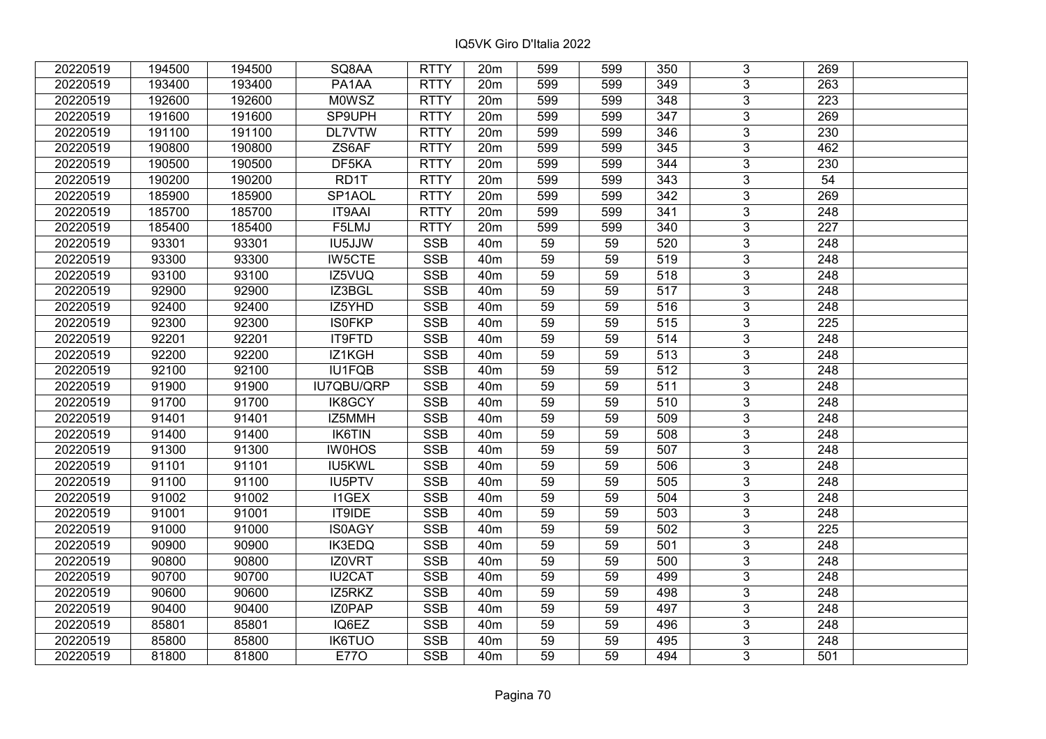| 20220519 | 194500 | 194500 | SQ8AA               | <b>RTTY</b> | 20 <sub>m</sub> | 599             | 599 | 350 | 3              | 269              |  |
|----------|--------|--------|---------------------|-------------|-----------------|-----------------|-----|-----|----------------|------------------|--|
| 20220519 | 193400 | 193400 | PA1AA               | <b>RTTY</b> | 20m             | 599             | 599 | 349 | 3              | 263              |  |
| 20220519 | 192600 | 192600 | <b>MOWSZ</b>        | <b>RTTY</b> | 20m             | 599             | 599 | 348 | $\overline{3}$ | 223              |  |
| 20220519 | 191600 | 191600 | SP9UPH              | <b>RTTY</b> | 20m             | 599             | 599 | 347 | $\overline{3}$ | 269              |  |
| 20220519 | 191100 | 191100 | <b>DL7VTW</b>       | <b>RTTY</b> | 20m             | 599             | 599 | 346 | $\overline{3}$ | 230              |  |
| 20220519 | 190800 | 190800 | ZS6AF               | <b>RTTY</b> | 20m             | 599             | 599 | 345 | $\overline{3}$ | 462              |  |
| 20220519 | 190500 | 190500 | DF5KA               | <b>RTTY</b> | 20m             | 599             | 599 | 344 | $\overline{3}$ | 230              |  |
| 20220519 | 190200 | 190200 | RD1T                | <b>RTTY</b> | 20m             | 599             | 599 | 343 | $\overline{3}$ | 54               |  |
| 20220519 | 185900 | 185900 | SP <sub>1</sub> AOL | <b>RTTY</b> | 20m             | 599             | 599 | 342 | $\overline{3}$ | 269              |  |
| 20220519 | 185700 | 185700 | <b>IT9AAI</b>       | <b>RTTY</b> | 20m             | 599             | 599 | 341 | $\overline{3}$ | 248              |  |
| 20220519 | 185400 | 185400 | F5LMJ               | <b>RTTY</b> | 20m             | 599             | 599 | 340 | 3              | 227              |  |
| 20220519 | 93301  | 93301  | <b>IU5JJW</b>       | <b>SSB</b>  | 40 <sub>m</sub> | $\overline{59}$ | 59  | 520 | $\overline{3}$ | 248              |  |
| 20220519 | 93300  | 93300  | <b>IW5CTE</b>       | <b>SSB</b>  | 40 <sub>m</sub> | 59              | 59  | 519 | 3              | 248              |  |
| 20220519 | 93100  | 93100  | IZ5VUQ              | <b>SSB</b>  | 40 <sub>m</sub> | 59              | 59  | 518 | 3              | 248              |  |
| 20220519 | 92900  | 92900  | IZ3BGL              | <b>SSB</b>  | 40 <sub>m</sub> | 59              | 59  | 517 | $\overline{3}$ | $\overline{248}$ |  |
| 20220519 | 92400  | 92400  | IZ5YHD              | <b>SSB</b>  | 40 <sub>m</sub> | 59              | 59  | 516 | 3              | 248              |  |
| 20220519 | 92300  | 92300  | <b>ISOFKP</b>       | <b>SSB</b>  | 40 <sub>m</sub> | 59              | 59  | 515 | 3              | 225              |  |
| 20220519 | 92201  | 92201  | IT9FTD              | <b>SSB</b>  | 40 <sub>m</sub> | 59              | 59  | 514 | 3              | 248              |  |
| 20220519 | 92200  | 92200  | IZ1KGH              | <b>SSB</b>  | 40 <sub>m</sub> | 59              | 59  | 513 | $\overline{3}$ | 248              |  |
| 20220519 | 92100  | 92100  | <b>IU1FQB</b>       | <b>SSB</b>  | 40 <sub>m</sub> | 59              | 59  | 512 | $\overline{3}$ | 248              |  |
| 20220519 | 91900  | 91900  | IU7QBU/QRP          | <b>SSB</b>  | 40 <sub>m</sub> | 59              | 59  | 511 | $\overline{3}$ | 248              |  |
| 20220519 | 91700  | 91700  | <b>IK8GCY</b>       | <b>SSB</b>  | 40 <sub>m</sub> | 59              | 59  | 510 | $\overline{3}$ | 248              |  |
| 20220519 | 91401  | 91401  | IZ5MMH              | <b>SSB</b>  | 40 <sub>m</sub> | 59              | 59  | 509 | 3              | 248              |  |
| 20220519 | 91400  | 91400  | IK6TIN              | <b>SSB</b>  | 40 <sub>m</sub> | 59              | 59  | 508 | $\overline{3}$ | 248              |  |
| 20220519 | 91300  | 91300  | <b>IW0HOS</b>       | <b>SSB</b>  | 40 <sub>m</sub> | 59              | 59  | 507 | $\overline{3}$ | 248              |  |
| 20220519 | 91101  | 91101  | IU5KWL              | <b>SSB</b>  | 40 <sub>m</sub> | 59              | 59  | 506 | $\overline{3}$ | 248              |  |
| 20220519 | 91100  | 91100  | IU5PTV              | <b>SSB</b>  | 40 <sub>m</sub> | $\overline{59}$ | 59  | 505 | $\overline{3}$ | $\overline{248}$ |  |
| 20220519 | 91002  | 91002  | <b>I1GEX</b>        | <b>SSB</b>  | 40 <sub>m</sub> | 59              | 59  | 504 | $\overline{3}$ | 248              |  |
| 20220519 | 91001  | 91001  | IT9IDE              | <b>SSB</b>  | 40 <sub>m</sub> | 59              | 59  | 503 | $\overline{3}$ | 248              |  |
| 20220519 | 91000  | 91000  | <b>IS0AGY</b>       | SSB         | 40 <sub>m</sub> | $\overline{59}$ | 59  | 502 | $\overline{3}$ | 225              |  |
| 20220519 | 90900  | 90900  | <b>IK3EDQ</b>       | <b>SSB</b>  | 40 <sub>m</sub> | 59              | 59  | 501 | $\overline{3}$ | 248              |  |
| 20220519 | 90800  | 90800  | IZ0VRT              | <b>SSB</b>  | 40 <sub>m</sub> | 59              | 59  | 500 | $\overline{3}$ | 248              |  |
| 20220519 | 90700  | 90700  | <b>IU2CAT</b>       | <b>SSB</b>  | 40 <sub>m</sub> | 59              | 59  | 499 | 3              | 248              |  |
| 20220519 | 90600  | 90600  | IZ5RKZ              | <b>SSB</b>  | 40 <sub>m</sub> | 59              | 59  | 498 | $\overline{3}$ | 248              |  |
| 20220519 | 90400  | 90400  | IZ0PAP              | <b>SSB</b>  | 40 <sub>m</sub> | 59              | 59  | 497 | $\overline{3}$ | 248              |  |
| 20220519 | 85801  | 85801  | IQ6EZ               | <b>SSB</b>  | 40 <sub>m</sub> | 59              | 59  | 496 | 3              | 248              |  |
| 20220519 | 85800  | 85800  | <b>IK6TUO</b>       | <b>SSB</b>  | 40 <sub>m</sub> | 59              | 59  | 495 | 3              | 248              |  |
| 20220519 | 81800  | 81800  | <b>E770</b>         | <b>SSB</b>  | 40 <sub>m</sub> | 59              | 59  | 494 | 3              | 501              |  |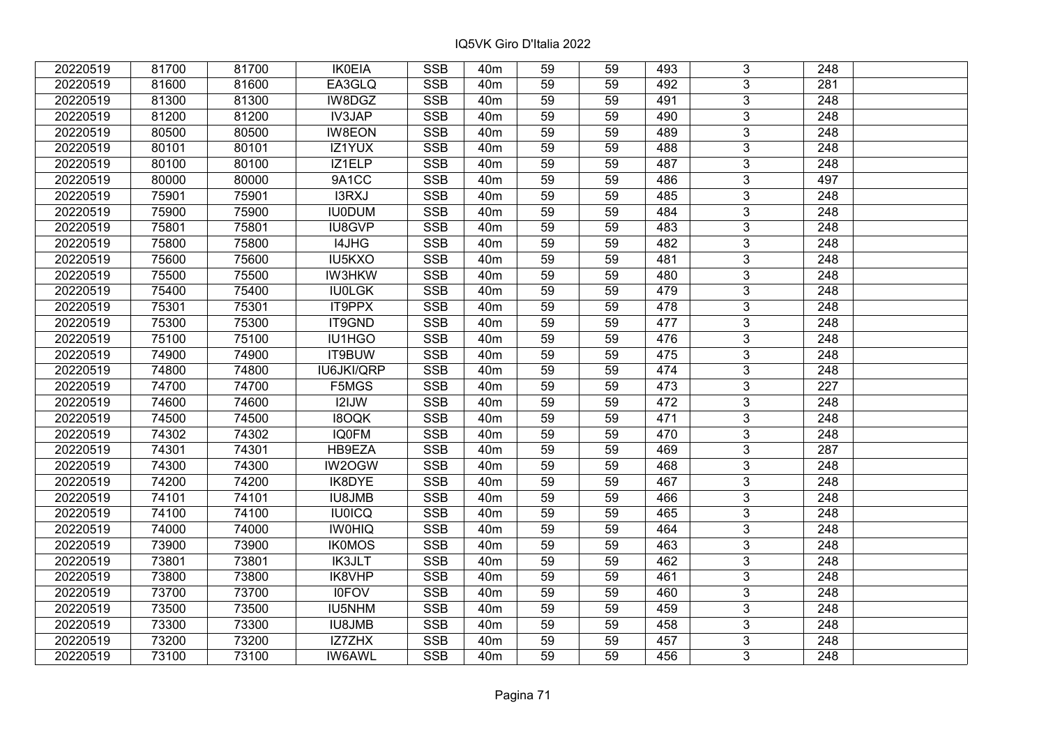| 20220519 | 81700 | 81700 | <b>IK0EIA</b> | <b>SSB</b>              | 40 <sub>m</sub> | 59              | 59 | 493 | 3              | 248              |  |
|----------|-------|-------|---------------|-------------------------|-----------------|-----------------|----|-----|----------------|------------------|--|
| 20220519 | 81600 | 81600 | EA3GLQ        | <b>SSB</b>              | 40 <sub>m</sub> | 59              | 59 | 492 | 3              | 281              |  |
| 20220519 | 81300 | 81300 | IW8DGZ        | <b>SSB</b>              | 40 <sub>m</sub> | 59              | 59 | 491 | $\overline{3}$ | 248              |  |
| 20220519 | 81200 | 81200 | <b>IV3JAP</b> | <b>SSB</b>              | 40 <sub>m</sub> | 59              | 59 | 490 | $\overline{3}$ | 248              |  |
| 20220519 | 80500 | 80500 | <b>IW8EON</b> | <b>SSB</b>              | 40 <sub>m</sub> | 59              | 59 | 489 | $\overline{3}$ | 248              |  |
| 20220519 | 80101 | 80101 | IZ1YUX        | <b>SSB</b>              | 40 <sub>m</sub> | 59              | 59 | 488 | $\overline{3}$ | 248              |  |
| 20220519 | 80100 | 80100 | IZ1ELP        | <b>SSB</b>              | 40m             | 59              | 59 | 487 | $\overline{3}$ | 248              |  |
| 20220519 | 80000 | 80000 | 9A1CC         | <b>SSB</b>              | 40 <sub>m</sub> | 59              | 59 | 486 | $\overline{3}$ | 497              |  |
| 20220519 | 75901 | 75901 | <b>I3RXJ</b>  | <b>SSB</b>              | 40 <sub>m</sub> | 59              | 59 | 485 | $\overline{3}$ | 248              |  |
| 20220519 | 75900 | 75900 | <b>IU0DUM</b> | <b>SSB</b>              | 40 <sub>m</sub> | 59              | 59 | 484 | $\overline{3}$ | 248              |  |
| 20220519 | 75801 | 75801 | IU8GVP        | <b>SSB</b>              | 40 <sub>m</sub> | 59              | 59 | 483 | $\overline{3}$ | 248              |  |
| 20220519 | 75800 | 75800 | I4JHG         | <b>SSB</b>              | 40 <sub>m</sub> | 59              | 59 | 482 | $\overline{3}$ | 248              |  |
| 20220519 | 75600 | 75600 | IU5KXO        | <b>SSB</b>              | 40 <sub>m</sub> | 59              | 59 | 481 | $\overline{3}$ | 248              |  |
| 20220519 | 75500 | 75500 | <b>IW3HKW</b> | <b>SSB</b>              | 40 <sub>m</sub> | 59              | 59 | 480 | $\overline{3}$ | 248              |  |
| 20220519 | 75400 | 75400 | <b>IU0LGK</b> | <b>SSB</b>              | 40 <sub>m</sub> | 59              | 59 | 479 | 3              | 248              |  |
| 20220519 | 75301 | 75301 | IT9PPX        | <b>SSB</b>              | 40 <sub>m</sub> | 59              | 59 | 478 | 3              | 248              |  |
| 20220519 | 75300 | 75300 | IT9GND        | <b>SSB</b>              | 40 <sub>m</sub> | 59              | 59 | 477 | 3              | 248              |  |
| 20220519 | 75100 | 75100 | IU1HGO        | <b>SSB</b>              | 40 <sub>m</sub> | 59              | 59 | 476 | 3              | 248              |  |
| 20220519 | 74900 | 74900 | IT9BUW        | <b>SSB</b>              | 40 <sub>m</sub> | 59              | 59 | 475 | $\overline{3}$ | 248              |  |
| 20220519 | 74800 | 74800 | IU6JKI/QRP    | <b>SSB</b>              | 40 <sub>m</sub> | 59              | 59 | 474 | $\overline{3}$ | 248              |  |
| 20220519 | 74700 | 74700 | F5MGS         | SSB                     | 40 <sub>m</sub> | 59              | 59 | 473 | $\overline{3}$ | 227              |  |
| 20220519 | 74600 | 74600 | I2IJW         | <b>SSB</b>              | 40 <sub>m</sub> | 59              | 59 | 472 | $\overline{3}$ | 248              |  |
| 20220519 | 74500 | 74500 | <b>I8OQK</b>  | <b>SSB</b>              | 40 <sub>m</sub> | 59              | 59 | 471 | $\overline{3}$ | 248              |  |
| 20220519 | 74302 | 74302 | <b>IQ0FM</b>  | <b>SSB</b>              | 40 <sub>m</sub> | 59              | 59 | 470 | $\overline{3}$ | 248              |  |
| 20220519 | 74301 | 74301 | HB9EZA        | <b>SSB</b>              | 40 <sub>m</sub> | 59              | 59 | 469 | $\overline{3}$ | 287              |  |
| 20220519 | 74300 | 74300 | IW2OGW        | SSB                     | 40 <sub>m</sub> | $\overline{59}$ | 59 | 468 | $\overline{3}$ | $\overline{248}$ |  |
| 20220519 | 74200 | 74200 | IK8DYE        | <b>SSB</b>              | 40 <sub>m</sub> | 59              | 59 | 467 | $\overline{3}$ | $\overline{248}$ |  |
| 20220519 | 74101 | 74101 | <b>IU8JMB</b> | <b>SSB</b>              | 40 <sub>m</sub> | 59              | 59 | 466 | 3              | 248              |  |
| 20220519 | 74100 | 74100 | <b>IU0ICQ</b> | <b>SSB</b>              | 40 <sub>m</sub> | 59              | 59 | 465 | $\overline{3}$ | $\overline{248}$ |  |
| 20220519 | 74000 | 74000 | <b>IWOHIQ</b> | <b>SSB</b>              | 40 <sub>m</sub> | 59              | 59 | 464 | $\overline{3}$ | $\overline{248}$ |  |
| 20220519 | 73900 | 73900 | <b>IK0MOS</b> | <b>SSB</b>              | 40 <sub>m</sub> | 59              | 59 | 463 | $\overline{3}$ | 248              |  |
| 20220519 | 73801 | 73801 | <b>IK3JLT</b> | <b>SSB</b>              | 40 <sub>m</sub> | 59              | 59 | 462 | $\overline{3}$ | 248              |  |
| 20220519 | 73800 | 73800 | IK8VHP        | <b>SSB</b>              | 40 <sub>m</sub> | 59              | 59 | 461 | 3              | 248              |  |
| 20220519 | 73700 | 73700 | <b>I0FOV</b>  | <b>SSB</b>              | 40 <sub>m</sub> | 59              | 59 | 460 | 3              | 248              |  |
| 20220519 | 73500 | 73500 | <b>IU5NHM</b> | <b>SSB</b>              | 40 <sub>m</sub> | 59              | 59 | 459 | $\overline{3}$ | 248              |  |
| 20220519 | 73300 | 73300 | <b>IU8JMB</b> | <b>SSB</b>              | 40 <sub>m</sub> | 59              | 59 | 458 | 3              | 248              |  |
| 20220519 | 73200 | 73200 | IZ7ZHX        | $\overline{\text{SSB}}$ | 40 <sub>m</sub> | 59              | 59 | 457 | $\overline{3}$ | 248              |  |
| 20220519 | 73100 | 73100 | <b>IW6AWL</b> | <b>SSB</b>              | 40 <sub>m</sub> | 59              | 59 | 456 | $\overline{3}$ | 248              |  |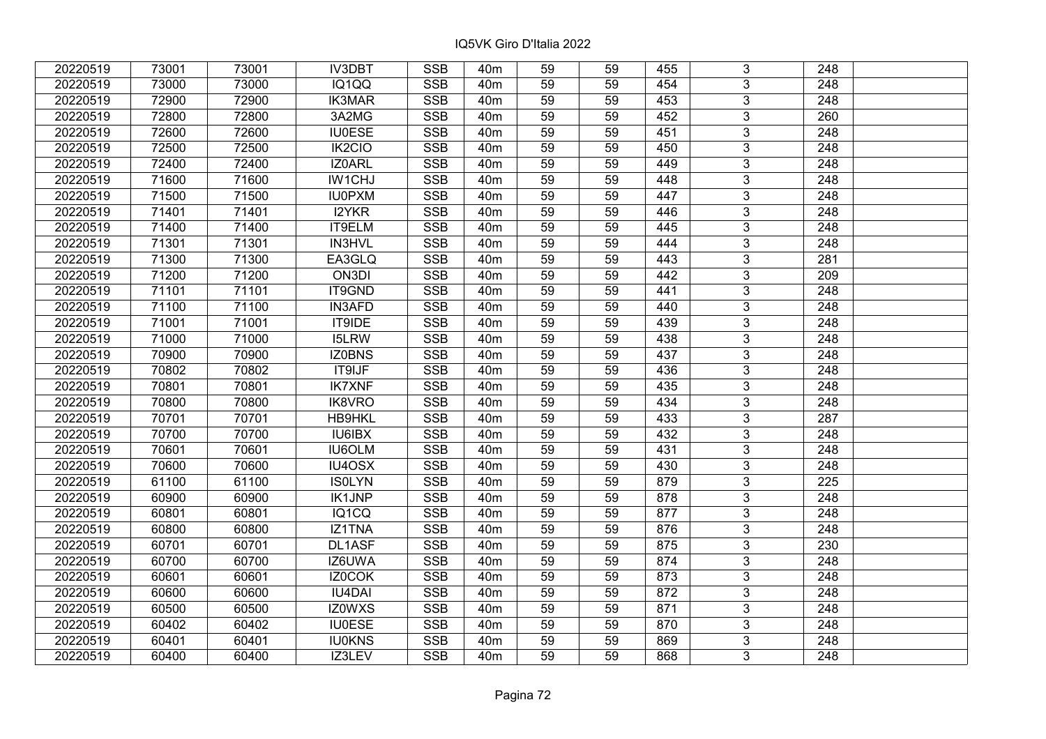| 20220519 | 73001 | 73001 | <b>IV3DBT</b>       | <b>SSB</b> | 40 <sub>m</sub> | 59              | 59 | 455 | 3              | 248              |  |
|----------|-------|-------|---------------------|------------|-----------------|-----------------|----|-----|----------------|------------------|--|
| 20220519 | 73000 | 73000 | IQ1QQ               | <b>SSB</b> | 40 <sub>m</sub> | 59              | 59 | 454 | 3              | 248              |  |
| 20220519 | 72900 | 72900 | <b>IK3MAR</b>       | <b>SSB</b> | 40 <sub>m</sub> | 59              | 59 | 453 | $\overline{3}$ | 248              |  |
| 20220519 | 72800 | 72800 | 3A2MG               | <b>SSB</b> | 40 <sub>m</sub> | 59              | 59 | 452 | $\overline{3}$ | 260              |  |
| 20220519 | 72600 | 72600 | <b>IU0ESE</b>       | <b>SSB</b> | 40 <sub>m</sub> | 59              | 59 | 451 | $\overline{3}$ | 248              |  |
| 20220519 | 72500 | 72500 | IK <sub>2</sub> CIO | SSB        | 40 <sub>m</sub> | 59              | 59 | 450 | $\overline{3}$ | 248              |  |
| 20220519 | 72400 | 72400 | IZ0ARL              | <b>SSB</b> | 40 <sub>m</sub> | 59              | 59 | 449 | $\overline{3}$ | 248              |  |
| 20220519 | 71600 | 71600 | <b>IW1CHJ</b>       | <b>SSB</b> | 40 <sub>m</sub> | 59              | 59 | 448 | $\overline{3}$ | 248              |  |
| 20220519 | 71500 | 71500 | <b>IU0PXM</b>       | <b>SSB</b> | 40 <sub>m</sub> | 59              | 59 | 447 | $\overline{3}$ | 248              |  |
| 20220519 | 71401 | 71401 | I2YKR               | <b>SSB</b> | 40 <sub>m</sub> | 59              | 59 | 446 | $\overline{3}$ | 248              |  |
| 20220519 | 71400 | 71400 | IT9ELM              | <b>SSB</b> | 40 <sub>m</sub> | 59              | 59 | 445 | $\overline{3}$ | 248              |  |
| 20220519 | 71301 | 71301 | IN3HVL              | <b>SSB</b> | 40 <sub>m</sub> | 59              | 59 | 444 | $\overline{3}$ | 248              |  |
| 20220519 | 71300 | 71300 | EA3GLQ              | <b>SSB</b> | 40 <sub>m</sub> | 59              | 59 | 443 | 3              | 281              |  |
| 20220519 | 71200 | 71200 | ON3DI               | <b>SSB</b> | 40 <sub>m</sub> | 59              | 59 | 442 | $\overline{3}$ | $\overline{209}$ |  |
| 20220519 | 71101 | 71101 | IT9GND              | <b>SSB</b> | 40 <sub>m</sub> | 59              | 59 | 441 | 3              | 248              |  |
| 20220519 | 71100 | 71100 | <b>IN3AFD</b>       | <b>SSB</b> | 40 <sub>m</sub> | 59              | 59 | 440 | 3              | 248              |  |
| 20220519 | 71001 | 71001 | IT9IDE              | <b>SSB</b> | 40 <sub>m</sub> | 59              | 59 | 439 | $\overline{3}$ | 248              |  |
| 20220519 | 71000 | 71000 | <b>I5LRW</b>        | <b>SSB</b> | 40 <sub>m</sub> | 59              | 59 | 438 | $\overline{3}$ | 248              |  |
| 20220519 | 70900 | 70900 | <b>IZ0BNS</b>       | <b>SSB</b> | 40 <sub>m</sub> | 59              | 59 | 437 | 3              | 248              |  |
| 20220519 | 70802 | 70802 | <b>IT9IJF</b>       | <b>SSB</b> | 40 <sub>m</sub> | 59              | 59 | 436 | $\overline{3}$ | 248              |  |
| 20220519 | 70801 | 70801 | <b>IK7XNF</b>       | <b>SSB</b> | 40 <sub>m</sub> | 59              | 59 | 435 | $\overline{3}$ | 248              |  |
| 20220519 | 70800 | 70800 | <b>IK8VRO</b>       | <b>SSB</b> | 40 <sub>m</sub> | 59              | 59 | 434 | $\overline{3}$ | 248              |  |
| 20220519 | 70701 | 70701 | HB9HKL              | <b>SSB</b> | 40 <sub>m</sub> | 59              | 59 | 433 | $\overline{3}$ | 287              |  |
| 20220519 | 70700 | 70700 | <b>IU6IBX</b>       | <b>SSB</b> | 40 <sub>m</sub> | 59              | 59 | 432 | $\overline{3}$ | 248              |  |
| 20220519 | 70601 | 70601 | <b>IU6OLM</b>       | SSB        | 40 <sub>m</sub> | $\overline{59}$ | 59 | 431 | $\overline{3}$ | 248              |  |
| 20220519 | 70600 | 70600 | IU4OSX              | <b>SSB</b> | 40 <sub>m</sub> | 59              | 59 | 430 | $\overline{3}$ | $\overline{248}$ |  |
| 20220519 | 61100 | 61100 | <b>ISOLYN</b>       | <b>SSB</b> | 40m             | 59              | 59 | 879 | $\overline{3}$ | 225              |  |
| 20220519 | 60900 | 60900 | IK1JNP              | <b>SSB</b> | 40 <sub>m</sub> | 59              | 59 | 878 | $\overline{3}$ | 248              |  |
| 20220519 | 60801 | 60801 | IQ1CQ               | <b>SSB</b> | 40 <sub>m</sub> | $\overline{59}$ | 59 | 877 | $\overline{3}$ | $\overline{248}$ |  |
| 20220519 | 60800 | 60800 | IZ1TNA              | <b>SSB</b> | 40 <sub>m</sub> | 59              | 59 | 876 | $\overline{3}$ | 248              |  |
| 20220519 | 60701 | 60701 | <b>DL1ASF</b>       | <b>SSB</b> | 40 <sub>m</sub> | 59              | 59 | 875 | $\overline{3}$ | 230              |  |
| 20220519 | 60700 | 60700 | IZ6UWA              | <b>SSB</b> | 40 <sub>m</sub> | 59              | 59 | 874 | $\overline{3}$ | 248              |  |
| 20220519 | 60601 | 60601 | IZ0COK              | <b>SSB</b> | 40 <sub>m</sub> | 59              | 59 | 873 | 3              | 248              |  |
| 20220519 | 60600 | 60600 | <b>IU4DAI</b>       | <b>SSB</b> | 40 <sub>m</sub> | 59              | 59 | 872 | $\overline{3}$ | 248              |  |
| 20220519 | 60500 | 60500 | <b>IZ0WXS</b>       | <b>SSB</b> | 40 <sub>m</sub> | 59              | 59 | 871 | $\overline{3}$ | 248              |  |
| 20220519 | 60402 | 60402 | <b>IU0ESE</b>       | <b>SSB</b> | 40 <sub>m</sub> | 59              | 59 | 870 | 3              | 248              |  |
| 20220519 | 60401 | 60401 | <b>IU0KNS</b>       | <b>SSB</b> | 40 <sub>m</sub> | 59              | 59 | 869 | $\overline{3}$ | 248              |  |
| 20220519 | 60400 | 60400 | IZ3LEV              | <b>SSB</b> | 40 <sub>m</sub> | 59              | 59 | 868 | 3              | 248              |  |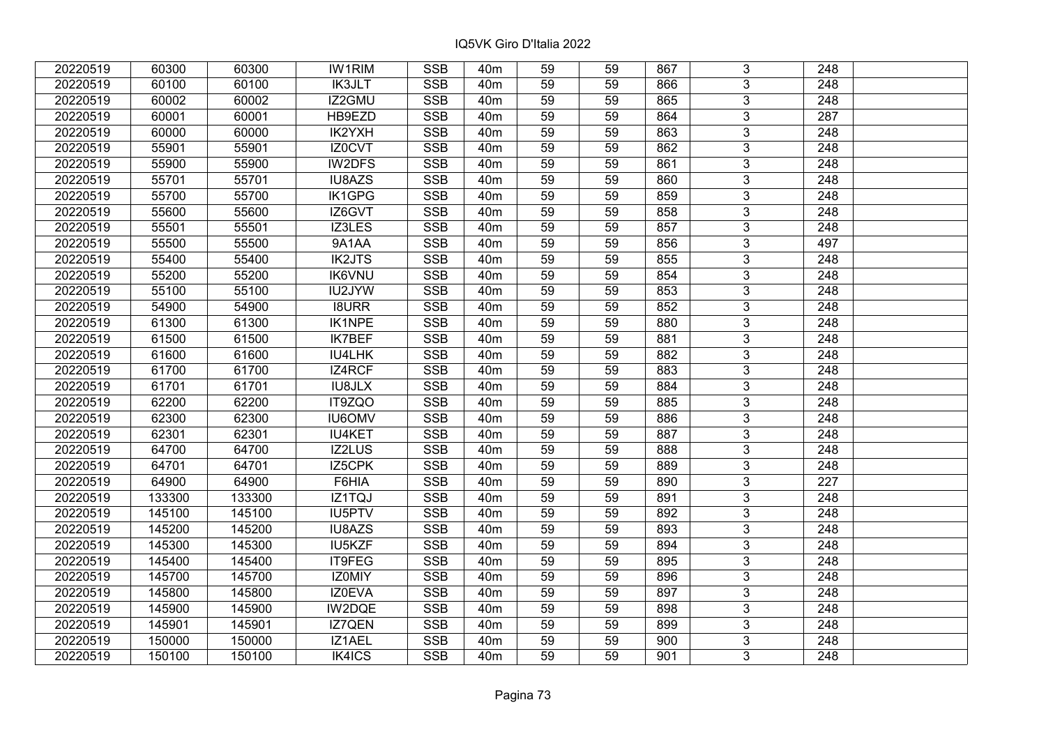| 20220519 | 60300  | 60300  | <b>IW1RIM</b> | <b>SSB</b> | 40m             | 59              | 59 | 867 | 3              | 248              |  |
|----------|--------|--------|---------------|------------|-----------------|-----------------|----|-----|----------------|------------------|--|
| 20220519 | 60100  | 60100  | <b>IK3JLT</b> | <b>SSB</b> | 40 <sub>m</sub> | 59              | 59 | 866 | 3              | 248              |  |
| 20220519 | 60002  | 60002  | IZ2GMU        | <b>SSB</b> | 40 <sub>m</sub> | 59              | 59 | 865 | $\overline{3}$ | 248              |  |
| 20220519 | 60001  | 60001  | HB9EZD        | <b>SSB</b> | 40 <sub>m</sub> | 59              | 59 | 864 | $\overline{3}$ | 287              |  |
| 20220519 | 60000  | 60000  | IK2YXH        | <b>SSB</b> | 40 <sub>m</sub> | 59              | 59 | 863 | 3              | 248              |  |
| 20220519 | 55901  | 55901  | <b>IZ0CVT</b> | SSB        | 40 <sub>m</sub> | 59              | 59 | 862 | $\overline{3}$ | 248              |  |
| 20220519 | 55900  | 55900  | IW2DFS        | <b>SSB</b> | 40 <sub>m</sub> | 59              | 59 | 861 | $\overline{3}$ | 248              |  |
| 20220519 | 55701  | 55701  | IU8AZS        | <b>SSB</b> | 40 <sub>m</sub> | 59              | 59 | 860 | $\overline{3}$ | $\overline{248}$ |  |
| 20220519 | 55700  | 55700  | IK1GPG        | <b>SSB</b> | 40 <sub>m</sub> | 59              | 59 | 859 | $\overline{3}$ | 248              |  |
| 20220519 | 55600  | 55600  | IZ6GVT        | <b>SSB</b> | 40 <sub>m</sub> | 59              | 59 | 858 | $\overline{3}$ | 248              |  |
| 20220519 | 55501  | 55501  | IZ3LES        | <b>SSB</b> | 40 <sub>m</sub> | 59              | 59 | 857 | $\overline{3}$ | 248              |  |
| 20220519 | 55500  | 55500  | 9A1AA         | <b>SSB</b> | 40 <sub>m</sub> | 59              | 59 | 856 | $\overline{3}$ | 497              |  |
| 20220519 | 55400  | 55400  | <b>IK2JTS</b> | <b>SSB</b> | 40 <sub>m</sub> | 59              | 59 | 855 | 3              | 248              |  |
| 20220519 | 55200  | 55200  | <b>IK6VNU</b> | <b>SSB</b> | 40 <sub>m</sub> | 59              | 59 | 854 | $\overline{3}$ | 248              |  |
| 20220519 | 55100  | 55100  | IU2JYW        | <b>SSB</b> | 40 <sub>m</sub> | 59              | 59 | 853 | 3              | 248              |  |
| 20220519 | 54900  | 54900  | <b>I8URR</b>  | <b>SSB</b> | 40 <sub>m</sub> | 59              | 59 | 852 | 3              | 248              |  |
| 20220519 | 61300  | 61300  | <b>IK1NPE</b> | <b>SSB</b> | 40 <sub>m</sub> | 59              | 59 | 880 | 3              | 248              |  |
| 20220519 | 61500  | 61500  | <b>IK7BEF</b> | <b>SSB</b> | 40 <sub>m</sub> | 59              | 59 | 881 | 3              | 248              |  |
| 20220519 | 61600  | 61600  | IU4LHK        | <b>SSB</b> | 40 <sub>m</sub> | 59              | 59 | 882 | 3              | 248              |  |
| 20220519 | 61700  | 61700  | IZ4RCF        | <b>SSB</b> | 40 <sub>m</sub> | 59              | 59 | 883 | $\overline{3}$ | 248              |  |
| 20220519 | 61701  | 61701  | <b>IU8JLX</b> | <b>SSB</b> | 40 <sub>m</sub> | 59              | 59 | 884 | $\overline{3}$ | 248              |  |
| 20220519 | 62200  | 62200  | IT9ZQO        | <b>SSB</b> | 40 <sub>m</sub> | 59              | 59 | 885 | 3              | 248              |  |
| 20220519 | 62300  | 62300  | <b>IU6OMV</b> | <b>SSB</b> | 40 <sub>m</sub> | 59              | 59 | 886 | $\overline{3}$ | 248              |  |
| 20220519 | 62301  | 62301  | <b>IU4KET</b> | <b>SSB</b> | 40 <sub>m</sub> | 59              | 59 | 887 | $\overline{3}$ | 248              |  |
| 20220519 | 64700  | 64700  | IZ2LUS        | <b>SSB</b> | 40 <sub>m</sub> | $\overline{59}$ | 59 | 888 | $\overline{3}$ | 248              |  |
| 20220519 | 64701  | 64701  | IZ5CPK        | <b>SSB</b> | 40 <sub>m</sub> | 59              | 59 | 889 | $\overline{3}$ | 248              |  |
| 20220519 | 64900  | 64900  | F6HIA         | <b>SSB</b> | 40 <sub>m</sub> | 59              | 59 | 890 | 3              | 227              |  |
| 20220519 | 133300 | 133300 | IZ1TQJ        | <b>SSB</b> | 40 <sub>m</sub> | 59              | 59 | 891 | $\overline{3}$ | 248              |  |
| 20220519 | 145100 | 145100 | <b>IU5PTV</b> | <b>SSB</b> | 40 <sub>m</sub> | 59              | 59 | 892 | $\overline{3}$ | $\overline{248}$ |  |
| 20220519 | 145200 | 145200 | IU8AZS        | <b>SSB</b> | 40 <sub>m</sub> | 59              | 59 | 893 | $\overline{3}$ | 248              |  |
| 20220519 | 145300 | 145300 | <b>IU5KZF</b> | <b>SSB</b> | 40 <sub>m</sub> | 59              | 59 | 894 | $\overline{3}$ | $\overline{248}$ |  |
| 20220519 | 145400 | 145400 | <b>IT9FEG</b> | <b>SSB</b> | 40 <sub>m</sub> | 59              | 59 | 895 | $\overline{3}$ | 248              |  |
| 20220519 | 145700 | 145700 | IZ0MIY        | <b>SSB</b> | 40 <sub>m</sub> | 59              | 59 | 896 | 3              | 248              |  |
| 20220519 | 145800 | 145800 | IZ0EVA        | <b>SSB</b> | 40 <sub>m</sub> | 59              | 59 | 897 | $\overline{3}$ | 248              |  |
| 20220519 | 145900 | 145900 | IW2DQE        | <b>SSB</b> | 40 <sub>m</sub> | 59              | 59 | 898 | 3              | 248              |  |
| 20220519 | 145901 | 145901 | IZ7QEN        | <b>SSB</b> | 40 <sub>m</sub> | 59              | 59 | 899 | 3              | 248              |  |
| 20220519 | 150000 | 150000 | IZ1AEL        | <b>SSB</b> | 40 <sub>m</sub> | 59              | 59 | 900 | 3              | 248              |  |
| 20220519 | 150100 | 150100 | IK4ICS        | <b>SSB</b> | 40 <sub>m</sub> | 59              | 59 | 901 | 3              | 248              |  |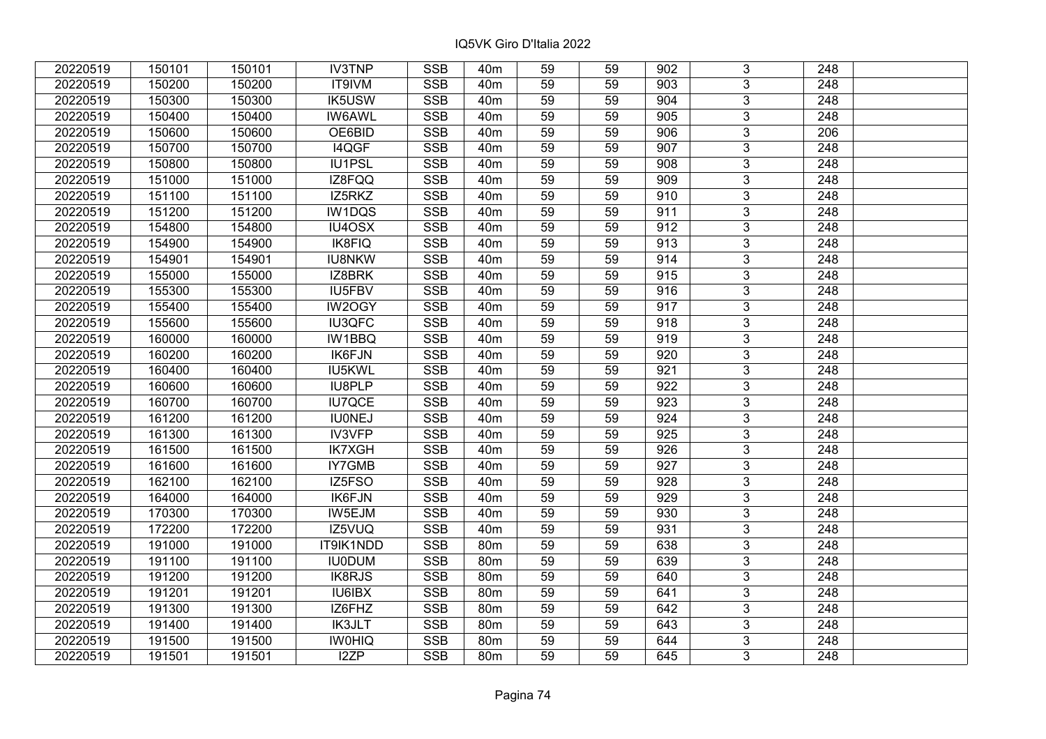| 20220519 | 150101 | 150101 | <b>IV3TNP</b> | <b>SSB</b> | 40 <sub>m</sub> | 59 | 59 | 902 | 3                         | 248              |  |
|----------|--------|--------|---------------|------------|-----------------|----|----|-----|---------------------------|------------------|--|
| 20220519 | 150200 | 150200 | IT9IVM        | <b>SSB</b> | 40 <sub>m</sub> | 59 | 59 | 903 | $\overline{3}$            | 248              |  |
| 20220519 | 150300 | 150300 | <b>IK5USW</b> | <b>SSB</b> | 40 <sub>m</sub> | 59 | 59 | 904 | $\overline{3}$            | 248              |  |
| 20220519 | 150400 | 150400 | <b>IW6AWL</b> | <b>SSB</b> | 40 <sub>m</sub> | 59 | 59 | 905 | $\overline{3}$            | $\overline{248}$ |  |
| 20220519 | 150600 | 150600 | OE6BID        | <b>SSB</b> | 40 <sub>m</sub> | 59 | 59 | 906 | 3                         | 206              |  |
| 20220519 | 150700 | 150700 | I4QGF         | <b>SSB</b> | 40 <sub>m</sub> | 59 | 59 | 907 | $\overline{3}$            | 248              |  |
| 20220519 | 150800 | 150800 | IU1PSL        | <b>SSB</b> | 40 <sub>m</sub> | 59 | 59 | 908 | $\overline{3}$            | 248              |  |
| 20220519 | 151000 | 151000 | IZ8FQQ        | <b>SSB</b> | 40m             | 59 | 59 | 909 | $\overline{3}$            | 248              |  |
| 20220519 | 151100 | 151100 | IZ5RKZ        | SSB        | 40 <sub>m</sub> | 59 | 59 | 910 | $\overline{\mathbf{3}}$   | $\overline{248}$ |  |
| 20220519 | 151200 | 151200 | IW1DQS        | <b>SSB</b> | 40m             | 59 | 59 | 911 | $\overline{3}$            | 248              |  |
| 20220519 | 154800 | 154800 | IU4OSX        | <b>SSB</b> | 40 <sub>m</sub> | 59 | 59 | 912 | 3                         | 248              |  |
| 20220519 | 154900 | 154900 | <b>IK8FIQ</b> | <b>SSB</b> | 40m             | 59 | 59 | 913 | $\overline{3}$            | 248              |  |
| 20220519 | 154901 | 154901 | <b>IU8NKW</b> | <b>SSB</b> | 40m             | 59 | 59 | 914 | $\mathbf{3}$              | 248              |  |
| 20220519 | 155000 | 155000 | IZ8BRK        | <b>SSB</b> | 40 <sub>m</sub> | 59 | 59 | 915 | $\overline{3}$            | 248              |  |
| 20220519 | 155300 | 155300 | IU5FBV        | <b>SSB</b> | 40m             | 59 | 59 | 916 | $\overline{3}$            | 248              |  |
| 20220519 | 155400 | 155400 | IW2OGY        | <b>SSB</b> | 40m             | 59 | 59 | 917 | 3                         | 248              |  |
| 20220519 | 155600 | 155600 | <b>IU3QFC</b> | <b>SSB</b> | 40 <sub>m</sub> | 59 | 59 | 918 | $\overline{3}$            | 248              |  |
| 20220519 | 160000 | 160000 | IW1BBQ        | <b>SSB</b> | 40 <sub>m</sub> | 59 | 59 | 919 | 3                         | 248              |  |
| 20220519 | 160200 | 160200 | IK6FJN        | <b>SSB</b> | 40 <sub>m</sub> | 59 | 59 | 920 | 3                         | 248              |  |
| 20220519 | 160400 | 160400 | IU5KWL        | <b>SSB</b> | 40 <sub>m</sub> | 59 | 59 | 921 | $\overline{3}$            | 248              |  |
| 20220519 | 160600 | 160600 | IU8PLP        | <b>SSB</b> | 40m             | 59 | 59 | 922 | $\overline{3}$            | 248              |  |
| 20220519 | 160700 | 160700 | <b>IU7QCE</b> | <b>SSB</b> | 40 <sub>m</sub> | 59 | 59 | 923 | $\overline{3}$            | 248              |  |
| 20220519 | 161200 | 161200 | <b>IU0NEJ</b> | <b>SSB</b> | 40 <sub>m</sub> | 59 | 59 | 924 | $\overline{3}$            | 248              |  |
| 20220519 | 161300 | 161300 | IV3VFP        | <b>SSB</b> | 40 <sub>m</sub> | 59 | 59 | 925 | $\overline{3}$            | 248              |  |
| 20220519 | 161500 | 161500 | <b>IK7XGH</b> | <b>SSB</b> | 40m             | 59 | 59 | 926 | $\overline{3}$            | 248              |  |
| 20220519 | 161600 | 161600 | IY7GMB        | <b>SSB</b> | 40 <sub>m</sub> | 59 | 59 | 927 | $\overline{3}$            | $\overline{248}$ |  |
| 20220519 | 162100 | 162100 | IZ5FSO        | <b>SSB</b> | 40 <sub>m</sub> | 59 | 59 | 928 | $\overline{3}$            | $\overline{248}$ |  |
| 20220519 | 164000 | 164000 | <b>IK6FJN</b> | <b>SSB</b> | 40 <sub>m</sub> | 59 | 59 | 929 | $\overline{3}$            | $\overline{248}$ |  |
| 20220519 | 170300 | 170300 | IW5EJM        | <b>SSB</b> | 40 <sub>m</sub> | 59 | 59 | 930 | $\overline{3}$            | 248              |  |
| 20220519 | 172200 | 172200 | IZ5VUQ        | <b>SSB</b> | 40 <sub>m</sub> | 59 | 59 | 931 | $\overline{3}$            | 248              |  |
| 20220519 | 191000 | 191000 | IT9IK1NDD     | <b>SSB</b> | 80m             | 59 | 59 | 638 | $\overline{\overline{3}}$ | $\overline{248}$ |  |
| 20220519 | 191100 | 191100 | <b>IU0DUM</b> | <b>SSB</b> | 80m             | 59 | 59 | 639 | $\overline{3}$            | 248              |  |
| 20220519 | 191200 | 191200 | <b>IK8RJS</b> | <b>SSB</b> | 80m             | 59 | 59 | 640 | 3                         | 248              |  |
| 20220519 | 191201 | 191201 | <b>IU6IBX</b> | <b>SSB</b> | 80 <sub>m</sub> | 59 | 59 | 641 | $\overline{3}$            | 248              |  |
| 20220519 | 191300 | 191300 | IZ6FHZ        | <b>SSB</b> | 80m             | 59 | 59 | 642 | 3                         | 248              |  |
| 20220519 | 191400 | 191400 | <b>IK3JLT</b> | <b>SSB</b> | 80m             | 59 | 59 | 643 | 3                         | 248              |  |
| 20220519 | 191500 | 191500 | <b>IWOHIQ</b> | SSB        | 80m             | 59 | 59 | 644 | $\overline{3}$            | 248              |  |
| 20220519 | 191501 | 191501 | I2ZP          | <b>SSB</b> | 80m             | 59 | 59 | 645 | $\overline{3}$            | 248              |  |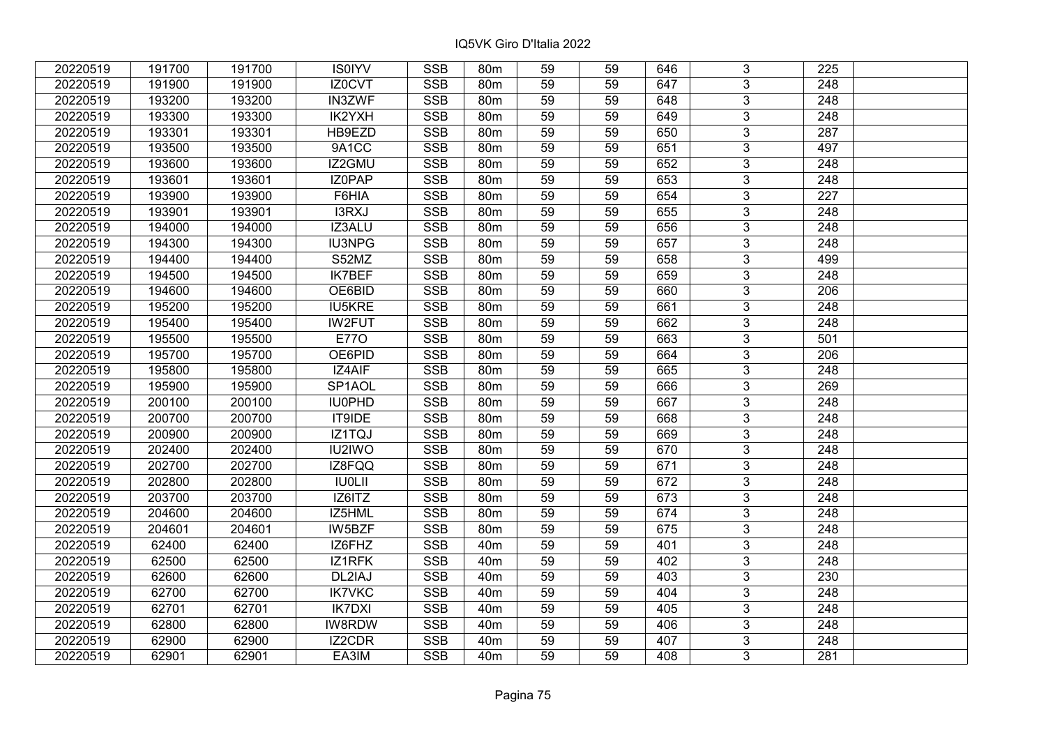| 20220519 | 191700 | 191700 | <b>IS0IYV</b>       | <b>SSB</b> | 80 <sub>m</sub> | 59              | 59 | 646 | 3              | 225              |  |
|----------|--------|--------|---------------------|------------|-----------------|-----------------|----|-----|----------------|------------------|--|
| 20220519 | 191900 | 191900 | IZ0CVT              | <b>SSB</b> | 80 <sub>m</sub> | 59              | 59 | 647 | 3              | 248              |  |
| 20220519 | 193200 | 193200 | <b>IN3ZWF</b>       | <b>SSB</b> | 80 <sub>m</sub> | 59              | 59 | 648 | $\overline{3}$ | 248              |  |
| 20220519 | 193300 | 193300 | IK2YXH              | <b>SSB</b> | 80m             | 59              | 59 | 649 | 3              | 248              |  |
| 20220519 | 193301 | 193301 | HB9EZD              | <b>SSB</b> | 80m             | 59              | 59 | 650 | $\overline{3}$ | 287              |  |
| 20220519 | 193500 | 193500 | 9A1CC               | <b>SSB</b> | 80m             | 59              | 59 | 651 | $\overline{3}$ | 497              |  |
| 20220519 | 193600 | 193600 | IZ2GMU              | <b>SSB</b> | 80 <sub>m</sub> | 59              | 59 | 652 | $\overline{3}$ | 248              |  |
| 20220519 | 193601 | 193601 | <b>IZOPAP</b>       | <b>SSB</b> | 80m             | 59              | 59 | 653 | $\overline{3}$ | 248              |  |
| 20220519 | 193900 | 193900 | F6HIA               | <b>SSB</b> | 80m             | 59              | 59 | 654 | $\overline{3}$ | 227              |  |
| 20220519 | 193901 | 193901 | I3RXJ               | <b>SSB</b> | 80 <sub>m</sub> | 59              | 59 | 655 | $\overline{3}$ | 248              |  |
| 20220519 | 194000 | 194000 | IZ3ALU              | <b>SSB</b> | 80m             | 59              | 59 | 656 | $\overline{3}$ | 248              |  |
| 20220519 | 194300 | 194300 | <b>IU3NPG</b>       | <b>SSB</b> | 80m             | 59              | 59 | 657 | $\overline{3}$ | 248              |  |
| 20220519 | 194400 | 194400 | S52MZ               | <b>SSB</b> | 80m             | 59              | 59 | 658 | $\overline{3}$ | 499              |  |
| 20220519 | 194500 | 194500 | <b>IK7BEF</b>       | <b>SSB</b> | 80m             | 59              | 59 | 659 | $\overline{3}$ | 248              |  |
| 20220519 | 194600 | 194600 | OE6BID              | <b>SSB</b> | 80 <sub>m</sub> | 59              | 59 | 660 | 3              | 206              |  |
| 20220519 | 195200 | 195200 | <b>IU5KRE</b>       | <b>SSB</b> | 80 <sub>m</sub> | 59              | 59 | 661 | 3              | 248              |  |
| 20220519 | 195400 | 195400 | <b>IW2FUT</b>       | <b>SSB</b> | 80m             | 59              | 59 | 662 | 3              | 248              |  |
| 20220519 | 195500 | 195500 | <b>E770</b>         | <b>SSB</b> | 80 <sub>m</sub> | 59              | 59 | 663 | 3              | 501              |  |
| 20220519 | 195700 | 195700 | OE6PID              | <b>SSB</b> | 80m             | 59              | 59 | 664 | 3              | 206              |  |
| 20220519 | 195800 | 195800 | IZ4AIF              | <b>SSB</b> | 80m             | 59              | 59 | 665 | $\overline{3}$ | 248              |  |
| 20220519 | 195900 | 195900 | SP <sub>1</sub> AOL | SSB        | 80 <sub>m</sub> | 59              | 59 | 666 | $\overline{3}$ | 269              |  |
| 20220519 | 200100 | 200100 | <b>IU0PHD</b>       | <b>SSB</b> | 80m             | 59              | 59 | 667 | $\overline{3}$ | 248              |  |
| 20220519 | 200700 | 200700 | IT9IDE              | <b>SSB</b> | 80m             | 59              | 59 | 668 | $\overline{3}$ | 248              |  |
| 20220519 | 200900 | 200900 | IZ1TQJ              | <b>SSB</b> | 80 <sub>m</sub> | 59              | 59 | 669 | $\overline{3}$ | 248              |  |
| 20220519 | 202400 | 202400 | <b>IU2IWO</b>       | <b>SSB</b> | 80m             | 59              | 59 | 670 | $\overline{3}$ | 248              |  |
| 20220519 | 202700 | 202700 | IZ8FQQ              | <b>SSB</b> | 80 <sub>m</sub> | $\overline{59}$ | 59 | 671 | $\overline{3}$ | $\overline{248}$ |  |
| 20220519 | 202800 | 202800 | <b>IU0LII</b>       | <b>SSB</b> | 80m             | 59              | 59 | 672 | $\overline{3}$ | $\overline{248}$ |  |
| 20220519 | 203700 | 203700 | IZ6ITZ              | <b>SSB</b> | 80m             | 59              | 59 | 673 | 3              | 248              |  |
| 20220519 | 204600 | 204600 | IZ5HML              | <b>SSB</b> | 80 <sub>m</sub> | 59              | 59 | 674 | $\overline{3}$ | 248              |  |
| 20220519 | 204601 | 204601 | <b>IW5BZF</b>       | <b>SSB</b> | 80 <sub>m</sub> | 59              | 59 | 675 | $\overline{3}$ | 248              |  |
| 20220519 | 62400  | 62400  | IZ6FHZ              | <b>SSB</b> | 40 <sub>m</sub> | 59              | 59 | 401 | $\overline{3}$ | 248              |  |
| 20220519 | 62500  | 62500  | <b>IZ1RFK</b>       | <b>SSB</b> | 40 <sub>m</sub> | 59              | 59 | 402 | $\overline{3}$ | 248              |  |
| 20220519 | 62600  | 62600  | DL2IAJ              | <b>SSB</b> | 40 <sub>m</sub> | 59              | 59 | 403 | 3              | 230              |  |
| 20220519 | 62700  | 62700  | <b>IK7VKC</b>       | <b>SSB</b> | 40 <sub>m</sub> | 59              | 59 | 404 | 3              | 248              |  |
| 20220519 | 62701  | 62701  | <b>IK7DXI</b>       | <b>SSB</b> | 40 <sub>m</sub> | 59              | 59 | 405 | 3              | 248              |  |
| 20220519 | 62800  | 62800  | IW8RDW              | <b>SSB</b> | 40 <sub>m</sub> | 59              | 59 | 406 | 3              | 248              |  |
| 20220519 | 62900  | 62900  | IZ2CDR              | SSB        | 40 <sub>m</sub> | 59              | 59 | 407 | $\overline{3}$ | 248              |  |
| 20220519 | 62901  | 62901  | EA3IM               | <b>SSB</b> | 40 <sub>m</sub> | 59              | 59 | 408 | $\overline{3}$ | 281              |  |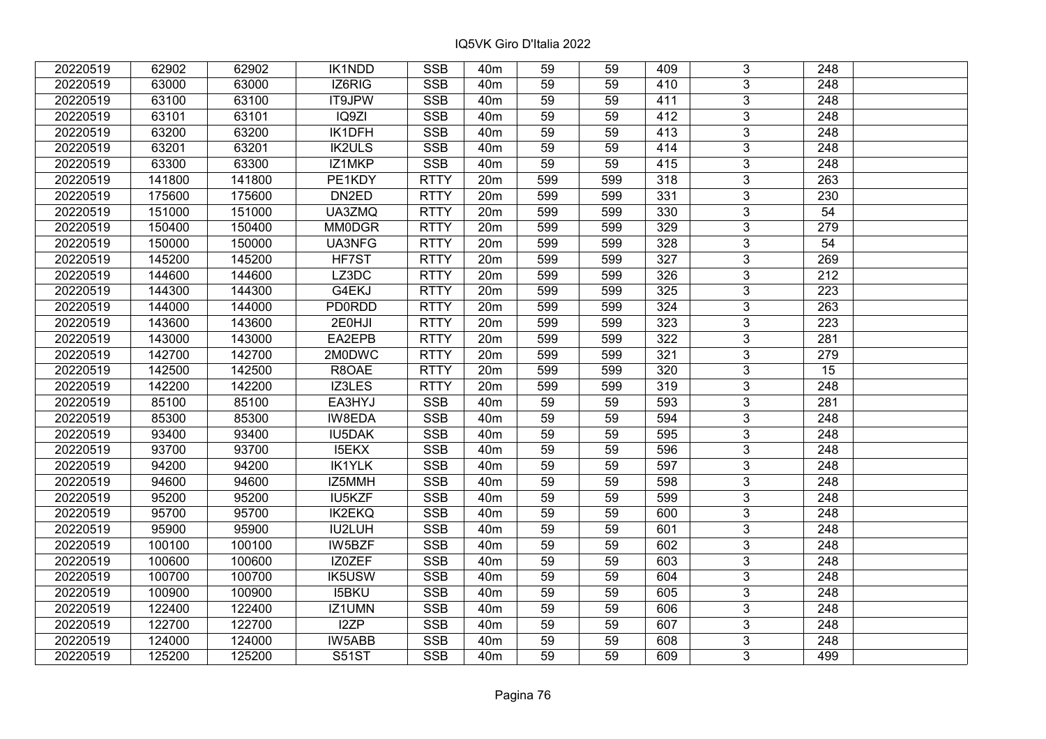| 20220519 | 62902  | 62902  | IK1NDD        | <b>SSB</b>  | 40 <sub>m</sub> | 59              | 59  | 409 | 3              | 248              |  |
|----------|--------|--------|---------------|-------------|-----------------|-----------------|-----|-----|----------------|------------------|--|
| 20220519 | 63000  | 63000  | IZ6RIG        | <b>SSB</b>  | 40 <sub>m</sub> | 59              | 59  | 410 | 3              | 248              |  |
| 20220519 | 63100  | 63100  | <b>IT9JPW</b> | <b>SSB</b>  | 40 <sub>m</sub> | 59              | 59  | 411 | $\overline{3}$ | 248              |  |
| 20220519 | 63101  | 63101  | IQ9ZI         | <b>SSB</b>  | 40 <sub>m</sub> | 59              | 59  | 412 | $\overline{3}$ | 248              |  |
| 20220519 | 63200  | 63200  | IK1DFH        | <b>SSB</b>  | 40 <sub>m</sub> | 59              | 59  | 413 | 3              | 248              |  |
| 20220519 | 63201  | 63201  | <b>IK2ULS</b> | SSB         | 40 <sub>m</sub> | 59              | 59  | 414 | $\overline{3}$ | 248              |  |
| 20220519 | 63300  | 63300  | IZ1MKP        | <b>SSB</b>  | 40 <sub>m</sub> | 59              | 59  | 415 | $\overline{3}$ | 248              |  |
| 20220519 | 141800 | 141800 | PE1KDY        | <b>RTTY</b> | 20m             | 599             | 599 | 318 | $\overline{3}$ | 263              |  |
| 20220519 | 175600 | 175600 | DN2ED         | <b>RTTY</b> | 20m             | 599             | 599 | 331 | $\overline{3}$ | 230              |  |
| 20220519 | 151000 | 151000 | UA3ZMQ        | <b>RTTY</b> | 20m             | 599             | 599 | 330 | $\overline{3}$ | 54               |  |
| 20220519 | 150400 | 150400 | <b>MM0DGR</b> | <b>RTTY</b> | 20m             | 599             | 599 | 329 | $\overline{3}$ | 279              |  |
| 20220519 | 150000 | 150000 | UA3NFG        | <b>RTTY</b> | 20m             | 599             | 599 | 328 | $\overline{3}$ | 54               |  |
| 20220519 | 145200 | 145200 | HF7ST         | <b>RTTY</b> | 20m             | 599             | 599 | 327 | 3              | 269              |  |
| 20220519 | 144600 | 144600 | LZ3DC         | <b>RTTY</b> | 20 <sub>m</sub> | 599             | 599 | 326 | $\overline{3}$ | 212              |  |
| 20220519 | 144300 | 144300 | G4EKJ         | <b>RTTY</b> | 20m             | 599             | 599 | 325 | 3              | 223              |  |
| 20220519 | 144000 | 144000 | <b>PD0RDD</b> | <b>RTTY</b> | 20m             | 599             | 599 | 324 | 3              | 263              |  |
| 20220519 | 143600 | 143600 | 2E0HJI        | <b>RTTY</b> | 20m             | 599             | 599 | 323 | $\overline{3}$ | 223              |  |
| 20220519 | 143000 | 143000 | EA2EPB        | <b>RTTY</b> | 20m             | 599             | 599 | 322 | $\overline{3}$ | 281              |  |
| 20220519 | 142700 | 142700 | 2M0DWC        | <b>RTTY</b> | 20m             | 599             | 599 | 321 | 3              | 279              |  |
| 20220519 | 142500 | 142500 | R8OAE         | <b>RTTY</b> | 20m             | 599             | 599 | 320 | $\overline{3}$ | 15               |  |
| 20220519 | 142200 | 142200 | IZ3LES        | <b>RTTY</b> | 20 <sub>m</sub> | 599             | 599 | 319 | $\overline{3}$ | 248              |  |
| 20220519 | 85100  | 85100  | EA3HYJ        | <b>SSB</b>  | 40 <sub>m</sub> | 59              | 59  | 593 | 3              | 281              |  |
| 20220519 | 85300  | 85300  | IW8EDA        | <b>SSB</b>  | 40 <sub>m</sub> | 59              | 59  | 594 | $\overline{3}$ | 248              |  |
| 20220519 | 93400  | 93400  | <b>IU5DAK</b> | <b>SSB</b>  | 40 <sub>m</sub> | 59              | 59  | 595 | $\overline{3}$ | 248              |  |
| 20220519 | 93700  | 93700  | <b>I5EKX</b>  | SSB         | 40 <sub>m</sub> | $\overline{59}$ | 59  | 596 | $\overline{3}$ | 248              |  |
| 20220519 | 94200  | 94200  | <b>IK1YLK</b> | <b>SSB</b>  | 40 <sub>m</sub> | 59              | 59  | 597 | $\overline{3}$ | $\overline{248}$ |  |
| 20220519 | 94600  | 94600  | IZ5MMH        | <b>SSB</b>  | 40 <sub>m</sub> | 59              | 59  | 598 | 3              | 248              |  |
| 20220519 | 95200  | 95200  | IU5KZF        | <b>SSB</b>  | 40 <sub>m</sub> | 59              | 59  | 599 | $\overline{3}$ | 248              |  |
| 20220519 | 95700  | 95700  | <b>IK2EKQ</b> | <b>SSB</b>  | 40 <sub>m</sub> | 59              | 59  | 600 | $\overline{3}$ | $\overline{248}$ |  |
| 20220519 | 95900  | 95900  | IU2LUH        | <b>SSB</b>  | 40 <sub>m</sub> | 59              | 59  | 601 | $\overline{3}$ | 248              |  |
| 20220519 | 100100 | 100100 | IW5BZF        | <b>SSB</b>  | 40 <sub>m</sub> | 59              | 59  | 602 | $\overline{3}$ | $\overline{248}$ |  |
| 20220519 | 100600 | 100600 | IZ0ZEF        | <b>SSB</b>  | 40 <sub>m</sub> | 59              | 59  | 603 | $\overline{3}$ | 248              |  |
| 20220519 | 100700 | 100700 | <b>IK5USW</b> | <b>SSB</b>  | 40 <sub>m</sub> | 59              | 59  | 604 | 3              | 248              |  |
| 20220519 | 100900 | 100900 | <b>I5BKU</b>  | <b>SSB</b>  | 40 <sub>m</sub> | 59              | 59  | 605 | $\overline{3}$ | 248              |  |
| 20220519 | 122400 | 122400 | IZ1UMN        | <b>SSB</b>  | 40 <sub>m</sub> | 59              | 59  | 606 | $\overline{3}$ | 248              |  |
| 20220519 | 122700 | 122700 | I2ZP          | <b>SSB</b>  | 40 <sub>m</sub> | 59              | 59  | 607 | 3              | 248              |  |
| 20220519 | 124000 | 124000 | IW5ABB        | <b>SSB</b>  | 40 <sub>m</sub> | 59              | 59  | 608 | 3              | 248              |  |
| 20220519 | 125200 | 125200 | <b>S51ST</b>  | <b>SSB</b>  | 40 <sub>m</sub> | 59              | 59  | 609 | 3              | 499              |  |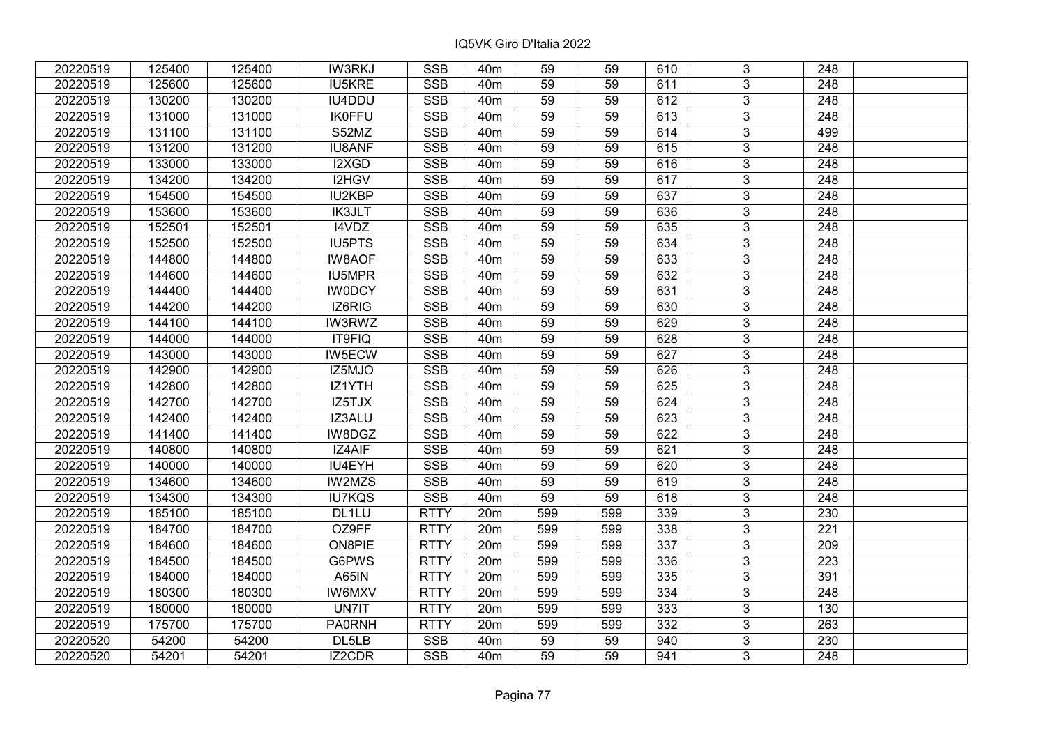| 20220519 | 125400 | 125400 | <b>IW3RKJ</b> | <b>SSB</b>  | 40 <sub>m</sub> | 59              | 59  | 610 | 3              | 248              |  |
|----------|--------|--------|---------------|-------------|-----------------|-----------------|-----|-----|----------------|------------------|--|
| 20220519 | 125600 | 125600 | <b>IU5KRE</b> | <b>SSB</b>  | 40 <sub>m</sub> | 59              | 59  | 611 | 3              | 248              |  |
| 20220519 | 130200 | 130200 | IU4DDU        | <b>SSB</b>  | 40 <sub>m</sub> | 59              | 59  | 612 | $\overline{3}$ | 248              |  |
| 20220519 | 131000 | 131000 | <b>IK0FFU</b> | <b>SSB</b>  | 40 <sub>m</sub> | 59              | 59  | 613 | $\overline{3}$ | $\overline{248}$ |  |
| 20220519 | 131100 | 131100 | S52MZ         | <b>SSB</b>  | 40 <sub>m</sub> | 59              | 59  | 614 | 3              | 499              |  |
| 20220519 | 131200 | 131200 | <b>IU8ANF</b> | <b>SSB</b>  | 40 <sub>m</sub> | 59              | 59  | 615 | $\overline{3}$ | 248              |  |
| 20220519 | 133000 | 133000 | I2XGD         | <b>SSB</b>  | 40 <sub>m</sub> | 59              | 59  | 616 | $\overline{3}$ | 248              |  |
| 20220519 | 134200 | 134200 | I2HGV         | <b>SSB</b>  | 40 <sub>m</sub> | 59              | 59  | 617 | $\overline{3}$ | 248              |  |
| 20220519 | 154500 | 154500 | <b>IU2KBP</b> | <b>SSB</b>  | 40 <sub>m</sub> | 59              | 59  | 637 | $\overline{3}$ | $\overline{248}$ |  |
| 20220519 | 153600 | 153600 | <b>IK3JLT</b> | <b>SSB</b>  | 40 <sub>m</sub> | 59              | 59  | 636 | $\overline{3}$ | 248              |  |
| 20220519 | 152501 | 152501 | I4VDZ         | <b>SSB</b>  | 40 <sub>m</sub> | 59              | 59  | 635 | 3              | 248              |  |
| 20220519 | 152500 | 152500 | <b>IU5PTS</b> | <b>SSB</b>  | 40m             | $\overline{59}$ | 59  | 634 | $\overline{3}$ | 248              |  |
| 20220519 | 144800 | 144800 | <b>IW8AOF</b> | <b>SSB</b>  | 40 <sub>m</sub> | 59              | 59  | 633 | 3              | 248              |  |
| 20220519 | 144600 | 144600 | IU5MPR        | <b>SSB</b>  | 40m             | 59              | 59  | 632 | 3              | 248              |  |
| 20220519 | 144400 | 144400 | <b>IWODCY</b> | <b>SSB</b>  | 40 <sub>m</sub> | 59              | 59  | 631 | $\overline{3}$ | 248              |  |
| 20220519 | 144200 | 144200 | IZ6RIG        | <b>SSB</b>  | 40 <sub>m</sub> | 59              | 59  | 630 | 3              | 248              |  |
| 20220519 | 144100 | 144100 | <b>IW3RWZ</b> | <b>SSB</b>  | 40 <sub>m</sub> | 59              | 59  | 629 | 3              | 248              |  |
| 20220519 | 144000 | 144000 | IT9FIQ        | <b>SSB</b>  | 40 <sub>m</sub> | 59              | 59  | 628 | 3              | 248              |  |
| 20220519 | 143000 | 143000 | IW5ECW        | <b>SSB</b>  | 40 <sub>m</sub> | 59              | 59  | 627 | $\overline{3}$ | 248              |  |
| 20220519 | 142900 | 142900 | IZ5MJO        | <b>SSB</b>  | 40m             | 59              | 59  | 626 | $\overline{3}$ | 248              |  |
| 20220519 | 142800 | 142800 | IZ1YTH        | SSB         | 40 <sub>m</sub> | 59              | 59  | 625 | $\overline{3}$ | 248              |  |
| 20220519 | 142700 | 142700 | IZ5TJX        | <b>SSB</b>  | 40 <sub>m</sub> | 59              | 59  | 624 | $\overline{3}$ | 248              |  |
| 20220519 | 142400 | 142400 | IZ3ALU        | <b>SSB</b>  | 40 <sub>m</sub> | 59              | 59  | 623 | 3              | 248              |  |
| 20220519 | 141400 | 141400 | IW8DGZ        | <b>SSB</b>  | 40 <sub>m</sub> | 59              | 59  | 622 | $\overline{3}$ | 248              |  |
| 20220519 | 140800 | 140800 | IZ4AIF        | <b>SSB</b>  | 40 <sub>m</sub> | 59              | 59  | 621 | $\overline{3}$ | 248              |  |
| 20220519 | 140000 | 140000 | IU4EYH        | <b>SSB</b>  | 40 <sub>m</sub> | 59              | 59  | 620 | $\overline{3}$ | $\overline{248}$ |  |
| 20220519 | 134600 | 134600 | IW2MZS        | <b>SSB</b>  | 40 <sub>m</sub> | 59              | 59  | 619 | $\overline{3}$ | $\overline{248}$ |  |
| 20220519 | 134300 | 134300 | <b>IU7KQS</b> | <b>SSB</b>  | 40 <sub>m</sub> | 59              | 59  | 618 | $\overline{3}$ | $\overline{248}$ |  |
| 20220519 | 185100 | 185100 | DL1LU         | <b>RTTY</b> | 20m             | 599             | 599 | 339 | $\overline{3}$ | 230              |  |
| 20220519 | 184700 | 184700 | OZ9FF         | <b>RTTY</b> | 20m             | 599             | 599 | 338 | $\overline{3}$ | $\overline{221}$ |  |
| 20220519 | 184600 | 184600 | ON8PIE        | <b>RTTY</b> | 20m             | 599             | 599 | 337 | $\overline{3}$ | 209              |  |
| 20220519 | 184500 | 184500 | G6PWS         | <b>RTTY</b> | 20m             | 599             | 599 | 336 | $\overline{3}$ | 223              |  |
| 20220519 | 184000 | 184000 | <b>A65IN</b>  | <b>RTTY</b> | 20m             | 599             | 599 | 335 | 3              | 391              |  |
| 20220519 | 180300 | 180300 | IW6MXV        | <b>RTTY</b> | 20m             | 599             | 599 | 334 | $\overline{3}$ | 248              |  |
| 20220519 | 180000 | 180000 | UN7IT         | <b>RTTY</b> | 20m             | 599             | 599 | 333 | 3              | 130              |  |
| 20220519 | 175700 | 175700 | <b>PA0RNH</b> | <b>RTTY</b> | 20m             | 599             | 599 | 332 | 3              | 263              |  |
| 20220520 | 54200  | 54200  | DL5LB         | <b>SSB</b>  | 40 <sub>m</sub> | 59              | 59  | 940 | 3              | 230              |  |
| 20220520 | 54201  | 54201  | IZ2CDR        | <b>SSB</b>  | 40 <sub>m</sub> | 59              | 59  | 941 | 3              | 248              |  |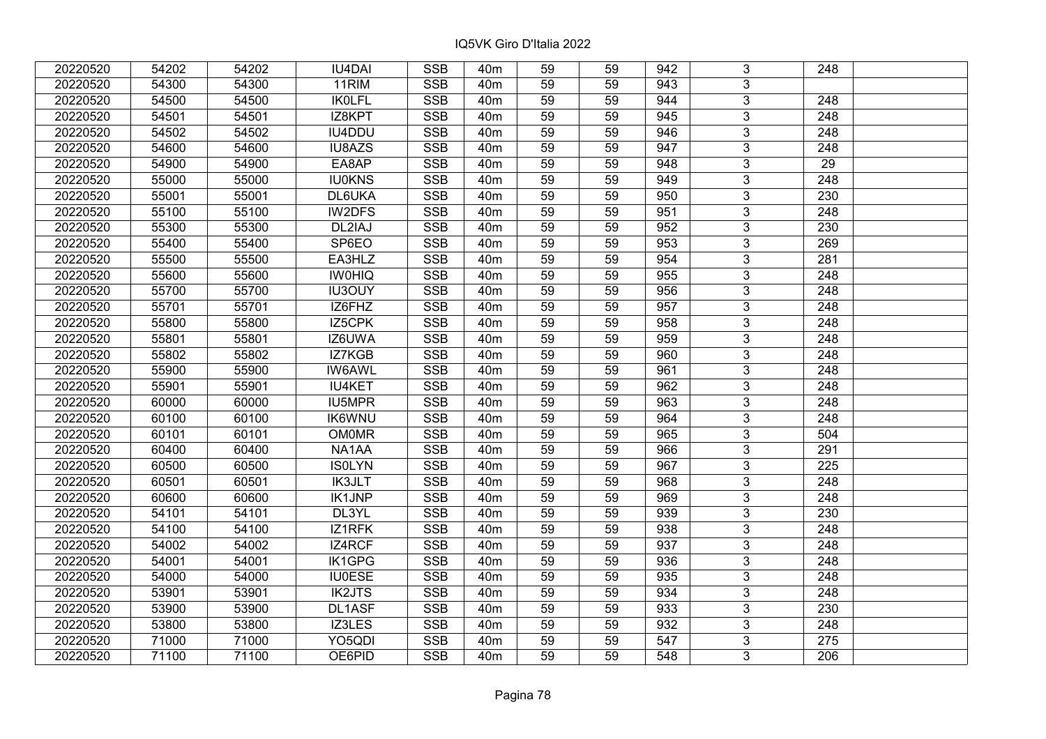| 20220520 | 54202 | 54202 | <b>IU4DAI</b> | <b>SSB</b> | 40 <sub>m</sub> | 59              | 59 | 942 | 3              | 248              |  |
|----------|-------|-------|---------------|------------|-----------------|-----------------|----|-----|----------------|------------------|--|
| 20220520 | 54300 | 54300 | 11RIM         | <b>SSB</b> | 40 <sub>m</sub> | 59              | 59 | 943 | 3              |                  |  |
| 20220520 | 54500 | 54500 | <b>IKOLFL</b> | <b>SSB</b> | 40 <sub>m</sub> | $\overline{59}$ | 59 | 944 | $\overline{3}$ | 248              |  |
| 20220520 | 54501 | 54501 | IZ8KPT        | <b>SSB</b> | 40 <sub>m</sub> | 59              | 59 | 945 | $\overline{3}$ | 248              |  |
| 20220520 | 54502 | 54502 | <b>IU4DDU</b> | <b>SSB</b> | 40 <sub>m</sub> | 59              | 59 | 946 | 3              | 248              |  |
| 20220520 | 54600 | 54600 | IU8AZS        | <b>SSB</b> | 40 <sub>m</sub> | 59              | 59 | 947 | $\overline{3}$ | 248              |  |
| 20220520 | 54900 | 54900 | EA8AP         | <b>SSB</b> | 40 <sub>m</sub> | 59              | 59 | 948 | $\overline{3}$ | 29               |  |
| 20220520 | 55000 | 55000 | <b>IU0KNS</b> | <b>SSB</b> | 40 <sub>m</sub> | 59              | 59 | 949 | 3              | 248              |  |
| 20220520 | 55001 | 55001 | DL6UKA        | <b>SSB</b> | 40 <sub>m</sub> | 59              | 59 | 950 | $\overline{3}$ | $\overline{230}$ |  |
| 20220520 | 55100 | 55100 | <b>IW2DFS</b> | <b>SSB</b> | 40 <sub>m</sub> | 59              | 59 | 951 | $\overline{3}$ | 248              |  |
| 20220520 | 55300 | 55300 | DL2IAJ        | <b>SSB</b> | 40 <sub>m</sub> | 59              | 59 | 952 | 3              | 230              |  |
| 20220520 | 55400 | 55400 | SP6EO         | <b>SSB</b> | 40 <sub>m</sub> | 59              | 59 | 953 | $\overline{3}$ | 269              |  |
| 20220520 | 55500 | 55500 | EA3HLZ        | <b>SSB</b> | 40 <sub>m</sub> | 59              | 59 | 954 | 3              | 281              |  |
| 20220520 | 55600 | 55600 | <b>IWOHIQ</b> | <b>SSB</b> | 40 <sub>m</sub> | 59              | 59 | 955 | $\overline{3}$ | 248              |  |
| 20220520 | 55700 | 55700 | IU3OUY        | <b>SSB</b> | 40 <sub>m</sub> | 59              | 59 | 956 | $\overline{3}$ | 248              |  |
| 20220520 | 55701 | 55701 | IZ6FHZ        | <b>SSB</b> | 40 <sub>m</sub> | 59              | 59 | 957 | 3              | 248              |  |
| 20220520 | 55800 | 55800 | IZ5CPK        | <b>SSB</b> | 40 <sub>m</sub> | 59              | 59 | 958 | $\overline{3}$ | 248              |  |
| 20220520 | 55801 | 55801 | IZ6UWA        | <b>SSB</b> | 40 <sub>m</sub> | 59              | 59 | 959 | 3              | 248              |  |
| 20220520 | 55802 | 55802 | IZ7KGB        | <b>SSB</b> | 40 <sub>m</sub> | 59              | 59 | 960 | 3              | 248              |  |
| 20220520 | 55900 | 55900 | <b>IW6AWL</b> | <b>SSB</b> | 40 <sub>m</sub> | 59              | 59 | 961 | $\overline{3}$ | 248              |  |
| 20220520 | 55901 | 55901 | <b>IU4KET</b> | <b>SSB</b> | 40 <sub>m</sub> | 59              | 59 | 962 | $\overline{3}$ | 248              |  |
| 20220520 | 60000 | 60000 | IU5MPR        | <b>SSB</b> | 40 <sub>m</sub> | 59              | 59 | 963 | $\overline{3}$ | 248              |  |
| 20220520 | 60100 | 60100 | <b>IK6WNU</b> | <b>SSB</b> | 40 <sub>m</sub> | 59              | 59 | 964 | $\overline{3}$ | 248              |  |
| 20220520 | 60101 | 60101 | <b>OM0MR</b>  | <b>SSB</b> | 40 <sub>m</sub> | 59              | 59 | 965 | $\overline{3}$ | 504              |  |
| 20220520 | 60400 | 60400 | NA1AA         | <b>SSB</b> | 40 <sub>m</sub> | 59              | 59 | 966 | 3              | 291              |  |
| 20220520 | 60500 | 60500 | <b>ISOLYN</b> | <b>SSB</b> | 40 <sub>m</sub> | 59              | 59 | 967 | $\overline{3}$ | 225              |  |
| 20220520 | 60501 | 60501 | <b>IK3JLT</b> | <b>SSB</b> | 40 <sub>m</sub> | 59              | 59 | 968 | $\overline{3}$ | 248              |  |
| 20220520 | 60600 | 60600 | <b>IK1JNP</b> | <b>SSB</b> | 40 <sub>m</sub> | 59              | 59 | 969 | $\overline{3}$ | $\overline{248}$ |  |
| 20220520 | 54101 | 54101 | DL3YL         | <b>SSB</b> | 40 <sub>m</sub> | 59              | 59 | 939 | $\overline{3}$ | 230              |  |
| 20220520 | 54100 | 54100 | IZ1RFK        | <b>SSB</b> | 40 <sub>m</sub> | 59              | 59 | 938 | $\overline{3}$ | 248              |  |
| 20220520 | 54002 | 54002 | IZ4RCF        | <b>SSB</b> | 40 <sub>m</sub> | 59              | 59 | 937 | $\overline{3}$ | $\overline{248}$ |  |
| 20220520 | 54001 | 54001 | <b>IK1GPG</b> | <b>SSB</b> | 40 <sub>m</sub> | 59              | 59 | 936 | $\overline{3}$ | 248              |  |
| 20220520 | 54000 | 54000 | <b>IU0ESE</b> | <b>SSB</b> | 40 <sub>m</sub> | 59              | 59 | 935 | 3              | 248              |  |
| 20220520 | 53901 | 53901 | <b>IK2JTS</b> | <b>SSB</b> | 40 <sub>m</sub> | 59              | 59 | 934 | $\overline{3}$ | $\overline{248}$ |  |
| 20220520 | 53900 | 53900 | DL1ASF        | <b>SSB</b> | 40 <sub>m</sub> | 59              | 59 | 933 | 3              | 230              |  |
| 20220520 | 53800 | 53800 | IZ3LES        | <b>SSB</b> | 40 <sub>m</sub> | 59              | 59 | 932 | 3              | 248              |  |
| 20220520 | 71000 | 71000 | YO5QDI        | <b>SSB</b> | 40 <sub>m</sub> | 59              | 59 | 547 | $\overline{3}$ | $\overline{275}$ |  |
| 20220520 | 71100 | 71100 | OE6PID        | <b>SSB</b> | 40 <sub>m</sub> | 59              | 59 | 548 | $\overline{3}$ | 206              |  |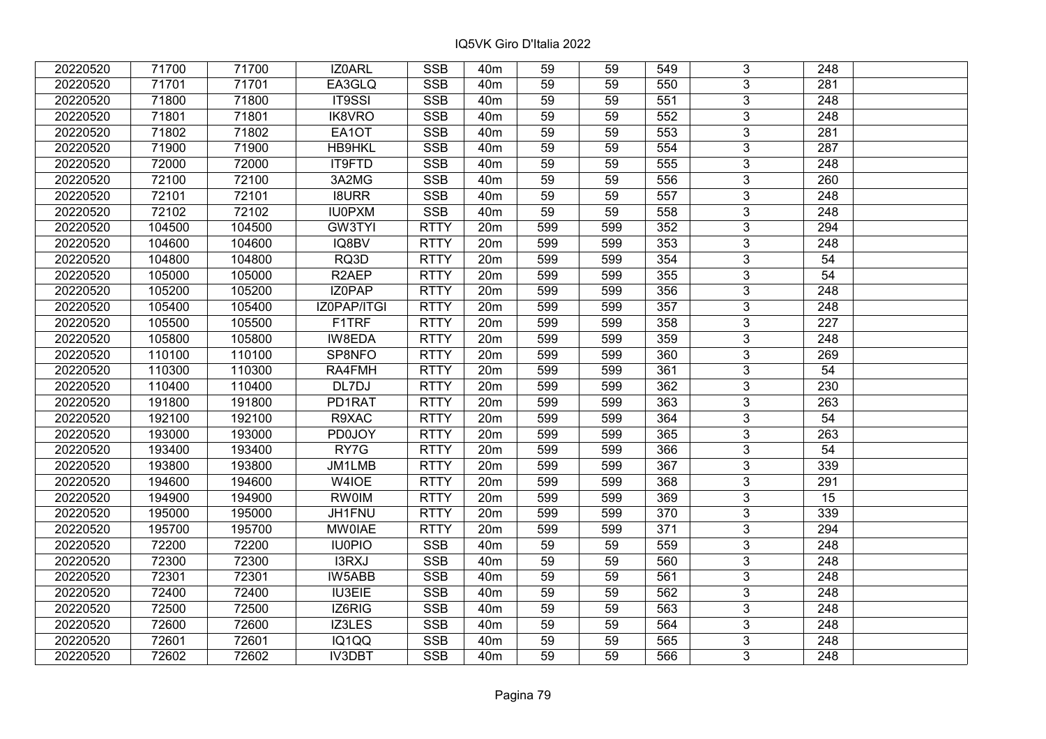| 20220520 | 71700  | 71700  | IZ0ARL             | <b>SSB</b>  | 40 <sub>m</sub> | 59  | 59  | 549              | 3              | 248              |  |
|----------|--------|--------|--------------------|-------------|-----------------|-----|-----|------------------|----------------|------------------|--|
| 20220520 | 71701  | 71701  | EA3GLQ             | <b>SSB</b>  | 40 <sub>m</sub> | 59  | 59  | 550              | 3              | 281              |  |
| 20220520 | 71800  | 71800  | <b>IT9SSI</b>      | <b>SSB</b>  | 40 <sub>m</sub> | 59  | 59  | 551              | $\overline{3}$ | $\overline{248}$ |  |
| 20220520 | 71801  | 71801  | IK8VRO             | <b>SSB</b>  | 40 <sub>m</sub> | 59  | 59  | 552              | $\overline{3}$ | 248              |  |
| 20220520 | 71802  | 71802  | EA1OT              | <b>SSB</b>  | 40 <sub>m</sub> | 59  | 59  | 553              | $\overline{3}$ | 281              |  |
| 20220520 | 71900  | 71900  | HB9HKL             | <b>SSB</b>  | 40 <sub>m</sub> | 59  | 59  | 554              | $\overline{3}$ | 287              |  |
| 20220520 | 72000  | 72000  | IT9FTD             | <b>SSB</b>  | 40 <sub>m</sub> | 59  | 59  | 555              | $\overline{3}$ | 248              |  |
| 20220520 | 72100  | 72100  | 3A2MG              | <b>SSB</b>  | 40 <sub>m</sub> | 59  | 59  | 556              | $\overline{3}$ | 260              |  |
| 20220520 | 72101  | 72101  | <b>I8URR</b>       | <b>SSB</b>  | 40 <sub>m</sub> | 59  | 59  | 557              | $\overline{3}$ | 248              |  |
| 20220520 | 72102  | 72102  | <b>IU0PXM</b>      | <b>SSB</b>  | 40 <sub>m</sub> | 59  | 59  | 558              | $\overline{3}$ | 248              |  |
| 20220520 | 104500 | 104500 | <b>GW3TYI</b>      | <b>RTTY</b> | 20m             | 599 | 599 | 352              | $\overline{3}$ | 294              |  |
| 20220520 | 104600 | 104600 | IQ8BV              | <b>RTTY</b> | 20m             | 599 | 599 | 353              | $\overline{3}$ | 248              |  |
| 20220520 | 104800 | 104800 | RQ3D               | <b>RTTY</b> | 20m             | 599 | 599 | 354              | 3              | 54               |  |
| 20220520 | 105000 | 105000 | R <sub>2</sub> AEP | <b>RTTY</b> | 20m             | 599 | 599 | 355              | $\overline{3}$ | $\overline{54}$  |  |
| 20220520 | 105200 | 105200 | IZ0PAP             | <b>RTTY</b> | 20m             | 599 | 599 | 356              | $\overline{3}$ | 248              |  |
| 20220520 | 105400 | 105400 | IZ0PAP/ITGI        | <b>RTTY</b> | 20m             | 599 | 599 | 357              | 3              | 248              |  |
| 20220520 | 105500 | 105500 | F1TRF              | <b>RTTY</b> | 20m             | 599 | 599 | 358              | $\overline{3}$ | 227              |  |
| 20220520 | 105800 | 105800 | IW8EDA             | <b>RTTY</b> | 20m             | 599 | 599 | 359              | $\overline{3}$ | 248              |  |
| 20220520 | 110100 | 110100 | SP8NFO             | <b>RTTY</b> | 20m             | 599 | 599 | 360              | $\overline{3}$ | 269              |  |
| 20220520 | 110300 | 110300 | RA4FMH             | <b>RTTY</b> | 20m             | 599 | 599 | 361              | $\overline{3}$ | 54               |  |
| 20220520 | 110400 | 110400 | DL7DJ              | <b>RTTY</b> | 20m             | 599 | 599 | 362              | $\overline{3}$ | 230              |  |
| 20220520 | 191800 | 191800 | PD1RAT             | <b>RTTY</b> | 20m             | 599 | 599 | 363              | 3              | 263              |  |
| 20220520 | 192100 | 192100 | R9XAC              | <b>RTTY</b> | 20m             | 599 | 599 | 364              | $\overline{3}$ | 54               |  |
| 20220520 | 193000 | 193000 | <b>PD0JOY</b>      | <b>RTTY</b> | 20m             | 599 | 599 | 365              | $\overline{3}$ | 263              |  |
| 20220520 | 193400 | 193400 | RY7G               | <b>RTTY</b> | 20m             | 599 | 599 | 366              | $\overline{3}$ | $\overline{54}$  |  |
| 20220520 | 193800 | 193800 | JM1LMB             | <b>RTTY</b> | 20m             | 599 | 599 | 367              | $\overline{3}$ | 339              |  |
| 20220520 | 194600 | 194600 | W4IOE              | <b>RTTY</b> | 20m             | 599 | 599 | 368              | 3              | 291              |  |
| 20220520 | 194900 | 194900 | <b>RW0IM</b>       | <b>RTTY</b> | 20m             | 599 | 599 | 369              | $\overline{3}$ | 15               |  |
| 20220520 | 195000 | 195000 | JH1FNU             | <b>RTTY</b> | 20m             | 599 | 599 | $\overline{370}$ | $\overline{3}$ | 339              |  |
| 20220520 | 195700 | 195700 | <b>MW0IAE</b>      | <b>RTTY</b> | 20m             | 599 | 599 | 371              | $\overline{3}$ | 294              |  |
| 20220520 | 72200  | 72200  | <b>IU0PIO</b>      | <b>SSB</b>  | 40 <sub>m</sub> | 59  | 59  | 559              | $\overline{3}$ | $\overline{248}$ |  |
| 20220520 | 72300  | 72300  | I3RXJ              | <b>SSB</b>  | 40 <sub>m</sub> | 59  | 59  | 560              | $\overline{3}$ | 248              |  |
| 20220520 | 72301  | 72301  | IW5ABB             | <b>SSB</b>  | 40 <sub>m</sub> | 59  | 59  | 561              | 3              | 248              |  |
| 20220520 | 72400  | 72400  | <b>IU3EIE</b>      | <b>SSB</b>  | 40 <sub>m</sub> | 59  | 59  | 562              | $\overline{3}$ | 248              |  |
| 20220520 | 72500  | 72500  | IZ6RIG             | <b>SSB</b>  | 40 <sub>m</sub> | 59  | 59  | 563              | $\overline{3}$ | 248              |  |
| 20220520 | 72600  | 72600  | IZ3LES             | <b>SSB</b>  | 40 <sub>m</sub> | 59  | 59  | 564              | 3              | 248              |  |
| 20220520 | 72601  | 72601  | IQ1QQ              | <b>SSB</b>  | 40 <sub>m</sub> | 59  | 59  | 565              | $\overline{3}$ | 248              |  |
| 20220520 | 72602  | 72602  | IV3DBT             | <b>SSB</b>  | 40 <sub>m</sub> | 59  | 59  | 566              | 3              | 248              |  |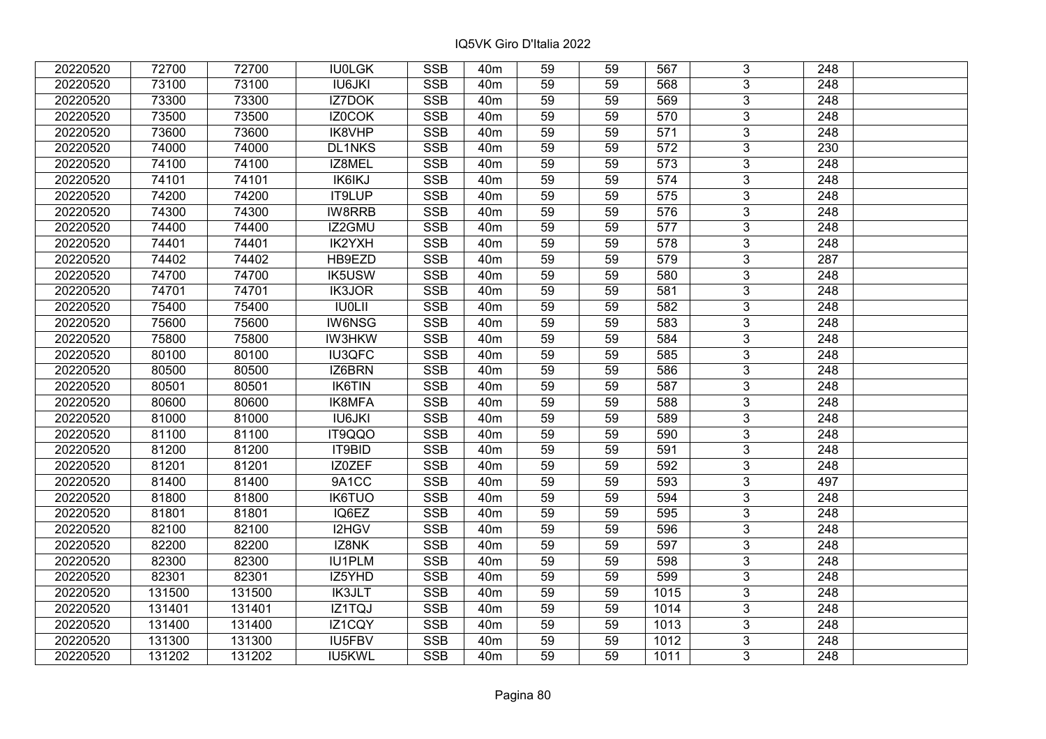| 20220520 | 72700  | 72700  | <b>IU0LGK</b> | <b>SSB</b>              | 40 <sub>m</sub> | 59              | 59 | 567              | 3              | 248              |  |
|----------|--------|--------|---------------|-------------------------|-----------------|-----------------|----|------------------|----------------|------------------|--|
| 20220520 | 73100  | 73100  | <b>IU6JKI</b> | <b>SSB</b>              | 40 <sub>m</sub> | 59              | 59 | 568              | 3              | 248              |  |
| 20220520 | 73300  | 73300  | IZ7DOK        | <b>SSB</b>              | 40 <sub>m</sub> | 59              | 59 | 569              | $\overline{3}$ | 248              |  |
| 20220520 | 73500  | 73500  | IZ0COK        | <b>SSB</b>              | 40 <sub>m</sub> | 59              | 59 | 570              | $\overline{3}$ | 248              |  |
| 20220520 | 73600  | 73600  | IK8VHP        | <b>SSB</b>              | 40 <sub>m</sub> | 59              | 59 | $\overline{571}$ | $\overline{3}$ | 248              |  |
| 20220520 | 74000  | 74000  | <b>DL1NKS</b> | <b>SSB</b>              | 40 <sub>m</sub> | 59              | 59 | 572              | $\overline{3}$ | 230              |  |
| 20220520 | 74100  | 74100  | IZ8MEL        | <b>SSB</b>              | 40m             | 59              | 59 | 573              | $\overline{3}$ | 248              |  |
| 20220520 | 74101  | 74101  | <b>IK6IKJ</b> | <b>SSB</b>              | 40 <sub>m</sub> | 59              | 59 | 574              | $\overline{3}$ | 248              |  |
| 20220520 | 74200  | 74200  | IT9LUP        | <b>SSB</b>              | 40 <sub>m</sub> | 59              | 59 | 575              | $\overline{3}$ | 248              |  |
| 20220520 | 74300  | 74300  | IW8RRB        | <b>SSB</b>              | 40 <sub>m</sub> | 59              | 59 | 576              | $\overline{3}$ | 248              |  |
| 20220520 | 74400  | 74400  | IZ2GMU        | <b>SSB</b>              | 40 <sub>m</sub> | 59              | 59 | 577              | $\overline{3}$ | 248              |  |
| 20220520 | 74401  | 74401  | IK2YXH        | <b>SSB</b>              | 40 <sub>m</sub> | 59              | 59 | 578              | $\overline{3}$ | 248              |  |
| 20220520 | 74402  | 74402  | HB9EZD        | <b>SSB</b>              | 40 <sub>m</sub> | 59              | 59 | 579              | $\overline{3}$ | 287              |  |
| 20220520 | 74700  | 74700  | IK5USW        | <b>SSB</b>              | 40 <sub>m</sub> | 59              | 59 | 580              | $\overline{3}$ | 248              |  |
| 20220520 | 74701  | 74701  | <b>IK3JOR</b> | <b>SSB</b>              | 40 <sub>m</sub> | 59              | 59 | 581              | 3              | 248              |  |
| 20220520 | 75400  | 75400  | <b>IU0LII</b> | <b>SSB</b>              | 40 <sub>m</sub> | 59              | 59 | 582              | $\overline{3}$ | 248              |  |
| 20220520 | 75600  | 75600  | <b>IW6NSG</b> | <b>SSB</b>              | 40 <sub>m</sub> | 59              | 59 | 583              | 3              | 248              |  |
| 20220520 | 75800  | 75800  | <b>IW3HKW</b> | <b>SSB</b>              | 40 <sub>m</sub> | 59              | 59 | 584              | 3              | 248              |  |
| 20220520 | 80100  | 80100  | <b>IU3QFC</b> | <b>SSB</b>              | 40 <sub>m</sub> | 59              | 59 | 585              | $\overline{3}$ | 248              |  |
| 20220520 | 80500  | 80500  | IZ6BRN        | <b>SSB</b>              | 40 <sub>m</sub> | 59              | 59 | 586              | $\overline{3}$ | 248              |  |
| 20220520 | 80501  | 80501  | <b>IK6TIN</b> | <b>SSB</b>              | 40 <sub>m</sub> | 59              | 59 | 587              | $\overline{3}$ | 248              |  |
| 20220520 | 80600  | 80600  | <b>IK8MFA</b> | <b>SSB</b>              | 40 <sub>m</sub> | 59              | 59 | 588              | $\overline{3}$ | 248              |  |
| 20220520 | 81000  | 81000  | <b>IU6JKI</b> | <b>SSB</b>              | 40 <sub>m</sub> | 59              | 59 | 589              | $\overline{3}$ | 248              |  |
| 20220520 | 81100  | 81100  | IT9QQO        | <b>SSB</b>              | 40 <sub>m</sub> | 59              | 59 | 590              | $\overline{3}$ | 248              |  |
| 20220520 | 81200  | 81200  | IT9BID        | <b>SSB</b>              | 40 <sub>m</sub> | 59              | 59 | 591              | $\overline{3}$ | 248              |  |
| 20220520 | 81201  | 81201  | IZ0ZEF        | SSB                     | 40 <sub>m</sub> | $\overline{59}$ | 59 | 592              | $\overline{3}$ | $\overline{248}$ |  |
| 20220520 | 81400  | 81400  | 9A1CC         | <b>SSB</b>              | 40 <sub>m</sub> | 59              | 59 | 593              | $\overline{3}$ | 497              |  |
| 20220520 | 81800  | 81800  | <b>IK6TUO</b> | <b>SSB</b>              | 40 <sub>m</sub> | 59              | 59 | 594              | 3              | 248              |  |
| 20220520 | 81801  | 81801  | IQ6EZ         | <b>SSB</b>              | 40 <sub>m</sub> | 59              | 59 | 595              | $\overline{3}$ | $\overline{248}$ |  |
| 20220520 | 82100  | 82100  | I2HGV         | <b>SSB</b>              | 40 <sub>m</sub> | 59              | 59 | 596              | $\overline{3}$ | $\overline{248}$ |  |
| 20220520 | 82200  | 82200  | IZ8NK         | <b>SSB</b>              | 40 <sub>m</sub> | 59              | 59 | 597              | $\overline{3}$ | 248              |  |
| 20220520 | 82300  | 82300  | <b>IU1PLM</b> | <b>SSB</b>              | 40 <sub>m</sub> | 59              | 59 | 598              | $\overline{3}$ | $\overline{248}$ |  |
| 20220520 | 82301  | 82301  | IZ5YHD        | <b>SSB</b>              | 40 <sub>m</sub> | 59              | 59 | 599              | 3              | 248              |  |
| 20220520 | 131500 | 131500 | <b>IK3JLT</b> | <b>SSB</b>              | 40 <sub>m</sub> | 59              | 59 | 1015             | 3              | 248              |  |
| 20220520 | 131401 | 131401 | IZ1TQJ        | <b>SSB</b>              | 40 <sub>m</sub> | 59              | 59 | 1014             | $\overline{3}$ | 248              |  |
| 20220520 | 131400 | 131400 | IZ1CQY        | <b>SSB</b>              | 40 <sub>m</sub> | 59              | 59 | 1013             | 3              | 248              |  |
| 20220520 | 131300 | 131300 | IU5FBV        | $\overline{\text{SSB}}$ | 40 <sub>m</sub> | 59              | 59 | 1012             | $\overline{3}$ | 248              |  |
| 20220520 | 131202 | 131202 | IU5KWL        | <b>SSB</b>              | 40 <sub>m</sub> | 59              | 59 | 1011             | $\overline{3}$ | 248              |  |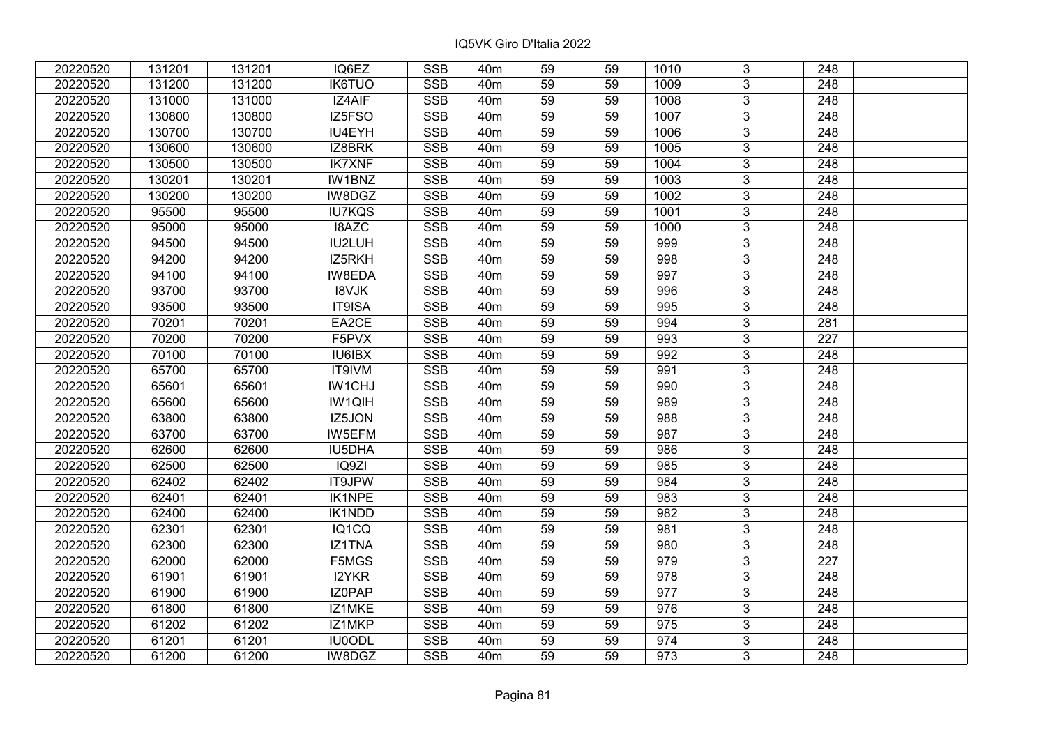| 20220520 | 131201 | 131201 | IQ6EZ         | <b>SSB</b> | 40 <sub>m</sub> | 59              | 59 | 1010 | 3              | 248              |  |
|----------|--------|--------|---------------|------------|-----------------|-----------------|----|------|----------------|------------------|--|
| 20220520 | 131200 | 131200 | <b>IK6TUO</b> | <b>SSB</b> | 40 <sub>m</sub> | 59              | 59 | 1009 | $\overline{3}$ | 248              |  |
| 20220520 | 131000 | 131000 | IZ4AIF        | <b>SSB</b> | 40 <sub>m</sub> | 59              | 59 | 1008 | $\overline{3}$ | 248              |  |
| 20220520 | 130800 | 130800 | IZ5FSO        | <b>SSB</b> | 40 <sub>m</sub> | 59              | 59 | 1007 | $\overline{3}$ | $\overline{248}$ |  |
| 20220520 | 130700 | 130700 | IU4EYH        | <b>SSB</b> | 40 <sub>m</sub> | 59              | 59 | 1006 | 3              | 248              |  |
| 20220520 | 130600 | 130600 | IZ8BRK        | <b>SSB</b> | 40 <sub>m</sub> | 59              | 59 | 1005 | $\overline{3}$ | 248              |  |
| 20220520 | 130500 | 130500 | <b>IK7XNF</b> | <b>SSB</b> | 40 <sub>m</sub> | 59              | 59 | 1004 | $\overline{3}$ | 248              |  |
| 20220520 | 130201 | 130201 | IW1BNZ        | <b>SSB</b> | 40 <sub>m</sub> | 59              | 59 | 1003 | 3              | 248              |  |
| 20220520 | 130200 | 130200 | IW8DGZ        | <b>SSB</b> | 40 <sub>m</sub> | 59              | 59 | 1002 | $\overline{3}$ | $\overline{248}$ |  |
| 20220520 | 95500  | 95500  | <b>IU7KQS</b> | <b>SSB</b> | 40 <sub>m</sub> | 59              | 59 | 1001 | $\overline{3}$ | 248              |  |
| 20220520 | 95000  | 95000  | I8AZC         | <b>SSB</b> | 40 <sub>m</sub> | 59              | 59 | 1000 | 3              | 248              |  |
| 20220520 | 94500  | 94500  | <b>IU2LUH</b> | <b>SSB</b> | 40 <sub>m</sub> | 59              | 59 | 999  | $\overline{3}$ | 248              |  |
| 20220520 | 94200  | 94200  | IZ5RKH        | <b>SSB</b> | 40 <sub>m</sub> | 59              | 59 | 998  | 3              | 248              |  |
| 20220520 | 94100  | 94100  | IW8EDA        | <b>SSB</b> | 40m             | 59              | 59 | 997  | $\overline{3}$ | 248              |  |
| 20220520 | 93700  | 93700  | <b>I8VJK</b>  | <b>SSB</b> | 40 <sub>m</sub> | 59              | 59 | 996  | $\overline{3}$ | 248              |  |
| 20220520 | 93500  | 93500  | IT9ISA        | <b>SSB</b> | 40 <sub>m</sub> | 59              | 59 | 995  | 3              | 248              |  |
| 20220520 | 70201  | 70201  | EA2CE         | <b>SSB</b> | 40 <sub>m</sub> | 59              | 59 | 994  | $\overline{3}$ | 281              |  |
| 20220520 | 70200  | 70200  | F5PVX         | <b>SSB</b> | 40 <sub>m</sub> | 59              | 59 | 993  | 3              | 227              |  |
| 20220520 | 70100  | 70100  | IU6IBX        | <b>SSB</b> | 40 <sub>m</sub> | 59              | 59 | 992  | 3              | 248              |  |
| 20220520 | 65700  | 65700  | IT9IVM        | <b>SSB</b> | 40 <sub>m</sub> | 59              | 59 | 991  | $\overline{3}$ | 248              |  |
| 20220520 | 65601  | 65601  | <b>IW1CHJ</b> | <b>SSB</b> | 40 <sub>m</sub> | 59              | 59 | 990  | $\overline{3}$ | 248              |  |
| 20220520 | 65600  | 65600  | IW1QIH        | <b>SSB</b> | 40 <sub>m</sub> | 59              | 59 | 989  | 3              | 248              |  |
| 20220520 | 63800  | 63800  | IZ5JON        | SSB        | 40 <sub>m</sub> | 59              | 59 | 988  | $\overline{3}$ | 248              |  |
| 20220520 | 63700  | 63700  | IW5EFM        | <b>SSB</b> | 40 <sub>m</sub> | 59              | 59 | 987  | $\overline{3}$ | 248              |  |
| 20220520 | 62600  | 62600  | IU5DHA        | <b>SSB</b> | 40 <sub>m</sub> | 59              | 59 | 986  | 3              | 248              |  |
| 20220520 | 62500  | 62500  | IQ9ZI         | <b>SSB</b> | 40 <sub>m</sub> | 59              | 59 | 985  | $\overline{3}$ | $\overline{248}$ |  |
| 20220520 | 62402  | 62402  | IT9JPW        | <b>SSB</b> | 40 <sub>m</sub> | 59              | 59 | 984  | $\overline{3}$ | $\overline{248}$ |  |
| 20220520 | 62401  | 62401  | <b>IK1NPE</b> | <b>SSB</b> | 40 <sub>m</sub> | 59              | 59 | 983  | $\overline{3}$ | $\overline{248}$ |  |
| 20220520 | 62400  | 62400  | IK1NDD        | <b>SSB</b> | 40 <sub>m</sub> | 59              | 59 | 982  | $\overline{3}$ | $\overline{248}$ |  |
| 20220520 | 62301  | 62301  | IQ1CQ         | <b>SSB</b> | 40 <sub>m</sub> | 59              | 59 | 981  | $\overline{3}$ | 248              |  |
| 20220520 | 62300  | 62300  | <b>IZ1TNA</b> | SSB        | 40 <sub>m</sub> | $\overline{59}$ | 59 | 980  | $\overline{3}$ | $\overline{248}$ |  |
| 20220520 | 62000  | 62000  | F5MGS         | <b>SSB</b> | 40 <sub>m</sub> | 59              | 59 | 979  | $\overline{3}$ | 227              |  |
| 20220520 | 61901  | 61901  | I2YKR         | <b>SSB</b> | 40 <sub>m</sub> | 59              | 59 | 978  | 3              | 248              |  |
| 20220520 | 61900  | 61900  | IZ0PAP        | <b>SSB</b> | 40 <sub>m</sub> | 59              | 59 | 977  | $\overline{3}$ | $\overline{248}$ |  |
| 20220520 | 61800  | 61800  | IZ1MKE        | <b>SSB</b> | 40 <sub>m</sub> | 59              | 59 | 976  | $\overline{3}$ | 248              |  |
| 20220520 | 61202  | 61202  | IZ1MKP        | <b>SSB</b> | 40 <sub>m</sub> | 59              | 59 | 975  | 3              | 248              |  |
| 20220520 | 61201  | 61201  | <b>IU0ODL</b> | SSB        | 40 <sub>m</sub> | 59              | 59 | 974  | $\overline{3}$ | 248              |  |
| 20220520 | 61200  | 61200  | IW8DGZ        | <b>SSB</b> | 40 <sub>m</sub> | 59              | 59 | 973  | $\overline{3}$ | 248              |  |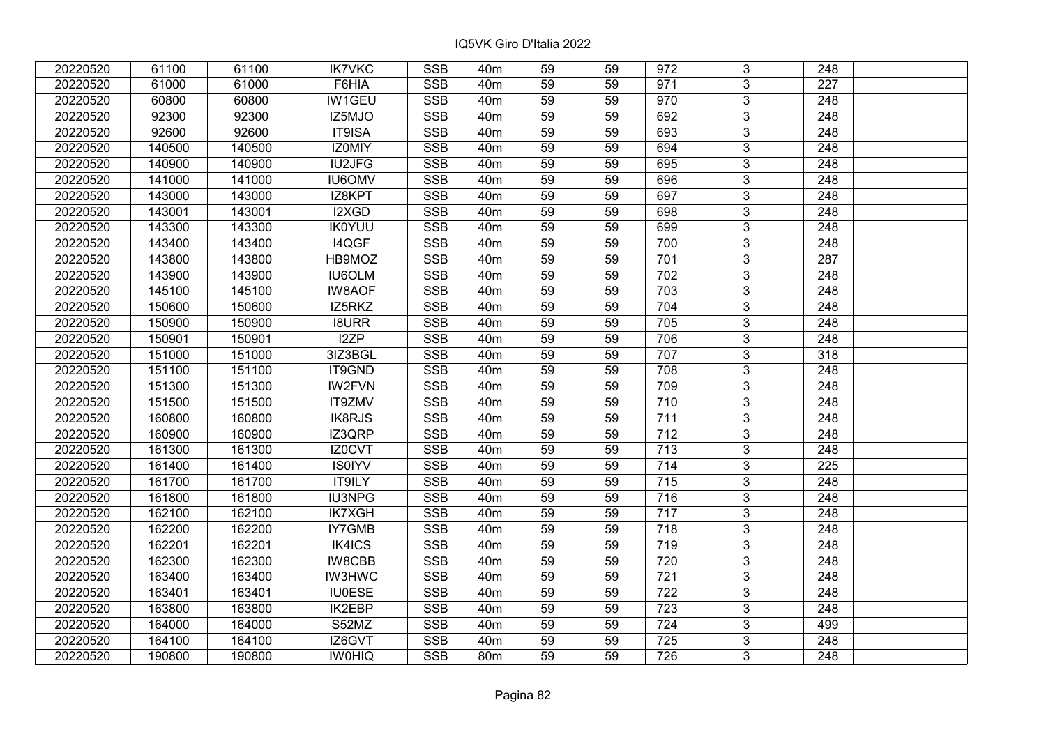| 20220520 | 61100  | 61100  | <b>IK7VKC</b> | <b>SSB</b>              | 40m             | 59              | 59 | 972 | 3              | 248              |  |
|----------|--------|--------|---------------|-------------------------|-----------------|-----------------|----|-----|----------------|------------------|--|
| 20220520 | 61000  | 61000  | F6HIA         | <b>SSB</b>              | 40 <sub>m</sub> | 59              | 59 | 971 | 3              | 227              |  |
| 20220520 | 60800  | 60800  | <b>IW1GEU</b> | <b>SSB</b>              | 40 <sub>m</sub> | 59              | 59 | 970 | $\overline{3}$ | 248              |  |
| 20220520 | 92300  | 92300  | IZ5MJO        | <b>SSB</b>              | 40 <sub>m</sub> | 59              | 59 | 692 | $\overline{3}$ | 248              |  |
| 20220520 | 92600  | 92600  | IT9ISA        | <b>SSB</b>              | 40 <sub>m</sub> | 59              | 59 | 693 | $\overline{3}$ | 248              |  |
| 20220520 | 140500 | 140500 | IZ0MIY        | SSB                     | 40 <sub>m</sub> | 59              | 59 | 694 | $\overline{3}$ | 248              |  |
| 20220520 | 140900 | 140900 | <b>IU2JFG</b> | <b>SSB</b>              | 40m             | 59              | 59 | 695 | $\overline{3}$ | 248              |  |
| 20220520 | 141000 | 141000 | <b>IU6OMV</b> | <b>SSB</b>              | 40 <sub>m</sub> | 59              | 59 | 696 | $\overline{3}$ | 248              |  |
| 20220520 | 143000 | 143000 | IZ8KPT        | <b>SSB</b>              | 40 <sub>m</sub> | 59              | 59 | 697 | $\overline{3}$ | 248              |  |
| 20220520 | 143001 | 143001 | I2XGD         | <b>SSB</b>              | 40 <sub>m</sub> | 59              | 59 | 698 | $\overline{3}$ | 248              |  |
| 20220520 | 143300 | 143300 | <b>IK0YUU</b> | <b>SSB</b>              | 40 <sub>m</sub> | 59              | 59 | 699 | $\overline{3}$ | 248              |  |
| 20220520 | 143400 | 143400 | I4QGF         | <b>SSB</b>              | 40 <sub>m</sub> | 59              | 59 | 700 | $\overline{3}$ | 248              |  |
| 20220520 | 143800 | 143800 | HB9MOZ        | <b>SSB</b>              | 40 <sub>m</sub> | 59              | 59 | 701 | $\overline{3}$ | 287              |  |
| 20220520 | 143900 | 143900 | <b>IU6OLM</b> | <b>SSB</b>              | 40 <sub>m</sub> | 59              | 59 | 702 | 3              | 248              |  |
| 20220520 | 145100 | 145100 | <b>IW8AOF</b> | <b>SSB</b>              | 40 <sub>m</sub> | 59              | 59 | 703 | 3              | 248              |  |
| 20220520 | 150600 | 150600 | IZ5RKZ        | <b>SSB</b>              | 40 <sub>m</sub> | 59              | 59 | 704 | 3              | 248              |  |
| 20220520 | 150900 | 150900 | <b>I8URR</b>  | <b>SSB</b>              | 40 <sub>m</sub> | 59              | 59 | 705 | 3              | 248              |  |
| 20220520 | 150901 | 150901 | I2ZP          | <b>SSB</b>              | 40 <sub>m</sub> | 59              | 59 | 706 | 3              | 248              |  |
| 20220520 | 151000 | 151000 | 3IZ3BGL       | <b>SSB</b>              | 40 <sub>m</sub> | 59              | 59 | 707 | $\overline{3}$ | 318              |  |
| 20220520 | 151100 | 151100 | IT9GND        | <b>SSB</b>              | 40 <sub>m</sub> | 59              | 59 | 708 | $\overline{3}$ | 248              |  |
| 20220520 | 151300 | 151300 | <b>IW2FVN</b> | <b>SSB</b>              | 40 <sub>m</sub> | 59              | 59 | 709 | $\overline{3}$ | 248              |  |
| 20220520 | 151500 | 151500 | IT9ZMV        | <b>SSB</b>              | 40 <sub>m</sub> | 59              | 59 | 710 | $\overline{3}$ | 248              |  |
| 20220520 | 160800 | 160800 | <b>IK8RJS</b> | <b>SSB</b>              | 40 <sub>m</sub> | 59              | 59 | 711 | $\overline{3}$ | 248              |  |
| 20220520 | 160900 | 160900 | IZ3QRP        | <b>SSB</b>              | 40 <sub>m</sub> | 59              | 59 | 712 | $\overline{3}$ | 248              |  |
| 20220520 | 161300 | 161300 | IZ0CVT        | <b>SSB</b>              | 40 <sub>m</sub> | 59              | 59 | 713 | $\overline{3}$ | 248              |  |
| 20220520 | 161400 | 161400 | <b>IS0IYV</b> | SSB                     | 40 <sub>m</sub> | $\overline{59}$ | 59 | 714 | $\overline{3}$ | 225              |  |
| 20220520 | 161700 | 161700 | <b>IT9ILY</b> | <b>SSB</b>              | 40 <sub>m</sub> | 59              | 59 | 715 | $\overline{3}$ | $\overline{248}$ |  |
| 20220520 | 161800 | 161800 | <b>IU3NPG</b> | <b>SSB</b>              | 40 <sub>m</sub> | 59              | 59 | 716 | 3              | 248              |  |
| 20220520 | 162100 | 162100 | <b>IK7XGH</b> | <b>SSB</b>              | 40 <sub>m</sub> | 59              | 59 | 717 | $\overline{3}$ | $\overline{248}$ |  |
| 20220520 | 162200 | 162200 | <b>IY7GMB</b> | <b>SSB</b>              | 40 <sub>m</sub> | 59              | 59 | 718 | $\overline{3}$ | $\overline{248}$ |  |
| 20220520 | 162201 | 162201 | IK4ICS        | <b>SSB</b>              | 40 <sub>m</sub> | 59              | 59 | 719 | $\overline{3}$ | 248              |  |
| 20220520 | 162300 | 162300 | <b>IW8CBB</b> | <b>SSB</b>              | 40 <sub>m</sub> | 59              | 59 | 720 | $\overline{3}$ | 248              |  |
| 20220520 | 163400 | 163400 | <b>IW3HWC</b> | <b>SSB</b>              | 40 <sub>m</sub> | 59              | 59 | 721 | 3              | 248              |  |
| 20220520 | 163401 | 163401 | <b>IU0ESE</b> | <b>SSB</b>              | 40 <sub>m</sub> | 59              | 59 | 722 | 3              | 248              |  |
| 20220520 | 163800 | 163800 | <b>IK2EBP</b> | <b>SSB</b>              | 40 <sub>m</sub> | 59              | 59 | 723 | $\overline{3}$ | 248              |  |
| 20220520 | 164000 | 164000 | S52MZ         | <b>SSB</b>              | 40 <sub>m</sub> | 59              | 59 | 724 | 3              | 499              |  |
| 20220520 | 164100 | 164100 | IZ6GVT        | $\overline{\text{SSB}}$ | 40 <sub>m</sub> | 59              | 59 | 725 | $\overline{3}$ | 248              |  |
| 20220520 | 190800 | 190800 | <b>IWOHIQ</b> | <b>SSB</b>              | 80 <sub>m</sub> | 59              | 59 | 726 | $\overline{3}$ | 248              |  |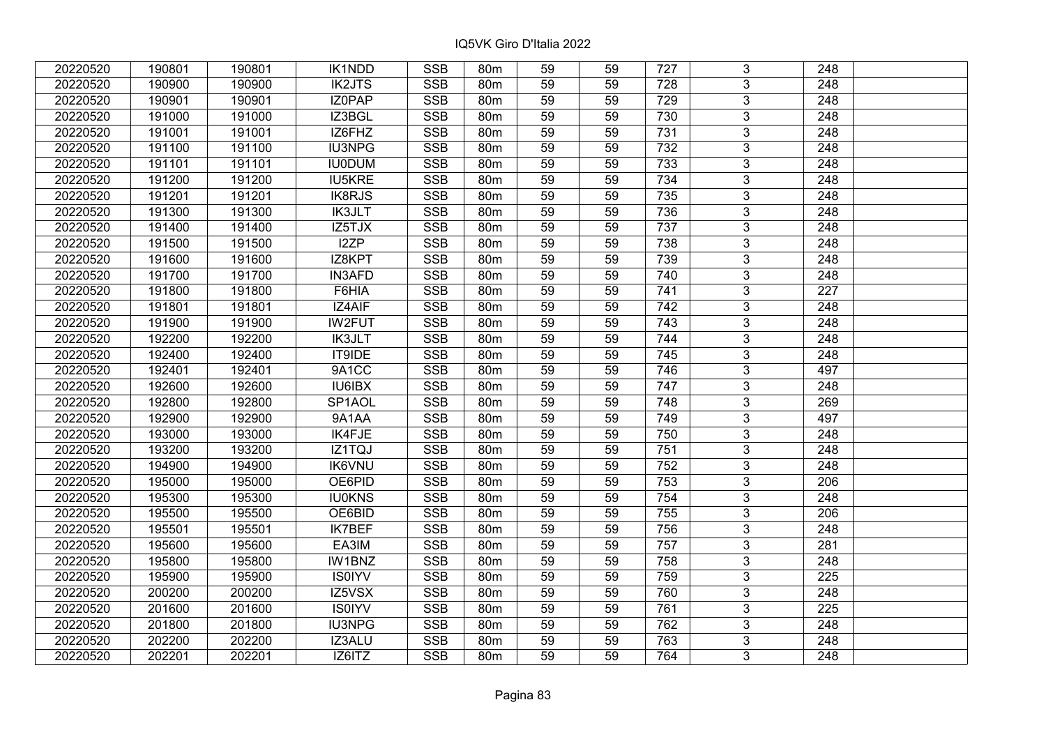| 20220520 | 190801 | 190801 | IK1NDD        | <b>SSB</b>              | 80 <sub>m</sub> | 59              | 59 | 727 | 3              | 248              |  |
|----------|--------|--------|---------------|-------------------------|-----------------|-----------------|----|-----|----------------|------------------|--|
| 20220520 | 190900 | 190900 | <b>IK2JTS</b> | <b>SSB</b>              | 80 <sub>m</sub> | 59              | 59 | 728 | 3              | 248              |  |
| 20220520 | 190901 | 190901 | IZ0PAP        | <b>SSB</b>              | 80m             | 59              | 59 | 729 | $\overline{3}$ | 248              |  |
| 20220520 | 191000 | 191000 | IZ3BGL        | <b>SSB</b>              | 80m             | 59              | 59 | 730 | $\overline{3}$ | 248              |  |
| 20220520 | 191001 | 191001 | IZ6FHZ        | <b>SSB</b>              | 80m             | 59              | 59 | 731 | $\overline{3}$ | 248              |  |
| 20220520 | 191100 | 191100 | IU3NPG        | SSB                     | 80m             | 59              | 59 | 732 | $\overline{3}$ | 248              |  |
| 20220520 | 191101 | 191101 | <b>IU0DUM</b> | <b>SSB</b>              | 80 <sub>m</sub> | 59              | 59 | 733 | $\overline{3}$ | 248              |  |
| 20220520 | 191200 | 191200 | <b>IU5KRE</b> | <b>SSB</b>              | 80m             | 59              | 59 | 734 | $\overline{3}$ | 248              |  |
| 20220520 | 191201 | 191201 | <b>IK8RJS</b> | <b>SSB</b>              | 80m             | 59              | 59 | 735 | $\overline{3}$ | 248              |  |
| 20220520 | 191300 | 191300 | <b>IK3JLT</b> | <b>SSB</b>              | 80m             | 59              | 59 | 736 | $\overline{3}$ | 248              |  |
| 20220520 | 191400 | 191400 | IZ5TJX        | <b>SSB</b>              | 80m             | 59              | 59 | 737 | $\overline{3}$ | 248              |  |
| 20220520 | 191500 | 191500 | I2ZP          | <b>SSB</b>              | 80m             | 59              | 59 | 738 | $\overline{3}$ | 248              |  |
| 20220520 | 191600 | 191600 | IZ8KPT        | <b>SSB</b>              | 80m             | 59              | 59 | 739 | $\overline{3}$ | 248              |  |
| 20220520 | 191700 | 191700 | <b>IN3AFD</b> | <b>SSB</b>              | 80m             | 59              | 59 | 740 | 3              | 248              |  |
| 20220520 | 191800 | 191800 | F6HIA         | <b>SSB</b>              | 80 <sub>m</sub> | 59              | 59 | 741 | 3              | 227              |  |
| 20220520 | 191801 | 191801 | IZ4AIF        | <b>SSB</b>              | 80 <sub>m</sub> | 59              | 59 | 742 | 3              | 248              |  |
| 20220520 | 191900 | 191900 | <b>IW2FUT</b> | <b>SSB</b>              | 80m             | 59              | 59 | 743 | 3              | 248              |  |
| 20220520 | 192200 | 192200 | <b>IK3JLT</b> | <b>SSB</b>              | 80 <sub>m</sub> | 59              | 59 | 744 | 3              | 248              |  |
| 20220520 | 192400 | 192400 | IT9IDE        | <b>SSB</b>              | 80m             | 59              | 59 | 745 | $\overline{3}$ | 248              |  |
| 20220520 | 192401 | 192401 | 9A1CC         | <b>SSB</b>              | 80m             | 59              | 59 | 746 | $\overline{3}$ | 497              |  |
| 20220520 | 192600 | 192600 | <b>IU6IBX</b> | <b>SSB</b>              | 80m             | 59              | 59 | 747 | $\overline{3}$ | 248              |  |
| 20220520 | 192800 | 192800 | SP1AOL        | <b>SSB</b>              | 80m             | 59              | 59 | 748 | $\overline{3}$ | 269              |  |
| 20220520 | 192900 | 192900 | 9A1AA         | <b>SSB</b>              | 80m             | 59              | 59 | 749 | 3              | 497              |  |
| 20220520 | 193000 | 193000 | IK4FJE        | <b>SSB</b>              | 80m             | 59              | 59 | 750 | $\overline{3}$ | 248              |  |
| 20220520 | 193200 | 193200 | IZ1TQJ        | <b>SSB</b>              | 80m             | 59              | 59 | 751 | $\overline{3}$ | 248              |  |
| 20220520 | 194900 | 194900 | <b>IK6VNU</b> | <b>SSB</b>              | 80 <sub>m</sub> | $\overline{59}$ | 59 | 752 | $\overline{3}$ | $\overline{248}$ |  |
| 20220520 | 195000 | 195000 | OE6PID        | <b>SSB</b>              | 80m             | 59              | 59 | 753 | $\overline{3}$ | $\overline{206}$ |  |
| 20220520 | 195300 | 195300 | <b>IU0KNS</b> | <b>SSB</b>              | <b>80m</b>      | 59              | 59 | 754 | 3              | 248              |  |
| 20220520 | 195500 | 195500 | OE6BID        | <b>SSB</b>              | 80m             | 59              | 59 | 755 | $\overline{3}$ | $\overline{206}$ |  |
| 20220520 | 195501 | 195501 | <b>IK7BEF</b> | <b>SSB</b>              | 80 <sub>m</sub> | 59              | 59 | 756 | $\overline{3}$ | $\overline{248}$ |  |
| 20220520 | 195600 | 195600 | EA3IM         | <b>SSB</b>              | 80 <sub>m</sub> | 59              | 59 | 757 | $\overline{3}$ | 281              |  |
| 20220520 | 195800 | 195800 | <b>IW1BNZ</b> | <b>SSB</b>              | 80 <sub>m</sub> | 59              | 59 | 758 | $\overline{3}$ | 248              |  |
| 20220520 | 195900 | 195900 | <b>IS0IYV</b> | <b>SSB</b>              | 80m             | 59              | 59 | 759 | 3              | 225              |  |
| 20220520 | 200200 | 200200 | IZ5VSX        | <b>SSB</b>              | 80 <sub>m</sub> | 59              | 59 | 760 | 3              | 248              |  |
| 20220520 | 201600 | 201600 | <b>IS0IYV</b> | <b>SSB</b>              | 80m             | 59              | 59 | 761 | $\overline{3}$ | 225              |  |
| 20220520 | 201800 | 201800 | <b>IU3NPG</b> | <b>SSB</b>              | 80m             | 59              | 59 | 762 | 3              | 248              |  |
| 20220520 | 202200 | 202200 | IZ3ALU        | $\overline{\text{SSB}}$ | 80 <sub>m</sub> | 59              | 59 | 763 | $\overline{3}$ | 248              |  |
| 20220520 | 202201 | 202201 | IZ6ITZ        | <b>SSB</b>              | 80 <sub>m</sub> | 59              | 59 | 764 | $\overline{3}$ | 248              |  |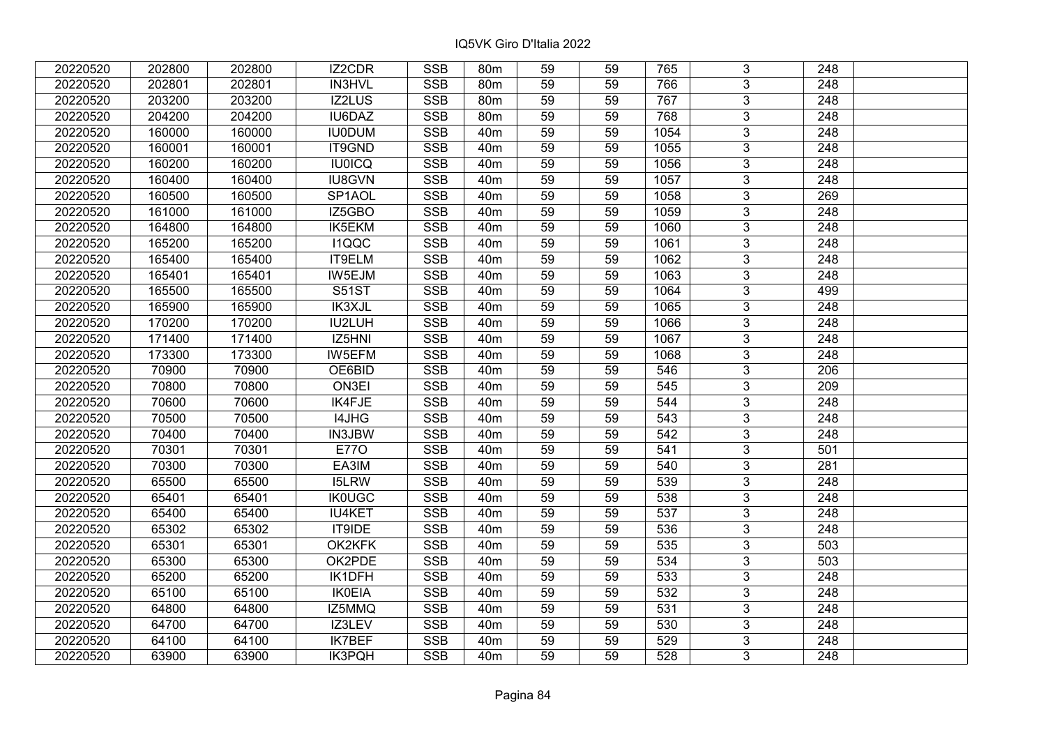| 20220520 | 202800 | 202800 | IZ2CDR              | <b>SSB</b> | 80 <sub>m</sub> | 59 | 59 | 765  | 3              | 248              |  |
|----------|--------|--------|---------------------|------------|-----------------|----|----|------|----------------|------------------|--|
| 20220520 | 202801 | 202801 | <b>IN3HVL</b>       | <b>SSB</b> | 80 <sub>m</sub> | 59 | 59 | 766  | 3 <sup>1</sup> | 248              |  |
| 20220520 | 203200 | 203200 | IZ2LUS              | <b>SSB</b> | 80m             | 59 | 59 | 767  | $\overline{3}$ | 248              |  |
| 20220520 | 204200 | 204200 | IU6DAZ              | <b>SSB</b> | 80m             | 59 | 59 | 768  | $\overline{3}$ | 248              |  |
| 20220520 | 160000 | 160000 | <b>IU0DUM</b>       | <b>SSB</b> | 40 <sub>m</sub> | 59 | 59 | 1054 | $\overline{3}$ | 248              |  |
| 20220520 | 160001 | 160001 | IT9GND              | <b>SSB</b> | 40 <sub>m</sub> | 59 | 59 | 1055 | $\overline{3}$ | 248              |  |
| 20220520 | 160200 | 160200 | <b>IU0ICQ</b>       | <b>SSB</b> | 40 <sub>m</sub> | 59 | 59 | 1056 | $\overline{3}$ | 248              |  |
| 20220520 | 160400 | 160400 | <b>IU8GVN</b>       | <b>SSB</b> | 40 <sub>m</sub> | 59 | 59 | 1057 | $\overline{3}$ | 248              |  |
| 20220520 | 160500 | 160500 | SP <sub>1</sub> AOL | <b>SSB</b> | 40 <sub>m</sub> | 59 | 59 | 1058 | $\overline{3}$ | 269              |  |
| 20220520 | 161000 | 161000 | IZ5GBO              | <b>SSB</b> | 40 <sub>m</sub> | 59 | 59 | 1059 | $\overline{3}$ | 248              |  |
| 20220520 | 164800 | 164800 | IK5EKM              | <b>SSB</b> | 40 <sub>m</sub> | 59 | 59 | 1060 | $\overline{3}$ | 248              |  |
| 20220520 | 165200 | 165200 | <b>I1QQC</b>        | <b>SSB</b> | 40 <sub>m</sub> | 59 | 59 | 1061 | $\overline{3}$ | 248              |  |
| 20220520 | 165400 | 165400 | IT9ELM              | <b>SSB</b> | 40 <sub>m</sub> | 59 | 59 | 1062 | 3              | 248              |  |
| 20220520 | 165401 | 165401 | IW5EJM              | <b>SSB</b> | 40 <sub>m</sub> | 59 | 59 | 1063 | $\overline{3}$ | 248              |  |
| 20220520 | 165500 | 165500 | <b>S51ST</b>        | <b>SSB</b> | 40 <sub>m</sub> | 59 | 59 | 1064 | $\mathbf{3}$   | 499              |  |
| 20220520 | 165900 | 165900 | IK3XJL              | <b>SSB</b> | 40 <sub>m</sub> | 59 | 59 | 1065 | $\mathbf{3}$   | 248              |  |
| 20220520 | 170200 | 170200 | <b>IU2LUH</b>       | <b>SSB</b> | 40 <sub>m</sub> | 59 | 59 | 1066 | $\mathbf{3}$   | 248              |  |
| 20220520 | 171400 | 171400 | IZ5HNI              | <b>SSB</b> | 40 <sub>m</sub> | 59 | 59 | 1067 | $\mathbf{3}$   | 248              |  |
| 20220520 | 173300 | 173300 | IW5EFM              | <b>SSB</b> | 40 <sub>m</sub> | 59 | 59 | 1068 | $\mathbf{3}$   | 248              |  |
| 20220520 | 70900  | 70900  | OE6BID              | <b>SSB</b> | 40 <sub>m</sub> | 59 | 59 | 546  | $\overline{3}$ | 206              |  |
| 20220520 | 70800  | 70800  | ON3EI               | <b>SSB</b> | 40 <sub>m</sub> | 59 | 59 | 545  | $\overline{3}$ | 209              |  |
| 20220520 | 70600  | 70600  | IK4FJE              | <b>SSB</b> | 40 <sub>m</sub> | 59 | 59 | 544  | $\mathbf{3}$   | 248              |  |
| 20220520 | 70500  | 70500  | I4JHG               | <b>SSB</b> | 40 <sub>m</sub> | 59 | 59 | 543  | $\overline{3}$ | 248              |  |
| 20220520 | 70400  | 70400  | IN3JBW              | <b>SSB</b> | 40 <sub>m</sub> | 59 | 59 | 542  | $\overline{3}$ | 248              |  |
| 20220520 | 70301  | 70301  | <b>E770</b>         | <b>SSB</b> | 40 <sub>m</sub> | 59 | 59 | 541  | $\overline{3}$ | 501              |  |
| 20220520 | 70300  | 70300  | EA3IM               | <b>SSB</b> | 40 <sub>m</sub> | 59 | 59 | 540  | $\overline{3}$ | 281              |  |
| 20220520 | 65500  | 65500  | <b>I5LRW</b>        | <b>SSB</b> | 40 <sub>m</sub> | 59 | 59 | 539  | $\mathbf{3}$   | 248              |  |
| 20220520 | 65401  | 65401  | <b>IK0UGC</b>       | <b>SSB</b> | 40 <sub>m</sub> | 59 | 59 | 538  | $\overline{3}$ | $\overline{248}$ |  |
| 20220520 | 65400  | 65400  | <b>IU4KET</b>       | <b>SSB</b> | 40 <sub>m</sub> | 59 | 59 | 537  | $\overline{3}$ | $\overline{248}$ |  |
| 20220520 | 65302  | 65302  | IT9IDE              | <b>SSB</b> | 40 <sub>m</sub> | 59 | 59 | 536  | $\overline{3}$ | 248              |  |
| 20220520 | 65301  | 65301  | OK2KFK              | <b>SSB</b> | 40 <sub>m</sub> | 59 | 59 | 535  | $\overline{3}$ | 503              |  |
| 20220520 | 65300  | 65300  | OK2PDE              | <b>SSB</b> | 40 <sub>m</sub> | 59 | 59 | 534  | $\overline{3}$ | 503              |  |
| 20220520 | 65200  | 65200  | IK1DFH              | <b>SSB</b> | 40 <sub>m</sub> | 59 | 59 | 533  | $\mathbf{3}$   | 248              |  |
| 20220520 | 65100  | 65100  | <b>IK0EIA</b>       | <b>SSB</b> | 40 <sub>m</sub> | 59 | 59 | 532  | $\overline{3}$ | 248              |  |
| 20220520 | 64800  | 64800  | IZ5MMQ              | <b>SSB</b> | 40 <sub>m</sub> | 59 | 59 | 531  | $\overline{3}$ | 248              |  |
| 20220520 | 64700  | 64700  | IZ3LEV              | <b>SSB</b> | 40 <sub>m</sub> | 59 | 59 | 530  | 3              | 248              |  |
| 20220520 | 64100  | 64100  | <b>IK7BEF</b>       | <b>SSB</b> | 40 <sub>m</sub> | 59 | 59 | 529  | $\overline{3}$ | 248              |  |
| 20220520 | 63900  | 63900  | <b>IK3PQH</b>       | <b>SSB</b> | 40 <sub>m</sub> | 59 | 59 | 528  | 3              | 248              |  |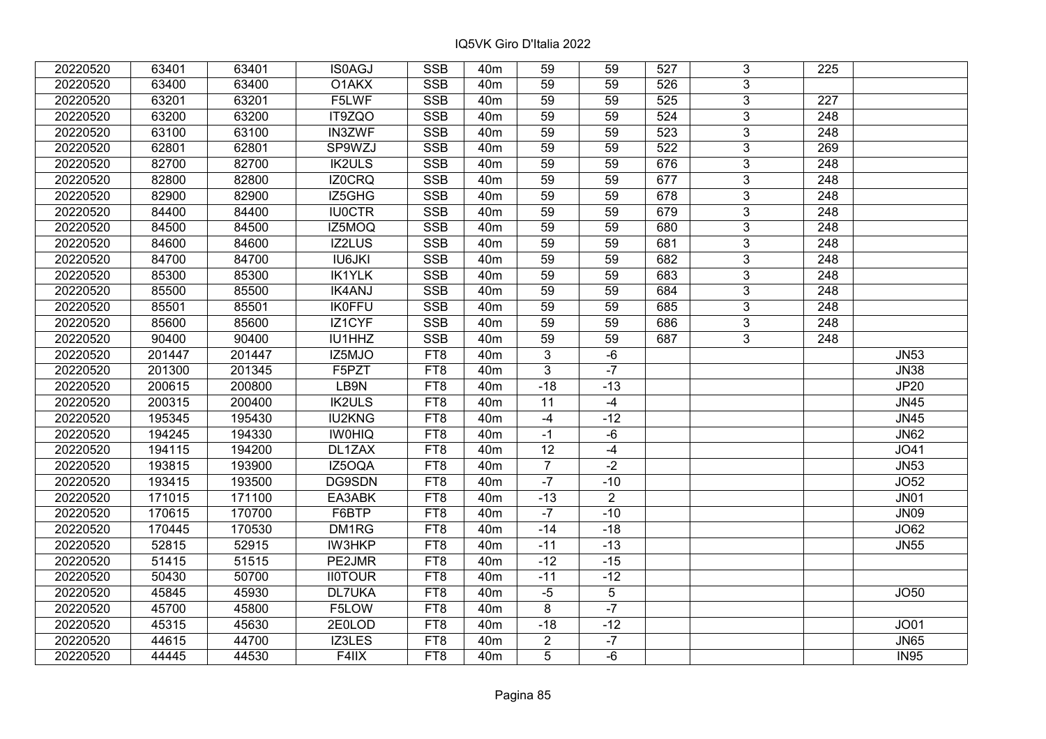| 20220520 | 63401  | 63401  | <b>IS0AGJ</b>  | <b>SSB</b>      | 40 <sub>m</sub> | 59              | 59             | 527 | 3              | 225              |             |
|----------|--------|--------|----------------|-----------------|-----------------|-----------------|----------------|-----|----------------|------------------|-------------|
| 20220520 | 63400  | 63400  | O1AKX          | <b>SSB</b>      | 40 <sub>m</sub> | 59              | 59             | 526 | 3              |                  |             |
| 20220520 | 63201  | 63201  | F5LWF          | <b>SSB</b>      | 40 <sub>m</sub> | 59              | 59             | 525 | $\overline{3}$ | 227              |             |
| 20220520 | 63200  | 63200  | IT9ZQO         | <b>SSB</b>      | 40 <sub>m</sub> | 59              | 59             | 524 | 3              | 248              |             |
| 20220520 | 63100  | 63100  | <b>IN3ZWF</b>  | <b>SSB</b>      | 40 <sub>m</sub> | 59              | 59             | 523 | 3              | 248              |             |
| 20220520 | 62801  | 62801  | SP9WZJ         | SSB             | 40 <sub>m</sub> | 59              | 59             | 522 | $\overline{3}$ | 269              |             |
| 20220520 | 82700  | 82700  | <b>IK2ULS</b>  | <b>SSB</b>      | 40 <sub>m</sub> | 59              | 59             | 676 | 3              | 248              |             |
| 20220520 | 82800  | 82800  | <b>IZ0CRQ</b>  | <b>SSB</b>      | 40 <sub>m</sub> | 59              | 59             | 677 | $\overline{3}$ | $\overline{248}$ |             |
| 20220520 | 82900  | 82900  | IZ5GHG         | <b>SSB</b>      | 40 <sub>m</sub> | 59              | 59             | 678 | $\overline{3}$ | 248              |             |
| 20220520 | 84400  | 84400  | <b>IU0CTR</b>  | <b>SSB</b>      | 40 <sub>m</sub> | 59              | 59             | 679 | $\overline{3}$ | 248              |             |
| 20220520 | 84500  | 84500  | IZ5MOQ         | <b>SSB</b>      | 40 <sub>m</sub> | 59              | 59             | 680 | $\overline{3}$ | 248              |             |
| 20220520 | 84600  | 84600  | <b>IZ2LUS</b>  | <b>SSB</b>      | 40 <sub>m</sub> | 59              | 59             | 681 | $\overline{3}$ | 248              |             |
| 20220520 | 84700  | 84700  | <b>IU6JKI</b>  | <b>SSB</b>      | 40 <sub>m</sub> | 59              | 59             | 682 | 3              | 248              |             |
| 20220520 | 85300  | 85300  | <b>IK1YLK</b>  | <b>SSB</b>      | 40 <sub>m</sub> | 59              | 59             | 683 | $\overline{3}$ | 248              |             |
| 20220520 | 85500  | 85500  | <b>IK4ANJ</b>  | <b>SSB</b>      | 40 <sub>m</sub> | 59              | 59             | 684 | 3              | 248              |             |
| 20220520 | 85501  | 85501  | <b>IK0FFU</b>  | <b>SSB</b>      | 40 <sub>m</sub> | 59              | 59             | 685 | 3              | 248              |             |
| 20220520 | 85600  | 85600  | IZ1CYF         | <b>SSB</b>      | 40 <sub>m</sub> | 59              | 59             | 686 | 3              | 248              |             |
| 20220520 | 90400  | 90400  | IU1HHZ         | <b>SSB</b>      | 40 <sub>m</sub> | 59              | 59             | 687 | 3              | 248              |             |
| 20220520 | 201447 | 201447 | IZ5MJO         | FT8             | 40 <sub>m</sub> | 3               | -6             |     |                |                  | <b>JN53</b> |
| 20220520 | 201300 | 201345 | F5PZT          | FT <sub>8</sub> | 40 <sub>m</sub> | $\overline{3}$  | $-7$           |     |                |                  | <b>JN38</b> |
| 20220520 | 200615 | 200800 | LB9N           | FT8             | 40 <sub>m</sub> | $-18$           | $-13$          |     |                |                  | <b>JP20</b> |
| 20220520 | 200315 | 200400 | <b>IK2ULS</b>  | FT8             | 40 <sub>m</sub> | 11              | $-4$           |     |                |                  | <b>JN45</b> |
| 20220520 | 195345 | 195430 | <b>IU2KNG</b>  | FT8             | 40 <sub>m</sub> | $-4$            | $-12$          |     |                |                  | <b>JN45</b> |
| 20220520 | 194245 | 194330 | <b>IWOHIQ</b>  | FT8             | 40 <sub>m</sub> | $-1$            | -6             |     |                |                  | <b>JN62</b> |
| 20220520 | 194115 | 194200 | DL1ZAX         | FT <sub>8</sub> | 40 <sub>m</sub> | $\overline{12}$ | $-4$           |     |                |                  | JO41        |
| 20220520 | 193815 | 193900 | IZ5OQA         | FT8             | 40 <sub>m</sub> | $\overline{7}$  | $-2$           |     |                |                  | <b>JN53</b> |
| 20220520 | 193415 | 193500 | DG9SDN         | FT8             | 40 <sub>m</sub> | $-7$            | $-10$          |     |                |                  | JO52        |
| 20220520 | 171015 | 171100 | EA3ABK         | FT8             | 40 <sub>m</sub> | $-13$           | $\overline{2}$ |     |                |                  | <b>JN01</b> |
| 20220520 | 170615 | 170700 | F6BTP          | FT8             | 40 <sub>m</sub> | $-7$            | $-10$          |     |                |                  | <b>JN09</b> |
| 20220520 | 170445 | 170530 | DM1RG          | FT8             | 40 <sub>m</sub> | $-14$           | $-18$          |     |                |                  | <b>JO62</b> |
| 20220520 | 52815  | 52915  | <b>IW3HKP</b>  | FT <sub>8</sub> | 40 <sub>m</sub> | $-11$           | $-13$          |     |                |                  | <b>JN55</b> |
| 20220520 | 51415  | 51515  | PE2JMR         | FT <sub>8</sub> | 40 <sub>m</sub> | $-12$           | $-15$          |     |                |                  |             |
| 20220520 | 50430  | 50700  | <b>II0TOUR</b> | FT8             | 40 <sub>m</sub> | $-11$           | $-12$          |     |                |                  |             |
| 20220520 | 45845  | 45930  | <b>DL7UKA</b>  | FT8             | 40 <sub>m</sub> | $-5$            | $\overline{5}$ |     |                |                  | JO50        |
| 20220520 | 45700  | 45800  | F5LOW          | FT8             | 40 <sub>m</sub> | 8               | $-7$           |     |                |                  |             |
| 20220520 | 45315  | 45630  | 2E0LOD         | FT8             | 40 <sub>m</sub> | $-18$           | $-12$          |     |                |                  | JO01        |
| 20220520 | 44615  | 44700  | IZ3LES         | FT8             | 40 <sub>m</sub> | $\overline{2}$  | $-7$           |     |                |                  | <b>JN65</b> |
| 20220520 | 44445  | 44530  | F4IIX          | FT8             | 40 <sub>m</sub> | 5               | $-6$           |     |                |                  | <b>IN95</b> |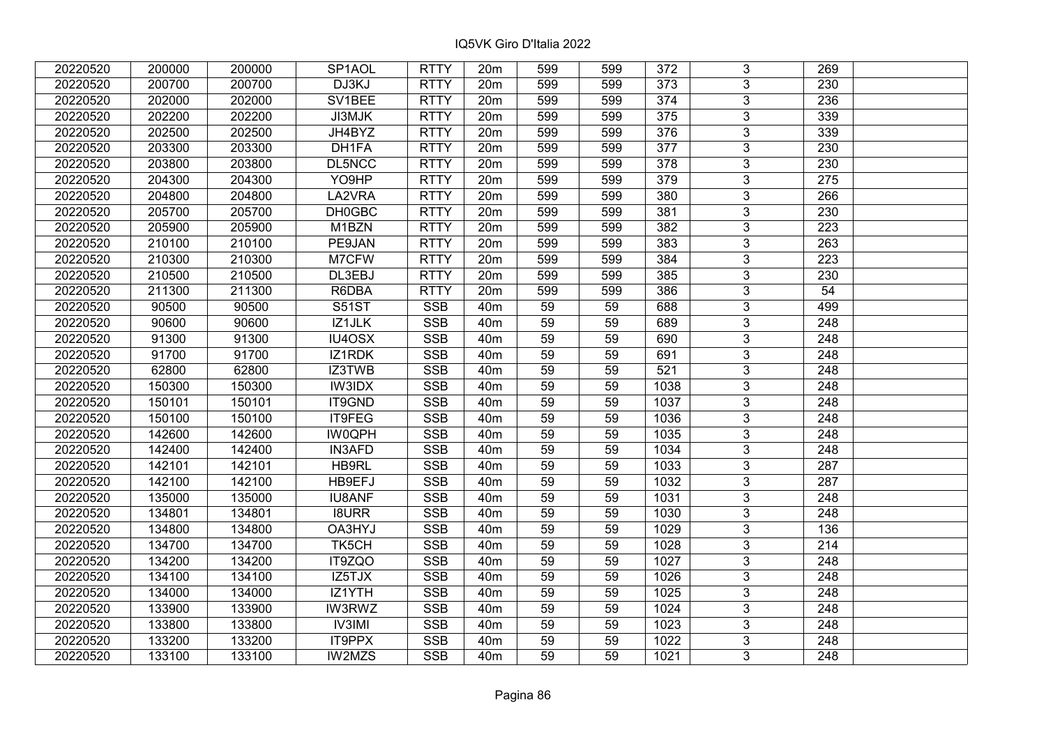| 20220520 | 200000 | 200000 | SP1AOL        | <b>RTTY</b> | 20 <sub>m</sub> | 599             | 599 | 372              | 3              | 269              |  |
|----------|--------|--------|---------------|-------------|-----------------|-----------------|-----|------------------|----------------|------------------|--|
| 20220520 | 200700 | 200700 | DJ3KJ         | <b>RTTY</b> | 20m             | 599             | 599 | 373              | 3              | 230              |  |
| 20220520 | 202000 | 202000 | SV1BEE        | <b>RTTY</b> | 20m             | 599             | 599 | $\overline{374}$ | $\overline{3}$ | 236              |  |
| 20220520 | 202200 | 202200 | JI3MJK        | <b>RTTY</b> | 20m             | 599             | 599 | $\frac{1}{375}$  | $\overline{3}$ | 339              |  |
| 20220520 | 202500 | 202500 | JH4BYZ        | <b>RTTY</b> | 20m             | 599             | 599 | 376              | 3              | 339              |  |
| 20220520 | 203300 | 203300 | DH1FA         | <b>RTTY</b> | 20m             | 599             | 599 | $\overline{377}$ | $\overline{3}$ | 230              |  |
| 20220520 | 203800 | 203800 | DL5NCC        | <b>RTTY</b> | 20m             | 599             | 599 | 378              | $\overline{3}$ | 230              |  |
| 20220520 | 204300 | 204300 | YO9HP         | <b>RTTY</b> | 20m             | 599             | 599 | 379              | $\overline{3}$ | 275              |  |
| 20220520 | 204800 | 204800 | LA2VRA        | <b>RTTY</b> | 20m             | 599             | 599 | 380              | $\overline{3}$ | 266              |  |
| 20220520 | 205700 | 205700 | DH0GBC        | <b>RTTY</b> | 20m             | 599             | 599 | 381              | $\overline{3}$ | 230              |  |
| 20220520 | 205900 | 205900 | M1BZN         | <b>RTTY</b> | 20m             | 599             | 599 | 382              | 3              | 223              |  |
| 20220520 | 210100 | 210100 | PE9JAN        | <b>RTTY</b> | 20m             | 599             | 599 | 383              | $\overline{3}$ | 263              |  |
| 20220520 | 210300 | 210300 | M7CFW         | <b>RTTY</b> | 20 <sub>m</sub> | 599             | 599 | 384              | 3              | 223              |  |
| 20220520 | 210500 | 210500 | DL3EBJ        | <b>RTTY</b> | 20 <sub>m</sub> | 599             | 599 | 385              | $\overline{3}$ | 230              |  |
| 20220520 | 211300 | 211300 | R6DBA         | <b>RTTY</b> | 20m             | 599             | 599 | 386              | $\overline{3}$ | 54               |  |
| 20220520 | 90500  | 90500  | S51ST         | <b>SSB</b>  | 40 <sub>m</sub> | 59              | 59  | 688              | 3              | 499              |  |
| 20220520 | 90600  | 90600  | IZ1JLK        | <b>SSB</b>  | 40 <sub>m</sub> | 59              | 59  | 689              | $\overline{3}$ | 248              |  |
| 20220520 | 91300  | 91300  | IU4OSX        | <b>SSB</b>  | 40 <sub>m</sub> | 59              | 59  | 690              | 3              | 248              |  |
| 20220520 | 91700  | 91700  | IZ1RDK        | <b>SSB</b>  | 40 <sub>m</sub> | 59              | 59  | 691              | 3              | 248              |  |
| 20220520 | 62800  | 62800  | IZ3TWB        | <b>SSB</b>  | 40 <sub>m</sub> | 59              | 59  | 521              | $\overline{3}$ | 248              |  |
| 20220520 | 150300 | 150300 | IW3IDX        | <b>SSB</b>  | 40 <sub>m</sub> | 59              | 59  | 1038             | $\overline{3}$ | 248              |  |
| 20220520 | 150101 | 150101 | IT9GND        | <b>SSB</b>  | 40 <sub>m</sub> | 59              | 59  | 1037             | $\overline{3}$ | 248              |  |
| 20220520 | 150100 | 150100 | IT9FEG        | <b>SSB</b>  | 40 <sub>m</sub> | 59              | 59  | 1036             | $\overline{3}$ | 248              |  |
| 20220520 | 142600 | 142600 | <b>IW0QPH</b> | <b>SSB</b>  | 40 <sub>m</sub> | 59              | 59  | 1035             | $\overline{3}$ | 248              |  |
| 20220520 | 142400 | 142400 | <b>IN3AFD</b> | <b>SSB</b>  | 40 <sub>m</sub> | 59              | 59  | 1034             | 3              | 248              |  |
| 20220520 | 142101 | 142101 | HB9RL         | <b>SSB</b>  | 40 <sub>m</sub> | 59              | 59  | 1033             | $\overline{3}$ | 287              |  |
| 20220520 | 142100 | 142100 | HB9EFJ        | <b>SSB</b>  | 40 <sub>m</sub> | $\overline{59}$ | 59  | 1032             | $\overline{3}$ | 287              |  |
| 20220520 | 135000 | 135000 | <b>IU8ANF</b> | <b>SSB</b>  | 40 <sub>m</sub> | 59              | 59  | 1031             | $\overline{3}$ | 248              |  |
| 20220520 | 134801 | 134801 | <b>I8URR</b>  | <b>SSB</b>  | 40 <sub>m</sub> | 59              | 59  | 1030             | $\overline{3}$ | 248              |  |
| 20220520 | 134800 | 134800 | OA3HYJ        | <b>SSB</b>  | 40 <sub>m</sub> | 59              | 59  | 1029             | $\overline{3}$ | 136              |  |
| 20220520 | 134700 | 134700 | TK5CH         | SSB         | 40 <sub>m</sub> | $\overline{59}$ | 59  | $\frac{1028}{ }$ | $\overline{3}$ | 214              |  |
| 20220520 | 134200 | 134200 | IT9ZQO        | <b>SSB</b>  | 40 <sub>m</sub> | 59              | 59  | 1027             | $\overline{3}$ | 248              |  |
| 20220520 | 134100 | 134100 | IZ5TJX        | <b>SSB</b>  | 40 <sub>m</sub> | 59              | 59  | 1026             | 3              | 248              |  |
| 20220520 | 134000 | 134000 | IZ1YTH        | <b>SSB</b>  | 40 <sub>m</sub> | 59              | 59  | 1025             | $\overline{3}$ | $\overline{248}$ |  |
| 20220520 | 133900 | 133900 | <b>IW3RWZ</b> | <b>SSB</b>  | 40 <sub>m</sub> | 59              | 59  | 1024             | 3              | 248              |  |
| 20220520 | 133800 | 133800 | <b>IV3IMI</b> | <b>SSB</b>  | 40 <sub>m</sub> | 59              | 59  | 1023             | 3              | 248              |  |
| 20220520 | 133200 | 133200 | IT9PPX        | SSB         | 40 <sub>m</sub> | 59              | 59  | 1022             | $\overline{3}$ | 248              |  |
| 20220520 | 133100 | 133100 | IW2MZS        | <b>SSB</b>  | 40 <sub>m</sub> | 59              | 59  | 1021             | $\overline{3}$ | 248              |  |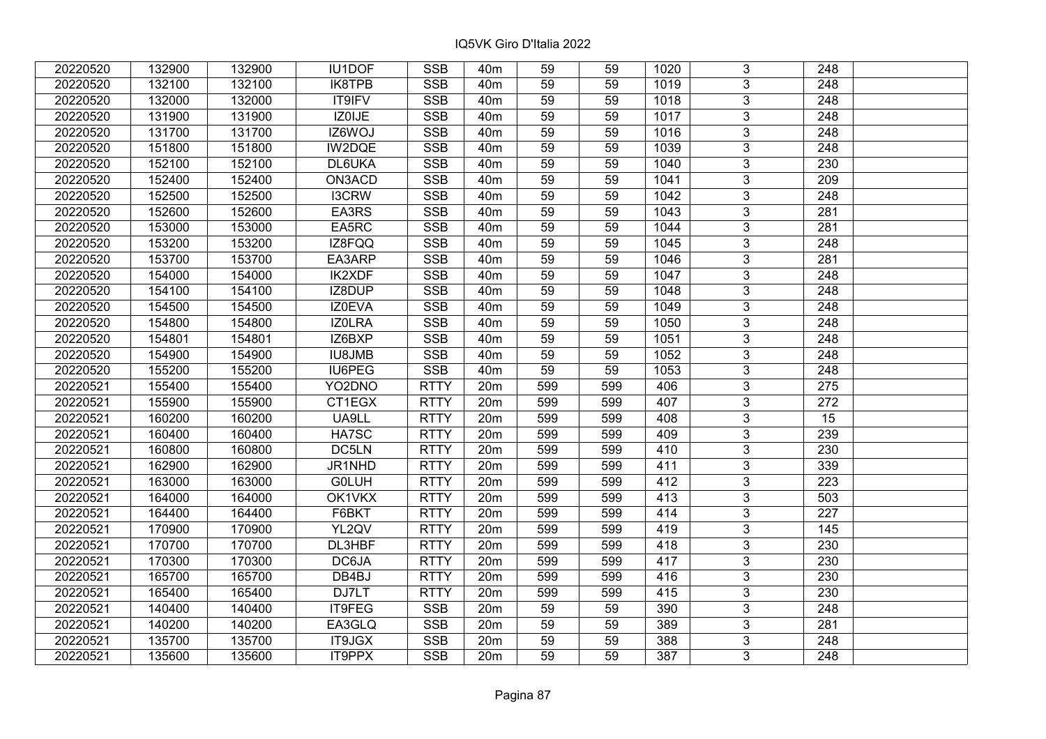| 20220520 | 132900 | 132900 | IU1DOF        | <b>SSB</b>  | 40 <sub>m</sub> | 59              | 59  | 1020 | 3              | 248              |  |
|----------|--------|--------|---------------|-------------|-----------------|-----------------|-----|------|----------------|------------------|--|
| 20220520 | 132100 | 132100 | <b>IK8TPB</b> | <b>SSB</b>  | 40 <sub>m</sub> | 59              | 59  | 1019 | $\overline{3}$ | 248              |  |
| 20220520 | 132000 | 132000 | <b>IT9IFV</b> | <b>SSB</b>  | 40 <sub>m</sub> | 59              | 59  | 1018 | $\overline{3}$ | 248              |  |
| 20220520 | 131900 | 131900 | IZ0IJE        | <b>SSB</b>  | 40 <sub>m</sub> | 59              | 59  | 1017 | $\overline{3}$ | $\overline{248}$ |  |
| 20220520 | 131700 | 131700 | IZ6WOJ        | <b>SSB</b>  | 40 <sub>m</sub> | 59              | 59  | 1016 | 3              | 248              |  |
| 20220520 | 151800 | 151800 | IW2DQE        | <b>SSB</b>  | 40 <sub>m</sub> | 59              | 59  | 1039 | $\overline{3}$ | $\overline{248}$ |  |
| 20220520 | 152100 | 152100 | DL6UKA        | <b>SSB</b>  | 40 <sub>m</sub> | 59              | 59  | 1040 | $\overline{3}$ | 230              |  |
| 20220520 | 152400 | 152400 | ON3ACD        | <b>SSB</b>  | 40 <sub>m</sub> | 59              | 59  | 1041 | $\overline{3}$ | 209              |  |
| 20220520 | 152500 | 152500 | <b>I3CRW</b>  | <b>SSB</b>  | 40 <sub>m</sub> | $\overline{59}$ | 59  | 1042 | $\overline{3}$ | $\overline{248}$ |  |
| 20220520 | 152600 | 152600 | EA3RS         | <b>SSB</b>  | 40 <sub>m</sub> | 59              | 59  | 1043 | $\overline{3}$ | 281              |  |
| 20220520 | 153000 | 153000 | EA5RC         | <b>SSB</b>  | 40 <sub>m</sub> | 59              | 59  | 1044 | 3              | 281              |  |
| 20220520 | 153200 | 153200 | IZ8FQQ        | <b>SSB</b>  | 40m             | $\overline{59}$ | 59  | 1045 | $\overline{3}$ | 248              |  |
| 20220520 | 153700 | 153700 | EA3ARP        | <b>SSB</b>  | 40 <sub>m</sub> | 59              | 59  | 1046 | 3              | 281              |  |
| 20220520 | 154000 | 154000 | <b>IK2XDF</b> | <b>SSB</b>  | 40m             | 59              | 59  | 1047 | 3              | 248              |  |
| 20220520 | 154100 | 154100 | IZ8DUP        | <b>SSB</b>  | 40 <sub>m</sub> | 59              | 59  | 1048 | $\overline{3}$ | $\overline{248}$ |  |
| 20220520 | 154500 | 154500 | IZ0EVA        | <b>SSB</b>  | 40 <sub>m</sub> | 59              | 59  | 1049 | $\overline{3}$ | 248              |  |
| 20220520 | 154800 | 154800 | IZ0LRA        | <b>SSB</b>  | 40 <sub>m</sub> | 59              | 59  | 1050 | 3              | 248              |  |
| 20220520 | 154801 | 154801 | IZ6BXP        | <b>SSB</b>  | 40 <sub>m</sub> | 59              | 59  | 1051 | $\overline{3}$ | 248              |  |
| 20220520 | 154900 | 154900 | <b>IU8JMB</b> | <b>SSB</b>  | 40 <sub>m</sub> | 59              | 59  | 1052 | $\overline{3}$ | 248              |  |
| 20220520 | 155200 | 155200 | IU6PEG        | <b>SSB</b>  | 40 <sub>m</sub> | 59              | 59  | 1053 | $\overline{3}$ | 248              |  |
| 20220521 | 155400 | 155400 | YO2DNO        | <b>RTTY</b> | 20 <sub>m</sub> | 599             | 599 | 406  | $\overline{3}$ | 275              |  |
| 20220521 | 155900 | 155900 | CT1EGX        | <b>RTTY</b> | 20m             | 599             | 599 | 407  | $\overline{3}$ | 272              |  |
| 20220521 | 160200 | 160200 | UA9LL         | <b>RTTY</b> | 20 <sub>m</sub> | 599             | 599 | 408  | 3              | 15               |  |
| 20220521 | 160400 | 160400 | HA7SC         | <b>RTTY</b> | 20m             | 599             | 599 | 409  | $\overline{3}$ | 239              |  |
| 20220521 | 160800 | 160800 | DC5LN         | <b>RTTY</b> | 20m             | 599             | 599 | 410  | $\overline{3}$ | 230              |  |
| 20220521 | 162900 | 162900 | JR1NHD        | <b>RTTY</b> | 20m             | 599             | 599 | 411  | $\overline{3}$ | 339              |  |
| 20220521 | 163000 | 163000 | <b>GOLUH</b>  | <b>RTTY</b> | 20m             | 599             | 599 | 412  | $\overline{3}$ | $\overline{223}$ |  |
| 20220521 | 164000 | 164000 | OK1VKX        | <b>RTTY</b> | 20m             | 599             | 599 | 413  | $\overline{3}$ | 503              |  |
| 20220521 | 164400 | 164400 | F6BKT         | <b>RTTY</b> | 20m             | 599             | 599 | 414  | $\overline{3}$ | $\overline{227}$ |  |
| 20220521 | 170900 | 170900 | YL2QV         | <b>RTTY</b> | 20m             | 599             | 599 | 419  | $\overline{3}$ | 145              |  |
| 20220521 | 170700 | 170700 | DL3HBF        | <b>RTTY</b> | 20m             | 599             | 599 | 418  | $\overline{3}$ | 230              |  |
| 20220521 | 170300 | 170300 | DC6JA         | <b>RTTY</b> | 20m             | 599             | 599 | 417  | $\overline{3}$ | 230              |  |
| 20220521 | 165700 | 165700 | DB4BJ         | <b>RTTY</b> | 20m             | 599             | 599 | 416  | 3              | 230              |  |
| 20220521 | 165400 | 165400 | DJ7LT         | <b>RTTY</b> | 20m             | 599             | 599 | 415  | $\overline{3}$ | 230              |  |
| 20220521 | 140400 | 140400 | IT9FEG        | <b>SSB</b>  | 20m             | 59              | 59  | 390  | $\overline{3}$ | 248              |  |
| 20220521 | 140200 | 140200 | EA3GLQ        | <b>SSB</b>  | 20m             | 59              | 59  | 389  | 3              | 281              |  |
| 20220521 | 135700 | 135700 | IT9JGX        | <b>SSB</b>  | 20m             | 59              | 59  | 388  | 3              | 248              |  |
| 20220521 | 135600 | 135600 | IT9PPX        | <b>SSB</b>  | 20m             | 59              | 59  | 387  | 3              | 248              |  |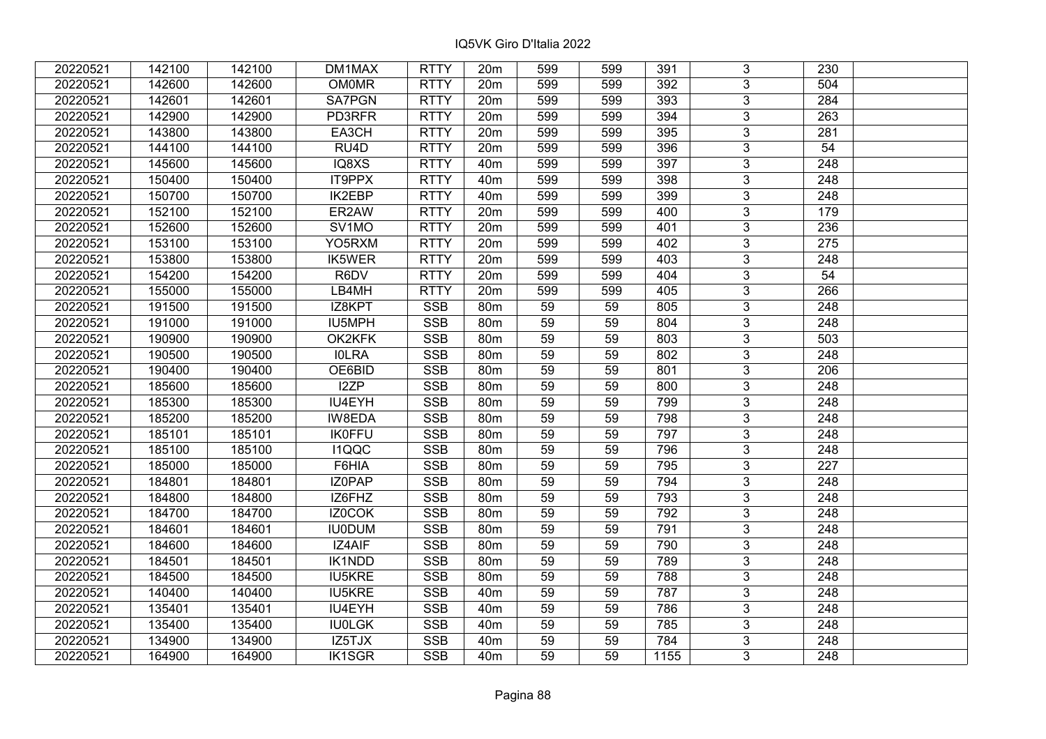| 20220521 | 142100 | 142100 | DM1MAX            | <b>RTTY</b> | 20 <sub>m</sub> | 599             | 599 | 391  | 3              | 230              |  |
|----------|--------|--------|-------------------|-------------|-----------------|-----------------|-----|------|----------------|------------------|--|
| 20220521 | 142600 | 142600 | <b>OM0MR</b>      | <b>RTTY</b> | 20m             | 599             | 599 | 392  | 3              | 504              |  |
| 20220521 | 142601 | 142601 | <b>SA7PGN</b>     | <b>RTTY</b> | 20m             | 599             | 599 | 393  | $\overline{3}$ | 284              |  |
| 20220521 | 142900 | 142900 | PD3RFR            | <b>RTTY</b> | 20m             | 599             | 599 | 394  | 3              | 263              |  |
| 20220521 | 143800 | 143800 | EA3CH             | <b>RTTY</b> | 20 <sub>m</sub> | 599             | 599 | 395  | $\overline{3}$ | 281              |  |
| 20220521 | 144100 | 144100 | RU <sub>4</sub> D | <b>RTTY</b> | 20m             | 599             | 599 | 396  | $\overline{3}$ | 54               |  |
| 20220521 | 145600 | 145600 | IQ8XS             | <b>RTTY</b> | 40 <sub>m</sub> | 599             | 599 | 397  | $\overline{3}$ | 248              |  |
| 20220521 | 150400 | 150400 | <b>IT9PPX</b>     | <b>RTTY</b> | 40 <sub>m</sub> | 599             | 599 | 398  | $\overline{3}$ | 248              |  |
| 20220521 | 150700 | 150700 | <b>IK2EBP</b>     | <b>RTTY</b> | 40 <sub>m</sub> | 599             | 599 | 399  | $\overline{3}$ | 248              |  |
| 20220521 | 152100 | 152100 | ER2AW             | <b>RTTY</b> | 20 <sub>m</sub> | 599             | 599 | 400  | $\overline{3}$ | 179              |  |
| 20220521 | 152600 | 152600 | SV1MO             | <b>RTTY</b> | 20m             | 599             | 599 | 401  | $\overline{3}$ | 236              |  |
| 20220521 | 153100 | 153100 | YO5RXM            | <b>RTTY</b> | 20m             | 599             | 599 | 402  | $\overline{3}$ | 275              |  |
| 20220521 | 153800 | 153800 | IK5WER            | <b>RTTY</b> | 20 <sub>m</sub> | 599             | 599 | 403  | $\overline{3}$ | 248              |  |
| 20220521 | 154200 | 154200 | R6DV              | <b>RTTY</b> | 20m             | 599             | 599 | 404  | 3              | 54               |  |
| 20220521 | 155000 | 155000 | LB4MH             | <b>RTTY</b> | 20m             | 599             | 599 | 405  | 3              | 266              |  |
| 20220521 | 191500 | 191500 | IZ8KPT            | <b>SSB</b>  | 80 <sub>m</sub> | 59              | 59  | 805  | 3              | 248              |  |
| 20220521 | 191000 | 191000 | IU5MPH            | <b>SSB</b>  | 80m             | 59              | 59  | 804  | 3              | 248              |  |
| 20220521 | 190900 | 190900 | OK2KFK            | <b>SSB</b>  | 80 <sub>m</sub> | 59              | 59  | 803  | 3              | 503              |  |
| 20220521 | 190500 | 190500 | <b>IOLRA</b>      | <b>SSB</b>  | 80m             | 59              | 59  | 802  | 3              | 248              |  |
| 20220521 | 190400 | 190400 | OE6BID            | <b>SSB</b>  | 80m             | 59              | 59  | 801  | $\overline{3}$ | 206              |  |
| 20220521 | 185600 | 185600 | I2ZP              | SSB         | 80 <sub>m</sub> | 59              | 59  | 800  | $\overline{3}$ | 248              |  |
| 20220521 | 185300 | 185300 | IU4EYH            | <b>SSB</b>  | 80m             | 59              | 59  | 799  | $\overline{3}$ | 248              |  |
| 20220521 | 185200 | 185200 | IW8EDA            | <b>SSB</b>  | 80m             | 59              | 59  | 798  | $\overline{3}$ | 248              |  |
| 20220521 | 185101 | 185101 | <b>IK0FFU</b>     | <b>SSB</b>  | 80 <sub>m</sub> | 59              | 59  | 797  | $\overline{3}$ | 248              |  |
| 20220521 | 185100 | 185100 | <b>I1QQC</b>      | <b>SSB</b>  | 80m             | 59              | 59  | 796  | $\overline{3}$ | 248              |  |
| 20220521 | 185000 | 185000 | F6HIA             | <b>SSB</b>  | 80 <sub>m</sub> | $\overline{59}$ | 59  | 795  | $\overline{3}$ | $\overline{227}$ |  |
| 20220521 | 184801 | 184801 | IZ0PAP            | <b>SSB</b>  | 80m             | $\overline{59}$ | 59  | 794  | $\overline{3}$ | 248              |  |
| 20220521 | 184800 | 184800 | IZ6FHZ            | <b>SSB</b>  | 80m             | 59              | 59  | 793  | 3              | 248              |  |
| 20220521 | 184700 | 184700 | IZ0COK            | <b>SSB</b>  | 80 <sub>m</sub> | 59              | 59  | 792  | $\overline{3}$ | $\overline{248}$ |  |
| 20220521 | 184601 | 184601 | <b>IU0DUM</b>     | <b>SSB</b>  | 80 <sub>m</sub> | 59              | 59  | 791  | $\overline{3}$ | 248              |  |
| 20220521 | 184600 | 184600 | IZ4AIF            | <b>SSB</b>  | 80 <sub>m</sub> | 59              | 59  | 790  | $\overline{3}$ | 248              |  |
| 20220521 | 184501 | 184501 | <b>IK1NDD</b>     | <b>SSB</b>  | 80m             | 59              | 59  | 789  | $\overline{3}$ | 248              |  |
| 20220521 | 184500 | 184500 | <b>IU5KRE</b>     | <b>SSB</b>  | 80m             | 59              | 59  | 788  | 3              | 248              |  |
| 20220521 | 140400 | 140400 | <b>IU5KRE</b>     | <b>SSB</b>  | 40 <sub>m</sub> | 59              | 59  | 787  | 3              | 248              |  |
| 20220521 | 135401 | 135401 | IU4EYH            | <b>SSB</b>  | 40 <sub>m</sub> | 59              | 59  | 786  | 3              | 248              |  |
| 20220521 | 135400 | 135400 | <b>IU0LGK</b>     | <b>SSB</b>  | 40m             | 59              | 59  | 785  | 3              | 248              |  |
| 20220521 | 134900 | 134900 | IZ5TJX            | SSB         | 40 <sub>m</sub> | 59              | 59  | 784  | $\overline{3}$ | 248              |  |
| 20220521 | 164900 | 164900 | <b>IK1SGR</b>     | <b>SSB</b>  | 40 <sub>m</sub> | 59              | 59  | 1155 | $\overline{3}$ | 248              |  |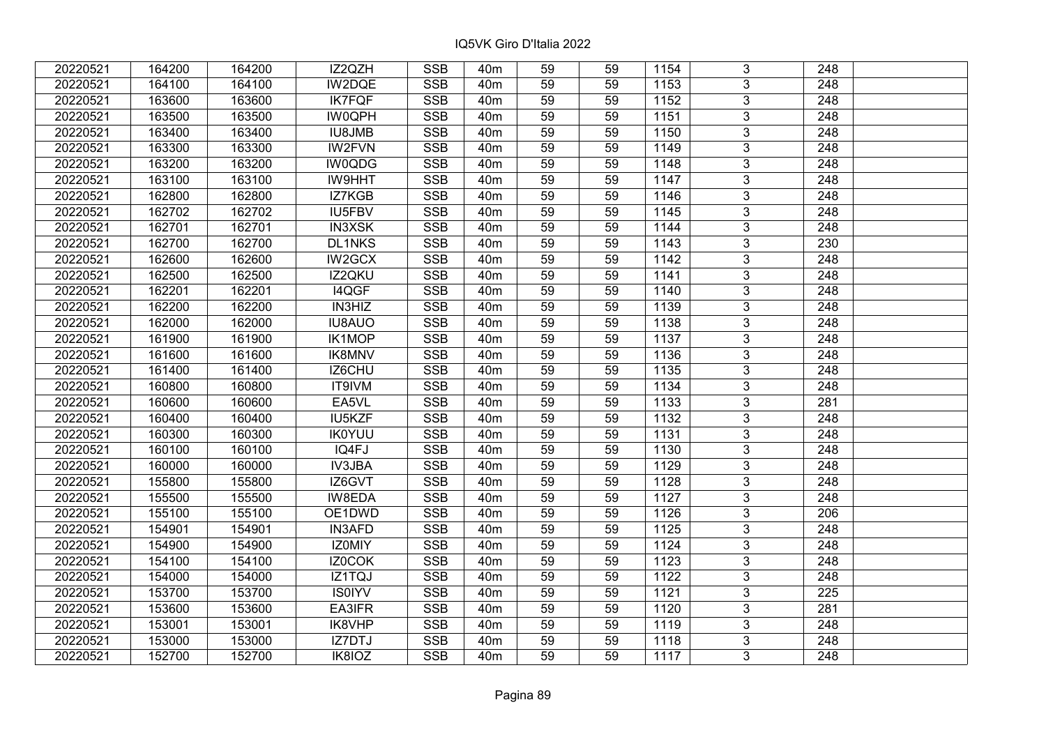| 20220521 | 164200 | 164200 | IZ2QZH        | <b>SSB</b> | 40 <sub>m</sub> | 59              | 59 | 1154             | 3              | 248              |  |
|----------|--------|--------|---------------|------------|-----------------|-----------------|----|------------------|----------------|------------------|--|
| 20220521 | 164100 | 164100 | IW2DQE        | <b>SSB</b> | 40 <sub>m</sub> | 59              | 59 | 1153             | $\overline{3}$ | 248              |  |
| 20220521 | 163600 | 163600 | <b>IK7FQF</b> | SSB        | 40 <sub>m</sub> | 59              | 59 | 1152             | $\overline{3}$ | 248              |  |
| 20220521 | 163500 | 163500 | <b>IW0QPH</b> | <b>SSB</b> | 40 <sub>m</sub> | 59              | 59 | 1151             | $\overline{3}$ | $\overline{248}$ |  |
| 20220521 | 163400 | 163400 | <b>IU8JMB</b> | <b>SSB</b> | 40 <sub>m</sub> | 59              | 59 | 1150             | 3              | 248              |  |
| 20220521 | 163300 | 163300 | <b>IW2FVN</b> | <b>SSB</b> | 40 <sub>m</sub> | 59              | 59 | 1149             | $\overline{3}$ | 248              |  |
| 20220521 | 163200 | 163200 | IW0QDG        | <b>SSB</b> | 40 <sub>m</sub> | 59              | 59 | 1148             | $\overline{3}$ | 248              |  |
| 20220521 | 163100 | 163100 | <b>IW9HHT</b> | <b>SSB</b> | 40 <sub>m</sub> | 59              | 59 | 1147             | 3              | 248              |  |
| 20220521 | 162800 | 162800 | IZ7KGB        | <b>SSB</b> | 40 <sub>m</sub> | 59              | 59 | 1146             | $\overline{3}$ | $\overline{248}$ |  |
| 20220521 | 162702 | 162702 | <b>IU5FBV</b> | <b>SSB</b> | 40 <sub>m</sub> | 59              | 59 | 1145             | $\overline{3}$ | 248              |  |
| 20220521 | 162701 | 162701 | <b>IN3XSK</b> | <b>SSB</b> | 40 <sub>m</sub> | 59              | 59 | 1144             | 3              | 248              |  |
| 20220521 | 162700 | 162700 | <b>DL1NKS</b> | <b>SSB</b> | 40 <sub>m</sub> | 59              | 59 | 1143             | $\overline{3}$ | 230              |  |
| 20220521 | 162600 | 162600 | IW2GCX        | <b>SSB</b> | 40 <sub>m</sub> | 59              | 59 | 1142             | 3              | 248              |  |
| 20220521 | 162500 | 162500 | IZ2QKU        | <b>SSB</b> | 40m             | 59              | 59 | 1141             | $\overline{3}$ | 248              |  |
| 20220521 | 162201 | 162201 | I4QGF         | <b>SSB</b> | 40 <sub>m</sub> | 59              | 59 | 1140             | $\overline{3}$ | 248              |  |
| 20220521 | 162200 | 162200 | IN3HIZ        | <b>SSB</b> | 40 <sub>m</sub> | 59              | 59 | 1139             | 3              | 248              |  |
| 20220521 | 162000 | 162000 | <b>IU8AUO</b> | <b>SSB</b> | 40 <sub>m</sub> | 59              | 59 | 1138             | $\overline{3}$ | 248              |  |
| 20220521 | 161900 | 161900 | <b>IK1MOP</b> | <b>SSB</b> | 40 <sub>m</sub> | 59              | 59 | 1137             | 3              | 248              |  |
| 20220521 | 161600 | 161600 | IK8MNV        | <b>SSB</b> | 40 <sub>m</sub> | 59              | 59 | 1136             | 3              | 248              |  |
| 20220521 | 161400 | 161400 | IZ6CHU        | <b>SSB</b> | 40 <sub>m</sub> | 59              | 59 | 1135             | $\overline{3}$ | 248              |  |
| 20220521 | 160800 | 160800 | IT9IVM        | <b>SSB</b> | 40 <sub>m</sub> | 59              | 59 | 1134             | $\overline{3}$ | 248              |  |
| 20220521 | 160600 | 160600 | EA5VL         | <b>SSB</b> | 40 <sub>m</sub> | 59              | 59 | 1133             | 3              | 281              |  |
| 20220521 | 160400 | 160400 | IU5KZF        | SSB        | 40 <sub>m</sub> | 59              | 59 | 1132             | $\overline{3}$ | 248              |  |
| 20220521 | 160300 | 160300 | <b>IK0YUU</b> | <b>SSB</b> | 40 <sub>m</sub> | 59              | 59 | 1131             | $\overline{3}$ | 248              |  |
| 20220521 | 160100 | 160100 | IQ4FJ         | <b>SSB</b> | 40 <sub>m</sub> | 59              | 59 | 1130             | 3              | 248              |  |
| 20220521 | 160000 | 160000 | IV3JBA        | <b>SSB</b> | 40 <sub>m</sub> | 59              | 59 | 1129             | $\overline{3}$ | $\overline{248}$ |  |
| 20220521 | 155800 | 155800 | IZ6GVT        | <b>SSB</b> | 40 <sub>m</sub> | 59              | 59 | 1128             | $\overline{3}$ | $\overline{248}$ |  |
| 20220521 | 155500 | 155500 | IW8EDA        | <b>SSB</b> | 40 <sub>m</sub> | 59              | 59 | 1127             | $\overline{3}$ | $\overline{248}$ |  |
| 20220521 | 155100 | 155100 | OE1DWD        | <b>SSB</b> | 40 <sub>m</sub> | 59              | 59 | 1126             | $\overline{3}$ | $\overline{206}$ |  |
| 20220521 | 154901 | 154901 | <b>IN3AFD</b> | <b>SSB</b> | 40 <sub>m</sub> | 59              | 59 | 1125             | $\overline{3}$ | 248              |  |
| 20220521 | 154900 | 154900 | <b>IZOMIY</b> | SSB        | 40 <sub>m</sub> | $\overline{59}$ | 59 | $\frac{1124}{ }$ | $\overline{3}$ | $\overline{248}$ |  |
| 20220521 | 154100 | 154100 | IZ0COK        | <b>SSB</b> | 40 <sub>m</sub> | 59              | 59 | 1123             | $\overline{3}$ | 248              |  |
| 20220521 | 154000 | 154000 | IZ1TQJ        | <b>SSB</b> | 40 <sub>m</sub> | 59              | 59 | 1122             | 3              | 248              |  |
| 20220521 | 153700 | 153700 | <b>IS0IYV</b> | <b>SSB</b> | 40 <sub>m</sub> | 59              | 59 | 1121             | $\overline{3}$ | 225              |  |
| 20220521 | 153600 | 153600 | EA3IFR        | <b>SSB</b> | 40 <sub>m</sub> | 59              | 59 | 1120             | $\overline{3}$ | 281              |  |
| 20220521 | 153001 | 153001 | IK8VHP        | <b>SSB</b> | 40 <sub>m</sub> | 59              | 59 | 1119             | 3              | 248              |  |
| 20220521 | 153000 | 153000 | IZ7DTJ        | SSB        | 40 <sub>m</sub> | 59              | 59 | 1118             | $\overline{3}$ | 248              |  |
| 20220521 | 152700 | 152700 | IK8IOZ        | <b>SSB</b> | 40 <sub>m</sub> | 59              | 59 | 1117             | $\overline{3}$ | 248              |  |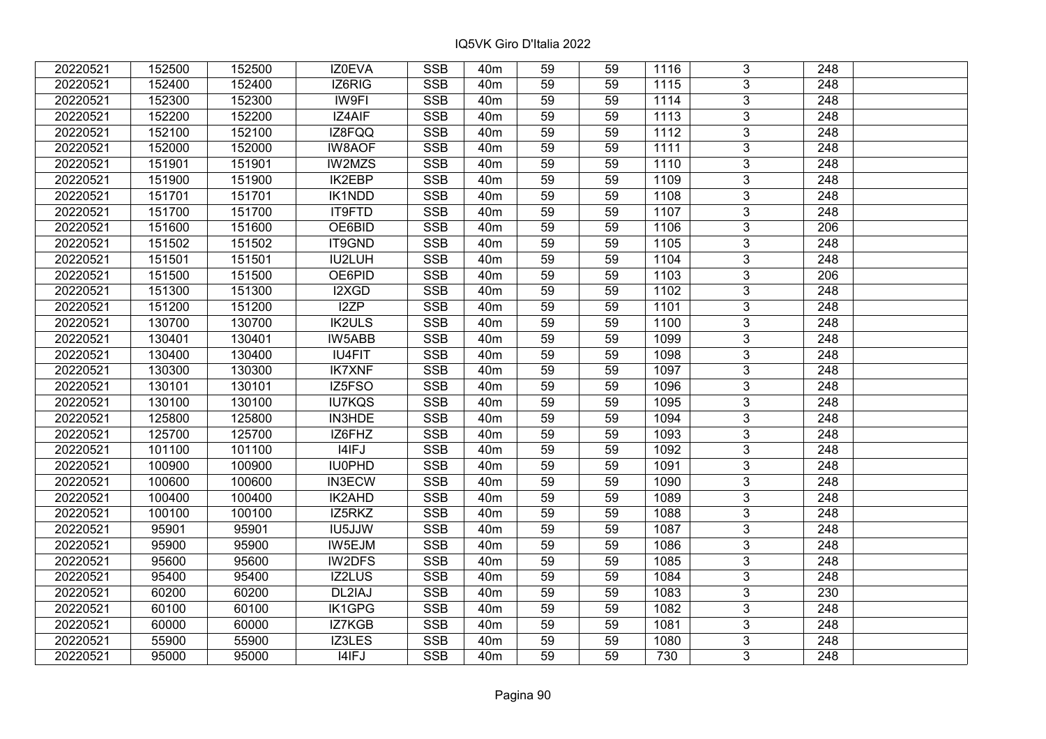| 20220521 | 152500 | 152500 | IZ0EVA        | <b>SSB</b> | 40 <sub>m</sub> | 59              | 59 | 1116 | 3              | 248              |  |
|----------|--------|--------|---------------|------------|-----------------|-----------------|----|------|----------------|------------------|--|
| 20220521 | 152400 | 152400 | IZ6RIG        | <b>SSB</b> | 40 <sub>m</sub> | 59              | 59 | 1115 | $\overline{3}$ | 248              |  |
| 20220521 | 152300 | 152300 | IW9FI         | <b>SSB</b> | 40 <sub>m</sub> | 59              | 59 | 1114 | $\overline{3}$ | 248              |  |
| 20220521 | 152200 | 152200 | IZ4AIF        | <b>SSB</b> | 40 <sub>m</sub> | 59              | 59 | 1113 | $\overline{3}$ | $\overline{248}$ |  |
| 20220521 | 152100 | 152100 | IZ8FQQ        | <b>SSB</b> | 40 <sub>m</sub> | 59              | 59 | 1112 | 3              | 248              |  |
| 20220521 | 152000 | 152000 | <b>IW8AOF</b> | <b>SSB</b> | 40 <sub>m</sub> | 59              | 59 | 1111 | $\overline{3}$ | 248              |  |
| 20220521 | 151901 | 151901 | IW2MZS        | <b>SSB</b> | 40 <sub>m</sub> | 59              | 59 | 1110 | $\overline{3}$ | 248              |  |
| 20220521 | 151900 | 151900 | <b>IK2EBP</b> | <b>SSB</b> | 40 <sub>m</sub> | 59              | 59 | 1109 | $\overline{3}$ | 248              |  |
| 20220521 | 151701 | 151701 | <b>IK1NDD</b> | <b>SSB</b> | 40 <sub>m</sub> | $\overline{59}$ | 59 | 1108 | $\overline{3}$ | $\overline{248}$ |  |
| 20220521 | 151700 | 151700 | <b>IT9FTD</b> | <b>SSB</b> | 40 <sub>m</sub> | 59              | 59 | 1107 | $\overline{3}$ | 248              |  |
| 20220521 | 151600 | 151600 | OE6BID        | <b>SSB</b> | 40 <sub>m</sub> | 59              | 59 | 1106 | 3              | 206              |  |
| 20220521 | 151502 | 151502 | IT9GND        | <b>SSB</b> | 40m             | $\overline{59}$ | 59 | 1105 | $\overline{3}$ | 248              |  |
| 20220521 | 151501 | 151501 | IU2LUH        | <b>SSB</b> | 40 <sub>m</sub> | 59              | 59 | 1104 | 3              | 248              |  |
| 20220521 | 151500 | 151500 | OE6PID        | <b>SSB</b> | 40m             | 59              | 59 | 1103 | 3              | 206              |  |
| 20220521 | 151300 | 151300 | I2XGD         | <b>SSB</b> | 40 <sub>m</sub> | 59              | 59 | 1102 | $\overline{3}$ | $\overline{248}$ |  |
| 20220521 | 151200 | 151200 | I2ZP          | <b>SSB</b> | 40 <sub>m</sub> | 59              | 59 | 1101 | $\overline{3}$ | 248              |  |
| 20220521 | 130700 | 130700 | <b>IK2ULS</b> | <b>SSB</b> | 40 <sub>m</sub> | 59              | 59 | 1100 | 3              | 248              |  |
| 20220521 | 130401 | 130401 | IW5ABB        | <b>SSB</b> | 40 <sub>m</sub> | 59              | 59 | 1099 | $\overline{3}$ | 248              |  |
| 20220521 | 130400 | 130400 | <b>IU4FIT</b> | <b>SSB</b> | 40 <sub>m</sub> | 59              | 59 | 1098 | $\overline{3}$ | 248              |  |
| 20220521 | 130300 | 130300 | <b>IK7XNF</b> | <b>SSB</b> | 40 <sub>m</sub> | 59              | 59 | 1097 | $\overline{3}$ | 248              |  |
| 20220521 | 130101 | 130101 | IZ5FSO        | SSB        | 40 <sub>m</sub> | 59              | 59 | 1096 | $\overline{3}$ | 248              |  |
| 20220521 | 130100 | 130100 | <b>IU7KQS</b> | <b>SSB</b> | 40 <sub>m</sub> | 59              | 59 | 1095 | $\overline{3}$ | 248              |  |
| 20220521 | 125800 | 125800 | IN3HDE        | <b>SSB</b> | 40 <sub>m</sub> | 59              | 59 | 1094 | 3              | 248              |  |
| 20220521 | 125700 | 125700 | IZ6FHZ        | <b>SSB</b> | 40 <sub>m</sub> | 59              | 59 | 1093 | $\overline{3}$ | 248              |  |
| 20220521 | 101100 | 101100 | I4IFJ         | <b>SSB</b> | 40 <sub>m</sub> | 59              | 59 | 1092 | $\overline{3}$ | 248              |  |
| 20220521 | 100900 | 100900 | <b>IU0PHD</b> | <b>SSB</b> | 40 <sub>m</sub> | 59              | 59 | 1091 | $\overline{3}$ | $\overline{248}$ |  |
| 20220521 | 100600 | 100600 | <b>IN3ECW</b> | <b>SSB</b> | 40 <sub>m</sub> | $\overline{59}$ | 59 | 1090 | $\overline{3}$ | $\overline{248}$ |  |
| 20220521 | 100400 | 100400 | IK2AHD        | <b>SSB</b> | 40 <sub>m</sub> | 59              | 59 | 1089 | $\overline{3}$ | 248              |  |
| 20220521 | 100100 | 100100 | IZ5RKZ        | <b>SSB</b> | 40 <sub>m</sub> | 59              | 59 | 1088 | $\overline{3}$ | $\overline{248}$ |  |
| 20220521 | 95901  | 95901  | <b>IU5JJW</b> | SSB        | 40 <sub>m</sub> | $\overline{59}$ | 59 | 1087 | $\overline{3}$ | $\overline{248}$ |  |
| 20220521 | 95900  | 95900  | IW5EJM        | <b>SSB</b> | 40 <sub>m</sub> | 59              | 59 | 1086 | $\overline{3}$ | 248              |  |
| 20220521 | 95600  | 95600  | IW2DFS        | <b>SSB</b> | 40 <sub>m</sub> | 59              | 59 | 1085 | $\overline{3}$ | 248              |  |
| 20220521 | 95400  | 95400  | IZ2LUS        | <b>SSB</b> | 40 <sub>m</sub> | 59              | 59 | 1084 | 3              | 248              |  |
| 20220521 | 60200  | 60200  | DL2IAJ        | <b>SSB</b> | 40 <sub>m</sub> | 59              | 59 | 1083 | $\overline{3}$ | 230              |  |
| 20220521 | 60100  | 60100  | IK1GPG        | <b>SSB</b> | 40 <sub>m</sub> | 59              | 59 | 1082 | $\overline{3}$ | 248              |  |
| 20220521 | 60000  | 60000  | IZ7KGB        | <b>SSB</b> | 40 <sub>m</sub> | 59              | 59 | 1081 | 3              | 248              |  |
| 20220521 | 55900  | 55900  | IZ3LES        | <b>SSB</b> | 40 <sub>m</sub> | 59              | 59 | 1080 | 3              | 248              |  |
| 20220521 | 95000  | 95000  | I4IFJ         | <b>SSB</b> | 40 <sub>m</sub> | 59              | 59 | 730  | 3              | 248              |  |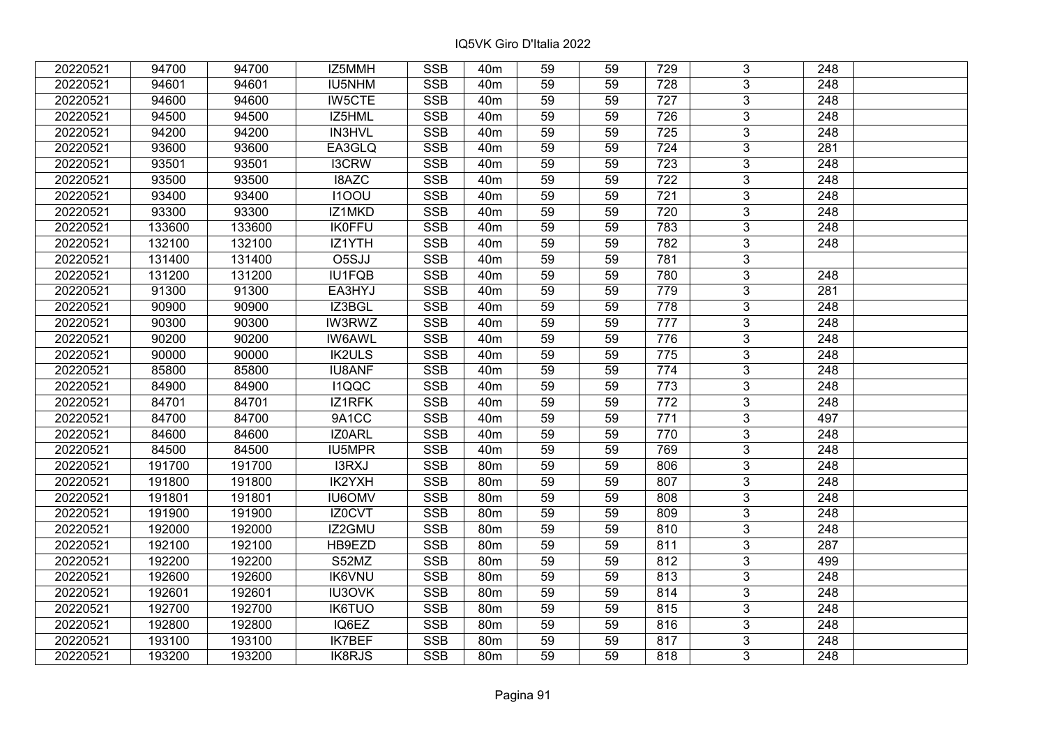| 20220521 | 94700  | 94700  | IZ5MMH        | <b>SSB</b>              | 40m             | 59              | 59 | 729              | 3              | 248              |  |
|----------|--------|--------|---------------|-------------------------|-----------------|-----------------|----|------------------|----------------|------------------|--|
| 20220521 | 94601  | 94601  | IU5NHM        | <b>SSB</b>              | 40 <sub>m</sub> | 59              | 59 | 728              | 3              | 248              |  |
| 20220521 | 94600  | 94600  | <b>IW5CTE</b> | <b>SSB</b>              | 40 <sub>m</sub> | 59              | 59 | 727              | $\overline{3}$ | 248              |  |
| 20220521 | 94500  | 94500  | IZ5HML        | <b>SSB</b>              | 40 <sub>m</sub> | 59              | 59 | 726              | 3              | 248              |  |
| 20220521 | 94200  | 94200  | IN3HVL        | <b>SSB</b>              | 40 <sub>m</sub> | 59              | 59 | 725              | $\overline{3}$ | 248              |  |
| 20220521 | 93600  | 93600  | EA3GLQ        | SSB                     | 40 <sub>m</sub> | 59              | 59 | 724              | $\overline{3}$ | 281              |  |
| 20220521 | 93501  | 93501  | <b>I3CRW</b>  | <b>SSB</b>              | 40m             | 59              | 59 | 723              | 3              | 248              |  |
| 20220521 | 93500  | 93500  | <b>I8AZC</b>  | <b>SSB</b>              | 40 <sub>m</sub> | 59              | 59 | $\overline{722}$ | $\overline{3}$ | 248              |  |
| 20220521 | 93400  | 93400  | <b>I100U</b>  | <b>SSB</b>              | 40 <sub>m</sub> | 59              | 59 | 721              | $\overline{3}$ | 248              |  |
| 20220521 | 93300  | 93300  | IZ1MKD        | <b>SSB</b>              | 40 <sub>m</sub> | 59              | 59 | 720              | $\overline{3}$ | 248              |  |
| 20220521 | 133600 | 133600 | <b>IK0FFU</b> | <b>SSB</b>              | 40 <sub>m</sub> | 59              | 59 | 783              | $\overline{3}$ | 248              |  |
| 20220521 | 132100 | 132100 | IZ1YTH        | <b>SSB</b>              | 40 <sub>m</sub> | 59              | 59 | 782              | $\overline{3}$ | 248              |  |
| 20220521 | 131400 | 131400 | O5SJJ         | <b>SSB</b>              | 40 <sub>m</sub> | 59              | 59 | 781              | $\overline{3}$ |                  |  |
| 20220521 | 131200 | 131200 | <b>IU1FQB</b> | <b>SSB</b>              | 40 <sub>m</sub> | 59              | 59 | 780              | 3              | 248              |  |
| 20220521 | 91300  | 91300  | EA3HYJ        | <b>SSB</b>              | 40 <sub>m</sub> | 59              | 59 | 779              | 3              | 281              |  |
| 20220521 | 90900  | 90900  | IZ3BGL        | <b>SSB</b>              | 40 <sub>m</sub> | 59              | 59 | 778              | 3              | 248              |  |
| 20220521 | 90300  | 90300  | <b>IW3RWZ</b> | <b>SSB</b>              | 40 <sub>m</sub> | 59              | 59 | 777              | 3              | 248              |  |
| 20220521 | 90200  | 90200  | <b>IW6AWL</b> | <b>SSB</b>              | 40 <sub>m</sub> | 59              | 59 | 776              | 3              | 248              |  |
| 20220521 | 90000  | 90000  | <b>IK2ULS</b> | <b>SSB</b>              | 40 <sub>m</sub> | 59              | 59 | 775              | $\overline{3}$ | 248              |  |
| 20220521 | 85800  | 85800  | <b>IU8ANF</b> | <b>SSB</b>              | 40 <sub>m</sub> | 59              | 59 | 774              | $\overline{3}$ | 248              |  |
| 20220521 | 84900  | 84900  | <b>I1QQC</b>  | <b>SSB</b>              | 40 <sub>m</sub> | 59              | 59 | 773              | $\overline{3}$ | 248              |  |
| 20220521 | 84701  | 84701  | IZ1RFK        | <b>SSB</b>              | 40 <sub>m</sub> | 59              | 59 | 772              | $\overline{3}$ | 248              |  |
| 20220521 | 84700  | 84700  | 9A1CC         | <b>SSB</b>              | 40 <sub>m</sub> | 59              | 59 | 771              | 3              | 497              |  |
| 20220521 | 84600  | 84600  | IZ0ARL        | <b>SSB</b>              | 40 <sub>m</sub> | 59              | 59 | 770              | $\overline{3}$ | 248              |  |
| 20220521 | 84500  | 84500  | IU5MPR        | <b>SSB</b>              | 40 <sub>m</sub> | 59              | 59 | 769              | $\overline{3}$ | 248              |  |
| 20220521 | 191700 | 191700 | I3RXJ         | SSB                     | 80 <sub>m</sub> | $\overline{59}$ | 59 | 806              | $\overline{3}$ | $\overline{248}$ |  |
| 20220521 | 191800 | 191800 | IK2YXH        | <b>SSB</b>              | 80m             | 59              | 59 | 807              | $\overline{3}$ | $\overline{248}$ |  |
| 20220521 | 191801 | 191801 | <b>IU6OMV</b> | <b>SSB</b>              | <b>80m</b>      | 59              | 59 | 808              | 3              | 248              |  |
| 20220521 | 191900 | 191900 | IZ0CVT        | <b>SSB</b>              | 80m             | 59              | 59 | 809              | $\overline{3}$ | $\overline{248}$ |  |
| 20220521 | 192000 | 192000 | IZ2GMU        | <b>SSB</b>              | 80 <sub>m</sub> | 59              | 59 | 810              | $\overline{3}$ | $\overline{248}$ |  |
| 20220521 | 192100 | 192100 | HB9EZD        | <b>SSB</b>              | 80 <sub>m</sub> | 59              | 59 | 811              | $\overline{3}$ | 287              |  |
| 20220521 | 192200 | 192200 | S52MZ         | <b>SSB</b>              | 80m             | 59              | 59 | 812              | $\overline{3}$ | 499              |  |
| 20220521 | 192600 | 192600 | <b>IK6VNU</b> | <b>SSB</b>              | 80m             | 59              | 59 | 813              | 3              | 248              |  |
| 20220521 | 192601 | 192601 | <b>IU3OVK</b> | <b>SSB</b>              | 80 <sub>m</sub> | 59              | 59 | 814              | 3              | 248              |  |
| 20220521 | 192700 | 192700 | <b>IK6TUO</b> | <b>SSB</b>              | 80m             | 59              | 59 | 815              | 3              | 248              |  |
| 20220521 | 192800 | 192800 | IQ6EZ         | <b>SSB</b>              | 80m             | 59              | 59 | 816              | 3              | 248              |  |
| 20220521 | 193100 | 193100 | <b>IK7BEF</b> | $\overline{\text{SSB}}$ | 80 <sub>m</sub> | 59              | 59 | 817              | $\overline{3}$ | 248              |  |
| 20220521 | 193200 | 193200 | <b>IK8RJS</b> | <b>SSB</b>              | 80 <sub>m</sub> | 59              | 59 | 818              | $\overline{3}$ | 248              |  |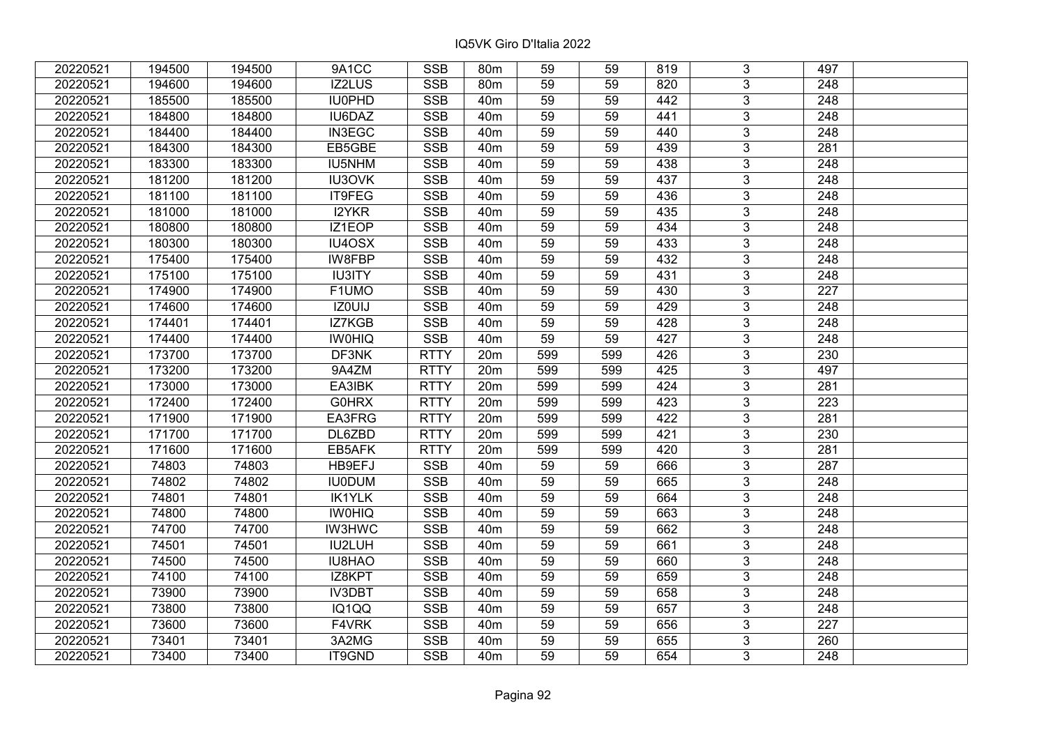| 20220521 | 194500 | 194500 | 9A1CC         | <b>SSB</b>  | 80 <sub>m</sub> | 59  | 59  | 819 | 3              | 497              |  |
|----------|--------|--------|---------------|-------------|-----------------|-----|-----|-----|----------------|------------------|--|
| 20220521 | 194600 | 194600 | IZ2LUS        | <b>SSB</b>  | 80 <sub>m</sub> | 59  | 59  | 820 | 3 <sup>1</sup> | 248              |  |
| 20220521 | 185500 | 185500 | IU0PHD        | <b>SSB</b>  | 40 <sub>m</sub> | 59  | 59  | 442 | $\overline{3}$ | 248              |  |
| 20220521 | 184800 | 184800 | IU6DAZ        | <b>SSB</b>  | 40 <sub>m</sub> | 59  | 59  | 441 | $\overline{3}$ | 248              |  |
| 20220521 | 184400 | 184400 | IN3EGC        | <b>SSB</b>  | 40 <sub>m</sub> | 59  | 59  | 440 | $\overline{3}$ | 248              |  |
| 20220521 | 184300 | 184300 | EB5GBE        | <b>SSB</b>  | 40 <sub>m</sub> | 59  | 59  | 439 | $\overline{3}$ | 281              |  |
| 20220521 | 183300 | 183300 | IU5NHM        | <b>SSB</b>  | 40 <sub>m</sub> | 59  | 59  | 438 | $\overline{3}$ | 248              |  |
| 20220521 | 181200 | 181200 | IU3OVK        | <b>SSB</b>  | 40 <sub>m</sub> | 59  | 59  | 437 | $\overline{3}$ | 248              |  |
| 20220521 | 181100 | 181100 | IT9FEG        | <b>SSB</b>  | 40 <sub>m</sub> | 59  | 59  | 436 | $\overline{3}$ | 248              |  |
| 20220521 | 181000 | 181000 | I2YKR         | <b>SSB</b>  | 40 <sub>m</sub> | 59  | 59  | 435 | $\overline{3}$ | 248              |  |
| 20220521 | 180800 | 180800 | IZ1EOP        | <b>SSB</b>  | 40 <sub>m</sub> | 59  | 59  | 434 | $\overline{3}$ | 248              |  |
| 20220521 | 180300 | 180300 | IU4OSX        | <b>SSB</b>  | 40 <sub>m</sub> | 59  | 59  | 433 | $\overline{3}$ | 248              |  |
| 20220521 | 175400 | 175400 | IW8FBP        | <b>SSB</b>  | 40 <sub>m</sub> | 59  | 59  | 432 | $\overline{3}$ | 248              |  |
| 20220521 | 175100 | 175100 | <b>IU3ITY</b> | <b>SSB</b>  | 40 <sub>m</sub> | 59  | 59  | 431 | $\overline{3}$ | 248              |  |
| 20220521 | 174900 | 174900 | F1UMO         | <b>SSB</b>  | 40 <sub>m</sub> | 59  | 59  | 430 | $\mathfrak{S}$ | 227              |  |
| 20220521 | 174600 | 174600 | IZ0UIJ        | <b>SSB</b>  | 40 <sub>m</sub> | 59  | 59  | 429 | $\overline{3}$ | 248              |  |
| 20220521 | 174401 | 174401 | IZ7KGB        | <b>SSB</b>  | 40 <sub>m</sub> | 59  | 59  | 428 | $\mathfrak{S}$ | 248              |  |
| 20220521 | 174400 | 174400 | <b>IWOHIQ</b> | <b>SSB</b>  | 40 <sub>m</sub> | 59  | 59  | 427 | $\mathfrak{S}$ | 248              |  |
| 20220521 | 173700 | 173700 | DF3NK         | <b>RTTY</b> | 20m             | 599 | 599 | 426 | $\overline{3}$ | 230              |  |
| 20220521 | 173200 | 173200 | 9A4ZM         | <b>RTTY</b> | 20m             | 599 | 599 | 425 | $\overline{3}$ | 497              |  |
| 20220521 | 173000 | 173000 | EA3IBK        | <b>RTTY</b> | 20m             | 599 | 599 | 424 | $\overline{3}$ | 281              |  |
| 20220521 | 172400 | 172400 | <b>G0HRX</b>  | <b>RTTY</b> | 20m             | 599 | 599 | 423 | $\overline{3}$ | 223              |  |
| 20220521 | 171900 | 171900 | EA3FRG        | <b>RTTY</b> | 20m             | 599 | 599 | 422 | $\overline{3}$ | 281              |  |
| 20220521 | 171700 | 171700 | DL6ZBD        | <b>RTTY</b> | 20m             | 599 | 599 | 421 | $\overline{3}$ | 230              |  |
| 20220521 | 171600 | 171600 | EB5AFK        | <b>RTTY</b> | 20m             | 599 | 599 | 420 | $\overline{3}$ | 281              |  |
| 20220521 | 74803  | 74803  | HB9EFJ        | <b>SSB</b>  | 40 <sub>m</sub> | 59  | 59  | 666 | $\overline{3}$ | 287              |  |
| 20220521 | 74802  | 74802  | <b>IU0DUM</b> | <b>SSB</b>  | 40 <sub>m</sub> | 59  | 59  | 665 | $\overline{3}$ | $\overline{248}$ |  |
| 20220521 | 74801  | 74801  | <b>IK1YLK</b> | <b>SSB</b>  | 40 <sub>m</sub> | 59  | 59  | 664 | $\overline{3}$ | 248              |  |
| 20220521 | 74800  | 74800  | <b>IWOHIQ</b> | <b>SSB</b>  | 40 <sub>m</sub> | 59  | 59  | 663 | $\overline{3}$ | $\overline{248}$ |  |
| 20220521 | 74700  | 74700  | <b>IW3HWC</b> | <b>SSB</b>  | 40 <sub>m</sub> | 59  | 59  | 662 | $\overline{3}$ | 248              |  |
| 20220521 | 74501  | 74501  | IU2LUH        | <b>SSB</b>  | 40 <sub>m</sub> | 59  | 59  | 661 | $\overline{3}$ | 248              |  |
| 20220521 | 74500  | 74500  | <b>IU8HAO</b> | <b>SSB</b>  | 40 <sub>m</sub> | 59  | 59  | 660 | $\overline{3}$ | 248              |  |
| 20220521 | 74100  | 74100  | IZ8KPT        | <b>SSB</b>  | 40 <sub>m</sub> | 59  | 59  | 659 | $\mathbf{3}$   | 248              |  |
| 20220521 | 73900  | 73900  | <b>IV3DBT</b> | <b>SSB</b>  | 40 <sub>m</sub> | 59  | 59  | 658 | 3 <sup>1</sup> | 248              |  |
| 20220521 | 73800  | 73800  | IQ1QQ         | <b>SSB</b>  | 40 <sub>m</sub> | 59  | 59  | 657 | $\mathbf{3}$   | 248              |  |
| 20220521 | 73600  | 73600  | F4VRK         | <b>SSB</b>  | 40 <sub>m</sub> | 59  | 59  | 656 | 3              | 227              |  |
| 20220521 | 73401  | 73401  | 3A2MG         | <b>SSB</b>  | 40 <sub>m</sub> | 59  | 59  | 655 | $\overline{3}$ | 260              |  |
| 20220521 | 73400  | 73400  | IT9GND        | <b>SSB</b>  | 40 <sub>m</sub> | 59  | 59  | 654 | $\overline{3}$ | 248              |  |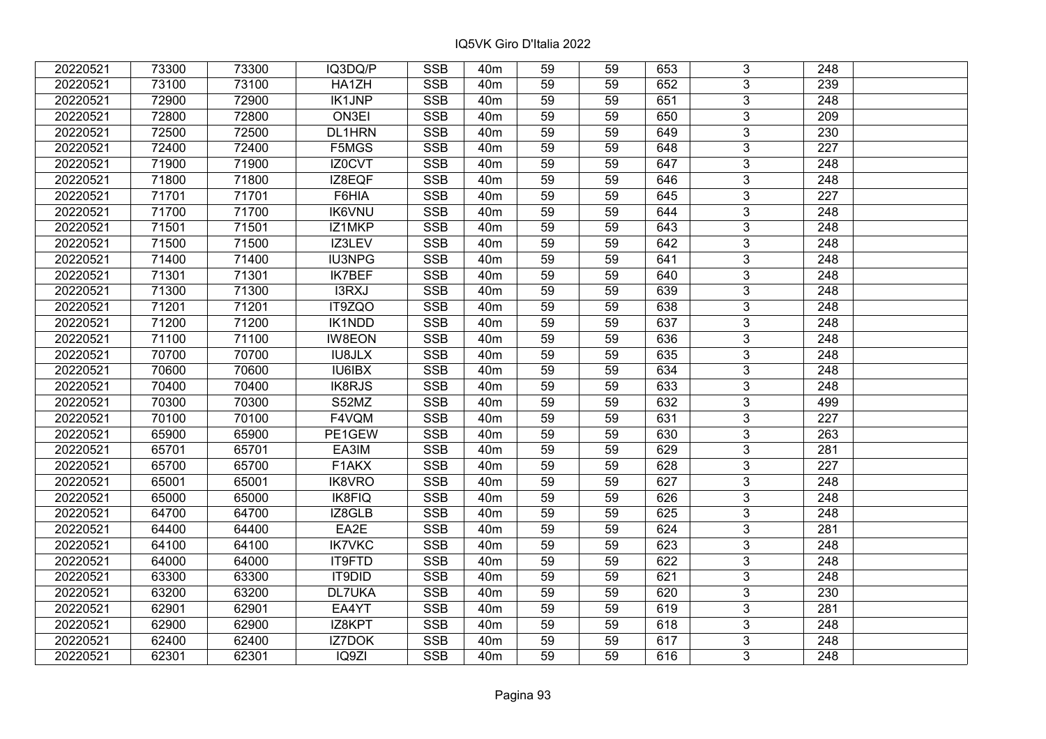| 20220521 | 73300 | 73300 | IQ3DQ/P       | <b>SSB</b>              | 40 <sub>m</sub> | 59              | 59 | 653 | 3              | 248              |  |
|----------|-------|-------|---------------|-------------------------|-----------------|-----------------|----|-----|----------------|------------------|--|
| 20220521 | 73100 | 73100 | HA1ZH         | <b>SSB</b>              | 40 <sub>m</sub> | 59              | 59 | 652 | $\overline{3}$ | 239              |  |
| 20220521 | 72900 | 72900 | <b>IK1JNP</b> | SSB                     | 40 <sub>m</sub> | $\overline{59}$ | 59 | 651 | $\overline{3}$ | 248              |  |
| 20220521 | 72800 | 72800 | ON3EI         | <b>SSB</b>              | 40 <sub>m</sub> | 59              | 59 | 650 | $\overline{3}$ | $\overline{209}$ |  |
| 20220521 | 72500 | 72500 | DL1HRN        | <b>SSB</b>              | 40 <sub>m</sub> | 59              | 59 | 649 | $\overline{3}$ | 230              |  |
| 20220521 | 72400 | 72400 | F5MGS         | <b>SSB</b>              | 40 <sub>m</sub> | 59              | 59 | 648 | $\overline{3}$ | $\overline{227}$ |  |
| 20220521 | 71900 | 71900 | IZ0CVT        | <b>SSB</b>              | 40 <sub>m</sub> | 59              | 59 | 647 | $\overline{3}$ | 248              |  |
| 20220521 | 71800 | 71800 | IZ8EQF        | <b>SSB</b>              | 40m             | 59              | 59 | 646 | $\overline{3}$ | 248              |  |
| 20220521 | 71701 | 71701 | F6HIA         | SSB                     | 40 <sub>m</sub> | $\overline{59}$ | 59 | 645 | $\overline{3}$ | $\overline{227}$ |  |
| 20220521 | 71700 | 71700 | <b>IK6VNU</b> | <b>SSB</b>              | 40 <sub>m</sub> | 59              | 59 | 644 | $\overline{3}$ | 248              |  |
| 20220521 | 71501 | 71501 | IZ1MKP        | <b>SSB</b>              | 40 <sub>m</sub> | 59              | 59 | 643 | 3              | 248              |  |
| 20220521 | 71500 | 71500 | IZ3LEV        | <b>SSB</b>              | 40 <sub>m</sub> | 59              | 59 | 642 | $\overline{3}$ | $\overline{248}$ |  |
| 20220521 | 71400 | 71400 | <b>IU3NPG</b> | <b>SSB</b>              | 40 <sub>m</sub> | 59              | 59 | 641 | $\overline{3}$ | 248              |  |
| 20220521 | 71301 | 71301 | <b>IK7BEF</b> | <b>SSB</b>              | 40 <sub>m</sub> | 59              | 59 | 640 | 3              | 248              |  |
| 20220521 | 71300 | 71300 | I3RXJ         | <b>SSB</b>              | 40 <sub>m</sub> | 59              | 59 | 639 | $\overline{3}$ | $\overline{248}$ |  |
| 20220521 | 71201 | 71201 | IT9ZQO        | <b>SSB</b>              | 40 <sub>m</sub> | 59              | 59 | 638 | $\overline{3}$ | 248              |  |
| 20220521 | 71200 | 71200 | IK1NDD        | <b>SSB</b>              | 40 <sub>m</sub> | 59              | 59 | 637 | 3              | 248              |  |
| 20220521 | 71100 | 71100 | <b>IW8EON</b> | <b>SSB</b>              | 40 <sub>m</sub> | 59              | 59 | 636 | 3              | 248              |  |
| 20220521 | 70700 | 70700 | <b>IU8JLX</b> | <b>SSB</b>              | 40 <sub>m</sub> | 59              | 59 | 635 | $\overline{3}$ | 248              |  |
| 20220521 | 70600 | 70600 | <b>IU6IBX</b> | <b>SSB</b>              | 40 <sub>m</sub> | 59              | 59 | 634 | $\overline{3}$ | 248              |  |
| 20220521 | 70400 | 70400 | IK8RJS        | <b>SSB</b>              | 40 <sub>m</sub> | 59              | 59 | 633 | $\overline{3}$ | 248              |  |
| 20220521 | 70300 | 70300 | S52MZ         | <b>SSB</b>              | 40 <sub>m</sub> | 59              | 59 | 632 | $\overline{3}$ | 499              |  |
| 20220521 | 70100 | 70100 | F4VQM         | <b>SSB</b>              | 40 <sub>m</sub> | 59              | 59 | 631 | 3              | 227              |  |
| 20220521 | 65900 | 65900 | PE1GEW        | <b>SSB</b>              | 40 <sub>m</sub> | 59              | 59 | 630 | $\overline{3}$ | 263              |  |
| 20220521 | 65701 | 65701 | EA3IM         | <b>SSB</b>              | 40 <sub>m</sub> | 59              | 59 | 629 | $\overline{3}$ | 281              |  |
| 20220521 | 65700 | 65700 | F1AKX         | <b>SSB</b>              | 40 <sub>m</sub> | 59              | 59 | 628 | $\overline{3}$ | 227              |  |
| 20220521 | 65001 | 65001 | IK8VRO        | <b>SSB</b>              | 40 <sub>m</sub> | $\overline{59}$ | 59 | 627 | $\overline{3}$ | $\overline{248}$ |  |
| 20220521 | 65000 | 65000 | <b>IK8FIQ</b> | <b>SSB</b>              | 40 <sub>m</sub> | 59              | 59 | 626 | $\overline{3}$ | 248              |  |
| 20220521 | 64700 | 64700 | IZ8GLB        | <b>SSB</b>              | 40 <sub>m</sub> | 59              | 59 | 625 | $\overline{3}$ | $\overline{248}$ |  |
| 20220521 | 64400 | 64400 | EA2E          | $\overline{\text{SSB}}$ | 40 <sub>m</sub> | $\overline{59}$ | 59 | 624 | $\overline{3}$ | 281              |  |
| 20220521 | 64100 | 64100 | <b>IK7VKC</b> | <b>SSB</b>              | 40 <sub>m</sub> | 59              | 59 | 623 | $\overline{3}$ | 248              |  |
| 20220521 | 64000 | 64000 | IT9FTD        | <b>SSB</b>              | 40 <sub>m</sub> | 59              | 59 | 622 | $\overline{3}$ | 248              |  |
| 20220521 | 63300 | 63300 | IT9DID        | <b>SSB</b>              | 40 <sub>m</sub> | 59              | 59 | 621 | 3              | 248              |  |
| 20220521 | 63200 | 63200 | <b>DL7UKA</b> | <b>SSB</b>              | 40 <sub>m</sub> | 59              | 59 | 620 | $\overline{3}$ | 230              |  |
| 20220521 | 62901 | 62901 | EA4YT         | <b>SSB</b>              | 40 <sub>m</sub> | 59              | 59 | 619 | $\overline{3}$ | 281              |  |
| 20220521 | 62900 | 62900 | IZ8KPT        | <b>SSB</b>              | 40 <sub>m</sub> | 59              | 59 | 618 | 3              | 248              |  |
| 20220521 | 62400 | 62400 | IZ7DOK        | <b>SSB</b>              | 40 <sub>m</sub> | 59              | 59 | 617 | $\overline{3}$ | 248              |  |
| 20220521 | 62301 | 62301 | IQ9ZI         | <b>SSB</b>              | 40 <sub>m</sub> | 59              | 59 | 616 | 3              | 248              |  |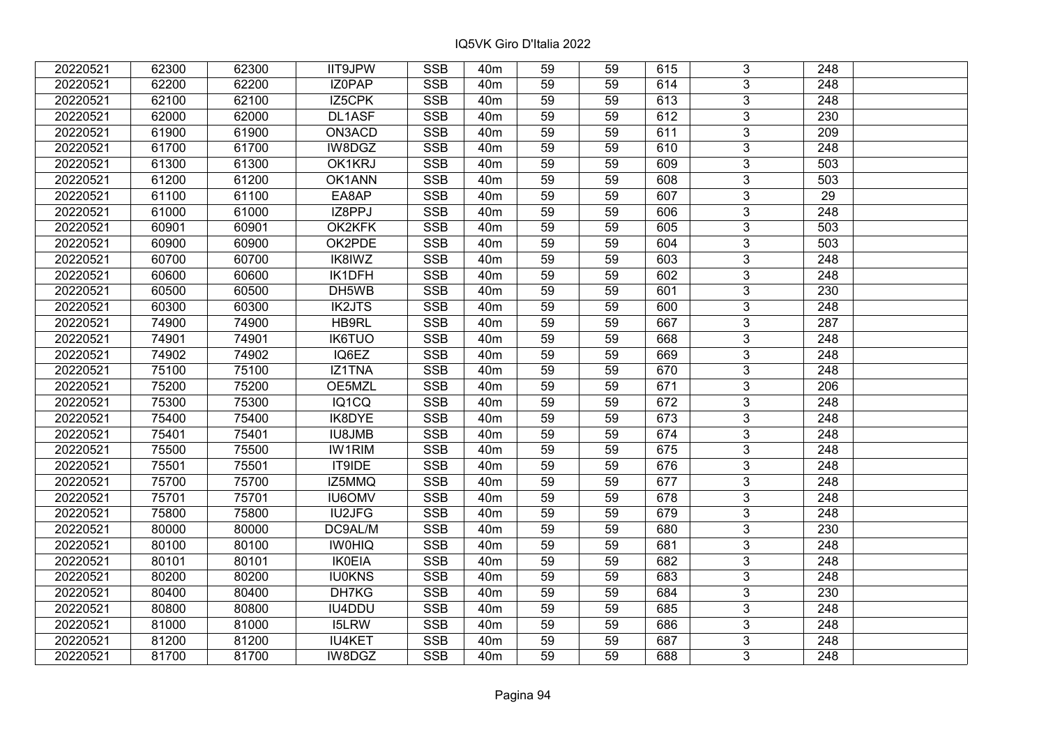| 20220521 | 62300 | 62300 | <b>IIT9JPW</b> | <b>SSB</b>              | 40 <sub>m</sub> | 59              | 59 | 615 | 3              | 248              |  |
|----------|-------|-------|----------------|-------------------------|-----------------|-----------------|----|-----|----------------|------------------|--|
| 20220521 | 62200 | 62200 | IZ0PAP         | <b>SSB</b>              | 40 <sub>m</sub> | 59              | 59 | 614 | 3              | 248              |  |
| 20220521 | 62100 | 62100 | IZ5CPK         | SSB                     | 40 <sub>m</sub> | $\overline{59}$ | 59 | 613 | $\overline{3}$ | 248              |  |
| 20220521 | 62000 | 62000 | DL1ASF         | <b>SSB</b>              | 40 <sub>m</sub> | 59              | 59 | 612 | $\overline{3}$ | 230              |  |
| 20220521 | 61900 | 61900 | ON3ACD         | <b>SSB</b>              | 40 <sub>m</sub> | 59              | 59 | 611 | 3              | 209              |  |
| 20220521 | 61700 | 61700 | IW8DGZ         | <b>SSB</b>              | 40 <sub>m</sub> | 59              | 59 | 610 | $\overline{3}$ | 248              |  |
| 20220521 | 61300 | 61300 | OK1KRJ         | <b>SSB</b>              | 40 <sub>m</sub> | 59              | 59 | 609 | $\overline{3}$ | 503              |  |
| 20220521 | 61200 | 61200 | OK1ANN         | <b>SSB</b>              | 40 <sub>m</sub> | 59              | 59 | 608 | 3              | 503              |  |
| 20220521 | 61100 | 61100 | EA8AP          | <b>SSB</b>              | 40 <sub>m</sub> | 59              | 59 | 607 | $\overline{3}$ | $\overline{29}$  |  |
| 20220521 | 61000 | 61000 | IZ8PPJ         | <b>SSB</b>              | 40 <sub>m</sub> | 59              | 59 | 606 | $\overline{3}$ | 248              |  |
| 20220521 | 60901 | 60901 | OK2KFK         | <b>SSB</b>              | 40 <sub>m</sub> | 59              | 59 | 605 | 3              | 503              |  |
| 20220521 | 60900 | 60900 | OK2PDE         | <b>SSB</b>              | 40 <sub>m</sub> | 59              | 59 | 604 | $\overline{3}$ | 503              |  |
| 20220521 | 60700 | 60700 | IK8IWZ         | <b>SSB</b>              | 40 <sub>m</sub> | 59              | 59 | 603 | 3              | 248              |  |
| 20220521 | 60600 | 60600 | IK1DFH         | <b>SSB</b>              | 40 <sub>m</sub> | 59              | 59 | 602 | $\overline{3}$ | 248              |  |
| 20220521 | 60500 | 60500 | DH5WB          | <b>SSB</b>              | 40 <sub>m</sub> | 59              | 59 | 601 | $\overline{3}$ | 230              |  |
| 20220521 | 60300 | 60300 | <b>IK2JTS</b>  | <b>SSB</b>              | 40 <sub>m</sub> | 59              | 59 | 600 | 3              | 248              |  |
| 20220521 | 74900 | 74900 | HB9RL          | <b>SSB</b>              | 40 <sub>m</sub> | 59              | 59 | 667 | $\overline{3}$ | 287              |  |
| 20220521 | 74901 | 74901 | <b>IK6TUO</b>  | <b>SSB</b>              | 40 <sub>m</sub> | 59              | 59 | 668 | 3              | 248              |  |
| 20220521 | 74902 | 74902 | IQ6EZ          | <b>SSB</b>              | 40 <sub>m</sub> | 59              | 59 | 669 | 3              | 248              |  |
| 20220521 | 75100 | 75100 | <b>IZ1TNA</b>  | <b>SSB</b>              | 40 <sub>m</sub> | 59              | 59 | 670 | $\overline{3}$ | 248              |  |
| 20220521 | 75200 | 75200 | OE5MZL         | <b>SSB</b>              | 40 <sub>m</sub> | 59              | 59 | 671 | $\overline{3}$ | 206              |  |
| 20220521 | 75300 | 75300 | IQ1CQ          | <b>SSB</b>              | 40 <sub>m</sub> | 59              | 59 | 672 | 3              | 248              |  |
| 20220521 | 75400 | 75400 | IK8DYE         | <b>SSB</b>              | 40 <sub>m</sub> | 59              | 59 | 673 | $\overline{3}$ | 248              |  |
| 20220521 | 75401 | 75401 | <b>IU8JMB</b>  | <b>SSB</b>              | 40 <sub>m</sub> | 59              | 59 | 674 | $\overline{3}$ | 248              |  |
| 20220521 | 75500 | 75500 | <b>IW1RIM</b>  | <b>SSB</b>              | 40 <sub>m</sub> | 59              | 59 | 675 | 3              | 248              |  |
| 20220521 | 75501 | 75501 | IT9IDE         | <b>SSB</b>              | 40 <sub>m</sub> | 59              | 59 | 676 | $\overline{3}$ | $\overline{248}$ |  |
| 20220521 | 75700 | 75700 | IZ5MMQ         | <b>SSB</b>              | 40 <sub>m</sub> | 59              | 59 | 677 | $\overline{3}$ | 248              |  |
| 20220521 | 75701 | 75701 | <b>IU6OMV</b>  | <b>SSB</b>              | 40 <sub>m</sub> | 59              | 59 | 678 | $\overline{3}$ | $\overline{248}$ |  |
| 20220521 | 75800 | 75800 | <b>IU2JFG</b>  | <b>SSB</b>              | 40 <sub>m</sub> | 59              | 59 | 679 | $\overline{3}$ | $\overline{248}$ |  |
| 20220521 | 80000 | 80000 | DC9AL/M        | <b>SSB</b>              | 40 <sub>m</sub> | 59              | 59 | 680 | $\overline{3}$ | 230              |  |
| 20220521 | 80100 | 80100 | <b>IWOHIQ</b>  | <b>SSB</b>              | 40 <sub>m</sub> | $\overline{59}$ | 59 | 681 | $\overline{3}$ | $\overline{248}$ |  |
| 20220521 | 80101 | 80101 | <b>IK0EIA</b>  | <b>SSB</b>              | 40 <sub>m</sub> | 59              | 59 | 682 | $\overline{3}$ | 248              |  |
| 20220521 | 80200 | 80200 | <b>IU0KNS</b>  | <b>SSB</b>              | 40 <sub>m</sub> | 59              | 59 | 683 | 3              | 248              |  |
| 20220521 | 80400 | 80400 | DH7KG          | <b>SSB</b>              | 40 <sub>m</sub> | 59              | 59 | 684 | $\overline{3}$ | 230              |  |
| 20220521 | 80800 | 80800 | IU4DDU         | <b>SSB</b>              | 40 <sub>m</sub> | 59              | 59 | 685 | 3              | 248              |  |
| 20220521 | 81000 | 81000 | <b>I5LRW</b>   | <b>SSB</b>              | 40m             | 59              | 59 | 686 | 3              | 248              |  |
| 20220521 | 81200 | 81200 | <b>IU4KET</b>  | $\overline{\text{SSB}}$ | 40 <sub>m</sub> | 59              | 59 | 687 | $\overline{3}$ | 248              |  |
| 20220521 | 81700 | 81700 | IW8DGZ         | <b>SSB</b>              | 40 <sub>m</sub> | 59              | 59 | 688 | $\overline{3}$ | 248              |  |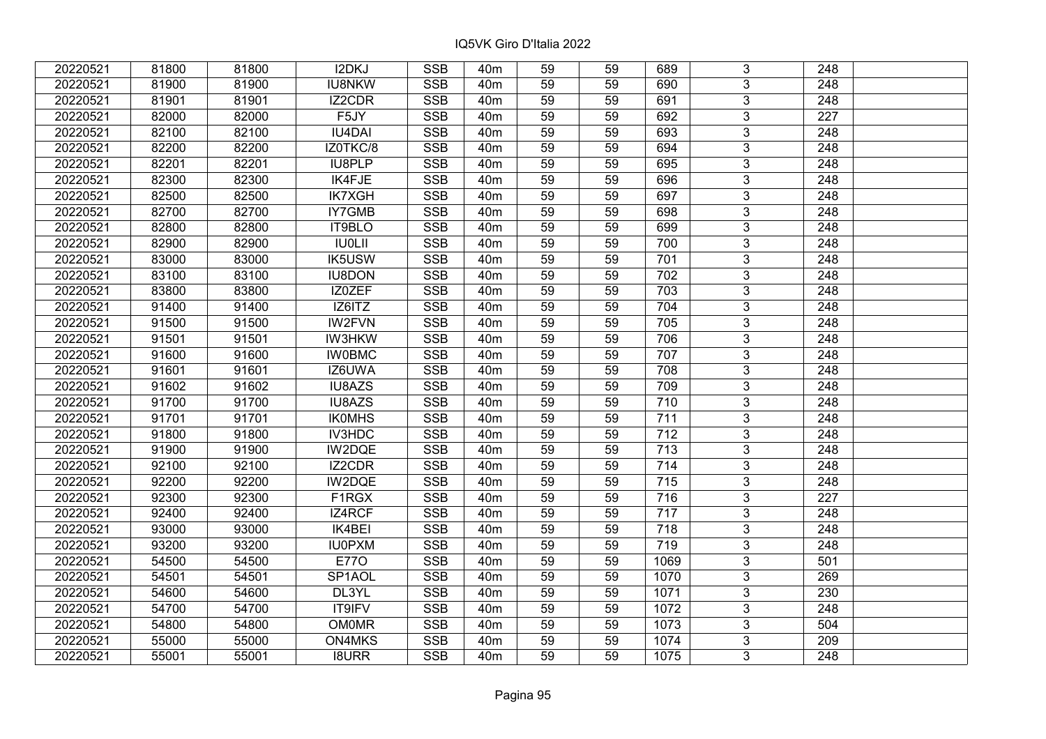| 20220521 | 81800 | 81800 | I2DKJ         | <b>SSB</b> | 40 <sub>m</sub> | 59              | 59 | 689              | 3              | 248              |  |
|----------|-------|-------|---------------|------------|-----------------|-----------------|----|------------------|----------------|------------------|--|
| 20220521 | 81900 | 81900 | <b>IU8NKW</b> | <b>SSB</b> | 40 <sub>m</sub> | 59              | 59 | 690              | 3              | 248              |  |
| 20220521 | 81901 | 81901 | IZ2CDR        | <b>SSB</b> | 40 <sub>m</sub> | 59              | 59 | 691              | $\overline{3}$ | 248              |  |
| 20220521 | 82000 | 82000 | F5JY          | <b>SSB</b> | 40 <sub>m</sub> | 59              | 59 | 692              | $\overline{3}$ | 227              |  |
| 20220521 | 82100 | 82100 | <b>IU4DAI</b> | <b>SSB</b> | 40 <sub>m</sub> | 59              | 59 | 693              | $\overline{3}$ | 248              |  |
| 20220521 | 82200 | 82200 | IZ0TKC/8      | <b>SSB</b> | 40 <sub>m</sub> | 59              | 59 | 694              | $\overline{3}$ | 248              |  |
| 20220521 | 82201 | 82201 | IU8PLP        | <b>SSB</b> | 40 <sub>m</sub> | 59              | 59 | 695              | $\overline{3}$ | 248              |  |
| 20220521 | 82300 | 82300 | <b>IK4FJE</b> | <b>SSB</b> | 40 <sub>m</sub> | 59              | 59 | 696              | $\overline{3}$ | 248              |  |
| 20220521 | 82500 | 82500 | <b>IK7XGH</b> | <b>SSB</b> | 40 <sub>m</sub> | 59              | 59 | 697              | $\overline{3}$ | 248              |  |
| 20220521 | 82700 | 82700 | <b>IY7GMB</b> | <b>SSB</b> | 40 <sub>m</sub> | 59              | 59 | 698              | $\overline{3}$ | 248              |  |
| 20220521 | 82800 | 82800 | IT9BLO        | <b>SSB</b> | 40 <sub>m</sub> | 59              | 59 | 699              | $\overline{3}$ | 248              |  |
| 20220521 | 82900 | 82900 | <b>IU0LII</b> | <b>SSB</b> | 40 <sub>m</sub> | 59              | 59 | 700              | $\overline{3}$ | 248              |  |
| 20220521 | 83000 | 83000 | <b>IK5USW</b> | <b>SSB</b> | 40 <sub>m</sub> | 59              | 59 | 701              | $\overline{3}$ | 248              |  |
| 20220521 | 83100 | 83100 | <b>IU8DON</b> | <b>SSB</b> | 40 <sub>m</sub> | 59              | 59 | 702              | $\overline{3}$ | 248              |  |
| 20220521 | 83800 | 83800 | IZ0ZEF        | <b>SSB</b> | 40 <sub>m</sub> | 59              | 59 | 703              | 3              | 248              |  |
| 20220521 | 91400 | 91400 | IZ6ITZ        | <b>SSB</b> | 40 <sub>m</sub> | 59              | 59 | 704              | $\overline{3}$ | 248              |  |
| 20220521 | 91500 | 91500 | IW2FVN        | <b>SSB</b> | 40 <sub>m</sub> | 59              | 59 | 705              | 3              | 248              |  |
| 20220521 | 91501 | 91501 | <b>IW3HKW</b> | <b>SSB</b> | 40 <sub>m</sub> | 59              | 59 | 706              | 3              | 248              |  |
| 20220521 | 91600 | 91600 | <b>IW0BMC</b> | <b>SSB</b> | 40 <sub>m</sub> | 59              | 59 | 707              | $\overline{3}$ | 248              |  |
| 20220521 | 91601 | 91601 | IZ6UWA        | <b>SSB</b> | 40 <sub>m</sub> | 59              | 59 | 708              | $\overline{3}$ | 248              |  |
| 20220521 | 91602 | 91602 | <b>IU8AZS</b> | <b>SSB</b> | 40 <sub>m</sub> | 59              | 59 | 709              | $\overline{3}$ | 248              |  |
| 20220521 | 91700 | 91700 | IU8AZS        | <b>SSB</b> | 40 <sub>m</sub> | 59              | 59 | 710              | $\overline{3}$ | 248              |  |
| 20220521 | 91701 | 91701 | <b>IKOMHS</b> | <b>SSB</b> | 40 <sub>m</sub> | 59              | 59 | 711              | $\overline{3}$ | 248              |  |
| 20220521 | 91800 | 91800 | IV3HDC        | <b>SSB</b> | 40 <sub>m</sub> | 59              | 59 | 712              | $\overline{3}$ | 248              |  |
| 20220521 | 91900 | 91900 | IW2DQE        | <b>SSB</b> | 40 <sub>m</sub> | 59              | 59 | 713              | $\overline{3}$ | 248              |  |
| 20220521 | 92100 | 92100 | <b>IZ2CDR</b> | SSB        | 40 <sub>m</sub> | $\overline{59}$ | 59 | 714              | $\overline{3}$ | $\overline{248}$ |  |
| 20220521 | 92200 | 92200 | IW2DQE        | <b>SSB</b> | 40 <sub>m</sub> | 59              | 59 | $\overline{715}$ | $\overline{3}$ | $\overline{248}$ |  |
| 20220521 | 92300 | 92300 | F1RGX         | <b>SSB</b> | 40 <sub>m</sub> | 59              | 59 | 716              | 3              | 227              |  |
| 20220521 | 92400 | 92400 | IZ4RCF        | <b>SSB</b> | 40 <sub>m</sub> | $\overline{59}$ | 59 | 717              | $\overline{3}$ | $\overline{248}$ |  |
| 20220521 | 93000 | 93000 | IK4BEI        | <b>SSB</b> | 40 <sub>m</sub> | 59              | 59 | 718              | $\overline{3}$ | $\overline{248}$ |  |
| 20220521 | 93200 | 93200 | <b>IU0PXM</b> | <b>SSB</b> | 40 <sub>m</sub> | 59              | 59 | 719              | $\overline{3}$ | 248              |  |
| 20220521 | 54500 | 54500 | <b>E770</b>   | <b>SSB</b> | 40 <sub>m</sub> | 59              | 59 | 1069             | $\overline{3}$ | 501              |  |
| 20220521 | 54501 | 54501 | SP1AOL        | <b>SSB</b> | 40 <sub>m</sub> | 59              | 59 | 1070             | 3              | 269              |  |
| 20220521 | 54600 | 54600 | DL3YL         | <b>SSB</b> | 40 <sub>m</sub> | 59              | 59 | 1071             | 3              | 230              |  |
| 20220521 | 54700 | 54700 | <b>IT9IFV</b> | <b>SSB</b> | 40 <sub>m</sub> | 59              | 59 | 1072             | $\overline{3}$ | 248              |  |
| 20220521 | 54800 | 54800 | <b>OM0MR</b>  | <b>SSB</b> | 40 <sub>m</sub> | 59              | 59 | 1073             | $\overline{3}$ | 504              |  |
| 20220521 | 55000 | 55000 | ON4MKS        | SSB        | 40 <sub>m</sub> | 59              | 59 | 1074             | $\overline{3}$ | $\overline{209}$ |  |
| 20220521 | 55001 | 55001 | <b>I8URR</b>  | <b>SSB</b> | 40 <sub>m</sub> | 59              | 59 | 1075             | $\overline{3}$ | 248              |  |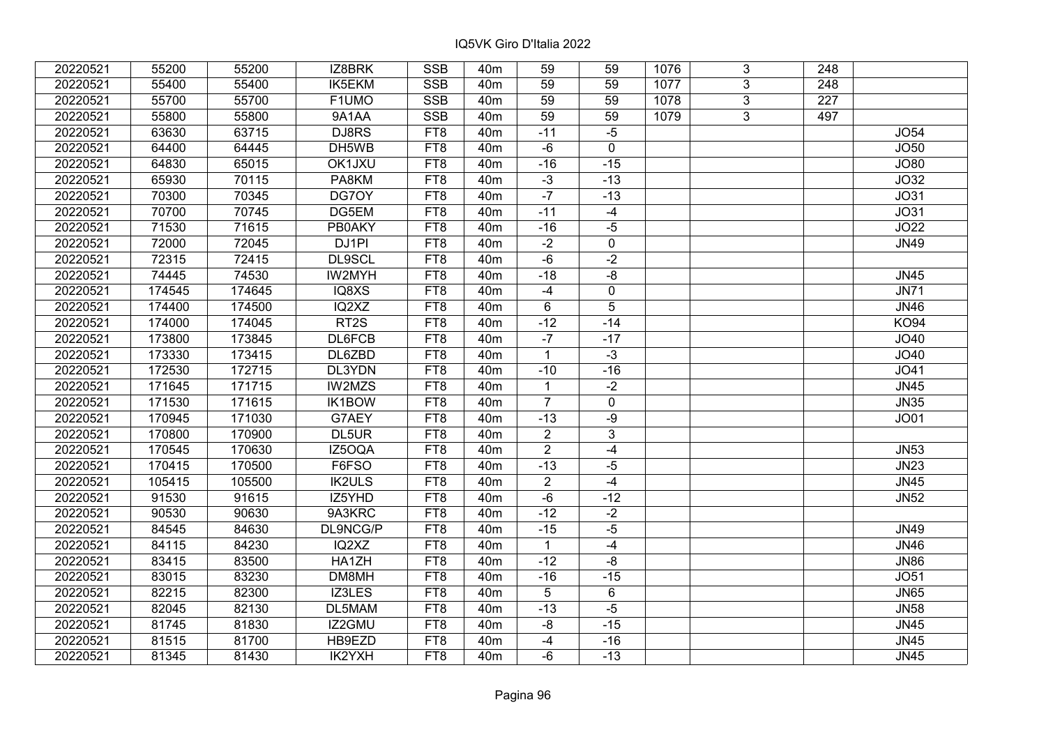| 20220521 | 55200  | 55200  | IZ8BRK            | <b>SSB</b>      | 40 <sub>m</sub> | 59              | 59             | 1076 | 3              | 248              |                  |
|----------|--------|--------|-------------------|-----------------|-----------------|-----------------|----------------|------|----------------|------------------|------------------|
| 20220521 | 55400  | 55400  | IK5EKM            | <b>SSB</b>      | 40 <sub>m</sub> | 59              | 59             | 1077 | 3              | 248              |                  |
| 20220521 | 55700  | 55700  | F1UMO             | <b>SSB</b>      | 40 <sub>m</sub> | $\overline{59}$ | 59             | 1078 | $\overline{3}$ | $\overline{227}$ |                  |
| 20220521 | 55800  | 55800  | 9A1AA             | SSB             | 40 <sub>m</sub> | 59              | 59             | 1079 | 3              | 497              |                  |
| 20220521 | 63630  | 63715  | DJ8RS             | FT8             | 40 <sub>m</sub> | $-11$           | $-5$           |      |                |                  | <b>JO54</b>      |
| 20220521 | 64400  | 64445  | DH5WB             | FT <sub>8</sub> | 40 <sub>m</sub> | $-6$            | $\mathbf 0$    |      |                |                  | JO50             |
| 20220521 | 64830  | 65015  | OK1JXU            | FT8             | 40 <sub>m</sub> | $-16$           | $-15$          |      |                |                  | JO80             |
| 20220521 | 65930  | 70115  | PA8KM             | FT8             | 40 <sub>m</sub> | $\overline{3}$  | $-13$          |      |                |                  | JO32             |
| 20220521 | 70300  | 70345  | DG70Y             | FT8             | 40 <sub>m</sub> | $-7$            | $-13$          |      |                |                  | J <sub>O31</sub> |
| 20220521 | 70700  | 70745  | DG5EM             | FT8             | 40 <sub>m</sub> | $-11$           | $-4$           |      |                |                  | J <sub>O31</sub> |
| 20220521 | 71530  | 71615  | <b>PB0AKY</b>     | FT8             | 40 <sub>m</sub> | $-16$           | $-5$           |      |                |                  | JO22             |
| 20220521 | 72000  | 72045  | DJ1PI             | FT8             | 40 <sub>m</sub> | $-2$            | $\mathbf 0$    |      |                |                  | JN49             |
| 20220521 | 72315  | 72415  | DL9SCL            | FT8             | 40 <sub>m</sub> | $-6$            | $-2$           |      |                |                  |                  |
| 20220521 | 74445  | 74530  | IW2MYH            | FT8             | 40 <sub>m</sub> | $-18$           | $-8$           |      |                |                  | <b>JN45</b>      |
| 20220521 | 174545 | 174645 | IQ8XS             | FT8             | 40 <sub>m</sub> | $-4$            | $\mathbf 0$    |      |                |                  | <b>JN71</b>      |
| 20220521 | 174400 | 174500 | IQ2XZ             | FT8             | 40 <sub>m</sub> | 6               | 5              |      |                |                  | <b>JN46</b>      |
| 20220521 | 174000 | 174045 | RT <sub>2</sub> S | FT8             | 40 <sub>m</sub> | $-12$           | $-14$          |      |                |                  | <b>KO94</b>      |
| 20220521 | 173800 | 173845 | <b>DL6FCB</b>     | FT8             | 40 <sub>m</sub> | $-7$            | $-17$          |      |                |                  | JO40             |
| 20220521 | 173330 | 173415 | DL6ZBD            | FT8             | 40 <sub>m</sub> | $\mathbf{1}$    | $-3$           |      |                |                  | JO40             |
| 20220521 | 172530 | 172715 | DL3YDN            | FT8             | 40 <sub>m</sub> | $-10$           | $-16$          |      |                |                  | JO41             |
| 20220521 | 171645 | 171715 | IW2MZS            | FT8             | 40 <sub>m</sub> | $\mathbf{1}$    | $-2$           |      |                |                  | <b>JN45</b>      |
| 20220521 | 171530 | 171615 | IK1BOW            | FT8             | 40 <sub>m</sub> | $\overline{7}$  | $\pmb{0}$      |      |                |                  | <b>JN35</b>      |
| 20220521 | 170945 | 171030 | G7AEY             | FT8             | 40 <sub>m</sub> | $-13$           | $-9$           |      |                |                  | <b>JO01</b>      |
| 20220521 | 170800 | 170900 | DL5UR             | FT8             | 40 <sub>m</sub> | $\overline{2}$  | $\mathfrak{S}$ |      |                |                  |                  |
| 20220521 | 170545 | 170630 | IZ5OQA            | FT8             | 40 <sub>m</sub> | $\overline{2}$  | $-4$           |      |                |                  | <b>JN53</b>      |
| 20220521 | 170415 | 170500 | F6FSO             | FT8             | 40 <sub>m</sub> | $-13$           | $-5$           |      |                |                  | <b>JN23</b>      |
| 20220521 | 105415 | 105500 | <b>IK2ULS</b>     | FT8             | 40 <sub>m</sub> | $\overline{2}$  | $-4$           |      |                |                  | <b>JN45</b>      |
| 20220521 | 91530  | 91615  | IZ5YHD            | FT8             | 40 <sub>m</sub> | $-6$            | $-12$          |      |                |                  | <b>JN52</b>      |
| 20220521 | 90530  | 90630  | 9A3KRC            | FT8             | 40 <sub>m</sub> | $-12$           | $-2$           |      |                |                  |                  |
| 20220521 | 84545  | 84630  | DL9NCG/P          | FT8             | 40 <sub>m</sub> | $-15$           | $-5$           |      |                |                  | <b>JN49</b>      |
| 20220521 | 84115  | 84230  | IQ2XZ             | FT8             | 40 <sub>m</sub> | $\mathbf{1}$    | $-4$           |      |                |                  | <b>JN46</b>      |
| 20220521 | 83415  | 83500  | HA1ZH             | FT8             | 40 <sub>m</sub> | $-12$           | -8             |      |                |                  | <b>JN86</b>      |
| 20220521 | 83015  | 83230  | DM8MH             | FT8             | 40 <sub>m</sub> | $-16$           | $-15$          |      |                |                  | <b>JO51</b>      |
| 20220521 | 82215  | 82300  | IZ3LES            | FT8             | 40 <sub>m</sub> | 5               | 6              |      |                |                  | <b>JN65</b>      |
| 20220521 | 82045  | 82130  | DL5MAM            | FT8             | 40 <sub>m</sub> | $-13$           | $-5$           |      |                |                  | <b>JN58</b>      |
| 20220521 | 81745  | 81830  | IZ2GMU            | FT8             | 40 <sub>m</sub> | -8              | $-15$          |      |                |                  | <b>JN45</b>      |
| 20220521 | 81515  | 81700  | HB9EZD            | FT8             | 40 <sub>m</sub> | $-4$            | $-16$          |      |                |                  | <b>JN45</b>      |
| 20220521 | 81345  | 81430  | IK2YXH            | FT8             | 40 <sub>m</sub> | $-6$            | $-13$          |      |                |                  | <b>JN45</b>      |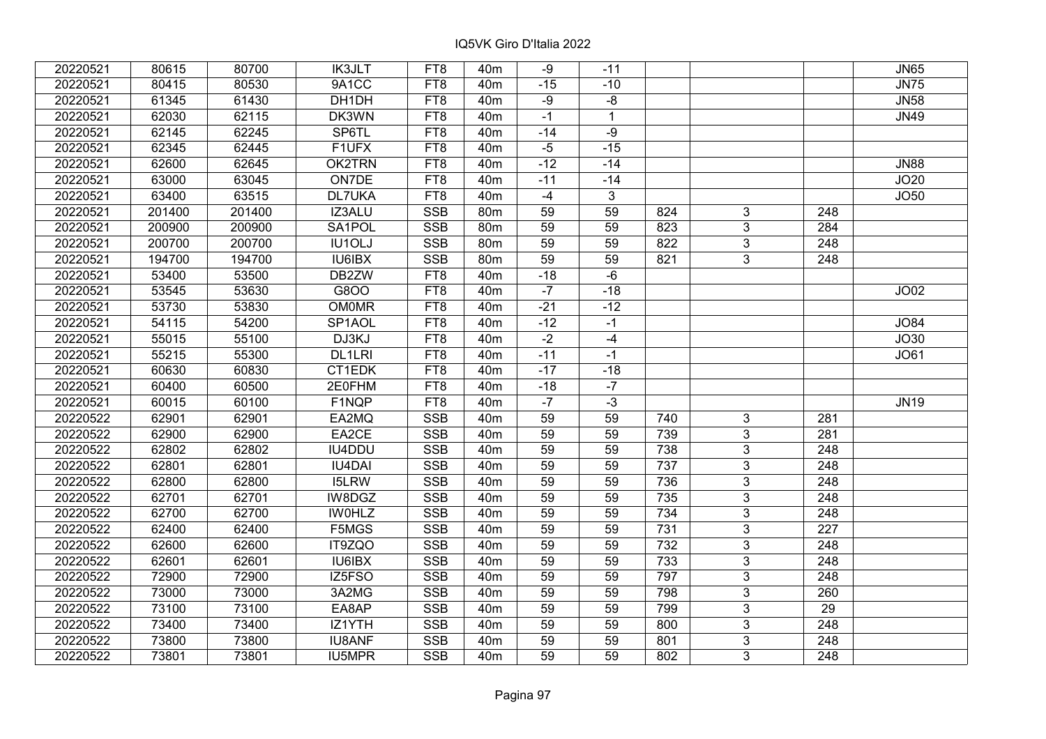| 20220521 | 80615  | 80700  | <b>IK3JLT</b> | FT8        | 40 <sub>m</sub> | -9              | $-11$          |                  |                |                  | <b>JN65</b> |
|----------|--------|--------|---------------|------------|-----------------|-----------------|----------------|------------------|----------------|------------------|-------------|
| 20220521 | 80415  | 80530  | 9A1CC         | FT8        | 40 <sub>m</sub> | $-15$           | $-10$          |                  |                |                  | <b>JN75</b> |
| 20220521 | 61345  | 61430  | DH1DH         | FT8        | 40 <sub>m</sub> | $-9$            | -8             |                  |                |                  | <b>JN58</b> |
| 20220521 | 62030  | 62115  | DK3WN         | FT8        | 40 <sub>m</sub> | $-1$            | $\mathbf{1}$   |                  |                |                  | <b>JN49</b> |
| 20220521 | 62145  | 62245  | SP6TL         | FT8        | 40 <sub>m</sub> | $-14$           | $-9$           |                  |                |                  |             |
| 20220521 | 62345  | 62445  | F1UFX         | FT8        | 40 <sub>m</sub> | $-5$            | $-15$          |                  |                |                  |             |
| 20220521 | 62600  | 62645  | OK2TRN        | FT8        | 40 <sub>m</sub> | $-12$           | $-14$          |                  |                |                  | <b>JN88</b> |
| 20220521 | 63000  | 63045  | ON7DE         | FT8        | 40 <sub>m</sub> | $-11$           | $-14$          |                  |                |                  | JO20        |
| 20220521 | 63400  | 63515  | <b>DL7UKA</b> | FT8        | 40 <sub>m</sub> | $-4$            | $\overline{3}$ |                  |                |                  | <b>JO50</b> |
| 20220521 | 201400 | 201400 | IZ3ALU        | <b>SSB</b> | 80m             | 59              | 59             | 824              | 3              | 248              |             |
| 20220521 | 200900 | 200900 | SA1POL        | <b>SSB</b> | 80m             | 59              | 59             | 823              | $\overline{3}$ | 284              |             |
| 20220521 | 200700 | 200700 | <b>IU1OLJ</b> | <b>SSB</b> | 80m             | $\overline{59}$ | 59             | 822              | $\overline{3}$ | $\overline{248}$ |             |
| 20220521 | 194700 | 194700 | IU6IBX        | <b>SSB</b> | 80m             | 59              | 59             | 821              | 3              | 248              |             |
| 20220521 | 53400  | 53500  | DB2ZW         | FT8        | 40 <sub>m</sub> | $-18$           | -6             |                  |                |                  |             |
| 20220521 | 53545  | 53630  | G8OO          | FT8        | 40 <sub>m</sub> | $-7$            | $-18$          |                  |                |                  | JO02        |
| 20220521 | 53730  | 53830  | <b>OM0MR</b>  | FT8        | 40 <sub>m</sub> | $-21$           | $-12$          |                  |                |                  |             |
| 20220521 | 54115  | 54200  | SP1AOL        | FT8        | 40 <sub>m</sub> | $-12$           | $-1$           |                  |                |                  | <b>JO84</b> |
| 20220521 | 55015  | 55100  | DJ3KJ         | FT8        | 40 <sub>m</sub> | $-2$            | $-4$           |                  |                |                  | JO30        |
| 20220521 | 55215  | 55300  | DL1LRI        | FT8        | 40 <sub>m</sub> | $-11$           | $-1$           |                  |                |                  | JO61        |
| 20220521 | 60630  | 60830  | CT1EDK        | FT8        | 40 <sub>m</sub> | $-17$           | $-18$          |                  |                |                  |             |
| 20220521 | 60400  | 60500  | 2E0FHM        | FT8        | 40 <sub>m</sub> | $-18$           | $-7$           |                  |                |                  |             |
| 20220521 | 60015  | 60100  | F1NQP         | FT8        | 40 <sub>m</sub> | $-7$            | $-3$           |                  |                |                  | <b>JN19</b> |
| 20220522 | 62901  | 62901  | EA2MQ         | <b>SSB</b> | 40 <sub>m</sub> | 59              | 59             | 740              | 3              | 281              |             |
| 20220522 | 62900  | 62900  | EA2CE         | <b>SSB</b> | 40 <sub>m</sub> | 59              | 59             | 739              | $\overline{3}$ | 281              |             |
| 20220522 | 62802  | 62802  | IU4DDU        | <b>SSB</b> | 40 <sub>m</sub> | 59              | 59             | 738              | $\overline{3}$ | 248              |             |
| 20220522 | 62801  | 62801  | <b>IU4DAI</b> | <b>SSB</b> | 40 <sub>m</sub> | 59              | 59             | 737              | $\overline{3}$ | $\overline{248}$ |             |
| 20220522 | 62800  | 62800  | <b>I5LRW</b>  | <b>SSB</b> | 40 <sub>m</sub> | 59              | 59             | 736              | $\overline{3}$ | $\overline{248}$ |             |
| 20220522 | 62701  | 62701  | IW8DGZ        | <b>SSB</b> | 40 <sub>m</sub> | 59              | 59             | 735              | $\overline{3}$ | $\overline{248}$ |             |
| 20220522 | 62700  | 62700  | <b>IWOHLZ</b> | <b>SSB</b> | 40 <sub>m</sub> | 59              | 59             | $\overline{734}$ | $\overline{3}$ | 248              |             |
| 20220522 | 62400  | 62400  | F5MGS         | SSB        | 40 <sub>m</sub> | $\overline{59}$ | 59             | 731              | $\overline{3}$ | $\overline{227}$ |             |
| 20220522 | 62600  | 62600  | IT9ZQO        | <b>SSB</b> | 40 <sub>m</sub> | 59              | 59             | $\overline{732}$ | $\overline{3}$ | 248              |             |
| 20220522 | 62601  | 62601  | IU6IBX        | <b>SSB</b> | 40 <sub>m</sub> | 59              | 59             | 733              | $\overline{3}$ | 248              |             |
| 20220522 | 72900  | 72900  | IZ5FSO        | <b>SSB</b> | 40 <sub>m</sub> | 59              | 59             | 797              | 3              | 248              |             |
| 20220522 | 73000  | 73000  | 3A2MG         | <b>SSB</b> | 40 <sub>m</sub> | 59              | 59             | 798              | 3              | 260              |             |
| 20220522 | 73100  | 73100  | EA8AP         | <b>SSB</b> | 40 <sub>m</sub> | 59              | 59             | 799              | 3              | 29               |             |
| 20220522 | 73400  | 73400  | IZ1YTH        | <b>SSB</b> | 40 <sub>m</sub> | 59              | 59             | 800              | 3              | 248              |             |
| 20220522 | 73800  | 73800  | <b>IU8ANF</b> | <b>SSB</b> | 40 <sub>m</sub> | 59              | 59             | 801              | 3              | 248              |             |
| 20220522 | 73801  | 73801  | IU5MPR        | <b>SSB</b> | 40 <sub>m</sub> | 59              | 59             | 802              | 3              | 248              |             |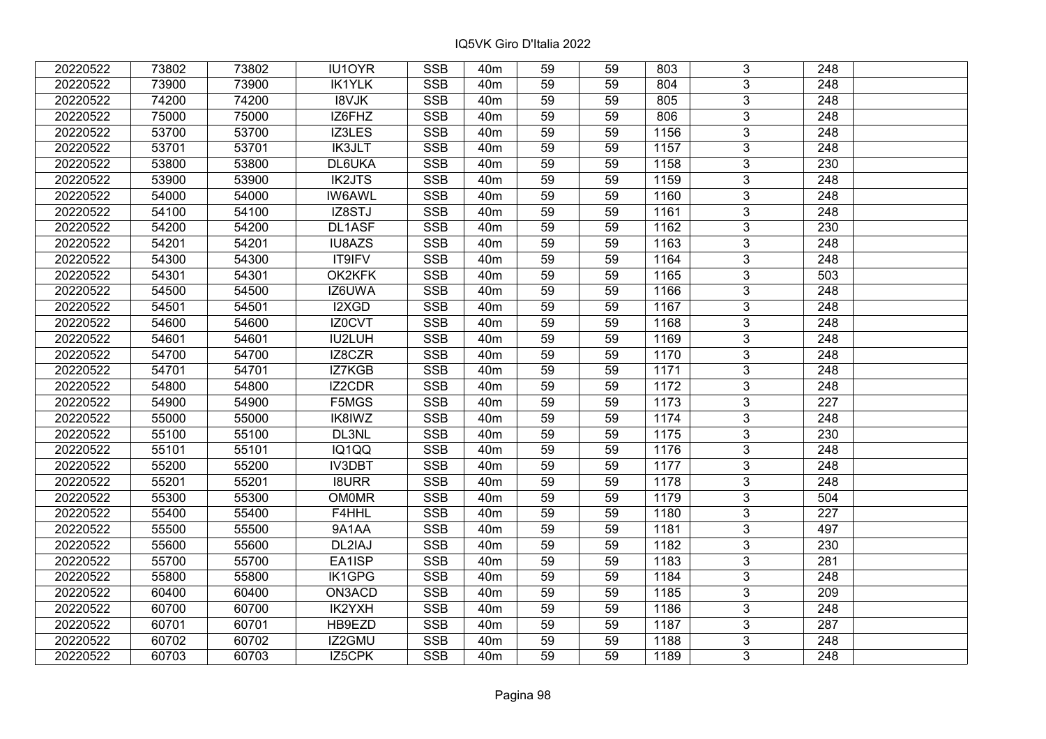| 20220522 | 73802 | 73802 | IU1OYR        | <b>SSB</b> | 40 <sub>m</sub> | 59              | 59 | 803  | 3              | 248              |  |
|----------|-------|-------|---------------|------------|-----------------|-----------------|----|------|----------------|------------------|--|
| 20220522 | 73900 | 73900 | <b>IK1YLK</b> | <b>SSB</b> | 40 <sub>m</sub> | 59              | 59 | 804  | 3              | 248              |  |
| 20220522 | 74200 | 74200 | <b>I8VJK</b>  | <b>SSB</b> | 40 <sub>m</sub> | 59              | 59 | 805  | $\overline{3}$ | 248              |  |
| 20220522 | 75000 | 75000 | IZ6FHZ        | <b>SSB</b> | 40 <sub>m</sub> | 59              | 59 | 806  | $\overline{3}$ | 248              |  |
| 20220522 | 53700 | 53700 | IZ3LES        | <b>SSB</b> | 40 <sub>m</sub> | 59              | 59 | 1156 | $\overline{3}$ | 248              |  |
| 20220522 | 53701 | 53701 | IK3JLT        | <b>SSB</b> | 40 <sub>m</sub> | 59              | 59 | 1157 | $\overline{3}$ | 248              |  |
| 20220522 | 53800 | 53800 | DL6UKA        | <b>SSB</b> | 40m             | 59              | 59 | 1158 | $\overline{3}$ | 230              |  |
| 20220522 | 53900 | 53900 | <b>IK2JTS</b> | <b>SSB</b> | 40 <sub>m</sub> | 59              | 59 | 1159 | $\overline{3}$ | 248              |  |
| 20220522 | 54000 | 54000 | <b>IW6AWL</b> | <b>SSB</b> | 40 <sub>m</sub> | 59              | 59 | 1160 | $\overline{3}$ | 248              |  |
| 20220522 | 54100 | 54100 | IZ8STJ        | <b>SSB</b> | 40 <sub>m</sub> | 59              | 59 | 1161 | $\overline{3}$ | 248              |  |
| 20220522 | 54200 | 54200 | DL1ASF        | <b>SSB</b> | 40 <sub>m</sub> | 59              | 59 | 1162 | $\overline{3}$ | 230              |  |
| 20220522 | 54201 | 54201 | IU8AZS        | <b>SSB</b> | 40 <sub>m</sub> | 59              | 59 | 1163 | $\overline{3}$ | 248              |  |
| 20220522 | 54300 | 54300 | IT9IFV        | <b>SSB</b> | 40 <sub>m</sub> | 59              | 59 | 1164 | $\overline{3}$ | 248              |  |
| 20220522 | 54301 | 54301 | OK2KFK        | <b>SSB</b> | 40 <sub>m</sub> | 59              | 59 | 1165 | $\overline{3}$ | 503              |  |
| 20220522 | 54500 | 54500 | IZ6UWA        | <b>SSB</b> | 40 <sub>m</sub> | 59              | 59 | 1166 | 3              | 248              |  |
| 20220522 | 54501 | 54501 | I2XGD         | <b>SSB</b> | 40 <sub>m</sub> | 59              | 59 | 1167 | 3              | 248              |  |
| 20220522 | 54600 | 54600 | IZ0CVT        | <b>SSB</b> | 40 <sub>m</sub> | 59              | 59 | 1168 | 3              | 248              |  |
| 20220522 | 54601 | 54601 | IU2LUH        | <b>SSB</b> | 40 <sub>m</sub> | 59              | 59 | 1169 | 3              | 248              |  |
| 20220522 | 54700 | 54700 | IZ8CZR        | <b>SSB</b> | 40 <sub>m</sub> | 59              | 59 | 1170 | $\overline{3}$ | 248              |  |
| 20220522 | 54701 | 54701 | IZ7KGB        | <b>SSB</b> | 40 <sub>m</sub> | 59              | 59 | 1171 | $\overline{3}$ | 248              |  |
| 20220522 | 54800 | 54800 | <b>IZ2CDR</b> | SSB        | 40 <sub>m</sub> | 59              | 59 | 1172 | $\overline{3}$ | 248              |  |
| 20220522 | 54900 | 54900 | F5MGS         | <b>SSB</b> | 40 <sub>m</sub> | 59              | 59 | 1173 | $\overline{3}$ | 227              |  |
| 20220522 | 55000 | 55000 | IK8IWZ        | <b>SSB</b> | 40 <sub>m</sub> | 59              | 59 | 1174 | $\overline{3}$ | 248              |  |
| 20220522 | 55100 | 55100 | DL3NL         | <b>SSB</b> | 40 <sub>m</sub> | 59              | 59 | 1175 | $\overline{3}$ | 230              |  |
| 20220522 | 55101 | 55101 | IQ1QQ         | <b>SSB</b> | 40 <sub>m</sub> | 59              | 59 | 1176 | $\overline{3}$ | 248              |  |
| 20220522 | 55200 | 55200 | <b>IV3DBT</b> | SSB        | 40 <sub>m</sub> | $\overline{59}$ | 59 | 1177 | $\overline{3}$ | $\overline{248}$ |  |
| 20220522 | 55201 | 55201 | <b>I8URR</b>  | <b>SSB</b> | 40 <sub>m</sub> | 59              | 59 | 1178 | $\overline{3}$ | $\overline{248}$ |  |
| 20220522 | 55300 | 55300 | <b>OM0MR</b>  | <b>SSB</b> | 40 <sub>m</sub> | 59              | 59 | 1179 | 3              | 504              |  |
| 20220522 | 55400 | 55400 | F4HHL         | <b>SSB</b> | 40 <sub>m</sub> | 59              | 59 | 1180 | $\overline{3}$ | $\overline{227}$ |  |
| 20220522 | 55500 | 55500 | 9A1AA         | <b>SSB</b> | 40 <sub>m</sub> | 59              | 59 | 1181 | $\overline{3}$ | 497              |  |
| 20220522 | 55600 | 55600 | DL2IAJ        | <b>SSB</b> | 40m             | 59              | 59 | 1182 | $\overline{3}$ | 230              |  |
| 20220522 | 55700 | 55700 | EA1ISP        | <b>SSB</b> | 40 <sub>m</sub> | 59              | 59 | 1183 | $\overline{3}$ | 281              |  |
| 20220522 | 55800 | 55800 | IK1GPG        | <b>SSB</b> | 40 <sub>m</sub> | 59              | 59 | 1184 | 3              | 248              |  |
| 20220522 | 60400 | 60400 | ON3ACD        | <b>SSB</b> | 40 <sub>m</sub> | 59              | 59 | 1185 | 3              | 209              |  |
| 20220522 | 60700 | 60700 | IK2YXH        | <b>SSB</b> | 40 <sub>m</sub> | 59              | 59 | 1186 | $\overline{3}$ | 248              |  |
| 20220522 | 60701 | 60701 | HB9EZD        | <b>SSB</b> | 40 <sub>m</sub> | 59              | 59 | 1187 | 3              | 287              |  |
| 20220522 | 60702 | 60702 | IZ2GMU        | SSB        | 40 <sub>m</sub> | 59              | 59 | 1188 | $\overline{3}$ | 248              |  |
| 20220522 | 60703 | 60703 | IZ5CPK        | <b>SSB</b> | 40 <sub>m</sub> | 59              | 59 | 1189 | $\overline{3}$ | 248              |  |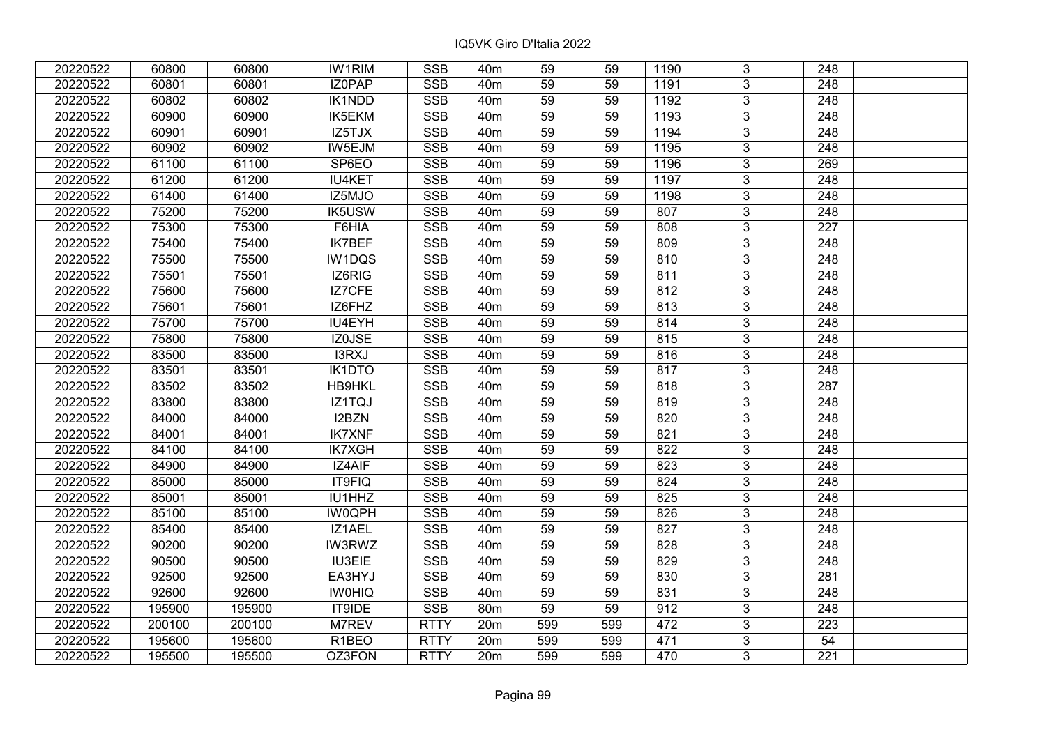| 20220522 | 60800  | 60800  | <b>IW1RIM</b>      | <b>SSB</b>  | 40 <sub>m</sub> | 59              | 59  | 1190 | 3              | 248              |  |
|----------|--------|--------|--------------------|-------------|-----------------|-----------------|-----|------|----------------|------------------|--|
| 20220522 | 60801  | 60801  | IZ0PAP             | <b>SSB</b>  | 40 <sub>m</sub> | 59              | 59  | 1191 | $\overline{3}$ | 248              |  |
| 20220522 | 60802  | 60802  | <b>IK1NDD</b>      | <b>SSB</b>  | 40 <sub>m</sub> | $\overline{59}$ | 59  | 1192 | $\overline{3}$ | 248              |  |
| 20220522 | 60900  | 60900  | IK5EKM             | <b>SSB</b>  | 40 <sub>m</sub> | 59              | 59  | 1193 | $\overline{3}$ | $\overline{248}$ |  |
| 20220522 | 60901  | 60901  | IZ5TJX             | <b>SSB</b>  | 40 <sub>m</sub> | 59              | 59  | 1194 | $\overline{3}$ | 248              |  |
| 20220522 | 60902  | 60902  | IW5EJM             | <b>SSB</b>  | 40 <sub>m</sub> | 59              | 59  | 1195 | $\overline{3}$ | 248              |  |
| 20220522 | 61100  | 61100  | SP6EO              | <b>SSB</b>  | 40 <sub>m</sub> | 59              | 59  | 1196 | $\overline{3}$ | 269              |  |
| 20220522 | 61200  | 61200  | <b>IU4KET</b>      | <b>SSB</b>  | 40 <sub>m</sub> | 59              | 59  | 1197 | $\overline{3}$ | 248              |  |
| 20220522 | 61400  | 61400  | IZ5MJO             | <b>SSB</b>  | 40 <sub>m</sub> | 59              | 59  | 1198 | $\overline{3}$ | $\overline{248}$ |  |
| 20220522 | 75200  | 75200  | <b>IK5USW</b>      | <b>SSB</b>  | 40 <sub>m</sub> | 59              | 59  | 807  | $\overline{3}$ | 248              |  |
| 20220522 | 75300  | 75300  | F6HIA              | <b>SSB</b>  | 40 <sub>m</sub> | 59              | 59  | 808  | 3              | 227              |  |
| 20220522 | 75400  | 75400  | <b>IK7BEF</b>      | <b>SSB</b>  | 40 <sub>m</sub> | 59              | 59  | 809  | $\overline{3}$ | 248              |  |
| 20220522 | 75500  | 75500  | IW1DQS             | <b>SSB</b>  | 40 <sub>m</sub> | 59              | 59  | 810  | $\overline{3}$ | 248              |  |
| 20220522 | 75501  | 75501  | IZ6RIG             | <b>SSB</b>  | 40 <sub>m</sub> | 59              | 59  | 811  | 3              | 248              |  |
| 20220522 | 75600  | 75600  | IZ7CFE             | <b>SSB</b>  | 40 <sub>m</sub> | 59              | 59  | 812  | $\overline{3}$ | 248              |  |
| 20220522 | 75601  | 75601  | IZ6FHZ             | <b>SSB</b>  | 40 <sub>m</sub> | 59              | 59  | 813  | $\overline{3}$ | 248              |  |
| 20220522 | 75700  | 75700  | IU4EYH             | <b>SSB</b>  | 40 <sub>m</sub> | 59              | 59  | 814  | 3              | 248              |  |
| 20220522 | 75800  | 75800  | IZ0JSE             | <b>SSB</b>  | 40 <sub>m</sub> | 59              | 59  | 815  | $\overline{3}$ | 248              |  |
| 20220522 | 83500  | 83500  | I3RXJ              | <b>SSB</b>  | 40 <sub>m</sub> | 59              | 59  | 816  | $\overline{3}$ | 248              |  |
| 20220522 | 83501  | 83501  | IK1DTO             | <b>SSB</b>  | 40 <sub>m</sub> | 59              | 59  | 817  | $\overline{3}$ | 248              |  |
| 20220522 | 83502  | 83502  | <b>HB9HKL</b>      | SSB         | 40 <sub>m</sub> | $\overline{59}$ | 59  | 818  | $\overline{3}$ | 287              |  |
| 20220522 | 83800  | 83800  | IZ1TQJ             | <b>SSB</b>  | 40 <sub>m</sub> | 59              | 59  | 819  | $\overline{3}$ | 248              |  |
| 20220522 | 84000  | 84000  | I2BZN              | <b>SSB</b>  | 40 <sub>m</sub> | 59              | 59  | 820  | $\overline{3}$ | 248              |  |
| 20220522 | 84001  | 84001  | <b>IK7XNF</b>      | <b>SSB</b>  | 40 <sub>m</sub> | 59              | 59  | 821  | $\overline{3}$ | 248              |  |
| 20220522 | 84100  | 84100  | <b>IK7XGH</b>      | <b>SSB</b>  | 40 <sub>m</sub> | 59              | 59  | 822  | $\overline{3}$ | 248              |  |
| 20220522 | 84900  | 84900  | IZ4AIF             | <b>SSB</b>  | 40 <sub>m</sub> | 59              | 59  | 823  | $\overline{3}$ | 248              |  |
| 20220522 | 85000  | 85000  | IT9FIQ             | <b>SSB</b>  | 40 <sub>m</sub> | 59              | 59  | 824  | $\overline{3}$ | $\overline{248}$ |  |
| 20220522 | 85001  | 85001  | IU1HHZ             | <b>SSB</b>  | 40 <sub>m</sub> | 59              | 59  | 825  | $\overline{3}$ | 248              |  |
| 20220522 | 85100  | 85100  | <b>IW0QPH</b>      | <b>SSB</b>  | 40 <sub>m</sub> | 59              | 59  | 826  | $\overline{3}$ | 248              |  |
| 20220522 | 85400  | 85400  | IZ1AEL             | <b>SSB</b>  | 40 <sub>m</sub> | $\overline{59}$ | 59  | 827  | $\overline{3}$ | $\overline{248}$ |  |
| 20220522 | 90200  | 90200  | <b>IW3RWZ</b>      | <b>SSB</b>  | 40 <sub>m</sub> | 59              | 59  | 828  | $\overline{3}$ | $\overline{248}$ |  |
| 20220522 | 90500  | 90500  | <b>IU3EIE</b>      | <b>SSB</b>  | 40 <sub>m</sub> | 59              | 59  | 829  | $\overline{3}$ | 248              |  |
| 20220522 | 92500  | 92500  | EA3HYJ             | <b>SSB</b>  | 40 <sub>m</sub> | 59              | 59  | 830  | 3              | 281              |  |
| 20220522 | 92600  | 92600  | <b>IWOHIQ</b>      | <b>SSB</b>  | 40 <sub>m</sub> | 59              | 59  | 831  | $\overline{3}$ | 248              |  |
| 20220522 | 195900 | 195900 | IT9IDE             | <b>SSB</b>  | 80m             | 59              | 59  | 912  | $\overline{3}$ | 248              |  |
| 20220522 | 200100 | 200100 | M7REV              | <b>RTTY</b> | 20 <sub>m</sub> | 599             | 599 | 472  | 3              | 223              |  |
| 20220522 | 195600 | 195600 | R <sub>1</sub> BEO | <b>RTTY</b> | 20 <sub>m</sub> | 599             | 599 | 471  | 3              | 54               |  |
| 20220522 | 195500 | 195500 | OZ3FON             | <b>RTTY</b> | 20 <sub>m</sub> | 599             | 599 | 470  | 3              | 221              |  |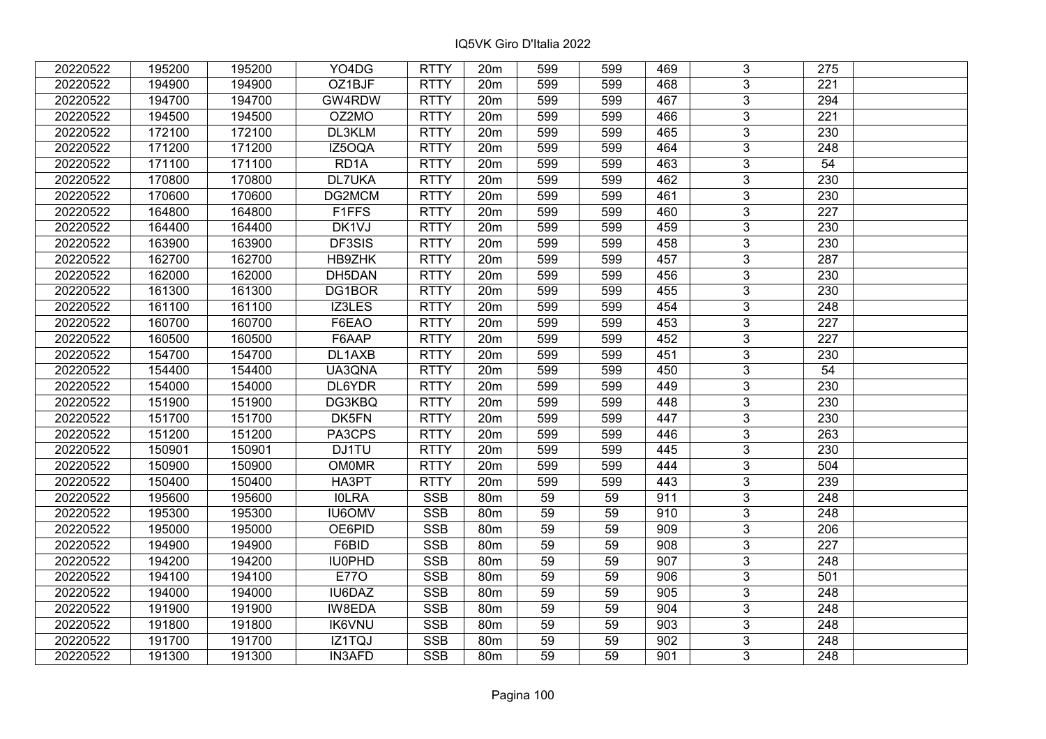| 20220522 | 195200 | 195200 | YO4DG             | <b>RTTY</b> | 20 <sub>m</sub> | 599 | 599 | 469 | 3              | 275              |  |
|----------|--------|--------|-------------------|-------------|-----------------|-----|-----|-----|----------------|------------------|--|
| 20220522 | 194900 | 194900 | OZ1BJF            | <b>RTTY</b> | 20m             | 599 | 599 | 468 | 3              | 221              |  |
| 20220522 | 194700 | 194700 | GW4RDW            | <b>RTTY</b> | 20m             | 599 | 599 | 467 | $\overline{3}$ | 294              |  |
| 20220522 | 194500 | 194500 | OZ2MO             | <b>RTTY</b> | 20m             | 599 | 599 | 466 | $\overline{3}$ | 221              |  |
| 20220522 | 172100 | 172100 | DL3KLM            | <b>RTTY</b> | 20m             | 599 | 599 | 465 | $\mathfrak{S}$ | 230              |  |
| 20220522 | 171200 | 171200 | IZ5OQA            | <b>RTTY</b> | 20m             | 599 | 599 | 464 | $\overline{3}$ | 248              |  |
| 20220522 | 171100 | 171100 | RD <sub>1</sub> A | <b>RTTY</b> | 20m             | 599 | 599 | 463 | $\overline{3}$ | 54               |  |
| 20220522 | 170800 | 170800 | <b>DL7UKA</b>     | <b>RTTY</b> | 20m             | 599 | 599 | 462 | $\overline{3}$ | 230              |  |
| 20220522 | 170600 | 170600 | DG2MCM            | <b>RTTY</b> | 20m             | 599 | 599 | 461 | $\overline{3}$ | 230              |  |
| 20220522 | 164800 | 164800 | F1FFS             | <b>RTTY</b> | 20 <sub>m</sub> | 599 | 599 | 460 | $\overline{3}$ | 227              |  |
| 20220522 | 164400 | 164400 | DK1VJ             | <b>RTTY</b> | 20m             | 599 | 599 | 459 | $\overline{3}$ | 230              |  |
| 20220522 | 163900 | 163900 | DF3SIS            | <b>RTTY</b> | 20 <sub>m</sub> | 599 | 599 | 458 | $\overline{3}$ | 230              |  |
| 20220522 | 162700 | 162700 | HB9ZHK            | <b>RTTY</b> | 20 <sub>m</sub> | 599 | 599 | 457 | 3              | 287              |  |
| 20220522 | 162000 | 162000 | DH5DAN            | <b>RTTY</b> | 20m             | 599 | 599 | 456 | $\overline{3}$ | 230              |  |
| 20220522 | 161300 | 161300 | DG1BOR            | <b>RTTY</b> | 20m             | 599 | 599 | 455 | $\overline{3}$ | 230              |  |
| 20220522 | 161100 | 161100 | IZ3LES            | <b>RTTY</b> | 20m             | 599 | 599 | 454 | 3              | 248              |  |
| 20220522 | 160700 | 160700 | F6EAO             | <b>RTTY</b> | 20m             | 599 | 599 | 453 | 3              | 227              |  |
| 20220522 | 160500 | 160500 | F6AAP             | <b>RTTY</b> | 20m             | 599 | 599 | 452 | 3              | 227              |  |
| 20220522 | 154700 | 154700 | DL1AXB            | <b>RTTY</b> | 20m             | 599 | 599 | 451 | 3              | 230              |  |
| 20220522 | 154400 | 154400 | UA3QNA            | <b>RTTY</b> | 20m             | 599 | 599 | 450 | $\overline{3}$ | 54               |  |
| 20220522 | 154000 | 154000 | DL6YDR            | <b>RTTY</b> | 20 <sub>m</sub> | 599 | 599 | 449 | $\overline{3}$ | 230              |  |
| 20220522 | 151900 | 151900 | DG3KBQ            | <b>RTTY</b> | 20 <sub>m</sub> | 599 | 599 | 448 | 3              | 230              |  |
| 20220522 | 151700 | 151700 | DK5FN             | <b>RTTY</b> | 20m             | 599 | 599 | 447 | $\overline{3}$ | 230              |  |
| 20220522 | 151200 | 151200 | PA3CPS            | <b>RTTY</b> | 20m             | 599 | 599 | 446 | $\mathfrak{S}$ | 263              |  |
| 20220522 | 150901 | 150901 | DJ1TU             | <b>RTTY</b> | 20m             | 599 | 599 | 445 | $\overline{3}$ | 230              |  |
| 20220522 | 150900 | 150900 | <b>OM0MR</b>      | <b>RTTY</b> | 20m             | 599 | 599 | 444 | $\mathfrak{S}$ | 504              |  |
| 20220522 | 150400 | 150400 | HA3PT             | <b>RTTY</b> | 20m             | 599 | 599 | 443 | 3              | 239              |  |
| 20220522 | 195600 | 195600 | <b>IOLRA</b>      | <b>SSB</b>  | 80m             | 59  | 59  | 911 | $\overline{3}$ | 248              |  |
| 20220522 | 195300 | 195300 | <b>IU6OMV</b>     | <b>SSB</b>  | 80m             | 59  | 59  | 910 | $\overline{3}$ | $\overline{248}$ |  |
| 20220522 | 195000 | 195000 | OE6PID            | <b>SSB</b>  | 80m             | 59  | 59  | 909 | $\overline{3}$ | 206              |  |
| 20220522 | 194900 | 194900 | F6BID             | <b>SSB</b>  | 80m             | 59  | 59  | 908 | $\overline{3}$ | $\overline{227}$ |  |
| 20220522 | 194200 | 194200 | <b>IU0PHD</b>     | <b>SSB</b>  | 80m             | 59  | 59  | 907 | $\overline{3}$ | 248              |  |
| 20220522 | 194100 | 194100 | <b>E770</b>       | <b>SSB</b>  | 80m             | 59  | 59  | 906 | 3              | 501              |  |
| 20220522 | 194000 | 194000 | IU6DAZ            | <b>SSB</b>  | 80m             | 59  | 59  | 905 | $\overline{3}$ | 248              |  |
| 20220522 | 191900 | 191900 | IW8EDA            | <b>SSB</b>  | 80m             | 59  | 59  | 904 | $\overline{3}$ | 248              |  |
| 20220522 | 191800 | 191800 | <b>IK6VNU</b>     | <b>SSB</b>  | 80 <sub>m</sub> | 59  | 59  | 903 | 3              | 248              |  |
| 20220522 | 191700 | 191700 | IZ1TQJ            | <b>SSB</b>  | 80 <sub>m</sub> | 59  | 59  | 902 | $\mathfrak{S}$ | 248              |  |
| 20220522 | 191300 | 191300 | <b>IN3AFD</b>     | <b>SSB</b>  | 80 <sub>m</sub> | 59  | 59  | 901 | 3              | 248              |  |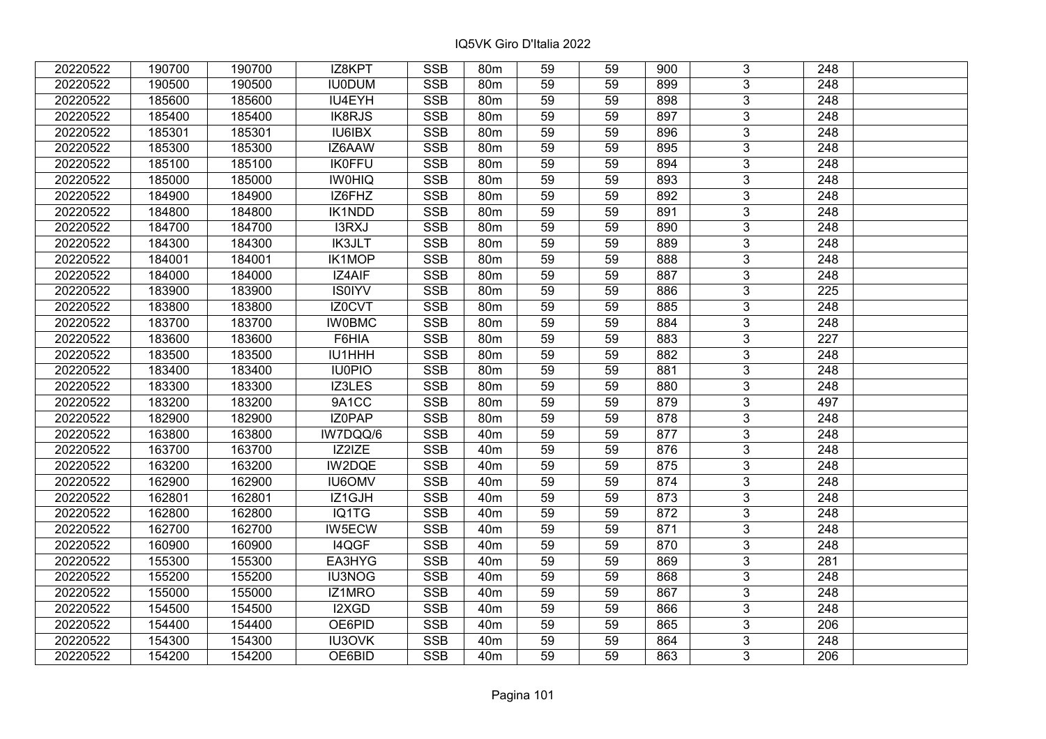| 20220522 | 190700 | 190700 | IZ8KPT        | <b>SSB</b> | 80 <sub>m</sub> | 59 | 59 | 900 | 3              | 248              |  |
|----------|--------|--------|---------------|------------|-----------------|----|----|-----|----------------|------------------|--|
| 20220522 | 190500 | 190500 | <b>IU0DUM</b> | <b>SSB</b> | 80 <sub>m</sub> | 59 | 59 | 899 | 3              | 248              |  |
| 20220522 | 185600 | 185600 | IU4EYH        | <b>SSB</b> | 80 <sub>m</sub> | 59 | 59 | 898 | $\overline{3}$ | 248              |  |
| 20220522 | 185400 | 185400 | <b>IK8RJS</b> | <b>SSB</b> | 80m             | 59 | 59 | 897 | $\overline{3}$ | 248              |  |
| 20220522 | 185301 | 185301 | <b>IU6IBX</b> | <b>SSB</b> | 80m             | 59 | 59 | 896 | $\overline{3}$ | 248              |  |
| 20220522 | 185300 | 185300 | IZ6AAW        | <b>SSB</b> | 80m             | 59 | 59 | 895 | $\overline{3}$ | 248              |  |
| 20220522 | 185100 | 185100 | <b>IK0FFU</b> | <b>SSB</b> | 80m             | 59 | 59 | 894 | $\overline{3}$ | 248              |  |
| 20220522 | 185000 | 185000 | <b>IWOHIQ</b> | <b>SSB</b> | 80 <sub>m</sub> | 59 | 59 | 893 | $\overline{3}$ | 248              |  |
| 20220522 | 184900 | 184900 | IZ6FHZ        | <b>SSB</b> | 80m             | 59 | 59 | 892 | $\overline{3}$ | 248              |  |
| 20220522 | 184800 | 184800 | IK1NDD        | <b>SSB</b> | 80m             | 59 | 59 | 891 | $\overline{3}$ | 248              |  |
| 20220522 | 184700 | 184700 | I3RXJ         | <b>SSB</b> | 80 <sub>m</sub> | 59 | 59 | 890 | $\overline{3}$ | 248              |  |
| 20220522 | 184300 | 184300 | <b>IK3JLT</b> | <b>SSB</b> | 80m             | 59 | 59 | 889 | $\overline{3}$ | 248              |  |
| 20220522 | 184001 | 184001 | IK1MOP        | <b>SSB</b> | 80m             | 59 | 59 | 888 | 3              | 248              |  |
| 20220522 | 184000 | 184000 | IZ4AIF        | <b>SSB</b> | 80 <sub>m</sub> | 59 | 59 | 887 | $\overline{3}$ | 248              |  |
| 20220522 | 183900 | 183900 | <b>IS0IYV</b> | <b>SSB</b> | 80m             | 59 | 59 | 886 | 3              | 225              |  |
| 20220522 | 183800 | 183800 | IZ0CVT        | <b>SSB</b> | 80 <sub>m</sub> | 59 | 59 | 885 | 3              | 248              |  |
| 20220522 | 183700 | 183700 | <b>IW0BMC</b> | <b>SSB</b> | 80 <sub>m</sub> | 59 | 59 | 884 | $\overline{3}$ | 248              |  |
| 20220522 | 183600 | 183600 | F6HIA         | <b>SSB</b> | 80m             | 59 | 59 | 883 | $\overline{3}$ | 227              |  |
| 20220522 | 183500 | 183500 | IU1HHH        | <b>SSB</b> | 80 <sub>m</sub> | 59 | 59 | 882 | 3              | 248              |  |
| 20220522 | 183400 | 183400 | <b>IU0PIO</b> | <b>SSB</b> | 80m             | 59 | 59 | 881 | $\overline{3}$ | 248              |  |
| 20220522 | 183300 | 183300 | IZ3LES        | <b>SSB</b> | 80m             | 59 | 59 | 880 | $\overline{3}$ | 248              |  |
| 20220522 | 183200 | 183200 | 9A1CC         | <b>SSB</b> | 80 <sub>m</sub> | 59 | 59 | 879 | 3              | 497              |  |
| 20220522 | 182900 | 182900 | IZ0PAP        | <b>SSB</b> | 80m             | 59 | 59 | 878 | $\overline{3}$ | 248              |  |
| 20220522 | 163800 | 163800 | IW7DQQ/6      | <b>SSB</b> | 40 <sub>m</sub> | 59 | 59 | 877 | $\overline{3}$ | 248              |  |
| 20220522 | 163700 | 163700 | IZ2IZE        | <b>SSB</b> | 40 <sub>m</sub> | 59 | 59 | 876 | $\overline{3}$ | 248              |  |
| 20220522 | 163200 | 163200 | IW2DQE        | <b>SSB</b> | 40 <sub>m</sub> | 59 | 59 | 875 | $\overline{3}$ | $\overline{248}$ |  |
| 20220522 | 162900 | 162900 | <b>IU6OMV</b> | <b>SSB</b> | 40 <sub>m</sub> | 59 | 59 | 874 | 3              | 248              |  |
| 20220522 | 162801 | 162801 | IZ1GJH        | <b>SSB</b> | 40 <sub>m</sub> | 59 | 59 | 873 | $\overline{3}$ | 248              |  |
| 20220522 | 162800 | 162800 | IQ1TG         | <b>SSB</b> | 40 <sub>m</sub> | 59 | 59 | 872 | $\overline{3}$ | $\overline{248}$ |  |
| 20220522 | 162700 | 162700 | IW5ECW        | <b>SSB</b> | 40 <sub>m</sub> | 59 | 59 | 871 | $\overline{3}$ | 248              |  |
| 20220522 | 160900 | 160900 | I4QGF         | <b>SSB</b> | 40 <sub>m</sub> | 59 | 59 | 870 | $\overline{3}$ | $\overline{248}$ |  |
| 20220522 | 155300 | 155300 | EA3HYG        | <b>SSB</b> | 40 <sub>m</sub> | 59 | 59 | 869 | $\overline{3}$ | 281              |  |
| 20220522 | 155200 | 155200 | <b>IU3NOG</b> | <b>SSB</b> | 40 <sub>m</sub> | 59 | 59 | 868 | 3              | 248              |  |
| 20220522 | 155000 | 155000 | IZ1MRO        | <b>SSB</b> | 40 <sub>m</sub> | 59 | 59 | 867 | $\overline{3}$ | 248              |  |
| 20220522 | 154500 | 154500 | I2XGD         | <b>SSB</b> | 40 <sub>m</sub> | 59 | 59 | 866 | $\overline{3}$ | 248              |  |
| 20220522 | 154400 | 154400 | OE6PID        | <b>SSB</b> | 40 <sub>m</sub> | 59 | 59 | 865 | 3              | 206              |  |
| 20220522 | 154300 | 154300 | IU3OVK        | <b>SSB</b> | 40 <sub>m</sub> | 59 | 59 | 864 | $\overline{3}$ | 248              |  |
| 20220522 | 154200 | 154200 | OE6BID        | <b>SSB</b> | 40 <sub>m</sub> | 59 | 59 | 863 | 3              | 206              |  |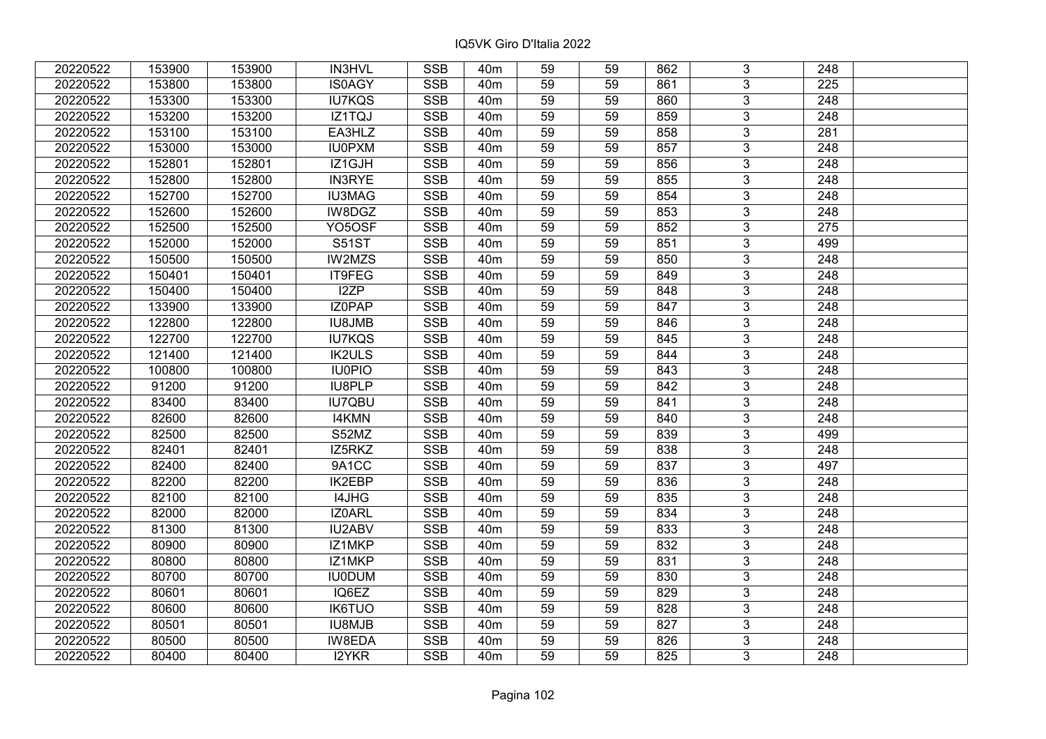| 20220522 | 153900 | 153900 | IN3HVL        | <b>SSB</b> | 40 <sub>m</sub> | 59 | 59 | 862 | 3              | 248              |  |
|----------|--------|--------|---------------|------------|-----------------|----|----|-----|----------------|------------------|--|
| 20220522 | 153800 | 153800 | <b>IS0AGY</b> | <b>SSB</b> | 40 <sub>m</sub> | 59 | 59 | 861 | 3              | 225              |  |
| 20220522 | 153300 | 153300 | <b>IU7KQS</b> | <b>SSB</b> | 40 <sub>m</sub> | 59 | 59 | 860 | $\overline{3}$ | 248              |  |
| 20220522 | 153200 | 153200 | IZ1TQJ        | <b>SSB</b> | 40 <sub>m</sub> | 59 | 59 | 859 | $\overline{3}$ | $\overline{248}$ |  |
| 20220522 | 153100 | 153100 | EA3HLZ        | <b>SSB</b> | 40 <sub>m</sub> | 59 | 59 | 858 | $\overline{3}$ | 281              |  |
| 20220522 | 153000 | 153000 | <b>IU0PXM</b> | <b>SSB</b> | 40 <sub>m</sub> | 59 | 59 | 857 | $\overline{3}$ | 248              |  |
| 20220522 | 152801 | 152801 | IZ1GJH        | <b>SSB</b> | 40 <sub>m</sub> | 59 | 59 | 856 | $\overline{3}$ | 248              |  |
| 20220522 | 152800 | 152800 | <b>IN3RYE</b> | <b>SSB</b> | 40 <sub>m</sub> | 59 | 59 | 855 | $\overline{3}$ | 248              |  |
| 20220522 | 152700 | 152700 | <b>IU3MAG</b> | <b>SSB</b> | 40 <sub>m</sub> | 59 | 59 | 854 | $\overline{3}$ | 248              |  |
| 20220522 | 152600 | 152600 | IW8DGZ        | <b>SSB</b> | 40 <sub>m</sub> | 59 | 59 | 853 | $\overline{3}$ | 248              |  |
| 20220522 | 152500 | 152500 | YO5OSF        | <b>SSB</b> | 40 <sub>m</sub> | 59 | 59 | 852 | $\overline{3}$ | 275              |  |
| 20220522 | 152000 | 152000 | <b>S51ST</b>  | <b>SSB</b> | 40 <sub>m</sub> | 59 | 59 | 851 | $\overline{3}$ | 499              |  |
| 20220522 | 150500 | 150500 | IW2MZS        | <b>SSB</b> | 40 <sub>m</sub> | 59 | 59 | 850 | 3              | 248              |  |
| 20220522 | 150401 | 150401 | IT9FEG        | <b>SSB</b> | 40 <sub>m</sub> | 59 | 59 | 849 | $\overline{3}$ | 248              |  |
| 20220522 | 150400 | 150400 | I2ZP          | <b>SSB</b> | 40 <sub>m</sub> | 59 | 59 | 848 | 3              | 248              |  |
| 20220522 | 133900 | 133900 | IZ0PAP        | <b>SSB</b> | 40 <sub>m</sub> | 59 | 59 | 847 | 3              | 248              |  |
| 20220522 | 122800 | 122800 | <b>IU8JMB</b> | <b>SSB</b> | 40 <sub>m</sub> | 59 | 59 | 846 | $\overline{3}$ | 248              |  |
| 20220522 | 122700 | 122700 | <b>IU7KQS</b> | <b>SSB</b> | 40 <sub>m</sub> | 59 | 59 | 845 | $\overline{3}$ | 248              |  |
| 20220522 | 121400 | 121400 | <b>IK2ULS</b> | <b>SSB</b> | 40 <sub>m</sub> | 59 | 59 | 844 | 3              | 248              |  |
| 20220522 | 100800 | 100800 | <b>IU0PIO</b> | <b>SSB</b> | 40 <sub>m</sub> | 59 | 59 | 843 | $\overline{3}$ | 248              |  |
| 20220522 | 91200  | 91200  | <b>IU8PLP</b> | <b>SSB</b> | 40 <sub>m</sub> | 59 | 59 | 842 | $\overline{3}$ | 248              |  |
| 20220522 | 83400  | 83400  | <b>IU7QBU</b> | <b>SSB</b> | 40 <sub>m</sub> | 59 | 59 | 841 | 3              | 248              |  |
| 20220522 | 82600  | 82600  | <b>I4KMN</b>  | <b>SSB</b> | 40 <sub>m</sub> | 59 | 59 | 840 | $\overline{3}$ | 248              |  |
| 20220522 | 82500  | 82500  | S52MZ         | <b>SSB</b> | 40 <sub>m</sub> | 59 | 59 | 839 | $\overline{3}$ | 499              |  |
| 20220522 | 82401  | 82401  | IZ5RKZ        | <b>SSB</b> | 40 <sub>m</sub> | 59 | 59 | 838 | $\overline{3}$ | $\overline{248}$ |  |
| 20220522 | 82400  | 82400  | 9A1CC         | <b>SSB</b> | 40 <sub>m</sub> | 59 | 59 | 837 | $\overline{3}$ | 497              |  |
| 20220522 | 82200  | 82200  | IK2EBP        | <b>SSB</b> | 40 <sub>m</sub> | 59 | 59 | 836 | $\overline{3}$ | 248              |  |
| 20220522 | 82100  | 82100  | I4JHG         | <b>SSB</b> | 40 <sub>m</sub> | 59 | 59 | 835 | $\overline{3}$ | 248              |  |
| 20220522 | 82000  | 82000  | IZ0ARL        | <b>SSB</b> | 40 <sub>m</sub> | 59 | 59 | 834 | $\overline{3}$ | $\overline{248}$ |  |
| 20220522 | 81300  | 81300  | IU2ABV        | <b>SSB</b> | 40 <sub>m</sub> | 59 | 59 | 833 | $\overline{3}$ | 248              |  |
| 20220522 | 80900  | 80900  | IZ1MKP        | <b>SSB</b> | 40 <sub>m</sub> | 59 | 59 | 832 | $\overline{3}$ | $\overline{248}$ |  |
| 20220522 | 80800  | 80800  | IZ1MKP        | <b>SSB</b> | 40 <sub>m</sub> | 59 | 59 | 831 | $\overline{3}$ | 248              |  |
| 20220522 | 80700  | 80700  | <b>IU0DUM</b> | <b>SSB</b> | 40 <sub>m</sub> | 59 | 59 | 830 | 3              | 248              |  |
| 20220522 | 80601  | 80601  | IQ6EZ         | <b>SSB</b> | 40 <sub>m</sub> | 59 | 59 | 829 | $\overline{3}$ | 248              |  |
| 20220522 | 80600  | 80600  | <b>IK6TUO</b> | <b>SSB</b> | 40 <sub>m</sub> | 59 | 59 | 828 | $\overline{3}$ | 248              |  |
| 20220522 | 80501  | 80501  | IU8MJB        | <b>SSB</b> | 40 <sub>m</sub> | 59 | 59 | 827 | 3              | 248              |  |
| 20220522 | 80500  | 80500  | IW8EDA        | <b>SSB</b> | 40 <sub>m</sub> | 59 | 59 | 826 | $\overline{3}$ | 248              |  |
| 20220522 | 80400  | 80400  | <b>I2YKR</b>  | <b>SSB</b> | 40 <sub>m</sub> | 59 | 59 | 825 | 3              | 248              |  |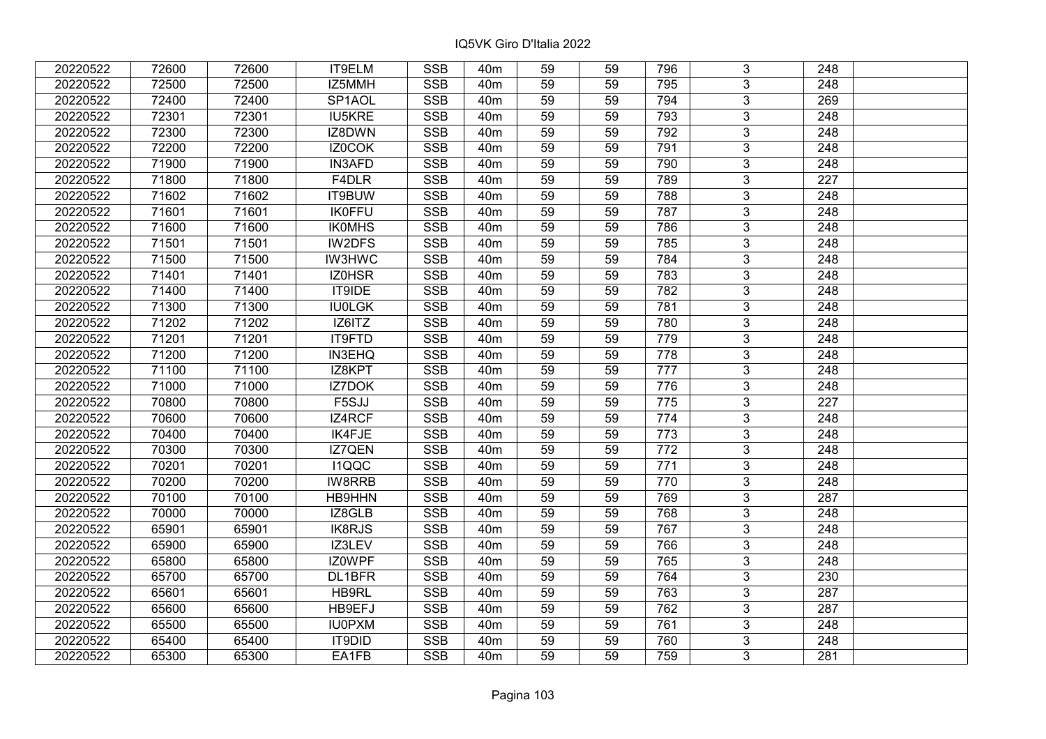| 20220522 | 72600 | 72600 | IT9ELM        | <b>SSB</b>              | 40 <sub>m</sub> | 59              | 59 | 796              | 3              | 248              |  |
|----------|-------|-------|---------------|-------------------------|-----------------|-----------------|----|------------------|----------------|------------------|--|
| 20220522 | 72500 | 72500 | IZ5MMH        | <b>SSB</b>              | 40 <sub>m</sub> | 59              | 59 | 795              | 3              | 248              |  |
| 20220522 | 72400 | 72400 | SP1AOL        | <b>SSB</b>              | 40 <sub>m</sub> | 59              | 59 | 794              | $\overline{3}$ | 269              |  |
| 20220522 | 72301 | 72301 | <b>IU5KRE</b> | <b>SSB</b>              | 40 <sub>m</sub> | 59              | 59 | 793              | $\overline{3}$ | 248              |  |
| 20220522 | 72300 | 72300 | IZ8DWN        | <b>SSB</b>              | 40 <sub>m</sub> | 59              | 59 | 792              | $\overline{3}$ | 248              |  |
| 20220522 | 72200 | 72200 | IZ0COK        | <b>SSB</b>              | 40 <sub>m</sub> | 59              | 59 | 791              | $\overline{3}$ | 248              |  |
| 20220522 | 71900 | 71900 | <b>IN3AFD</b> | <b>SSB</b>              | 40m             | 59              | 59 | 790              | $\overline{3}$ | 248              |  |
| 20220522 | 71800 | 71800 | F4DLR         | <b>SSB</b>              | 40 <sub>m</sub> | 59              | 59 | 789              | $\overline{3}$ | $\overline{227}$ |  |
| 20220522 | 71602 | 71602 | IT9BUW        | <b>SSB</b>              | 40 <sub>m</sub> | 59              | 59 | 788              | $\overline{3}$ | 248              |  |
| 20220522 | 71601 | 71601 | <b>IK0FFU</b> | <b>SSB</b>              | 40 <sub>m</sub> | 59              | 59 | 787              | $\overline{3}$ | 248              |  |
| 20220522 | 71600 | 71600 | <b>IKOMHS</b> | <b>SSB</b>              | 40 <sub>m</sub> | 59              | 59 | 786              | $\overline{3}$ | 248              |  |
| 20220522 | 71501 | 71501 | IW2DFS        | <b>SSB</b>              | 40m             | 59              | 59 | 785              | $\overline{3}$ | 248              |  |
| 20220522 | 71500 | 71500 | <b>IW3HWC</b> | <b>SSB</b>              | 40 <sub>m</sub> | 59              | 59 | 784              | $\overline{3}$ | 248              |  |
| 20220522 | 71401 | 71401 | IZ0HSR        | <b>SSB</b>              | 40 <sub>m</sub> | 59              | 59 | 783              | $\overline{3}$ | 248              |  |
| 20220522 | 71400 | 71400 | IT9IDE        | <b>SSB</b>              | 40 <sub>m</sub> | 59              | 59 | 782              | 3              | 248              |  |
| 20220522 | 71300 | 71300 | <b>IU0LGK</b> | <b>SSB</b>              | 40 <sub>m</sub> | 59              | 59 | 781              | $\overline{3}$ | 248              |  |
| 20220522 | 71202 | 71202 | IZ6ITZ        | <b>SSB</b>              | 40 <sub>m</sub> | 59              | 59 | 780              | 3              | 248              |  |
| 20220522 | 71201 | 71201 | IT9FTD        | <b>SSB</b>              | 40 <sub>m</sub> | 59              | 59 | 779              | 3              | 248              |  |
| 20220522 | 71200 | 71200 | IN3EHQ        | <b>SSB</b>              | 40 <sub>m</sub> | 59              | 59 | 778              | $\overline{3}$ | 248              |  |
| 20220522 | 71100 | 71100 | IZ8KPT        | <b>SSB</b>              | 40 <sub>m</sub> | 59              | 59 | 777              | $\overline{3}$ | 248              |  |
| 20220522 | 71000 | 71000 | <b>IZ7DOK</b> | SSB                     | 40 <sub>m</sub> | 59              | 59 | 776              | $\overline{3}$ | 248              |  |
| 20220522 | 70800 | 70800 | F5SJJ         | <b>SSB</b>              | 40 <sub>m</sub> | 59              | 59 | 775              | $\overline{3}$ | 227              |  |
| 20220522 | 70600 | 70600 | IZ4RCF        | <b>SSB</b>              | 40 <sub>m</sub> | 59              | 59 | 774              | $\overline{3}$ | 248              |  |
| 20220522 | 70400 | 70400 | IK4FJE        | <b>SSB</b>              | 40 <sub>m</sub> | 59              | 59 | 773              | $\overline{3}$ | 248              |  |
| 20220522 | 70300 | 70300 | IZ7QEN        | <b>SSB</b>              | 40 <sub>m</sub> | 59              | 59 | 772              | $\overline{3}$ | 248              |  |
| 20220522 | 70201 | 70201 | <b>I1QQC</b>  | $\overline{\text{SSB}}$ | 40 <sub>m</sub> | $\overline{59}$ | 59 | $\overline{771}$ | $\overline{3}$ | $\overline{248}$ |  |
| 20220522 | 70200 | 70200 | IW8RRB        | <b>SSB</b>              | 40 <sub>m</sub> | 59              | 59 | 770              | $\overline{3}$ | $\overline{248}$ |  |
| 20220522 | 70100 | 70100 | HB9HHN        | <b>SSB</b>              | 40m             | 59              | 59 | 769              | 3              | 287              |  |
| 20220522 | 70000 | 70000 | IZ8GLB        | <b>SSB</b>              | 40 <sub>m</sub> | $\overline{59}$ | 59 | 768              | $\overline{3}$ | $\overline{248}$ |  |
| 20220522 | 65901 | 65901 | IK8RJS        | <b>SSB</b>              | 40 <sub>m</sub> | 59              | 59 | 767              | $\overline{3}$ | $\overline{248}$ |  |
| 20220522 | 65900 | 65900 | IZ3LEV        | <b>SSB</b>              | 40m             | 59              | 59 | 766              | $\overline{3}$ | 248              |  |
| 20220522 | 65800 | 65800 | IZ0WPF        | <b>SSB</b>              | 40 <sub>m</sub> | 59              | 59 | 765              | $\overline{3}$ | 248              |  |
| 20220522 | 65700 | 65700 | DL1BFR        | <b>SSB</b>              | 40 <sub>m</sub> | 59              | 59 | 764              | 3              | 230              |  |
| 20220522 | 65601 | 65601 | HB9RL         | <b>SSB</b>              | 40 <sub>m</sub> | 59              | 59 | 763              | 3              | 287              |  |
| 20220522 | 65600 | 65600 | HB9EFJ        | <b>SSB</b>              | 40 <sub>m</sub> | 59              | 59 | 762              | $\overline{3}$ | 287              |  |
| 20220522 | 65500 | 65500 | <b>IU0PXM</b> | <b>SSB</b>              | 40m             | 59              | 59 | 761              | $\overline{3}$ | 248              |  |
| 20220522 | 65400 | 65400 | <b>IT9DID</b> | SSB                     | 40 <sub>m</sub> | 59              | 59 | 760              | $\overline{3}$ | $\overline{248}$ |  |
| 20220522 | 65300 | 65300 | EA1FB         | <b>SSB</b>              | 40 <sub>m</sub> | 59              | 59 | 759              | $\overline{3}$ | 281              |  |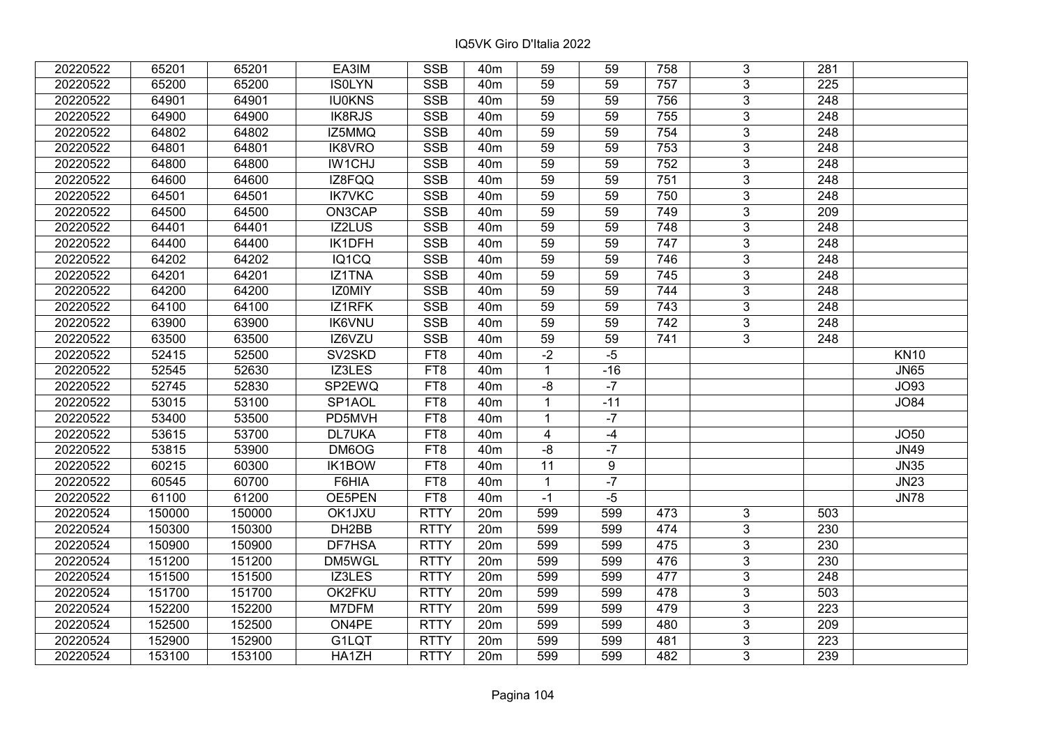| 20220522 | 65201  | 65201  | EA3IM               | <b>SSB</b>  | 40 <sub>m</sub> | 59                      | 59    | 758 | 3              | 281              |             |
|----------|--------|--------|---------------------|-------------|-----------------|-------------------------|-------|-----|----------------|------------------|-------------|
| 20220522 | 65200  | 65200  | <b>ISOLYN</b>       | <b>SSB</b>  | 40 <sub>m</sub> | 59                      | 59    | 757 | 3              | 225              |             |
| 20220522 | 64901  | 64901  | <b>IU0KNS</b>       | <b>SSB</b>  | 40 <sub>m</sub> | 59                      | 59    | 756 | $\overline{3}$ | $\overline{248}$ |             |
| 20220522 | 64900  | 64900  | <b>IK8RJS</b>       | <b>SSB</b>  | 40 <sub>m</sub> | 59                      | 59    | 755 | $\overline{3}$ | $\overline{248}$ |             |
| 20220522 | 64802  | 64802  | IZ5MMQ              | <b>SSB</b>  | 40 <sub>m</sub> | 59                      | 59    | 754 | 3              | 248              |             |
| 20220522 | 64801  | 64801  | IK8VRO              | <b>SSB</b>  | 40 <sub>m</sub> | 59                      | 59    | 753 | $\overline{3}$ | 248              |             |
| 20220522 | 64800  | 64800  | IW1CHJ              | <b>SSB</b>  | 40m             | 59                      | 59    | 752 | $\overline{3}$ | 248              |             |
| 20220522 | 64600  | 64600  | IZ8FQQ              | <b>SSB</b>  | 40 <sub>m</sub> | 59                      | 59    | 751 | $\overline{3}$ | 248              |             |
| 20220522 | 64501  | 64501  | <b>IK7VKC</b>       | <b>SSB</b>  | 40 <sub>m</sub> | 59                      | 59    | 750 | $\overline{3}$ | 248              |             |
| 20220522 | 64500  | 64500  | ON3CAP              | <b>SSB</b>  | 40 <sub>m</sub> | 59                      | 59    | 749 | $\overline{3}$ | 209              |             |
| 20220522 | 64401  | 64401  | IZ2LUS              | <b>SSB</b>  | 40 <sub>m</sub> | 59                      | 59    | 748 | $\overline{3}$ | 248              |             |
| 20220522 | 64400  | 64400  | IK1DFH              | <b>SSB</b>  | 40 <sub>m</sub> | 59                      | 59    | 747 | $\overline{3}$ | 248              |             |
| 20220522 | 64202  | 64202  | IQ1CQ               | <b>SSB</b>  | 40 <sub>m</sub> | 59                      | 59    | 746 | 3              | 248              |             |
| 20220522 | 64201  | 64201  | IZ1TNA              | <b>SSB</b>  | 40 <sub>m</sub> | 59                      | 59    | 745 | 3              | 248              |             |
| 20220522 | 64200  | 64200  | <b>IZOMIY</b>       | <b>SSB</b>  | 40 <sub>m</sub> | 59                      | 59    | 744 | 3              | 248              |             |
| 20220522 | 64100  | 64100  | IZ1RFK              | <b>SSB</b>  | 40 <sub>m</sub> | 59                      | 59    | 743 | 3              | 248              |             |
| 20220522 | 63900  | 63900  | <b>IK6VNU</b>       | <b>SSB</b>  | 40 <sub>m</sub> | 59                      | 59    | 742 | 3              | 248              |             |
| 20220522 | 63500  | 63500  | IZ6VZU              | <b>SSB</b>  | 40 <sub>m</sub> | 59                      | 59    | 741 | 3              | 248              |             |
| 20220522 | 52415  | 52500  | SV2SKD              | FT8         | 40 <sub>m</sub> | $-2$                    | $-5$  |     |                |                  | <b>KN10</b> |
| 20220522 | 52545  | 52630  | IZ3LES              | FT8         | 40 <sub>m</sub> | $\mathbf{1}$            | $-16$ |     |                |                  | <b>JN65</b> |
| 20220522 | 52745  | 52830  | SP2EWQ              | FT8         | 40 <sub>m</sub> | $-8$                    | $-7$  |     |                |                  | <b>JO93</b> |
| 20220522 | 53015  | 53100  | SP <sub>1</sub> AOL | FT8         | 40 <sub>m</sub> | $\mathbf{1}$            | $-11$ |     |                |                  | <b>JO84</b> |
| 20220522 | 53400  | 53500  | PD5MVH              | FT8         | 40 <sub>m</sub> | $\mathbf{1}$            | $-7$  |     |                |                  |             |
| 20220522 | 53615  | 53700  | <b>DL7UKA</b>       | FT8         | 40 <sub>m</sub> | $\overline{\mathbf{4}}$ | $-4$  |     |                |                  | JO50        |
| 20220522 | 53815  | 53900  | DM6OG               | FT8         | 40 <sub>m</sub> | $-8$                    | $-7$  |     |                |                  | <b>JN49</b> |
| 20220522 | 60215  | 60300  | IK1BOW              | FT8         | 40 <sub>m</sub> | $\overline{11}$         | 9     |     |                |                  | <b>JN35</b> |
| 20220522 | 60545  | 60700  | F6HIA               | FT8         | 40 <sub>m</sub> | $\mathbf{1}$            | $-7$  |     |                |                  | <b>JN23</b> |
| 20220522 | 61100  | 61200  | OE5PEN              | FT8         | 40 <sub>m</sub> | $-1$                    | $-5$  |     |                |                  | <b>JN78</b> |
| 20220524 | 150000 | 150000 | OK1JXU              | <b>RTTY</b> | 20m             | 599                     | 599   | 473 | 3              | 503              |             |
| 20220524 | 150300 | 150300 | DH2BB               | <b>RTTY</b> | 20m             | 599                     | 599   | 474 | $\overline{3}$ | 230              |             |
| 20220524 | 150900 | 150900 | DF7HSA              | <b>RTTY</b> | 20m             | 599                     | 599   | 475 | $\overline{3}$ | 230              |             |
| 20220524 | 151200 | 151200 | DM5WGL              | <b>RTTY</b> | 20m             | 599                     | 599   | 476 | $\overline{3}$ | 230              |             |
| 20220524 | 151500 | 151500 | IZ3LES              | <b>RTTY</b> | 20m             | 599                     | 599   | 477 | 3              | 248              |             |
| 20220524 | 151700 | 151700 | OK2FKU              | <b>RTTY</b> | 20m             | 599                     | 599   | 478 | $\overline{3}$ | 503              |             |
| 20220524 | 152200 | 152200 | M7DFM               | <b>RTTY</b> | 20m             | 599                     | 599   | 479 | $\overline{3}$ | 223              |             |
| 20220524 | 152500 | 152500 | ON4PE               | <b>RTTY</b> | 20m             | 599                     | 599   | 480 | 3              | 209              |             |
| 20220524 | 152900 | 152900 | G1LQT               | <b>RTTY</b> | 20m             | 599                     | 599   | 481 | 3              | 223              |             |
| 20220524 | 153100 | 153100 | HA1ZH               | <b>RTTY</b> | 20 <sub>m</sub> | 599                     | 599   | 482 | 3              | 239              |             |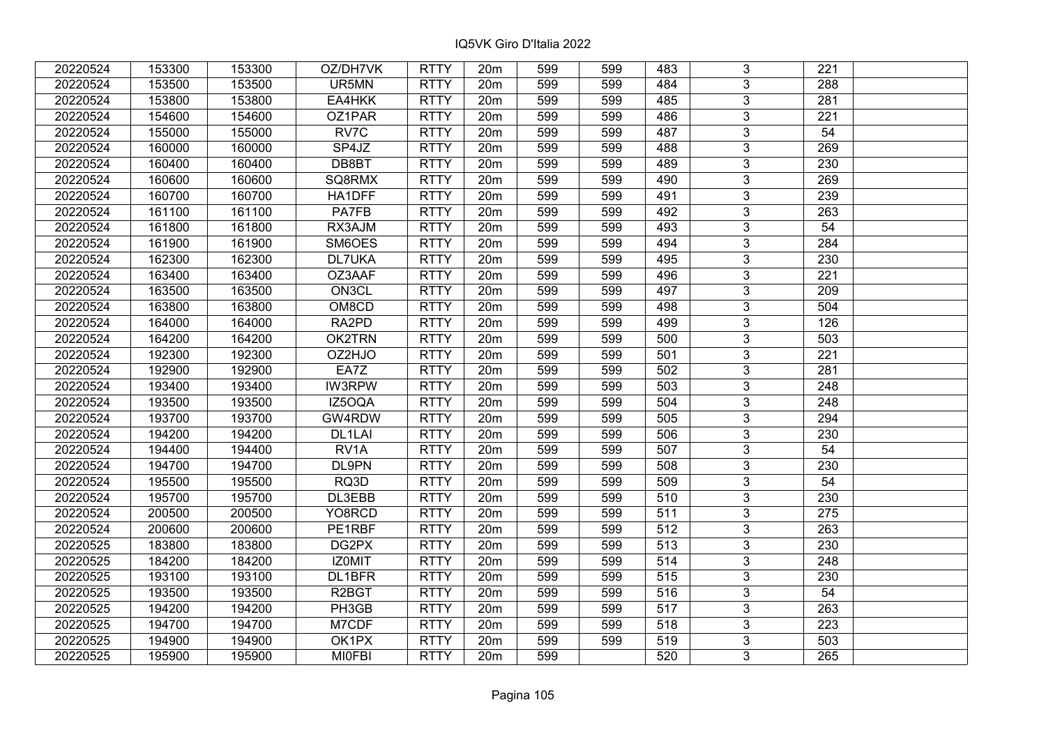| 20220524 | 153300 | 153300 | OZ/DH7VK           | <b>RTTY</b> | 20m             | 599 | 599 | 483              | 3              | 221              |  |
|----------|--------|--------|--------------------|-------------|-----------------|-----|-----|------------------|----------------|------------------|--|
| 20220524 | 153500 | 153500 | UR5MN              | <b>RTTY</b> | 20m             | 599 | 599 | 484              | 3              | 288              |  |
| 20220524 | 153800 | 153800 | EA4HKK             | <b>RTTY</b> | 20m             | 599 | 599 | 485              | 3              | 281              |  |
| 20220524 | 154600 | 154600 | OZ1PAR             | <b>RTTY</b> | 20m             | 599 | 599 | 486              | $\overline{3}$ | 221              |  |
| 20220524 | 155000 | 155000 | RV7C               | <b>RTTY</b> | 20m             | 599 | 599 | 487              | 3              | 54               |  |
| 20220524 | 160000 | 160000 | SP4JZ              | <b>RTTY</b> | 20m             | 599 | 599 | 488              | 3              | 269              |  |
| 20220524 | 160400 | 160400 | DB8BT              | <b>RTTY</b> | 20m             | 599 | 599 | 489              | $\overline{3}$ | 230              |  |
| 20220524 | 160600 | 160600 | SQ8RMX             | <b>RTTY</b> | 20m             | 599 | 599 | 490              | $\overline{3}$ | 269              |  |
| 20220524 | 160700 | 160700 | HA1DFF             | <b>RTTY</b> | 20m             | 599 | 599 | 491              | $\overline{3}$ | 239              |  |
| 20220524 | 161100 | 161100 | <b>PA7FB</b>       | <b>RTTY</b> | 20m             | 599 | 599 | 492              | $\overline{3}$ | 263              |  |
| 20220524 | 161800 | 161800 | RX3AJM             | <b>RTTY</b> | 20m             | 599 | 599 | 493              | 3              | 54               |  |
| 20220524 | 161900 | 161900 | SM6OES             | <b>RTTY</b> | 20 <sub>m</sub> | 599 | 599 | 494              | $\overline{3}$ | 284              |  |
| 20220524 | 162300 | 162300 | <b>DL7UKA</b>      | <b>RTTY</b> | 20m             | 599 | 599 | 495              | $\overline{3}$ | 230              |  |
| 20220524 | 163400 | 163400 | OZ3AAF             | <b>RTTY</b> | 20m             | 599 | 599 | 496              | 3              | 221              |  |
| 20220524 | 163500 | 163500 | ON3CL              | <b>RTTY</b> | 20 <sub>m</sub> | 599 | 599 | 497              | 3              | 209              |  |
| 20220524 | 163800 | 163800 | OM8CD              | <b>RTTY</b> | 20m             | 599 | 599 | 498              | 3              | 504              |  |
| 20220524 | 164000 | 164000 | RA2PD              | <b>RTTY</b> | 20m             | 599 | 599 | 499              | 3              | 126              |  |
| 20220524 | 164200 | 164200 | OK2TRN             | <b>RTTY</b> | 20m             | 599 | 599 | 500              | 3              | 503              |  |
| 20220524 | 192300 | 192300 | OZ2HJO             | <b>RTTY</b> | 20m             | 599 | 599 | 501              | 3              | 221              |  |
| 20220524 | 192900 | 192900 | EA7Z               | <b>RTTY</b> | 20m             | 599 | 599 | 502              | $\overline{3}$ | 281              |  |
| 20220524 | 193400 | 193400 | <b>IW3RPW</b>      | <b>RTTY</b> | 20m             | 599 | 599 | 503              | $\overline{3}$ | 248              |  |
| 20220524 | 193500 | 193500 | IZ5OQA             | <b>RTTY</b> | 20m             | 599 | 599 | 504              | 3              | 248              |  |
| 20220524 | 193700 | 193700 | GW4RDW             | <b>RTTY</b> | 20 <sub>m</sub> | 599 | 599 | 505              | $\overline{3}$ | 294              |  |
| 20220524 | 194200 | 194200 | DL1LAI             | <b>RTTY</b> | 20 <sub>m</sub> | 599 | 599 | 506              | $\overline{3}$ | 230              |  |
| 20220524 | 194400 | 194400 | RV <sub>1</sub> A  | <b>RTTY</b> | 20m             | 599 | 599 | 507              | 3              | 54               |  |
| 20220524 | 194700 | 194700 | DL9PN              | <b>RTTY</b> | 20m             | 599 | 599 | 508              | $\overline{3}$ | 230              |  |
| 20220524 | 195500 | 195500 | RQ3D               | <b>RTTY</b> | 20m             | 599 | 599 | 509              | $\overline{3}$ | $\overline{54}$  |  |
| 20220524 | 195700 | 195700 | DL3EBB             | <b>RTTY</b> | 20m             | 599 | 599 | 510              | 3              | 230              |  |
| 20220524 | 200500 | 200500 | YO8RCD             | <b>RTTY</b> | 20m             | 599 | 599 | 511              | $\overline{3}$ | 275              |  |
| 20220524 | 200600 | 200600 | PE1RBF             | <b>RTTY</b> | 20m             | 599 | 599 | $\overline{512}$ | $\overline{3}$ | $\overline{263}$ |  |
| 20220525 | 183800 | 183800 | DG2PX              | <b>RTTY</b> | 20m             | 599 | 599 | 513              | $\overline{3}$ | 230              |  |
| 20220525 | 184200 | 184200 | IZ0MIT             | <b>RTTY</b> | 20m             | 599 | 599 | 514              | $\overline{3}$ | 248              |  |
| 20220525 | 193100 | 193100 | DL1BFR             | <b>RTTY</b> | 20m             | 599 | 599 | 515              | $\overline{3}$ | 230              |  |
| 20220525 | 193500 | 193500 | R <sub>2</sub> BGT | <b>RTTY</b> | 20m             | 599 | 599 | 516              | 3              | 54               |  |
| 20220525 | 194200 | 194200 | PH3GB              | <b>RTTY</b> | 20 <sub>m</sub> | 599 | 599 | 517              | $\overline{3}$ | 263              |  |
| 20220525 | 194700 | 194700 | M7CDF              | <b>RTTY</b> | 20m             | 599 | 599 | 518              | $\overline{3}$ | $\overline{223}$ |  |
| 20220525 | 194900 | 194900 | OK1PX              | <b>RTTY</b> | 20 <sub>m</sub> | 599 | 599 | 519              | 3              | 503              |  |
| 20220525 | 195900 | 195900 | <b>MIOFBI</b>      | <b>RTTY</b> | 20m             | 599 |     | 520              | 3              | 265              |  |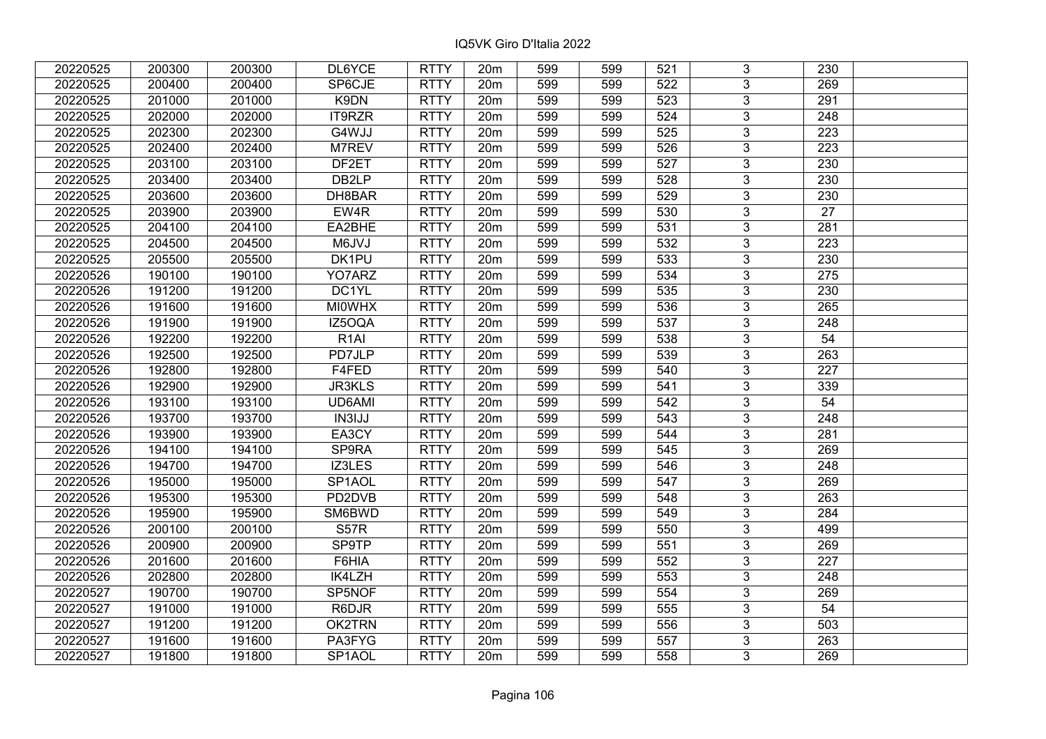| 20220525 | 200300 | 200300 | DL6YCE              | <b>RTTY</b> | 20m             | 599 | 599 | 521 | 3              | 230              |  |
|----------|--------|--------|---------------------|-------------|-----------------|-----|-----|-----|----------------|------------------|--|
| 20220525 | 200400 | 200400 | SP6CJE              | <b>RTTY</b> | 20m             | 599 | 599 | 522 | 3              | 269              |  |
| 20220525 | 201000 | 201000 | K9DN                | <b>RTTY</b> | 20 <sub>m</sub> | 599 | 599 | 523 | $\overline{3}$ | 291              |  |
| 20220525 | 202000 | 202000 | IT9RZR              | <b>RTTY</b> | 20m             | 599 | 599 | 524 | $\overline{3}$ | 248              |  |
| 20220525 | 202300 | 202300 | G4WJJ               | <b>RTTY</b> | 20m             | 599 | 599 | 525 | $\overline{3}$ | 223              |  |
| 20220525 | 202400 | 202400 | M7REV               | <b>RTTY</b> | 20m             | 599 | 599 | 526 | $\overline{3}$ | 223              |  |
| 20220525 | 203100 | 203100 | DF2ET               | <b>RTTY</b> | 20m             | 599 | 599 | 527 | $\overline{3}$ | 230              |  |
| 20220525 | 203400 | 203400 | DB <sub>2LP</sub>   | <b>RTTY</b> | 20m             | 599 | 599 | 528 | $\overline{3}$ | 230              |  |
| 20220525 | 203600 | 203600 | DH8BAR              | <b>RTTY</b> | 20m             | 599 | 599 | 529 | $\overline{3}$ | 230              |  |
| 20220525 | 203900 | 203900 | EW4R                | <b>RTTY</b> | 20m             | 599 | 599 | 530 | $\overline{3}$ | 27               |  |
| 20220525 | 204100 | 204100 | EA2BHE              | <b>RTTY</b> | 20m             | 599 | 599 | 531 | $\overline{3}$ | 281              |  |
| 20220525 | 204500 | 204500 | M6JVJ               | <b>RTTY</b> | 20m             | 599 | 599 | 532 | $\overline{3}$ | 223              |  |
| 20220525 | 205500 | 205500 | DK1PU               | <b>RTTY</b> | 20m             | 599 | 599 | 533 | 3              | 230              |  |
| 20220526 | 190100 | 190100 | YO7ARZ              | <b>RTTY</b> | 20m             | 599 | 599 | 534 | $\overline{3}$ | 275              |  |
| 20220526 | 191200 | 191200 | DC1YL               | <b>RTTY</b> | 20m             | 599 | 599 | 535 | 3              | 230              |  |
| 20220526 | 191600 | 191600 | <b>MI0WHX</b>       | <b>RTTY</b> | 20m             | 599 | 599 | 536 | $\overline{3}$ | 265              |  |
| 20220526 | 191900 | 191900 | IZ5OQA              | <b>RTTY</b> | 20m             | 599 | 599 | 537 | $\overline{3}$ | 248              |  |
| 20220526 | 192200 | 192200 | R <sub>1</sub> AI   | <b>RTTY</b> | 20m             | 599 | 599 | 538 | $\mathfrak{S}$ | 54               |  |
| 20220526 | 192500 | 192500 | PD7JLP              | <b>RTTY</b> | 20m             | 599 | 599 | 539 | 3              | 263              |  |
| 20220526 | 192800 | 192800 | F4FED               | <b>RTTY</b> | 20m             | 599 | 599 | 540 | $\overline{3}$ | 227              |  |
| 20220526 | 192900 | 192900 | <b>JR3KLS</b>       | <b>RTTY</b> | 20m             | 599 | 599 | 541 | $\overline{3}$ | 339              |  |
| 20220526 | 193100 | 193100 | UD6AMI              | <b>RTTY</b> | 20 <sub>m</sub> | 599 | 599 | 542 | 3              | 54               |  |
| 20220526 | 193700 | 193700 | IN3IJJ              | <b>RTTY</b> | 20m             | 599 | 599 | 543 | $\overline{3}$ | 248              |  |
| 20220526 | 193900 | 193900 | EA3CY               | <b>RTTY</b> | 20m             | 599 | 599 | 544 | 3              | 281              |  |
| 20220526 | 194100 | 194100 | SP9RA               | <b>RTTY</b> | 20m             | 599 | 599 | 545 | $\overline{3}$ | 269              |  |
| 20220526 | 194700 | 194700 | IZ3LES              | <b>RTTY</b> | 20m             | 599 | 599 | 546 | $\overline{3}$ | 248              |  |
| 20220526 | 195000 | 195000 | SP1AOL              | <b>RTTY</b> | 20m             | 599 | 599 | 547 | 3              | 269              |  |
| 20220526 | 195300 | 195300 | PD2DVB              | <b>RTTY</b> | 20m             | 599 | 599 | 548 | $\overline{3}$ | 263              |  |
| 20220526 | 195900 | 195900 | SM6BWD              | <b>RTTY</b> | 20m             | 599 | 599 | 549 | $\overline{3}$ | $\overline{284}$ |  |
| 20220526 | 200100 | 200100 | <b>S57R</b>         | <b>RTTY</b> | 20m             | 599 | 599 | 550 | $\overline{3}$ | 499              |  |
| 20220526 | 200900 | 200900 | <b>SP9TP</b>        | <b>RTTY</b> | 20m             | 599 | 599 | 551 | $\overline{3}$ | 269              |  |
| 20220526 | 201600 | 201600 | F6HIA               | <b>RTTY</b> | 20m             | 599 | 599 | 552 | $\overline{3}$ | 227              |  |
| 20220526 | 202800 | 202800 | IK4LZH              | <b>RTTY</b> | 20m             | 599 | 599 | 553 | 3              | 248              |  |
| 20220527 | 190700 | 190700 | SP5NOF              | <b>RTTY</b> | 20m             | 599 | 599 | 554 | $\overline{3}$ | 269              |  |
| 20220527 | 191000 | 191000 | R6DJR               | <b>RTTY</b> | 20m             | 599 | 599 | 555 | $\overline{3}$ | 54               |  |
| 20220527 | 191200 | 191200 | OK2TRN              | <b>RTTY</b> | 20m             | 599 | 599 | 556 | 3              | 503              |  |
| 20220527 | 191600 | 191600 | PA3FYG              | <b>RTTY</b> | 20m             | 599 | 599 | 557 | 3              | 263              |  |
| 20220527 | 191800 | 191800 | SP <sub>1</sub> AOL | <b>RTTY</b> | 20m             | 599 | 599 | 558 | 3              | 269              |  |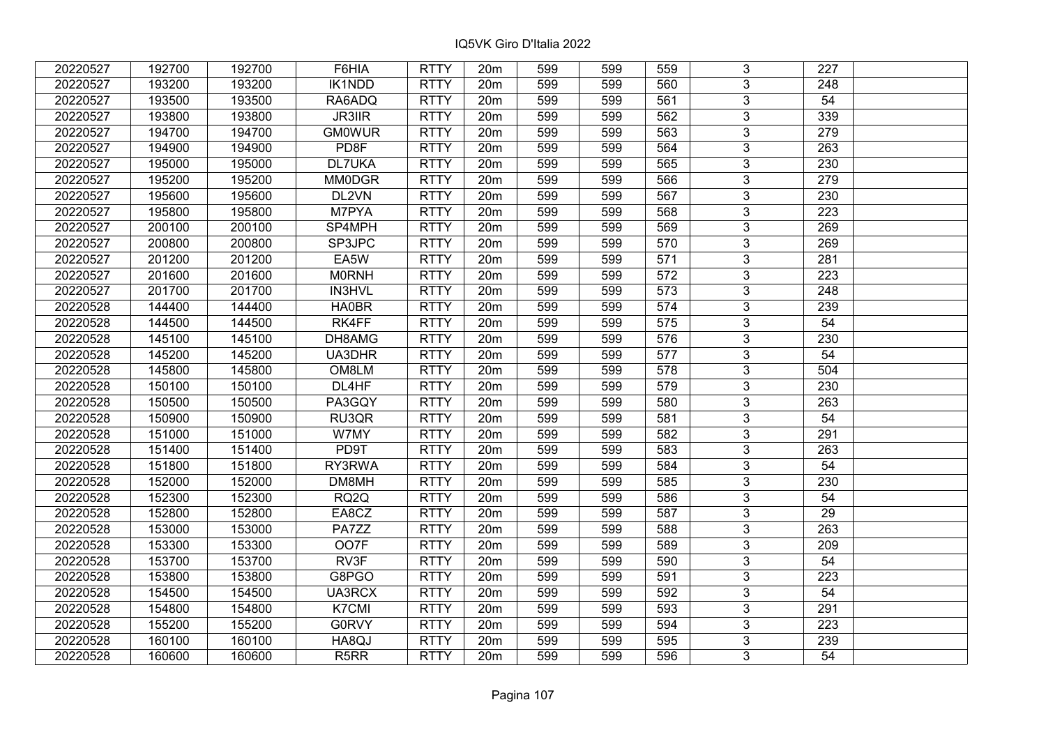| 20220527 | 192700 | 192700 | F6HIA             | <b>RTTY</b> | 20m             | 599 | 599 | 559 | 3              | 227             |  |
|----------|--------|--------|-------------------|-------------|-----------------|-----|-----|-----|----------------|-----------------|--|
| 20220527 | 193200 | 193200 | <b>IK1NDD</b>     | <b>RTTY</b> | 20m             | 599 | 599 | 560 | 3              | 248             |  |
| 20220527 | 193500 | 193500 | RA6ADQ            | <b>RTTY</b> | 20m             | 599 | 599 | 561 | $\overline{3}$ | 54              |  |
| 20220527 | 193800 | 193800 | <b>JR3IIR</b>     | <b>RTTY</b> | 20m             | 599 | 599 | 562 | $\overline{3}$ | 339             |  |
| 20220527 | 194700 | 194700 | <b>GM0WUR</b>     | <b>RTTY</b> | 20m             | 599 | 599 | 563 | $\overline{3}$ | 279             |  |
| 20220527 | 194900 | 194900 | PD <sub>8F</sub>  | <b>RTTY</b> | 20m             | 599 | 599 | 564 | $\overline{3}$ | 263             |  |
| 20220527 | 195000 | 195000 | DL7UKA            | <b>RTTY</b> | 20m             | 599 | 599 | 565 | $\overline{3}$ | 230             |  |
| 20220527 | 195200 | 195200 | <b>MM0DGR</b>     | <b>RTTY</b> | 20m             | 599 | 599 | 566 | $\overline{3}$ | 279             |  |
| 20220527 | 195600 | 195600 | DL2VN             | <b>RTTY</b> | 20m             | 599 | 599 | 567 | $\overline{3}$ | 230             |  |
| 20220527 | 195800 | 195800 | M7PYA             | <b>RTTY</b> | 20m             | 599 | 599 | 568 | $\overline{3}$ | 223             |  |
| 20220527 | 200100 | 200100 | SP4MPH            | <b>RTTY</b> | 20m             | 599 | 599 | 569 | $\overline{3}$ | 269             |  |
| 20220527 | 200800 | 200800 | SP3JPC            | <b>RTTY</b> | 20m             | 599 | 599 | 570 | $\overline{3}$ | 269             |  |
| 20220527 | 201200 | 201200 | EA5W              | <b>RTTY</b> | 20m             | 599 | 599 | 571 | 3              | 281             |  |
| 20220527 | 201600 | 201600 | <b>MORNH</b>      | <b>RTTY</b> | 20m             | 599 | 599 | 572 | $\overline{3}$ | 223             |  |
| 20220527 | 201700 | 201700 | <b>IN3HVL</b>     | <b>RTTY</b> | 20m             | 599 | 599 | 573 | 3              | 248             |  |
| 20220528 | 144400 | 144400 | HA0BR             | <b>RTTY</b> | 20m             | 599 | 599 | 574 | $\overline{3}$ | 239             |  |
| 20220528 | 144500 | 144500 | RK4FF             | <b>RTTY</b> | 20m             | 599 | 599 | 575 | $\overline{3}$ | 54              |  |
| 20220528 | 145100 | 145100 | DH8AMG            | <b>RTTY</b> | 20m             | 599 | 599 | 576 | 3              | 230             |  |
| 20220528 | 145200 | 145200 | UA3DHR            | <b>RTTY</b> | 20m             | 599 | 599 | 577 | 3              | 54              |  |
| 20220528 | 145800 | 145800 | OM8LM             | <b>RTTY</b> | 20m             | 599 | 599 | 578 | $\overline{3}$ | 504             |  |
| 20220528 | 150100 | 150100 | DL4HF             | <b>RTTY</b> | 20m             | 599 | 599 | 579 | $\overline{3}$ | 230             |  |
| 20220528 | 150500 | 150500 | PA3GQY            | <b>RTTY</b> | 20 <sub>m</sub> | 599 | 599 | 580 | 3              | 263             |  |
| 20220528 | 150900 | 150900 | RU3QR             | <b>RTTY</b> | 20m             | 599 | 599 | 581 | $\overline{3}$ | 54              |  |
| 20220528 | 151000 | 151000 | W7MY              | <b>RTTY</b> | 20m             | 599 | 599 | 582 | 3              | 291             |  |
| 20220528 | 151400 | 151400 | PD9T              | <b>RTTY</b> | 20m             | 599 | 599 | 583 | $\overline{3}$ | 263             |  |
| 20220528 | 151800 | 151800 | RY3RWA            | <b>RTTY</b> | 20m             | 599 | 599 | 584 | $\overline{3}$ | $\overline{54}$ |  |
| 20220528 | 152000 | 152000 | DM8MH             | <b>RTTY</b> | 20m             | 599 | 599 | 585 | $\overline{3}$ | 230             |  |
| 20220528 | 152300 | 152300 | RQ <sub>2</sub> Q | <b>RTTY</b> | 20m             | 599 | 599 | 586 | $\overline{3}$ | 54              |  |
| 20220528 | 152800 | 152800 | EA8CZ             | <b>RTTY</b> | 20m             | 599 | 599 | 587 | $\overline{3}$ | $\overline{29}$ |  |
| 20220528 | 153000 | 153000 | PA7ZZ             | <b>RTTY</b> | 20m             | 599 | 599 | 588 | $\overline{3}$ | 263             |  |
| 20220528 | 153300 | 153300 | OO7F              | <b>RTTY</b> | 20m             | 599 | 599 | 589 | $\overline{3}$ | 209             |  |
| 20220528 | 153700 | 153700 | RV3F              | <b>RTTY</b> | 20m             | 599 | 599 | 590 | $\overline{3}$ | 54              |  |
| 20220528 | 153800 | 153800 | G8PGO             | <b>RTTY</b> | 20m             | 599 | 599 | 591 | 3              | 223             |  |
| 20220528 | 154500 | 154500 | UA3RCX            | <b>RTTY</b> | 20m             | 599 | 599 | 592 | $\overline{3}$ | 54              |  |
| 20220528 | 154800 | 154800 | K7CMI             | <b>RTTY</b> | 20m             | 599 | 599 | 593 | $\overline{3}$ | 291             |  |
| 20220528 | 155200 | 155200 | <b>G0RVY</b>      | <b>RTTY</b> | 20m             | 599 | 599 | 594 | 3              | 223             |  |
| 20220528 | 160100 | 160100 | HA8QJ             | <b>RTTY</b> | 20m             | 599 | 599 | 595 | 3              | 239             |  |
| 20220528 | 160600 | 160600 | R <sub>5</sub> RR | <b>RTTY</b> | 20m             | 599 | 599 | 596 | 3              | 54              |  |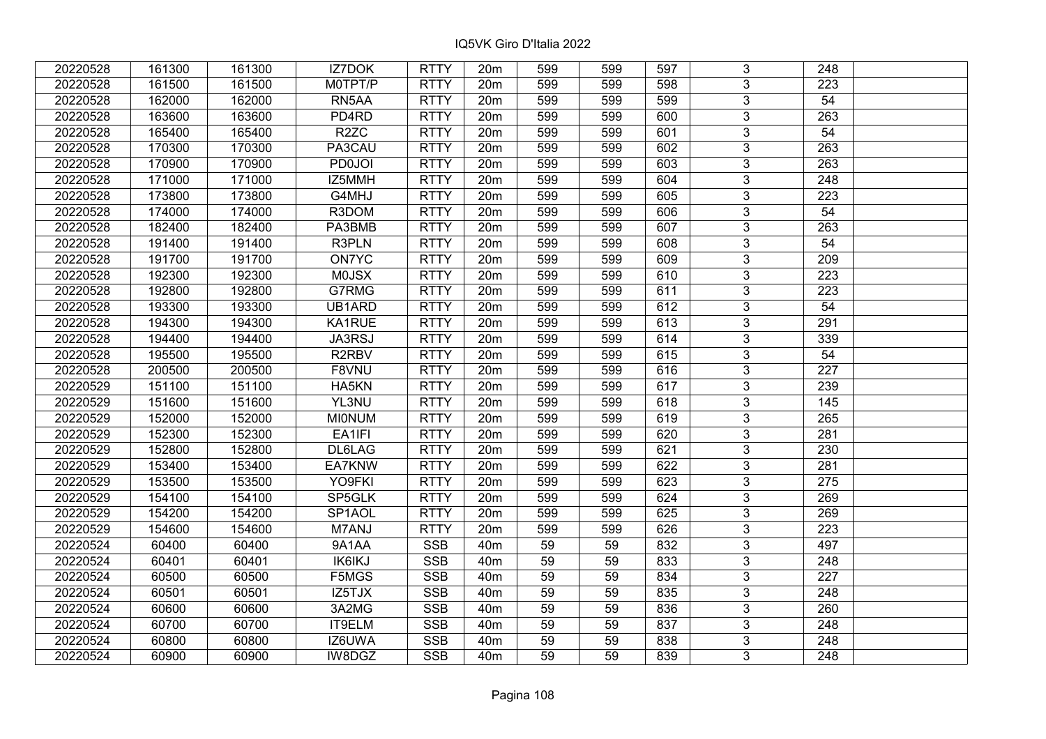| 20220528 | 161300 | 161300 | IZ7DOK             | <b>RTTY</b> | 20m             | 599 | 599 | 597 | 3              | 248              |  |
|----------|--------|--------|--------------------|-------------|-----------------|-----|-----|-----|----------------|------------------|--|
| 20220528 | 161500 | 161500 | M0TPT/P            | <b>RTTY</b> | 20m             | 599 | 599 | 598 | 3              | 223              |  |
| 20220528 | 162000 | 162000 | RN5AA              | <b>RTTY</b> | 20m             | 599 | 599 | 599 | $\overline{3}$ | 54               |  |
| 20220528 | 163600 | 163600 | PD4RD              | <b>RTTY</b> | 20m             | 599 | 599 | 600 | $\overline{3}$ | 263              |  |
| 20220528 | 165400 | 165400 | R <sub>2</sub> ZC  | <b>RTTY</b> | 20m             | 599 | 599 | 601 | $\overline{3}$ | 54               |  |
| 20220528 | 170300 | 170300 | PA3CAU             | <b>RTTY</b> | 20m             | 599 | 599 | 602 | 3              | 263              |  |
| 20220528 | 170900 | 170900 | <b>PD0JOI</b>      | <b>RTTY</b> | 20m             | 599 | 599 | 603 | $\overline{3}$ | 263              |  |
| 20220528 | 171000 | 171000 | IZ5MMH             | <b>RTTY</b> | 20m             | 599 | 599 | 604 | $\overline{3}$ | 248              |  |
| 20220528 | 173800 | 173800 | G4MHJ              | <b>RTTY</b> | 20m             | 599 | 599 | 605 | $\overline{3}$ | 223              |  |
| 20220528 | 174000 | 174000 | R3DOM              | <b>RTTY</b> | 20m             | 599 | 599 | 606 | $\overline{3}$ | $\overline{54}$  |  |
| 20220528 | 182400 | 182400 | PA3BMB             | <b>RTTY</b> | 20m             | 599 | 599 | 607 | 3              | 263              |  |
| 20220528 | 191400 | 191400 | R3PLN              | <b>RTTY</b> | 20m             | 599 | 599 | 608 | $\overline{3}$ | 54               |  |
| 20220528 | 191700 | 191700 | <b>ON7YC</b>       | <b>RTTY</b> | 20m             | 599 | 599 | 609 | $\overline{3}$ | 209              |  |
| 20220528 | 192300 | 192300 | <b>MOJSX</b>       | <b>RTTY</b> | 20m             | 599 | 599 | 610 | 3              | 223              |  |
| 20220528 | 192800 | 192800 | G7RMG              | <b>RTTY</b> | 20m             | 599 | 599 | 611 | 3              | 223              |  |
| 20220528 | 193300 | 193300 | UB1ARD             | <b>RTTY</b> | 20m             | 599 | 599 | 612 | 3              | 54               |  |
| 20220528 | 194300 | 194300 | KA1RUE             | <b>RTTY</b> | 20m             | 599 | 599 | 613 | 3              | 291              |  |
| 20220528 | 194400 | 194400 | JA3RSJ             | <b>RTTY</b> | 20m             | 599 | 599 | 614 | 3              | 339              |  |
| 20220528 | 195500 | 195500 | R <sub>2</sub> RBV | <b>RTTY</b> | 20m             | 599 | 599 | 615 | 3              | 54               |  |
| 20220528 | 200500 | 200500 | F8VNU              | <b>RTTY</b> | 20m             | 599 | 599 | 616 | $\overline{3}$ | 227              |  |
| 20220529 | 151100 | 151100 | HA5KN              | <b>RTTY</b> | 20m             | 599 | 599 | 617 | $\overline{3}$ | 239              |  |
| 20220529 | 151600 | 151600 | YL3NU              | <b>RTTY</b> | 20m             | 599 | 599 | 618 | 3              | 145              |  |
| 20220529 | 152000 | 152000 | <b>MIONUM</b>      | <b>RTTY</b> | 20m             | 599 | 599 | 619 | $\overline{3}$ | 265              |  |
| 20220529 | 152300 | 152300 | EA1IFI             | <b>RTTY</b> | 20m             | 599 | 599 | 620 | $\overline{3}$ | 281              |  |
| 20220529 | 152800 | 152800 | DL6LAG             | <b>RTTY</b> | 20m             | 599 | 599 | 621 | $\overline{3}$ | 230              |  |
| 20220529 | 153400 | 153400 | EA7KNW             | <b>RTTY</b> | 20m             | 599 | 599 | 622 | $\overline{3}$ | 281              |  |
| 20220529 | 153500 | 153500 | YO9FKI             | <b>RTTY</b> | 20m             | 599 | 599 | 623 | $\overline{3}$ | $\overline{275}$ |  |
| 20220529 | 154100 | 154100 | SP5GLK             | <b>RTTY</b> | 20m             | 599 | 599 | 624 | $\overline{3}$ | 269              |  |
| 20220529 | 154200 | 154200 | SP1AOL             | <b>RTTY</b> | 20m             | 599 | 599 | 625 | $\overline{3}$ | 269              |  |
| 20220529 | 154600 | 154600 | M7ANJ              | <b>RTTY</b> | 20m             | 599 | 599 | 626 | $\overline{3}$ | 223              |  |
| 20220524 | 60400  | 60400  | 9A1AA              | <b>SSB</b>  | 40 <sub>m</sub> | 59  | 59  | 832 | $\overline{3}$ | 497              |  |
| 20220524 | 60401  | 60401  | IK6IKJ             | <b>SSB</b>  | 40 <sub>m</sub> | 59  | 59  | 833 | $\overline{3}$ | 248              |  |
| 20220524 | 60500  | 60500  | F5MGS              | <b>SSB</b>  | 40 <sub>m</sub> | 59  | 59  | 834 | $\overline{3}$ | 227              |  |
| 20220524 | 60501  | 60501  | IZ5TJX             | <b>SSB</b>  | 40 <sub>m</sub> | 59  | 59  | 835 | $\overline{3}$ | 248              |  |
| 20220524 | 60600  | 60600  | 3A2MG              | <b>SSB</b>  | 40 <sub>m</sub> | 59  | 59  | 836 | 3              | 260              |  |
| 20220524 | 60700  | 60700  | <b>IT9ELM</b>      | <b>SSB</b>  | 40 <sub>m</sub> | 59  | 59  | 837 | $\overline{3}$ | $\overline{248}$ |  |
| 20220524 | 60800  | 60800  | IZ6UWA             | <b>SSB</b>  | 40 <sub>m</sub> | 59  | 59  | 838 | 3              | 248              |  |
| 20220524 | 60900  | 60900  | IW8DGZ             | <b>SSB</b>  | 40 <sub>m</sub> | 59  | 59  | 839 | 3              | 248              |  |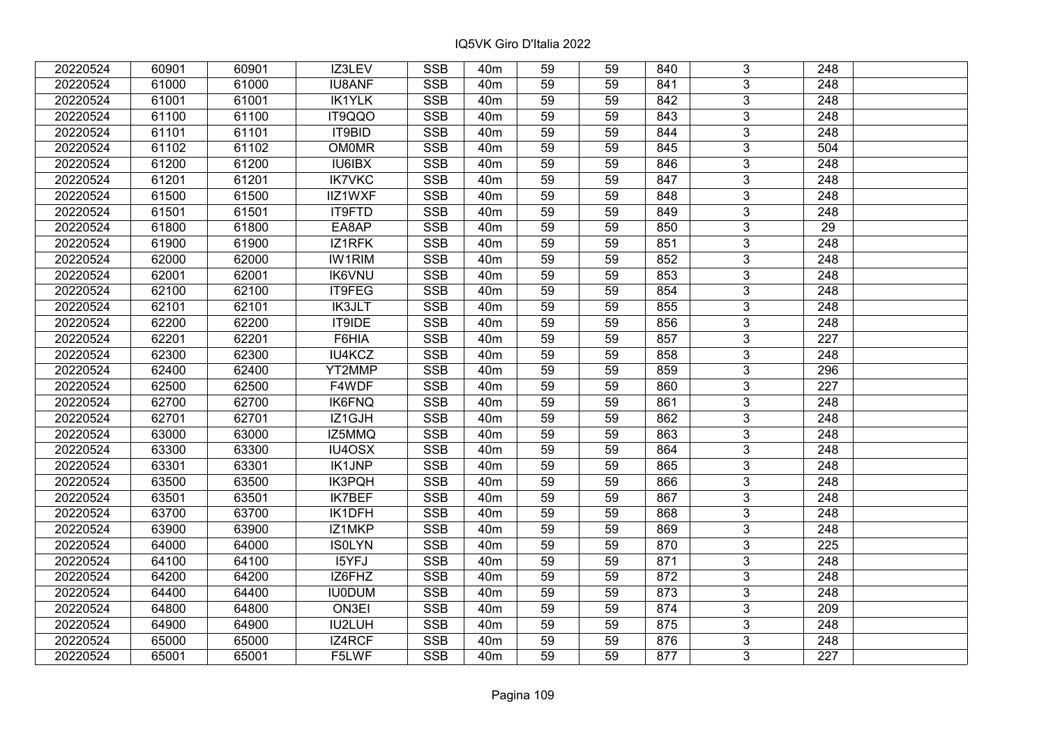| 20220524 | 60901 | 60901 | IZ3LEV        | <b>SSB</b> | 40 <sub>m</sub> | 59              | 59 | 840 | 3              | 248              |  |
|----------|-------|-------|---------------|------------|-----------------|-----------------|----|-----|----------------|------------------|--|
| 20220524 | 61000 | 61000 | <b>IU8ANF</b> | <b>SSB</b> | 40 <sub>m</sub> | 59              | 59 | 841 | 3              | 248              |  |
| 20220524 | 61001 | 61001 | <b>IK1YLK</b> | <b>SSB</b> | 40 <sub>m</sub> | 59              | 59 | 842 | $\overline{3}$ | $\overline{248}$ |  |
| 20220524 | 61100 | 61100 | IT9QQO        | <b>SSB</b> | 40 <sub>m</sub> | 59              | 59 | 843 | $\overline{3}$ | 248              |  |
| 20220524 | 61101 | 61101 | IT9BID        | <b>SSB</b> | 40 <sub>m</sub> | 59              | 59 | 844 | $\overline{3}$ | 248              |  |
| 20220524 | 61102 | 61102 | <b>OM0MR</b>  | <b>SSB</b> | 40 <sub>m</sub> | 59              | 59 | 845 | $\overline{3}$ | 504              |  |
| 20220524 | 61200 | 61200 | IU6IBX        | <b>SSB</b> | 40 <sub>m</sub> | 59              | 59 | 846 | $\overline{3}$ | 248              |  |
| 20220524 | 61201 | 61201 | <b>IK7VKC</b> | <b>SSB</b> | 40 <sub>m</sub> | 59              | 59 | 847 | $\overline{3}$ | 248              |  |
| 20220524 | 61500 | 61500 | IIZ1WXF       | <b>SSB</b> | 40 <sub>m</sub> | 59              | 59 | 848 | $\overline{3}$ | 248              |  |
| 20220524 | 61501 | 61501 | IT9FTD        | <b>SSB</b> | 40 <sub>m</sub> | 59              | 59 | 849 | $\overline{3}$ | 248              |  |
| 20220524 | 61800 | 61800 | EA8AP         | <b>SSB</b> | 40 <sub>m</sub> | 59              | 59 | 850 | $\overline{3}$ | 29               |  |
| 20220524 | 61900 | 61900 | IZ1RFK        | <b>SSB</b> | 40 <sub>m</sub> | 59              | 59 | 851 | $\overline{3}$ | 248              |  |
| 20220524 | 62000 | 62000 | <b>IW1RIM</b> | <b>SSB</b> | 40 <sub>m</sub> | 59              | 59 | 852 | $\overline{3}$ | 248              |  |
| 20220524 | 62001 | 62001 | <b>IK6VNU</b> | <b>SSB</b> | 40 <sub>m</sub> | 59              | 59 | 853 | $\overline{3}$ | 248              |  |
| 20220524 | 62100 | 62100 | IT9FEG        | <b>SSB</b> | 40 <sub>m</sub> | 59              | 59 | 854 | 3              | 248              |  |
| 20220524 | 62101 | 62101 | <b>IK3JLT</b> | <b>SSB</b> | 40 <sub>m</sub> | 59              | 59 | 855 | 3              | 248              |  |
| 20220524 | 62200 | 62200 | IT9IDE        | <b>SSB</b> | 40 <sub>m</sub> | 59              | 59 | 856 | 3              | 248              |  |
| 20220524 | 62201 | 62201 | F6HIA         | <b>SSB</b> | 40 <sub>m</sub> | 59              | 59 | 857 | 3              | 227              |  |
| 20220524 | 62300 | 62300 | IU4KCZ        | <b>SSB</b> | 40 <sub>m</sub> | 59              | 59 | 858 | $\overline{3}$ | 248              |  |
| 20220524 | 62400 | 62400 | YT2MMP        | <b>SSB</b> | 40 <sub>m</sub> | 59              | 59 | 859 | $\overline{3}$ | 296              |  |
| 20220524 | 62500 | 62500 | F4WDF         | <b>SSB</b> | 40 <sub>m</sub> | 59              | 59 | 860 | $\overline{3}$ | 227              |  |
| 20220524 | 62700 | 62700 | <b>IK6FNQ</b> | <b>SSB</b> | 40 <sub>m</sub> | 59              | 59 | 861 | $\overline{3}$ | 248              |  |
| 20220524 | 62701 | 62701 | IZ1GJH        | <b>SSB</b> | 40 <sub>m</sub> | 59              | 59 | 862 | 3              | 248              |  |
| 20220524 | 63000 | 63000 | IZ5MMQ        | <b>SSB</b> | 40 <sub>m</sub> | 59              | 59 | 863 | $\overline{3}$ | 248              |  |
| 20220524 | 63300 | 63300 | IU4OSX        | <b>SSB</b> | 40 <sub>m</sub> | 59              | 59 | 864 | $\overline{3}$ | 248              |  |
| 20220524 | 63301 | 63301 | <b>IK1JNP</b> | <b>SSB</b> | 40 <sub>m</sub> | $\overline{59}$ | 59 | 865 | $\overline{3}$ | $\overline{248}$ |  |
| 20220524 | 63500 | 63500 | <b>IK3PQH</b> | <b>SSB</b> | 40 <sub>m</sub> | 59              | 59 | 866 | $\overline{3}$ | $\overline{248}$ |  |
| 20220524 | 63501 | 63501 | <b>IK7BEF</b> | <b>SSB</b> | 40 <sub>m</sub> | 59              | 59 | 867 | 3              | 248              |  |
| 20220524 | 63700 | 63700 | IK1DFH        | <b>SSB</b> | 40 <sub>m</sub> | $\overline{59}$ | 59 | 868 | $\overline{3}$ | $\overline{248}$ |  |
| 20220524 | 63900 | 63900 | IZ1MKP        | <b>SSB</b> | 40 <sub>m</sub> | 59              | 59 | 869 | $\overline{3}$ | $\overline{248}$ |  |
| 20220524 | 64000 | 64000 | <b>ISOLYN</b> | <b>SSB</b> | 40 <sub>m</sub> | 59              | 59 | 870 | $\overline{3}$ | 225              |  |
| 20220524 | 64100 | 64100 | I5YFJ         | <b>SSB</b> | 40 <sub>m</sub> | 59              | 59 | 871 | $\overline{3}$ | 248              |  |
| 20220524 | 64200 | 64200 | IZ6FHZ        | <b>SSB</b> | 40 <sub>m</sub> | 59              | 59 | 872 | 3              | 248              |  |
| 20220524 | 64400 | 64400 | <b>IU0DUM</b> | <b>SSB</b> | 40 <sub>m</sub> | 59              | 59 | 873 | 3              | 248              |  |
| 20220524 | 64800 | 64800 | ON3EI         | <b>SSB</b> | 40 <sub>m</sub> | 59              | 59 | 874 | $\overline{3}$ | 209              |  |
| 20220524 | 64900 | 64900 | IU2LUH        | <b>SSB</b> | 40 <sub>m</sub> | 59              | 59 | 875 | 3              | 248              |  |
| 20220524 | 65000 | 65000 | IZ4RCF        | <b>SSB</b> | 40 <sub>m</sub> | 59              | 59 | 876 | $\overline{3}$ | 248              |  |
| 20220524 | 65001 | 65001 | F5LWF         | <b>SSB</b> | 40 <sub>m</sub> | 59              | 59 | 877 | $\overline{3}$ | 227              |  |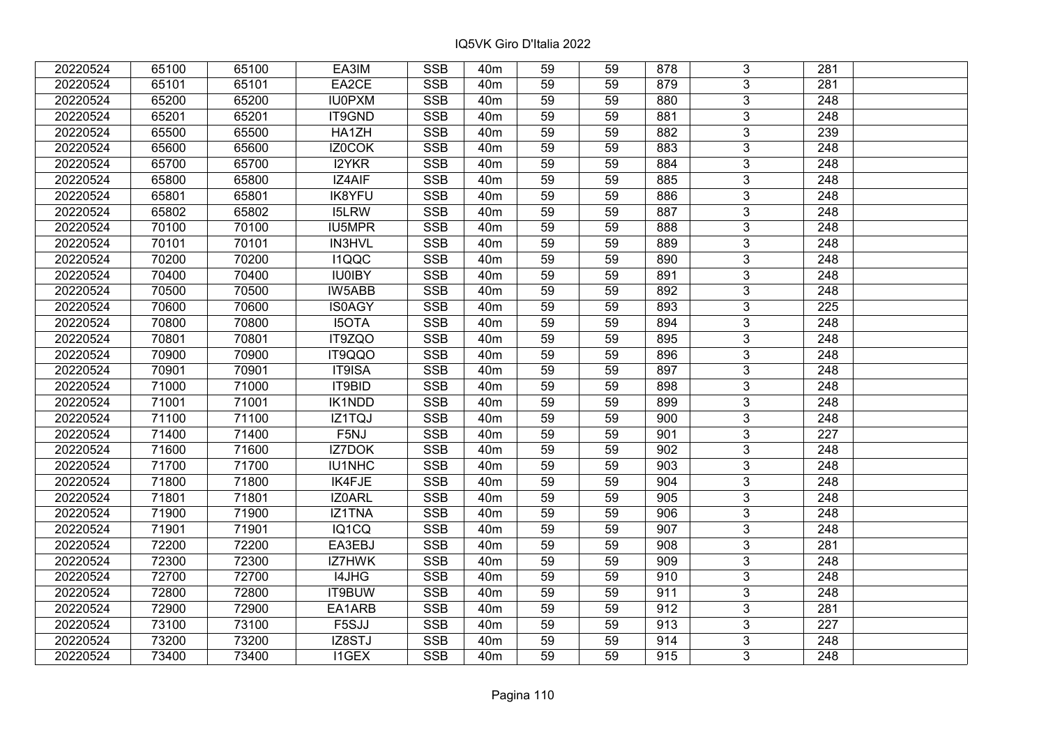| 20220524 | 65100 | 65100 | EA3IM         | <b>SSB</b>              | 40 <sub>m</sub> | 59              | 59 | 878 | 3              | 281              |  |
|----------|-------|-------|---------------|-------------------------|-----------------|-----------------|----|-----|----------------|------------------|--|
| 20220524 | 65101 | 65101 | EA2CE         | <b>SSB</b>              | 40 <sub>m</sub> | 59              | 59 | 879 | $\overline{3}$ | 281              |  |
| 20220524 | 65200 | 65200 | <b>IU0PXM</b> | SSB                     | 40 <sub>m</sub> | $\overline{59}$ | 59 | 880 | $\overline{3}$ | 248              |  |
| 20220524 | 65201 | 65201 | IT9GND        | <b>SSB</b>              | 40 <sub>m</sub> | 59              | 59 | 881 | $\overline{3}$ | $\overline{248}$ |  |
| 20220524 | 65500 | 65500 | HA1ZH         | <b>SSB</b>              | 40 <sub>m</sub> | 59              | 59 | 882 | 3              | 239              |  |
| 20220524 | 65600 | 65600 | IZ0COK        | <b>SSB</b>              | 40 <sub>m</sub> | 59              | 59 | 883 | $\overline{3}$ | 248              |  |
| 20220524 | 65700 | 65700 | I2YKR         | <b>SSB</b>              | 40m             | 59              | 59 | 884 | $\overline{3}$ | 248              |  |
| 20220524 | 65800 | 65800 | IZ4AIF        | <b>SSB</b>              | 40 <sub>m</sub> | 59              | 59 | 885 | 3              | 248              |  |
| 20220524 | 65801 | 65801 | <b>IK8YFU</b> | <b>SSB</b>              | 40 <sub>m</sub> | 59              | 59 | 886 | $\overline{3}$ | $\overline{248}$ |  |
| 20220524 | 65802 | 65802 | <b>I5LRW</b>  | <b>SSB</b>              | 40 <sub>m</sub> | 59              | 59 | 887 | $\overline{3}$ | 248              |  |
| 20220524 | 70100 | 70100 | IU5MPR        | <b>SSB</b>              | 40 <sub>m</sub> | 59              | 59 | 888 | 3              | 248              |  |
| 20220524 | 70101 | 70101 | IN3HVL        | <b>SSB</b>              | 40 <sub>m</sub> | 59              | 59 | 889 | $\overline{3}$ | 248              |  |
| 20220524 | 70200 | 70200 | <b>I1QQC</b>  | <b>SSB</b>              | 40 <sub>m</sub> | 59              | 59 | 890 | 3              | 248              |  |
| 20220524 | 70400 | 70400 | <b>IU0IBY</b> | <b>SSB</b>              | 40 <sub>m</sub> | 59              | 59 | 891 | $\overline{3}$ | 248              |  |
| 20220524 | 70500 | 70500 | IW5ABB        | <b>SSB</b>              | 40 <sub>m</sub> | 59              | 59 | 892 | $\overline{3}$ | 248              |  |
| 20220524 | 70600 | 70600 | <b>IS0AGY</b> | <b>SSB</b>              | 40 <sub>m</sub> | 59              | 59 | 893 | 3              | 225              |  |
| 20220524 | 70800 | 70800 | <b>I5OTA</b>  | <b>SSB</b>              | 40 <sub>m</sub> | 59              | 59 | 894 | $\overline{3}$ | 248              |  |
| 20220524 | 70801 | 70801 | IT9ZQO        | <b>SSB</b>              | 40 <sub>m</sub> | 59              | 59 | 895 | 3              | 248              |  |
| 20220524 | 70900 | 70900 | IT9QQO        | <b>SSB</b>              | 40 <sub>m</sub> | 59              | 59 | 896 | 3              | 248              |  |
| 20220524 | 70901 | 70901 | IT9ISA        | <b>SSB</b>              | 40 <sub>m</sub> | 59              | 59 | 897 | $\overline{3}$ | 248              |  |
| 20220524 | 71000 | 71000 | IT9BID        | <b>SSB</b>              | 40 <sub>m</sub> | 59              | 59 | 898 | $\overline{3}$ | 248              |  |
| 20220524 | 71001 | 71001 | <b>IK1NDD</b> | <b>SSB</b>              | 40 <sub>m</sub> | 59              | 59 | 899 | 3              | 248              |  |
| 20220524 | 71100 | 71100 | IZ1TQJ        | SSB                     | 40 <sub>m</sub> | 59              | 59 | 900 | $\overline{3}$ | 248              |  |
| 20220524 | 71400 | 71400 | F5NJ          | <b>SSB</b>              | 40 <sub>m</sub> | 59              | 59 | 901 | $\overline{3}$ | 227              |  |
| 20220524 | 71600 | 71600 | IZ7DOK        | <b>SSB</b>              | 40 <sub>m</sub> | 59              | 59 | 902 | 3              | 248              |  |
| 20220524 | 71700 | 71700 | IU1NHC        | <b>SSB</b>              | 40 <sub>m</sub> | 59              | 59 | 903 | $\overline{3}$ | $\overline{248}$ |  |
| 20220524 | 71800 | 71800 | IK4FJE        | <b>SSB</b>              | 40 <sub>m</sub> | 59              | 59 | 904 | $\overline{3}$ | $\overline{248}$ |  |
| 20220524 | 71801 | 71801 | IZ0ARL        | <b>SSB</b>              | 40 <sub>m</sub> | 59              | 59 | 905 | $\overline{3}$ | $\overline{248}$ |  |
| 20220524 | 71900 | 71900 | IZ1TNA        | <b>SSB</b>              | 40 <sub>m</sub> | 59              | 59 | 906 | $\overline{3}$ | $\overline{248}$ |  |
| 20220524 | 71901 | 71901 | IQ1CQ         | <b>SSB</b>              | 40m             | 59              | 59 | 907 | $\overline{3}$ | 248              |  |
| 20220524 | 72200 | 72200 | EA3EBJ        | SSB                     | 40 <sub>m</sub> | $\overline{59}$ | 59 | 908 | $\overline{3}$ | $\overline{281}$ |  |
| 20220524 | 72300 | 72300 | IZ7HWK        | <b>SSB</b>              | 40 <sub>m</sub> | 59              | 59 | 909 | $\overline{3}$ | 248              |  |
| 20220524 | 72700 | 72700 | I4JHG         | <b>SSB</b>              | 40 <sub>m</sub> | 59              | 59 | 910 | 3              | 248              |  |
| 20220524 | 72800 | 72800 | IT9BUW        | <b>SSB</b>              | 40 <sub>m</sub> | 59              | 59 | 911 | $\overline{3}$ | $\overline{248}$ |  |
| 20220524 | 72900 | 72900 | EA1ARB        | <b>SSB</b>              | 40 <sub>m</sub> | 59              | 59 | 912 | 3              | 281              |  |
| 20220524 | 73100 | 73100 | F5SJJ         | <b>SSB</b>              | 40 <sub>m</sub> | 59              | 59 | 913 | 3              | 227              |  |
| 20220524 | 73200 | 73200 | IZ8STJ        | $\overline{\text{SSB}}$ | 40 <sub>m</sub> | 59              | 59 | 914 | $\overline{3}$ | 248              |  |
| 20220524 | 73400 | 73400 | <b>I1GEX</b>  | <b>SSB</b>              | 40 <sub>m</sub> | 59              | 59 | 915 | $\overline{3}$ | 248              |  |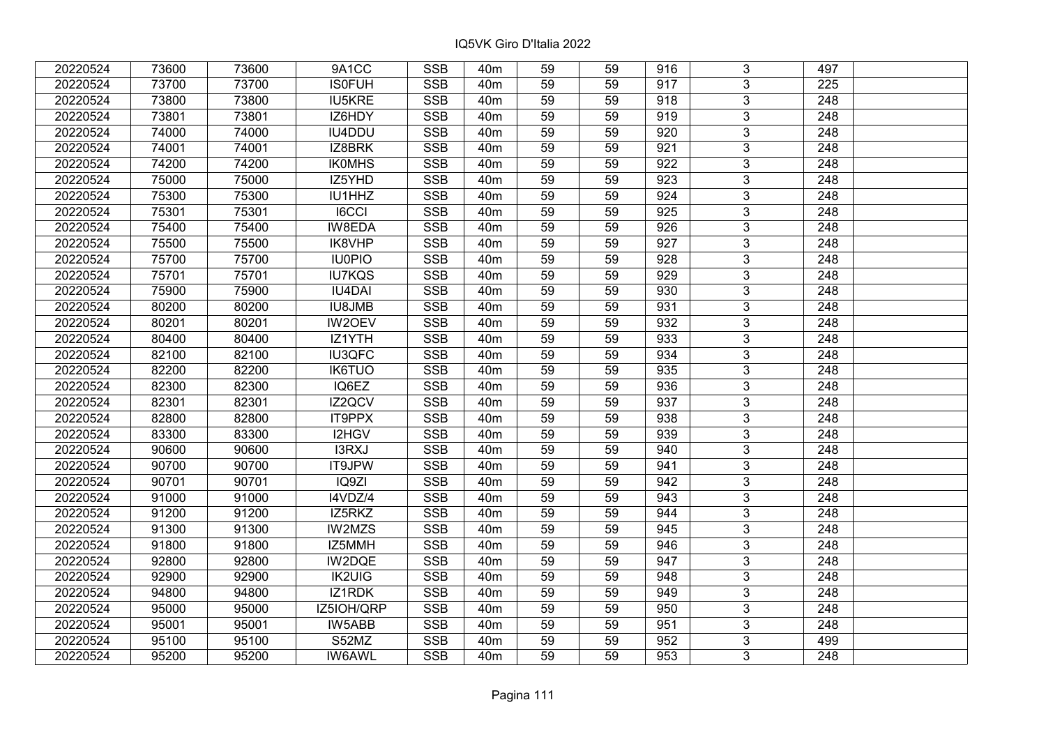| 20220524 | 73600 | 73600 | 9A1CC         | <b>SSB</b> | 40 <sub>m</sub> | 59              | 59 | 916 | 3              | 497              |  |
|----------|-------|-------|---------------|------------|-----------------|-----------------|----|-----|----------------|------------------|--|
| 20220524 | 73700 | 73700 | <b>ISOFUH</b> | <b>SSB</b> | 40 <sub>m</sub> | 59              | 59 | 917 | 3              | 225              |  |
| 20220524 | 73800 | 73800 | <b>IU5KRE</b> | <b>SSB</b> | 40 <sub>m</sub> | 59              | 59 | 918 | $\overline{3}$ | $\overline{248}$ |  |
| 20220524 | 73801 | 73801 | IZ6HDY        | <b>SSB</b> | 40 <sub>m</sub> | 59              | 59 | 919 | $\overline{3}$ | $\overline{248}$ |  |
| 20220524 | 74000 | 74000 | IU4DDU        | <b>SSB</b> | 40 <sub>m</sub> | 59              | 59 | 920 | $\overline{3}$ | 248              |  |
| 20220524 | 74001 | 74001 | IZ8BRK        | <b>SSB</b> | 40 <sub>m</sub> | 59              | 59 | 921 | $\overline{3}$ | 248              |  |
| 20220524 | 74200 | 74200 | <b>IKOMHS</b> | <b>SSB</b> | 40 <sub>m</sub> | 59              | 59 | 922 | $\overline{3}$ | 248              |  |
| 20220524 | 75000 | 75000 | IZ5YHD        | <b>SSB</b> | 40 <sub>m</sub> | 59              | 59 | 923 | $\overline{3}$ | $\overline{248}$ |  |
| 20220524 | 75300 | 75300 | IU1HHZ        | <b>SSB</b> | 40 <sub>m</sub> | 59              | 59 | 924 | $\overline{3}$ | 248              |  |
| 20220524 | 75301 | 75301 | <b>I6CCI</b>  | <b>SSB</b> | 40 <sub>m</sub> | 59              | 59 | 925 | $\overline{3}$ | 248              |  |
| 20220524 | 75400 | 75400 | IW8EDA        | <b>SSB</b> | 40 <sub>m</sub> | 59              | 59 | 926 | $\overline{3}$ | 248              |  |
| 20220524 | 75500 | 75500 | IK8VHP        | <b>SSB</b> | 40 <sub>m</sub> | 59              | 59 | 927 | $\overline{3}$ | 248              |  |
| 20220524 | 75700 | 75700 | <b>IU0PIO</b> | <b>SSB</b> | 40 <sub>m</sub> | 59              | 59 | 928 | $\overline{3}$ | 248              |  |
| 20220524 | 75701 | 75701 | <b>IU7KQS</b> | <b>SSB</b> | 40 <sub>m</sub> | 59              | 59 | 929 | $\overline{3}$ | 248              |  |
| 20220524 | 75900 | 75900 | <b>IU4DAI</b> | <b>SSB</b> | 40 <sub>m</sub> | 59              | 59 | 930 | 3              | 248              |  |
| 20220524 | 80200 | 80200 | <b>IU8JMB</b> | <b>SSB</b> | 40 <sub>m</sub> | 59              | 59 | 931 | $\overline{3}$ | 248              |  |
| 20220524 | 80201 | 80201 | IW2OEV        | <b>SSB</b> | 40 <sub>m</sub> | 59              | 59 | 932 | 3              | 248              |  |
| 20220524 | 80400 | 80400 | IZ1YTH        | <b>SSB</b> | 40 <sub>m</sub> | 59              | 59 | 933 | 3              | 248              |  |
| 20220524 | 82100 | 82100 | IU3QFC        | <b>SSB</b> | 40 <sub>m</sub> | 59              | 59 | 934 | $\overline{3}$ | 248              |  |
| 20220524 | 82200 | 82200 | <b>IK6TUO</b> | <b>SSB</b> | 40 <sub>m</sub> | 59              | 59 | 935 | $\overline{3}$ | 248              |  |
| 20220524 | 82300 | 82300 | IQ6EZ         | <b>SSB</b> | 40 <sub>m</sub> | 59              | 59 | 936 | $\overline{3}$ | 248              |  |
| 20220524 | 82301 | 82301 | IZ2QCV        | <b>SSB</b> | 40 <sub>m</sub> | 59              | 59 | 937 | $\overline{3}$ | 248              |  |
| 20220524 | 82800 | 82800 | IT9PPX        | <b>SSB</b> | 40 <sub>m</sub> | 59              | 59 | 938 | $\overline{3}$ | 248              |  |
| 20220524 | 83300 | 83300 | I2HGV         | <b>SSB</b> | 40 <sub>m</sub> | 59              | 59 | 939 | $\overline{3}$ | 248              |  |
| 20220524 | 90600 | 90600 | I3RXJ         | <b>SSB</b> | 40 <sub>m</sub> | 59              | 59 | 940 | $\overline{3}$ | 248              |  |
| 20220524 | 90700 | 90700 | IT9JPW        | SSB        | 40 <sub>m</sub> | $\overline{59}$ | 59 | 941 | $\overline{3}$ | $\overline{248}$ |  |
| 20220524 | 90701 | 90701 | IQ9ZI         | <b>SSB</b> | 40 <sub>m</sub> | 59              | 59 | 942 | $\overline{3}$ | $\overline{248}$ |  |
| 20220524 | 91000 | 91000 | I4VDZ/4       | <b>SSB</b> | 40 <sub>m</sub> | 59              | 59 | 943 | 3              | 248              |  |
| 20220524 | 91200 | 91200 | IZ5RKZ        | <b>SSB</b> | 40 <sub>m</sub> | $\overline{59}$ | 59 | 944 | $\overline{3}$ | $\overline{248}$ |  |
| 20220524 | 91300 | 91300 | <b>IW2MZS</b> | <b>SSB</b> | 40 <sub>m</sub> | 59              | 59 | 945 | $\overline{3}$ | 248              |  |
| 20220524 | 91800 | 91800 | IZ5MMH        | <b>SSB</b> | 40 <sub>m</sub> | 59              | 59 | 946 | $\overline{3}$ | 248              |  |
| 20220524 | 92800 | 92800 | <b>IW2DQE</b> | <b>SSB</b> | 40 <sub>m</sub> | 59              | 59 | 947 | $\overline{3}$ | $\overline{248}$ |  |
| 20220524 | 92900 | 92900 | <b>IK2UIG</b> | <b>SSB</b> | 40 <sub>m</sub> | 59              | 59 | 948 | 3              | 248              |  |
| 20220524 | 94800 | 94800 | IZ1RDK        | <b>SSB</b> | 40 <sub>m</sub> | 59              | 59 | 949 | 3              | 248              |  |
| 20220524 | 95000 | 95000 | IZ5IOH/QRP    | <b>SSB</b> | 40 <sub>m</sub> | 59              | 59 | 950 | $\overline{3}$ | 248              |  |
| 20220524 | 95001 | 95001 | IW5ABB        | <b>SSB</b> | 40 <sub>m</sub> | 59              | 59 | 951 | 3              | 248              |  |
| 20220524 | 95100 | 95100 | S52MZ         | <b>SSB</b> | 40 <sub>m</sub> | 59              | 59 | 952 | $\overline{3}$ | 499              |  |
| 20220524 | 95200 | 95200 | <b>IW6AWL</b> | <b>SSB</b> | 40 <sub>m</sub> | 59              | 59 | 953 | $\overline{3}$ | 248              |  |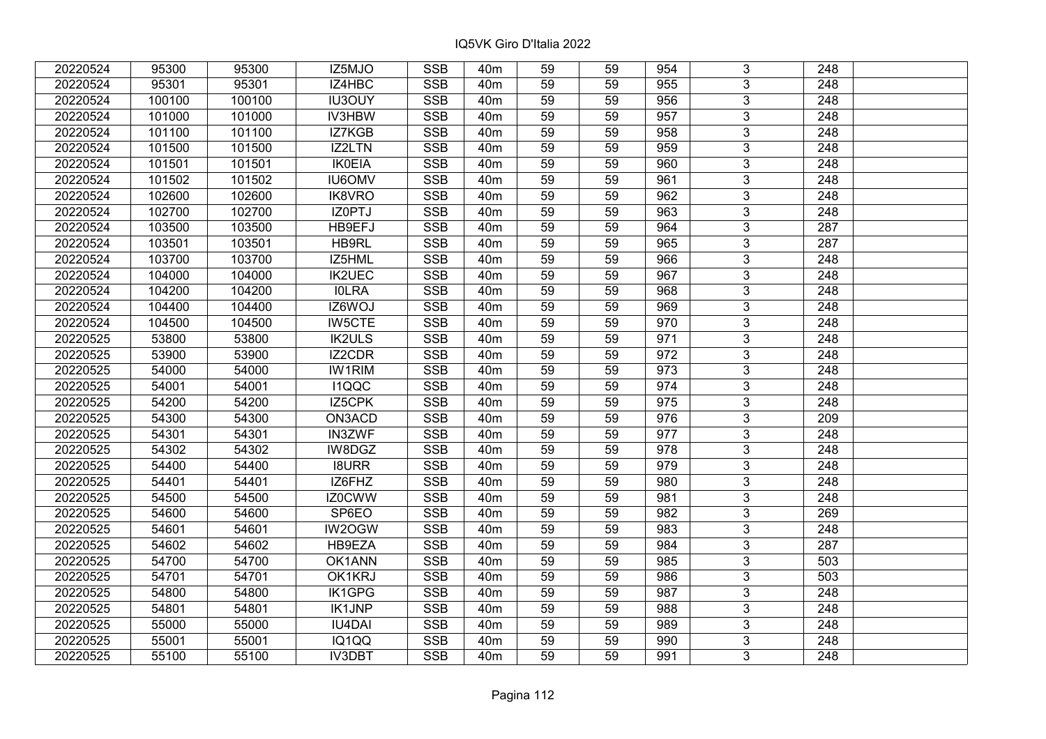| 20220524 | 95300  | 95300  | IZ5MJO        | <b>SSB</b>              | 40 <sub>m</sub> | 59 | 59 | 954 | 3              | 248              |  |
|----------|--------|--------|---------------|-------------------------|-----------------|----|----|-----|----------------|------------------|--|
| 20220524 | 95301  | 95301  | IZ4HBC        | <b>SSB</b>              | 40 <sub>m</sub> | 59 | 59 | 955 | 3              | 248              |  |
| 20220524 | 100100 | 100100 | <b>IU3OUY</b> | <b>SSB</b>              | 40 <sub>m</sub> | 59 | 59 | 956 | 3              | 248              |  |
| 20220524 | 101000 | 101000 | <b>IV3HBW</b> | <b>SSB</b>              | 40 <sub>m</sub> | 59 | 59 | 957 | $\overline{3}$ | $\overline{248}$ |  |
| 20220524 | 101100 | 101100 | IZ7KGB        | <b>SSB</b>              | 40 <sub>m</sub> | 59 | 59 | 958 | 3              | 248              |  |
| 20220524 | 101500 | 101500 | IZ2LTN        | <b>SSB</b>              | 40 <sub>m</sub> | 59 | 59 | 959 | 3              | 248              |  |
| 20220524 | 101501 | 101501 | <b>IK0EIA</b> | <b>SSB</b>              | 40 <sub>m</sub> | 59 | 59 | 960 | $\overline{3}$ | 248              |  |
| 20220524 | 101502 | 101502 | <b>IU6OMV</b> | <b>SSB</b>              | 40 <sub>m</sub> | 59 | 59 | 961 | $\overline{3}$ | 248              |  |
| 20220524 | 102600 | 102600 | IK8VRO        | <b>SSB</b>              | 40 <sub>m</sub> | 59 | 59 | 962 | $\overline{3}$ | 248              |  |
| 20220524 | 102700 | 102700 | IZ0PTJ        | $\overline{\text{SSB}}$ | 40 <sub>m</sub> | 59 | 59 | 963 | $\overline{3}$ | $\overline{248}$ |  |
| 20220524 | 103500 | 103500 | HB9EFJ        | <b>SSB</b>              | 40 <sub>m</sub> | 59 | 59 | 964 | 3              | 287              |  |
| 20220524 | 103501 | 103501 | HB9RL         | <b>SSB</b>              | 40 <sub>m</sub> | 59 | 59 | 965 | $\overline{3}$ | 287              |  |
| 20220524 | 103700 | 103700 | IZ5HML        | <b>SSB</b>              | 40 <sub>m</sub> | 59 | 59 | 966 | $\overline{3}$ | 248              |  |
| 20220524 | 104000 | 104000 | <b>IK2UEC</b> | <b>SSB</b>              | 40 <sub>m</sub> | 59 | 59 | 967 | $\overline{3}$ | 248              |  |
| 20220524 | 104200 | 104200 | <b>IOLRA</b>  | <b>SSB</b>              | 40 <sub>m</sub> | 59 | 59 | 968 | 3              | 248              |  |
| 20220524 | 104400 | 104400 | IZ6WOJ        | <b>SSB</b>              | 40 <sub>m</sub> | 59 | 59 | 969 | 3              | 248              |  |
| 20220524 | 104500 | 104500 | <b>IW5CTE</b> | <b>SSB</b>              | 40 <sub>m</sub> | 59 | 59 | 970 | $\overline{3}$ | 248              |  |
| 20220525 | 53800  | 53800  | <b>IK2ULS</b> | <b>SSB</b>              | 40 <sub>m</sub> | 59 | 59 | 971 | 3              | 248              |  |
| 20220525 | 53900  | 53900  | IZ2CDR        | <b>SSB</b>              | 40 <sub>m</sub> | 59 | 59 | 972 | 3              | 248              |  |
| 20220525 | 54000  | 54000  | <b>IW1RIM</b> | <b>SSB</b>              | 40 <sub>m</sub> | 59 | 59 | 973 | $\overline{3}$ | 248              |  |
| 20220525 | 54001  | 54001  | I1QQC         | <b>SSB</b>              | 40 <sub>m</sub> | 59 | 59 | 974 | $\overline{3}$ | 248              |  |
| 20220525 | 54200  | 54200  | IZ5CPK        | <b>SSB</b>              | 40 <sub>m</sub> | 59 | 59 | 975 | $\overline{3}$ | 248              |  |
| 20220525 | 54300  | 54300  | ON3ACD        | <b>SSB</b>              | 40 <sub>m</sub> | 59 | 59 | 976 | $\overline{3}$ | 209              |  |
| 20220525 | 54301  | 54301  | IN3ZWF        | <b>SSB</b>              | 40 <sub>m</sub> | 59 | 59 | 977 | 3              | 248              |  |
| 20220525 | 54302  | 54302  | IW8DGZ        | <b>SSB</b>              | 40 <sub>m</sub> | 59 | 59 | 978 | $\overline{3}$ | 248              |  |
| 20220525 | 54400  | 54400  | <b>I8URR</b>  | $\overline{\text{SSB}}$ | 40 <sub>m</sub> | 59 | 59 | 979 | $\overline{3}$ | $\overline{248}$ |  |
| 20220525 | 54401  | 54401  | IZ6FHZ        | <b>SSB</b>              | 40 <sub>m</sub> | 59 | 59 | 980 | $\overline{3}$ | $\overline{248}$ |  |
| 20220525 | 54500  | 54500  | IZ0CWW        | <b>SSB</b>              | 40 <sub>m</sub> | 59 | 59 | 981 | $\overline{3}$ | 248              |  |
| 20220525 | 54600  | 54600  | SP6EO         | <b>SSB</b>              | 40 <sub>m</sub> | 59 | 59 | 982 | $\overline{3}$ | 269              |  |
| 20220525 | 54601  | 54601  | IW2OGW        | <b>SSB</b>              | 40 <sub>m</sub> | 59 | 59 | 983 | $\overline{3}$ | $\overline{248}$ |  |
| 20220525 | 54602  | 54602  | HB9EZA        | <b>SSB</b>              | 40 <sub>m</sub> | 59 | 59 | 984 | $\overline{3}$ | 287              |  |
| 20220525 | 54700  | 54700  | OK1ANN        | <b>SSB</b>              | 40 <sub>m</sub> | 59 | 59 | 985 | $\overline{3}$ | 503              |  |
| 20220525 | 54701  | 54701  | OK1KRJ        | <b>SSB</b>              | 40 <sub>m</sub> | 59 | 59 | 986 | $\overline{3}$ | 503              |  |
| 20220525 | 54800  | 54800  | <b>IK1GPG</b> | <b>SSB</b>              | 40 <sub>m</sub> | 59 | 59 | 987 | $\overline{3}$ | $\overline{248}$ |  |
| 20220525 | 54801  | 54801  | <b>IK1JNP</b> | <b>SSB</b>              | 40 <sub>m</sub> | 59 | 59 | 988 | 3              | 248              |  |
| 20220525 | 55000  | 55000  | <b>IU4DAI</b> | <b>SSB</b>              | 40 <sub>m</sub> | 59 | 59 | 989 | $\overline{3}$ | 248              |  |
| 20220525 | 55001  | 55001  | IQ1QQ         | <b>SSB</b>              | 40 <sub>m</sub> | 59 | 59 | 990 | 3              | 248              |  |
| 20220525 | 55100  | 55100  | <b>IV3DBT</b> | <b>SSB</b>              | 40 <sub>m</sub> | 59 | 59 | 991 | 3              | 248              |  |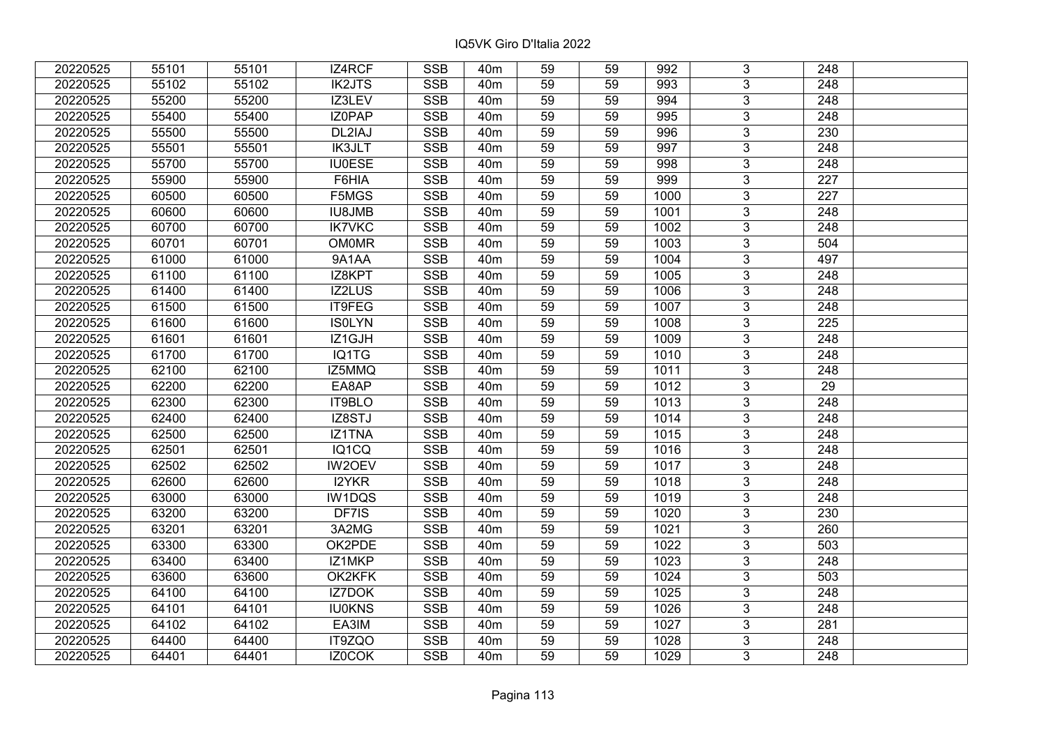| 20220525 | 55101 | 55101 | IZ4RCF        | <b>SSB</b>              | 40 <sub>m</sub> | 59              | 59 | 992  | 3              | 248              |  |
|----------|-------|-------|---------------|-------------------------|-----------------|-----------------|----|------|----------------|------------------|--|
| 20220525 | 55102 | 55102 | <b>IK2JTS</b> | <b>SSB</b>              | 40 <sub>m</sub> | 59              | 59 | 993  | 3              | 248              |  |
| 20220525 | 55200 | 55200 | IZ3LEV        | <b>SSB</b>              | 40 <sub>m</sub> | 59              | 59 | 994  | $\overline{3}$ | 248              |  |
| 20220525 | 55400 | 55400 | IZ0PAP        | <b>SSB</b>              | 40 <sub>m</sub> | 59              | 59 | 995  | $\overline{3}$ | $\overline{248}$ |  |
| 20220525 | 55500 | 55500 | DL2IAJ        | <b>SSB</b>              | 40 <sub>m</sub> | 59              | 59 | 996  | $\overline{3}$ | 230              |  |
| 20220525 | 55501 | 55501 | <b>IK3JLT</b> | <b>SSB</b>              | 40 <sub>m</sub> | 59              | 59 | 997  | $\overline{3}$ | 248              |  |
| 20220525 | 55700 | 55700 | <b>IU0ESE</b> | <b>SSB</b>              | 40m             | 59              | 59 | 998  | $\overline{3}$ | 248              |  |
| 20220525 | 55900 | 55900 | F6HIA         | <b>SSB</b>              | 40 <sub>m</sub> | 59              | 59 | 999  | $\overline{3}$ | $\overline{227}$ |  |
| 20220525 | 60500 | 60500 | F5MGS         | <b>SSB</b>              | 40 <sub>m</sub> | 59              | 59 | 1000 | $\overline{3}$ | 227              |  |
| 20220525 | 60600 | 60600 | <b>IU8JMB</b> | <b>SSB</b>              | 40 <sub>m</sub> | 59              | 59 | 1001 | $\overline{3}$ | 248              |  |
| 20220525 | 60700 | 60700 | <b>IK7VKC</b> | <b>SSB</b>              | 40 <sub>m</sub> | 59              | 59 | 1002 | $\overline{3}$ | 248              |  |
| 20220525 | 60701 | 60701 | <b>OM0MR</b>  | <b>SSB</b>              | 40 <sub>m</sub> | 59              | 59 | 1003 | $\overline{3}$ | 504              |  |
| 20220525 | 61000 | 61000 | 9A1AA         | <b>SSB</b>              | 40 <sub>m</sub> | 59              | 59 | 1004 | $\overline{3}$ | 497              |  |
| 20220525 | 61100 | 61100 | IZ8KPT        | <b>SSB</b>              | 40 <sub>m</sub> | 59              | 59 | 1005 | $\overline{3}$ | 248              |  |
| 20220525 | 61400 | 61400 | IZ2LUS        | <b>SSB</b>              | 40 <sub>m</sub> | 59              | 59 | 1006 | 3              | 248              |  |
| 20220525 | 61500 | 61500 | IT9FEG        | <b>SSB</b>              | 40 <sub>m</sub> | 59              | 59 | 1007 | $\overline{3}$ | 248              |  |
| 20220525 | 61600 | 61600 | <b>ISOLYN</b> | <b>SSB</b>              | 40 <sub>m</sub> | 59              | 59 | 1008 | 3              | 225              |  |
| 20220525 | 61601 | 61601 | IZ1GJH        | <b>SSB</b>              | 40 <sub>m</sub> | 59              | 59 | 1009 | 3              | 248              |  |
| 20220525 | 61700 | 61700 | IQ1TG         | <b>SSB</b>              | 40 <sub>m</sub> | 59              | 59 | 1010 | $\overline{3}$ | 248              |  |
| 20220525 | 62100 | 62100 | IZ5MMQ        | <b>SSB</b>              | 40 <sub>m</sub> | 59              | 59 | 1011 | $\overline{3}$ | 248              |  |
| 20220525 | 62200 | 62200 | EA8AP         | SSB                     | 40 <sub>m</sub> | 59              | 59 | 1012 | $\overline{3}$ | 29               |  |
| 20220525 | 62300 | 62300 | IT9BLO        | <b>SSB</b>              | 40 <sub>m</sub> | 59              | 59 | 1013 | $\overline{3}$ | 248              |  |
| 20220525 | 62400 | 62400 | IZ8STJ        | <b>SSB</b>              | 40 <sub>m</sub> | 59              | 59 | 1014 | $\overline{3}$ | 248              |  |
| 20220525 | 62500 | 62500 | IZ1TNA        | <b>SSB</b>              | 40 <sub>m</sub> | 59              | 59 | 1015 | $\overline{3}$ | 248              |  |
| 20220525 | 62501 | 62501 | IQ1CQ         | <b>SSB</b>              | 40 <sub>m</sub> | 59              | 59 | 1016 | $\overline{3}$ | 248              |  |
| 20220525 | 62502 | 62502 | <b>IW2OEV</b> | $\overline{\text{SSB}}$ | 40 <sub>m</sub> | $\overline{59}$ | 59 | 1017 | $\overline{3}$ | $\overline{248}$ |  |
| 20220525 | 62600 | 62600 | I2YKR         | <b>SSB</b>              | 40 <sub>m</sub> | 59              | 59 | 1018 | $\overline{3}$ | $\overline{248}$ |  |
| 20220525 | 63000 | 63000 | IW1DQS        | <b>SSB</b>              | 40 <sub>m</sub> | 59              | 59 | 1019 | 3              | 248              |  |
| 20220525 | 63200 | 63200 | DF7IS         | <b>SSB</b>              | 40 <sub>m</sub> | $\overline{59}$ | 59 | 1020 | $\overline{3}$ | 230              |  |
| 20220525 | 63201 | 63201 | 3A2MG         | <b>SSB</b>              | 40 <sub>m</sub> | 59              | 59 | 1021 | $\overline{3}$ | 260              |  |
| 20220525 | 63300 | 63300 | OK2PDE        | <b>SSB</b>              | 40m             | 59              | 59 | 1022 | $\overline{3}$ | 503              |  |
| 20220525 | 63400 | 63400 | IZ1MKP        | <b>SSB</b>              | 40 <sub>m</sub> | 59              | 59 | 1023 | $\overline{3}$ | 248              |  |
| 20220525 | 63600 | 63600 | OK2KFK        | <b>SSB</b>              | 40 <sub>m</sub> | 59              | 59 | 1024 | 3              | 503              |  |
| 20220525 | 64100 | 64100 | IZ7DOK        | <b>SSB</b>              | 40 <sub>m</sub> | 59              | 59 | 1025 | 3              | 248              |  |
| 20220525 | 64101 | 64101 | <b>IU0KNS</b> | <b>SSB</b>              | 40 <sub>m</sub> | 59              | 59 | 1026 | $\overline{3}$ | 248              |  |
| 20220525 | 64102 | 64102 | EA3IM         | <b>SSB</b>              | 40 <sub>m</sub> | 59              | 59 | 1027 | 3              | 281              |  |
| 20220525 | 64400 | 64400 | IT9ZQO        | $\overline{\text{SSB}}$ | 40 <sub>m</sub> | 59              | 59 | 1028 | $\overline{3}$ | 248              |  |
| 20220525 | 64401 | 64401 | IZ0COK        | <b>SSB</b>              | 40 <sub>m</sub> | 59              | 59 | 1029 | $\overline{3}$ | 248              |  |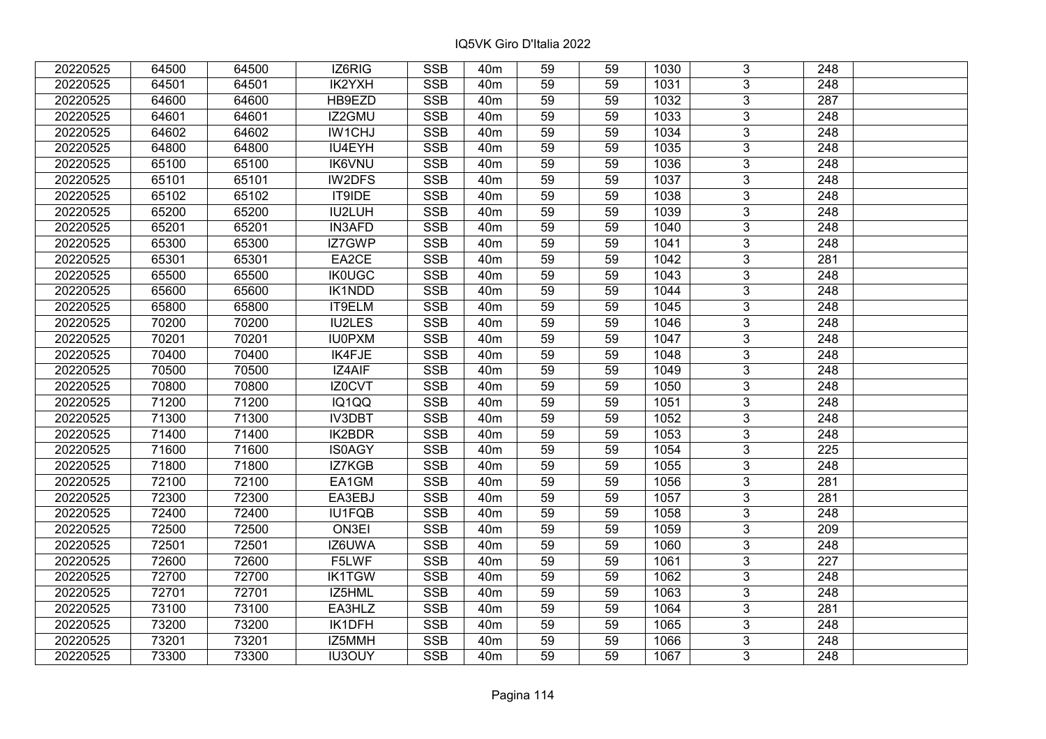| 20220525 | 64500 | 64500 | IZ6RIG        | <b>SSB</b> | 40 <sub>m</sub> | 59              | 59 | 1030 | 3              | 248              |  |
|----------|-------|-------|---------------|------------|-----------------|-----------------|----|------|----------------|------------------|--|
| 20220525 | 64501 | 64501 | IK2YXH        | <b>SSB</b> | 40 <sub>m</sub> | 59              | 59 | 1031 | $\overline{3}$ | 248              |  |
| 20220525 | 64600 | 64600 | HB9EZD        | <b>SSB</b> | 40 <sub>m</sub> | $\overline{59}$ | 59 | 1032 | $\overline{3}$ | 287              |  |
| 20220525 | 64601 | 64601 | IZ2GMU        | <b>SSB</b> | 40 <sub>m</sub> | 59              | 59 | 1033 | $\overline{3}$ | $\overline{248}$ |  |
| 20220525 | 64602 | 64602 | <b>IW1CHJ</b> | <b>SSB</b> | 40 <sub>m</sub> | 59              | 59 | 1034 | 3              | 248              |  |
| 20220525 | 64800 | 64800 | IU4EYH        | <b>SSB</b> | 40 <sub>m</sub> | 59              | 59 | 1035 | $\overline{3}$ | 248              |  |
| 20220525 | 65100 | 65100 | <b>IK6VNU</b> | <b>SSB</b> | 40 <sub>m</sub> | 59              | 59 | 1036 | $\overline{3}$ | 248              |  |
| 20220525 | 65101 | 65101 | IW2DFS        | <b>SSB</b> | 40 <sub>m</sub> | 59              | 59 | 1037 | 3              | 248              |  |
| 20220525 | 65102 | 65102 | IT9IDE        | <b>SSB</b> | 40 <sub>m</sub> | 59              | 59 | 1038 | $\overline{3}$ | $\overline{248}$ |  |
| 20220525 | 65200 | 65200 | IU2LUH        | <b>SSB</b> | 40 <sub>m</sub> | 59              | 59 | 1039 | $\overline{3}$ | 248              |  |
| 20220525 | 65201 | 65201 | <b>IN3AFD</b> | <b>SSB</b> | 40 <sub>m</sub> | 59              | 59 | 1040 | 3              | 248              |  |
| 20220525 | 65300 | 65300 | IZ7GWP        | <b>SSB</b> | 40 <sub>m</sub> | 59              | 59 | 1041 | $\overline{3}$ | 248              |  |
| 20220525 | 65301 | 65301 | EA2CE         | <b>SSB</b> | 40 <sub>m</sub> | 59              | 59 | 1042 | 3              | 281              |  |
| 20220525 | 65500 | 65500 | <b>IK0UGC</b> | <b>SSB</b> | 40 <sub>m</sub> | 59              | 59 | 1043 | $\overline{3}$ | 248              |  |
| 20220525 | 65600 | 65600 | IK1NDD        | <b>SSB</b> | 40 <sub>m</sub> | 59              | 59 | 1044 | $\overline{3}$ | 248              |  |
| 20220525 | 65800 | 65800 | IT9ELM        | <b>SSB</b> | 40 <sub>m</sub> | 59              | 59 | 1045 | 3              | 248              |  |
| 20220525 | 70200 | 70200 | <b>IU2LES</b> | <b>SSB</b> | 40 <sub>m</sub> | 59              | 59 | 1046 | $\overline{3}$ | 248              |  |
| 20220525 | 70201 | 70201 | <b>IU0PXM</b> | <b>SSB</b> | 40 <sub>m</sub> | 59              | 59 | 1047 | 3              | 248              |  |
| 20220525 | 70400 | 70400 | IK4FJE        | <b>SSB</b> | 40 <sub>m</sub> | 59              | 59 | 1048 | 3              | 248              |  |
| 20220525 | 70500 | 70500 | <b>IZ4AIF</b> | <b>SSB</b> | 40 <sub>m</sub> | 59              | 59 | 1049 | $\overline{3}$ | 248              |  |
| 20220525 | 70800 | 70800 | IZ0CVT        | <b>SSB</b> | 40 <sub>m</sub> | 59              | 59 | 1050 | $\overline{3}$ | 248              |  |
| 20220525 | 71200 | 71200 | IQ1QQ         | <b>SSB</b> | 40 <sub>m</sub> | 59              | 59 | 1051 | $\overline{3}$ | 248              |  |
| 20220525 | 71300 | 71300 | IV3DBT        | <b>SSB</b> | 40 <sub>m</sub> | 59              | 59 | 1052 | $\overline{3}$ | 248              |  |
| 20220525 | 71400 | 71400 | <b>IK2BDR</b> | <b>SSB</b> | 40 <sub>m</sub> | 59              | 59 | 1053 | $\overline{3}$ | 248              |  |
| 20220525 | 71600 | 71600 | <b>IS0AGY</b> | <b>SSB</b> | 40 <sub>m</sub> | 59              | 59 | 1054 | 3              | 225              |  |
| 20220525 | 71800 | 71800 | IZ7KGB        | <b>SSB</b> | 40 <sub>m</sub> | 59              | 59 | 1055 | $\overline{3}$ | 248              |  |
| 20220525 | 72100 | 72100 | EA1GM         | <b>SSB</b> | 40 <sub>m</sub> | 59              | 59 | 1056 | $\overline{3}$ | 281              |  |
| 20220525 | 72300 | 72300 | EA3EBJ        | <b>SSB</b> | 40 <sub>m</sub> | 59              | 59 | 1057 | $\overline{3}$ | 281              |  |
| 20220525 | 72400 | 72400 | <b>IU1FQB</b> | <b>SSB</b> | 40 <sub>m</sub> | $\overline{59}$ | 59 | 1058 | $\overline{3}$ | $\overline{248}$ |  |
| 20220525 | 72500 | 72500 | ON3EI         | <b>SSB</b> | 40 <sub>m</sub> | 59              | 59 | 1059 | $\overline{3}$ | 209              |  |
| 20220525 | 72501 | 72501 | IZ6UWA        | <b>SSB</b> | 40 <sub>m</sub> | 59              | 59 | 1060 | $\overline{3}$ | $\overline{248}$ |  |
| 20220525 | 72600 | 72600 | F5LWF         | <b>SSB</b> | 40 <sub>m</sub> | 59              | 59 | 1061 | $\overline{3}$ | $\overline{227}$ |  |
| 20220525 | 72700 | 72700 | <b>IK1TGW</b> | <b>SSB</b> | 40 <sub>m</sub> | 59              | 59 | 1062 | 3              | 248              |  |
| 20220525 | 72701 | 72701 | IZ5HML        | <b>SSB</b> | 40 <sub>m</sub> | 59              | 59 | 1063 | $\overline{3}$ | $\overline{248}$ |  |
| 20220525 | 73100 | 73100 | EA3HLZ        | <b>SSB</b> | 40 <sub>m</sub> | 59              | 59 | 1064 | $\overline{3}$ | 281              |  |
| 20220525 | 73200 | 73200 | IK1DFH        | <b>SSB</b> | 40 <sub>m</sub> | 59              | 59 | 1065 | 3              | 248              |  |
| 20220525 | 73201 | 73201 | IZ5MMH        | <b>SSB</b> | 40 <sub>m</sub> | 59              | 59 | 1066 | $\overline{3}$ | 248              |  |
| 20220525 | 73300 | 73300 | <b>IU3OUY</b> | <b>SSB</b> | 40 <sub>m</sub> | 59              | 59 | 1067 | $\overline{3}$ | 248              |  |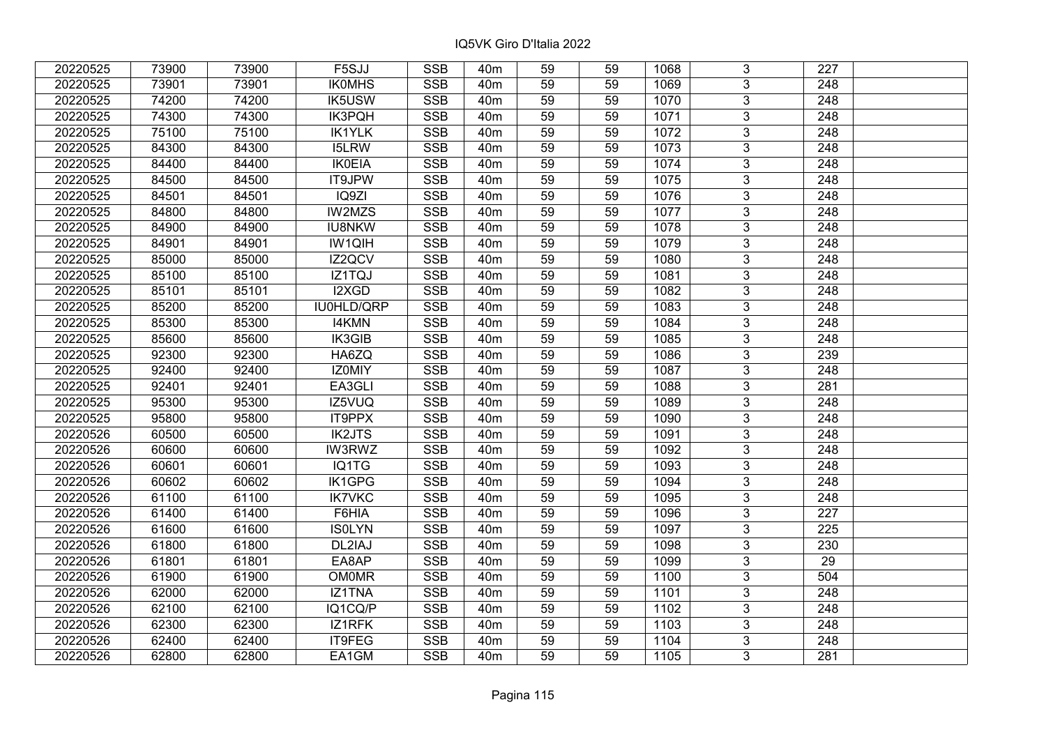| 20220525 | 73900 | 73900 | F5SJJ         | <b>SSB</b>              | 40 <sub>m</sub> | 59              | 59 | 1068 | 3              | 227              |  |
|----------|-------|-------|---------------|-------------------------|-----------------|-----------------|----|------|----------------|------------------|--|
| 20220525 | 73901 | 73901 | <b>IKOMHS</b> | <b>SSB</b>              | 40 <sub>m</sub> | 59              | 59 | 1069 | 3              | 248              |  |
| 20220525 | 74200 | 74200 | <b>IK5USW</b> | SSB                     | 40 <sub>m</sub> | $\overline{59}$ | 59 | 1070 | $\overline{3}$ | 248              |  |
| 20220525 | 74300 | 74300 | IK3PQH        | <b>SSB</b>              | 40 <sub>m</sub> | 59              | 59 | 1071 | $\overline{3}$ | $\overline{248}$ |  |
| 20220525 | 75100 | 75100 | <b>IK1YLK</b> | <b>SSB</b>              | 40 <sub>m</sub> | 59              | 59 | 1072 | 3              | 248              |  |
| 20220525 | 84300 | 84300 | <b>I5LRW</b>  | <b>SSB</b>              | 40 <sub>m</sub> | 59              | 59 | 1073 | $\overline{3}$ | 248              |  |
| 20220525 | 84400 | 84400 | <b>IK0EIA</b> | <b>SSB</b>              | 40 <sub>m</sub> | 59              | 59 | 1074 | $\overline{3}$ | 248              |  |
| 20220525 | 84500 | 84500 | IT9JPW        | <b>SSB</b>              | 40 <sub>m</sub> | 59              | 59 | 1075 | 3              | 248              |  |
| 20220525 | 84501 | 84501 | IQ9ZI         | <b>SSB</b>              | 40 <sub>m</sub> | 59              | 59 | 1076 | $\overline{3}$ | $\overline{248}$ |  |
| 20220525 | 84800 | 84800 | <b>IW2MZS</b> | <b>SSB</b>              | 40 <sub>m</sub> | 59              | 59 | 1077 | $\overline{3}$ | 248              |  |
| 20220525 | 84900 | 84900 | <b>IU8NKW</b> | <b>SSB</b>              | 40 <sub>m</sub> | 59              | 59 | 1078 | 3              | 248              |  |
| 20220525 | 84901 | 84901 | IW1QIH        | <b>SSB</b>              | 40 <sub>m</sub> | 59              | 59 | 1079 | $\overline{3}$ | 248              |  |
| 20220525 | 85000 | 85000 | IZ2QCV        | <b>SSB</b>              | 40 <sub>m</sub> | 59              | 59 | 1080 | 3              | 248              |  |
| 20220525 | 85100 | 85100 | IZ1TQJ        | <b>SSB</b>              | 40 <sub>m</sub> | 59              | 59 | 1081 | $\overline{3}$ | 248              |  |
| 20220525 | 85101 | 85101 | I2XGD         | <b>SSB</b>              | 40 <sub>m</sub> | 59              | 59 | 1082 | 3              | 248              |  |
| 20220525 | 85200 | 85200 | IU0HLD/QRP    | <b>SSB</b>              | 40 <sub>m</sub> | 59              | 59 | 1083 | 3              | 248              |  |
| 20220525 | 85300 | 85300 | <b>I4KMN</b>  | <b>SSB</b>              | 40 <sub>m</sub> | 59              | 59 | 1084 | $\overline{3}$ | 248              |  |
| 20220525 | 85600 | 85600 | IK3GIB        | <b>SSB</b>              | 40 <sub>m</sub> | 59              | 59 | 1085 | 3              | 248              |  |
| 20220525 | 92300 | 92300 | HA6ZQ         | <b>SSB</b>              | 40 <sub>m</sub> | 59              | 59 | 1086 | 3              | 239              |  |
| 20220525 | 92400 | 92400 | IZ0MIY        | <b>SSB</b>              | 40 <sub>m</sub> | 59              | 59 | 1087 | $\overline{3}$ | 248              |  |
| 20220525 | 92401 | 92401 | EA3GLI        | <b>SSB</b>              | 40 <sub>m</sub> | 59              | 59 | 1088 | $\overline{3}$ | 281              |  |
| 20220525 | 95300 | 95300 | IZ5VUQ        | <b>SSB</b>              | 40 <sub>m</sub> | 59              | 59 | 1089 | 3              | 248              |  |
| 20220525 | 95800 | 95800 | IT9PPX        | <b>SSB</b>              | 40 <sub>m</sub> | 59              | 59 | 1090 | $\overline{3}$ | 248              |  |
| 20220526 | 60500 | 60500 | <b>IK2JTS</b> | <b>SSB</b>              | 40 <sub>m</sub> | 59              | 59 | 1091 | $\overline{3}$ | 248              |  |
| 20220526 | 60600 | 60600 | <b>IW3RWZ</b> | <b>SSB</b>              | 40 <sub>m</sub> | 59              | 59 | 1092 | 3              | 248              |  |
| 20220526 | 60601 | 60601 | IQ1TG         | <b>SSB</b>              | 40 <sub>m</sub> | 59              | 59 | 1093 | $\overline{3}$ | $\overline{248}$ |  |
| 20220526 | 60602 | 60602 | IK1GPG        | <b>SSB</b>              | 40 <sub>m</sub> | 59              | 59 | 1094 | $\overline{3}$ | 248              |  |
| 20220526 | 61100 | 61100 | <b>IK7VKC</b> | <b>SSB</b>              | 40 <sub>m</sub> | 59              | 59 | 1095 | $\overline{3}$ | $\overline{248}$ |  |
| 20220526 | 61400 | 61400 | F6HIA         | <b>SSB</b>              | 40 <sub>m</sub> | 59              | 59 | 1096 | $\overline{3}$ | $\overline{227}$ |  |
| 20220526 | 61600 | 61600 | <b>ISOLYN</b> | <b>SSB</b>              | 40 <sub>m</sub> | 59              | 59 | 1097 | $\overline{3}$ | 225              |  |
| 20220526 | 61800 | 61800 | DL2IAJ        | <b>SSB</b>              | 40 <sub>m</sub> | $\overline{59}$ | 59 | 1098 | $\overline{3}$ | 230              |  |
| 20220526 | 61801 | 61801 | EA8AP         | <b>SSB</b>              | 40 <sub>m</sub> | 59              | 59 | 1099 | $\overline{3}$ | 29               |  |
| 20220526 | 61900 | 61900 | <b>OM0MR</b>  | <b>SSB</b>              | 40 <sub>m</sub> | 59              | 59 | 1100 | 3              | 504              |  |
| 20220526 | 62000 | 62000 | IZ1TNA        | <b>SSB</b>              | 40 <sub>m</sub> | 59              | 59 | 1101 | $\overline{3}$ | $\overline{248}$ |  |
| 20220526 | 62100 | 62100 | IQ1CQ/P       | <b>SSB</b>              | 40 <sub>m</sub> | 59              | 59 | 1102 | 3              | 248              |  |
| 20220526 | 62300 | 62300 | IZ1RFK        | <b>SSB</b>              | 40m             | 59              | 59 | 1103 | 3              | 248              |  |
| 20220526 | 62400 | 62400 | IT9FEG        | $\overline{\text{SSB}}$ | 40 <sub>m</sub> | 59              | 59 | 1104 | $\overline{3}$ | 248              |  |
| 20220526 | 62800 | 62800 | EA1GM         | <b>SSB</b>              | 40 <sub>m</sub> | 59              | 59 | 1105 | $\overline{3}$ | 281              |  |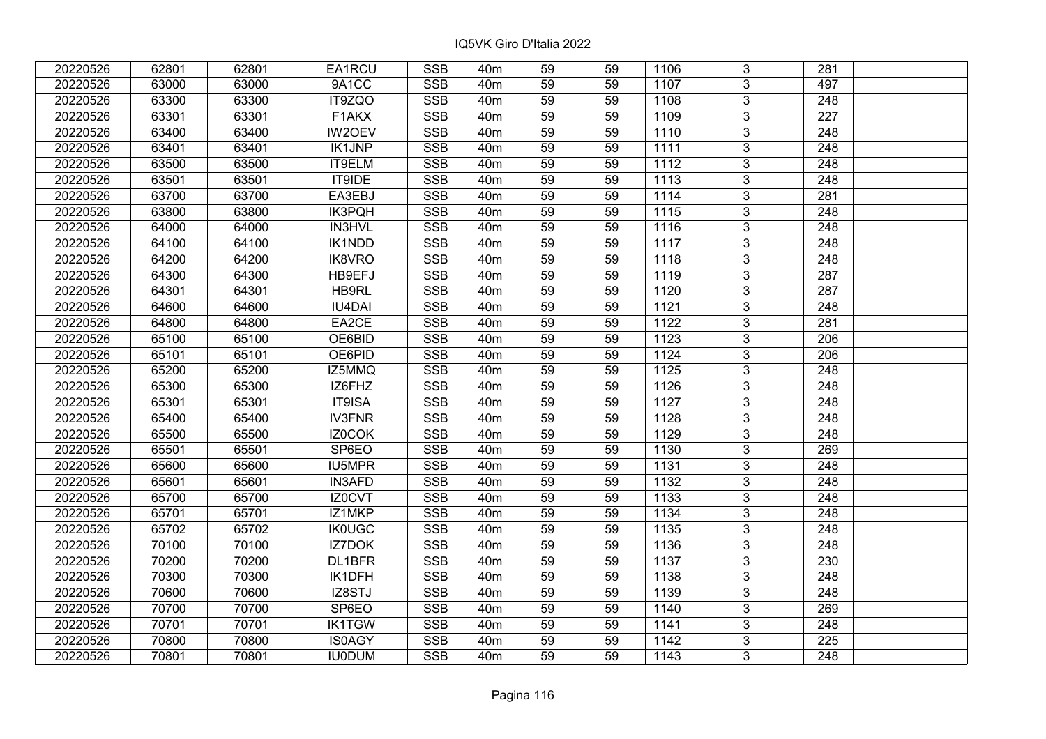| 20220526 | 62801 | 62801 | EA1RCU        | <b>SSB</b>              | 40 <sub>m</sub> | 59              | 59 | 1106               | 3              | 281              |  |
|----------|-------|-------|---------------|-------------------------|-----------------|-----------------|----|--------------------|----------------|------------------|--|
| 20220526 | 63000 | 63000 | 9A1CC         | <b>SSB</b>              | 40 <sub>m</sub> | 59              | 59 | 1107               | 3              | 497              |  |
| 20220526 | 63300 | 63300 | IT9ZQO        | SSB                     | 40 <sub>m</sub> | $\overline{59}$ | 59 | 1108               | $\overline{3}$ | 248              |  |
| 20220526 | 63301 | 63301 | F1AKX         | <b>SSB</b>              | 40 <sub>m</sub> | 59              | 59 | 1109               | $\overline{3}$ | $\overline{227}$ |  |
| 20220526 | 63400 | 63400 | IW2OEV        | <b>SSB</b>              | 40 <sub>m</sub> | 59              | 59 | 1110               | 3              | 248              |  |
| 20220526 | 63401 | 63401 | <b>IK1JNP</b> | <b>SSB</b>              | 40 <sub>m</sub> | 59              | 59 | 1111               | $\overline{3}$ | 248              |  |
| 20220526 | 63500 | 63500 | IT9ELM        | <b>SSB</b>              | 40 <sub>m</sub> | 59              | 59 | 1112               | $\overline{3}$ | 248              |  |
| 20220526 | 63501 | 63501 | IT9IDE        | <b>SSB</b>              | 40 <sub>m</sub> | 59              | 59 | 1113               | 3              | 248              |  |
| 20220526 | 63700 | 63700 | EA3EBJ        | <b>SSB</b>              | 40 <sub>m</sub> | 59              | 59 | 1114               | $\overline{3}$ | $\overline{281}$ |  |
| 20220526 | 63800 | 63800 | <b>IK3PQH</b> | <b>SSB</b>              | 40 <sub>m</sub> | 59              | 59 | 1115               | $\overline{3}$ | 248              |  |
| 20220526 | 64000 | 64000 | IN3HVL        | <b>SSB</b>              | 40 <sub>m</sub> | 59              | 59 | 1116               | 3              | 248              |  |
| 20220526 | 64100 | 64100 | IK1NDD        | <b>SSB</b>              | 40 <sub>m</sub> | 59              | 59 | 1117               | $\overline{3}$ | 248              |  |
| 20220526 | 64200 | 64200 | IK8VRO        | <b>SSB</b>              | 40 <sub>m</sub> | 59              | 59 | 1118               | 3              | 248              |  |
| 20220526 | 64300 | 64300 | HB9EFJ        | <b>SSB</b>              | 40 <sub>m</sub> | 59              | 59 | 1119               | $\overline{3}$ | 287              |  |
| 20220526 | 64301 | 64301 | HB9RL         | <b>SSB</b>              | 40 <sub>m</sub> | 59              | 59 | 1120               | 3              | 287              |  |
| 20220526 | 64600 | 64600 | <b>IU4DAI</b> | <b>SSB</b>              | 40 <sub>m</sub> | 59              | 59 | 1121               | 3              | 248              |  |
| 20220526 | 64800 | 64800 | EA2CE         | <b>SSB</b>              | 40 <sub>m</sub> | 59              | 59 | 1122               | $\overline{3}$ | 281              |  |
| 20220526 | 65100 | 65100 | OE6BID        | <b>SSB</b>              | 40 <sub>m</sub> | 59              | 59 | $\overline{1}$ 123 | 3              | 206              |  |
| 20220526 | 65101 | 65101 | OE6PID        | <b>SSB</b>              | 40 <sub>m</sub> | 59              | 59 | 1124               | 3              | 206              |  |
| 20220526 | 65200 | 65200 | IZ5MMQ        | <b>SSB</b>              | 40 <sub>m</sub> | 59              | 59 | 1125               | $\overline{3}$ | 248              |  |
| 20220526 | 65300 | 65300 | IZ6FHZ        | <b>SSB</b>              | 40 <sub>m</sub> | 59              | 59 | 1126               | $\overline{3}$ | 248              |  |
| 20220526 | 65301 | 65301 | IT9ISA        | <b>SSB</b>              | 40 <sub>m</sub> | 59              | 59 | 1127               | 3              | 248              |  |
| 20220526 | 65400 | 65400 | <b>IV3FNR</b> | <b>SSB</b>              | 40 <sub>m</sub> | 59              | 59 | 1128               | $\overline{3}$ | 248              |  |
| 20220526 | 65500 | 65500 | IZ0COK        | <b>SSB</b>              | 40 <sub>m</sub> | 59              | 59 | 1129               | $\overline{3}$ | 248              |  |
| 20220526 | 65501 | 65501 | SP6EO         | <b>SSB</b>              | 40 <sub>m</sub> | 59              | 59 | 1130               | 3              | 269              |  |
| 20220526 | 65600 | 65600 | <b>IU5MPR</b> | <b>SSB</b>              | 40 <sub>m</sub> | 59              | 59 | 1131               | $\overline{3}$ | $\overline{248}$ |  |
| 20220526 | 65601 | 65601 | <b>IN3AFD</b> | <b>SSB</b>              | 40 <sub>m</sub> | 59              | 59 | 1132               | $\overline{3}$ | $\overline{248}$ |  |
| 20220526 | 65700 | 65700 | IZ0CVT        | <b>SSB</b>              | 40 <sub>m</sub> | 59              | 59 | 1133               | $\overline{3}$ | $\overline{248}$ |  |
| 20220526 | 65701 | 65701 | IZ1MKP        | <b>SSB</b>              | 40 <sub>m</sub> | 59              | 59 | 1134               | $\overline{3}$ | $\overline{248}$ |  |
| 20220526 | 65702 | 65702 | <b>IK0UGC</b> | <b>SSB</b>              | 40 <sub>m</sub> | 59              | 59 | 1135               | $\overline{3}$ | 248              |  |
| 20220526 | 70100 | 70100 | <b>IZ7DOK</b> | SSB                     | 40 <sub>m</sub> | $\overline{59}$ | 59 | 1136               | $\overline{3}$ | $\overline{248}$ |  |
| 20220526 | 70200 | 70200 | DL1BFR        | <b>SSB</b>              | 40 <sub>m</sub> | 59              | 59 | 1137               | $\overline{3}$ | 230              |  |
| 20220526 | 70300 | 70300 | IK1DFH        | <b>SSB</b>              | 40 <sub>m</sub> | 59              | 59 | 1138               | 3              | 248              |  |
| 20220526 | 70600 | 70600 | IZ8STJ        | <b>SSB</b>              | 40 <sub>m</sub> | 59              | 59 | 1139               | $\overline{3}$ | $\overline{248}$ |  |
| 20220526 | 70700 | 70700 | SP6EO         | <b>SSB</b>              | 40 <sub>m</sub> | 59              | 59 | 1140               | 3              | 269              |  |
| 20220526 | 70701 | 70701 | <b>IK1TGW</b> | <b>SSB</b>              | 40m             | 59              | 59 | 1141               | 3              | 248              |  |
| 20220526 | 70800 | 70800 | <b>IS0AGY</b> | $\overline{\text{SSB}}$ | 40 <sub>m</sub> | 59              | 59 | 1142               | $\overline{3}$ | 225              |  |
| 20220526 | 70801 | 70801 | <b>IU0DUM</b> | <b>SSB</b>              | 40 <sub>m</sub> | 59              | 59 | 1143               | $\overline{3}$ | 248              |  |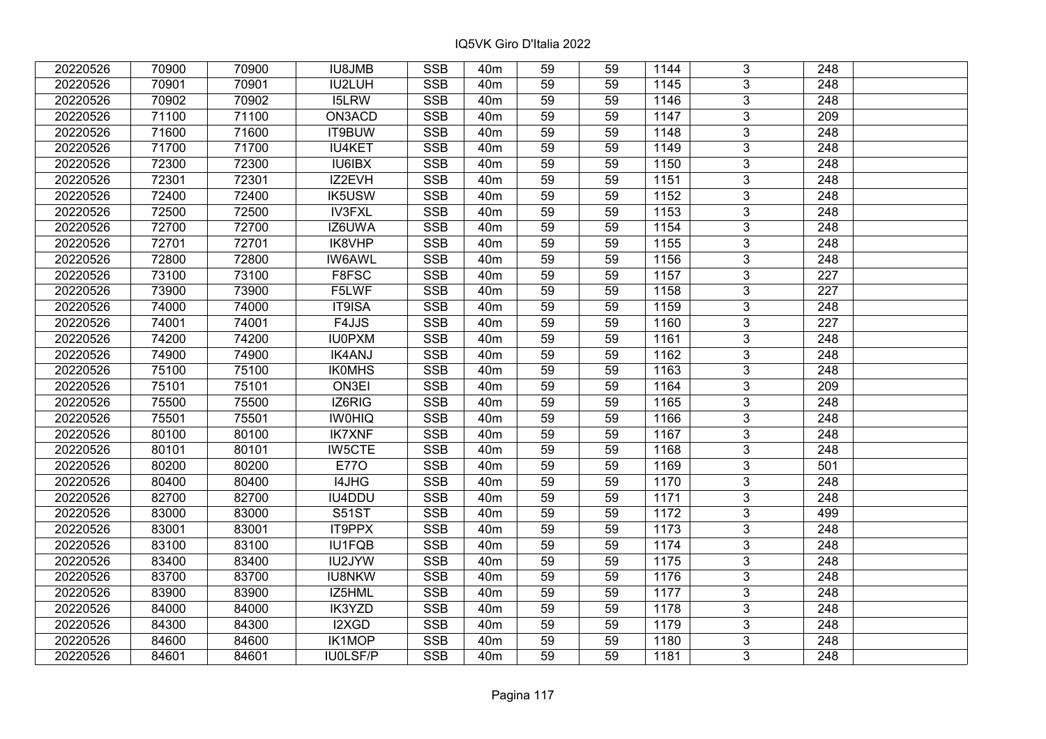| 20220526 | 70900 | 70900 | <b>IU8JMB</b> | <b>SSB</b> | 40 <sub>m</sub> | 59              | 59 | 1144 | 3              | 248              |  |
|----------|-------|-------|---------------|------------|-----------------|-----------------|----|------|----------------|------------------|--|
| 20220526 | 70901 | 70901 | IU2LUH        | <b>SSB</b> | 40 <sub>m</sub> | 59              | 59 | 1145 | $\overline{3}$ | 248              |  |
| 20220526 | 70902 | 70902 | <b>I5LRW</b>  | <b>SSB</b> | 40 <sub>m</sub> | $\overline{59}$ | 59 | 1146 | $\overline{3}$ | 248              |  |
| 20220526 | 71100 | 71100 | ON3ACD        | <b>SSB</b> | 40 <sub>m</sub> | 59              | 59 | 1147 | $\overline{3}$ | $\overline{209}$ |  |
| 20220526 | 71600 | 71600 | IT9BUW        | <b>SSB</b> | 40 <sub>m</sub> | 59              | 59 | 1148 | 3              | 248              |  |
| 20220526 | 71700 | 71700 | <b>IU4KET</b> | <b>SSB</b> | 40 <sub>m</sub> | 59              | 59 | 1149 | $\overline{3}$ | 248              |  |
| 20220526 | 72300 | 72300 | <b>IU6IBX</b> | <b>SSB</b> | 40 <sub>m</sub> | 59              | 59 | 1150 | $\overline{3}$ | 248              |  |
| 20220526 | 72301 | 72301 | IZ2EVH        | <b>SSB</b> | 40 <sub>m</sub> | 59              | 59 | 1151 | 3              | 248              |  |
| 20220526 | 72400 | 72400 | <b>IK5USW</b> | <b>SSB</b> | 40 <sub>m</sub> | 59              | 59 | 1152 | $\overline{3}$ | $\overline{248}$ |  |
| 20220526 | 72500 | 72500 | <b>IV3FXL</b> | <b>SSB</b> | 40 <sub>m</sub> | 59              | 59 | 1153 | $\overline{3}$ | 248              |  |
| 20220526 | 72700 | 72700 | IZ6UWA        | <b>SSB</b> | 40 <sub>m</sub> | 59              | 59 | 1154 | 3              | 248              |  |
| 20220526 | 72701 | 72701 | IK8VHP        | <b>SSB</b> | 40 <sub>m</sub> | 59              | 59 | 1155 | $\overline{3}$ | 248              |  |
| 20220526 | 72800 | 72800 | <b>IW6AWL</b> | <b>SSB</b> | 40 <sub>m</sub> | 59              | 59 | 1156 | 3              | 248              |  |
| 20220526 | 73100 | 73100 | F8FSC         | <b>SSB</b> | 40 <sub>m</sub> | 59              | 59 | 1157 | $\overline{3}$ | 227              |  |
| 20220526 | 73900 | 73900 | F5LWF         | <b>SSB</b> | 40 <sub>m</sub> | 59              | 59 | 1158 | $\overline{3}$ | 227              |  |
| 20220526 | 74000 | 74000 | IT9ISA        | <b>SSB</b> | 40 <sub>m</sub> | 59              | 59 | 1159 | $\overline{3}$ | 248              |  |
| 20220526 | 74001 | 74001 | F4JJS         | <b>SSB</b> | 40 <sub>m</sub> | 59              | 59 | 1160 | $\overline{3}$ | 227              |  |
| 20220526 | 74200 | 74200 | <b>IU0PXM</b> | <b>SSB</b> | 40 <sub>m</sub> | 59              | 59 | 1161 | 3              | 248              |  |
| 20220526 | 74900 | 74900 | <b>IK4ANJ</b> | <b>SSB</b> | 40 <sub>m</sub> | 59              | 59 | 1162 | 3              | 248              |  |
| 20220526 | 75100 | 75100 | <b>IKOMHS</b> | <b>SSB</b> | 40 <sub>m</sub> | 59              | 59 | 1163 | $\overline{3}$ | 248              |  |
| 20220526 | 75101 | 75101 | ON3EI         | <b>SSB</b> | 40 <sub>m</sub> | 59              | 59 | 1164 | $\overline{3}$ | 209              |  |
| 20220526 | 75500 | 75500 | IZ6RIG        | <b>SSB</b> | 40 <sub>m</sub> | 59              | 59 | 1165 | $\overline{3}$ | 248              |  |
| 20220526 | 75501 | 75501 | <b>IWOHIQ</b> | <b>SSB</b> | 40 <sub>m</sub> | 59              | 59 | 1166 | $\overline{3}$ | 248              |  |
| 20220526 | 80100 | 80100 | <b>IK7XNF</b> | <b>SSB</b> | 40 <sub>m</sub> | 59              | 59 | 1167 | $\overline{3}$ | 248              |  |
| 20220526 | 80101 | 80101 | <b>IW5CTE</b> | <b>SSB</b> | 40 <sub>m</sub> | 59              | 59 | 1168 | 3              | 248              |  |
| 20220526 | 80200 | 80200 | <b>E770</b>   | <b>SSB</b> | 40 <sub>m</sub> | 59              | 59 | 1169 | $\overline{3}$ | 501              |  |
| 20220526 | 80400 | 80400 | I4JHG         | <b>SSB</b> | 40 <sub>m</sub> | 59              | 59 | 1170 | $\overline{3}$ | 248              |  |
| 20220526 | 82700 | 82700 | IU4DDU        | <b>SSB</b> | 40 <sub>m</sub> | 59              | 59 | 1171 | $\overline{3}$ | $\overline{248}$ |  |
| 20220526 | 83000 | 83000 | <b>S51ST</b>  | <b>SSB</b> | 40 <sub>m</sub> | $\overline{59}$ | 59 | 1172 | $\overline{3}$ | 499              |  |
| 20220526 | 83001 | 83001 | IT9PPX        | <b>SSB</b> | 40 <sub>m</sub> | 59              | 59 | 1173 | $\overline{3}$ | 248              |  |
| 20220526 | 83100 | 83100 | <b>IU1FQB</b> | <b>SSB</b> | 40 <sub>m</sub> | 59              | 59 | 1174 | $\overline{3}$ | $\overline{248}$ |  |
| 20220526 | 83400 | 83400 | IU2JYW        | <b>SSB</b> | 40 <sub>m</sub> | 59              | 59 | 1175 | $\overline{3}$ | 248              |  |
| 20220526 | 83700 | 83700 | <b>IU8NKW</b> | <b>SSB</b> | 40 <sub>m</sub> | 59              | 59 | 1176 | 3              | 248              |  |
| 20220526 | 83900 | 83900 | IZ5HML        | <b>SSB</b> | 40 <sub>m</sub> | 59              | 59 | 1177 | $\overline{3}$ | $\overline{248}$ |  |
| 20220526 | 84000 | 84000 | <b>IK3YZD</b> | <b>SSB</b> | 40 <sub>m</sub> | 59              | 59 | 1178 | $\overline{3}$ | 248              |  |
| 20220526 | 84300 | 84300 | I2XGD         | <b>SSB</b> | 40 <sub>m</sub> | 59              | 59 | 1179 | 3              | 248              |  |
| 20220526 | 84600 | 84600 | <b>IK1MOP</b> | <b>SSB</b> | 40 <sub>m</sub> | 59              | 59 | 1180 | $\overline{3}$ | 248              |  |
| 20220526 | 84601 | 84601 | IU0LSF/P      | <b>SSB</b> | 40 <sub>m</sub> | 59              | 59 | 1181 | $\overline{3}$ | 248              |  |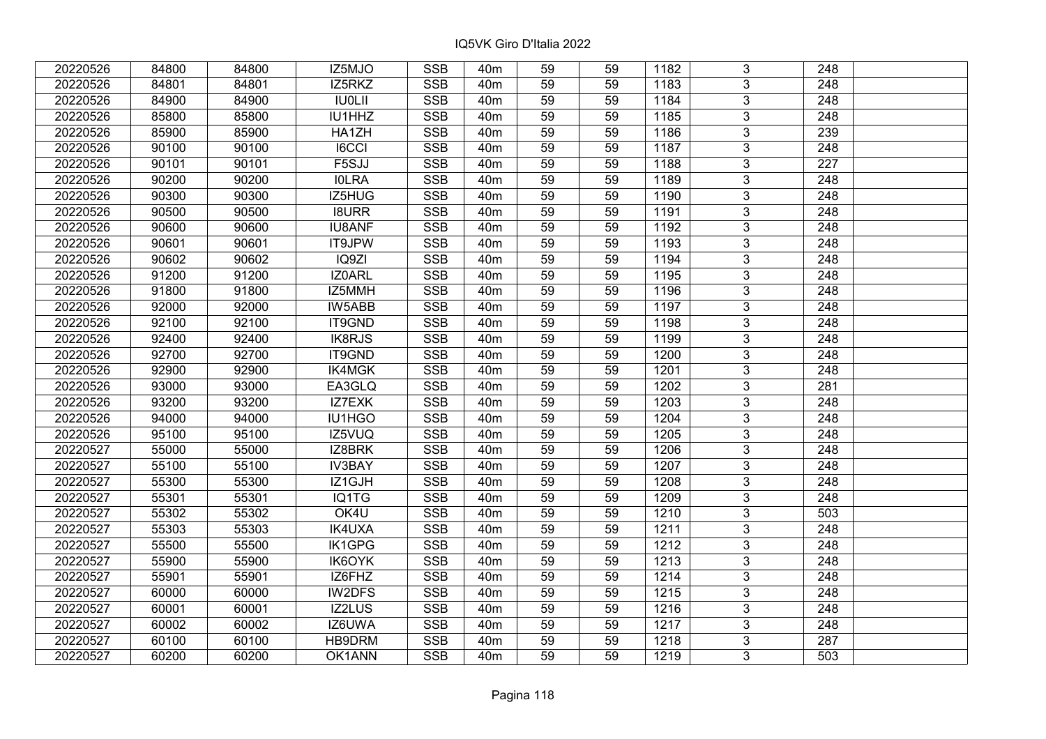| 20220526 | 84800 | 84800 | IZ5MJO            | <b>SSB</b> | 40 <sub>m</sub> | 59              | 59 | 1182 | 3              | 248              |  |
|----------|-------|-------|-------------------|------------|-----------------|-----------------|----|------|----------------|------------------|--|
| 20220526 | 84801 | 84801 | IZ5RKZ            | <b>SSB</b> | 40 <sub>m</sub> | 59              | 59 | 1183 | 3              | 248              |  |
| 20220526 | 84900 | 84900 | <b>IU0LII</b>     | <b>SSB</b> | 40 <sub>m</sub> | $\overline{59}$ | 59 | 1184 | $\overline{3}$ | 248              |  |
| 20220526 | 85800 | 85800 | IU1HHZ            | <b>SSB</b> | 40 <sub>m</sub> | 59              | 59 | 1185 | $\overline{3}$ | $\overline{248}$ |  |
| 20220526 | 85900 | 85900 | HA1ZH             | <b>SSB</b> | 40 <sub>m</sub> | 59              | 59 | 1186 | $\overline{3}$ | 239              |  |
| 20220526 | 90100 | 90100 | IGCCI             | <b>SSB</b> | 40 <sub>m</sub> | $\overline{59}$ | 59 | 1187 | $\overline{3}$ | $\overline{248}$ |  |
| 20220526 | 90101 | 90101 | F <sub>5SJJ</sub> | <b>SSB</b> | 40 <sub>m</sub> | 59              | 59 | 1188 | $\overline{3}$ | 227              |  |
| 20220526 | 90200 | 90200 | <b>IOLRA</b>      | <b>SSB</b> | 40 <sub>m</sub> | 59              | 59 | 1189 | $\overline{3}$ | 248              |  |
| 20220526 | 90300 | 90300 | IZ5HUG            | <b>SSB</b> | 40 <sub>m</sub> | 59              | 59 | 1190 | $\overline{3}$ | $\overline{248}$ |  |
| 20220526 | 90500 | 90500 | <b>I8URR</b>      | <b>SSB</b> | 40 <sub>m</sub> | 59              | 59 | 1191 | $\overline{3}$ | 248              |  |
| 20220526 | 90600 | 90600 | <b>IU8ANF</b>     | <b>SSB</b> | 40 <sub>m</sub> | 59              | 59 | 1192 | $\overline{3}$ | 248              |  |
| 20220526 | 90601 | 90601 | IT9JPW            | <b>SSB</b> | 40 <sub>m</sub> | 59              | 59 | 1193 | $\overline{3}$ | $\overline{248}$ |  |
| 20220526 | 90602 | 90602 | IQ9ZI             | <b>SSB</b> | 40 <sub>m</sub> | 59              | 59 | 1194 | $\overline{3}$ | 248              |  |
| 20220526 | 91200 | 91200 | IZ0ARL            | <b>SSB</b> | 40 <sub>m</sub> | 59              | 59 | 1195 | $\overline{3}$ | 248              |  |
| 20220526 | 91800 | 91800 | IZ5MMH            | <b>SSB</b> | 40 <sub>m</sub> | 59              | 59 | 1196 | $\overline{3}$ | 248              |  |
| 20220526 | 92000 | 92000 | IW5ABB            | <b>SSB</b> | 40 <sub>m</sub> | 59              | 59 | 1197 | 3              | 248              |  |
| 20220526 | 92100 | 92100 | IT9GND            | <b>SSB</b> | 40 <sub>m</sub> | 59              | 59 | 1198 | 3              | 248              |  |
| 20220526 | 92400 | 92400 | IK8RJS            | <b>SSB</b> | 40 <sub>m</sub> | 59              | 59 | 1199 | $\overline{3}$ | $\overline{248}$ |  |
| 20220526 | 92700 | 92700 | IT9GND            | <b>SSB</b> | 40 <sub>m</sub> | 59              | 59 | 1200 | 3              | 248              |  |
| 20220526 | 92900 | 92900 | IK4MGK            | <b>SSB</b> | 40 <sub>m</sub> | 59              | 59 | 1201 | $\overline{3}$ | 248              |  |
| 20220526 | 93000 | 93000 | EA3GLQ            | <b>SSB</b> | 40 <sub>m</sub> | 59              | 59 | 1202 | $\overline{3}$ | 281              |  |
| 20220526 | 93200 | 93200 | IZ7EXK            | <b>SSB</b> | 40 <sub>m</sub> | 59              | 59 | 1203 | $\overline{3}$ | 248              |  |
| 20220526 | 94000 | 94000 | IU1HGO            | <b>SSB</b> | 40 <sub>m</sub> | 59              | 59 | 1204 | $\overline{3}$ | 248              |  |
| 20220526 | 95100 | 95100 | IZ5VUQ            | <b>SSB</b> | 40 <sub>m</sub> | 59              | 59 | 1205 | 3              | 248              |  |
| 20220527 | 55000 | 55000 | IZ8BRK            | <b>SSB</b> | 40 <sub>m</sub> | 59              | 59 | 1206 | $\overline{3}$ | 248              |  |
| 20220527 | 55100 | 55100 | <b>IV3BAY</b>     | <b>SSB</b> | 40 <sub>m</sub> | 59              | 59 | 1207 | $\overline{3}$ | 248              |  |
| 20220527 | 55300 | 55300 | IZ1GJH            | <b>SSB</b> | 40 <sub>m</sub> | 59              | 59 | 1208 | 3              | 248              |  |
| 20220527 | 55301 | 55301 | IQ1TG             | <b>SSB</b> | 40 <sub>m</sub> | 59              | 59 | 1209 | $\overline{3}$ | $\overline{248}$ |  |
| 20220527 | 55302 | 55302 | OK4U              | <b>SSB</b> | 40 <sub>m</sub> | 59              | 59 | 1210 | $\overline{3}$ | 503              |  |
| 20220527 | 55303 | 55303 | <b>IK4UXA</b>     | <b>SSB</b> | 40 <sub>m</sub> | 59              | 59 | 1211 | $\overline{3}$ | 248              |  |
| 20220527 | 55500 | 55500 | IK1GPG            | <b>SSB</b> | 40 <sub>m</sub> | 59              | 59 | 1212 | $\overline{3}$ | $\overline{248}$ |  |
| 20220527 | 55900 | 55900 | IK6OYK            | <b>SSB</b> | 40 <sub>m</sub> | 59              | 59 | 1213 | $\overline{3}$ | 248              |  |
| 20220527 | 55901 | 55901 | IZ6FHZ            | <b>SSB</b> | 40 <sub>m</sub> | 59              | 59 | 1214 | 3              | 248              |  |
| 20220527 | 60000 | 60000 | IW2DFS            | <b>SSB</b> | 40 <sub>m</sub> | 59              | 59 | 1215 | 3              | 248              |  |
| 20220527 | 60001 | 60001 | IZ2LUS            | <b>SSB</b> | 40 <sub>m</sub> | 59              | 59 | 1216 | 3              | 248              |  |
| 20220527 | 60002 | 60002 | IZ6UWA            | <b>SSB</b> | 40 <sub>m</sub> | 59              | 59 | 1217 | 3              | 248              |  |
| 20220527 | 60100 | 60100 | HB9DRM            | <b>SSB</b> | 40 <sub>m</sub> | 59              | 59 | 1218 | $\overline{3}$ | $\overline{287}$ |  |
| 20220527 | 60200 | 60200 | OK1ANN            | <b>SSB</b> | 40 <sub>m</sub> | 59              | 59 | 1219 | $\overline{3}$ | 503              |  |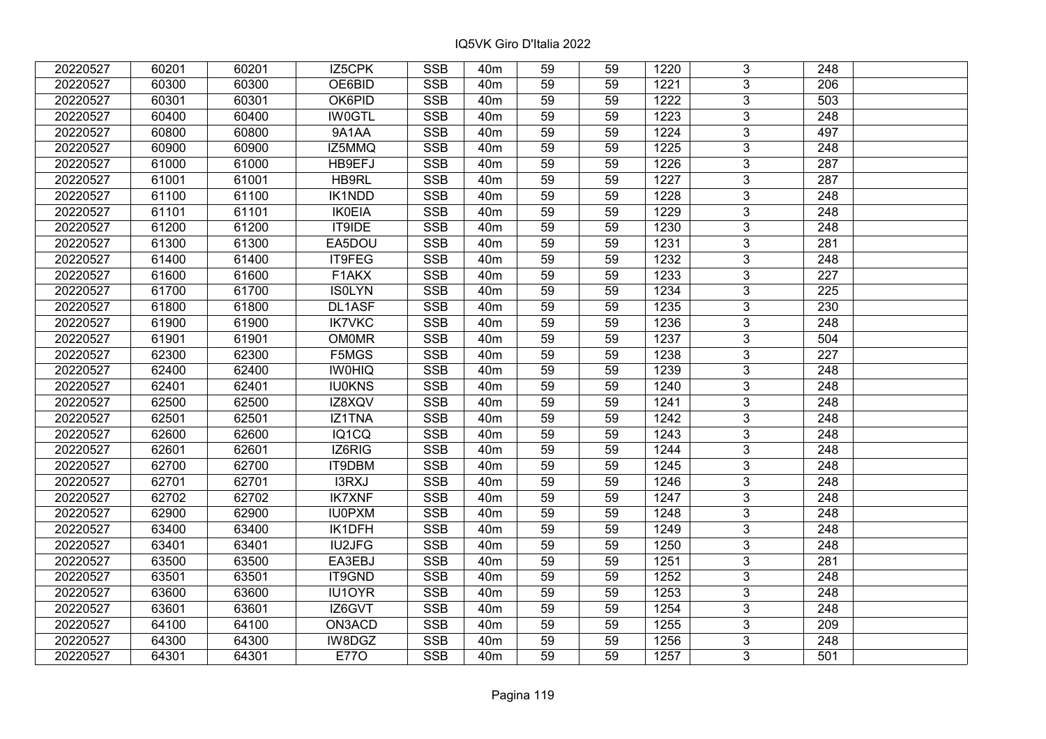| 20220527 | 60201 | 60201 | IZ5CPK        | <b>SSB</b>              | 40 <sub>m</sub> | 59              | 59 | 1220 | 3              | 248              |  |
|----------|-------|-------|---------------|-------------------------|-----------------|-----------------|----|------|----------------|------------------|--|
| 20220527 | 60300 | 60300 | OE6BID        | <b>SSB</b>              | 40 <sub>m</sub> | 59              | 59 | 1221 | 3              | 206              |  |
| 20220527 | 60301 | 60301 | OK6PID        | SSB                     | 40 <sub>m</sub> | $\overline{59}$ | 59 | 1222 | $\overline{3}$ | 503              |  |
| 20220527 | 60400 | 60400 | <b>IW0GTL</b> | <b>SSB</b>              | 40 <sub>m</sub> | 59              | 59 | 1223 | $\overline{3}$ | $\overline{248}$ |  |
| 20220527 | 60800 | 60800 | 9A1AA         | <b>SSB</b>              | 40 <sub>m</sub> | 59              | 59 | 1224 | 3              | 497              |  |
| 20220527 | 60900 | 60900 | IZ5MMQ        | <b>SSB</b>              | 40 <sub>m</sub> | 59              | 59 | 1225 | $\overline{3}$ | 248              |  |
| 20220527 | 61000 | 61000 | HB9EFJ        | <b>SSB</b>              | 40 <sub>m</sub> | 59              | 59 | 1226 | $\overline{3}$ | 287              |  |
| 20220527 | 61001 | 61001 | HB9RL         | <b>SSB</b>              | 40 <sub>m</sub> | 59              | 59 | 1227 | 3              | 287              |  |
| 20220527 | 61100 | 61100 | <b>IK1NDD</b> | <b>SSB</b>              | 40 <sub>m</sub> | 59              | 59 | 1228 | $\overline{3}$ | 248              |  |
| 20220527 | 61101 | 61101 | <b>IK0EIA</b> | <b>SSB</b>              | 40 <sub>m</sub> | 59              | 59 | 1229 | $\overline{3}$ | 248              |  |
| 20220527 | 61200 | 61200 | IT9IDE        | <b>SSB</b>              | 40 <sub>m</sub> | 59              | 59 | 1230 | 3              | 248              |  |
| 20220527 | 61300 | 61300 | EA5DOU        | <b>SSB</b>              | 40 <sub>m</sub> | 59              | 59 | 1231 | $\overline{3}$ | 281              |  |
| 20220527 | 61400 | 61400 | IT9FEG        | <b>SSB</b>              | 40 <sub>m</sub> | 59              | 59 | 1232 | 3              | 248              |  |
| 20220527 | 61600 | 61600 | F1AKX         | <b>SSB</b>              | 40 <sub>m</sub> | 59              | 59 | 1233 | $\overline{3}$ | 227              |  |
| 20220527 | 61700 | 61700 | <b>ISOLYN</b> | <b>SSB</b>              | 40 <sub>m</sub> | 59              | 59 | 1234 | 3              | 225              |  |
| 20220527 | 61800 | 61800 | DL1ASF        | <b>SSB</b>              | 40 <sub>m</sub> | 59              | 59 | 1235 | 3              | 230              |  |
| 20220527 | 61900 | 61900 | <b>IK7VKC</b> | <b>SSB</b>              | 40 <sub>m</sub> | 59              | 59 | 1236 | $\overline{3}$ | 248              |  |
| 20220527 | 61901 | 61901 | <b>OM0MR</b>  | <b>SSB</b>              | 40 <sub>m</sub> | 59              | 59 | 1237 | 3              | 504              |  |
| 20220527 | 62300 | 62300 | F5MGS         | <b>SSB</b>              | 40 <sub>m</sub> | 59              | 59 | 1238 | 3              | 227              |  |
| 20220527 | 62400 | 62400 | <b>IWOHIQ</b> | <b>SSB</b>              | 40 <sub>m</sub> | 59              | 59 | 1239 | $\overline{3}$ | 248              |  |
| 20220527 | 62401 | 62401 | <b>IU0KNS</b> | <b>SSB</b>              | 40 <sub>m</sub> | 59              | 59 | 1240 | $\overline{3}$ | 248              |  |
| 20220527 | 62500 | 62500 | IZ8XQV        | <b>SSB</b>              | 40 <sub>m</sub> | 59              | 59 | 1241 | 3              | 248              |  |
| 20220527 | 62501 | 62501 | IZ1TNA        | SSB                     | 40 <sub>m</sub> | 59              | 59 | 1242 | $\overline{3}$ | 248              |  |
| 20220527 | 62600 | 62600 | IQ1CQ         | <b>SSB</b>              | 40 <sub>m</sub> | 59              | 59 | 1243 | $\overline{3}$ | 248              |  |
| 20220527 | 62601 | 62601 | IZ6RIG        | <b>SSB</b>              | 40 <sub>m</sub> | 59              | 59 | 1244 | 3              | 248              |  |
| 20220527 | 62700 | 62700 | IT9DBM        | <b>SSB</b>              | 40 <sub>m</sub> | 59              | 59 | 1245 | $\overline{3}$ | $\overline{248}$ |  |
| 20220527 | 62701 | 62701 | I3RXJ         | <b>SSB</b>              | 40 <sub>m</sub> | 59              | 59 | 1246 | $\overline{3}$ | 248              |  |
| 20220527 | 62702 | 62702 | <b>IK7XNF</b> | <b>SSB</b>              | 40 <sub>m</sub> | 59              | 59 | 1247 | $\overline{3}$ | $\overline{248}$ |  |
| 20220527 | 62900 | 62900 | <b>IU0PXM</b> | <b>SSB</b>              | 40 <sub>m</sub> | 59              | 59 | 1248 | $\overline{3}$ | $\overline{248}$ |  |
| 20220527 | 63400 | 63400 | IK1DFH        | <b>SSB</b>              | 40m             | 59              | 59 | 1249 | $\overline{3}$ | 248              |  |
| 20220527 | 63401 | 63401 | <b>IU2JFG</b> | <b>SSB</b>              | 40 <sub>m</sub> | $\overline{59}$ | 59 | 1250 | $\overline{3}$ | $\overline{248}$ |  |
| 20220527 | 63500 | 63500 | EA3EBJ        | <b>SSB</b>              | 40 <sub>m</sub> | 59              | 59 | 1251 | $\overline{3}$ | 281              |  |
| 20220527 | 63501 | 63501 | IT9GND        | <b>SSB</b>              | 40 <sub>m</sub> | 59              | 59 | 1252 | 3              | 248              |  |
| 20220527 | 63600 | 63600 | IU1OYR        | <b>SSB</b>              | 40 <sub>m</sub> | 59              | 59 | 1253 | $\overline{3}$ | $\overline{248}$ |  |
| 20220527 | 63601 | 63601 | IZ6GVT        | <b>SSB</b>              | 40 <sub>m</sub> | 59              | 59 | 1254 | 3              | 248              |  |
| 20220527 | 64100 | 64100 | ON3ACD        | <b>SSB</b>              | 40 <sub>m</sub> | 59              | 59 | 1255 | 3              | 209              |  |
| 20220527 | 64300 | 64300 | IW8DGZ        | $\overline{\text{SSB}}$ | 40 <sub>m</sub> | 59              | 59 | 1256 | $\overline{3}$ | 248              |  |
| 20220527 | 64301 | 64301 | <b>E770</b>   | <b>SSB</b>              | 40 <sub>m</sub> | 59              | 59 | 1257 | $\overline{3}$ | 501              |  |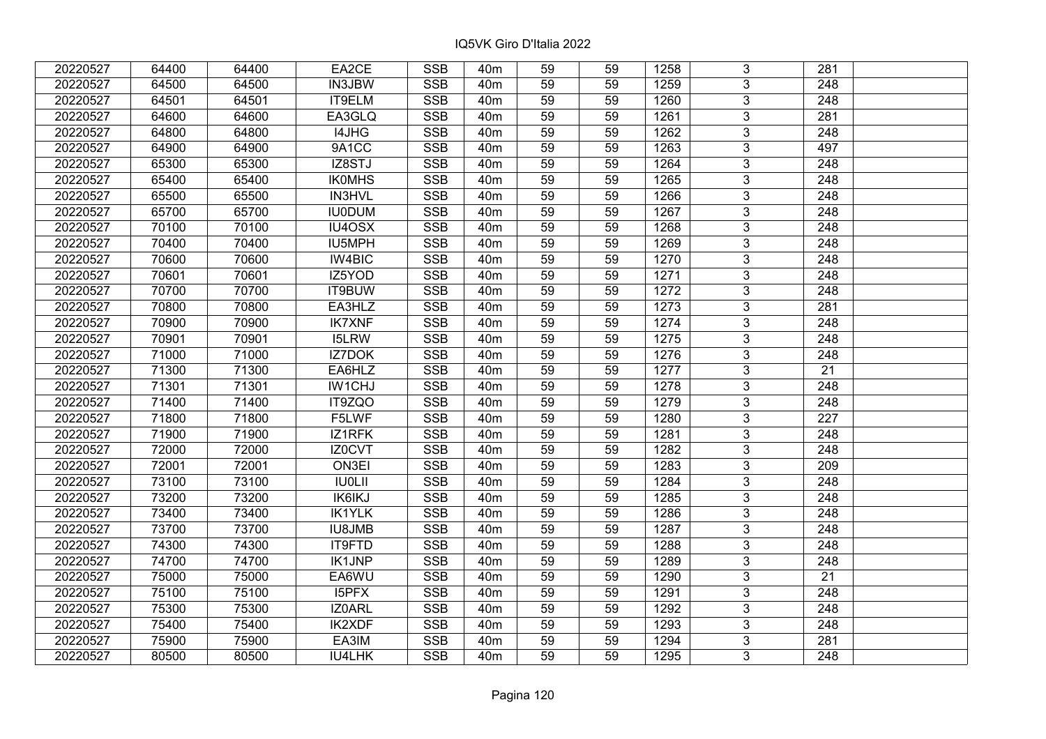| 20220527 | 64400 | 64400 | EA2CE         | <b>SSB</b>              | 40 <sub>m</sub> | 59              | 59 | 1258 | 3              | 281              |  |
|----------|-------|-------|---------------|-------------------------|-----------------|-----------------|----|------|----------------|------------------|--|
| 20220527 | 64500 | 64500 | IN3JBW        | <b>SSB</b>              | 40 <sub>m</sub> | 59              | 59 | 1259 | $\overline{3}$ | 248              |  |
| 20220527 | 64501 | 64501 | IT9ELM        | SSB                     | 40 <sub>m</sub> | $\overline{59}$ | 59 | 1260 | $\overline{3}$ | 248              |  |
| 20220527 | 64600 | 64600 | EA3GLQ        | <b>SSB</b>              | 40 <sub>m</sub> | 59              | 59 | 1261 | $\overline{3}$ | 281              |  |
| 20220527 | 64800 | 64800 | I4JHG         | <b>SSB</b>              | 40 <sub>m</sub> | 59              | 59 | 1262 | 3              | 248              |  |
| 20220527 | 64900 | 64900 | 9A1CC         | <b>SSB</b>              | 40 <sub>m</sub> | 59              | 59 | 1263 | $\overline{3}$ | 497              |  |
| 20220527 | 65300 | 65300 | IZ8STJ        | <b>SSB</b>              | 40 <sub>m</sub> | 59              | 59 | 1264 | $\overline{3}$ | 248              |  |
| 20220527 | 65400 | 65400 | <b>IKOMHS</b> | <b>SSB</b>              | 40 <sub>m</sub> | 59              | 59 | 1265 | 3              | 248              |  |
| 20220527 | 65500 | 65500 | <b>IN3HVL</b> | <b>SSB</b>              | 40 <sub>m</sub> | $\overline{59}$ | 59 | 1266 | $\overline{3}$ | $\overline{248}$ |  |
| 20220527 | 65700 | 65700 | <b>IU0DUM</b> | <b>SSB</b>              | 40 <sub>m</sub> | 59              | 59 | 1267 | $\overline{3}$ | 248              |  |
| 20220527 | 70100 | 70100 | IU4OSX        | <b>SSB</b>              | 40 <sub>m</sub> | 59              | 59 | 1268 | 3              | 248              |  |
| 20220527 | 70400 | 70400 | <b>IU5MPH</b> | <b>SSB</b>              | 40 <sub>m</sub> | 59              | 59 | 1269 | $\overline{3}$ | 248              |  |
| 20220527 | 70600 | 70600 | IW4BIC        | <b>SSB</b>              | 40 <sub>m</sub> | 59              | 59 | 1270 | 3              | 248              |  |
| 20220527 | 70601 | 70601 | IZ5YOD        | <b>SSB</b>              | 40 <sub>m</sub> | 59              | 59 | 1271 | $\overline{3}$ | 248              |  |
| 20220527 | 70700 | 70700 | IT9BUW        | <b>SSB</b>              | 40 <sub>m</sub> | 59              | 59 | 1272 | $\overline{3}$ | 248              |  |
| 20220527 | 70800 | 70800 | EA3HLZ        | <b>SSB</b>              | 40 <sub>m</sub> | 59              | 59 | 1273 | 3              | 281              |  |
| 20220527 | 70900 | 70900 | <b>IK7XNF</b> | <b>SSB</b>              | 40 <sub>m</sub> | 59              | 59 | 1274 | $\overline{3}$ | 248              |  |
| 20220527 | 70901 | 70901 | <b>I5LRW</b>  | <b>SSB</b>              | 40 <sub>m</sub> | 59              | 59 | 1275 | 3              | 248              |  |
| 20220527 | 71000 | 71000 | IZ7DOK        | <b>SSB</b>              | 40 <sub>m</sub> | 59              | 59 | 1276 | 3              | 248              |  |
| 20220527 | 71300 | 71300 | EA6HLZ        | <b>SSB</b>              | 40 <sub>m</sub> | 59              | 59 | 1277 | $\overline{3}$ | 21               |  |
| 20220527 | 71301 | 71301 | IW1CHJ        | <b>SSB</b>              | 40 <sub>m</sub> | 59              | 59 | 1278 | $\overline{3}$ | 248              |  |
| 20220527 | 71400 | 71400 | IT9ZQO        | <b>SSB</b>              | 40 <sub>m</sub> | 59              | 59 | 1279 | 3              | 248              |  |
| 20220527 | 71800 | 71800 | F5LWF         | SSB                     | 40 <sub>m</sub> | 59              | 59 | 1280 | $\overline{3}$ | 227              |  |
| 20220527 | 71900 | 71900 | IZ1RFK        | <b>SSB</b>              | 40 <sub>m</sub> | 59              | 59 | 1281 | $\overline{3}$ | 248              |  |
| 20220527 | 72000 | 72000 | IZ0CVT        | <b>SSB</b>              | 40 <sub>m</sub> | 59              | 59 | 1282 | 3              | 248              |  |
| 20220527 | 72001 | 72001 | ON3EI         | <b>SSB</b>              | 40 <sub>m</sub> | 59              | 59 | 1283 | $\overline{3}$ | 209              |  |
| 20220527 | 73100 | 73100 | <b>IU0LII</b> | <b>SSB</b>              | 40 <sub>m</sub> | 59              | 59 | 1284 | $\overline{3}$ | $\overline{248}$ |  |
| 20220527 | 73200 | 73200 | <b>IK6IKJ</b> | <b>SSB</b>              | 40 <sub>m</sub> | 59              | 59 | 1285 | $\overline{3}$ | $\overline{248}$ |  |
| 20220527 | 73400 | 73400 | <b>IK1YLK</b> | <b>SSB</b>              | 40 <sub>m</sub> | 59              | 59 | 1286 | $\overline{3}$ | $\overline{248}$ |  |
| 20220527 | 73700 | 73700 | <b>IU8JMB</b> | <b>SSB</b>              | 40 <sub>m</sub> | 59              | 59 | 1287 | $\overline{3}$ | 248              |  |
| 20220527 | 74300 | 74300 | IT9FTD        | SSB                     | 40 <sub>m</sub> | $\overline{59}$ | 59 | 1288 | $\overline{3}$ | $\overline{248}$ |  |
| 20220527 | 74700 | 74700 | <b>IK1JNP</b> | <b>SSB</b>              | 40 <sub>m</sub> | 59              | 59 | 1289 | $\overline{3}$ | 248              |  |
| 20220527 | 75000 | 75000 | EA6WU         | <b>SSB</b>              | 40 <sub>m</sub> | 59              | 59 | 1290 | 3              | 21               |  |
| 20220527 | 75100 | 75100 | I5PFX         | <b>SSB</b>              | 40 <sub>m</sub> | 59              | 59 | 1291 | $\overline{3}$ | $\overline{248}$ |  |
| 20220527 | 75300 | 75300 | IZ0ARL        | <b>SSB</b>              | 40 <sub>m</sub> | 59              | 59 | 1292 | $\overline{3}$ | 248              |  |
| 20220527 | 75400 | 75400 | <b>IK2XDF</b> | <b>SSB</b>              | 40 <sub>m</sub> | 59              | 59 | 1293 | 3              | 248              |  |
| 20220527 | 75900 | 75900 | EA3IM         | $\overline{\text{SSB}}$ | 40 <sub>m</sub> | 59              | 59 | 1294 | $\overline{3}$ | $\overline{281}$ |  |
| 20220527 | 80500 | 80500 | IU4LHK        | <b>SSB</b>              | 40 <sub>m</sub> | 59              | 59 | 1295 | $\overline{3}$ | 248              |  |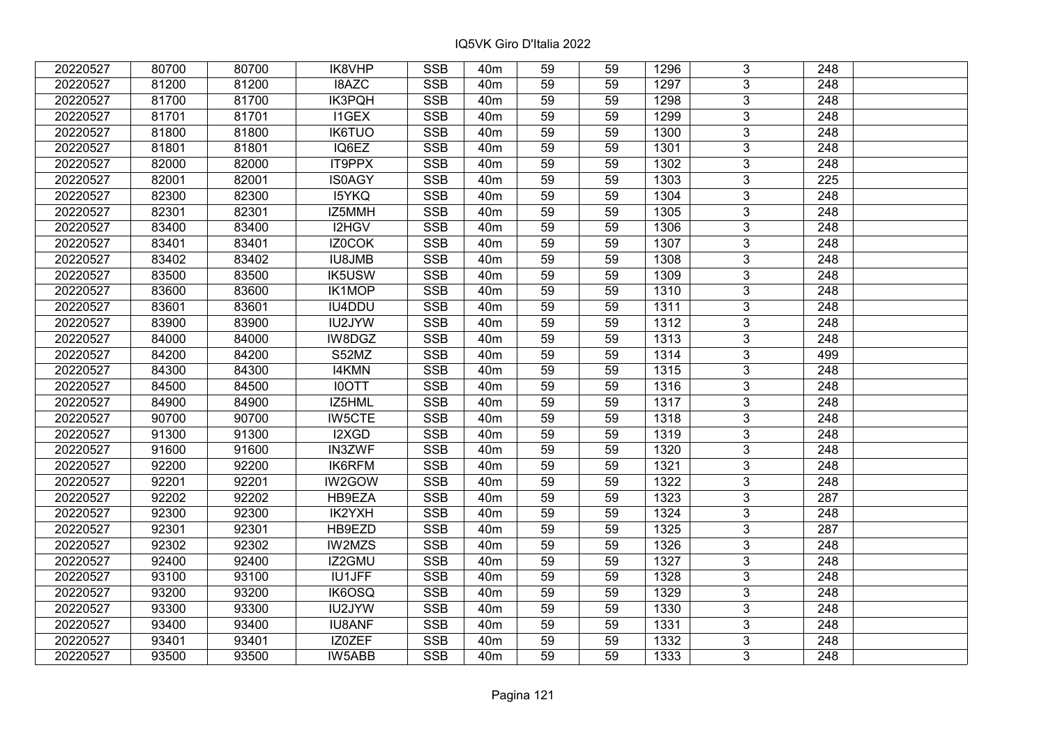| 20220527 | 80700 | 80700 | IK8VHP        | <b>SSB</b>              | 40 <sub>m</sub> | 59              | 59 | 1296 | 3              | 248              |  |
|----------|-------|-------|---------------|-------------------------|-----------------|-----------------|----|------|----------------|------------------|--|
| 20220527 | 81200 | 81200 | I8AZC         | <b>SSB</b>              | 40 <sub>m</sub> | 59              | 59 | 1297 | 3              | 248              |  |
| 20220527 | 81700 | 81700 | <b>IK3PQH</b> | SSB                     | 40 <sub>m</sub> | $\overline{59}$ | 59 | 1298 | $\overline{3}$ | 248              |  |
| 20220527 | 81701 | 81701 | <b>I1GEX</b>  | <b>SSB</b>              | 40 <sub>m</sub> | 59              | 59 | 1299 | $\overline{3}$ | $\overline{248}$ |  |
| 20220527 | 81800 | 81800 | <b>IK6TUO</b> | <b>SSB</b>              | 40 <sub>m</sub> | 59              | 59 | 1300 | 3              | 248              |  |
| 20220527 | 81801 | 81801 | IQ6EZ         | <b>SSB</b>              | 40 <sub>m</sub> | 59              | 59 | 1301 | $\overline{3}$ | 248              |  |
| 20220527 | 82000 | 82000 | IT9PPX        | <b>SSB</b>              | 40 <sub>m</sub> | 59              | 59 | 1302 | $\overline{3}$ | 248              |  |
| 20220527 | 82001 | 82001 | <b>IS0AGY</b> | <b>SSB</b>              | 40 <sub>m</sub> | 59              | 59 | 1303 | 3              | 225              |  |
| 20220527 | 82300 | 82300 | <b>I5YKQ</b>  | <b>SSB</b>              | 40 <sub>m</sub> | 59              | 59 | 1304 | $\overline{3}$ | $\overline{248}$ |  |
| 20220527 | 82301 | 82301 | IZ5MMH        | <b>SSB</b>              | 40 <sub>m</sub> | 59              | 59 | 1305 | $\overline{3}$ | 248              |  |
| 20220527 | 83400 | 83400 | I2HGV         | <b>SSB</b>              | 40 <sub>m</sub> | 59              | 59 | 1306 | 3              | 248              |  |
| 20220527 | 83401 | 83401 | IZ0COK        | <b>SSB</b>              | 40 <sub>m</sub> | 59              | 59 | 1307 | $\overline{3}$ | 248              |  |
| 20220527 | 83402 | 83402 | <b>IU8JMB</b> | <b>SSB</b>              | 40 <sub>m</sub> | 59              | 59 | 1308 | 3              | 248              |  |
| 20220527 | 83500 | 83500 | <b>IK5USW</b> | <b>SSB</b>              | 40 <sub>m</sub> | 59              | 59 | 1309 | $\overline{3}$ | 248              |  |
| 20220527 | 83600 | 83600 | IK1MOP        | <b>SSB</b>              | 40 <sub>m</sub> | 59              | 59 | 1310 | 3              | 248              |  |
| 20220527 | 83601 | 83601 | IU4DDU        | <b>SSB</b>              | 40 <sub>m</sub> | 59              | 59 | 1311 | 3              | 248              |  |
| 20220527 | 83900 | 83900 | IU2JYW        | <b>SSB</b>              | 40 <sub>m</sub> | 59              | 59 | 1312 | 3              | 248              |  |
| 20220527 | 84000 | 84000 | IW8DGZ        | <b>SSB</b>              | 40 <sub>m</sub> | 59              | 59 | 1313 | 3              | 248              |  |
| 20220527 | 84200 | 84200 | S52MZ         | <b>SSB</b>              | 40 <sub>m</sub> | 59              | 59 | 1314 | 3              | 499              |  |
| 20220527 | 84300 | 84300 | <b>I4KMN</b>  | <b>SSB</b>              | 40 <sub>m</sub> | 59              | 59 | 1315 | $\overline{3}$ | 248              |  |
| 20220527 | 84500 | 84500 | <b>IOOTT</b>  | <b>SSB</b>              | 40 <sub>m</sub> | 59              | 59 | 1316 | $\overline{3}$ | 248              |  |
| 20220527 | 84900 | 84900 | IZ5HML        | <b>SSB</b>              | 40 <sub>m</sub> | 59              | 59 | 1317 | 3              | 248              |  |
| 20220527 | 90700 | 90700 | <b>IW5CTE</b> | <b>SSB</b>              | 40 <sub>m</sub> | 59              | 59 | 1318 | $\overline{3}$ | 248              |  |
| 20220527 | 91300 | 91300 | I2XGD         | <b>SSB</b>              | 40 <sub>m</sub> | 59              | 59 | 1319 | 3              | 248              |  |
| 20220527 | 91600 | 91600 | IN3ZWF        | <b>SSB</b>              | 40 <sub>m</sub> | 59              | 59 | 1320 | 3              | 248              |  |
| 20220527 | 92200 | 92200 | IK6RFM        | <b>SSB</b>              | 40 <sub>m</sub> | 59              | 59 | 1321 | $\overline{3}$ | $\overline{248}$ |  |
| 20220527 | 92201 | 92201 | IW2GOW        | <b>SSB</b>              | 40 <sub>m</sub> | 59              | 59 | 1322 | $\overline{3}$ | $\overline{248}$ |  |
| 20220527 | 92202 | 92202 | HB9EZA        | <b>SSB</b>              | 40 <sub>m</sub> | 59              | 59 | 1323 | $\overline{3}$ | 287              |  |
| 20220527 | 92300 | 92300 | IK2YXH        | <b>SSB</b>              | 40 <sub>m</sub> | 59              | 59 | 1324 | $\overline{3}$ | 248              |  |
| 20220527 | 92301 | 92301 | HB9EZD        | <b>SSB</b>              | 40 <sub>m</sub> | 59              | 59 | 1325 | $\overline{3}$ | 287              |  |
| 20220527 | 92302 | 92302 | <b>IW2MZS</b> | <b>SSB</b>              | 40 <sub>m</sub> | $\overline{59}$ | 59 | 1326 | $\overline{3}$ | $\overline{248}$ |  |
| 20220527 | 92400 | 92400 | IZ2GMU        | <b>SSB</b>              | 40 <sub>m</sub> | 59              | 59 | 1327 | $\overline{3}$ | 248              |  |
| 20220527 | 93100 | 93100 | <b>IU1JFF</b> | <b>SSB</b>              | 40 <sub>m</sub> | 59              | 59 | 1328 | 3              | 248              |  |
| 20220527 | 93200 | 93200 | IK6OSQ        | <b>SSB</b>              | 40 <sub>m</sub> | 59              | 59 | 1329 | $\overline{3}$ | $\overline{248}$ |  |
| 20220527 | 93300 | 93300 | IU2JYW        | <b>SSB</b>              | 40 <sub>m</sub> | 59              | 59 | 1330 | 3              | 248              |  |
| 20220527 | 93400 | 93400 | <b>IU8ANF</b> | <b>SSB</b>              | 40m             | 59              | 59 | 1331 | 3              | 248              |  |
| 20220527 | 93401 | 93401 | IZ0ZEF        | $\overline{\text{SSB}}$ | 40 <sub>m</sub> | 59              | 59 | 1332 | $\overline{3}$ | 248              |  |
| 20220527 | 93500 | 93500 | IW5ABB        | <b>SSB</b>              | 40 <sub>m</sub> | 59              | 59 | 1333 | $\overline{3}$ | 248              |  |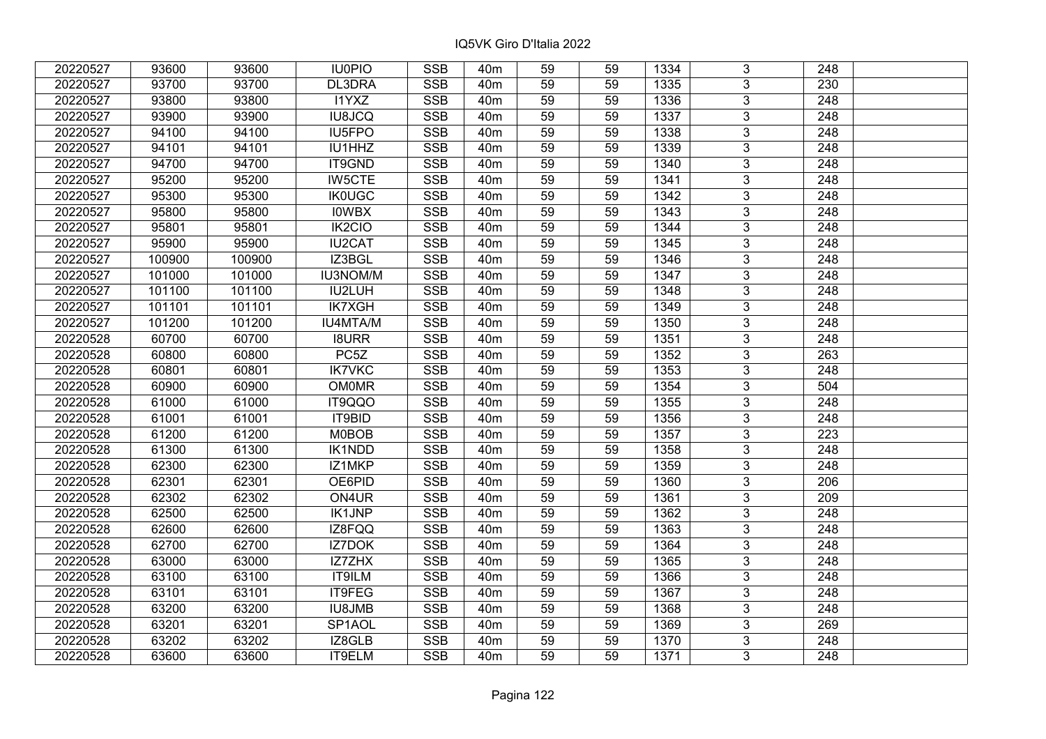| 20220527 | 93600  | 93600  | <b>IU0PIO</b>     | <b>SSB</b>              | 40 <sub>m</sub> | 59              | 59 | 1334 | 3              | 248              |  |
|----------|--------|--------|-------------------|-------------------------|-----------------|-----------------|----|------|----------------|------------------|--|
| 20220527 | 93700  | 93700  | DL3DRA            | <b>SSB</b>              | 40 <sub>m</sub> | 59              | 59 | 1335 | 3              | 230              |  |
| 20220527 | 93800  | 93800  | <b>I1YXZ</b>      | SSB                     | 40 <sub>m</sub> | $\overline{59}$ | 59 | 1336 | $\overline{3}$ | 248              |  |
| 20220527 | 93900  | 93900  | <b>IU8JCQ</b>     | <b>SSB</b>              | 40 <sub>m</sub> | 59              | 59 | 1337 | $\overline{3}$ | $\overline{248}$ |  |
| 20220527 | 94100  | 94100  | IU5FPO            | <b>SSB</b>              | 40 <sub>m</sub> | 59              | 59 | 1338 | 3              | 248              |  |
| 20220527 | 94101  | 94101  | IU1HHZ            | <b>SSB</b>              | 40 <sub>m</sub> | 59              | 59 | 1339 | $\overline{3}$ | 248              |  |
| 20220527 | 94700  | 94700  | IT9GND            | <b>SSB</b>              | 40 <sub>m</sub> | 59              | 59 | 1340 | $\overline{3}$ | 248              |  |
| 20220527 | 95200  | 95200  | <b>IW5CTE</b>     | <b>SSB</b>              | 40 <sub>m</sub> | 59              | 59 | 1341 | 3              | 248              |  |
| 20220527 | 95300  | 95300  | <b>IK0UGC</b>     | <b>SSB</b>              | 40 <sub>m</sub> | 59              | 59 | 1342 | $\overline{3}$ | $\overline{248}$ |  |
| 20220527 | 95800  | 95800  | <b>IOWBX</b>      | <b>SSB</b>              | 40 <sub>m</sub> | 59              | 59 | 1343 | $\overline{3}$ | 248              |  |
| 20220527 | 95801  | 95801  | IK2CIO            | <b>SSB</b>              | 40 <sub>m</sub> | 59              | 59 | 1344 | 3              | 248              |  |
| 20220527 | 95900  | 95900  | <b>IU2CAT</b>     | <b>SSB</b>              | 40 <sub>m</sub> | 59              | 59 | 1345 | $\overline{3}$ | 248              |  |
| 20220527 | 100900 | 100900 | IZ3BGL            | <b>SSB</b>              | 40 <sub>m</sub> | 59              | 59 | 1346 | 3              | 248              |  |
| 20220527 | 101000 | 101000 | <b>IU3NOM/M</b>   | <b>SSB</b>              | 40 <sub>m</sub> | 59              | 59 | 1347 | $\overline{3}$ | 248              |  |
| 20220527 | 101100 | 101100 | IU2LUH            | <b>SSB</b>              | 40 <sub>m</sub> | 59              | 59 | 1348 | 3              | 248              |  |
| 20220527 | 101101 | 101101 | <b>IK7XGH</b>     | <b>SSB</b>              | 40 <sub>m</sub> | 59              | 59 | 1349 | 3              | 248              |  |
| 20220527 | 101200 | 101200 | <b>IU4MTA/M</b>   | <b>SSB</b>              | 40 <sub>m</sub> | 59              | 59 | 1350 | 3              | 248              |  |
| 20220528 | 60700  | 60700  | <b>I8URR</b>      | <b>SSB</b>              | 40 <sub>m</sub> | 59              | 59 | 1351 | 3              | 248              |  |
| 20220528 | 60800  | 60800  | PC <sub>5</sub> Z | <b>SSB</b>              | 40 <sub>m</sub> | 59              | 59 | 1352 | 3              | 263              |  |
| 20220528 | 60801  | 60801  | <b>IK7VKC</b>     | <b>SSB</b>              | 40 <sub>m</sub> | 59              | 59 | 1353 | $\overline{3}$ | 248              |  |
| 20220528 | 60900  | 60900  | <b>OM0MR</b>      | <b>SSB</b>              | 40 <sub>m</sub> | 59              | 59 | 1354 | $\overline{3}$ | 504              |  |
| 20220528 | 61000  | 61000  | IT9QQO            | <b>SSB</b>              | 40 <sub>m</sub> | 59              | 59 | 1355 | 3              | 248              |  |
| 20220528 | 61001  | 61001  | IT9BID            | <b>SSB</b>              | 40 <sub>m</sub> | 59              | 59 | 1356 | $\overline{3}$ | 248              |  |
| 20220528 | 61200  | 61200  | <b>M0BOB</b>      | <b>SSB</b>              | 40 <sub>m</sub> | 59              | 59 | 1357 | $\overline{3}$ | 223              |  |
| 20220528 | 61300  | 61300  | IK1NDD            | <b>SSB</b>              | 40 <sub>m</sub> | 59              | 59 | 1358 | 3              | 248              |  |
| 20220528 | 62300  | 62300  | IZ1MKP            | <b>SSB</b>              | 40 <sub>m</sub> | 59              | 59 | 1359 | $\overline{3}$ | $\overline{248}$ |  |
| 20220528 | 62301  | 62301  | OE6PID            | <b>SSB</b>              | 40 <sub>m</sub> | 59              | 59 | 1360 | $\overline{3}$ | $\overline{206}$ |  |
| 20220528 | 62302  | 62302  | ON4UR             | <b>SSB</b>              | 40 <sub>m</sub> | 59              | 59 | 1361 | $\overline{3}$ | 209              |  |
| 20220528 | 62500  | 62500  | <b>IK1JNP</b>     | <b>SSB</b>              | 40 <sub>m</sub> | 59              | 59 | 1362 | $\overline{3}$ | $\overline{248}$ |  |
| 20220528 | 62600  | 62600  | IZ8FQQ            | <b>SSB</b>              | 40 <sub>m</sub> | 59              | 59 | 1363 | $\overline{3}$ | 248              |  |
| 20220528 | 62700  | 62700  | <b>IZ7DOK</b>     | <b>SSB</b>              | 40 <sub>m</sub> | $\overline{59}$ | 59 | 1364 | $\overline{3}$ | $\overline{248}$ |  |
| 20220528 | 63000  | 63000  | <b>IZ7ZHX</b>     | <b>SSB</b>              | 40 <sub>m</sub> | 59              | 59 | 1365 | $\overline{3}$ | 248              |  |
| 20220528 | 63100  | 63100  | <b>IT9ILM</b>     | <b>SSB</b>              | 40 <sub>m</sub> | 59              | 59 | 1366 | 3              | 248              |  |
| 20220528 | 63101  | 63101  | IT9FEG            | <b>SSB</b>              | 40 <sub>m</sub> | 59              | 59 | 1367 | $\overline{3}$ | $\overline{248}$ |  |
| 20220528 | 63200  | 63200  | <b>IU8JMB</b>     | <b>SSB</b>              | 40 <sub>m</sub> | 59              | 59 | 1368 | 3              | 248              |  |
| 20220528 | 63201  | 63201  | SP1AOL            | <b>SSB</b>              | 40m             | 59              | 59 | 1369 | 3              | 269              |  |
| 20220528 | 63202  | 63202  | IZ8GLB            | $\overline{\text{SSB}}$ | 40 <sub>m</sub> | 59              | 59 | 1370 | $\overline{3}$ | 248              |  |
| 20220528 | 63600  | 63600  | IT9ELM            | <b>SSB</b>              | 40 <sub>m</sub> | 59              | 59 | 1371 | $\overline{3}$ | 248              |  |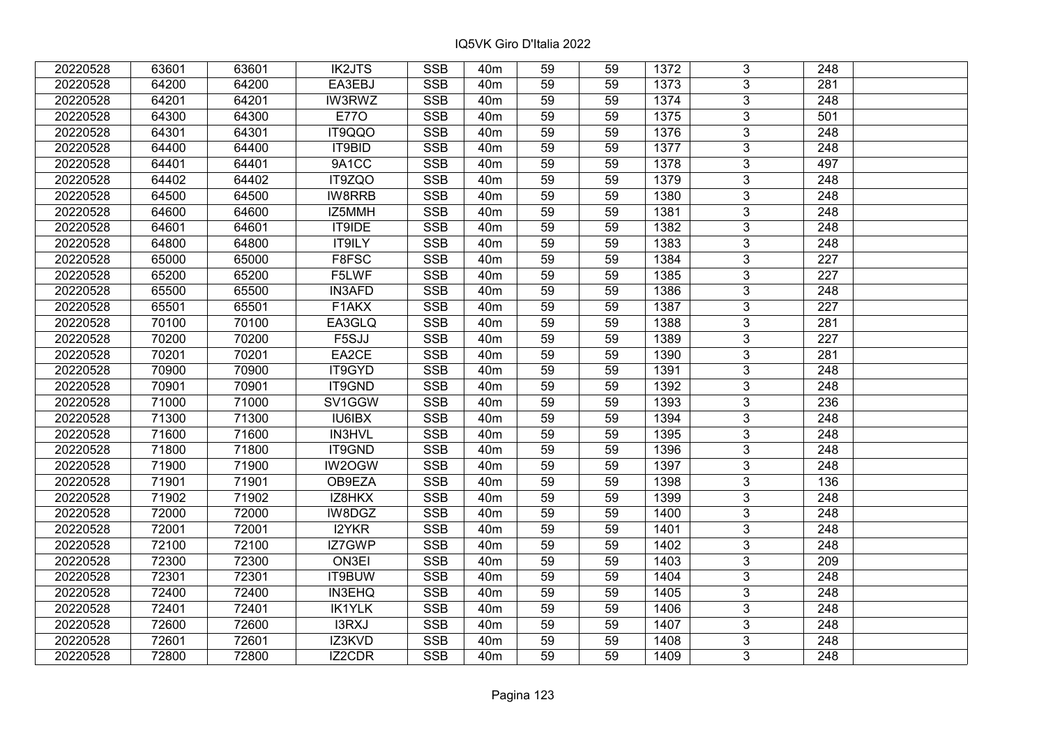| 20220528 | 63601 | 63601 | <b>IK2JTS</b> | <b>SSB</b>              | 40 <sub>m</sub> | 59              | 59 | 1372 | 3              | 248              |  |
|----------|-------|-------|---------------|-------------------------|-----------------|-----------------|----|------|----------------|------------------|--|
| 20220528 | 64200 | 64200 | EA3EBJ        | <b>SSB</b>              | 40 <sub>m</sub> | 59              | 59 | 1373 | 3              | 281              |  |
| 20220528 | 64201 | 64201 | <b>IW3RWZ</b> | SSB                     | 40 <sub>m</sub> | $\overline{59}$ | 59 | 1374 | $\overline{3}$ | 248              |  |
| 20220528 | 64300 | 64300 | <b>E770</b>   | <b>SSB</b>              | 40 <sub>m</sub> | 59              | 59 | 1375 | $\overline{3}$ | 501              |  |
| 20220528 | 64301 | 64301 | IT9QQO        | <b>SSB</b>              | 40 <sub>m</sub> | 59              | 59 | 1376 | 3              | 248              |  |
| 20220528 | 64400 | 64400 | IT9BID        | <b>SSB</b>              | 40 <sub>m</sub> | 59              | 59 | 1377 | $\overline{3}$ | 248              |  |
| 20220528 | 64401 | 64401 | 9A1CC         | <b>SSB</b>              | 40 <sub>m</sub> | 59              | 59 | 1378 | $\overline{3}$ | 497              |  |
| 20220528 | 64402 | 64402 | IT9ZQO        | <b>SSB</b>              | 40 <sub>m</sub> | 59              | 59 | 1379 | 3              | 248              |  |
| 20220528 | 64500 | 64500 | <b>IW8RRB</b> | <b>SSB</b>              | 40 <sub>m</sub> | 59              | 59 | 1380 | $\overline{3}$ | $\overline{248}$ |  |
| 20220528 | 64600 | 64600 | IZ5MMH        | <b>SSB</b>              | 40 <sub>m</sub> | 59              | 59 | 1381 | $\overline{3}$ | 248              |  |
| 20220528 | 64601 | 64601 | IT9IDE        | <b>SSB</b>              | 40 <sub>m</sub> | 59              | 59 | 1382 | 3              | 248              |  |
| 20220528 | 64800 | 64800 | <b>IT9ILY</b> | <b>SSB</b>              | 40 <sub>m</sub> | 59              | 59 | 1383 | $\overline{3}$ | 248              |  |
| 20220528 | 65000 | 65000 | F8FSC         | <b>SSB</b>              | 40 <sub>m</sub> | 59              | 59 | 1384 | 3              | 227              |  |
| 20220528 | 65200 | 65200 | F5LWF         | <b>SSB</b>              | 40 <sub>m</sub> | 59              | 59 | 1385 | $\overline{3}$ | 227              |  |
| 20220528 | 65500 | 65500 | <b>IN3AFD</b> | <b>SSB</b>              | 40 <sub>m</sub> | 59              | 59 | 1386 | $\overline{3}$ | 248              |  |
| 20220528 | 65501 | 65501 | F1AKX         | <b>SSB</b>              | 40 <sub>m</sub> | 59              | 59 | 1387 | 3              | 227              |  |
| 20220528 | 70100 | 70100 | EA3GLQ        | <b>SSB</b>              | 40 <sub>m</sub> | 59              | 59 | 1388 | $\overline{3}$ | 281              |  |
| 20220528 | 70200 | 70200 | F5SJJ         | <b>SSB</b>              | 40 <sub>m</sub> | 59              | 59 | 1389 | 3              | 227              |  |
| 20220528 | 70201 | 70201 | EA2CE         | <b>SSB</b>              | 40 <sub>m</sub> | 59              | 59 | 1390 | 3              | 281              |  |
| 20220528 | 70900 | 70900 | IT9GYD        | <b>SSB</b>              | 40 <sub>m</sub> | 59              | 59 | 1391 | $\overline{3}$ | 248              |  |
| 20220528 | 70901 | 70901 | IT9GND        | <b>SSB</b>              | 40 <sub>m</sub> | 59              | 59 | 1392 | $\overline{3}$ | 248              |  |
| 20220528 | 71000 | 71000 | SV1GGW        | <b>SSB</b>              | 40 <sub>m</sub> | 59              | 59 | 1393 | 3              | 236              |  |
| 20220528 | 71300 | 71300 | IU6IBX        | <b>SSB</b>              | 40 <sub>m</sub> | 59              | 59 | 1394 | $\overline{3}$ | 248              |  |
| 20220528 | 71600 | 71600 | IN3HVL        | <b>SSB</b>              | 40 <sub>m</sub> | 59              | 59 | 1395 | $\overline{3}$ | 248              |  |
| 20220528 | 71800 | 71800 | IT9GND        | <b>SSB</b>              | 40 <sub>m</sub> | 59              | 59 | 1396 | 3              | 248              |  |
| 20220528 | 71900 | 71900 | IW2OGW        | <b>SSB</b>              | 40 <sub>m</sub> | 59              | 59 | 1397 | $\overline{3}$ | $\overline{248}$ |  |
| 20220528 | 71901 | 71901 | OB9EZA        | <b>SSB</b>              | 40 <sub>m</sub> | 59              | 59 | 1398 | $\overline{3}$ | $\overline{136}$ |  |
| 20220528 | 71902 | 71902 | IZ8HKX        | <b>SSB</b>              | 40 <sub>m</sub> | 59              | 59 | 1399 | $\overline{3}$ | $\overline{248}$ |  |
| 20220528 | 72000 | 72000 | IW8DGZ        | <b>SSB</b>              | 40 <sub>m</sub> | 59              | 59 | 1400 | $\overline{3}$ | $\overline{248}$ |  |
| 20220528 | 72001 | 72001 | I2YKR         | <b>SSB</b>              | 40 <sub>m</sub> | 59              | 59 | 1401 | $\overline{3}$ | 248              |  |
| 20220528 | 72100 | 72100 | IZ7GWP        | SSB                     | 40 <sub>m</sub> | $\overline{59}$ | 59 | 1402 | $\overline{3}$ | $\overline{248}$ |  |
| 20220528 | 72300 | 72300 | ON3EI         | <b>SSB</b>              | 40 <sub>m</sub> | 59              | 59 | 1403 | $\overline{3}$ | 209              |  |
| 20220528 | 72301 | 72301 | IT9BUW        | <b>SSB</b>              | 40 <sub>m</sub> | 59              | 59 | 1404 | 3              | 248              |  |
| 20220528 | 72400 | 72400 | IN3EHQ        | <b>SSB</b>              | 40 <sub>m</sub> | 59              | 59 | 1405 | $\overline{3}$ | $\overline{248}$ |  |
| 20220528 | 72401 | 72401 | <b>IK1YLK</b> | <b>SSB</b>              | 40 <sub>m</sub> | 59              | 59 | 1406 | 3              | 248              |  |
| 20220528 | 72600 | 72600 | I3RXJ         | <b>SSB</b>              | 40m             | 59              | 59 | 1407 | 3              | 248              |  |
| 20220528 | 72601 | 72601 | IZ3KVD        | $\overline{\text{SSB}}$ | 40 <sub>m</sub> | 59              | 59 | 1408 | $\overline{3}$ | 248              |  |
| 20220528 | 72800 | 72800 | IZ2CDR        | <b>SSB</b>              | 40 <sub>m</sub> | 59              | 59 | 1409 | $\overline{3}$ | 248              |  |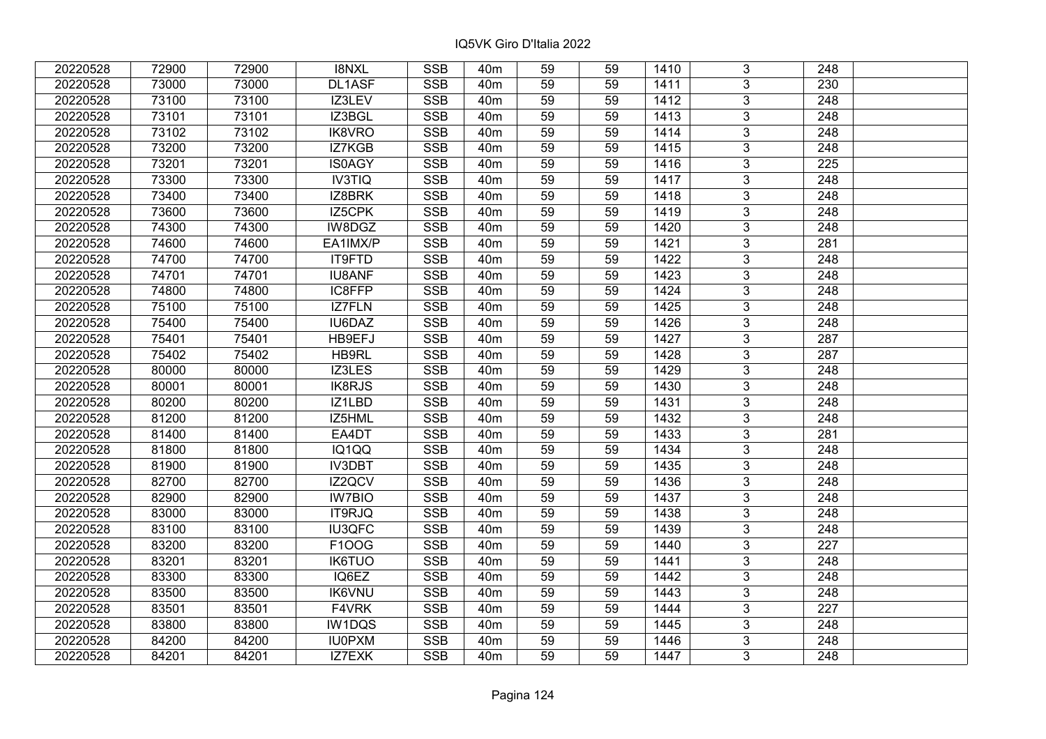| 20220528 | 72900 | 72900 | <b>I8NXL</b>  | <b>SSB</b>              | 40 <sub>m</sub> | 59              | 59 | 1410 | 3              | 248              |  |
|----------|-------|-------|---------------|-------------------------|-----------------|-----------------|----|------|----------------|------------------|--|
| 20220528 | 73000 | 73000 | DL1ASF        | <b>SSB</b>              | 40 <sub>m</sub> | 59              | 59 | 1411 | 3              | 230              |  |
| 20220528 | 73100 | 73100 | IZ3LEV        | <b>SSB</b>              | 40 <sub>m</sub> | 59              | 59 | 1412 | $\overline{3}$ | 248              |  |
| 20220528 | 73101 | 73101 | IZ3BGL        | <b>SSB</b>              | 40 <sub>m</sub> | 59              | 59 | 1413 | $\overline{3}$ | 248              |  |
| 20220528 | 73102 | 73102 | <b>IK8VRO</b> | <b>SSB</b>              | 40 <sub>m</sub> | 59              | 59 | 1414 | $\overline{3}$ | 248              |  |
| 20220528 | 73200 | 73200 | IZ7KGB        | SSB                     | 40 <sub>m</sub> | 59              | 59 | 1415 | $\overline{3}$ | 248              |  |
| 20220528 | 73201 | 73201 | IS0AGY        | <b>SSB</b>              | 40m             | 59              | 59 | 1416 | $\overline{3}$ | 225              |  |
| 20220528 | 73300 | 73300 | <b>IV3TIQ</b> | <b>SSB</b>              | 40 <sub>m</sub> | 59              | 59 | 1417 | $\overline{3}$ | 248              |  |
| 20220528 | 73400 | 73400 | IZ8BRK        | <b>SSB</b>              | 40 <sub>m</sub> | 59              | 59 | 1418 | $\overline{3}$ | 248              |  |
| 20220528 | 73600 | 73600 | IZ5CPK        | <b>SSB</b>              | 40 <sub>m</sub> | 59              | 59 | 1419 | $\overline{3}$ | 248              |  |
| 20220528 | 74300 | 74300 | IW8DGZ        | <b>SSB</b>              | 40 <sub>m</sub> | 59              | 59 | 1420 | $\overline{3}$ | 248              |  |
| 20220528 | 74600 | 74600 | EA1IMX/P      | <b>SSB</b>              | 40 <sub>m</sub> | 59              | 59 | 1421 | $\overline{3}$ | 281              |  |
| 20220528 | 74700 | 74700 | IT9FTD        | <b>SSB</b>              | 40 <sub>m</sub> | 59              | 59 | 1422 | $\overline{3}$ | 248              |  |
| 20220528 | 74701 | 74701 | <b>IU8ANF</b> | <b>SSB</b>              | 40 <sub>m</sub> | 59              | 59 | 1423 | $\overline{3}$ | 248              |  |
| 20220528 | 74800 | 74800 | IC8FFP        | <b>SSB</b>              | 40 <sub>m</sub> | 59              | 59 | 1424 | 3              | 248              |  |
| 20220528 | 75100 | 75100 | <b>IZ7FLN</b> | <b>SSB</b>              | 40 <sub>m</sub> | 59              | 59 | 1425 | $\overline{3}$ | 248              |  |
| 20220528 | 75400 | 75400 | IU6DAZ        | <b>SSB</b>              | 40 <sub>m</sub> | 59              | 59 | 1426 | 3              | 248              |  |
| 20220528 | 75401 | 75401 | HB9EFJ        | <b>SSB</b>              | 40 <sub>m</sub> | 59              | 59 | 1427 | 3              | 287              |  |
| 20220528 | 75402 | 75402 | HB9RL         | <b>SSB</b>              | 40 <sub>m</sub> | 59              | 59 | 1428 | $\overline{3}$ | 287              |  |
| 20220528 | 80000 | 80000 | IZ3LES        | <b>SSB</b>              | 40 <sub>m</sub> | 59              | 59 | 1429 | $\overline{3}$ | 248              |  |
| 20220528 | 80001 | 80001 | IK8RJS        | <b>SSB</b>              | 40 <sub>m</sub> | 59              | 59 | 1430 | $\overline{3}$ | 248              |  |
| 20220528 | 80200 | 80200 | IZ1LBD        | <b>SSB</b>              | 40 <sub>m</sub> | 59              | 59 | 1431 | $\overline{3}$ | 248              |  |
| 20220528 | 81200 | 81200 | IZ5HML        | <b>SSB</b>              | 40 <sub>m</sub> | 59              | 59 | 1432 | $\overline{3}$ | 248              |  |
| 20220528 | 81400 | 81400 | EA4DT         | <b>SSB</b>              | 40 <sub>m</sub> | 59              | 59 | 1433 | $\overline{3}$ | 281              |  |
| 20220528 | 81800 | 81800 | IQ1QQ         | <b>SSB</b>              | 40 <sub>m</sub> | 59              | 59 | 1434 | $\overline{3}$ | 248              |  |
| 20220528 | 81900 | 81900 | <b>IV3DBT</b> | SSB                     | 40 <sub>m</sub> | $\overline{59}$ | 59 | 1435 | $\overline{3}$ | $\overline{248}$ |  |
| 20220528 | 82700 | 82700 | IZ2QCV        | <b>SSB</b>              | 40 <sub>m</sub> | 59              | 59 | 1436 | $\overline{3}$ | $\overline{248}$ |  |
| 20220528 | 82900 | 82900 | <b>IW7BIO</b> | <b>SSB</b>              | 40 <sub>m</sub> | 59              | 59 | 1437 | 3              | 248              |  |
| 20220528 | 83000 | 83000 | IT9RJQ        | <b>SSB</b>              | 40 <sub>m</sub> | 59              | 59 | 1438 | $\overline{3}$ | $\overline{248}$ |  |
| 20220528 | 83100 | 83100 | <b>IU3QFC</b> | <b>SSB</b>              | 40 <sub>m</sub> | 59              | 59 | 1439 | $\overline{3}$ | $\overline{248}$ |  |
| 20220528 | 83200 | 83200 | F100G         | <b>SSB</b>              | 40 <sub>m</sub> | 59              | 59 | 1440 | $\overline{3}$ | 227              |  |
| 20220528 | 83201 | 83201 | <b>IK6TUO</b> | <b>SSB</b>              | 40 <sub>m</sub> | 59              | 59 | 1441 | $\overline{3}$ | 248              |  |
| 20220528 | 83300 | 83300 | IQ6EZ         | <b>SSB</b>              | 40 <sub>m</sub> | 59              | 59 | 1442 | 3              | 248              |  |
| 20220528 | 83500 | 83500 | <b>IK6VNU</b> | <b>SSB</b>              | 40 <sub>m</sub> | 59              | 59 | 1443 | 3              | 248              |  |
| 20220528 | 83501 | 83501 | F4VRK         | <b>SSB</b>              | 40 <sub>m</sub> | 59              | 59 | 1444 | $\overline{3}$ | 227              |  |
| 20220528 | 83800 | 83800 | IW1DQS        | <b>SSB</b>              | 40 <sub>m</sub> | 59              | 59 | 1445 | 3              | 248              |  |
| 20220528 | 84200 | 84200 | <b>IU0PXM</b> | $\overline{\text{SSB}}$ | 40 <sub>m</sub> | 59              | 59 | 1446 | $\overline{3}$ | 248              |  |
| 20220528 | 84201 | 84201 | IZ7EXK        | <b>SSB</b>              | 40 <sub>m</sub> | 59              | 59 | 1447 | $\overline{3}$ | 248              |  |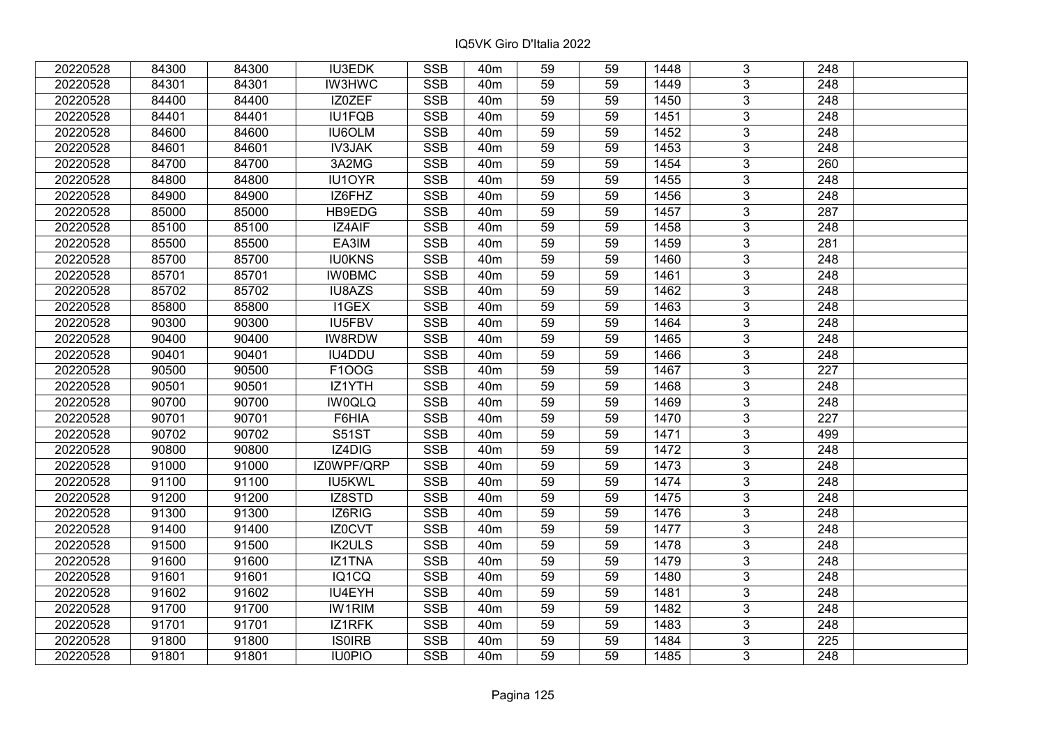| 20220528 | 84300 | 84300 | <b>IU3EDK</b> | <b>SSB</b> | 40 <sub>m</sub> | 59              | 59 | 1448 | 3              | 248              |  |
|----------|-------|-------|---------------|------------|-----------------|-----------------|----|------|----------------|------------------|--|
| 20220528 | 84301 | 84301 | <b>IW3HWC</b> | <b>SSB</b> | 40 <sub>m</sub> | 59              | 59 | 1449 | 3              | 248              |  |
| 20220528 | 84400 | 84400 | IZ0ZEF        | <b>SSB</b> | 40 <sub>m</sub> | $\overline{59}$ | 59 | 1450 | $\overline{3}$ | 248              |  |
| 20220528 | 84401 | 84401 | IU1FQB        | <b>SSB</b> | 40 <sub>m</sub> | 59              | 59 | 1451 | $\overline{3}$ | $\overline{248}$ |  |
| 20220528 | 84600 | 84600 | <b>IU6OLM</b> | <b>SSB</b> | 40 <sub>m</sub> | 59              | 59 | 1452 | 3              | 248              |  |
| 20220528 | 84601 | 84601 | <b>IV3JAK</b> | <b>SSB</b> | 40 <sub>m</sub> | 59              | 59 | 1453 | $\overline{3}$ | 248              |  |
| 20220528 | 84700 | 84700 | 3A2MG         | <b>SSB</b> | 40 <sub>m</sub> | 59              | 59 | 1454 | $\overline{3}$ | 260              |  |
| 20220528 | 84800 | 84800 | IU1OYR        | <b>SSB</b> | 40 <sub>m</sub> | 59              | 59 | 1455 | 3              | 248              |  |
| 20220528 | 84900 | 84900 | IZ6FHZ        | <b>SSB</b> | 40 <sub>m</sub> | 59              | 59 | 1456 | $\overline{3}$ | $\overline{248}$ |  |
| 20220528 | 85000 | 85000 | <b>HB9EDG</b> | <b>SSB</b> | 40 <sub>m</sub> | 59              | 59 | 1457 | $\overline{3}$ | 287              |  |
| 20220528 | 85100 | 85100 | IZ4AIF        | <b>SSB</b> | 40 <sub>m</sub> | 59              | 59 | 1458 | 3              | 248              |  |
| 20220528 | 85500 | 85500 | EA3IM         | <b>SSB</b> | 40 <sub>m</sub> | 59              | 59 | 1459 | $\overline{3}$ | 281              |  |
| 20220528 | 85700 | 85700 | <b>IU0KNS</b> | <b>SSB</b> | 40 <sub>m</sub> | 59              | 59 | 1460 | 3              | 248              |  |
| 20220528 | 85701 | 85701 | <b>IW0BMC</b> | <b>SSB</b> | 40 <sub>m</sub> | 59              | 59 | 1461 | $\overline{3}$ | 248              |  |
| 20220528 | 85702 | 85702 | IU8AZS        | <b>SSB</b> | 40 <sub>m</sub> | 59              | 59 | 1462 | 3              | 248              |  |
| 20220528 | 85800 | 85800 | <b>I1GEX</b>  | <b>SSB</b> | 40 <sub>m</sub> | 59              | 59 | 1463 | 3              | 248              |  |
| 20220528 | 90300 | 90300 | IU5FBV        | <b>SSB</b> | 40 <sub>m</sub> | 59              | 59 | 1464 | 3              | 248              |  |
| 20220528 | 90400 | 90400 | IW8RDW        | <b>SSB</b> | 40 <sub>m</sub> | 59              | 59 | 1465 | 3              | 248              |  |
| 20220528 | 90401 | 90401 | <b>IU4DDU</b> | <b>SSB</b> | 40 <sub>m</sub> | 59              | 59 | 1466 | 3              | 248              |  |
| 20220528 | 90500 | 90500 | F100G         | <b>SSB</b> | 40 <sub>m</sub> | 59              | 59 | 1467 | $\overline{3}$ | 227              |  |
| 20220528 | 90501 | 90501 | IZ1YTH        | <b>SSB</b> | 40 <sub>m</sub> | 59              | 59 | 1468 | $\overline{3}$ | 248              |  |
| 20220528 | 90700 | 90700 | <b>IW0QLQ</b> | <b>SSB</b> | 40 <sub>m</sub> | 59              | 59 | 1469 | $\overline{3}$ | 248              |  |
| 20220528 | 90701 | 90701 | F6HIA         | <b>SSB</b> | 40 <sub>m</sub> | 59              | 59 | 1470 | $\overline{3}$ | 227              |  |
| 20220528 | 90702 | 90702 | <b>S51ST</b>  | <b>SSB</b> | 40 <sub>m</sub> | 59              | 59 | 1471 | 3              | 499              |  |
| 20220528 | 90800 | 90800 | IZ4DIG        | <b>SSB</b> | 40 <sub>m</sub> | 59              | 59 | 1472 | 3              | 248              |  |
| 20220528 | 91000 | 91000 | IZ0WPF/QRP    | <b>SSB</b> | 40 <sub>m</sub> | 59              | 59 | 1473 | $\overline{3}$ | $\overline{248}$ |  |
| 20220528 | 91100 | 91100 | IU5KWL        | <b>SSB</b> | 40 <sub>m</sub> | 59              | 59 | 1474 | $\overline{3}$ | 248              |  |
| 20220528 | 91200 | 91200 | IZ8STD        | <b>SSB</b> | 40 <sub>m</sub> | 59              | 59 | 1475 | $\overline{3}$ | $\overline{248}$ |  |
| 20220528 | 91300 | 91300 | IZ6RIG        | <b>SSB</b> | 40 <sub>m</sub> | 59              | 59 | 1476 | $\overline{3}$ | $\overline{248}$ |  |
| 20220528 | 91400 | 91400 | IZ0CVT        | <b>SSB</b> | 40 <sub>m</sub> | 59              | 59 | 1477 | $\overline{3}$ | 248              |  |
| 20220528 | 91500 | 91500 | <b>IK2ULS</b> | <b>SSB</b> | 40 <sub>m</sub> | 59              | 59 | 1478 | $\overline{3}$ | $\overline{248}$ |  |
| 20220528 | 91600 | 91600 | IZ1TNA        | <b>SSB</b> | 40 <sub>m</sub> | 59              | 59 | 1479 | $\overline{3}$ | 248              |  |
| 20220528 | 91601 | 91601 | IQ1CQ         | <b>SSB</b> | 40 <sub>m</sub> | 59              | 59 | 1480 | 3              | 248              |  |
| 20220528 | 91602 | 91602 | IU4EYH        | <b>SSB</b> | 40 <sub>m</sub> | 59              | 59 | 1481 | $\overline{3}$ | $\overline{248}$ |  |
| 20220528 | 91700 | 91700 | <b>IW1RIM</b> | <b>SSB</b> | 40 <sub>m</sub> | 59              | 59 | 1482 | 3              | 248              |  |
| 20220528 | 91701 | 91701 | IZ1RFK        | <b>SSB</b> | 40 <sub>m</sub> | 59              | 59 | 1483 | 3              | 248              |  |
| 20220528 | 91800 | 91800 | <b>ISOIRB</b> | <b>SSB</b> | 40 <sub>m</sub> | 59              | 59 | 1484 | $\overline{3}$ | 225              |  |
| 20220528 | 91801 | 91801 | <b>IU0PIO</b> | <b>SSB</b> | 40 <sub>m</sub> | 59              | 59 | 1485 | $\overline{3}$ | 248              |  |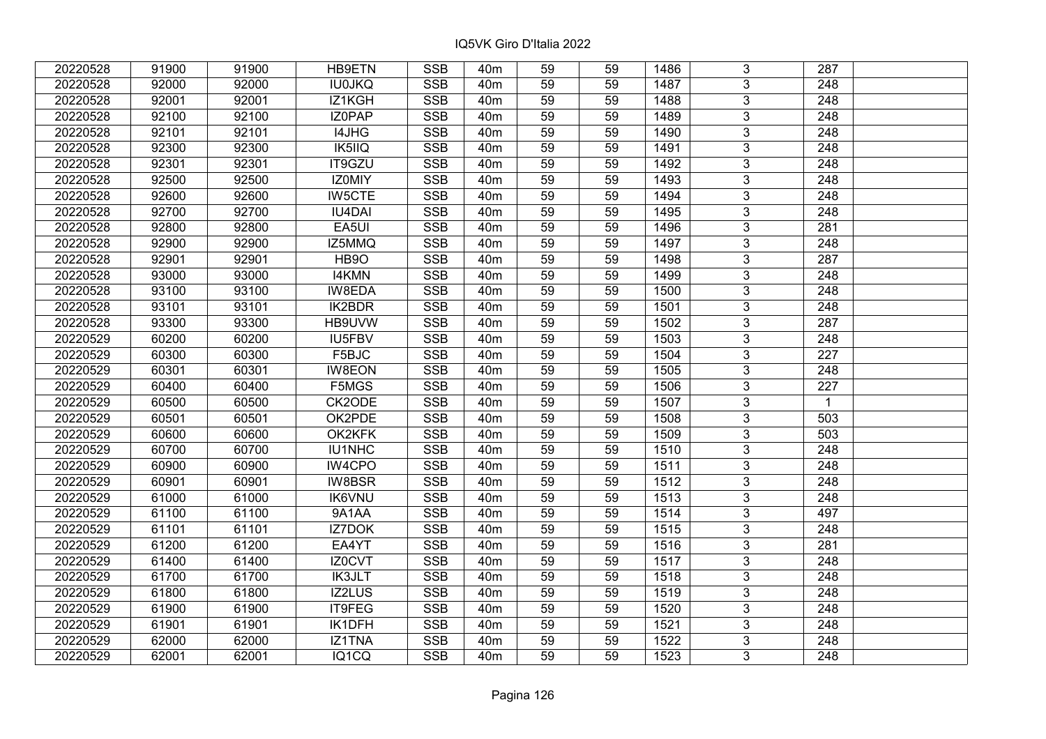| 20220528 | 91900 | 91900 | <b>HB9ETN</b> | <b>SSB</b>              | 40 <sub>m</sub> | 59              | 59 | 1486 | 3              | 287              |  |
|----------|-------|-------|---------------|-------------------------|-----------------|-----------------|----|------|----------------|------------------|--|
| 20220528 | 92000 | 92000 | <b>IU0JKQ</b> | <b>SSB</b>              | 40 <sub>m</sub> | 59              | 59 | 1487 | 3              | 248              |  |
| 20220528 | 92001 | 92001 | IZ1KGH        | SSB                     | 40 <sub>m</sub> | $\overline{59}$ | 59 | 1488 | $\overline{3}$ | 248              |  |
| 20220528 | 92100 | 92100 | IZ0PAP        | <b>SSB</b>              | 40 <sub>m</sub> | 59              | 59 | 1489 | $\overline{3}$ | $\overline{248}$ |  |
| 20220528 | 92101 | 92101 | I4JHG         | <b>SSB</b>              | 40 <sub>m</sub> | 59              | 59 | 1490 | 3              | 248              |  |
| 20220528 | 92300 | 92300 | IK5IIQ        | <b>SSB</b>              | 40 <sub>m</sub> | 59              | 59 | 1491 | $\overline{3}$ | 248              |  |
| 20220528 | 92301 | 92301 | IT9GZU        | <b>SSB</b>              | 40 <sub>m</sub> | 59              | 59 | 1492 | $\overline{3}$ | 248              |  |
| 20220528 | 92500 | 92500 | IZ0MIY        | <b>SSB</b>              | 40 <sub>m</sub> | 59              | 59 | 1493 | 3              | 248              |  |
| 20220528 | 92600 | 92600 | <b>IW5CTE</b> | <b>SSB</b>              | 40 <sub>m</sub> | 59              | 59 | 1494 | $\overline{3}$ | $\overline{248}$ |  |
| 20220528 | 92700 | 92700 | <b>IU4DAI</b> | <b>SSB</b>              | 40 <sub>m</sub> | 59              | 59 | 1495 | $\overline{3}$ | 248              |  |
| 20220528 | 92800 | 92800 | EA5UI         | <b>SSB</b>              | 40 <sub>m</sub> | 59              | 59 | 1496 | 3              | 281              |  |
| 20220528 | 92900 | 92900 | IZ5MMQ        | <b>SSB</b>              | 40 <sub>m</sub> | 59              | 59 | 1497 | $\overline{3}$ | 248              |  |
| 20220528 | 92901 | 92901 | HB9O          | <b>SSB</b>              | 40 <sub>m</sub> | 59              | 59 | 1498 | 3              | 287              |  |
| 20220528 | 93000 | 93000 | <b>I4KMN</b>  | <b>SSB</b>              | 40 <sub>m</sub> | 59              | 59 | 1499 | $\overline{3}$ | 248              |  |
| 20220528 | 93100 | 93100 | IW8EDA        | <b>SSB</b>              | 40 <sub>m</sub> | 59              | 59 | 1500 | 3              | 248              |  |
| 20220528 | 93101 | 93101 | IK2BDR        | <b>SSB</b>              | 40 <sub>m</sub> | 59              | 59 | 1501 | 3              | 248              |  |
| 20220528 | 93300 | 93300 | HB9UVW        | <b>SSB</b>              | 40 <sub>m</sub> | 59              | 59 | 1502 | 3              | 287              |  |
| 20220529 | 60200 | 60200 | IU5FBV        | <b>SSB</b>              | 40 <sub>m</sub> | 59              | 59 | 1503 | 3              | 248              |  |
| 20220529 | 60300 | 60300 | F5BJC         | <b>SSB</b>              | 40 <sub>m</sub> | 59              | 59 | 1504 | 3              | 227              |  |
| 20220529 | 60301 | 60301 | <b>IW8EON</b> | <b>SSB</b>              | 40 <sub>m</sub> | 59              | 59 | 1505 | $\overline{3}$ | 248              |  |
| 20220529 | 60400 | 60400 | F5MGS         | <b>SSB</b>              | 40 <sub>m</sub> | 59              | 59 | 1506 | $\overline{3}$ | 227              |  |
| 20220529 | 60500 | 60500 | CK2ODE        | <b>SSB</b>              | 40 <sub>m</sub> | 59              | 59 | 1507 | 3              | $\mathbf{1}$     |  |
| 20220529 | 60501 | 60501 | OK2PDE        | <b>SSB</b>              | 40 <sub>m</sub> | 59              | 59 | 1508 | $\overline{3}$ | 503              |  |
| 20220529 | 60600 | 60600 | OK2KFK        | <b>SSB</b>              | 40 <sub>m</sub> | 59              | 59 | 1509 | 3              | 503              |  |
| 20220529 | 60700 | 60700 | IU1NHC        | <b>SSB</b>              | 40 <sub>m</sub> | 59              | 59 | 1510 | 3              | 248              |  |
| 20220529 | 60900 | 60900 | IW4CPO        | <b>SSB</b>              | 40 <sub>m</sub> | 59              | 59 | 1511 | $\overline{3}$ | $\overline{248}$ |  |
| 20220529 | 60901 | 60901 | <b>IW8BSR</b> | <b>SSB</b>              | 40 <sub>m</sub> | 59              | 59 | 1512 | $\overline{3}$ | 248              |  |
| 20220529 | 61000 | 61000 | <b>IK6VNU</b> | <b>SSB</b>              | 40 <sub>m</sub> | 59              | 59 | 1513 | $\overline{3}$ | $\overline{248}$ |  |
| 20220529 | 61100 | 61100 | 9A1AA         | <b>SSB</b>              | 40 <sub>m</sub> | 59              | 59 | 1514 | $\overline{3}$ | 497              |  |
| 20220529 | 61101 | 61101 | <b>IZ7DOK</b> | <b>SSB</b>              | 40 <sub>m</sub> | 59              | 59 | 1515 | $\overline{3}$ | 248              |  |
| 20220529 | 61200 | 61200 | EA4YT         | SSB                     | 40 <sub>m</sub> | $\overline{59}$ | 59 | 1516 | $\overline{3}$ | $\overline{281}$ |  |
| 20220529 | 61400 | 61400 | IZ0CVT        | <b>SSB</b>              | 40 <sub>m</sub> | 59              | 59 | 1517 | $\overline{3}$ | 248              |  |
| 20220529 | 61700 | 61700 | <b>IK3JLT</b> | <b>SSB</b>              | 40 <sub>m</sub> | 59              | 59 | 1518 | 3              | 248              |  |
| 20220529 | 61800 | 61800 | IZ2LUS        | <b>SSB</b>              | 40 <sub>m</sub> | 59              | 59 | 1519 | $\overline{3}$ | $\overline{248}$ |  |
| 20220529 | 61900 | 61900 | IT9FEG        | <b>SSB</b>              | 40 <sub>m</sub> | 59              | 59 | 1520 | 3              | 248              |  |
| 20220529 | 61901 | 61901 | IK1DFH        | <b>SSB</b>              | 40 <sub>m</sub> | 59              | 59 | 1521 | 3              | 248              |  |
| 20220529 | 62000 | 62000 | IZ1TNA        | $\overline{\text{SSB}}$ | 40 <sub>m</sub> | 59              | 59 | 1522 | $\overline{3}$ | 248              |  |
| 20220529 | 62001 | 62001 | IQ1CQ         | <b>SSB</b>              | 40 <sub>m</sub> | 59              | 59 | 1523 | $\overline{3}$ | 248              |  |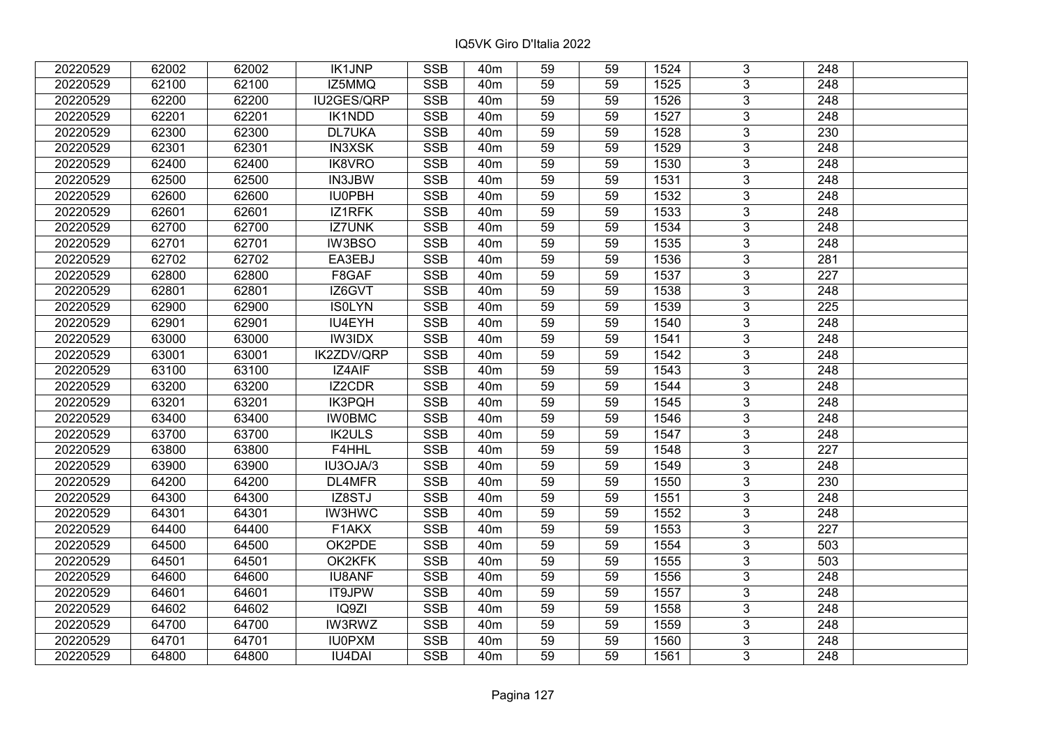| 20220529 | 62002 | 62002 | <b>IK1JNP</b> | <b>SSB</b> | 40 <sub>m</sub> | 59              | 59 | 1524 | 3              | 248              |  |
|----------|-------|-------|---------------|------------|-----------------|-----------------|----|------|----------------|------------------|--|
| 20220529 | 62100 | 62100 | IZ5MMQ        | <b>SSB</b> | 40 <sub>m</sub> | 59              | 59 | 1525 | 3              | 248              |  |
| 20220529 | 62200 | 62200 | IU2GES/QRP    | <b>SSB</b> | 40 <sub>m</sub> | $\overline{59}$ | 59 | 1526 | $\overline{3}$ | 248              |  |
| 20220529 | 62201 | 62201 | IK1NDD        | <b>SSB</b> | 40 <sub>m</sub> | 59              | 59 | 1527 | $\overline{3}$ | $\overline{248}$ |  |
| 20220529 | 62300 | 62300 | <b>DL7UKA</b> | <b>SSB</b> | 40 <sub>m</sub> | 59              | 59 | 1528 | $\overline{3}$ | 230              |  |
| 20220529 | 62301 | 62301 | <b>IN3XSK</b> | <b>SSB</b> | 40 <sub>m</sub> | 59              | 59 | 1529 | $\overline{3}$ | 248              |  |
| 20220529 | 62400 | 62400 | IK8VRO        | <b>SSB</b> | 40 <sub>m</sub> | 59              | 59 | 1530 | $\overline{3}$ | 248              |  |
| 20220529 | 62500 | 62500 | IN3JBW        | <b>SSB</b> | 40 <sub>m</sub> | 59              | 59 | 1531 | $\overline{3}$ | 248              |  |
| 20220529 | 62600 | 62600 | <b>IU0PBH</b> | <b>SSB</b> | 40 <sub>m</sub> | 59              | 59 | 1532 | $\overline{3}$ | $\overline{248}$ |  |
| 20220529 | 62601 | 62601 | IZ1RFK        | <b>SSB</b> | 40 <sub>m</sub> | 59              | 59 | 1533 | $\overline{3}$ | 248              |  |
| 20220529 | 62700 | 62700 | <b>IZ7UNK</b> | <b>SSB</b> | 40 <sub>m</sub> | 59              | 59 | 1534 | 3              | 248              |  |
| 20220529 | 62701 | 62701 | <b>IW3BSO</b> | <b>SSB</b> | 40 <sub>m</sub> | 59              | 59 | 1535 | $\overline{3}$ | 248              |  |
| 20220529 | 62702 | 62702 | EA3EBJ        | <b>SSB</b> | 40 <sub>m</sub> | 59              | 59 | 1536 | $\overline{3}$ | 281              |  |
| 20220529 | 62800 | 62800 | F8GAF         | <b>SSB</b> | 40 <sub>m</sub> | 59              | 59 | 1537 | 3              | 227              |  |
| 20220529 | 62801 | 62801 | IZ6GVT        | <b>SSB</b> | 40 <sub>m</sub> | 59              | 59 | 1538 | 3              | 248              |  |
| 20220529 | 62900 | 62900 | <b>ISOLYN</b> | <b>SSB</b> | 40 <sub>m</sub> | 59              | 59 | 1539 | $\overline{3}$ | 225              |  |
| 20220529 | 62901 | 62901 | IU4EYH        | <b>SSB</b> | 40 <sub>m</sub> | 59              | 59 | 1540 | 3              | 248              |  |
| 20220529 | 63000 | 63000 | <b>IW3IDX</b> | <b>SSB</b> | 40 <sub>m</sub> | 59              | 59 | 1541 | $\overline{3}$ | 248              |  |
| 20220529 | 63001 | 63001 | IK2ZDV/QRP    | <b>SSB</b> | 40 <sub>m</sub> | 59              | 59 | 1542 | $\overline{3}$ | 248              |  |
| 20220529 | 63100 | 63100 | IZ4AIF        | <b>SSB</b> | 40 <sub>m</sub> | 59              | 59 | 1543 | $\overline{3}$ | 248              |  |
| 20220529 | 63200 | 63200 | <b>IZ2CDR</b> | <b>SSB</b> | 40 <sub>m</sub> | $\overline{59}$ | 59 | 1544 | $\overline{3}$ | 248              |  |
| 20220529 | 63201 | 63201 | <b>IK3PQH</b> | <b>SSB</b> | 40 <sub>m</sub> | 59              | 59 | 1545 | $\overline{3}$ | 248              |  |
| 20220529 | 63400 | 63400 | <b>IW0BMC</b> | <b>SSB</b> | 40 <sub>m</sub> | 59              | 59 | 1546 | $\overline{3}$ | 248              |  |
| 20220529 | 63700 | 63700 | <b>IK2ULS</b> | <b>SSB</b> | 40 <sub>m</sub> | 59              | 59 | 1547 | $\overline{3}$ | 248              |  |
| 20220529 | 63800 | 63800 | F4HHL         | <b>SSB</b> | 40 <sub>m</sub> | 59              | 59 | 1548 | $\overline{3}$ | 227              |  |
| 20220529 | 63900 | 63900 | IU3OJA/3      | <b>SSB</b> | 40 <sub>m</sub> | 59              | 59 | 1549 | $\overline{3}$ | 248              |  |
| 20220529 | 64200 | 64200 | DL4MFR        | <b>SSB</b> | 40 <sub>m</sub> | 59              | 59 | 1550 | $\overline{3}$ | 230              |  |
| 20220529 | 64300 | 64300 | IZ8STJ        | <b>SSB</b> | 40 <sub>m</sub> | 59              | 59 | 1551 | $\overline{3}$ | 248              |  |
| 20220529 | 64301 | 64301 | <b>IW3HWC</b> | <b>SSB</b> | 40 <sub>m</sub> | 59              | 59 | 1552 | $\overline{3}$ | $\overline{248}$ |  |
| 20220529 | 64400 | 64400 | F1AKX         | <b>SSB</b> | 40 <sub>m</sub> | $\overline{59}$ | 59 | 1553 | $\overline{3}$ | $\overline{227}$ |  |
| 20220529 | 64500 | 64500 | OK2PDE        | <b>SSB</b> | 40 <sub>m</sub> | 59              | 59 | 1554 | $\overline{3}$ | 503              |  |
| 20220529 | 64501 | 64501 | OK2KFK        | <b>SSB</b> | 40 <sub>m</sub> | 59              | 59 | 1555 | $\overline{3}$ | 503              |  |
| 20220529 | 64600 | 64600 | <b>IU8ANF</b> | <b>SSB</b> | 40 <sub>m</sub> | 59              | 59 | 1556 | 3              | 248              |  |
| 20220529 | 64601 | 64601 | IT9JPW        | <b>SSB</b> | 40 <sub>m</sub> | 59              | 59 | 1557 | $\overline{3}$ | 248              |  |
| 20220529 | 64602 | 64602 | IQ9ZI         | <b>SSB</b> | 40 <sub>m</sub> | 59              | 59 | 1558 | $\overline{3}$ | 248              |  |
| 20220529 | 64700 | 64700 | <b>IW3RWZ</b> | <b>SSB</b> | 40 <sub>m</sub> | 59              | 59 | 1559 | 3              | 248              |  |
| 20220529 | 64701 | 64701 | <b>IU0PXM</b> | <b>SSB</b> | 40 <sub>m</sub> | 59              | 59 | 1560 | 3              | 248              |  |
| 20220529 | 64800 | 64800 | <b>IU4DAI</b> | <b>SSB</b> | 40 <sub>m</sub> | 59              | 59 | 1561 | 3              | 248              |  |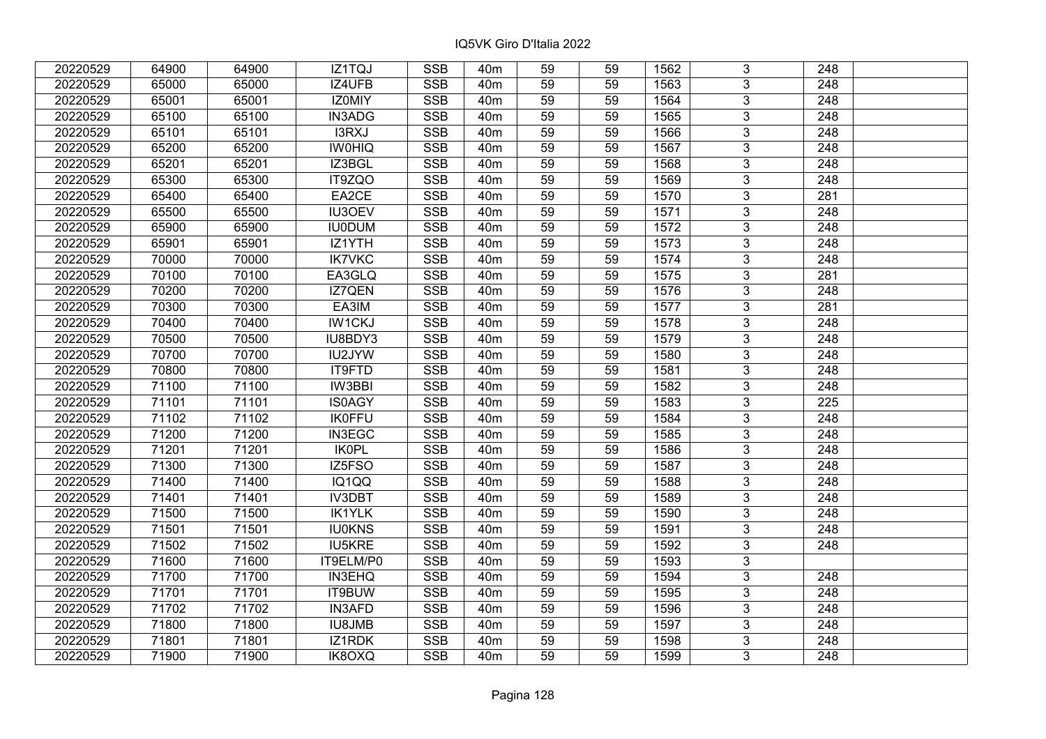| 20220529 | 64900 | 64900 | IZ1TQJ             | <b>SSB</b>              | 40 <sub>m</sub> | 59              | 59 | 1562 | 3              | 248              |  |
|----------|-------|-------|--------------------|-------------------------|-----------------|-----------------|----|------|----------------|------------------|--|
| 20220529 | 65000 | 65000 | IZ4UFB             | <b>SSB</b>              | 40 <sub>m</sub> | 59              | 59 | 1563 | $\overline{3}$ | 248              |  |
| 20220529 | 65001 | 65001 | IZ0MIY             | SSB                     | 40 <sub>m</sub> | $\overline{59}$ | 59 | 1564 | $\overline{3}$ | 248              |  |
| 20220529 | 65100 | 65100 | IN3ADG             | <b>SSB</b>              | 40 <sub>m</sub> | 59              | 59 | 1565 | $\overline{3}$ | $\overline{248}$ |  |
| 20220529 | 65101 | 65101 | I3RXJ              | <b>SSB</b>              | 40 <sub>m</sub> | 59              | 59 | 1566 | 3              | 248              |  |
| 20220529 | 65200 | 65200 | <b>IWOHIQ</b>      | <b>SSB</b>              | 40 <sub>m</sub> | 59              | 59 | 1567 | $\overline{3}$ | $\overline{248}$ |  |
| 20220529 | 65201 | 65201 | IZ3BGL             | <b>SSB</b>              | 40m             | 59              | 59 | 1568 | $\overline{3}$ | 248              |  |
| 20220529 | 65300 | 65300 | IT9ZQO             | <b>SSB</b>              | 40 <sub>m</sub> | 59              | 59 | 1569 | 3              | 248              |  |
| 20220529 | 65400 | 65400 | EA2CE              | <b>SSB</b>              | 40 <sub>m</sub> | $\overline{59}$ | 59 | 1570 | $\overline{3}$ | $\overline{281}$ |  |
| 20220529 | 65500 | 65500 | <b>IU3OEV</b>      | <b>SSB</b>              | 40 <sub>m</sub> | 59              | 59 | 1571 | $\overline{3}$ | 248              |  |
| 20220529 | 65900 | 65900 | <b>IU0DUM</b>      | <b>SSB</b>              | 40 <sub>m</sub> | 59              | 59 | 1572 | 3              | 248              |  |
| 20220529 | 65901 | 65901 | IZ1YTH             | <b>SSB</b>              | 40 <sub>m</sub> | 59              | 59 | 1573 | $\overline{3}$ | 248              |  |
| 20220529 | 70000 | 70000 | <b>IK7VKC</b>      | <b>SSB</b>              | 40 <sub>m</sub> | 59              | 59 | 1574 | $\overline{3}$ | 248              |  |
| 20220529 | 70100 | 70100 | EA3GLQ             | <b>SSB</b>              | 40 <sub>m</sub> | 59              | 59 | 1575 | $\overline{3}$ | 281              |  |
| 20220529 | 70200 | 70200 | IZ7QEN             | <b>SSB</b>              | 40 <sub>m</sub> | 59              | 59 | 1576 | $\overline{3}$ | 248              |  |
| 20220529 | 70300 | 70300 | EA3IM              | <b>SSB</b>              | 40 <sub>m</sub> | 59              | 59 | 1577 | $\overline{3}$ | 281              |  |
| 20220529 | 70400 | 70400 | <b>IW1CKJ</b>      | <b>SSB</b>              | 40 <sub>m</sub> | 59              | 59 | 1578 | $\overline{3}$ | 248              |  |
| 20220529 | 70500 | 70500 | IU8BDY3            | <b>SSB</b>              | 40 <sub>m</sub> | 59              | 59 | 1579 | 3              | 248              |  |
| 20220529 | 70700 | 70700 | IU2JYW             | <b>SSB</b>              | 40 <sub>m</sub> | 59              | 59 | 1580 | 3              | 248              |  |
| 20220529 | 70800 | 70800 | IT9FTD             | <b>SSB</b>              | 40 <sub>m</sub> | 59              | 59 | 1581 | $\overline{3}$ | 248              |  |
| 20220529 | 71100 | 71100 | IW3BBI             | <b>SSB</b>              | 40 <sub>m</sub> | 59              | 59 | 1582 | $\overline{3}$ | 248              |  |
| 20220529 | 71101 | 71101 | <b>IS0AGY</b>      | <b>SSB</b>              | 40 <sub>m</sub> | 59              | 59 | 1583 | $\overline{3}$ | 225              |  |
| 20220529 | 71102 | 71102 | <b>IK0FFU</b>      | <b>SSB</b>              | 40 <sub>m</sub> | 59              | 59 | 1584 | $\overline{3}$ | 248              |  |
| 20220529 | 71200 | 71200 | IN3EGC             | <b>SSB</b>              | 40 <sub>m</sub> | 59              | 59 | 1585 | $\overline{3}$ | 248              |  |
| 20220529 | 71201 | 71201 | <b>IK0PL</b>       | <b>SSB</b>              | 40 <sub>m</sub> | 59              | 59 | 1586 | 3              | 248              |  |
| 20220529 | 71300 | 71300 | IZ5FSO             | <b>SSB</b>              | 40 <sub>m</sub> | $\overline{59}$ | 59 | 1587 | $\overline{3}$ | $\overline{248}$ |  |
| 20220529 | 71400 | 71400 | $\overline{IQ1QQ}$ | <b>SSB</b>              | 40 <sub>m</sub> | 59              | 59 | 1588 | $\overline{3}$ | 248              |  |
| 20220529 | 71401 | 71401 | <b>IV3DBT</b>      | <b>SSB</b>              | 40 <sub>m</sub> | 59              | 59 | 1589 | $\overline{3}$ | $\overline{248}$ |  |
| 20220529 | 71500 | 71500 | <b>IK1YLK</b>      | <b>SSB</b>              | 40 <sub>m</sub> | 59              | 59 | 1590 | $\overline{3}$ | $\overline{248}$ |  |
| 20220529 | 71501 | 71501 | <b>IU0KNS</b>      | <b>SSB</b>              | 40m             | 59              | 59 | 1591 | $\overline{3}$ | 248              |  |
| 20220529 | 71502 | 71502 | <b>IU5KRE</b>      | <b>SSB</b>              | 40 <sub>m</sub> | $\overline{59}$ | 59 | 1592 | $\overline{3}$ | $\overline{248}$ |  |
| 20220529 | 71600 | 71600 | IT9ELM/P0          | <b>SSB</b>              | 40 <sub>m</sub> | 59              | 59 | 1593 | $\overline{3}$ |                  |  |
| 20220529 | 71700 | 71700 | <b>IN3EHQ</b>      | <b>SSB</b>              | 40 <sub>m</sub> | 59              | 59 | 1594 | 3              | 248              |  |
| 20220529 | 71701 | 71701 | IT9BUW             | <b>SSB</b>              | 40 <sub>m</sub> | 59              | 59 | 1595 | $\overline{3}$ | $\overline{248}$ |  |
| 20220529 | 71702 | 71702 | <b>IN3AFD</b>      | <b>SSB</b>              | 40 <sub>m</sub> | 59              | 59 | 1596 | $\overline{3}$ | $\overline{248}$ |  |
| 20220529 | 71800 | 71800 | <b>IU8JMB</b>      | <b>SSB</b>              | 40 <sub>m</sub> | 59              | 59 | 1597 | 3              | 248              |  |
| 20220529 | 71801 | 71801 | IZ1RDK             | $\overline{\text{SSB}}$ | 40 <sub>m</sub> | 59              | 59 | 1598 | $\overline{3}$ | 248              |  |
| 20220529 | 71900 | 71900 | IK8OXQ             | <b>SSB</b>              | 40 <sub>m</sub> | 59              | 59 | 1599 | $\overline{3}$ | 248              |  |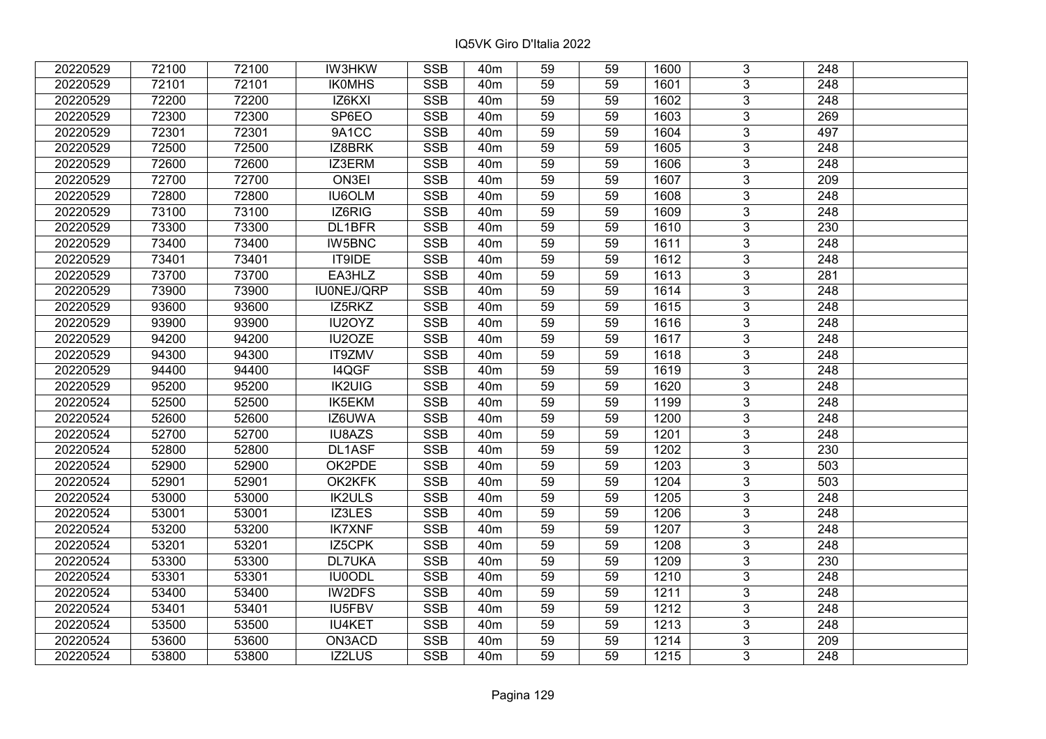| 20220529 | 72100 | 72100 | <b>IW3HKW</b> | <b>SSB</b>              | 40 <sub>m</sub> | 59              | 59 | 1600 | 3              | 248              |  |
|----------|-------|-------|---------------|-------------------------|-----------------|-----------------|----|------|----------------|------------------|--|
| 20220529 | 72101 | 72101 | <b>IKOMHS</b> | <b>SSB</b>              | 40 <sub>m</sub> | 59              | 59 | 1601 | 3              | 248              |  |
| 20220529 | 72200 | 72200 | IZ6KXI        | SSB                     | 40 <sub>m</sub> | $\overline{59}$ | 59 | 1602 | $\overline{3}$ | 248              |  |
| 20220529 | 72300 | 72300 | SP6EO         | <b>SSB</b>              | 40 <sub>m</sub> | 59              | 59 | 1603 | $\overline{3}$ | 269              |  |
| 20220529 | 72301 | 72301 | 9A1CC         | <b>SSB</b>              | 40 <sub>m</sub> | 59              | 59 | 1604 | 3              | 497              |  |
| 20220529 | 72500 | 72500 | IZ8BRK        | <b>SSB</b>              | 40 <sub>m</sub> | 59              | 59 | 1605 | $\overline{3}$ | 248              |  |
| 20220529 | 72600 | 72600 | IZ3ERM        | <b>SSB</b>              | 40 <sub>m</sub> | 59              | 59 | 1606 | $\overline{3}$ | 248              |  |
| 20220529 | 72700 | 72700 | ON3EI         | <b>SSB</b>              | 40 <sub>m</sub> | 59              | 59 | 1607 | 3              | 209              |  |
| 20220529 | 72800 | 72800 | <b>IU6OLM</b> | <b>SSB</b>              | 40 <sub>m</sub> | 59              | 59 | 1608 | $\overline{3}$ | $\overline{248}$ |  |
| 20220529 | 73100 | 73100 | IZ6RIG        | <b>SSB</b>              | 40 <sub>m</sub> | 59              | 59 | 1609 | $\overline{3}$ | 248              |  |
| 20220529 | 73300 | 73300 | DL1BFR        | <b>SSB</b>              | 40 <sub>m</sub> | 59              | 59 | 1610 | 3              | 230              |  |
| 20220529 | 73400 | 73400 | <b>IW5BNC</b> | <b>SSB</b>              | 40 <sub>m</sub> | 59              | 59 | 1611 | $\overline{3}$ | 248              |  |
| 20220529 | 73401 | 73401 | IT9IDE        | <b>SSB</b>              | 40 <sub>m</sub> | 59              | 59 | 1612 | 3              | 248              |  |
| 20220529 | 73700 | 73700 | EA3HLZ        | <b>SSB</b>              | 40 <sub>m</sub> | 59              | 59 | 1613 | $\overline{3}$ | 281              |  |
| 20220529 | 73900 | 73900 | IU0NEJ/QRP    | <b>SSB</b>              | 40 <sub>m</sub> | 59              | 59 | 1614 | 3              | 248              |  |
| 20220529 | 93600 | 93600 | IZ5RKZ        | <b>SSB</b>              | 40 <sub>m</sub> | 59              | 59 | 1615 | 3              | 248              |  |
| 20220529 | 93900 | 93900 | IU2OYZ        | <b>SSB</b>              | 40 <sub>m</sub> | 59              | 59 | 1616 | 3              | 248              |  |
| 20220529 | 94200 | 94200 | IU2OZE        | <b>SSB</b>              | 40 <sub>m</sub> | 59              | 59 | 1617 | 3              | 248              |  |
| 20220529 | 94300 | 94300 | IT9ZMV        | <b>SSB</b>              | 40 <sub>m</sub> | 59              | 59 | 1618 | 3              | 248              |  |
| 20220529 | 94400 | 94400 | I4QGF         | <b>SSB</b>              | 40 <sub>m</sub> | 59              | 59 | 1619 | $\overline{3}$ | 248              |  |
| 20220529 | 95200 | 95200 | <b>IK2UIG</b> | <b>SSB</b>              | 40 <sub>m</sub> | 59              | 59 | 1620 | $\overline{3}$ | 248              |  |
| 20220524 | 52500 | 52500 | IK5EKM        | <b>SSB</b>              | 40 <sub>m</sub> | 59              | 59 | 1199 | 3              | 248              |  |
| 20220524 | 52600 | 52600 | IZ6UWA        | <b>SSB</b>              | 40 <sub>m</sub> | 59              | 59 | 1200 | $\overline{3}$ | 248              |  |
| 20220524 | 52700 | 52700 | IU8AZS        | <b>SSB</b>              | 40 <sub>m</sub> | 59              | 59 | 1201 | $\overline{3}$ | 248              |  |
| 20220524 | 52800 | 52800 | DL1ASF        | <b>SSB</b>              | 40 <sub>m</sub> | 59              | 59 | 1202 | 3              | 230              |  |
| 20220524 | 52900 | 52900 | OK2PDE        | <b>SSB</b>              | 40 <sub>m</sub> | 59              | 59 | 1203 | $\overline{3}$ | 503              |  |
| 20220524 | 52901 | 52901 | OK2KFK        | <b>SSB</b>              | 40 <sub>m</sub> | 59              | 59 | 1204 | $\overline{3}$ | 503              |  |
| 20220524 | 53000 | 53000 | <b>IK2ULS</b> | <b>SSB</b>              | 40 <sub>m</sub> | 59              | 59 | 1205 | $\overline{3}$ | $\overline{248}$ |  |
| 20220524 | 53001 | 53001 | IZ3LES        | <b>SSB</b>              | 40 <sub>m</sub> | 59              | 59 | 1206 | $\overline{3}$ | $\overline{248}$ |  |
| 20220524 | 53200 | 53200 | <b>IK7XNF</b> | <b>SSB</b>              | 40 <sub>m</sub> | 59              | 59 | 1207 | $\overline{3}$ | 248              |  |
| 20220524 | 53201 | 53201 | IZ5CPK        | <b>SSB</b>              | 40 <sub>m</sub> | $\overline{59}$ | 59 | 1208 | $\overline{3}$ | $\overline{248}$ |  |
| 20220524 | 53300 | 53300 | <b>DL7UKA</b> | <b>SSB</b>              | 40 <sub>m</sub> | 59              | 59 | 1209 | $\overline{3}$ | 230              |  |
| 20220524 | 53301 | 53301 | <b>IU0ODL</b> | <b>SSB</b>              | 40 <sub>m</sub> | 59              | 59 | 1210 | 3              | 248              |  |
| 20220524 | 53400 | 53400 | <b>IW2DFS</b> | <b>SSB</b>              | 40 <sub>m</sub> | 59              | 59 | 1211 | $\overline{3}$ | $\overline{248}$ |  |
| 20220524 | 53401 | 53401 | IU5FBV        | <b>SSB</b>              | 40 <sub>m</sub> | 59              | 59 | 1212 | 3              | 248              |  |
| 20220524 | 53500 | 53500 | <b>IU4KET</b> | <b>SSB</b>              | 40m             | 59              | 59 | 1213 | 3              | 248              |  |
| 20220524 | 53600 | 53600 | ON3ACD        | $\overline{\text{SSB}}$ | 40 <sub>m</sub> | 59              | 59 | 1214 | $\overline{3}$ | $\overline{209}$ |  |
| 20220524 | 53800 | 53800 | IZ2LUS        | <b>SSB</b>              | 40 <sub>m</sub> | 59              | 59 | 1215 | $\overline{3}$ | 248              |  |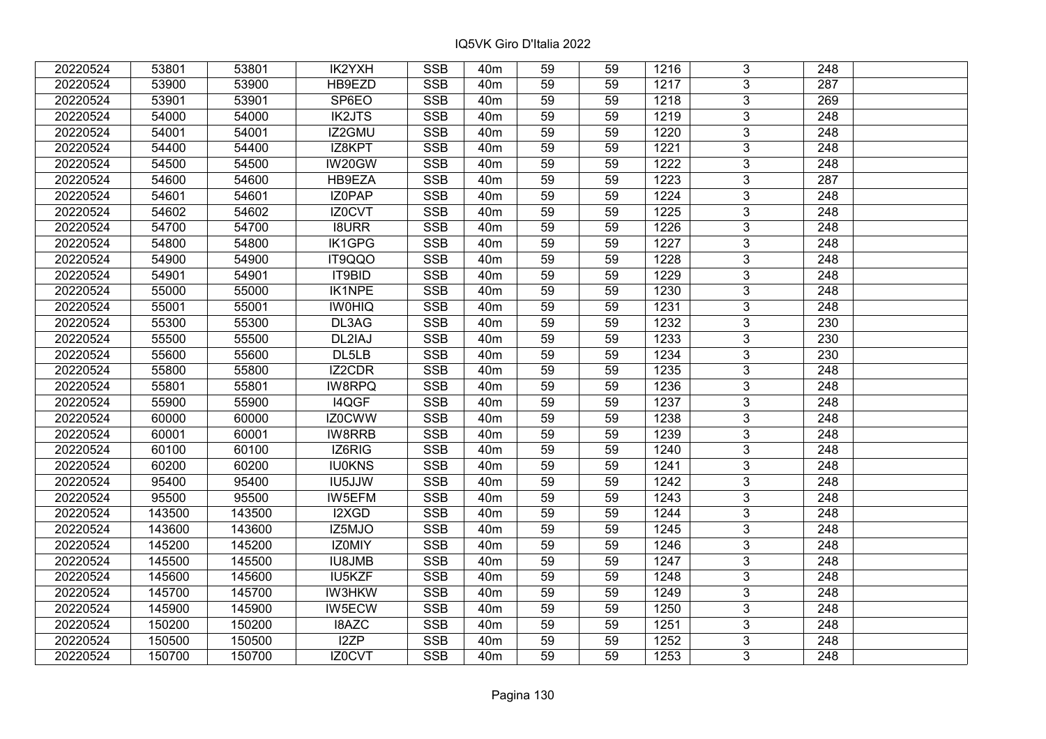| 20220524 | 53801  | 53801  | IK2YXH        | <b>SSB</b>              | 40 <sub>m</sub> | 59              | 59 | 1216 | 3              | 248              |  |
|----------|--------|--------|---------------|-------------------------|-----------------|-----------------|----|------|----------------|------------------|--|
| 20220524 | 53900  | 53900  | HB9EZD        | <b>SSB</b>              | 40 <sub>m</sub> | 59              | 59 | 1217 | 3              | 287              |  |
| 20220524 | 53901  | 53901  | SP6EO         | <b>SSB</b>              | 40 <sub>m</sub> | $\overline{59}$ | 59 | 1218 | $\overline{3}$ | 269              |  |
| 20220524 | 54000  | 54000  | <b>IK2JTS</b> | <b>SSB</b>              | 40 <sub>m</sub> | 59              | 59 | 1219 | $\overline{3}$ | $\overline{248}$ |  |
| 20220524 | 54001  | 54001  | IZ2GMU        | <b>SSB</b>              | 40 <sub>m</sub> | 59              | 59 | 1220 | 3              | 248              |  |
| 20220524 | 54400  | 54400  | IZ8KPT        | <b>SSB</b>              | 40 <sub>m</sub> | 59              | 59 | 1221 | $\overline{3}$ | 248              |  |
| 20220524 | 54500  | 54500  | IW20GW        | <b>SSB</b>              | 40 <sub>m</sub> | 59              | 59 | 1222 | $\overline{3}$ | 248              |  |
| 20220524 | 54600  | 54600  | HB9EZA        | <b>SSB</b>              | 40 <sub>m</sub> | 59              | 59 | 1223 | 3              | 287              |  |
| 20220524 | 54601  | 54601  | IZ0PAP        | <b>SSB</b>              | 40 <sub>m</sub> | 59              | 59 | 1224 | $\overline{3}$ | 248              |  |
| 20220524 | 54602  | 54602  | IZ0CVT        | <b>SSB</b>              | 40 <sub>m</sub> | 59              | 59 | 1225 | $\overline{3}$ | 248              |  |
| 20220524 | 54700  | 54700  | <b>I8URR</b>  | <b>SSB</b>              | 40 <sub>m</sub> | 59              | 59 | 1226 | 3              | 248              |  |
| 20220524 | 54800  | 54800  | IK1GPG        | <b>SSB</b>              | 40 <sub>m</sub> | 59              | 59 | 1227 | $\overline{3}$ | 248              |  |
| 20220524 | 54900  | 54900  | IT9QQO        | <b>SSB</b>              | 40 <sub>m</sub> | 59              | 59 | 1228 | 3              | 248              |  |
| 20220524 | 54901  | 54901  | IT9BID        | <b>SSB</b>              | 40 <sub>m</sub> | 59              | 59 | 1229 | $\overline{3}$ | 248              |  |
| 20220524 | 55000  | 55000  | <b>IK1NPE</b> | <b>SSB</b>              | 40 <sub>m</sub> | 59              | 59 | 1230 | 3              | 248              |  |
| 20220524 | 55001  | 55001  | <b>IWOHIQ</b> | <b>SSB</b>              | 40 <sub>m</sub> | 59              | 59 | 1231 | 3              | 248              |  |
| 20220524 | 55300  | 55300  | DL3AG         | <b>SSB</b>              | 40 <sub>m</sub> | 59              | 59 | 1232 | 3              | 230              |  |
| 20220524 | 55500  | 55500  | DL2IAJ        | <b>SSB</b>              | 40 <sub>m</sub> | 59              | 59 | 1233 | 3              | 230              |  |
| 20220524 | 55600  | 55600  | DL5LB         | <b>SSB</b>              | 40 <sub>m</sub> | 59              | 59 | 1234 | 3              | 230              |  |
| 20220524 | 55800  | 55800  | <b>IZ2CDR</b> | <b>SSB</b>              | 40 <sub>m</sub> | 59              | 59 | 1235 | $\overline{3}$ | 248              |  |
| 20220524 | 55801  | 55801  | <b>IW8RPQ</b> | <b>SSB</b>              | 40 <sub>m</sub> | 59              | 59 | 1236 | $\overline{3}$ | 248              |  |
| 20220524 | 55900  | 55900  | I4QGF         | <b>SSB</b>              | 40 <sub>m</sub> | 59              | 59 | 1237 | 3              | 248              |  |
| 20220524 | 60000  | 60000  | IZ0CWW        | <b>SSB</b>              | 40 <sub>m</sub> | 59              | 59 | 1238 | $\overline{3}$ | 248              |  |
| 20220524 | 60001  | 60001  | IW8RRB        | <b>SSB</b>              | 40 <sub>m</sub> | 59              | 59 | 1239 | 3              | 248              |  |
| 20220524 | 60100  | 60100  | IZ6RIG        | <b>SSB</b>              | 40 <sub>m</sub> | 59              | 59 | 1240 | 3              | 248              |  |
| 20220524 | 60200  | 60200  | <b>IU0KNS</b> | <b>SSB</b>              | 40 <sub>m</sub> | 59              | 59 | 1241 | $\overline{3}$ | $\overline{248}$ |  |
| 20220524 | 95400  | 95400  | IU5JJW        | <b>SSB</b>              | 40 <sub>m</sub> | 59              | 59 | 1242 | $\overline{3}$ | $\overline{248}$ |  |
| 20220524 | 95500  | 95500  | IW5EFM        | <b>SSB</b>              | 40 <sub>m</sub> | 59              | 59 | 1243 | $\overline{3}$ | $\overline{248}$ |  |
| 20220524 | 143500 | 143500 | I2XGD         | <b>SSB</b>              | 40 <sub>m</sub> | 59              | 59 | 1244 | $\overline{3}$ | 248              |  |
| 20220524 | 143600 | 143600 | IZ5MJO        | <b>SSB</b>              | 40 <sub>m</sub> | 59              | 59 | 1245 | $\overline{3}$ | 248              |  |
| 20220524 | 145200 | 145200 | <b>IZOMIY</b> | <b>SSB</b>              | 40 <sub>m</sub> | 59              | 59 | 1246 | $\overline{3}$ | $\overline{248}$ |  |
| 20220524 | 145500 | 145500 | <b>IU8JMB</b> | <b>SSB</b>              | 40 <sub>m</sub> | 59              | 59 | 1247 | $\overline{3}$ | 248              |  |
| 20220524 | 145600 | 145600 | IU5KZF        | <b>SSB</b>              | 40 <sub>m</sub> | 59              | 59 | 1248 | 3              | 248              |  |
| 20220524 | 145700 | 145700 | <b>IW3HKW</b> | <b>SSB</b>              | 40 <sub>m</sub> | 59              | 59 | 1249 | 3              | 248              |  |
| 20220524 | 145900 | 145900 | IW5ECW        | <b>SSB</b>              | 40 <sub>m</sub> | 59              | 59 | 1250 | 3              | 248              |  |
| 20220524 | 150200 | 150200 | <b>I8AZC</b>  | <b>SSB</b>              | 40 <sub>m</sub> | 59              | 59 | 1251 | 3              | 248              |  |
| 20220524 | 150500 | 150500 | I2ZP          | $\overline{\text{SSB}}$ | 40 <sub>m</sub> | 59              | 59 | 1252 | 3              | 248              |  |
| 20220524 | 150700 | 150700 | IZ0CVT        | <b>SSB</b>              | 40 <sub>m</sub> | 59              | 59 | 1253 | 3              | 248              |  |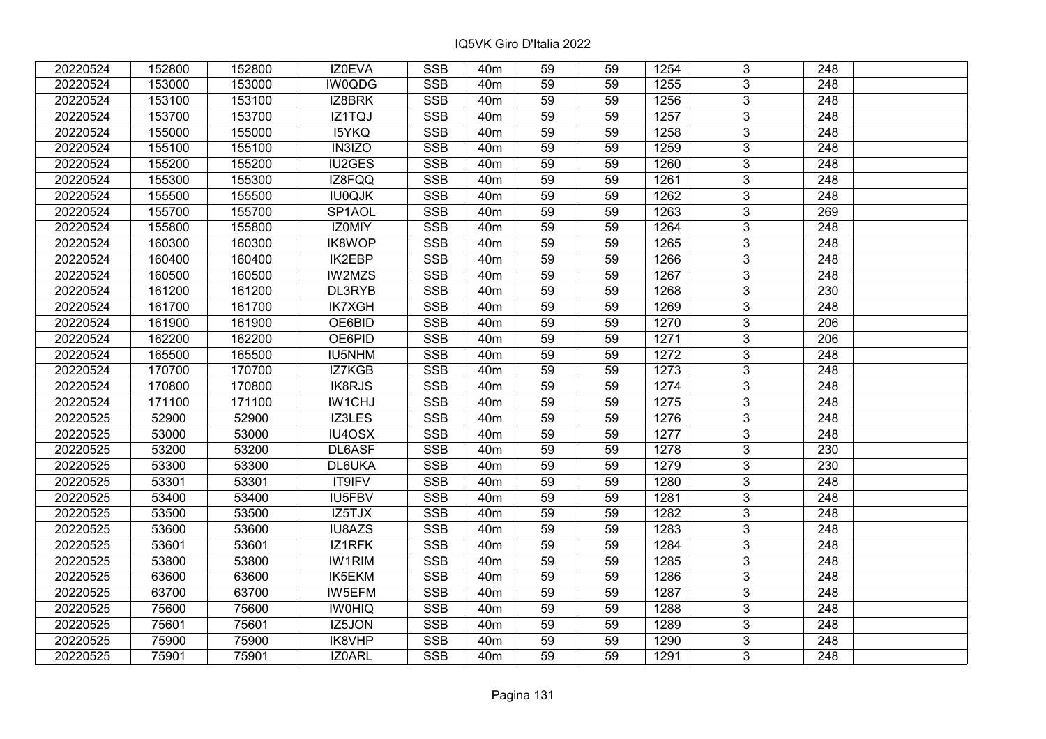| 20220524 | 152800 | 152800 | IZ0EVA        | <b>SSB</b>              | 40 <sub>m</sub> | 59              | 59 | 1254 | 3              | 248              |  |
|----------|--------|--------|---------------|-------------------------|-----------------|-----------------|----|------|----------------|------------------|--|
| 20220524 | 153000 | 153000 | <b>IW0QDG</b> | <b>SSB</b>              | 40 <sub>m</sub> | 59              | 59 | 1255 | 3              | 248              |  |
| 20220524 | 153100 | 153100 | IZ8BRK        | SSB                     | 40 <sub>m</sub> | $\overline{59}$ | 59 | 1256 | $\overline{3}$ | 248              |  |
| 20220524 | 153700 | 153700 | IZ1TQJ        | <b>SSB</b>              | 40 <sub>m</sub> | 59              | 59 | 1257 | $\overline{3}$ | $\overline{248}$ |  |
| 20220524 | 155000 | 155000 | <b>I5YKQ</b>  | <b>SSB</b>              | 40 <sub>m</sub> | 59              | 59 | 1258 | 3              | 248              |  |
| 20220524 | 155100 | 155100 | IN3IZO        | <b>SSB</b>              | 40 <sub>m</sub> | 59              | 59 | 1259 | $\overline{3}$ | 248              |  |
| 20220524 | 155200 | 155200 | IU2GES        | <b>SSB</b>              | 40 <sub>m</sub> | 59              | 59 | 1260 | $\overline{3}$ | 248              |  |
| 20220524 | 155300 | 155300 | IZ8FQQ        | <b>SSB</b>              | 40 <sub>m</sub> | 59              | 59 | 1261 | 3              | 248              |  |
| 20220524 | 155500 | 155500 | <b>IU0QJK</b> | <b>SSB</b>              | 40 <sub>m</sub> | 59              | 59 | 1262 | $\overline{3}$ | $\overline{248}$ |  |
| 20220524 | 155700 | 155700 | SP1AOL        | <b>SSB</b>              | 40 <sub>m</sub> | 59              | 59 | 1263 | $\overline{3}$ | 269              |  |
| 20220524 | 155800 | 155800 | IZ0MIY        | <b>SSB</b>              | 40 <sub>m</sub> | 59              | 59 | 1264 | 3              | 248              |  |
| 20220524 | 160300 | 160300 | <b>IK8WOP</b> | <b>SSB</b>              | 40 <sub>m</sub> | 59              | 59 | 1265 | $\overline{3}$ | 248              |  |
| 20220524 | 160400 | 160400 | <b>IK2EBP</b> | <b>SSB</b>              | 40 <sub>m</sub> | 59              | 59 | 1266 | 3              | 248              |  |
| 20220524 | 160500 | 160500 | IW2MZS        | <b>SSB</b>              | 40 <sub>m</sub> | 59              | 59 | 1267 | $\overline{3}$ | 248              |  |
| 20220524 | 161200 | 161200 | DL3RYB        | <b>SSB</b>              | 40 <sub>m</sub> | 59              | 59 | 1268 | 3              | 230              |  |
| 20220524 | 161700 | 161700 | <b>IK7XGH</b> | <b>SSB</b>              | 40 <sub>m</sub> | 59              | 59 | 1269 | 3              | 248              |  |
| 20220524 | 161900 | 161900 | OE6BID        | <b>SSB</b>              | 40 <sub>m</sub> | 59              | 59 | 1270 | 3              | 206              |  |
| 20220524 | 162200 | 162200 | OE6PID        | <b>SSB</b>              | 40 <sub>m</sub> | 59              | 59 | 1271 | 3              | 206              |  |
| 20220524 | 165500 | 165500 | <b>IU5NHM</b> | <b>SSB</b>              | 40 <sub>m</sub> | 59              | 59 | 1272 | 3              | 248              |  |
| 20220524 | 170700 | 170700 | IZ7KGB        | <b>SSB</b>              | 40 <sub>m</sub> | 59              | 59 | 1273 | $\overline{3}$ | 248              |  |
| 20220524 | 170800 | 170800 | <b>IK8RJS</b> | <b>SSB</b>              | 40 <sub>m</sub> | 59              | 59 | 1274 | $\overline{3}$ | 248              |  |
| 20220524 | 171100 | 171100 | IW1CHJ        | <b>SSB</b>              | 40 <sub>m</sub> | 59              | 59 | 1275 | 3              | 248              |  |
| 20220525 | 52900  | 52900  | IZ3LES        | <b>SSB</b>              | 40 <sub>m</sub> | 59              | 59 | 1276 | $\overline{3}$ | 248              |  |
| 20220525 | 53000  | 53000  | IU4OSX        | <b>SSB</b>              | 40 <sub>m</sub> | 59              | 59 | 1277 | 3              | 248              |  |
| 20220525 | 53200  | 53200  | DL6ASF        | <b>SSB</b>              | 40 <sub>m</sub> | 59              | 59 | 1278 | 3              | 230              |  |
| 20220525 | 53300  | 53300  | DL6UKA        | <b>SSB</b>              | 40 <sub>m</sub> | 59              | 59 | 1279 | $\overline{3}$ | 230              |  |
| 20220525 | 53301  | 53301  | IT9IFV        | <b>SSB</b>              | 40 <sub>m</sub> | 59              | 59 | 1280 | $\overline{3}$ | $\overline{248}$ |  |
| 20220525 | 53400  | 53400  | IU5FBV        | <b>SSB</b>              | 40 <sub>m</sub> | 59              | 59 | 1281 | $\overline{3}$ | $\overline{248}$ |  |
| 20220525 | 53500  | 53500  | IZ5TJX        | <b>SSB</b>              | 40 <sub>m</sub> | 59              | 59 | 1282 | $\overline{3}$ | 248              |  |
| 20220525 | 53600  | 53600  | <b>IU8AZS</b> | <b>SSB</b>              | 40 <sub>m</sub> | 59              | 59 | 1283 | $\overline{3}$ | 248              |  |
| 20220525 | 53601  | 53601  | IZ1RFK        | SSB                     | 40 <sub>m</sub> | $\overline{59}$ | 59 | 1284 | $\overline{3}$ | $\overline{248}$ |  |
| 20220525 | 53800  | 53800  | <b>IW1RIM</b> | <b>SSB</b>              | 40 <sub>m</sub> | 59              | 59 | 1285 | $\overline{3}$ | 248              |  |
| 20220525 | 63600  | 63600  | IK5EKM        | <b>SSB</b>              | 40 <sub>m</sub> | 59              | 59 | 1286 | 3              | 248              |  |
| 20220525 | 63700  | 63700  | IW5EFM        | <b>SSB</b>              | 40 <sub>m</sub> | 59              | 59 | 1287 | $\overline{3}$ | 248              |  |
| 20220525 | 75600  | 75600  | <b>IWOHIQ</b> | <b>SSB</b>              | 40 <sub>m</sub> | 59              | 59 | 1288 | 3              | 248              |  |
| 20220525 | 75601  | 75601  | IZ5JON        | <b>SSB</b>              | 40 <sub>m</sub> | 59              | 59 | 1289 | 3              | 248              |  |
| 20220525 | 75900  | 75900  | IK8VHP        | $\overline{\text{SSB}}$ | 40 <sub>m</sub> | 59              | 59 | 1290 | $\overline{3}$ | 248              |  |
| 20220525 | 75901  | 75901  | IZ0ARL        | <b>SSB</b>              | 40 <sub>m</sub> | 59              | 59 | 1291 | $\overline{3}$ | 248              |  |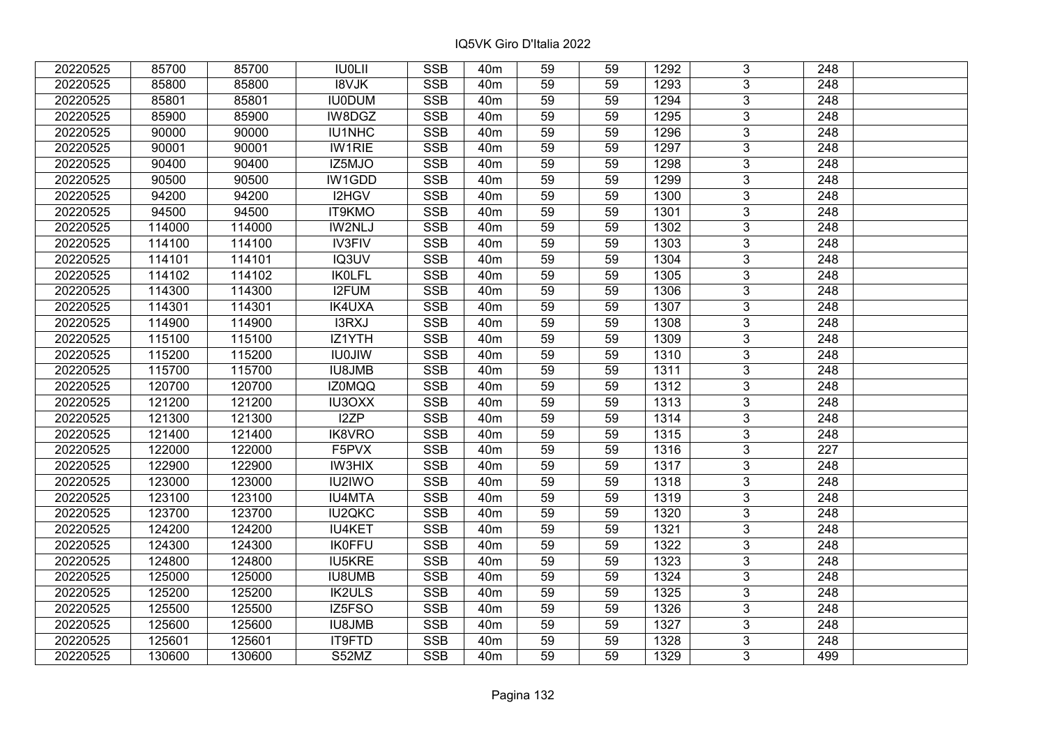| 20220525 | 85700  | 85700  | <b>IU0LII</b> | <b>SSB</b>              | 40m             | 59              | 59 | 1292 | 3              | 248              |  |
|----------|--------|--------|---------------|-------------------------|-----------------|-----------------|----|------|----------------|------------------|--|
| 20220525 | 85800  | 85800  | <b>I8VJK</b>  | <b>SSB</b>              | 40 <sub>m</sub> | 59              | 59 | 1293 | 3              | 248              |  |
| 20220525 | 85801  | 85801  | <b>IU0DUM</b> | <b>SSB</b>              | 40 <sub>m</sub> | 59              | 59 | 1294 | $\overline{3}$ | 248              |  |
| 20220525 | 85900  | 85900  | IW8DGZ        | <b>SSB</b>              | 40 <sub>m</sub> | 59              | 59 | 1295 | $\overline{3}$ | 248              |  |
| 20220525 | 90000  | 90000  | IU1NHC        | <b>SSB</b>              | 40 <sub>m</sub> | 59              | 59 | 1296 | $\overline{3}$ | 248              |  |
| 20220525 | 90001  | 90001  | <b>IW1RIE</b> | <b>SSB</b>              | 40 <sub>m</sub> | 59              | 59 | 1297 | $\overline{3}$ | 248              |  |
| 20220525 | 90400  | 90400  | IZ5MJO        | <b>SSB</b>              | 40m             | 59              | 59 | 1298 | 3              | 248              |  |
| 20220525 | 90500  | 90500  | IW1GDD        | <b>SSB</b>              | 40 <sub>m</sub> | 59              | 59 | 1299 | $\overline{3}$ | 248              |  |
| 20220525 | 94200  | 94200  | I2HGV         | <b>SSB</b>              | 40 <sub>m</sub> | 59              | 59 | 1300 | $\overline{3}$ | 248              |  |
| 20220525 | 94500  | 94500  | IT9KMO        | <b>SSB</b>              | 40 <sub>m</sub> | 59              | 59 | 1301 | $\overline{3}$ | 248              |  |
| 20220525 | 114000 | 114000 | IW2NLJ        | <b>SSB</b>              | 40 <sub>m</sub> | 59              | 59 | 1302 | $\overline{3}$ | 248              |  |
| 20220525 | 114100 | 114100 | <b>IV3FIV</b> | <b>SSB</b>              | 40 <sub>m</sub> | 59              | 59 | 1303 | $\overline{3}$ | 248              |  |
| 20220525 | 114101 | 114101 | IQ3UV         | <b>SSB</b>              | 40 <sub>m</sub> | 59              | 59 | 1304 | $\overline{3}$ | 248              |  |
| 20220525 | 114102 | 114102 | <b>IKOLFL</b> | <b>SSB</b>              | 40 <sub>m</sub> | 59              | 59 | 1305 | 3              | 248              |  |
| 20220525 | 114300 | 114300 | I2FUM         | <b>SSB</b>              | 40 <sub>m</sub> | 59              | 59 | 1306 | 3              | 248              |  |
| 20220525 | 114301 | 114301 | <b>IK4UXA</b> | <b>SSB</b>              | 40 <sub>m</sub> | 59              | 59 | 1307 | 3              | 248              |  |
| 20220525 | 114900 | 114900 | I3RXJ         | <b>SSB</b>              | 40 <sub>m</sub> | 59              | 59 | 1308 | 3              | 248              |  |
| 20220525 | 115100 | 115100 | IZ1YTH        | <b>SSB</b>              | 40 <sub>m</sub> | 59              | 59 | 1309 | 3              | 248              |  |
| 20220525 | 115200 | 115200 | <b>IU0JIW</b> | <b>SSB</b>              | 40 <sub>m</sub> | 59              | 59 | 1310 | $\overline{3}$ | 248              |  |
| 20220525 | 115700 | 115700 | <b>IU8JMB</b> | <b>SSB</b>              | 40 <sub>m</sub> | 59              | 59 | 1311 | $\overline{3}$ | 248              |  |
| 20220525 | 120700 | 120700 | <b>IZ0MQQ</b> | <b>SSB</b>              | 40 <sub>m</sub> | 59              | 59 | 1312 | $\overline{3}$ | 248              |  |
| 20220525 | 121200 | 121200 | <b>IU3OXX</b> | <b>SSB</b>              | 40 <sub>m</sub> | 59              | 59 | 1313 | $\overline{3}$ | 248              |  |
| 20220525 | 121300 | 121300 | I2ZP          | <b>SSB</b>              | 40 <sub>m</sub> | 59              | 59 | 1314 | 3              | 248              |  |
| 20220525 | 121400 | 121400 | IK8VRO        | <b>SSB</b>              | 40 <sub>m</sub> | 59              | 59 | 1315 | $\overline{3}$ | 248              |  |
| 20220525 | 122000 | 122000 | F5PVX         | <b>SSB</b>              | 40 <sub>m</sub> | 59              | 59 | 1316 | $\overline{3}$ | 227              |  |
| 20220525 | 122900 | 122900 | <b>IW3HIX</b> | SSB                     | 40 <sub>m</sub> | $\overline{59}$ | 59 | 1317 | $\overline{3}$ | $\overline{248}$ |  |
| 20220525 | 123000 | 123000 | IU2IWO        | <b>SSB</b>              | 40 <sub>m</sub> | 59              | 59 | 1318 | $\overline{3}$ | $\overline{248}$ |  |
| 20220525 | 123100 | 123100 | <b>IU4MTA</b> | <b>SSB</b>              | 40 <sub>m</sub> | 59              | 59 | 1319 | 3              | 248              |  |
| 20220525 | 123700 | 123700 | <b>IU2QKC</b> | <b>SSB</b>              | 40 <sub>m</sub> | 59              | 59 | 1320 | $\overline{3}$ | $\overline{248}$ |  |
| 20220525 | 124200 | 124200 | <b>IU4KET</b> | <b>SSB</b>              | 40 <sub>m</sub> | 59              | 59 | 1321 | $\overline{3}$ | $\overline{248}$ |  |
| 20220525 | 124300 | 124300 | <b>IK0FFU</b> | <b>SSB</b>              | 40 <sub>m</sub> | 59              | 59 | 1322 | $\overline{3}$ | 248              |  |
| 20220525 | 124800 | 124800 | <b>IU5KRE</b> | <b>SSB</b>              | 40 <sub>m</sub> | 59              | 59 | 1323 | $\overline{3}$ | 248              |  |
| 20220525 | 125000 | 125000 | <b>IU8UMB</b> | <b>SSB</b>              | 40 <sub>m</sub> | 59              | 59 | 1324 | 3              | 248              |  |
| 20220525 | 125200 | 125200 | <b>IK2ULS</b> | <b>SSB</b>              | 40 <sub>m</sub> | 59              | 59 | 1325 | 3              | 248              |  |
| 20220525 | 125500 | 125500 | IZ5FSO        | <b>SSB</b>              | 40 <sub>m</sub> | 59              | 59 | 1326 | 3              | 248              |  |
| 20220525 | 125600 | 125600 | <b>IU8JMB</b> | <b>SSB</b>              | 40 <sub>m</sub> | 59              | 59 | 1327 | 3              | 248              |  |
| 20220525 | 125601 | 125601 | IT9FTD        | $\overline{\text{SSB}}$ | 40 <sub>m</sub> | 59              | 59 | 1328 | $\overline{3}$ | 248              |  |
| 20220525 | 130600 | 130600 | S52MZ         | <b>SSB</b>              | 40 <sub>m</sub> | 59              | 59 | 1329 | $\overline{3}$ | 499              |  |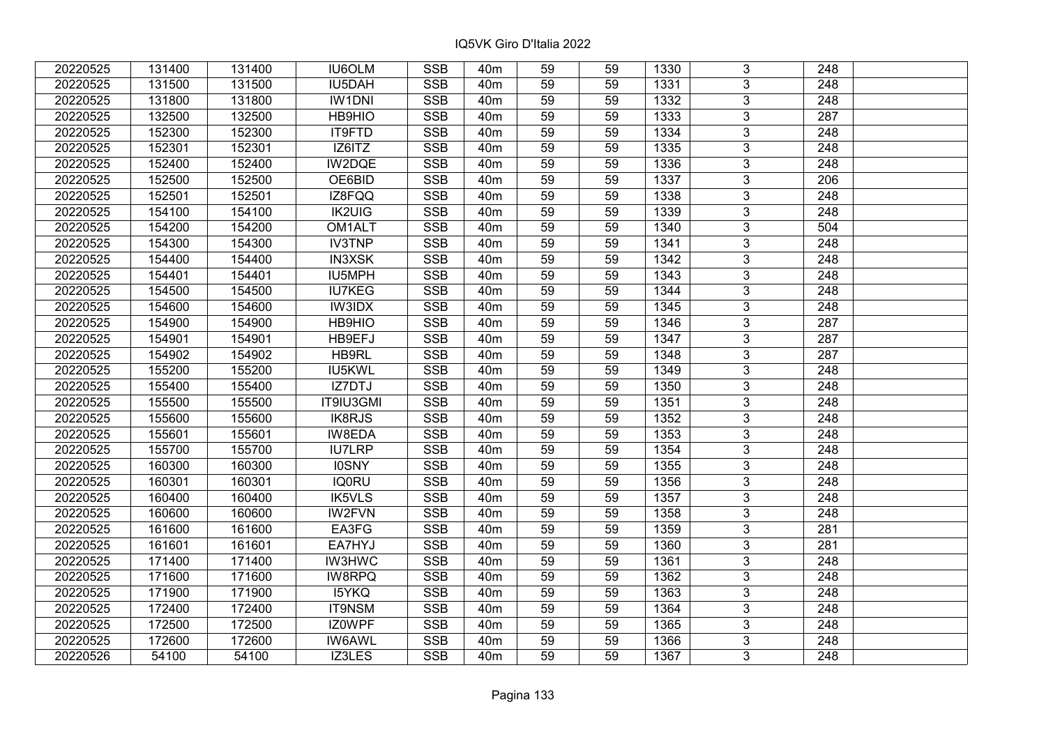| 20220525 | 131400 | 131400 | <b>IU6OLM</b> | <b>SSB</b>              | 40m             | 59              | 59 | 1330 | 3              | 248              |  |
|----------|--------|--------|---------------|-------------------------|-----------------|-----------------|----|------|----------------|------------------|--|
| 20220525 | 131500 | 131500 | IU5DAH        | <b>SSB</b>              | 40 <sub>m</sub> | 59              | 59 | 1331 | 3              | 248              |  |
| 20220525 | 131800 | 131800 | <b>IW1DNI</b> | SSB                     | 40 <sub>m</sub> | $\overline{59}$ | 59 | 1332 | $\overline{3}$ | 248              |  |
| 20220525 | 132500 | 132500 | HB9HIO        | <b>SSB</b>              | 40 <sub>m</sub> | 59              | 59 | 1333 | $\overline{3}$ | 287              |  |
| 20220525 | 152300 | 152300 | IT9FTD        | <b>SSB</b>              | 40 <sub>m</sub> | 59              | 59 | 1334 | 3              | 248              |  |
| 20220525 | 152301 | 152301 | IZ6ITZ        | <b>SSB</b>              | 40 <sub>m</sub> | 59              | 59 | 1335 | $\overline{3}$ | 248              |  |
| 20220525 | 152400 | 152400 | IW2DQE        | <b>SSB</b>              | 40 <sub>m</sub> | 59              | 59 | 1336 | $\overline{3}$ | 248              |  |
| 20220525 | 152500 | 152500 | OE6BID        | <b>SSB</b>              | 40 <sub>m</sub> | 59              | 59 | 1337 | 3              | 206              |  |
| 20220525 | 152501 | 152501 | IZ8FQQ        | <b>SSB</b>              | 40 <sub>m</sub> | 59              | 59 | 1338 | $\overline{3}$ | $\overline{248}$ |  |
| 20220525 | 154100 | 154100 | <b>IK2UIG</b> | <b>SSB</b>              | 40 <sub>m</sub> | 59              | 59 | 1339 | $\overline{3}$ | 248              |  |
| 20220525 | 154200 | 154200 | OM1ALT        | <b>SSB</b>              | 40 <sub>m</sub> | 59              | 59 | 1340 | 3              | 504              |  |
| 20220525 | 154300 | 154300 | <b>IV3TNP</b> | <b>SSB</b>              | 40 <sub>m</sub> | 59              | 59 | 1341 | $\overline{3}$ | 248              |  |
| 20220525 | 154400 | 154400 | <b>IN3XSK</b> | <b>SSB</b>              | 40 <sub>m</sub> | 59              | 59 | 1342 | 3              | 248              |  |
| 20220525 | 154401 | 154401 | IU5MPH        | <b>SSB</b>              | 40 <sub>m</sub> | 59              | 59 | 1343 | $\overline{3}$ | 248              |  |
| 20220525 | 154500 | 154500 | <b>IU7KEG</b> | <b>SSB</b>              | 40 <sub>m</sub> | 59              | 59 | 1344 | 3              | 248              |  |
| 20220525 | 154600 | 154600 | IW3IDX        | <b>SSB</b>              | 40 <sub>m</sub> | 59              | 59 | 1345 | 3              | 248              |  |
| 20220525 | 154900 | 154900 | HB9HIO        | <b>SSB</b>              | 40 <sub>m</sub> | 59              | 59 | 1346 | 3              | 287              |  |
| 20220525 | 154901 | 154901 | HB9EFJ        | <b>SSB</b>              | 40 <sub>m</sub> | 59              | 59 | 1347 | 3              | 287              |  |
| 20220525 | 154902 | 154902 | HB9RL         | <b>SSB</b>              | 40 <sub>m</sub> | 59              | 59 | 1348 | 3              | 287              |  |
| 20220525 | 155200 | 155200 | IU5KWL        | <b>SSB</b>              | 40 <sub>m</sub> | 59              | 59 | 1349 | $\overline{3}$ | 248              |  |
| 20220525 | 155400 | 155400 | IZ7DTJ        | <b>SSB</b>              | 40 <sub>m</sub> | 59              | 59 | 1350 | $\overline{3}$ | 248              |  |
| 20220525 | 155500 | 155500 | IT9IU3GMI     | <b>SSB</b>              | 40 <sub>m</sub> | 59              | 59 | 1351 | 3              | 248              |  |
| 20220525 | 155600 | 155600 | <b>IK8RJS</b> | <b>SSB</b>              | 40 <sub>m</sub> | 59              | 59 | 1352 | $\overline{3}$ | 248              |  |
| 20220525 | 155601 | 155601 | IW8EDA        | <b>SSB</b>              | 40 <sub>m</sub> | 59              | 59 | 1353 | 3              | 248              |  |
| 20220525 | 155700 | 155700 | <b>IU7LRP</b> | <b>SSB</b>              | 40 <sub>m</sub> | 59              | 59 | 1354 | 3              | 248              |  |
| 20220525 | 160300 | 160300 | <b>IOSNY</b>  | <b>SSB</b>              | 40 <sub>m</sub> | 59              | 59 | 1355 | $\overline{3}$ | $\overline{248}$ |  |
| 20220525 | 160301 | 160301 | <b>IQ0RU</b>  | <b>SSB</b>              | 40 <sub>m</sub> | 59              | 59 | 1356 | $\overline{3}$ | $\overline{248}$ |  |
| 20220525 | 160400 | 160400 | <b>IK5VLS</b> | <b>SSB</b>              | 40 <sub>m</sub> | 59              | 59 | 1357 | $\overline{3}$ | $\overline{248}$ |  |
| 20220525 | 160600 | 160600 | <b>IW2FVN</b> | <b>SSB</b>              | 40 <sub>m</sub> | 59              | 59 | 1358 | $\overline{3}$ | 248              |  |
| 20220525 | 161600 | 161600 | EA3FG         | <b>SSB</b>              | 40 <sub>m</sub> | 59              | 59 | 1359 | $\overline{3}$ | 281              |  |
| 20220525 | 161601 | 161601 | EA7HYJ        | <b>SSB</b>              | 40 <sub>m</sub> | 59              | 59 | 1360 | $\overline{3}$ | $\overline{281}$ |  |
| 20220525 | 171400 | 171400 | <b>IW3HWC</b> | <b>SSB</b>              | 40 <sub>m</sub> | 59              | 59 | 1361 | $\overline{3}$ | 248              |  |
| 20220525 | 171600 | 171600 | <b>IW8RPQ</b> | <b>SSB</b>              | 40 <sub>m</sub> | 59              | 59 | 1362 | 3              | 248              |  |
| 20220525 | 171900 | 171900 | <b>I5YKQ</b>  | <b>SSB</b>              | 40 <sub>m</sub> | 59              | 59 | 1363 | 3              | 248              |  |
| 20220525 | 172400 | 172400 | <b>IT9NSM</b> | <b>SSB</b>              | 40 <sub>m</sub> | 59              | 59 | 1364 | 3              | 248              |  |
| 20220525 | 172500 | 172500 | IZ0WPF        | <b>SSB</b>              | 40 <sub>m</sub> | 59              | 59 | 1365 | 3              | 248              |  |
| 20220525 | 172600 | 172600 | <b>IW6AWL</b> | $\overline{\text{SSB}}$ | 40 <sub>m</sub> | 59              | 59 | 1366 | $\overline{3}$ | 248              |  |
| 20220526 | 54100  | 54100  | IZ3LES        | <b>SSB</b>              | 40 <sub>m</sub> | 59              | 59 | 1367 | $\overline{3}$ | 248              |  |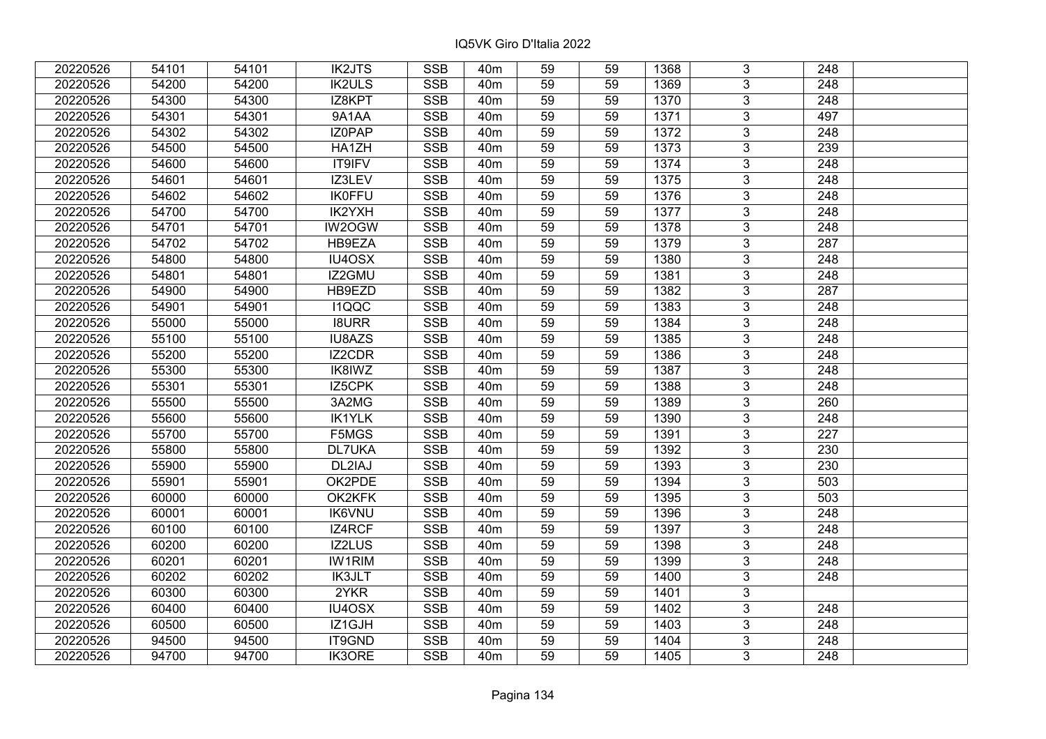| 20220526 | 54101 | 54101 | <b>IK2JTS</b> | <b>SSB</b>              | 40 <sub>m</sub> | 59              | 59 | 1368 | 3              | 248              |  |
|----------|-------|-------|---------------|-------------------------|-----------------|-----------------|----|------|----------------|------------------|--|
| 20220526 | 54200 | 54200 | <b>IK2ULS</b> | <b>SSB</b>              | 40 <sub>m</sub> | 59              | 59 | 1369 | 3              | 248              |  |
| 20220526 | 54300 | 54300 | IZ8KPT        | SSB                     | 40 <sub>m</sub> | $\overline{59}$ | 59 | 1370 | $\overline{3}$ | 248              |  |
| 20220526 | 54301 | 54301 | 9A1AA         | <b>SSB</b>              | 40 <sub>m</sub> | 59              | 59 | 1371 | $\overline{3}$ | 497              |  |
| 20220526 | 54302 | 54302 | IZ0PAP        | <b>SSB</b>              | 40 <sub>m</sub> | 59              | 59 | 1372 | 3              | 248              |  |
| 20220526 | 54500 | 54500 | HA1ZH         | <b>SSB</b>              | 40 <sub>m</sub> | 59              | 59 | 1373 | $\overline{3}$ | 239              |  |
| 20220526 | 54600 | 54600 | <b>IT9IFV</b> | <b>SSB</b>              | 40 <sub>m</sub> | 59              | 59 | 1374 | $\overline{3}$ | 248              |  |
| 20220526 | 54601 | 54601 | IZ3LEV        | <b>SSB</b>              | 40 <sub>m</sub> | 59              | 59 | 1375 | 3              | 248              |  |
| 20220526 | 54602 | 54602 | <b>IK0FFU</b> | <b>SSB</b>              | 40 <sub>m</sub> | 59              | 59 | 1376 | $\overline{3}$ | $\overline{248}$ |  |
| 20220526 | 54700 | 54700 | IK2YXH        | <b>SSB</b>              | 40 <sub>m</sub> | 59              | 59 | 1377 | $\overline{3}$ | 248              |  |
| 20220526 | 54701 | 54701 | IW2OGW        | <b>SSB</b>              | 40 <sub>m</sub> | 59              | 59 | 1378 | 3              | 248              |  |
| 20220526 | 54702 | 54702 | HB9EZA        | <b>SSB</b>              | 40 <sub>m</sub> | 59              | 59 | 1379 | $\overline{3}$ | 287              |  |
| 20220526 | 54800 | 54800 | IU4OSX        | <b>SSB</b>              | 40 <sub>m</sub> | 59              | 59 | 1380 | 3              | 248              |  |
| 20220526 | 54801 | 54801 | IZ2GMU        | <b>SSB</b>              | 40 <sub>m</sub> | 59              | 59 | 1381 | $\overline{3}$ | 248              |  |
| 20220526 | 54900 | 54900 | HB9EZD        | <b>SSB</b>              | 40 <sub>m</sub> | 59              | 59 | 1382 | 3              | 287              |  |
| 20220526 | 54901 | 54901 | I1QQC         | <b>SSB</b>              | 40 <sub>m</sub> | 59              | 59 | 1383 | 3              | 248              |  |
| 20220526 | 55000 | 55000 | <b>I8URR</b>  | <b>SSB</b>              | 40 <sub>m</sub> | 59              | 59 | 1384 | 3              | 248              |  |
| 20220526 | 55100 | 55100 | IU8AZS        | <b>SSB</b>              | 40 <sub>m</sub> | 59              | 59 | 1385 | 3              | 248              |  |
| 20220526 | 55200 | 55200 | IZ2CDR        | <b>SSB</b>              | 40 <sub>m</sub> | 59              | 59 | 1386 | 3              | 248              |  |
| 20220526 | 55300 | 55300 | IK8IWZ        | <b>SSB</b>              | 40 <sub>m</sub> | 59              | 59 | 1387 | $\overline{3}$ | 248              |  |
| 20220526 | 55301 | 55301 | IZ5CPK        | <b>SSB</b>              | 40 <sub>m</sub> | 59              | 59 | 1388 | $\overline{3}$ | 248              |  |
| 20220526 | 55500 | 55500 | 3A2MG         | <b>SSB</b>              | 40 <sub>m</sub> | 59              | 59 | 1389 | 3              | 260              |  |
| 20220526 | 55600 | 55600 | <b>IK1YLK</b> | <b>SSB</b>              | 40 <sub>m</sub> | 59              | 59 | 1390 | $\overline{3}$ | 248              |  |
| 20220526 | 55700 | 55700 | F5MGS         | <b>SSB</b>              | 40 <sub>m</sub> | 59              | 59 | 1391 | 3              | 227              |  |
| 20220526 | 55800 | 55800 | <b>DL7UKA</b> | <b>SSB</b>              | 40 <sub>m</sub> | 59              | 59 | 1392 | 3              | 230              |  |
| 20220526 | 55900 | 55900 | DL2IAJ        | <b>SSB</b>              | 40 <sub>m</sub> | 59              | 59 | 1393 | $\overline{3}$ | 230              |  |
| 20220526 | 55901 | 55901 | OK2PDE        | <b>SSB</b>              | 40 <sub>m</sub> | 59              | 59 | 1394 | $\overline{3}$ | 503              |  |
| 20220526 | 60000 | 60000 | OK2KFK        | <b>SSB</b>              | 40 <sub>m</sub> | 59              | 59 | 1395 | $\overline{3}$ | 503              |  |
| 20220526 | 60001 | 60001 | <b>IK6VNU</b> | <b>SSB</b>              | 40 <sub>m</sub> | 59              | 59 | 1396 | $\overline{3}$ | $\overline{248}$ |  |
| 20220526 | 60100 | 60100 | IZ4RCF        | <b>SSB</b>              | 40 <sub>m</sub> | 59              | 59 | 1397 | $\overline{3}$ | 248              |  |
| 20220526 | 60200 | 60200 | <b>IZ2LUS</b> | <b>SSB</b>              | 40 <sub>m</sub> | $\overline{59}$ | 59 | 1398 | $\overline{3}$ | $\overline{248}$ |  |
| 20220526 | 60201 | 60201 | <b>IW1RIM</b> | <b>SSB</b>              | 40 <sub>m</sub> | 59              | 59 | 1399 | $\overline{3}$ | 248              |  |
| 20220526 | 60202 | 60202 | <b>IK3JLT</b> | <b>SSB</b>              | 40 <sub>m</sub> | 59              | 59 | 1400 | 3              | 248              |  |
| 20220526 | 60300 | 60300 | 2YKR          | <b>SSB</b>              | 40 <sub>m</sub> | 59              | 59 | 1401 | 3              |                  |  |
| 20220526 | 60400 | 60400 | IU4OSX        | <b>SSB</b>              | 40 <sub>m</sub> | 59              | 59 | 1402 | 3              | 248              |  |
| 20220526 | 60500 | 60500 | IZ1GJH        | <b>SSB</b>              | 40 <sub>m</sub> | 59              | 59 | 1403 | 3              | 248              |  |
| 20220526 | 94500 | 94500 | IT9GND        | $\overline{\text{SSB}}$ | 40 <sub>m</sub> | 59              | 59 | 1404 | $\overline{3}$ | 248              |  |
| 20220526 | 94700 | 94700 | <b>IK3ORE</b> | <b>SSB</b>              | 40 <sub>m</sub> | 59              | 59 | 1405 | $\overline{3}$ | 248              |  |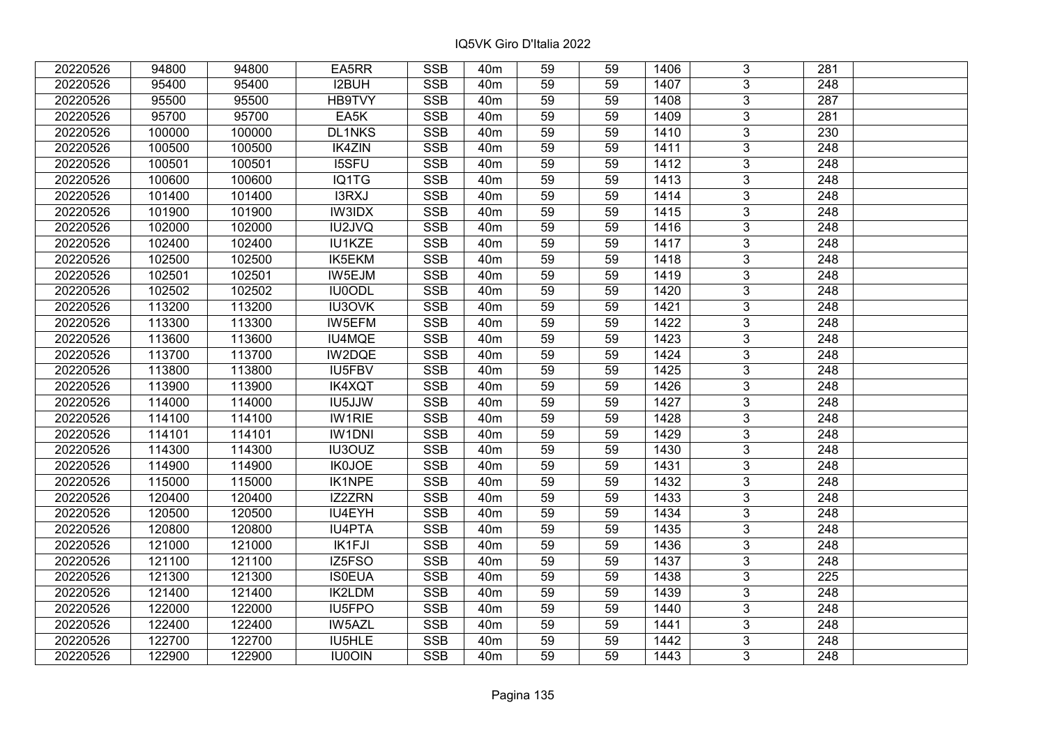| 20220526 | 94800  | 94800  | EA5RR         | <b>SSB</b>              | 40 <sub>m</sub> | 59              | 59 | 1406 | 3              | 281              |  |
|----------|--------|--------|---------------|-------------------------|-----------------|-----------------|----|------|----------------|------------------|--|
| 20220526 | 95400  | 95400  | I2BUH         | <b>SSB</b>              | 40 <sub>m</sub> | 59              | 59 | 1407 | 3              | 248              |  |
| 20220526 | 95500  | 95500  | HB9TVY        | SSB                     | 40 <sub>m</sub> | $\overline{59}$ | 59 | 1408 | $\overline{3}$ | 287              |  |
| 20220526 | 95700  | 95700  | EA5K          | <b>SSB</b>              | 40 <sub>m</sub> | 59              | 59 | 1409 | $\overline{3}$ | 281              |  |
| 20220526 | 100000 | 100000 | <b>DL1NKS</b> | <b>SSB</b>              | 40 <sub>m</sub> | 59              | 59 | 1410 | 3              | 230              |  |
| 20220526 | 100500 | 100500 | <b>IK4ZIN</b> | <b>SSB</b>              | 40 <sub>m</sub> | 59              | 59 | 1411 | $\overline{3}$ | 248              |  |
| 20220526 | 100501 | 100501 | <b>I5SFU</b>  | <b>SSB</b>              | 40 <sub>m</sub> | 59              | 59 | 1412 | $\overline{3}$ | 248              |  |
| 20220526 | 100600 | 100600 | IQ1TG         | <b>SSB</b>              | 40 <sub>m</sub> | 59              | 59 | 1413 | 3              | 248              |  |
| 20220526 | 101400 | 101400 | I3RXJ         | <b>SSB</b>              | 40 <sub>m</sub> | 59              | 59 | 1414 | $\overline{3}$ | $\overline{248}$ |  |
| 20220526 | 101900 | 101900 | <b>IW3IDX</b> | <b>SSB</b>              | 40 <sub>m</sub> | 59              | 59 | 1415 | $\overline{3}$ | 248              |  |
| 20220526 | 102000 | 102000 | IU2JVQ        | <b>SSB</b>              | 40 <sub>m</sub> | 59              | 59 | 1416 | 3              | 248              |  |
| 20220526 | 102400 | 102400 | <b>IU1KZE</b> | <b>SSB</b>              | 40 <sub>m</sub> | 59              | 59 | 1417 | $\overline{3}$ | 248              |  |
| 20220526 | 102500 | 102500 | IK5EKM        | <b>SSB</b>              | 40 <sub>m</sub> | 59              | 59 | 1418 | 3              | 248              |  |
| 20220526 | 102501 | 102501 | IW5EJM        | <b>SSB</b>              | 40 <sub>m</sub> | 59              | 59 | 1419 | $\overline{3}$ | 248              |  |
| 20220526 | 102502 | 102502 | <b>IU0ODL</b> | <b>SSB</b>              | 40 <sub>m</sub> | 59              | 59 | 1420 | 3              | 248              |  |
| 20220526 | 113200 | 113200 | <b>IU3OVK</b> | <b>SSB</b>              | 40 <sub>m</sub> | 59              | 59 | 1421 | 3              | 248              |  |
| 20220526 | 113300 | 113300 | IW5EFM        | <b>SSB</b>              | 40 <sub>m</sub> | 59              | 59 | 1422 | 3              | 248              |  |
| 20220526 | 113600 | 113600 | IU4MQE        | <b>SSB</b>              | 40 <sub>m</sub> | 59              | 59 | 1423 | 3              | 248              |  |
| 20220526 | 113700 | 113700 | IW2DQE        | <b>SSB</b>              | 40 <sub>m</sub> | 59              | 59 | 1424 | 3              | 248              |  |
| 20220526 | 113800 | 113800 | IU5FBV        | <b>SSB</b>              | 40 <sub>m</sub> | 59              | 59 | 1425 | $\overline{3}$ | 248              |  |
| 20220526 | 113900 | 113900 | <b>IK4XQT</b> | <b>SSB</b>              | 40 <sub>m</sub> | 59              | 59 | 1426 | $\overline{3}$ | 248              |  |
| 20220526 | 114000 | 114000 | IU5JJW        | <b>SSB</b>              | 40 <sub>m</sub> | 59              | 59 | 1427 | 3              | 248              |  |
| 20220526 | 114100 | 114100 | <b>IW1RIE</b> | <b>SSB</b>              | 40 <sub>m</sub> | 59              | 59 | 1428 | $\overline{3}$ | 248              |  |
| 20220526 | 114101 | 114101 | <b>IW1DNI</b> | <b>SSB</b>              | 40 <sub>m</sub> | 59              | 59 | 1429 | 3              | 248              |  |
| 20220526 | 114300 | 114300 | IU3OUZ        | <b>SSB</b>              | 40 <sub>m</sub> | 59              | 59 | 1430 | 3              | 248              |  |
| 20220526 | 114900 | 114900 | <b>IK0JOE</b> | <b>SSB</b>              | 40 <sub>m</sub> | 59              | 59 | 1431 | $\overline{3}$ | $\overline{248}$ |  |
| 20220526 | 115000 | 115000 | <b>IK1NPE</b> | <b>SSB</b>              | 40 <sub>m</sub> | 59              | 59 | 1432 | $\overline{3}$ | $\overline{248}$ |  |
| 20220526 | 120400 | 120400 | IZ2ZRN        | <b>SSB</b>              | 40 <sub>m</sub> | 59              | 59 | 1433 | $\overline{3}$ | $\overline{248}$ |  |
| 20220526 | 120500 | 120500 | IU4EYH        | <b>SSB</b>              | 40 <sub>m</sub> | 59              | 59 | 1434 | $\overline{3}$ | $\overline{248}$ |  |
| 20220526 | 120800 | 120800 | <b>IU4PTA</b> | <b>SSB</b>              | 40 <sub>m</sub> | 59              | 59 | 1435 | $\overline{3}$ | 248              |  |
| 20220526 | 121000 | 121000 | <b>IK1FJI</b> | <b>SSB</b>              | 40 <sub>m</sub> | $\overline{59}$ | 59 | 1436 | $\overline{3}$ | $\overline{248}$ |  |
| 20220526 | 121100 | 121100 | IZ5FSO        | <b>SSB</b>              | 40 <sub>m</sub> | 59              | 59 | 1437 | $\overline{3}$ | 248              |  |
| 20220526 | 121300 | 121300 | <b>IS0EUA</b> | <b>SSB</b>              | 40 <sub>m</sub> | 59              | 59 | 1438 | 3              | 225              |  |
| 20220526 | 121400 | 121400 | IK2LDM        | <b>SSB</b>              | 40 <sub>m</sub> | 59              | 59 | 1439 | $\overline{3}$ | $\overline{248}$ |  |
| 20220526 | 122000 | 122000 | IU5FPO        | <b>SSB</b>              | 40 <sub>m</sub> | 59              | 59 | 1440 | 3              | 248              |  |
| 20220526 | 122400 | 122400 | <b>IW5AZL</b> | <b>SSB</b>              | 40m             | 59              | 59 | 1441 | 3              | 248              |  |
| 20220526 | 122700 | 122700 | IU5HLE        | $\overline{\text{SSB}}$ | 40 <sub>m</sub> | 59              | 59 | 1442 | $\overline{3}$ | 248              |  |
| 20220526 | 122900 | 122900 | <b>IU0OIN</b> | <b>SSB</b>              | 40 <sub>m</sub> | 59              | 59 | 1443 | $\overline{3}$ | 248              |  |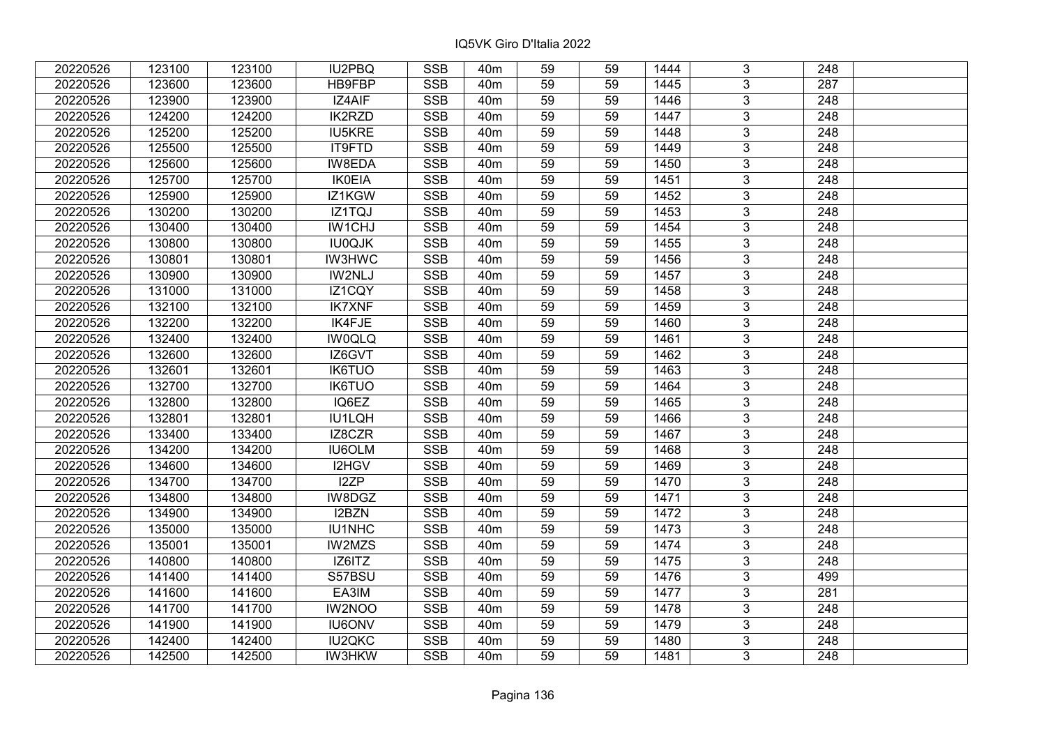| 20220526 | 123100 | 123100 | <b>IU2PBQ</b> | <b>SSB</b> | 40 <sub>m</sub> | 59 | 59 | 1444 | 3              | 248              |  |
|----------|--------|--------|---------------|------------|-----------------|----|----|------|----------------|------------------|--|
| 20220526 | 123600 | 123600 | HB9FBP        | <b>SSB</b> | 40 <sub>m</sub> | 59 | 59 | 1445 | 3              | 287              |  |
| 20220526 | 123900 | 123900 | IZ4AIF        | SSB        | 40 <sub>m</sub> | 59 | 59 | 1446 | $\overline{3}$ | 248              |  |
| 20220526 | 124200 | 124200 | <b>IK2RZD</b> | <b>SSB</b> | 40 <sub>m</sub> | 59 | 59 | 1447 | $\overline{3}$ | $\overline{248}$ |  |
| 20220526 | 125200 | 125200 | <b>IU5KRE</b> | <b>SSB</b> | 40 <sub>m</sub> | 59 | 59 | 1448 | 3              | 248              |  |
| 20220526 | 125500 | 125500 | IT9FTD        | <b>SSB</b> | 40 <sub>m</sub> | 59 | 59 | 1449 | $\overline{3}$ | 248              |  |
| 20220526 | 125600 | 125600 | IW8EDA        | <b>SSB</b> | 40 <sub>m</sub> | 59 | 59 | 1450 | $\overline{3}$ | 248              |  |
| 20220526 | 125700 | 125700 | <b>IK0EIA</b> | <b>SSB</b> | 40 <sub>m</sub> | 59 | 59 | 1451 | 3              | 248              |  |
| 20220526 | 125900 | 125900 | IZ1KGW        | <b>SSB</b> | 40 <sub>m</sub> | 59 | 59 | 1452 | $\overline{3}$ | $\overline{248}$ |  |
| 20220526 | 130200 | 130200 | IZ1TQJ        | <b>SSB</b> | 40 <sub>m</sub> | 59 | 59 | 1453 | $\overline{3}$ | 248              |  |
| 20220526 | 130400 | 130400 | <b>IW1CHJ</b> | <b>SSB</b> | 40 <sub>m</sub> | 59 | 59 | 1454 | 3              | 248              |  |
| 20220526 | 130800 | 130800 | <b>IU0QJK</b> | <b>SSB</b> | 40 <sub>m</sub> | 59 | 59 | 1455 | $\overline{3}$ | 248              |  |
| 20220526 | 130801 | 130801 | <b>IW3HWC</b> | <b>SSB</b> | 40 <sub>m</sub> | 59 | 59 | 1456 | 3              | 248              |  |
| 20220526 | 130900 | 130900 | IW2NLJ        | <b>SSB</b> | 40 <sub>m</sub> | 59 | 59 | 1457 | $\overline{3}$ | 248              |  |
| 20220526 | 131000 | 131000 | IZ1CQY        | <b>SSB</b> | 40 <sub>m</sub> | 59 | 59 | 1458 | 3              | 248              |  |
| 20220526 | 132100 | 132100 | <b>IK7XNF</b> | <b>SSB</b> | 40 <sub>m</sub> | 59 | 59 | 1459 | 3              | 248              |  |
| 20220526 | 132200 | 132200 | IK4FJE        | <b>SSB</b> | 40 <sub>m</sub> | 59 | 59 | 1460 | 3              | 248              |  |
| 20220526 | 132400 | 132400 | <b>IW0QLQ</b> | <b>SSB</b> | 40 <sub>m</sub> | 59 | 59 | 1461 | 3              | 248              |  |
| 20220526 | 132600 | 132600 | IZ6GVT        | <b>SSB</b> | 40 <sub>m</sub> | 59 | 59 | 1462 | 3              | 248              |  |
| 20220526 | 132601 | 132601 | <b>IK6TUO</b> | <b>SSB</b> | 40 <sub>m</sub> | 59 | 59 | 1463 | $\overline{3}$ | 248              |  |
| 20220526 | 132700 | 132700 | <b>IK6TUO</b> | <b>SSB</b> | 40 <sub>m</sub> | 59 | 59 | 1464 | $\overline{3}$ | 248              |  |
| 20220526 | 132800 | 132800 | IQ6EZ         | <b>SSB</b> | 40 <sub>m</sub> | 59 | 59 | 1465 | 3              | 248              |  |
| 20220526 | 132801 | 132801 | IU1LQH        | SSB        | 40 <sub>m</sub> | 59 | 59 | 1466 | $\overline{3}$ | 248              |  |
| 20220526 | 133400 | 133400 | IZ8CZR        | <b>SSB</b> | 40 <sub>m</sub> | 59 | 59 | 1467 | 3              | 248              |  |
| 20220526 | 134200 | 134200 | <b>IU6OLM</b> | <b>SSB</b> | 40 <sub>m</sub> | 59 | 59 | 1468 | 3              | 248              |  |
| 20220526 | 134600 | 134600 | I2HGV         | <b>SSB</b> | 40 <sub>m</sub> | 59 | 59 | 1469 | $\overline{3}$ | $\overline{248}$ |  |
| 20220526 | 134700 | 134700 | I2ZP          | <b>SSB</b> | 40 <sub>m</sub> | 59 | 59 | 1470 | $\overline{3}$ | $\overline{248}$ |  |
| 20220526 | 134800 | 134800 | IW8DGZ        | <b>SSB</b> | 40 <sub>m</sub> | 59 | 59 | 1471 | $\overline{3}$ | $\overline{248}$ |  |
| 20220526 | 134900 | 134900 | I2BZN         | <b>SSB</b> | 40 <sub>m</sub> | 59 | 59 | 1472 | $\overline{3}$ | $\overline{248}$ |  |
| 20220526 | 135000 | 135000 | IU1NHC        | <b>SSB</b> | 40 <sub>m</sub> | 59 | 59 | 1473 | $\overline{3}$ | 248              |  |
| 20220526 | 135001 | 135001 | <b>IW2MZS</b> | <b>SSB</b> | 40 <sub>m</sub> | 59 | 59 | 1474 | $\overline{3}$ | $\overline{248}$ |  |
| 20220526 | 140800 | 140800 | IZ6ITZ        | <b>SSB</b> | 40 <sub>m</sub> | 59 | 59 | 1475 | $\overline{3}$ | 248              |  |
| 20220526 | 141400 | 141400 | S57BSU        | <b>SSB</b> | 40 <sub>m</sub> | 59 | 59 | 1476 | 3              | 499              |  |
| 20220526 | 141600 | 141600 | EA3IM         | <b>SSB</b> | 40 <sub>m</sub> | 59 | 59 | 1477 | $\overline{3}$ | 281              |  |
| 20220526 | 141700 | 141700 | IW2NOO        | <b>SSB</b> | 40 <sub>m</sub> | 59 | 59 | 1478 | 3              | 248              |  |
| 20220526 | 141900 | 141900 | <b>IU6ONV</b> | <b>SSB</b> | 40 <sub>m</sub> | 59 | 59 | 1479 | 3              | 248              |  |
| 20220526 | 142400 | 142400 | <b>IU2QKC</b> | SSB        | 40 <sub>m</sub> | 59 | 59 | 1480 | $\overline{3}$ | 248              |  |
| 20220526 | 142500 | 142500 | <b>IW3HKW</b> | <b>SSB</b> | 40 <sub>m</sub> | 59 | 59 | 1481 | $\overline{3}$ | 248              |  |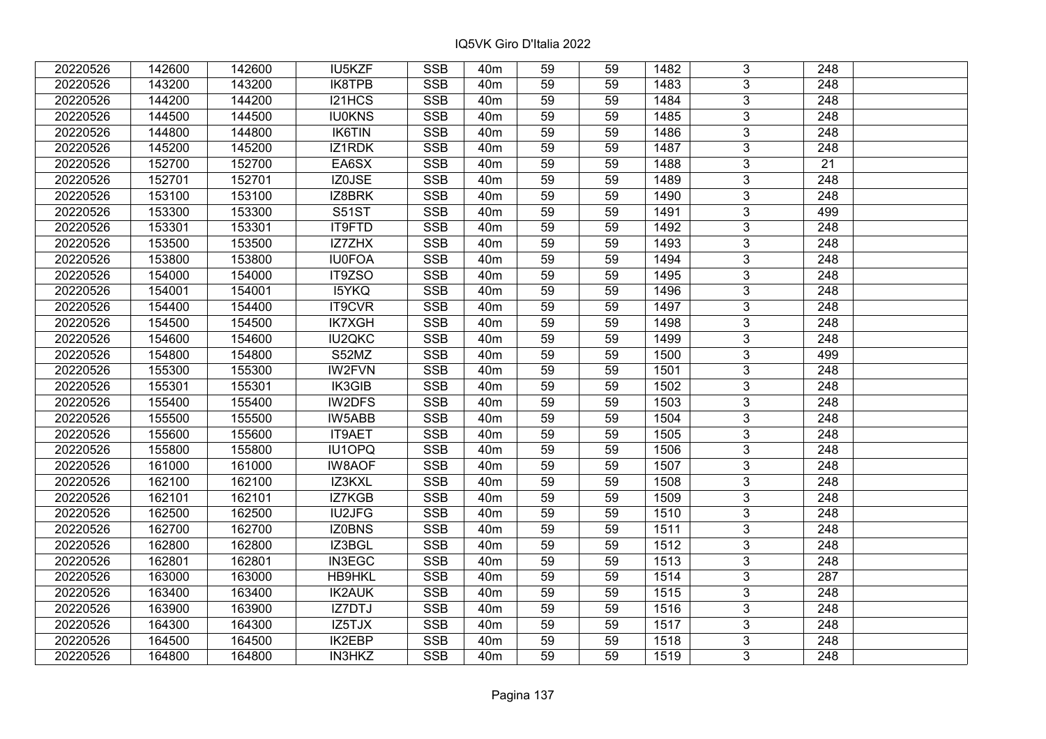| 20220526 | 142600 | 142600 | IU5KZF        | <b>SSB</b>              | 40m             | 59              | 59 | 1482 | 3              | 248              |  |
|----------|--------|--------|---------------|-------------------------|-----------------|-----------------|----|------|----------------|------------------|--|
| 20220526 | 143200 | 143200 | IK8TPB        | <b>SSB</b>              | 40 <sub>m</sub> | 59              | 59 | 1483 | 3              | 248              |  |
| 20220526 | 144200 | 144200 | I21HCS        | <b>SSB</b>              | 40 <sub>m</sub> | $\overline{59}$ | 59 | 1484 | $\overline{3}$ | 248              |  |
| 20220526 | 144500 | 144500 | <b>IU0KNS</b> | <b>SSB</b>              | 40 <sub>m</sub> | 59              | 59 | 1485 | $\overline{3}$ | $\overline{248}$ |  |
| 20220526 | 144800 | 144800 | IK6TIN        | <b>SSB</b>              | 40 <sub>m</sub> | 59              | 59 | 1486 | 3              | 248              |  |
| 20220526 | 145200 | 145200 | IZ1RDK        | <b>SSB</b>              | 40 <sub>m</sub> | 59              | 59 | 1487 | $\overline{3}$ | 248              |  |
| 20220526 | 152700 | 152700 | EA6SX         | <b>SSB</b>              | 40 <sub>m</sub> | 59              | 59 | 1488 | 3              | 21               |  |
| 20220526 | 152701 | 152701 | IZ0JSE        | <b>SSB</b>              | 40 <sub>m</sub> | 59              | 59 | 1489 | 3              | 248              |  |
| 20220526 | 153100 | 153100 | IZ8BRK        | <b>SSB</b>              | 40 <sub>m</sub> | 59              | 59 | 1490 | $\overline{3}$ | $\overline{248}$ |  |
| 20220526 | 153300 | 153300 | <b>S51ST</b>  | <b>SSB</b>              | 40 <sub>m</sub> | 59              | 59 | 1491 | $\overline{3}$ | 499              |  |
| 20220526 | 153301 | 153301 | IT9FTD        | <b>SSB</b>              | 40 <sub>m</sub> | 59              | 59 | 1492 | 3              | 248              |  |
| 20220526 | 153500 | 153500 | <b>IZ7ZHX</b> | <b>SSB</b>              | 40 <sub>m</sub> | 59              | 59 | 1493 | $\overline{3}$ | 248              |  |
| 20220526 | 153800 | 153800 | <b>IU0FOA</b> | <b>SSB</b>              | 40 <sub>m</sub> | 59              | 59 | 1494 | 3              | 248              |  |
| 20220526 | 154000 | 154000 | IT9ZSO        | <b>SSB</b>              | 40 <sub>m</sub> | 59              | 59 | 1495 | $\overline{3}$ | 248              |  |
| 20220526 | 154001 | 154001 | <b>I5YKQ</b>  | <b>SSB</b>              | 40 <sub>m</sub> | 59              | 59 | 1496 | 3              | 248              |  |
| 20220526 | 154400 | 154400 | IT9CVR        | <b>SSB</b>              | 40 <sub>m</sub> | 59              | 59 | 1497 | 3              | 248              |  |
| 20220526 | 154500 | 154500 | <b>IK7XGH</b> | <b>SSB</b>              | 40 <sub>m</sub> | 59              | 59 | 1498 | 3              | 248              |  |
| 20220526 | 154600 | 154600 | <b>IU2QKC</b> | <b>SSB</b>              | 40 <sub>m</sub> | 59              | 59 | 1499 | 3              | 248              |  |
| 20220526 | 154800 | 154800 | S52MZ         | <b>SSB</b>              | 40 <sub>m</sub> | 59              | 59 | 1500 | 3              | 499              |  |
| 20220526 | 155300 | 155300 | <b>IW2FVN</b> | <b>SSB</b>              | 40 <sub>m</sub> | 59              | 59 | 1501 | $\overline{3}$ | 248              |  |
| 20220526 | 155301 | 155301 | IK3GIB        | <b>SSB</b>              | 40 <sub>m</sub> | 59              | 59 | 1502 | $\overline{3}$ | 248              |  |
| 20220526 | 155400 | 155400 | IW2DFS        | <b>SSB</b>              | 40 <sub>m</sub> | 59              | 59 | 1503 | 3              | 248              |  |
| 20220526 | 155500 | 155500 | IW5ABB        | <b>SSB</b>              | 40 <sub>m</sub> | 59              | 59 | 1504 | $\overline{3}$ | 248              |  |
| 20220526 | 155600 | 155600 | IT9AET        | <b>SSB</b>              | 40 <sub>m</sub> | 59              | 59 | 1505 | 3              | 248              |  |
| 20220526 | 155800 | 155800 | <b>IU1OPQ</b> | <b>SSB</b>              | 40 <sub>m</sub> | 59              | 59 | 1506 | 3              | 248              |  |
| 20220526 | 161000 | 161000 | <b>IW8AOF</b> | <b>SSB</b>              | 40 <sub>m</sub> | 59              | 59 | 1507 | $\overline{3}$ | $\overline{248}$ |  |
| 20220526 | 162100 | 162100 | IZ3KXL        | <b>SSB</b>              | 40 <sub>m</sub> | 59              | 59 | 1508 | $\overline{3}$ | $\overline{248}$ |  |
| 20220526 | 162101 | 162101 | IZ7KGB        | <b>SSB</b>              | 40 <sub>m</sub> | 59              | 59 | 1509 | $\overline{3}$ | $\overline{248}$ |  |
| 20220526 | 162500 | 162500 | <b>IU2JFG</b> | <b>SSB</b>              | 40 <sub>m</sub> | 59              | 59 | 1510 | $\overline{3}$ | 248              |  |
| 20220526 | 162700 | 162700 | <b>IZ0BNS</b> | <b>SSB</b>              | 40 <sub>m</sub> | 59              | 59 | 1511 | $\overline{3}$ | 248              |  |
| 20220526 | 162800 | 162800 | IZ3BGL        | <b>SSB</b>              | 40 <sub>m</sub> | 59              | 59 | 1512 | $\overline{3}$ | $\overline{248}$ |  |
| 20220526 | 162801 | 162801 | <b>IN3EGC</b> | <b>SSB</b>              | 40 <sub>m</sub> | 59              | 59 | 1513 | $\overline{3}$ | 248              |  |
| 20220526 | 163000 | 163000 | <b>HB9HKL</b> | <b>SSB</b>              | 40 <sub>m</sub> | 59              | 59 | 1514 | 3              | 287              |  |
| 20220526 | 163400 | 163400 | <b>IK2AUK</b> | <b>SSB</b>              | 40 <sub>m</sub> | 59              | 59 | 1515 | 3              | 248              |  |
| 20220526 | 163900 | 163900 | IZ7DTJ        | <b>SSB</b>              | 40 <sub>m</sub> | 59              | 59 | 1516 | 3              | 248              |  |
| 20220526 | 164300 | 164300 | IZ5TJX        | <b>SSB</b>              | 40 <sub>m</sub> | 59              | 59 | 1517 | 3              | 248              |  |
| 20220526 | 164500 | 164500 | <b>IK2EBP</b> | $\overline{\text{SSB}}$ | 40 <sub>m</sub> | 59              | 59 | 1518 | 3              | 248              |  |
| 20220526 | 164800 | 164800 | IN3HKZ        | <b>SSB</b>              | 40 <sub>m</sub> | 59              | 59 | 1519 | $\overline{3}$ | 248              |  |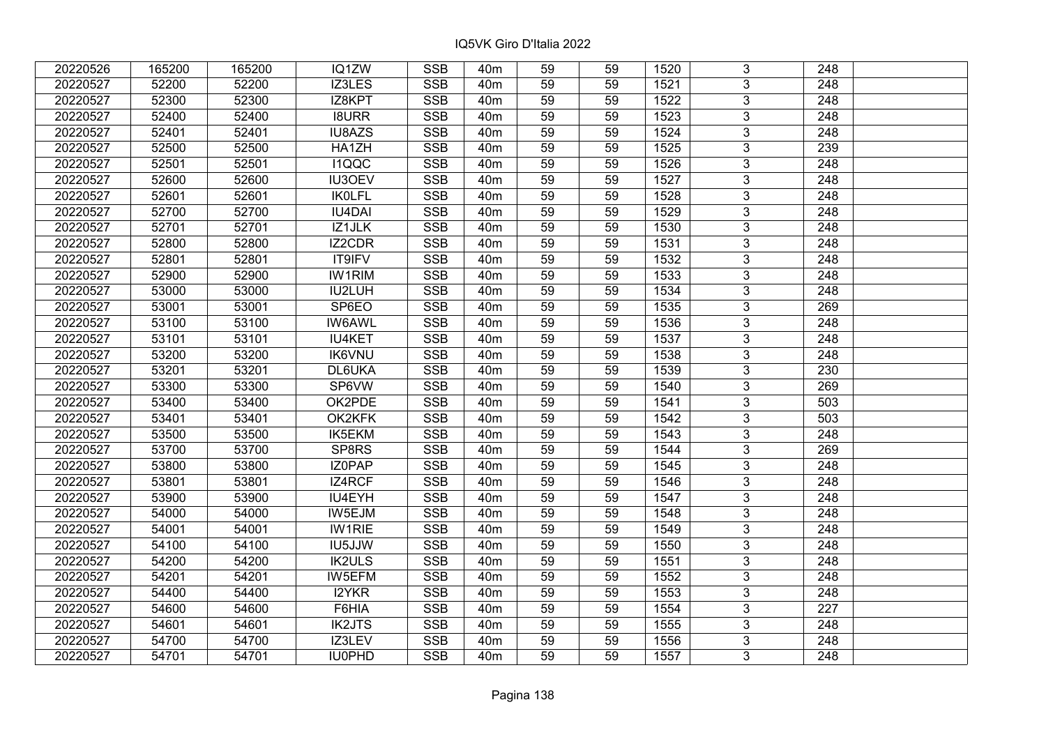| 20220526 | 165200 | 165200 | IQ1ZW         | <b>SSB</b>              | 40 <sub>m</sub> | 59              | 59 | 1520 | 3              | 248              |  |
|----------|--------|--------|---------------|-------------------------|-----------------|-----------------|----|------|----------------|------------------|--|
| 20220527 | 52200  | 52200  | IZ3LES        | <b>SSB</b>              | 40 <sub>m</sub> | 59              | 59 | 1521 | 3              | 248              |  |
| 20220527 | 52300  | 52300  | IZ8KPT        | SSB                     | 40 <sub>m</sub> | $\overline{59}$ | 59 | 1522 | $\overline{3}$ | 248              |  |
| 20220527 | 52400  | 52400  | <b>I8URR</b>  | <b>SSB</b>              | 40 <sub>m</sub> | 59              | 59 | 1523 | $\overline{3}$ | $\overline{248}$ |  |
| 20220527 | 52401  | 52401  | IU8AZS        | <b>SSB</b>              | 40 <sub>m</sub> | 59              | 59 | 1524 | 3              | 248              |  |
| 20220527 | 52500  | 52500  | HA1ZH         | <b>SSB</b>              | 40 <sub>m</sub> | 59              | 59 | 1525 | $\overline{3}$ | 239              |  |
| 20220527 | 52501  | 52501  | <b>I1QQC</b>  | <b>SSB</b>              | 40 <sub>m</sub> | 59              | 59 | 1526 | $\overline{3}$ | 248              |  |
| 20220527 | 52600  | 52600  | <b>IU3OEV</b> | <b>SSB</b>              | 40 <sub>m</sub> | 59              | 59 | 1527 | 3              | 248              |  |
| 20220527 | 52601  | 52601  | <b>IKOLFL</b> | <b>SSB</b>              | 40 <sub>m</sub> | 59              | 59 | 1528 | $\overline{3}$ | $\overline{248}$ |  |
| 20220527 | 52700  | 52700  | <b>IU4DAI</b> | <b>SSB</b>              | 40 <sub>m</sub> | 59              | 59 | 1529 | $\overline{3}$ | 248              |  |
| 20220527 | 52701  | 52701  | IZ1JLK        | <b>SSB</b>              | 40 <sub>m</sub> | 59              | 59 | 1530 | 3              | 248              |  |
| 20220527 | 52800  | 52800  | <b>IZ2CDR</b> | <b>SSB</b>              | 40 <sub>m</sub> | 59              | 59 | 1531 | $\overline{3}$ | 248              |  |
| 20220527 | 52801  | 52801  | IT9IFV        | <b>SSB</b>              | 40 <sub>m</sub> | 59              | 59 | 1532 | 3              | 248              |  |
| 20220527 | 52900  | 52900  | <b>IW1RIM</b> | <b>SSB</b>              | 40 <sub>m</sub> | 59              | 59 | 1533 | $\overline{3}$ | 248              |  |
| 20220527 | 53000  | 53000  | IU2LUH        | <b>SSB</b>              | 40 <sub>m</sub> | 59              | 59 | 1534 | 3              | 248              |  |
| 20220527 | 53001  | 53001  | SP6EO         | <b>SSB</b>              | 40 <sub>m</sub> | 59              | 59 | 1535 | 3              | 269              |  |
| 20220527 | 53100  | 53100  | <b>IW6AWL</b> | <b>SSB</b>              | 40 <sub>m</sub> | 59              | 59 | 1536 | 3              | 248              |  |
| 20220527 | 53101  | 53101  | <b>IU4KET</b> | <b>SSB</b>              | 40 <sub>m</sub> | 59              | 59 | 1537 | 3              | 248              |  |
| 20220527 | 53200  | 53200  | <b>IK6VNU</b> | <b>SSB</b>              | 40 <sub>m</sub> | 59              | 59 | 1538 | 3              | 248              |  |
| 20220527 | 53201  | 53201  | DL6UKA        | <b>SSB</b>              | 40 <sub>m</sub> | 59              | 59 | 1539 | $\overline{3}$ | 230              |  |
| 20220527 | 53300  | 53300  | SP6VW         | <b>SSB</b>              | 40 <sub>m</sub> | 59              | 59 | 1540 | $\overline{3}$ | 269              |  |
| 20220527 | 53400  | 53400  | OK2PDE        | <b>SSB</b>              | 40 <sub>m</sub> | 59              | 59 | 1541 | 3              | 503              |  |
| 20220527 | 53401  | 53401  | OK2KFK        | <b>SSB</b>              | 40 <sub>m</sub> | 59              | 59 | 1542 | $\overline{3}$ | 503              |  |
| 20220527 | 53500  | 53500  | IK5EKM        | <b>SSB</b>              | 40 <sub>m</sub> | 59              | 59 | 1543 | 3              | 248              |  |
| 20220527 | 53700  | 53700  | SP8RS         | <b>SSB</b>              | 40 <sub>m</sub> | 59              | 59 | 1544 | 3              | 269              |  |
| 20220527 | 53800  | 53800  | IZ0PAP        | <b>SSB</b>              | 40 <sub>m</sub> | 59              | 59 | 1545 | $\overline{3}$ | $\overline{248}$ |  |
| 20220527 | 53801  | 53801  | IZ4RCF        | <b>SSB</b>              | 40 <sub>m</sub> | 59              | 59 | 1546 | $\overline{3}$ | $\overline{248}$ |  |
| 20220527 | 53900  | 53900  | IU4EYH        | <b>SSB</b>              | 40 <sub>m</sub> | 59              | 59 | 1547 | $\overline{3}$ | $\overline{248}$ |  |
| 20220527 | 54000  | 54000  | IW5EJM        | <b>SSB</b>              | 40 <sub>m</sub> | 59              | 59 | 1548 | $\overline{3}$ | $\overline{248}$ |  |
| 20220527 | 54001  | 54001  | <b>IW1RIE</b> | <b>SSB</b>              | 40 <sub>m</sub> | 59              | 59 | 1549 | $\overline{3}$ | 248              |  |
| 20220527 | 54100  | 54100  | <b>IU5JJW</b> | <b>SSB</b>              | 40 <sub>m</sub> | $\overline{59}$ | 59 | 1550 | $\overline{3}$ | $\overline{248}$ |  |
| 20220527 | 54200  | 54200  | <b>IK2ULS</b> | <b>SSB</b>              | 40 <sub>m</sub> | 59              | 59 | 1551 | $\overline{3}$ | 248              |  |
| 20220527 | 54201  | 54201  | IW5EFM        | <b>SSB</b>              | 40 <sub>m</sub> | 59              | 59 | 1552 | 3              | 248              |  |
| 20220527 | 54400  | 54400  | I2YKR         | <b>SSB</b>              | 40 <sub>m</sub> | 59              | 59 | 1553 | $\overline{3}$ | $\overline{248}$ |  |
| 20220527 | 54600  | 54600  | F6HIA         | <b>SSB</b>              | 40 <sub>m</sub> | 59              | 59 | 1554 | 3              | 227              |  |
| 20220527 | 54601  | 54601  | <b>IK2JTS</b> | <b>SSB</b>              | 40m             | 59              | 59 | 1555 | 3              | 248              |  |
| 20220527 | 54700  | 54700  | IZ3LEV        | $\overline{\text{SSB}}$ | 40 <sub>m</sub> | 59              | 59 | 1556 | $\overline{3}$ | 248              |  |
| 20220527 | 54701  | 54701  | IU0PHD        | <b>SSB</b>              | 40 <sub>m</sub> | 59              | 59 | 1557 | $\overline{3}$ | 248              |  |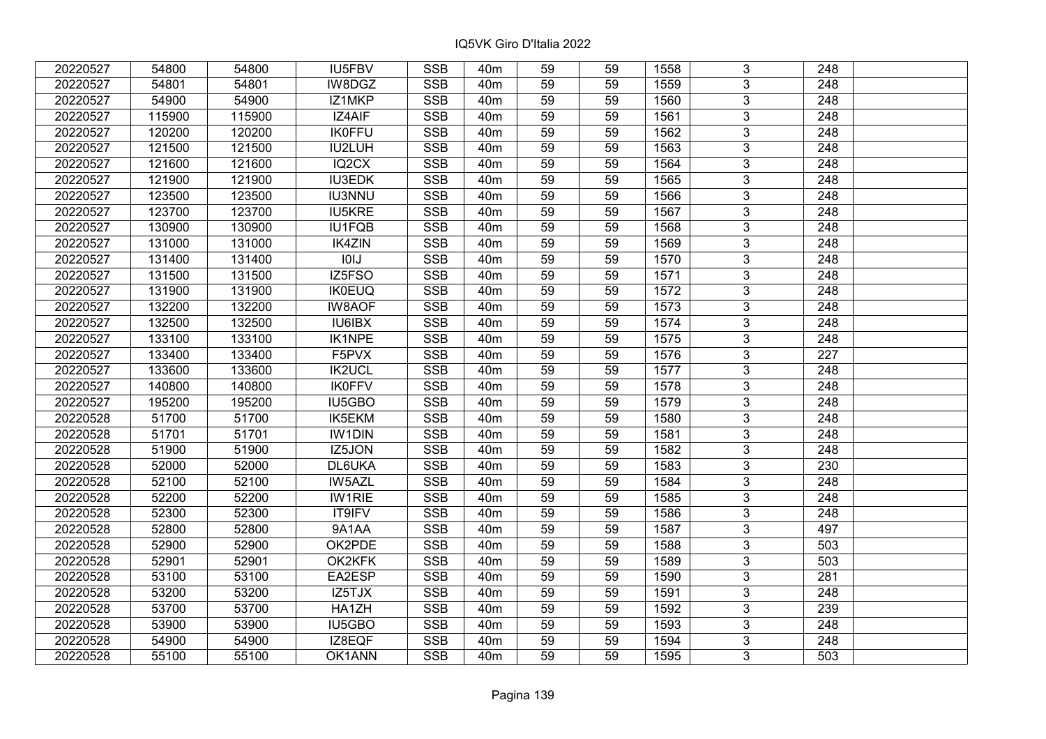| 20220527 | 54800  | 54800  | IU5FBV        | <b>SSB</b>              | 40 <sub>m</sub> | 59              | 59 | 1558 | 3              | 248              |  |
|----------|--------|--------|---------------|-------------------------|-----------------|-----------------|----|------|----------------|------------------|--|
| 20220527 | 54801  | 54801  | IW8DGZ        | <b>SSB</b>              | 40 <sub>m</sub> | 59              | 59 | 1559 | 3              | 248              |  |
| 20220527 | 54900  | 54900  | IZ1MKP        | <b>SSB</b>              | 40 <sub>m</sub> | $\overline{59}$ | 59 | 1560 | $\overline{3}$ | 248              |  |
| 20220527 | 115900 | 115900 | IZ4AIF        | <b>SSB</b>              | 40 <sub>m</sub> | 59              | 59 | 1561 | $\overline{3}$ | $\overline{248}$ |  |
| 20220527 | 120200 | 120200 | <b>IK0FFU</b> | <b>SSB</b>              | 40 <sub>m</sub> | 59              | 59 | 1562 | 3              | 248              |  |
| 20220527 | 121500 | 121500 | IU2LUH        | <b>SSB</b>              | 40 <sub>m</sub> | 59              | 59 | 1563 | $\overline{3}$ | 248              |  |
| 20220527 | 121600 | 121600 | IQ2CX         | <b>SSB</b>              | 40 <sub>m</sub> | 59              | 59 | 1564 | $\overline{3}$ | 248              |  |
| 20220527 | 121900 | 121900 | <b>IU3EDK</b> | <b>SSB</b>              | 40 <sub>m</sub> | 59              | 59 | 1565 | 3              | 248              |  |
| 20220527 | 123500 | 123500 | <b>IU3NNU</b> | <b>SSB</b>              | 40 <sub>m</sub> | 59              | 59 | 1566 | $\overline{3}$ | $\overline{248}$ |  |
| 20220527 | 123700 | 123700 | <b>IU5KRE</b> | <b>SSB</b>              | 40 <sub>m</sub> | 59              | 59 | 1567 | $\overline{3}$ | 248              |  |
| 20220527 | 130900 | 130900 | IU1FQB        | <b>SSB</b>              | 40 <sub>m</sub> | 59              | 59 | 1568 | 3              | 248              |  |
| 20220527 | 131000 | 131000 | <b>IK4ZIN</b> | <b>SSB</b>              | 40 <sub>m</sub> | 59              | 59 | 1569 | $\overline{3}$ | 248              |  |
| 20220527 | 131400 | 131400 | 101J          | <b>SSB</b>              | 40 <sub>m</sub> | 59              | 59 | 1570 | 3              | 248              |  |
| 20220527 | 131500 | 131500 | IZ5FSO        | <b>SSB</b>              | 40 <sub>m</sub> | 59              | 59 | 1571 | $\overline{3}$ | 248              |  |
| 20220527 | 131900 | 131900 | <b>IK0EUQ</b> | <b>SSB</b>              | 40 <sub>m</sub> | 59              | 59 | 1572 | 3              | 248              |  |
| 20220527 | 132200 | 132200 | <b>IW8AOF</b> | <b>SSB</b>              | 40 <sub>m</sub> | 59              | 59 | 1573 | 3              | 248              |  |
| 20220527 | 132500 | 132500 | <b>IU6IBX</b> | <b>SSB</b>              | 40 <sub>m</sub> | 59              | 59 | 1574 | 3              | 248              |  |
| 20220527 | 133100 | 133100 | <b>IK1NPE</b> | <b>SSB</b>              | 40 <sub>m</sub> | 59              | 59 | 1575 | 3              | 248              |  |
| 20220527 | 133400 | 133400 | F5PVX         | <b>SSB</b>              | 40 <sub>m</sub> | 59              | 59 | 1576 | 3              | 227              |  |
| 20220527 | 133600 | 133600 | <b>IK2UCL</b> | <b>SSB</b>              | 40 <sub>m</sub> | 59              | 59 | 1577 | $\overline{3}$ | 248              |  |
| 20220527 | 140800 | 140800 | <b>IK0FFV</b> | <b>SSB</b>              | 40 <sub>m</sub> | 59              | 59 | 1578 | $\overline{3}$ | 248              |  |
| 20220527 | 195200 | 195200 | IU5GBO        | <b>SSB</b>              | 40 <sub>m</sub> | 59              | 59 | 1579 | 3              | 248              |  |
| 20220528 | 51700  | 51700  | IK5EKM        | <b>SSB</b>              | 40 <sub>m</sub> | 59              | 59 | 1580 | $\overline{3}$ | 248              |  |
| 20220528 | 51701  | 51701  | <b>IW1DIN</b> | <b>SSB</b>              | 40 <sub>m</sub> | 59              | 59 | 1581 | 3              | 248              |  |
| 20220528 | 51900  | 51900  | IZ5JON        | <b>SSB</b>              | 40 <sub>m</sub> | 59              | 59 | 1582 | 3              | 248              |  |
| 20220528 | 52000  | 52000  | DL6UKA        | <b>SSB</b>              | 40 <sub>m</sub> | 59              | 59 | 1583 | $\overline{3}$ | 230              |  |
| 20220528 | 52100  | 52100  | <b>IW5AZL</b> | <b>SSB</b>              | 40 <sub>m</sub> | 59              | 59 | 1584 | $\overline{3}$ | $\overline{248}$ |  |
| 20220528 | 52200  | 52200  | <b>IW1RIE</b> | <b>SSB</b>              | 40 <sub>m</sub> | 59              | 59 | 1585 | $\overline{3}$ | $\overline{248}$ |  |
| 20220528 | 52300  | 52300  | IT9IFV        | <b>SSB</b>              | 40 <sub>m</sub> | 59              | 59 | 1586 | $\overline{3}$ | $\overline{248}$ |  |
| 20220528 | 52800  | 52800  | 9A1AA         | <b>SSB</b>              | 40 <sub>m</sub> | 59              | 59 | 1587 | $\overline{3}$ | 497              |  |
| 20220528 | 52900  | 52900  | OK2PDE        | <b>SSB</b>              | 40 <sub>m</sub> | $\overline{59}$ | 59 | 1588 | $\overline{3}$ | 503              |  |
| 20220528 | 52901  | 52901  | OK2KFK        | <b>SSB</b>              | 40 <sub>m</sub> | 59              | 59 | 1589 | $\overline{3}$ | 503              |  |
| 20220528 | 53100  | 53100  | EA2ESP        | <b>SSB</b>              | 40 <sub>m</sub> | 59              | 59 | 1590 | 3              | 281              |  |
| 20220528 | 53200  | 53200  | IZ5TJX        | <b>SSB</b>              | 40 <sub>m</sub> | 59              | 59 | 1591 | $\overline{3}$ | 248              |  |
| 20220528 | 53700  | 53700  | HA1ZH         | <b>SSB</b>              | 40 <sub>m</sub> | 59              | 59 | 1592 | 3              | 239              |  |
| 20220528 | 53900  | 53900  | IU5GBO        | <b>SSB</b>              | 40m             | 59              | 59 | 1593 | 3              | 248              |  |
| 20220528 | 54900  | 54900  | IZ8EQF        | $\overline{\text{SSB}}$ | 40 <sub>m</sub> | 59              | 59 | 1594 | $\overline{3}$ | 248              |  |
| 20220528 | 55100  | 55100  | OK1ANN        | <b>SSB</b>              | 40 <sub>m</sub> | 59              | 59 | 1595 | $\overline{3}$ | 503              |  |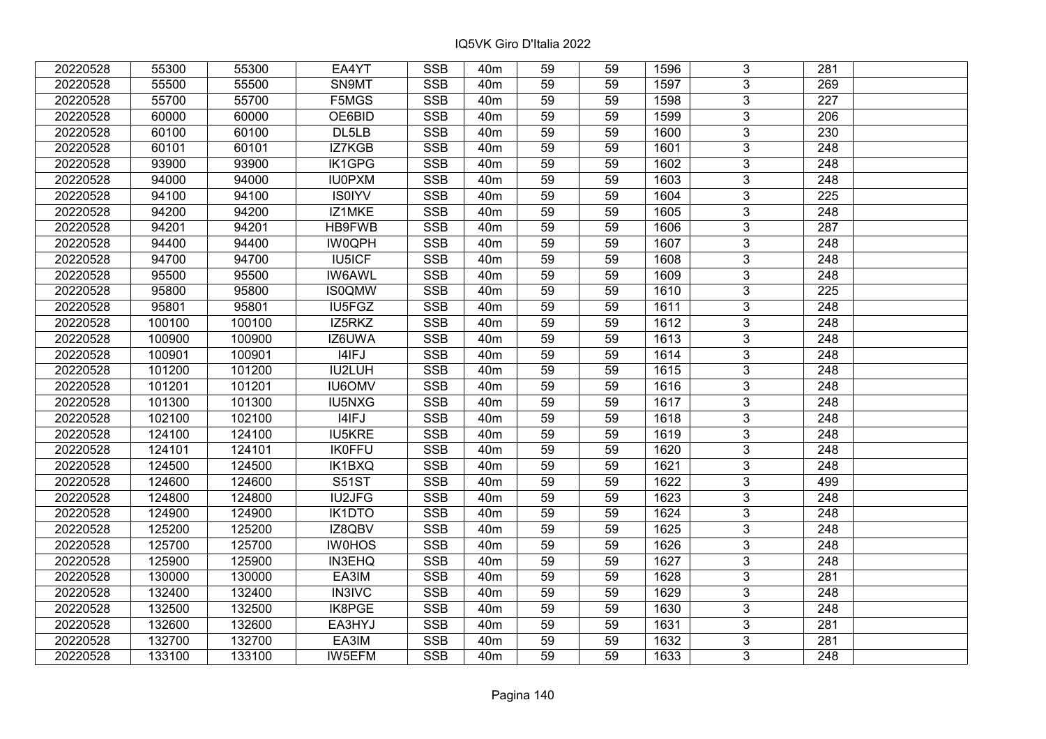| 20220528 | 55300  | 55300  | EA4YT         | <b>SSB</b>              | 40 <sub>m</sub> | 59              | 59 | 1596 | 3              | 281              |  |
|----------|--------|--------|---------------|-------------------------|-----------------|-----------------|----|------|----------------|------------------|--|
| 20220528 | 55500  | 55500  | SN9MT         | <b>SSB</b>              | 40 <sub>m</sub> | 59              | 59 | 1597 | 3              | 269              |  |
| 20220528 | 55700  | 55700  | F5MGS         | SSB                     | 40 <sub>m</sub> | $\overline{59}$ | 59 | 1598 | $\overline{3}$ | 227              |  |
| 20220528 | 60000  | 60000  | OE6BID        | <b>SSB</b>              | 40 <sub>m</sub> | 59              | 59 | 1599 | $\overline{3}$ | 206              |  |
| 20220528 | 60100  | 60100  | DL5LB         | <b>SSB</b>              | 40 <sub>m</sub> | 59              | 59 | 1600 | 3              | 230              |  |
| 20220528 | 60101  | 60101  | IZ7KGB        | <b>SSB</b>              | 40 <sub>m</sub> | 59              | 59 | 1601 | $\overline{3}$ | 248              |  |
| 20220528 | 93900  | 93900  | <b>IK1GPG</b> | <b>SSB</b>              | 40 <sub>m</sub> | 59              | 59 | 1602 | $\overline{3}$ | 248              |  |
| 20220528 | 94000  | 94000  | <b>IU0PXM</b> | <b>SSB</b>              | 40 <sub>m</sub> | 59              | 59 | 1603 | 3              | 248              |  |
| 20220528 | 94100  | 94100  | <b>IS0IYV</b> | <b>SSB</b>              | 40 <sub>m</sub> | 59              | 59 | 1604 | $\overline{3}$ | $\overline{225}$ |  |
| 20220528 | 94200  | 94200  | IZ1MKE        | <b>SSB</b>              | 40 <sub>m</sub> | 59              | 59 | 1605 | $\overline{3}$ | 248              |  |
| 20220528 | 94201  | 94201  | <b>HB9FWB</b> | <b>SSB</b>              | 40 <sub>m</sub> | 59              | 59 | 1606 | 3              | 287              |  |
| 20220528 | 94400  | 94400  | <b>IW0QPH</b> | <b>SSB</b>              | 40 <sub>m</sub> | 59              | 59 | 1607 | $\overline{3}$ | 248              |  |
| 20220528 | 94700  | 94700  | IU5ICF        | <b>SSB</b>              | 40 <sub>m</sub> | 59              | 59 | 1608 | 3              | 248              |  |
| 20220528 | 95500  | 95500  | <b>IW6AWL</b> | <b>SSB</b>              | 40 <sub>m</sub> | 59              | 59 | 1609 | $\overline{3}$ | 248              |  |
| 20220528 | 95800  | 95800  | <b>IS0QMW</b> | <b>SSB</b>              | 40 <sub>m</sub> | 59              | 59 | 1610 | 3              | 225              |  |
| 20220528 | 95801  | 95801  | IU5FGZ        | <b>SSB</b>              | 40 <sub>m</sub> | 59              | 59 | 1611 | 3              | 248              |  |
| 20220528 | 100100 | 100100 | IZ5RKZ        | <b>SSB</b>              | 40 <sub>m</sub> | 59              | 59 | 1612 | 3              | 248              |  |
| 20220528 | 100900 | 100900 | IZ6UWA        | <b>SSB</b>              | 40 <sub>m</sub> | 59              | 59 | 1613 | 3              | 248              |  |
| 20220528 | 100901 | 100901 | I4IFJ         | <b>SSB</b>              | 40 <sub>m</sub> | 59              | 59 | 1614 | 3              | 248              |  |
| 20220528 | 101200 | 101200 | IU2LUH        | <b>SSB</b>              | 40 <sub>m</sub> | 59              | 59 | 1615 | $\overline{3}$ | 248              |  |
| 20220528 | 101201 | 101201 | <b>IU6OMV</b> | <b>SSB</b>              | 40 <sub>m</sub> | 59              | 59 | 1616 | $\overline{3}$ | 248              |  |
| 20220528 | 101300 | 101300 | IU5NXG        | <b>SSB</b>              | 40 <sub>m</sub> | 59              | 59 | 1617 | 3              | 248              |  |
| 20220528 | 102100 | 102100 | I4IFJ         | <b>SSB</b>              | 40 <sub>m</sub> | 59              | 59 | 1618 | $\overline{3}$ | 248              |  |
| 20220528 | 124100 | 124100 | <b>IU5KRE</b> | <b>SSB</b>              | 40 <sub>m</sub> | 59              | 59 | 1619 | 3              | 248              |  |
| 20220528 | 124101 | 124101 | <b>IK0FFU</b> | <b>SSB</b>              | 40 <sub>m</sub> | 59              | 59 | 1620 | 3              | 248              |  |
| 20220528 | 124500 | 124500 | IK1BXQ        | <b>SSB</b>              | 40 <sub>m</sub> | 59              | 59 | 1621 | $\overline{3}$ | $\overline{248}$ |  |
| 20220528 | 124600 | 124600 | <b>S51ST</b>  | <b>SSB</b>              | 40 <sub>m</sub> | 59              | 59 | 1622 | $\overline{3}$ | 499              |  |
| 20220528 | 124800 | 124800 | IU2JFG        | <b>SSB</b>              | 40 <sub>m</sub> | 59              | 59 | 1623 | $\overline{3}$ | $\overline{248}$ |  |
| 20220528 | 124900 | 124900 | <b>IK1DTO</b> | <b>SSB</b>              | 40 <sub>m</sub> | 59              | 59 | 1624 | $\overline{3}$ | $\overline{248}$ |  |
| 20220528 | 125200 | 125200 | IZ8QBV        | <b>SSB</b>              | 40 <sub>m</sub> | 59              | 59 | 1625 | $\overline{3}$ | 248              |  |
| 20220528 | 125700 | 125700 | <b>IW0HOS</b> | SSB                     | 40 <sub>m</sub> | $\overline{59}$ | 59 | 1626 | $\overline{3}$ | $\overline{248}$ |  |
| 20220528 | 125900 | 125900 | <b>IN3EHQ</b> | <b>SSB</b>              | 40 <sub>m</sub> | 59              | 59 | 1627 | $\overline{3}$ | 248              |  |
| 20220528 | 130000 | 130000 | EA3IM         | <b>SSB</b>              | 40 <sub>m</sub> | 59              | 59 | 1628 | 3              | 281              |  |
| 20220528 | 132400 | 132400 | <b>IN3IVC</b> | <b>SSB</b>              | 40 <sub>m</sub> | 59              | 59 | 1629 | $\overline{3}$ | $\overline{248}$ |  |
| 20220528 | 132500 | 132500 | IK8PGE        | <b>SSB</b>              | 40 <sub>m</sub> | 59              | 59 | 1630 | 3              | 248              |  |
| 20220528 | 132600 | 132600 | EA3HYJ        | <b>SSB</b>              | 40 <sub>m</sub> | 59              | 59 | 1631 | 3              | 281              |  |
| 20220528 | 132700 | 132700 | EA3IM         | $\overline{\text{SSB}}$ | 40 <sub>m</sub> | 59              | 59 | 1632 | $\overline{3}$ | 281              |  |
| 20220528 | 133100 | 133100 | IW5EFM        | <b>SSB</b>              | 40 <sub>m</sub> | 59              | 59 | 1633 | $\overline{3}$ | 248              |  |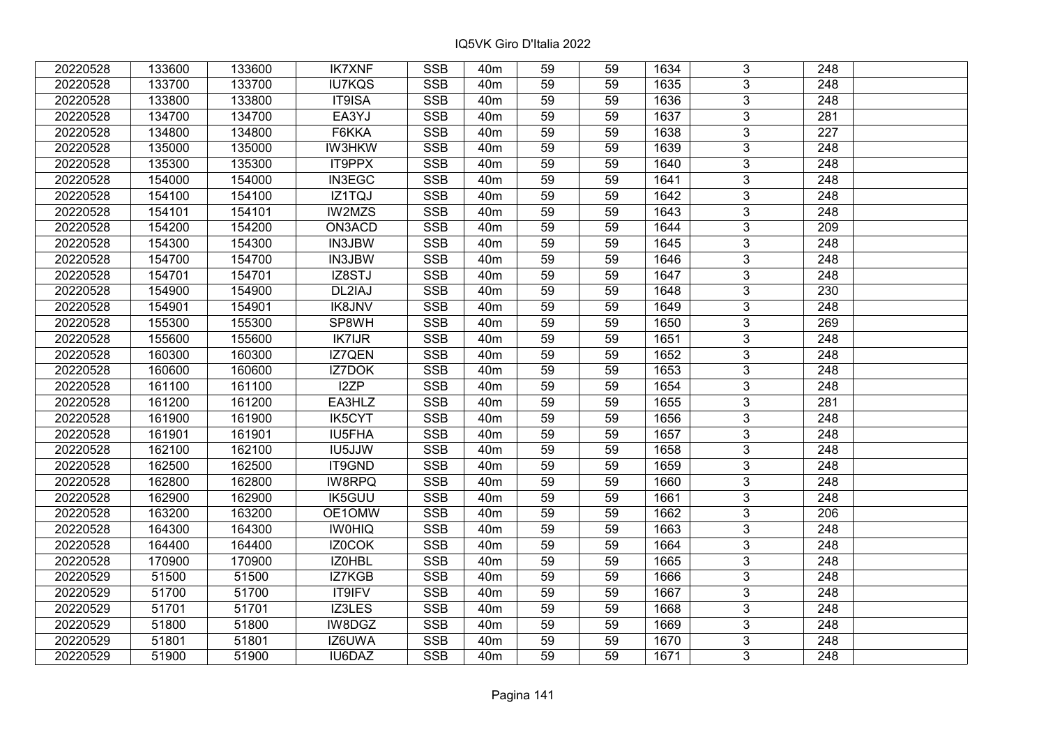| 20220528 | 133600 | 133600 | <b>IK7XNF</b> | <b>SSB</b> | 40 <sub>m</sub> | 59 | 59 | 1634 | 3              | 248              |  |
|----------|--------|--------|---------------|------------|-----------------|----|----|------|----------------|------------------|--|
| 20220528 | 133700 | 133700 | <b>IU7KQS</b> | <b>SSB</b> | 40 <sub>m</sub> | 59 | 59 | 1635 | 3              | 248              |  |
| 20220528 | 133800 | 133800 | IT9ISA        | <b>SSB</b> | 40 <sub>m</sub> | 59 | 59 | 1636 | $\overline{3}$ | 248              |  |
| 20220528 | 134700 | 134700 | EA3YJ         | <b>SSB</b> | 40 <sub>m</sub> | 59 | 59 | 1637 | $\overline{3}$ | $\overline{281}$ |  |
| 20220528 | 134800 | 134800 | F6KKA         | <b>SSB</b> | 40 <sub>m</sub> | 59 | 59 | 1638 | $\overline{3}$ | 227              |  |
| 20220528 | 135000 | 135000 | <b>IW3HKW</b> | <b>SSB</b> | 40 <sub>m</sub> | 59 | 59 | 1639 | $\overline{3}$ | $\overline{248}$ |  |
| 20220528 | 135300 | 135300 | IT9PPX        | <b>SSB</b> | 40 <sub>m</sub> | 59 | 59 | 1640 | $\overline{3}$ | 248              |  |
| 20220528 | 154000 | 154000 | IN3EGC        | <b>SSB</b> | 40 <sub>m</sub> | 59 | 59 | 1641 | 3              | 248              |  |
| 20220528 | 154100 | 154100 | IZ1TQJ        | <b>SSB</b> | 40 <sub>m</sub> | 59 | 59 | 1642 | $\overline{3}$ | 248              |  |
| 20220528 | 154101 | 154101 | <b>IW2MZS</b> | SSB        | 40 <sub>m</sub> | 59 | 59 | 1643 | $\overline{3}$ | $\overline{248}$ |  |
| 20220528 | 154200 | 154200 | ON3ACD        | <b>SSB</b> | 40 <sub>m</sub> | 59 | 59 | 1644 | 3              | 209              |  |
| 20220528 | 154300 | 154300 | IN3JBW        | <b>SSB</b> | 40 <sub>m</sub> | 59 | 59 | 1645 | $\overline{3}$ | 248              |  |
| 20220528 | 154700 | 154700 | IN3JBW        | <b>SSB</b> | 40 <sub>m</sub> | 59 | 59 | 1646 | $\overline{3}$ | 248              |  |
| 20220528 | 154701 | 154701 | IZ8STJ        | <b>SSB</b> | 40 <sub>m</sub> | 59 | 59 | 1647 | $\overline{3}$ | 248              |  |
| 20220528 | 154900 | 154900 | DL2IAJ        | <b>SSB</b> | 40 <sub>m</sub> | 59 | 59 | 1648 | $\overline{3}$ | 230              |  |
| 20220528 | 154901 | 154901 | <b>IK8JNV</b> | <b>SSB</b> | 40 <sub>m</sub> | 59 | 59 | 1649 | $\overline{3}$ | 248              |  |
| 20220528 | 155300 | 155300 | SP8WH         | <b>SSB</b> | 40m             | 59 | 59 | 1650 | 3              | 269              |  |
| 20220528 | 155600 | 155600 | <b>IK7IJR</b> | <b>SSB</b> | 40 <sub>m</sub> | 59 | 59 | 1651 | $\overline{3}$ | 248              |  |
| 20220528 | 160300 | 160300 | IZ7QEN        | <b>SSB</b> | 40 <sub>m</sub> | 59 | 59 | 1652 | 3              | 248              |  |
| 20220528 | 160600 | 160600 | IZ7DOK        | <b>SSB</b> | 40m             | 59 | 59 | 1653 | $\overline{3}$ | 248              |  |
| 20220528 | 161100 | 161100 | I2ZP          | <b>SSB</b> | 40 <sub>m</sub> | 59 | 59 | 1654 | $\overline{3}$ | 248              |  |
| 20220528 | 161200 | 161200 | EA3HLZ        | <b>SSB</b> | 40 <sub>m</sub> | 59 | 59 | 1655 | 3              | 281              |  |
| 20220528 | 161900 | 161900 | <b>IK5CYT</b> | <b>SSB</b> | 40 <sub>m</sub> | 59 | 59 | 1656 | $\overline{3}$ | 248              |  |
| 20220528 | 161901 | 161901 | IU5FHA        | <b>SSB</b> | 40 <sub>m</sub> | 59 | 59 | 1657 | 3              | 248              |  |
| 20220528 | 162100 | 162100 | IU5JJW        | <b>SSB</b> | 40 <sub>m</sub> | 59 | 59 | 1658 | $\overline{3}$ | 248              |  |
| 20220528 | 162500 | 162500 | IT9GND        | <b>SSB</b> | 40 <sub>m</sub> | 59 | 59 | 1659 | $\overline{3}$ | 248              |  |
| 20220528 | 162800 | 162800 | <b>IW8RPQ</b> | <b>SSB</b> | 40 <sub>m</sub> | 59 | 59 | 1660 | $\overline{3}$ | 248              |  |
| 20220528 | 162900 | 162900 | IK5GUU        | <b>SSB</b> | 40 <sub>m</sub> | 59 | 59 | 1661 | $\overline{3}$ | $\overline{248}$ |  |
| 20220528 | 163200 | 163200 | OE1OMW        | <b>SSB</b> | 40 <sub>m</sub> | 59 | 59 | 1662 | $\overline{3}$ | 206              |  |
| 20220528 | 164300 | 164300 | <b>IW0HIQ</b> | <b>SSB</b> | 40 <sub>m</sub> | 59 | 59 | 1663 | $\overline{3}$ | 248              |  |
| 20220528 | 164400 | 164400 | IZ0COK        | <b>SSB</b> | 40 <sub>m</sub> | 59 | 59 | 1664 | $\overline{3}$ | $\overline{248}$ |  |
| 20220528 | 170900 | 170900 | IZ0HBL        | <b>SSB</b> | 40 <sub>m</sub> | 59 | 59 | 1665 | $\overline{3}$ | 248              |  |
| 20220529 | 51500  | 51500  | IZ7KGB        | <b>SSB</b> | 40 <sub>m</sub> | 59 | 59 | 1666 | 3              | 248              |  |
| 20220529 | 51700  | 51700  | IT9IFV        | <b>SSB</b> | 40 <sub>m</sub> | 59 | 59 | 1667 | $\overline{3}$ | 248              |  |
| 20220529 | 51701  | 51701  | IZ3LES        | <b>SSB</b> | 40 <sub>m</sub> | 59 | 59 | 1668 | 3              | 248              |  |
| 20220529 | 51800  | 51800  | IW8DGZ        | <b>SSB</b> | 40 <sub>m</sub> | 59 | 59 | 1669 | 3              | 248              |  |
| 20220529 | 51801  | 51801  | IZ6UWA        | SSB        | 40 <sub>m</sub> | 59 | 59 | 1670 | $\overline{3}$ | 248              |  |
| 20220529 | 51900  | 51900  | IU6DAZ        | <b>SSB</b> | 40 <sub>m</sub> | 59 | 59 | 1671 | $\overline{3}$ | 248              |  |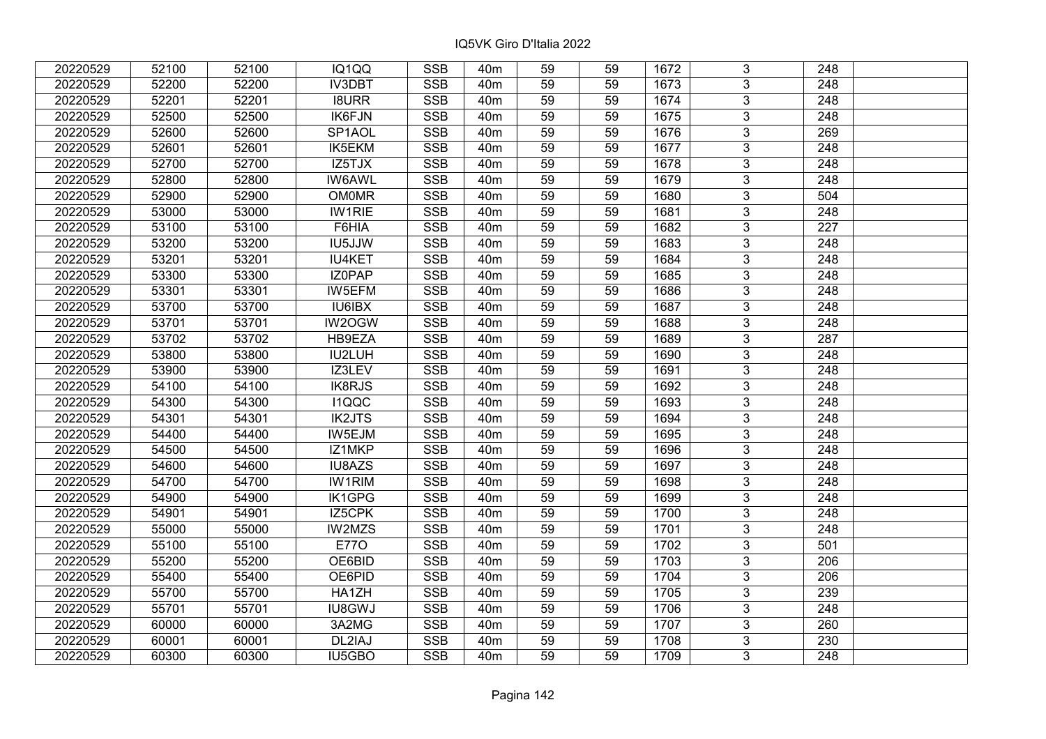| 20220529 | 52100 | 52100 | IQ1QQ                | <b>SSB</b>              | 40 <sub>m</sub> | 59              | 59 | 1672             | 3              | 248              |  |
|----------|-------|-------|----------------------|-------------------------|-----------------|-----------------|----|------------------|----------------|------------------|--|
| 20220529 | 52200 | 52200 | <b>IV3DBT</b>        | <b>SSB</b>              | 40 <sub>m</sub> | 59              | 59 | 1673             | 3              | 248              |  |
| 20220529 | 52201 | 52201 | <b>I8URR</b>         | SSB                     | 40 <sub>m</sub> | $\overline{59}$ | 59 | 1674             | $\overline{3}$ | 248              |  |
| 20220529 | 52500 | 52500 | IK6FJN               | <b>SSB</b>              | 40 <sub>m</sub> | 59              | 59 | 1675             | $\overline{3}$ | $\overline{248}$ |  |
| 20220529 | 52600 | 52600 | SP1AOL               | <b>SSB</b>              | 40 <sub>m</sub> | 59              | 59 | 1676             | 3              | 269              |  |
| 20220529 | 52601 | 52601 | <b>IK5EKM</b>        | <b>SSB</b>              | 40 <sub>m</sub> | 59              | 59 | 1677             | $\overline{3}$ | 248              |  |
| 20220529 | 52700 | 52700 | $\overline{IZ5T}$ JX | <b>SSB</b>              | 40 <sub>m</sub> | 59              | 59 | 1678             | $\overline{3}$ | 248              |  |
| 20220529 | 52800 | 52800 | <b>IW6AWL</b>        | <b>SSB</b>              | 40 <sub>m</sub> | 59              | 59 | 1679             | 3              | 248              |  |
| 20220529 | 52900 | 52900 | <b>OM0MR</b>         | <b>SSB</b>              | 40 <sub>m</sub> | 59              | 59 | 1680             | $\overline{3}$ | 504              |  |
| 20220529 | 53000 | 53000 | <b>IW1RIE</b>        | <b>SSB</b>              | 40 <sub>m</sub> | 59              | 59 | 1681             | $\overline{3}$ | 248              |  |
| 20220529 | 53100 | 53100 | F6HIA                | <b>SSB</b>              | 40 <sub>m</sub> | 59              | 59 | 1682             | 3              | 227              |  |
| 20220529 | 53200 | 53200 | <b>IU5JJW</b>        | <b>SSB</b>              | 40 <sub>m</sub> | 59              | 59 | 1683             | $\overline{3}$ | 248              |  |
| 20220529 | 53201 | 53201 | <b>IU4KET</b>        | <b>SSB</b>              | 40 <sub>m</sub> | 59              | 59 | 1684             | 3              | 248              |  |
| 20220529 | 53300 | 53300 | IZ0PAP               | <b>SSB</b>              | 40 <sub>m</sub> | 59              | 59 | 1685             | $\overline{3}$ | 248              |  |
| 20220529 | 53301 | 53301 | IW5EFM               | <b>SSB</b>              | 40 <sub>m</sub> | 59              | 59 | 1686             | 3              | 248              |  |
| 20220529 | 53700 | 53700 | IU6IBX               | <b>SSB</b>              | 40 <sub>m</sub> | 59              | 59 | 1687             | 3              | 248              |  |
| 20220529 | 53701 | 53701 | <b>IW2OGW</b>        | <b>SSB</b>              | 40 <sub>m</sub> | 59              | 59 | 1688             | 3              | 248              |  |
| 20220529 | 53702 | 53702 | HB9EZA               | <b>SSB</b>              | 40 <sub>m</sub> | 59              | 59 | 1689             | 3              | 287              |  |
| 20220529 | 53800 | 53800 | IU2LUH               | <b>SSB</b>              | 40 <sub>m</sub> | 59              | 59 | 1690             | 3              | 248              |  |
| 20220529 | 53900 | 53900 | IZ3LEV               | <b>SSB</b>              | 40 <sub>m</sub> | 59              | 59 | 1691             | $\overline{3}$ | 248              |  |
| 20220529 | 54100 | 54100 | IK8RJS               | <b>SSB</b>              | 40 <sub>m</sub> | 59              | 59 | 1692             | $\overline{3}$ | 248              |  |
| 20220529 | 54300 | 54300 | <b>I1QQC</b>         | <b>SSB</b>              | 40 <sub>m</sub> | 59              | 59 | 1693             | 3              | 248              |  |
| 20220529 | 54301 | 54301 | <b>IK2JTS</b>        | <b>SSB</b>              | 40 <sub>m</sub> | 59              | 59 | 1694             | $\overline{3}$ | 248              |  |
| 20220529 | 54400 | 54400 | IW5EJM               | <b>SSB</b>              | 40 <sub>m</sub> | 59              | 59 | 1695             | $\overline{3}$ | 248              |  |
| 20220529 | 54500 | 54500 | IZ1MKP               | <b>SSB</b>              | 40 <sub>m</sub> | 59              | 59 | 1696             | 3              | 248              |  |
| 20220529 | 54600 | 54600 | IU8AZS               | <b>SSB</b>              | 40 <sub>m</sub> | 59              | 59 | 1697             | $\overline{3}$ | $\overline{248}$ |  |
| 20220529 | 54700 | 54700 | <b>IW1RIM</b>        | <b>SSB</b>              | 40 <sub>m</sub> | 59              | 59 | 1698             | $\overline{3}$ | 248              |  |
| 20220529 | 54900 | 54900 | <b>IK1GPG</b>        | <b>SSB</b>              | 40 <sub>m</sub> | 59              | 59 | 1699             | $\overline{3}$ | $\overline{248}$ |  |
| 20220529 | 54901 | 54901 | IZ5CPK               | <b>SSB</b>              | 40 <sub>m</sub> | 59              | 59 | 1700             | $\overline{3}$ | $\overline{248}$ |  |
| 20220529 | 55000 | 55000 | <b>IW2MZS</b>        | <b>SSB</b>              | 40 <sub>m</sub> | 59              | 59 | 1701             | $\overline{3}$ | 248              |  |
| 20220529 | 55100 | 55100 | <b>E770</b>          | SSB                     | 40 <sub>m</sub> | $\overline{59}$ | 59 | $\frac{1702}{ }$ | $\overline{3}$ | 501              |  |
| 20220529 | 55200 | 55200 | OE6BID               | <b>SSB</b>              | 40 <sub>m</sub> | 59              | 59 | 1703             | $\overline{3}$ | 206              |  |
| 20220529 | 55400 | 55400 | OE6PID               | <b>SSB</b>              | 40 <sub>m</sub> | 59              | 59 | 1704             | 3              | 206              |  |
| 20220529 | 55700 | 55700 | HA1ZH                | <b>SSB</b>              | 40 <sub>m</sub> | 59              | 59 | 1705             | $\overline{3}$ | 239              |  |
| 20220529 | 55701 | 55701 | <b>IU8GWJ</b>        | <b>SSB</b>              | 40 <sub>m</sub> | 59              | 59 | 1706             | 3              | 248              |  |
| 20220529 | 60000 | 60000 | 3A2MG                | <b>SSB</b>              | 40m             | 59              | 59 | 1707             | 3              | 260              |  |
| 20220529 | 60001 | 60001 | DL2IAJ               | $\overline{\text{SSB}}$ | 40 <sub>m</sub> | 59              | 59 | 1708             | $\overline{3}$ | 230              |  |
| 20220529 | 60300 | 60300 | IU5GBO               | <b>SSB</b>              | 40 <sub>m</sub> | 59              | 59 | 1709             | $\overline{3}$ | 248              |  |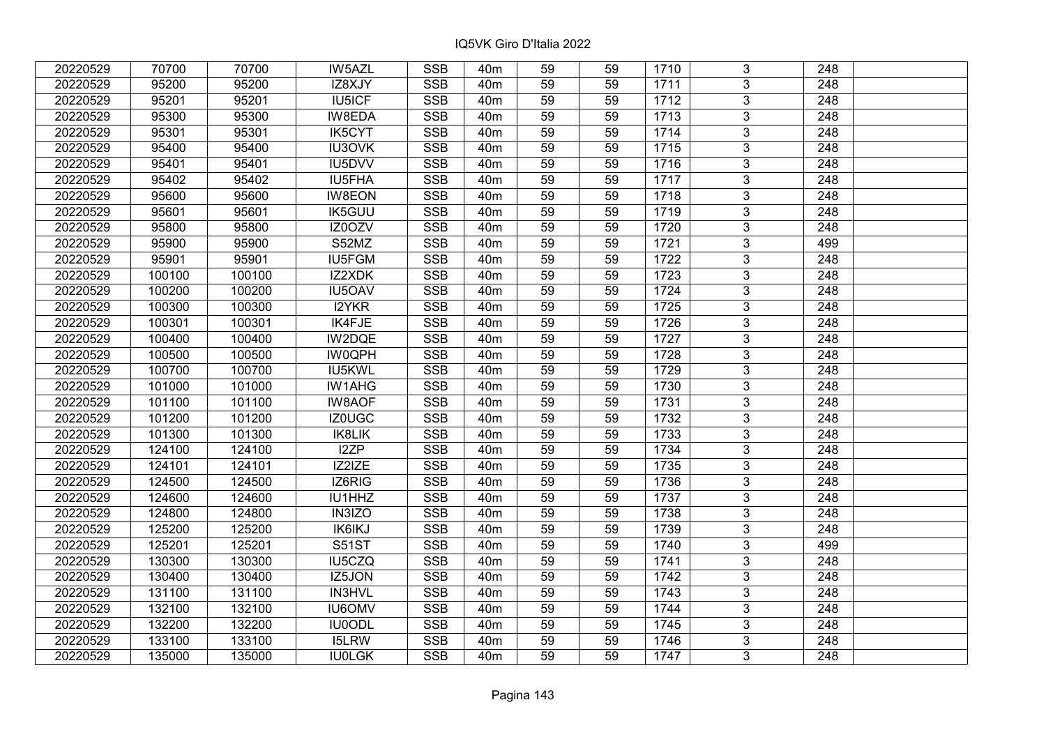| 20220529 | 70700  | 70700  | IW5AZL        | <b>SSB</b>              | 40 <sub>m</sub> | 59              | 59 | 1710 | 3              | 248              |  |
|----------|--------|--------|---------------|-------------------------|-----------------|-----------------|----|------|----------------|------------------|--|
| 20220529 | 95200  | 95200  | IZ8XJY        | <b>SSB</b>              | 40 <sub>m</sub> | 59              | 59 | 1711 | 3              | 248              |  |
| 20220529 | 95201  | 95201  | <b>IU5ICF</b> | SSB                     | 40 <sub>m</sub> | $\overline{59}$ | 59 | 1712 | $\overline{3}$ | 248              |  |
| 20220529 | 95300  | 95300  | IW8EDA        | <b>SSB</b>              | 40 <sub>m</sub> | 59              | 59 | 1713 | $\overline{3}$ | $\overline{248}$ |  |
| 20220529 | 95301  | 95301  | <b>IK5CYT</b> | <b>SSB</b>              | 40 <sub>m</sub> | 59              | 59 | 1714 | 3              | 248              |  |
| 20220529 | 95400  | 95400  | <b>IU3OVK</b> | <b>SSB</b>              | 40 <sub>m</sub> | 59              | 59 | 1715 | $\overline{3}$ | 248              |  |
| 20220529 | 95401  | 95401  | IU5DVV        | <b>SSB</b>              | 40 <sub>m</sub> | 59              | 59 | 1716 | $\overline{3}$ | 248              |  |
| 20220529 | 95402  | 95402  | IU5FHA        | <b>SSB</b>              | 40 <sub>m</sub> | 59              | 59 | 1717 | 3              | 248              |  |
| 20220529 | 95600  | 95600  | <b>IW8EON</b> | <b>SSB</b>              | 40 <sub>m</sub> | 59              | 59 | 1718 | $\overline{3}$ | $\overline{248}$ |  |
| 20220529 | 95601  | 95601  | <b>IK5GUU</b> | <b>SSB</b>              | 40 <sub>m</sub> | 59              | 59 | 1719 | $\overline{3}$ | 248              |  |
| 20220529 | 95800  | 95800  | IZ0OZV        | <b>SSB</b>              | 40 <sub>m</sub> | 59              | 59 | 1720 | 3              | 248              |  |
| 20220529 | 95900  | 95900  | S52MZ         | <b>SSB</b>              | 40 <sub>m</sub> | 59              | 59 | 1721 | $\overline{3}$ | 499              |  |
| 20220529 | 95901  | 95901  | <b>IU5FGM</b> | <b>SSB</b>              | 40 <sub>m</sub> | 59              | 59 | 1722 | 3              | 248              |  |
| 20220529 | 100100 | 100100 | IZ2XDK        | <b>SSB</b>              | 40 <sub>m</sub> | 59              | 59 | 1723 | $\overline{3}$ | 248              |  |
| 20220529 | 100200 | 100200 | IU5OAV        | <b>SSB</b>              | 40 <sub>m</sub> | 59              | 59 | 1724 | 3              | 248              |  |
| 20220529 | 100300 | 100300 | <b>I2YKR</b>  | <b>SSB</b>              | 40 <sub>m</sub> | 59              | 59 | 1725 | 3              | 248              |  |
| 20220529 | 100301 | 100301 | IK4FJE        | <b>SSB</b>              | 40 <sub>m</sub> | 59              | 59 | 1726 | 3              | 248              |  |
| 20220529 | 100400 | 100400 | IW2DQE        | <b>SSB</b>              | 40 <sub>m</sub> | 59              | 59 | 1727 | 3              | 248              |  |
| 20220529 | 100500 | 100500 | <b>IW0QPH</b> | <b>SSB</b>              | 40 <sub>m</sub> | 59              | 59 | 1728 | 3              | 248              |  |
| 20220529 | 100700 | 100700 | IU5KWL        | <b>SSB</b>              | 40 <sub>m</sub> | 59              | 59 | 1729 | $\overline{3}$ | 248              |  |
| 20220529 | 101000 | 101000 | <b>IW1AHG</b> | <b>SSB</b>              | 40 <sub>m</sub> | 59              | 59 | 1730 | $\overline{3}$ | 248              |  |
| 20220529 | 101100 | 101100 | <b>IW8AOF</b> | <b>SSB</b>              | 40 <sub>m</sub> | 59              | 59 | 1731 | 3              | 248              |  |
| 20220529 | 101200 | 101200 | IZ0UGC        | <b>SSB</b>              | 40 <sub>m</sub> | 59              | 59 | 1732 | $\overline{3}$ | 248              |  |
| 20220529 | 101300 | 101300 | IK8LIK        | <b>SSB</b>              | 40 <sub>m</sub> | 59              | 59 | 1733 | 3              | 248              |  |
| 20220529 | 124100 | 124100 | I2ZP          | <b>SSB</b>              | 40 <sub>m</sub> | 59              | 59 | 1734 | 3              | 248              |  |
| 20220529 | 124101 | 124101 | IZ2IZE        | <b>SSB</b>              | 40 <sub>m</sub> | 59              | 59 | 1735 | $\overline{3}$ | $\overline{248}$ |  |
| 20220529 | 124500 | 124500 | IZ6RIG        | <b>SSB</b>              | 40 <sub>m</sub> | 59              | 59 | 1736 | $\overline{3}$ | $\overline{248}$ |  |
| 20220529 | 124600 | 124600 | IU1HHZ        | <b>SSB</b>              | 40 <sub>m</sub> | 59              | 59 | 1737 | $\overline{3}$ | $\overline{248}$ |  |
| 20220529 | 124800 | 124800 | IN3IZO        | <b>SSB</b>              | 40 <sub>m</sub> | 59              | 59 | 1738 | $\overline{3}$ | $\overline{248}$ |  |
| 20220529 | 125200 | 125200 | <b>IK6IKJ</b> | <b>SSB</b>              | 40 <sub>m</sub> | 59              | 59 | 1739 | $\overline{3}$ | 248              |  |
| 20220529 | 125201 | 125201 | <b>S51ST</b>  | <b>SSB</b>              | 40 <sub>m</sub> | $\overline{59}$ | 59 | 1740 | $\overline{3}$ | 499              |  |
| 20220529 | 130300 | 130300 | IU5CZQ        | <b>SSB</b>              | 40 <sub>m</sub> | 59              | 59 | 1741 | $\overline{3}$ | 248              |  |
| 20220529 | 130400 | 130400 | IZ5JON        | <b>SSB</b>              | 40 <sub>m</sub> | 59              | 59 | 1742 | 3              | 248              |  |
| 20220529 | 131100 | 131100 | IN3HVL        | <b>SSB</b>              | 40 <sub>m</sub> | 59              | 59 | 1743 | $\overline{3}$ | $\overline{248}$ |  |
| 20220529 | 132100 | 132100 | <b>IU6OMV</b> | <b>SSB</b>              | 40 <sub>m</sub> | 59              | 59 | 1744 | 3              | 248              |  |
| 20220529 | 132200 | 132200 | <b>IU0ODL</b> | <b>SSB</b>              | 40 <sub>m</sub> | 59              | 59 | 1745 | 3              | 248              |  |
| 20220529 | 133100 | 133100 | <b>I5LRW</b>  | $\overline{\text{SSB}}$ | 40 <sub>m</sub> | 59              | 59 | 1746 | $\overline{3}$ | 248              |  |
| 20220529 | 135000 | 135000 | <b>IU0LGK</b> | <b>SSB</b>              | 40 <sub>m</sub> | 59              | 59 | 1747 | $\overline{3}$ | 248              |  |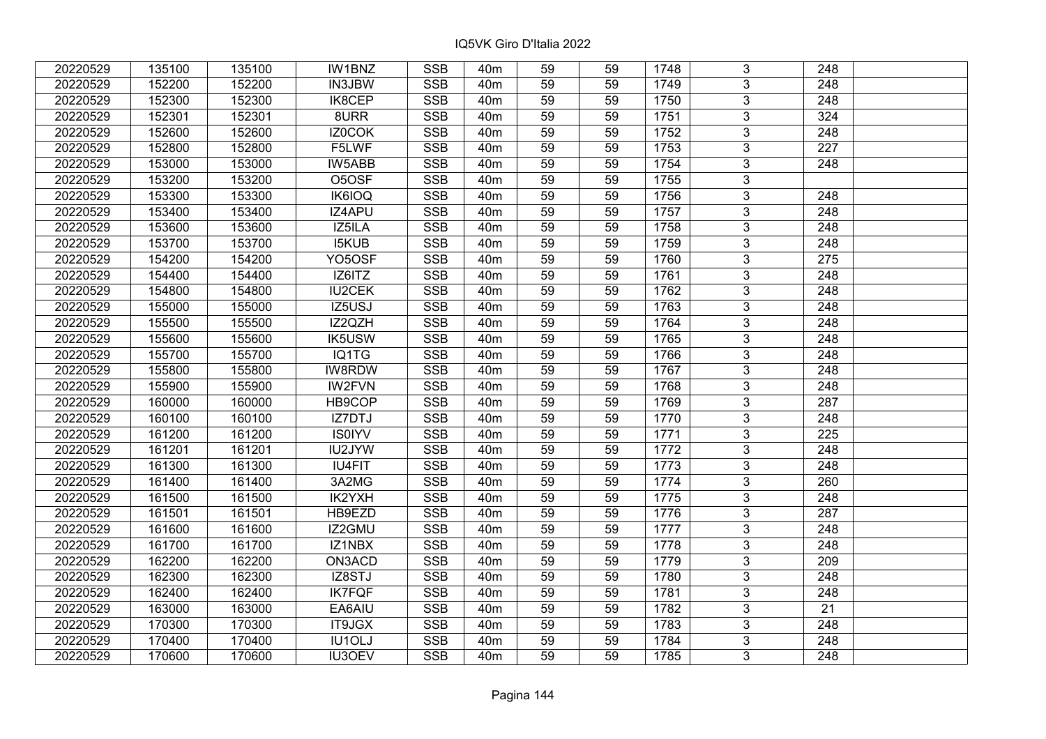| 20220529 | 135100 | 135100 | IW1BNZ        | <b>SSB</b> | 40 <sub>m</sub> | 59 | 59 | 1748 | 3              | 248              |  |
|----------|--------|--------|---------------|------------|-----------------|----|----|------|----------------|------------------|--|
| 20220529 | 152200 | 152200 | IN3JBW        | <b>SSB</b> | 40 <sub>m</sub> | 59 | 59 | 1749 | 3              | 248              |  |
| 20220529 | 152300 | 152300 | IK8CEP        | <b>SSB</b> | 40 <sub>m</sub> | 59 | 59 | 1750 | $\overline{3}$ | 248              |  |
| 20220529 | 152301 | 152301 | 8URR          | <b>SSB</b> | 40 <sub>m</sub> | 59 | 59 | 1751 | $\overline{3}$ | 324              |  |
| 20220529 | 152600 | 152600 | IZ0COK        | <b>SSB</b> | 40 <sub>m</sub> | 59 | 59 | 1752 | $\overline{3}$ | 248              |  |
| 20220529 | 152800 | 152800 | F5LWF         | <b>SSB</b> | 40 <sub>m</sub> | 59 | 59 | 1753 | $\overline{3}$ | $\overline{227}$ |  |
| 20220529 | 153000 | 153000 | <b>IW5ABB</b> | <b>SSB</b> | 40 <sub>m</sub> | 59 | 59 | 1754 | $\overline{3}$ | 248              |  |
| 20220529 | 153200 | 153200 | O5OSF         | <b>SSB</b> | 40 <sub>m</sub> | 59 | 59 | 1755 | $\overline{3}$ |                  |  |
| 20220529 | 153300 | 153300 | <b>IK6IOQ</b> | <b>SSB</b> | 40 <sub>m</sub> | 59 | 59 | 1756 | $\overline{3}$ | 248              |  |
| 20220529 | 153400 | 153400 | IZ4APU        | SSB        | 40 <sub>m</sub> | 59 | 59 | 1757 | $\overline{3}$ | 248              |  |
| 20220529 | 153600 | 153600 | IZ5ILA        | <b>SSB</b> | 40 <sub>m</sub> | 59 | 59 | 1758 | 3              | 248              |  |
| 20220529 | 153700 | 153700 | <b>I5KUB</b>  | <b>SSB</b> | 40 <sub>m</sub> | 59 | 59 | 1759 | $\overline{3}$ | 248              |  |
| 20220529 | 154200 | 154200 | YO5OSF        | <b>SSB</b> | 40 <sub>m</sub> | 59 | 59 | 1760 | $\overline{3}$ | 275              |  |
| 20220529 | 154400 | 154400 | IZ6ITZ        | <b>SSB</b> | 40m             | 59 | 59 | 1761 | $\overline{3}$ | 248              |  |
| 20220529 | 154800 | 154800 | <b>IU2CEK</b> | <b>SSB</b> | 40 <sub>m</sub> | 59 | 59 | 1762 | $\overline{3}$ | 248              |  |
| 20220529 | 155000 | 155000 | IZ5USJ        | <b>SSB</b> | 40 <sub>m</sub> | 59 | 59 | 1763 | $\overline{3}$ | 248              |  |
| 20220529 | 155500 | 155500 | IZ2QZH        | <b>SSB</b> | 40m             | 59 | 59 | 1764 | 3              | 248              |  |
| 20220529 | 155600 | 155600 | IK5USW        | <b>SSB</b> | 40 <sub>m</sub> | 59 | 59 | 1765 | $\overline{3}$ | 248              |  |
| 20220529 | 155700 | 155700 | IQ1TG         | <b>SSB</b> | 40 <sub>m</sub> | 59 | 59 | 1766 | 3              | 248              |  |
| 20220529 | 155800 | 155800 | IW8RDW        | <b>SSB</b> | 40m             | 59 | 59 | 1767 | $\overline{3}$ | 248              |  |
| 20220529 | 155900 | 155900 | <b>IW2FVN</b> | <b>SSB</b> | 40 <sub>m</sub> | 59 | 59 | 1768 | $\overline{3}$ | 248              |  |
| 20220529 | 160000 | 160000 | HB9COP        | <b>SSB</b> | 40 <sub>m</sub> | 59 | 59 | 1769 | 3              | 287              |  |
| 20220529 | 160100 | 160100 | IZ7DTJ        | <b>SSB</b> | 40 <sub>m</sub> | 59 | 59 | 1770 | $\overline{3}$ | 248              |  |
| 20220529 | 161200 | 161200 | <b>IS0IYV</b> | <b>SSB</b> | 40 <sub>m</sub> | 59 | 59 | 1771 | $\overline{3}$ | 225              |  |
| 20220529 | 161201 | 161201 | IU2JYW        | <b>SSB</b> | 40 <sub>m</sub> | 59 | 59 | 1772 | $\overline{3}$ | 248              |  |
| 20220529 | 161300 | 161300 | <b>IU4FIT</b> | <b>SSB</b> | 40 <sub>m</sub> | 59 | 59 | 1773 | $\overline{3}$ | 248              |  |
| 20220529 | 161400 | 161400 | 3A2MG         | <b>SSB</b> | 40 <sub>m</sub> | 59 | 59 | 1774 | $\overline{3}$ | 260              |  |
| 20220529 | 161500 | 161500 | IK2YXH        | <b>SSB</b> | 40 <sub>m</sub> | 59 | 59 | 1775 | $\overline{3}$ | $\overline{248}$ |  |
| 20220529 | 161501 | 161501 | HB9EZD        | <b>SSB</b> | 40 <sub>m</sub> | 59 | 59 | 1776 | $\overline{3}$ | 287              |  |
| 20220529 | 161600 | 161600 | IZ2GMU        | <b>SSB</b> | 40 <sub>m</sub> | 59 | 59 | 1777 | $\overline{3}$ | 248              |  |
| 20220529 | 161700 | 161700 | IZ1NBX        | SSB        | 40 <sub>m</sub> | 59 | 59 | 1778 | $\overline{3}$ | $\overline{248}$ |  |
| 20220529 | 162200 | 162200 | ON3ACD        | <b>SSB</b> | 40 <sub>m</sub> | 59 | 59 | 1779 | $\overline{3}$ | 209              |  |
| 20220529 | 162300 | 162300 | IZ8STJ        | <b>SSB</b> | 40 <sub>m</sub> | 59 | 59 | 1780 | 3              | 248              |  |
| 20220529 | 162400 | 162400 | <b>IK7FQF</b> | <b>SSB</b> | 40 <sub>m</sub> | 59 | 59 | 1781 | $\overline{3}$ | 248              |  |
| 20220529 | 163000 | 163000 | EA6AIU        | <b>SSB</b> | 40 <sub>m</sub> | 59 | 59 | 1782 | 3              | 21               |  |
| 20220529 | 170300 | 170300 | IT9JGX        | <b>SSB</b> | 40 <sub>m</sub> | 59 | 59 | 1783 | 3              | 248              |  |
| 20220529 | 170400 | 170400 | IU1OLJ        | SSB        | 40 <sub>m</sub> | 59 | 59 | 1784 | $\overline{3}$ | 248              |  |
| 20220529 | 170600 | 170600 | <b>IU3OEV</b> | <b>SSB</b> | 40 <sub>m</sub> | 59 | 59 | 1785 | $\overline{3}$ | 248              |  |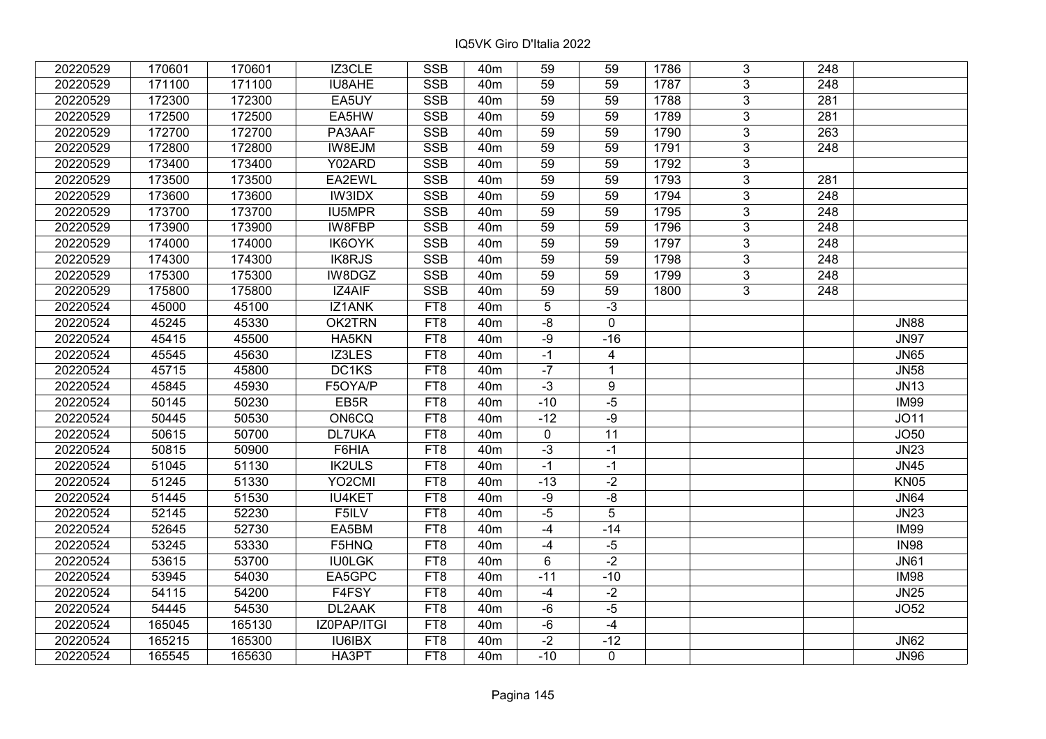| 20220529 | 170601 | 170601 | IZ3CLE        | <b>SSB</b>      | 40 <sub>m</sub> | 59          | 59             | 1786 | 3              | 248              |             |
|----------|--------|--------|---------------|-----------------|-----------------|-------------|----------------|------|----------------|------------------|-------------|
| 20220529 | 171100 | 171100 | IU8AHE        | <b>SSB</b>      | 40 <sub>m</sub> | 59          | 59             | 1787 | 3              | 248              |             |
| 20220529 | 172300 | 172300 | EA5UY         | <b>SSB</b>      | 40 <sub>m</sub> | 59          | 59             | 1788 | $\overline{3}$ | 281              |             |
| 20220529 | 172500 | 172500 | EA5HW         | <b>SSB</b>      | 40 <sub>m</sub> | 59          | 59             | 1789 | $\overline{3}$ | 281              |             |
| 20220529 | 172700 | 172700 | PA3AAF        | <b>SSB</b>      | 40 <sub>m</sub> | 59          | 59             | 1790 | 3              | 263              |             |
| 20220529 | 172800 | 172800 | IW8EJM        | <b>SSB</b>      | 40 <sub>m</sub> | 59          | 59             | 1791 | $\overline{3}$ | 248              |             |
| 20220529 | 173400 | 173400 | Y02ARD        | SSB             | 40 <sub>m</sub> | 59          | 59             | 1792 | $\overline{3}$ |                  |             |
| 20220529 | 173500 | 173500 | EA2EWL        | <b>SSB</b>      | 40 <sub>m</sub> | 59          | 59             | 1793 | 3              | 281              |             |
| 20220529 | 173600 | 173600 | <b>IW3IDX</b> | SSB             | 40 <sub>m</sub> | 59          | 59             | 1794 | $\overline{3}$ | $\overline{248}$ |             |
| 20220529 | 173700 | 173700 | <b>IU5MPR</b> | <b>SSB</b>      | 40 <sub>m</sub> | 59          | 59             | 1795 | $\overline{3}$ | 248              |             |
| 20220529 | 173900 | 173900 | IW8FBP        | <b>SSB</b>      | 40 <sub>m</sub> | 59          | 59             | 1796 | $\mathbf{3}$   | 248              |             |
| 20220529 | 174000 | 174000 | <b>IK6OYK</b> | <b>SSB</b>      | 40 <sub>m</sub> | 59          | 59             | 1797 | $\overline{3}$ | 248              |             |
| 20220529 | 174300 | 174300 | <b>IK8RJS</b> | <b>SSB</b>      | 40 <sub>m</sub> | 59          | 59             | 1798 | 3              | 248              |             |
| 20220529 | 175300 | 175300 | IW8DGZ        | <b>SSB</b>      | 40 <sub>m</sub> | 59          | 59             | 1799 | 3              | 248              |             |
| 20220529 | 175800 | 175800 | IZ4AIF        | <b>SSB</b>      | 40 <sub>m</sub> | 59          | 59             | 1800 | 3              | 248              |             |
| 20220524 | 45000  | 45100  | IZ1ANK        | FT8             | 40 <sub>m</sub> | 5           | $-3$           |      |                |                  |             |
| 20220524 | 45245  | 45330  | OK2TRN        | FT8             | 40 <sub>m</sub> | $-8$        | $\mathbf 0$    |      |                |                  | <b>JN88</b> |
| 20220524 | 45415  | 45500  | HA5KN         | FT <sub>8</sub> | 40 <sub>m</sub> | $-9$        | $-16$          |      |                |                  | <b>JN97</b> |
| 20220524 | 45545  | 45630  | IZ3LES        | FT8             | 40 <sub>m</sub> | $-1$        | $\overline{4}$ |      |                |                  | <b>JN65</b> |
| 20220524 | 45715  | 45800  | DC1KS         | FT8             | 40 <sub>m</sub> | $-7$        | $\mathbf{1}$   |      |                |                  | <b>JN58</b> |
| 20220524 | 45845  | 45930  | F5OYA/P       | FT <sub>8</sub> | 40 <sub>m</sub> | $-3$        | $\overline{9}$ |      |                |                  | <b>JN13</b> |
| 20220524 | 50145  | 50230  | EB5R          | FT8             | 40 <sub>m</sub> | $-10$       | $-5$           |      |                |                  | <b>IM99</b> |
| 20220524 | 50445  | 50530  | ON6CQ         | FT8             | 40 <sub>m</sub> | $-12$       | $-9$           |      |                |                  | <b>JO11</b> |
| 20220524 | 50615  | 50700  | <b>DL7UKA</b> | FT8             | 40 <sub>m</sub> | $\mathbf 0$ | 11             |      |                |                  | JO50        |
| 20220524 | 50815  | 50900  | F6HIA         | FT8             | 40 <sub>m</sub> | $-3$        | $-1$           |      |                |                  | <b>JN23</b> |
| 20220524 | 51045  | 51130  | <b>IK2ULS</b> | FT8             | 40 <sub>m</sub> | $-1$        | $-1$           |      |                |                  | <b>JN45</b> |
| 20220524 | 51245  | 51330  | YO2CMI        | FT8             | 40 <sub>m</sub> | $-13$       | $-2$           |      |                |                  | <b>KN05</b> |
| 20220524 | 51445  | 51530  | <b>IU4KET</b> | FT8             | 40 <sub>m</sub> | -9          | $-8$           |      |                |                  | <b>JN64</b> |
| 20220524 | 52145  | 52230  | F5ILV         | FT8             | 40 <sub>m</sub> | $-5$        | $\overline{5}$ |      |                |                  | <b>JN23</b> |
| 20220524 | 52645  | 52730  | EA5BM         | FT <sub>8</sub> | 40 <sub>m</sub> | $-4$        | $-14$          |      |                |                  | IM99        |
| 20220524 | 53245  | 53330  | F5HNQ         | FT <sub>8</sub> | 40 <sub>m</sub> | $-4$        | $-5$           |      |                |                  | <b>IN98</b> |
| 20220524 | 53615  | 53700  | <b>IU0LGK</b> | FT <sub>8</sub> | 40 <sub>m</sub> | 6           | $-2$           |      |                |                  | <b>JN61</b> |
| 20220524 | 53945  | 54030  | EA5GPC        | FT <sub>8</sub> | 40 <sub>m</sub> | $-11$       | $-10$          |      |                |                  | <b>IM98</b> |
| 20220524 | 54115  | 54200  | F4FSY         | FT8             | 40 <sub>m</sub> | $-4$        | $-2$           |      |                |                  | <b>JN25</b> |
| 20220524 | 54445  | 54530  | DL2AAK        | FT8             | 40 <sub>m</sub> | $-6$        | $-5$           |      |                |                  | JO52        |
| 20220524 | 165045 | 165130 | IZ0PAP/ITGI   | FT <sub>8</sub> | 40 <sub>m</sub> | $-6$        | $-4$           |      |                |                  |             |
| 20220524 | 165215 | 165300 | <b>IU6IBX</b> | FT8             | 40 <sub>m</sub> | $-2$        | $-12$          |      |                |                  | <b>JN62</b> |
| 20220524 | 165545 | 165630 | HA3PT         | FT8             | 40 <sub>m</sub> | $-10$       | $\mathbf 0$    |      |                |                  | <b>JN96</b> |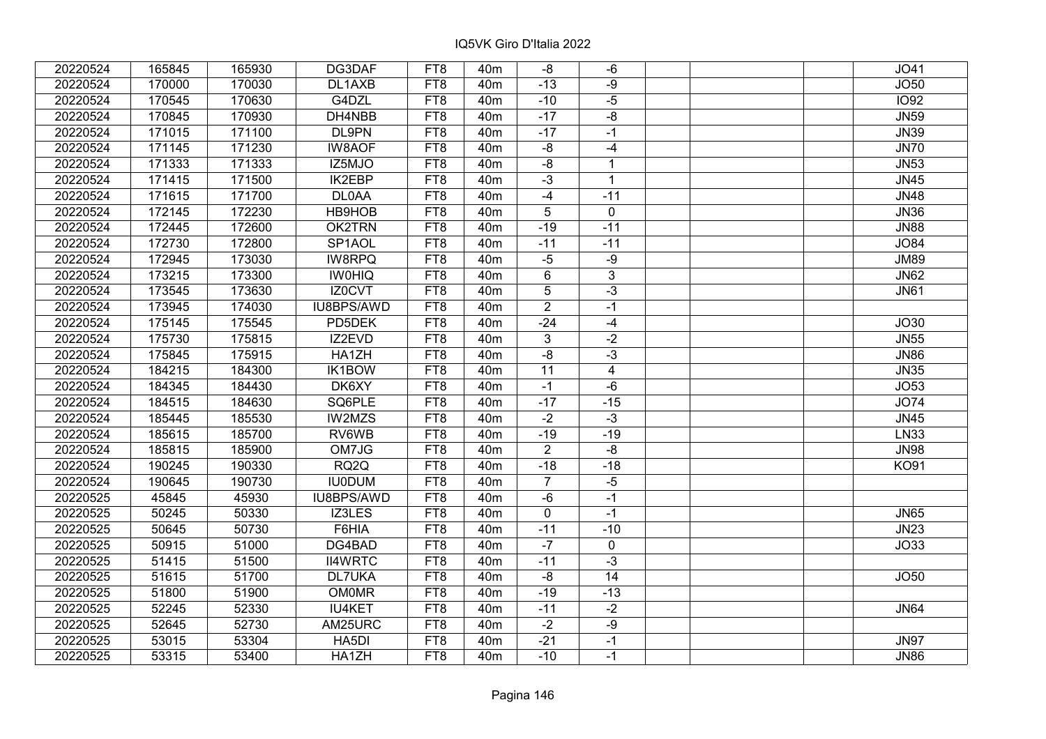| 20220524 | 165845 | 165930 | DG3DAF              | FT8             | 40 <sub>m</sub> | -8              | $-6$           | JO41        |
|----------|--------|--------|---------------------|-----------------|-----------------|-----------------|----------------|-------------|
| 20220524 | 170000 | 170030 | DL1AXB              | FT8             | 40 <sub>m</sub> | $-13$           | $-9$           | JO50        |
| 20220524 | 170545 | 170630 | G4DZL               | FT8             | 40 <sub>m</sub> | $-10$           | $-5$           | <b>IO92</b> |
| 20220524 | 170845 | 170930 | DH4NBB              | FT8             | 40 <sub>m</sub> | $-17$           | $-8$           | <b>JN59</b> |
| 20220524 | 171015 | 171100 | <b>DL9PN</b>        | FT8             | 40 <sub>m</sub> | $-17$           | $-1$           | <b>JN39</b> |
| 20220524 | 171145 | 171230 | <b>IW8AOF</b>       | FT8             | 40 <sub>m</sub> | $-8$            | $-4$           | <b>JN70</b> |
| 20220524 | 171333 | 171333 | IZ5MJO              | FT8             | 40 <sub>m</sub> | $-8$            | $\mathbf{1}$   | <b>JN53</b> |
| 20220524 | 171415 | 171500 | <b>IK2EBP</b>       | FT8             | 40 <sub>m</sub> | $-3$            | $\mathbf{1}$   | <b>JN45</b> |
| 20220524 | 171615 | 171700 | <b>DL0AA</b>        | FT8             | 40 <sub>m</sub> | $-4$            | $-11$          | <b>JN48</b> |
| 20220524 | 172145 | 172230 | <b>HB9HOB</b>       | FT <sub>8</sub> | 40 <sub>m</sub> | $\overline{5}$  | $\overline{0}$ | <b>JN36</b> |
| 20220524 | 172445 | 172600 | OK2TRN              | FT8             | 40 <sub>m</sub> | $-19$           | $-11$          | <b>JN88</b> |
| 20220524 | 172730 | 172800 | SP <sub>1</sub> AOL | FT8             | 40 <sub>m</sub> | $-11$           | $-11$          | <b>JO84</b> |
| 20220524 | 172945 | 173030 | <b>IW8RPQ</b>       | FT8             | 40 <sub>m</sub> | $-5$            | $-9$           | <b>JM89</b> |
| 20220524 | 173215 | 173300 | <b>IWOHIQ</b>       | FT8             | 40 <sub>m</sub> | 6               | 3              | <b>JN62</b> |
| 20220524 | 173545 | 173630 | IZ0CVT              | FT8             | 40 <sub>m</sub> | 5               | $-3$           | <b>JN61</b> |
| 20220524 | 173945 | 174030 | IU8BPS/AWD          | FT8             | 40m             | $\overline{2}$  | $-1$           |             |
| 20220524 | 175145 | 175545 | PD5DEK              | FT8             | 40 <sub>m</sub> | $-24$           | $-4$           | JO30        |
| 20220524 | 175730 | 175815 | IZ2EVD              | FT8             | 40 <sub>m</sub> | $3\overline{3}$ | $-2$           | <b>JN55</b> |
| 20220524 | 175845 | 175915 | HA1ZH               | FT8             | 40 <sub>m</sub> | $-\frac{8}{5}$  | $-3$           | <b>JN86</b> |
| 20220524 | 184215 | 184300 | <b>IK1BOW</b>       | FT8             | 40 <sub>m</sub> | $\overline{11}$ | 4              | <b>JN35</b> |
| 20220524 | 184345 | 184430 | DK6XY               | FT8             | 40 <sub>m</sub> | $-1$            | $-6$           | JO53        |
| 20220524 | 184515 | 184630 | SQ6PLE              | FT8             | 40m             | $-17$           | $-15$          | <b>JO74</b> |
| 20220524 | 185445 | 185530 | IW2MZS              | FT8             | 40 <sub>m</sub> | $-2$            | $-3$           | <b>JN45</b> |
| 20220524 | 185615 | 185700 | RV6WB               | FT8             | 40 <sub>m</sub> | $-19$           | $-19$          | LN33        |
| 20220524 | 185815 | 185900 | OM7JG               | FT8             | 40m             | $\overline{2}$  | -8             | <b>JN98</b> |
| 20220524 | 190245 | 190330 | RQ <sub>2</sub> Q   | FT8             | 40 <sub>m</sub> | $-18$           | $-18$          | <b>KO91</b> |
| 20220524 | 190645 | 190730 | <b>IU0DUM</b>       | FT8             | 40 <sub>m</sub> | $\overline{7}$  | $-5$           |             |
| 20220525 | 45845  | 45930  | IU8BPS/AWD          | FT8             | 40 <sub>m</sub> | $-6$            | $-1$           |             |
| 20220525 | 50245  | 50330  | IZ3LES              | FT <sub>8</sub> | 40m             | 0               | $-1$           | <b>JN65</b> |
| 20220525 | 50645  | 50730  | F6HIA               | FT <sub>8</sub> | 40 <sub>m</sub> | $-11$           | $-10$          | <b>JN23</b> |
| 20220525 | 50915  | 51000  | DG4BAD              | FT8             | 40 <sub>m</sub> | $-7$            | 0              | JO33        |
| 20220525 | 51415  | 51500  | <b>II4WRTC</b>      | FT8             | 40 <sub>m</sub> | $-11$           | $-3$           |             |
| 20220525 | 51615  | 51700  | DL7UKA              | FT8             | 40 <sub>m</sub> | $-8$            | 14             | JO50        |
| 20220525 | 51800  | 51900  | <b>OM0MR</b>        | FT8             | 40 <sub>m</sub> | $-19$           | $-13$          |             |
| 20220525 | 52245  | 52330  | <b>IU4KET</b>       | FT8             | 40 <sub>m</sub> | $-11$           | $-2$           | <b>JN64</b> |
| 20220525 | 52645  | 52730  | AM25URC             | FT8             | 40 <sub>m</sub> | $-2$            | $-9$           |             |
| 20220525 | 53015  | 53304  | HA5DI               | FT8             | 40 <sub>m</sub> | $-21$           | $-1$           | <b>JN97</b> |
| 20220525 | 53315  | 53400  | HA1ZH               | FT8             | 40 <sub>m</sub> | $-10$           | $-1$           | <b>JN86</b> |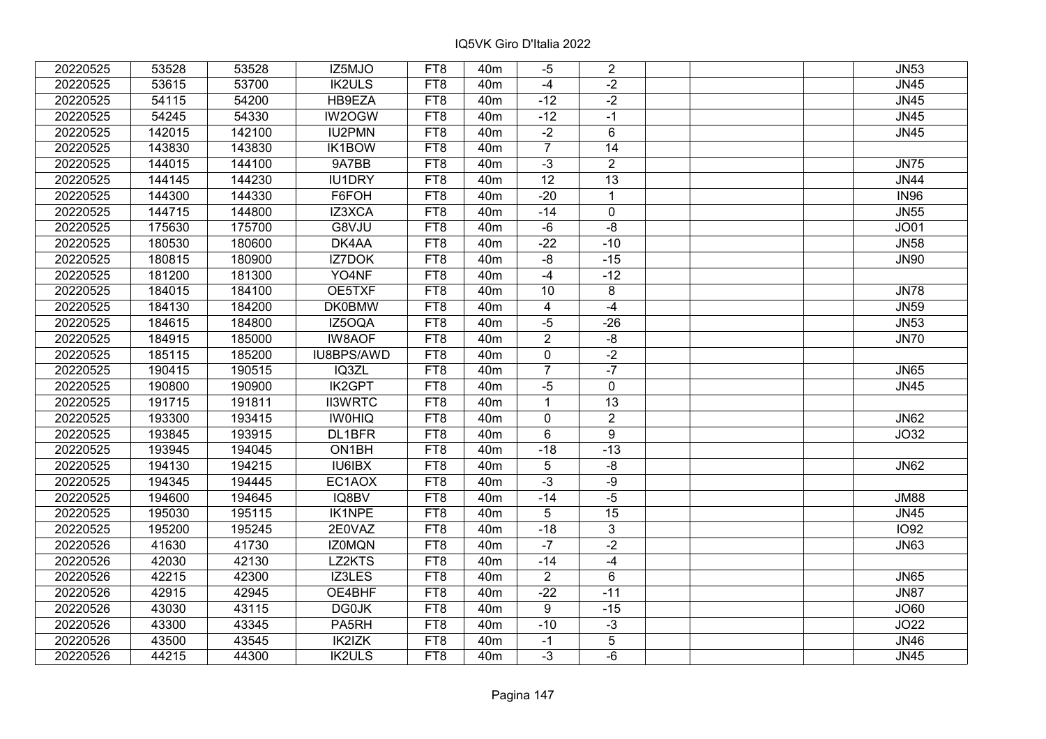| 20220525 | 53528  | 53528  | IZ5MJO            | FT8             | 40 <sub>m</sub> | $-5$            | $\overline{2}$ |  | <b>JN53</b> |
|----------|--------|--------|-------------------|-----------------|-----------------|-----------------|----------------|--|-------------|
| 20220525 | 53615  | 53700  | <b>IK2ULS</b>     | FT8             | 40 <sub>m</sub> | $-4$            | $-2$           |  | <b>JN45</b> |
| 20220525 | 54115  | 54200  | HB9EZA            | FT8             | 40 <sub>m</sub> | $-12$           | $-2$           |  | <b>JN45</b> |
| 20220525 | 54245  | 54330  | IW2OGW            | FT8             | 40 <sub>m</sub> | $-12$           | $-1$           |  | JN45        |
| 20220525 | 142015 | 142100 | <b>IU2PMN</b>     | FT8             | 40 <sub>m</sub> | $-2$            | 6              |  | <b>JN45</b> |
| 20220525 | 143830 | 143830 | <b>IK1BOW</b>     | FT8             | 40 <sub>m</sub> | $\overline{7}$  | 14             |  |             |
| 20220525 | 144015 | 144100 | 9A7BB             | FT8             | 40 <sub>m</sub> | $-3$            | $\overline{2}$ |  | <b>JN75</b> |
| 20220525 | 144145 | 144230 | <b>IU1DRY</b>     | FT8             | 40 <sub>m</sub> | $\overline{12}$ | 13             |  | <b>JN44</b> |
| 20220525 | 144300 | 144330 | F6FOH             | FT8             | 40 <sub>m</sub> | $-20$           | $\mathbf{1}$   |  | <b>IN96</b> |
| 20220525 | 144715 | 144800 | IZ3XCA            | FT <sub>8</sub> | 40 <sub>m</sub> | $-14$           | $\pmb{0}$      |  | <b>JN55</b> |
| 20220525 | 175630 | 175700 | G8VJU             | FT8             | 40 <sub>m</sub> | $-6$            | -8             |  | JO01        |
| 20220525 | 180530 | 180600 | DK4AA             | FT <sub>8</sub> | 40 <sub>m</sub> | $-22$           | $-10$          |  | <b>JN58</b> |
| 20220525 | 180815 | 180900 | <b>IZ7DOK</b>     | FT8             | 40 <sub>m</sub> | $-8$            | $-15$          |  | <b>JN90</b> |
| 20220525 | 181200 | 181300 | YO4NF             | FT8             | 40 <sub>m</sub> | $-4$            | $-12$          |  |             |
| 20220525 | 184015 | 184100 | OE5TXF            | FT8             | 40 <sub>m</sub> | 10              | 8              |  | <b>JN78</b> |
| 20220525 | 184130 | 184200 | <b>DK0BMW</b>     | FT8             | 40 <sub>m</sub> | 4               | $-4$           |  | <b>JN59</b> |
| 20220525 | 184615 | 184800 | IZ5OQA            | FT8             | 40 <sub>m</sub> | $-5$            | $-26$          |  | <b>JN53</b> |
| 20220525 | 184915 | 185000 | <b>IW8AOF</b>     | FT8             | 40 <sub>m</sub> | $\overline{2}$  | -8             |  | <b>JN70</b> |
| 20220525 | 185115 | 185200 | IU8BPS/AWD        | FT8             | 40 <sub>m</sub> | 0               | $-2$           |  |             |
| 20220525 | 190415 | 190515 | IQ3ZL             | FT8             | 40 <sub>m</sub> | $\overline{7}$  | $-7$           |  | <b>JN65</b> |
| 20220525 | 190800 | 190900 | <b>IK2GPT</b>     | FT8             | 40 <sub>m</sub> | $-5$            | 0              |  | <b>JN45</b> |
| 20220525 | 191715 | 191811 | <b>II3WRTC</b>    | FT8             | 40 <sub>m</sub> | 1               | 13             |  |             |
| 20220525 | 193300 | 193415 | <b>IWOHIQ</b>     | FT8             | 40 <sub>m</sub> | $\mathbf 0$     | $\overline{2}$ |  | <b>JN62</b> |
| 20220525 | 193845 | 193915 | DL1BFR            | FT8             | 40 <sub>m</sub> | 6               | 9              |  | JO32        |
| 20220525 | 193945 | 194045 | ON1BH             | FT8             | 40 <sub>m</sub> | $-18$           | $-13$          |  |             |
| 20220525 | 194130 | 194215 | IU6IBX            | FT8             | 40 <sub>m</sub> | 5               | $-8$           |  | <b>JN62</b> |
| 20220525 | 194345 | 194445 | EC1AOX            | FT8             | 40 <sub>m</sub> | $-3$            | $-9$           |  |             |
| 20220525 | 194600 | 194645 | IQ8BV             | FT8             | 40 <sub>m</sub> | $-14$           | $-5$           |  | <b>JM88</b> |
| 20220525 | 195030 | 195115 | <b>IK1NPE</b>     | FT8             | 40m             | 5               | 15             |  | JN45        |
| 20220525 | 195200 | 195245 | 2E0VAZ            | FT <sub>8</sub> | 40 <sub>m</sub> | $-18$           | $\overline{3}$ |  | <b>IO92</b> |
| 20220526 | 41630  | 41730  | <b>IZ0MQN</b>     | FT8             | 40 <sub>m</sub> | $-7$            | $-2$           |  | <b>JN63</b> |
| 20220526 | 42030  | 42130  | LZ2KTS            | FT8             | 40 <sub>m</sub> | $-14$           | $-4$           |  |             |
| 20220526 | 42215  | 42300  | IZ3LES            | FT8             | 40 <sub>m</sub> | $\overline{2}$  | 6              |  | <b>JN65</b> |
| 20220526 | 42915  | 42945  | OE4BHF            | FT8             | 40 <sub>m</sub> | $-22$           | $-11$          |  | <b>JN87</b> |
| 20220526 | 43030  | 43115  | <b>DG0JK</b>      | FT8             | 40 <sub>m</sub> | 9               | $-15$          |  | JO60        |
| 20220526 | 43300  | 43345  | PA <sub>5RH</sub> | FT8             | 40 <sub>m</sub> | $-10$           | $-3$           |  | JO22        |
| 20220526 | 43500  | 43545  | IK2IZK            | FT8             | 40 <sub>m</sub> | $-1$            | 5              |  | <b>JN46</b> |
| 20220526 | 44215  | 44300  | <b>IK2ULS</b>     | FT8             | 40 <sub>m</sub> | $-3$            | $-6$           |  | <b>JN45</b> |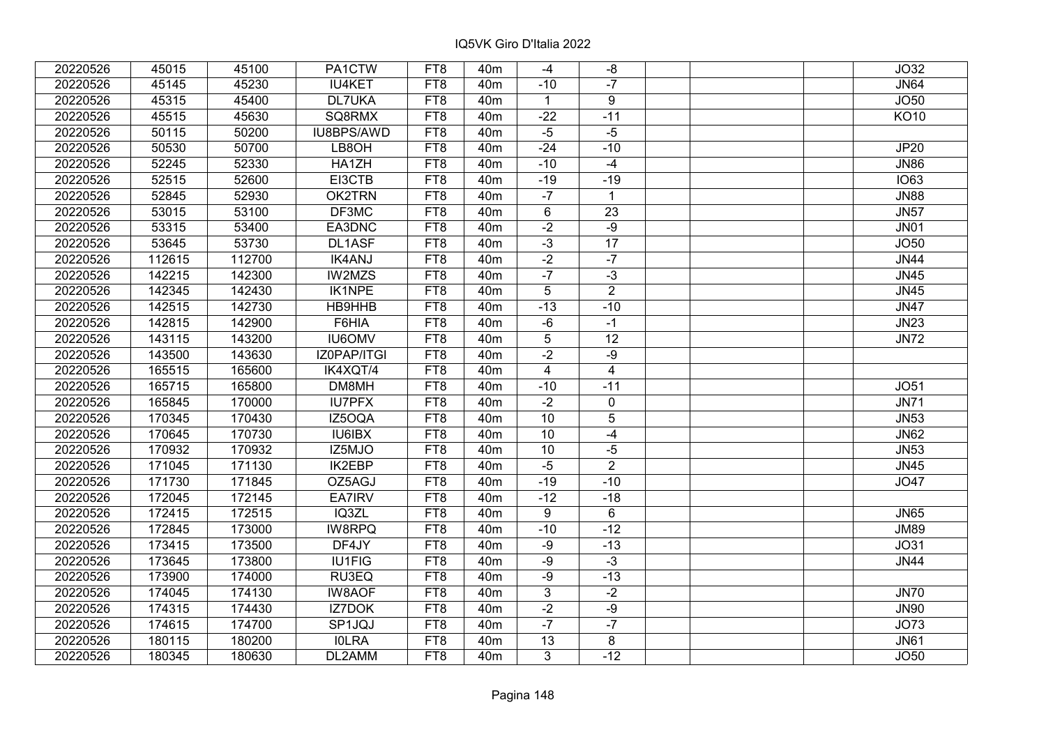| 20220526 | 45015  | 45100  | PA1CTW        | FT8             | 40 <sub>m</sub> | $-4$            | -8             | JO32        |
|----------|--------|--------|---------------|-----------------|-----------------|-----------------|----------------|-------------|
| 20220526 | 45145  | 45230  | <b>IU4KET</b> | FT8             | 40 <sub>m</sub> | $-10$           | $-7$           | <b>JN64</b> |
| 20220526 | 45315  | 45400  | DL7UKA        | FT8             | 40 <sub>m</sub> | $\mathbf{1}$    | 9              | JO50        |
| 20220526 | 45515  | 45630  | SQ8RMX        | FT8             | 40 <sub>m</sub> | $-22$           | $-11$          | <b>KO10</b> |
| 20220526 | 50115  | 50200  | IU8BPS/AWD    | FT8             | 40 <sub>m</sub> | $-5$            | $-5$           |             |
| 20220526 | 50530  | 50700  | LB8OH         | FT8             | 40 <sub>m</sub> | $-24$           | $-10$          | JP20        |
| 20220526 | 52245  | 52330  | HA1ZH         | FT8             | 40 <sub>m</sub> | $-10$           | $-4$           | <b>JN86</b> |
| 20220526 | 52515  | 52600  | EI3CTB        | FT8             | 40 <sub>m</sub> | $-19$           | $-19$          | <b>IO63</b> |
| 20220526 | 52845  | 52930  | <b>OK2TRN</b> | FT8             | 40 <sub>m</sub> | $-7$            | $\mathbf{1}$   | <b>JN88</b> |
| 20220526 | 53015  | 53100  | DF3MC         | FT <sub>8</sub> | 40 <sub>m</sub> | $6\overline{6}$ | 23             | <b>JN57</b> |
| 20220526 | 53315  | 53400  | EA3DNC        | FT8             | 40 <sub>m</sub> | $-2$            | $-9$           | <b>JN01</b> |
| 20220526 | 53645  | 53730  | DL1ASF        | FT8             | 40 <sub>m</sub> | $\overline{-3}$ | 17             | JO50        |
| 20220526 | 112615 | 112700 | <b>IK4ANJ</b> | FT8             | 40 <sub>m</sub> | $-2$            | $-7$           | <b>JN44</b> |
| 20220526 | 142215 | 142300 | IW2MZS        | FT8             | 40m             | $-7$            | $-3$           | <b>JN45</b> |
| 20220526 | 142345 | 142430 | IK1NPE        | FT8             | 40 <sub>m</sub> | 5               | $\overline{2}$ | <b>JN45</b> |
| 20220526 | 142515 | 142730 | HB9HHB        | FT8             | 40m             | $-13$           | $-10$          | <b>JN47</b> |
| 20220526 | 142815 | 142900 | F6HIA         | FT8             | 40m             | $-6$            | $-1$           | <b>JN23</b> |
| 20220526 | 143115 | 143200 | <b>IU6OMV</b> | FT8             | 40 <sub>m</sub> | 5               | 12             | <b>JN72</b> |
| 20220526 | 143500 | 143630 | IZ0PAP/ITGI   | FT8             | 40 <sub>m</sub> | $-2$            | $-9$           |             |
| 20220526 | 165515 | 165600 | IK4XQT/4      | FT8             | 40m             | $\overline{4}$  | 4              |             |
| 20220526 | 165715 | 165800 | DM8MH         | FT8             | 40 <sub>m</sub> | $-10$           | $-11$          | <b>JO51</b> |
| 20220526 | 165845 | 170000 | <b>IU7PFX</b> | FT8             | 40 <sub>m</sub> | $-2$            | 0              | <b>JN71</b> |
| 20220526 | 170345 | 170430 | IZ5OQA        | FT8             | 40m             | 10              | 5              | <b>JN53</b> |
| 20220526 | 170645 | 170730 | <b>IU6IBX</b> | FT8             | 40 <sub>m</sub> | 10              | $-4$           | <b>JN62</b> |
| 20220526 | 170932 | 170932 | IZ5MJO        | FT8             | 40 <sub>m</sub> | 10              | $-5$           | <b>JN53</b> |
| 20220526 | 171045 | 171130 | IK2EBP        | FT8             | 40 <sub>m</sub> | $-5$            | $\overline{2}$ | <b>JN45</b> |
| 20220526 | 171730 | 171845 | OZ5AGJ        | FT8             | 40 <sub>m</sub> | $-19$           | $-10$          | <b>JO47</b> |
| 20220526 | 172045 | 172145 | EA7IRV        | FT8             | 40 <sub>m</sub> | $-12$           | $-18$          |             |
| 20220526 | 172415 | 172515 | IQ3ZL         | FT <sub>8</sub> | 40 <sub>m</sub> | 9               | 6              | <b>JN65</b> |
| 20220526 | 172845 | 173000 | <b>IW8RPQ</b> | FT8             | 40 <sub>m</sub> | $-10$           | $-12$          | <b>JM89</b> |
| 20220526 | 173415 | 173500 | DF4JY         | FT8             | 40 <sub>m</sub> | $-9$            | $-13$          | <b>JO31</b> |
| 20220526 | 173645 | 173800 | <b>IU1FIG</b> | FT8             | 40 <sub>m</sub> | $-9$            | $-3$           | <b>JN44</b> |
| 20220526 | 173900 | 174000 | RU3EQ         | FT8             | 40 <sub>m</sub> | -9              | $-13$          |             |
| 20220526 | 174045 | 174130 | <b>IW8AOF</b> | FT8             | 40 <sub>m</sub> | $\mathbf{3}$    | $-2$           | <b>JN70</b> |
| 20220526 | 174315 | 174430 | IZ7DOK        | FT8             | 40 <sub>m</sub> | $-2$            | $-9$           | <b>JN90</b> |
| 20220526 | 174615 | 174700 | SP1JQJ        | FT <sub>8</sub> | 40 <sub>m</sub> | $-7$            | $-7$           | <b>JO73</b> |
| 20220526 | 180115 | 180200 | <b>IOLRA</b>  | FT8             | 40 <sub>m</sub> | 13              | 8              | <b>JN61</b> |
| 20220526 | 180345 | 180630 | DL2AMM        | FT8             | 40 <sub>m</sub> | 3               | $-12$          | <b>JO50</b> |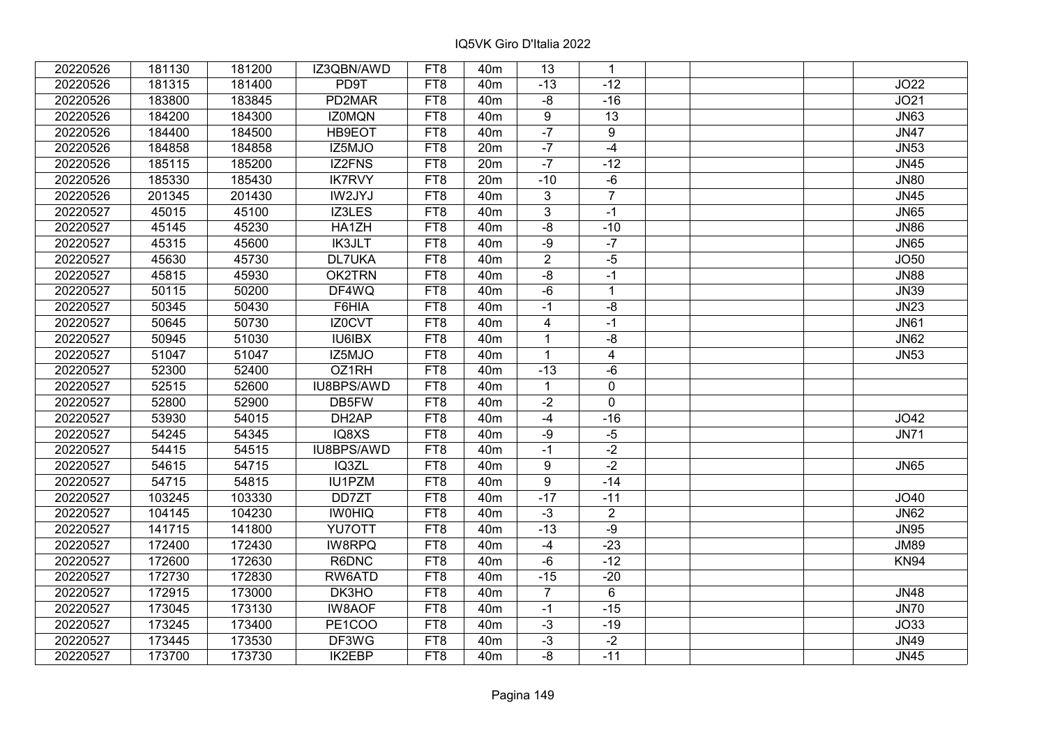| 20220526 | 181130 | 181200 | IZ3QBN/AWD         | FT8             | 40 <sub>m</sub> | 13             | $\mathbf{1}$   |  |             |
|----------|--------|--------|--------------------|-----------------|-----------------|----------------|----------------|--|-------------|
| 20220526 | 181315 | 181400 | PD9T               | FT8             | 40 <sub>m</sub> | $-13$          | $-12$          |  | JO22        |
| 20220526 | 183800 | 183845 | PD2MAR             | FT8             | 40 <sub>m</sub> | $-8$           | $-16$          |  | JO21        |
| 20220526 | 184200 | 184300 | <b>IZ0MQN</b>      | FT8             | 40 <sub>m</sub> | 9              | 13             |  | <b>JN63</b> |
| 20220526 | 184400 | 184500 | HB9EOT             | FT8             | 40 <sub>m</sub> | $-7$           | 9              |  | JN47        |
| 20220526 | 184858 | 184858 | IZ5MJO             | FT8             | 20m             | $-7$           | $-4$           |  | <b>JN53</b> |
| 20220526 | 185115 | 185200 | IZ2FNS             | FT8             | 20m             | $-7$           | $-12$          |  | <b>JN45</b> |
| 20220526 | 185330 | 185430 | <b>IK7RVY</b>      | FT8             | 20m             | $-10$          | $-6$           |  | <b>JN80</b> |
| 20220526 | 201345 | 201430 | IW2JYJ             | FT8             | 40 <sub>m</sub> | $\overline{3}$ | $\overline{7}$ |  | <b>JN45</b> |
| 20220527 | 45015  | 45100  | IZ3LES             | FT8             | 40 <sub>m</sub> | $\overline{3}$ | $-1$           |  | <b>JN65</b> |
| 20220527 | 45145  | 45230  | HA1ZH              | FT8             | 40 <sub>m</sub> | $-8$           | $-10$          |  | <b>JN86</b> |
| 20220527 | 45315  | 45600  | <b>IK3JLT</b>      | FT8             | 40m             | -9             | $-7$           |  | <b>JN65</b> |
| 20220527 | 45630  | 45730  | <b>DL7UKA</b>      | FT <sub>8</sub> | 40 <sub>m</sub> | $\overline{2}$ | $-5$           |  | JO50        |
| 20220527 | 45815  | 45930  | OK2TRN             | FT8             | 40 <sub>m</sub> | $-8$           | $-1$           |  | <b>JN88</b> |
| 20220527 | 50115  | 50200  | DF4WQ              | FT8             | 40 <sub>m</sub> | $-6$           | $\mathbf{1}$   |  | <b>JN39</b> |
| 20220527 | 50345  | 50430  | F6HIA              | FT8             | 40 <sub>m</sub> | $-1$           | $-8$           |  | <b>JN23</b> |
| 20220527 | 50645  | 50730  | IZ0CVT             | FT8             | 40 <sub>m</sub> | $\overline{4}$ | $-1$           |  | <b>JN61</b> |
| 20220527 | 50945  | 51030  | <b>IU6IBX</b>      | FT8             | 40 <sub>m</sub> | $\mathbf{1}$   | $-8$           |  | <b>JN62</b> |
| 20220527 | 51047  | 51047  | IZ5MJO             | FT8             | 40 <sub>m</sub> | $\mathbf{1}$   | $\overline{4}$ |  | <b>JN53</b> |
| 20220527 | 52300  | 52400  | OZ1RH              | FT8             | 40 <sub>m</sub> | $-13$          | -6             |  |             |
| 20220527 | 52515  | 52600  | IU8BPS/AWD         | FT <sub>8</sub> | 40 <sub>m</sub> | $\mathbf{1}$   | $\mathbf 0$    |  |             |
| 20220527 | 52800  | 52900  | DB5FW              | FT8             | 40 <sub>m</sub> | $-2$           | $\mathbf 0$    |  |             |
| 20220527 | 53930  | 54015  | DH <sub>2</sub> AP | FT8             | 40 <sub>m</sub> | $-4$           | $-16$          |  | JO42        |
| 20220527 | 54245  | 54345  | IQ8XS              | FT8             | 40 <sub>m</sub> | -9             | $-5$           |  | <b>JN71</b> |
| 20220527 | 54415  | 54515  | IU8BPS/AWD         | FT8             | 40 <sub>m</sub> | $-1$           | $-2$           |  |             |
| 20220527 | 54615  | 54715  | IQ3ZL              | FT8             | 40 <sub>m</sub> | 9              | $-2$           |  | <b>JN65</b> |
| 20220527 | 54715  | 54815  | IU1PZM             | FT8             | 40 <sub>m</sub> | 9              | $-14$          |  |             |
| 20220527 | 103245 | 103330 | DD7ZT              | FT8             | 40 <sub>m</sub> | $-17$          | $-11$          |  | JO40        |
| 20220527 | 104145 | 104230 | <b>IWOHIQ</b>      | FT8             | 40 <sub>m</sub> | $-3$           | $\overline{2}$ |  | <b>JN62</b> |
| 20220527 | 141715 | 141800 | YU7OTT             | FT8             | 40 <sub>m</sub> | $-13$          | $-9$           |  | <b>JN95</b> |
| 20220527 | 172400 | 172430 | <b>IW8RPQ</b>      | FT8             | 40 <sub>m</sub> | $-4$           | $-23$          |  | <b>JM89</b> |
| 20220527 | 172600 | 172630 | R6DNC              | FT8             | 40 <sub>m</sub> | $-6$           | $-12$          |  | <b>KN94</b> |
| 20220527 | 172730 | 172830 | RW6ATD             | FT8             | 40 <sub>m</sub> | $-15$          | $-20$          |  |             |
| 20220527 | 172915 | 173000 | DK3HO              | FT8             | 40 <sub>m</sub> | $\overline{7}$ | $6\phantom{1}$ |  | <b>JN48</b> |
| 20220527 | 173045 | 173130 | <b>IW8AOF</b>      | FT8             | 40 <sub>m</sub> | $-1$           | $-15$          |  | <b>JN70</b> |
| 20220527 | 173245 | 173400 | PE1COO             | FT8             | 40m             | $-3$           | $-19$          |  | JO33        |
| 20220527 | 173445 | 173530 | DF3WG              | FT8             | 40m             | $-3$           | $-2$           |  | <b>JN49</b> |
| 20220527 | 173700 | 173730 | IK2EBP             | FT8             | 40m             | -8             | $-11$          |  | <b>JN45</b> |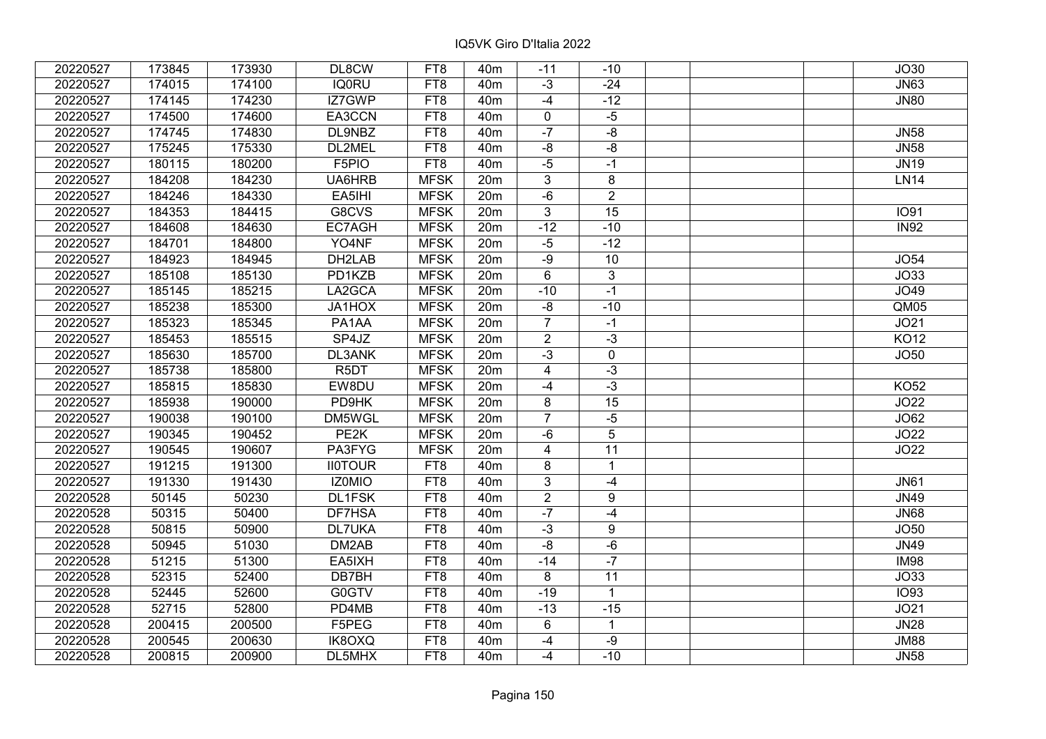| 20220527 | 173845 | 173930 | DL8CW             | FT8             | 40 <sub>m</sub> | $-11$                   | $-10$           | JO30        |
|----------|--------|--------|-------------------|-----------------|-----------------|-------------------------|-----------------|-------------|
| 20220527 | 174015 | 174100 | <b>IQ0RU</b>      | FT8             | 40 <sub>m</sub> | $-3$                    | $-24$           | <b>JN63</b> |
| 20220527 | 174145 | 174230 | IZ7GWP            | FT8             | 40 <sub>m</sub> | $-4$                    | $-12$           | <b>JN80</b> |
| 20220527 | 174500 | 174600 | EA3CCN            | FT8             | 40 <sub>m</sub> | 0                       | $-5$            |             |
| 20220527 | 174745 | 174830 | DL9NBZ            | FT8             | 40 <sub>m</sub> | $-7$                    | $-8$            | <b>JN58</b> |
| 20220527 | 175245 | 175330 | DL2MEL            | FT8             | 40 <sub>m</sub> | $-8$                    | $-8$            | <b>JN58</b> |
| 20220527 | 180115 | 180200 | F5PIO             | FT8             | 40 <sub>m</sub> | $-5$                    | $-1$            | <b>JN19</b> |
| 20220527 | 184208 | 184230 | UA6HRB            | <b>MFSK</b>     | 20m             | 3                       | 8               | <b>LN14</b> |
| 20220527 | 184246 | 184330 | EA5IHI            | <b>MFSK</b>     | 20 <sub>m</sub> | $-6$                    | $\overline{2}$  |             |
| 20220527 | 184353 | 184415 | G8CVS             | <b>MFSK</b>     | 20 <sub>m</sub> | $\overline{3}$          | 15              | <b>IO91</b> |
| 20220527 | 184608 | 184630 | EC7AGH            | <b>MFSK</b>     | 20 <sub>m</sub> | $-12$                   | $-10$           | <b>IN92</b> |
| 20220527 | 184701 | 184800 | YO4NF             | <b>MFSK</b>     | 20m             | $-5$                    | $-12$           |             |
| 20220527 | 184923 | 184945 | DH2LAB            | <b>MFSK</b>     | 20m             | $-9$                    | 10              | <b>JO54</b> |
| 20220527 | 185108 | 185130 | PD1KZB            | <b>MFSK</b>     | 20m             | 6                       | 3               | JO33        |
| 20220527 | 185145 | 185215 | LA2GCA            | <b>MFSK</b>     | 20m             | $-10$                   | $-1$            | JO49        |
| 20220527 | 185238 | 185300 | JA1HOX            | <b>MFSK</b>     | 20 <sub>m</sub> | $-8$                    | $-10$           | QM05        |
| 20220527 | 185323 | 185345 | PA1AA             | <b>MFSK</b>     | 20m             | $\overline{7}$          | $-1$            | JO21        |
| 20220527 | 185453 | 185515 | SP4JZ             | <b>MFSK</b>     | 20m             | $\overline{2}$          | $-3$            | <b>KO12</b> |
| 20220527 | 185630 | 185700 | DL3ANK            | <b>MFSK</b>     | 20m             | $-3$                    | 0               | <b>JO50</b> |
| 20220527 | 185738 | 185800 | R <sub>5</sub> DT | <b>MFSK</b>     | 20 <sub>m</sub> | $\overline{4}$          | $-3$            |             |
| 20220527 | 185815 | 185830 | EW8DU             | <b>MFSK</b>     | 20m             | $-4$                    | $-3$            | <b>KO52</b> |
| 20220527 | 185938 | 190000 | PD9HK             | <b>MFSK</b>     | 20m             | 8                       | 15              | <b>JO22</b> |
| 20220527 | 190038 | 190100 | DM5WGL            | <b>MFSK</b>     | 20 <sub>m</sub> | $\overline{7}$          | $-5$            | JO62        |
| 20220527 | 190345 | 190452 | PE <sub>2</sub> K | <b>MFSK</b>     | 20 <sub>m</sub> | $-6$                    | $\overline{5}$  | JO22        |
| 20220527 | 190545 | 190607 | PA3FYG            | <b>MFSK</b>     | 20 <sub>m</sub> | $\overline{\mathbf{4}}$ | $\overline{11}$ | JO22        |
| 20220527 | 191215 | 191300 | <b>II0TOUR</b>    | FT8             | 40m             | 8                       | $\mathbf{1}$    |             |
| 20220527 | 191330 | 191430 | IZ0MIO            | FT8             | 40 <sub>m</sub> | 3                       | $-4$            | <b>JN61</b> |
| 20220528 | 50145  | 50230  | DL1FSK            | FT8             | 40 <sub>m</sub> | $\overline{2}$          | 9               | <b>JN49</b> |
| 20220528 | 50315  | 50400  | DF7HSA            | FT <sub>8</sub> | 40 <sub>m</sub> | $-7$                    | $-4$            | <b>JN68</b> |
| 20220528 | 50815  | 50900  | <b>DL7UKA</b>     | FT8             | 40 <sub>m</sub> | $-3$                    | 9               | <b>JO50</b> |
| 20220528 | 50945  | 51030  | DM2AB             | FT8             | 40 <sub>m</sub> | $-8$                    | $-6$            | <b>JN49</b> |
| 20220528 | 51215  | 51300  | EA5IXH            | FT <sub>8</sub> | 40 <sub>m</sub> | $-14$                   | $-7$            | <b>IM98</b> |
| 20220528 | 52315  | 52400  | DB7BH             | FT8             | 40 <sub>m</sub> | 8                       | 11              | JO33        |
| 20220528 | 52445  | 52600  | G0GTV             | FT8             | 40 <sub>m</sub> | $-19$                   | $\mathbf{1}$    | <b>IO93</b> |
| 20220528 | 52715  | 52800  | PD4MB             | FT8             | 40 <sub>m</sub> | $-13$                   | $-15$           | JO21        |
| 20220528 | 200415 | 200500 | F5PEG             | FT8             | 40 <sub>m</sub> | 6                       | $\mathbf{1}$    | JN28        |
| 20220528 | 200545 | 200630 | IK8OXQ            | FT8             | 40m             | $-4$                    | $-9$            | <b>JM88</b> |
| 20220528 | 200815 | 200900 | DL5MHX            | FT8             | 40 <sub>m</sub> | $-4$                    | $-10$           | <b>JN58</b> |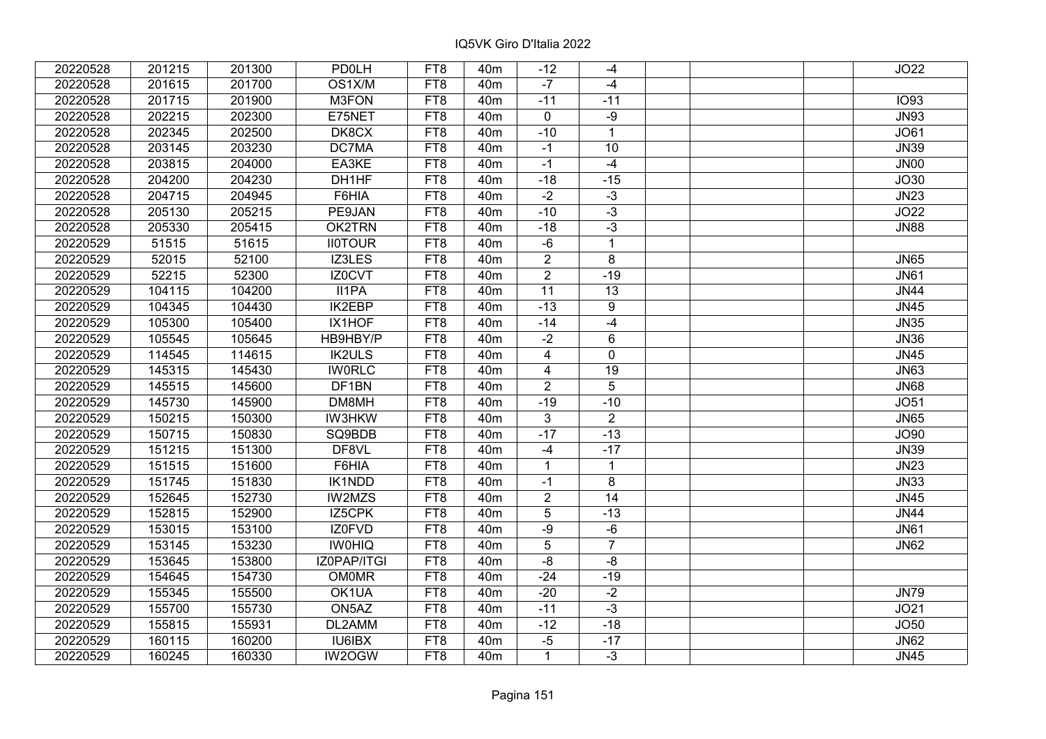| 20220528 | 201215 | 201300 | <b>PD0LH</b>   | FT8             | 40 <sub>m</sub> | $-12$                   | -4              | JO22        |
|----------|--------|--------|----------------|-----------------|-----------------|-------------------------|-----------------|-------------|
| 20220528 | 201615 | 201700 | OS1X/M         | FT8             | 40 <sub>m</sub> | $-7$                    | $-4$            |             |
| 20220528 | 201715 | 201900 | M3FON          | FT8             | 40 <sub>m</sub> | $-11$                   | $-11$           | <b>IO93</b> |
| 20220528 | 202215 | 202300 | E75NET         | FT8             | 40 <sub>m</sub> | $\mathbf 0$             | $-9$            | <b>JN93</b> |
| 20220528 | 202345 | 202500 | DK8CX          | FT8             | 40 <sub>m</sub> | $-10$                   | $\mathbf{1}$    | JO61        |
| 20220528 | 203145 | 203230 | DC7MA          | FT8             | 40 <sub>m</sub> | $-1$                    | 10              | <b>JN39</b> |
| 20220528 | 203815 | 204000 | EA3KE          | FT8             | 40 <sub>m</sub> | $-1$                    | $-4$            | <b>JN00</b> |
| 20220528 | 204200 | 204230 | DH1HF          | FT8             | 40 <sub>m</sub> | $-18$                   | $-15$           | JO30        |
| 20220528 | 204715 | 204945 | F6HIA          | FT8             | 40 <sub>m</sub> | $-2$                    | $-3$            | JN23        |
| 20220528 | 205130 | 205215 | PE9JAN         | FT <sub>8</sub> | 40 <sub>m</sub> | $-10$                   | $-3$            | JO22        |
| 20220528 | 205330 | 205415 | OK2TRN         | FT8             | 40 <sub>m</sub> | $-18$                   | $-3$            | <b>JN88</b> |
| 20220529 | 51515  | 51615  | <b>II0TOUR</b> | FT8             | 40 <sub>m</sub> | $-6$                    | $\mathbf{1}$    |             |
| 20220529 | 52015  | 52100  | IZ3LES         | FT8             | 40 <sub>m</sub> | $\overline{2}$          | 8               | <b>JN65</b> |
| 20220529 | 52215  | 52300  | IZ0CVT         | FT8             | 40m             | $\overline{2}$          | $-19$           | <b>JN61</b> |
| 20220529 | 104115 | 104200 | II1PA          | FT8             | 40 <sub>m</sub> | $\overline{11}$         | 13              | <b>JN44</b> |
| 20220529 | 104345 | 104430 | <b>IK2EBP</b>  | FT8             | 40m             | $-13$                   | 9               | <b>JN45</b> |
| 20220529 | 105300 | 105400 | IX1HOF         | FT8             | 40m             | $-14$                   | $-4$            | <b>JN35</b> |
| 20220529 | 105545 | 105645 | HB9HBY/P       | FT8             | 40 <sub>m</sub> | $-2$                    | 6               | <b>JN36</b> |
| 20220529 | 114545 | 114615 | <b>IK2ULS</b>  | FT8             | 40 <sub>m</sub> | $\overline{\mathbf{4}}$ | 0               | <b>JN45</b> |
| 20220529 | 145315 | 145430 | <b>IWORLC</b>  | FT8             | 40m             | $\overline{4}$          | 19              | <b>JN63</b> |
| 20220529 | 145515 | 145600 | DF1BN          | FT8             | 40 <sub>m</sub> | $\overline{2}$          | 5               | <b>JN68</b> |
| 20220529 | 145730 | 145900 | DM8MH          | FT8             | 40 <sub>m</sub> | $-19$                   | $-10$           | <b>JO51</b> |
| 20220529 | 150215 | 150300 | <b>IW3HKW</b>  | FT8             | 40 <sub>m</sub> | 3                       | $\overline{2}$  | <b>JN65</b> |
| 20220529 | 150715 | 150830 | SQ9BDB         | FT8             | 40 <sub>m</sub> | $-17$                   | $-13$           | JO90        |
| 20220529 | 151215 | 151300 | DF8VL          | FT8             | 40 <sub>m</sub> | $-4$                    | $-17$           | <b>JN39</b> |
| 20220529 | 151515 | 151600 | F6HIA          | FT8             | 40 <sub>m</sub> | $\mathbf{1}$            | $\mathbf{1}$    | <b>JN23</b> |
| 20220529 | 151745 | 151830 | IK1NDD         | FT8             | 40 <sub>m</sub> | $-1$                    | 8               | <b>JN33</b> |
| 20220529 | 152645 | 152730 | IW2MZS         | FT8             | 40 <sub>m</sub> | $\overline{2}$          | $\overline{14}$ | <b>JN45</b> |
| 20220529 | 152815 | 152900 | IZ5CPK         | FT <sub>8</sub> | 40 <sub>m</sub> | 5                       | $-13$           | <b>JN44</b> |
| 20220529 | 153015 | 153100 | <b>IZ0FVD</b>  | FT8             | 40 <sub>m</sub> | -9                      | $-6$            | <b>JN61</b> |
| 20220529 | 153145 | 153230 | <b>IW0HIQ</b>  | FT8             | 40 <sub>m</sub> | 5                       | $\overline{7}$  | <b>JN62</b> |
| 20220529 | 153645 | 153800 | IZ0PAP/ITGI    | FT8             | 40 <sub>m</sub> | $-8$                    | $-8$            |             |
| 20220529 | 154645 | 154730 | <b>OM0MR</b>   | FT8             | 40 <sub>m</sub> | $-24$                   | $-19$           |             |
| 20220529 | 155345 | 155500 | OK1UA          | FT8             | 40 <sub>m</sub> | $-20$                   | $-2$            | <b>JN79</b> |
| 20220529 | 155700 | 155730 | ON5AZ          | FT8             | 40 <sub>m</sub> | $-11$                   | $-3$            | JO21        |
| 20220529 | 155815 | 155931 | DL2AMM         | FT <sub>8</sub> | 40 <sub>m</sub> | $-12$                   | $-18$           | JO50        |
| 20220529 | 160115 | 160200 | <b>IU6IBX</b>  | FT8             | 40 <sub>m</sub> | $-5$                    | $-17$           | <b>JN62</b> |
| 20220529 | 160245 | 160330 | IW2OGW         | FT8             | 40 <sub>m</sub> | $\mathbf{1}$            | $-3$            | <b>JN45</b> |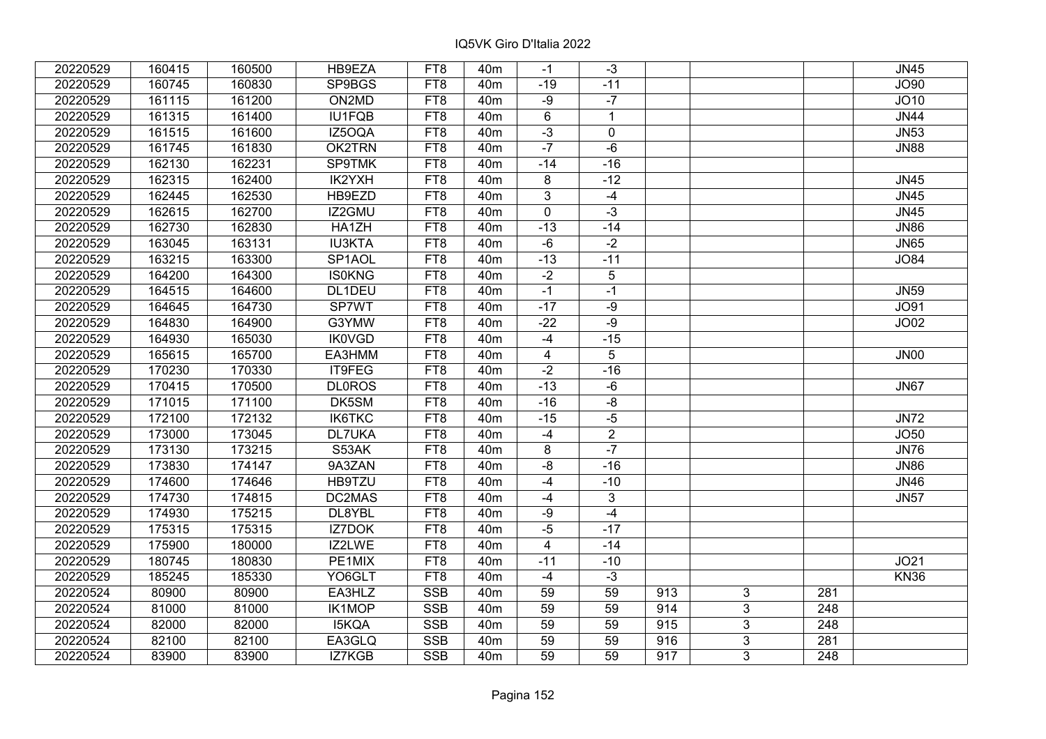| 20220529 | 160415 | 160500 | HB9EZA        | FT8             | 40 <sub>m</sub> | $-1$           | $-3$           |     |   |                  | <b>JN45</b> |
|----------|--------|--------|---------------|-----------------|-----------------|----------------|----------------|-----|---|------------------|-------------|
| 20220529 | 160745 | 160830 | SP9BGS        | FT8             | 40 <sub>m</sub> | $-19$          | $-11$          |     |   |                  | <b>JO90</b> |
| 20220529 | 161115 | 161200 | ON2MD         | FT8             | 40 <sub>m</sub> | $-9$           | $-7$           |     |   |                  | JO10        |
| 20220529 | 161315 | 161400 | IU1FQB        | FT8             | 40 <sub>m</sub> | $6\phantom{1}$ | $\mathbf{1}$   |     |   |                  | JN44        |
| 20220529 | 161515 | 161600 | IZ5OQA        | FT8             | 40 <sub>m</sub> | $-3$           | $\mathbf 0$    |     |   |                  | JN53        |
| 20220529 | 161745 | 161830 | OK2TRN        | FT8             | 40 <sub>m</sub> | $-7$           | $-6$           |     |   |                  | <b>JN88</b> |
| 20220529 | 162130 | 162231 | <b>SP9TMK</b> | FT <sub>8</sub> | 40 <sub>m</sub> | $-14$          | $-16$          |     |   |                  |             |
| 20220529 | 162315 | 162400 | IK2YXH        | FT8             | 40 <sub>m</sub> | 8              | $-12$          |     |   |                  | <b>JN45</b> |
| 20220529 | 162445 | 162530 | HB9EZD        | FT <sub>8</sub> | 40 <sub>m</sub> | $\overline{3}$ | $-4$           |     |   |                  | <b>JN45</b> |
| 20220529 | 162615 | 162700 | IZ2GMU        | FT <sub>8</sub> | 40 <sub>m</sub> | $\mathbf 0$    | $-3$           |     |   |                  | <b>JN45</b> |
| 20220529 | 162730 | 162830 | HA1ZH         | FT <sub>8</sub> | 40 <sub>m</sub> | $-13$          | $-14$          |     |   |                  | <b>JN86</b> |
| 20220529 | 163045 | 163131 | <b>IU3KTA</b> | FT <sub>8</sub> | 40 <sub>m</sub> | $-6$           | $-2$           |     |   |                  | <b>JN65</b> |
| 20220529 | 163215 | 163300 | SP1AOL        | FT8             | 40 <sub>m</sub> | $-13$          | $-11$          |     |   |                  | <b>JO84</b> |
| 20220529 | 164200 | 164300 | <b>IS0KNG</b> | FT <sub>8</sub> | 40 <sub>m</sub> | $-2$           | $\sqrt{5}$     |     |   |                  |             |
| 20220529 | 164515 | 164600 | DL1DEU        | FT8             | 40 <sub>m</sub> | $-1$           | $-1$           |     |   |                  | <b>JN59</b> |
| 20220529 | 164645 | 164730 | SP7WT         | FT8             | 40 <sub>m</sub> | $-17$          | $-9$           |     |   |                  | JO91        |
| 20220529 | 164830 | 164900 | G3YMW         | FT8             | 40 <sub>m</sub> | $-22$          | $-9$           |     |   |                  | JO02        |
| 20220529 | 164930 | 165030 | <b>IK0VGD</b> | FT8             | 40 <sub>m</sub> | $-4$           | $-15$          |     |   |                  |             |
| 20220529 | 165615 | 165700 | EA3HMM        | FT8             | 40 <sub>m</sub> | $\overline{4}$ | 5              |     |   |                  | <b>JN00</b> |
| 20220529 | 170230 | 170330 | IT9FEG        | FT8             | 40 <sub>m</sub> | $-2$           | $-16$          |     |   |                  |             |
| 20220529 | 170415 | 170500 | <b>DL0ROS</b> | FT8             | 40 <sub>m</sub> | $-13$          | $-6$           |     |   |                  | <b>JN67</b> |
| 20220529 | 171015 | 171100 | DK5SM         | FT8             | 40 <sub>m</sub> | $-16$          | $-8$           |     |   |                  |             |
| 20220529 | 172100 | 172132 | IK6TKC        | FT8             | 40 <sub>m</sub> | $-15$          | $-5$           |     |   |                  | <b>JN72</b> |
| 20220529 | 173000 | 173045 | <b>DL7UKA</b> | FT8             | 40 <sub>m</sub> | $-4$           | $\overline{2}$ |     |   |                  | <b>JO50</b> |
| 20220529 | 173130 | 173215 | S53AK         | FT8             | 40 <sub>m</sub> | 8              | $-7$           |     |   |                  | <b>JN76</b> |
| 20220529 | 173830 | 174147 | 9A3ZAN        | FT8             | 40 <sub>m</sub> | $-8$           | $-16$          |     |   |                  | <b>JN86</b> |
| 20220529 | 174600 | 174646 | HB9TZU        | FT8             | 40 <sub>m</sub> | $-4$           | $-10$          |     |   |                  | <b>JN46</b> |
| 20220529 | 174730 | 174815 | DC2MAS        | FT8             | 40 <sub>m</sub> | $-4$           | 3              |     |   |                  | <b>JN57</b> |
| 20220529 | 174930 | 175215 | DL8YBL        | FT <sub>8</sub> | 40 <sub>m</sub> | $-9$           | $-4$           |     |   |                  |             |
| 20220529 | 175315 | 175315 | <b>IZ7DOK</b> | FT8             | 40 <sub>m</sub> | $-5$           | $-17$          |     |   |                  |             |
| 20220529 | 175900 | 180000 | IZ2LWE        | FT8             | 40 <sub>m</sub> | $\overline{4}$ | $-14$          |     |   |                  |             |
| 20220529 | 180745 | 180830 | PE1MIX        | FT <sub>8</sub> | 40 <sub>m</sub> | $-11$          | $-10$          |     |   |                  | JO21        |
| 20220529 | 185245 | 185330 | YO6GLT        | FT8             | 40 <sub>m</sub> | $-4$           | $-3$           |     |   |                  | <b>KN36</b> |
| 20220524 | 80900  | 80900  | EA3HLZ        | <b>SSB</b>      | 40 <sub>m</sub> | 59             | 59             | 913 | 3 | 281              |             |
| 20220524 | 81000  | 81000  | <b>IK1MOP</b> | <b>SSB</b>      | 40 <sub>m</sub> | 59             | 59             | 914 | 3 | 248              |             |
| 20220524 | 82000  | 82000  | <b>I5KQA</b>  | <b>SSB</b>      | 40 <sub>m</sub> | 59             | 59             | 915 | 3 | $\overline{248}$ |             |
| 20220524 | 82100  | 82100  | EA3GLQ        | <b>SSB</b>      | 40 <sub>m</sub> | 59             | 59             | 916 | 3 | 281              |             |
| 20220524 | 83900  | 83900  | IZ7KGB        | <b>SSB</b>      | 40 <sub>m</sub> | 59             | 59             | 917 | 3 | 248              |             |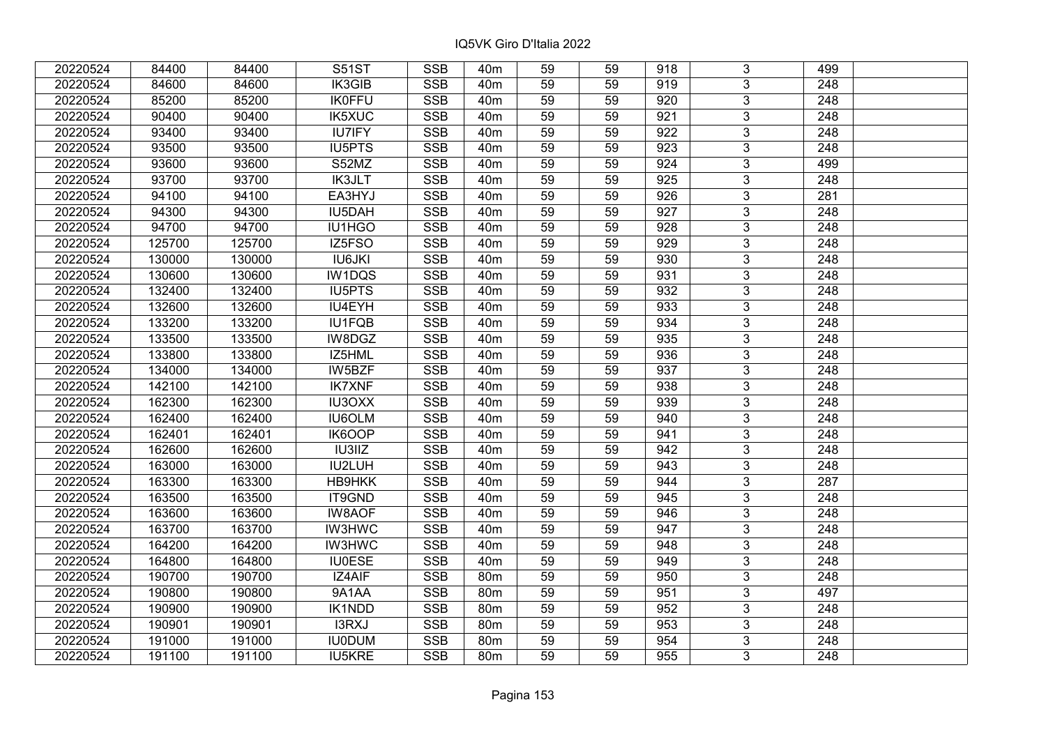| 20220524 | 84400  | 84400  | <b>S51ST</b>  | <b>SSB</b> | 40 <sub>m</sub> | 59 | 59 | 918              | 3              | 499              |  |
|----------|--------|--------|---------------|------------|-----------------|----|----|------------------|----------------|------------------|--|
| 20220524 | 84600  | 84600  | IK3GIB        | <b>SSB</b> | 40 <sub>m</sub> | 59 | 59 | 919              | 3              | 248              |  |
| 20220524 | 85200  | 85200  | <b>IK0FFU</b> | <b>SSB</b> | 40 <sub>m</sub> | 59 | 59 | 920              | $\overline{3}$ | 248              |  |
| 20220524 | 90400  | 90400  | <b>IK5XUC</b> | <b>SSB</b> | 40 <sub>m</sub> | 59 | 59 | 921              | $\overline{3}$ | 248              |  |
| 20220524 | 93400  | 93400  | <b>IU7IFY</b> | <b>SSB</b> | 40 <sub>m</sub> | 59 | 59 | 922              | $\overline{3}$ | 248              |  |
| 20220524 | 93500  | 93500  | <b>IU5PTS</b> | <b>SSB</b> | 40 <sub>m</sub> | 59 | 59 | $\overline{923}$ | $\overline{3}$ | 248              |  |
| 20220524 | 93600  | 93600  | S52MZ         | <b>SSB</b> | 40 <sub>m</sub> | 59 | 59 | 924              | $\overline{3}$ | 499              |  |
| 20220524 | 93700  | 93700  | <b>IK3JLT</b> | <b>SSB</b> | 40 <sub>m</sub> | 59 | 59 | 925              | $\overline{3}$ | 248              |  |
| 20220524 | 94100  | 94100  | EA3HYJ        | <b>SSB</b> | 40 <sub>m</sub> | 59 | 59 | 926              | $\overline{3}$ | 281              |  |
| 20220524 | 94300  | 94300  | IU5DAH        | <b>SSB</b> | 40 <sub>m</sub> | 59 | 59 | 927              | $\overline{3}$ | 248              |  |
| 20220524 | 94700  | 94700  | IU1HGO        | <b>SSB</b> | 40 <sub>m</sub> | 59 | 59 | 928              | $\overline{3}$ | 248              |  |
| 20220524 | 125700 | 125700 | IZ5FSO        | <b>SSB</b> | 40 <sub>m</sub> | 59 | 59 | 929              | $\overline{3}$ | 248              |  |
| 20220524 | 130000 | 130000 | <b>IU6JKI</b> | <b>SSB</b> | 40 <sub>m</sub> | 59 | 59 | 930              | 3              | 248              |  |
| 20220524 | 130600 | 130600 | IW1DQS        | <b>SSB</b> | 40 <sub>m</sub> | 59 | 59 | 931              | $\overline{3}$ | 248              |  |
| 20220524 | 132400 | 132400 | <b>IU5PTS</b> | <b>SSB</b> | 40 <sub>m</sub> | 59 | 59 | 932              | 3              | 248              |  |
| 20220524 | 132600 | 132600 | IU4EYH        | <b>SSB</b> | 40 <sub>m</sub> | 59 | 59 | 933              | 3              | 248              |  |
| 20220524 | 133200 | 133200 | <b>IU1FQB</b> | <b>SSB</b> | 40 <sub>m</sub> | 59 | 59 | 934              | 3              | 248              |  |
| 20220524 | 133500 | 133500 | IW8DGZ        | <b>SSB</b> | 40 <sub>m</sub> | 59 | 59 | 935              | $\overline{3}$ | 248              |  |
| 20220524 | 133800 | 133800 | IZ5HML        | <b>SSB</b> | 40 <sub>m</sub> | 59 | 59 | 936              | 3              | 248              |  |
| 20220524 | 134000 | 134000 | IW5BZF        | <b>SSB</b> | 40 <sub>m</sub> | 59 | 59 | 937              | $\overline{3}$ | 248              |  |
| 20220524 | 142100 | 142100 | <b>IK7XNF</b> | <b>SSB</b> | 40 <sub>m</sub> | 59 | 59 | 938              | $\overline{3}$ | 248              |  |
| 20220524 | 162300 | 162300 | IU3OXX        | <b>SSB</b> | 40 <sub>m</sub> | 59 | 59 | 939              | 3              | 248              |  |
| 20220524 | 162400 | 162400 | IU6OLM        | <b>SSB</b> | 40 <sub>m</sub> | 59 | 59 | 940              | $\overline{3}$ | 248              |  |
| 20220524 | 162401 | 162401 | IK6OOP        | <b>SSB</b> | 40 <sub>m</sub> | 59 | 59 | 941              | $\overline{3}$ | 248              |  |
| 20220524 | 162600 | 162600 | <b>IU3IIZ</b> | <b>SSB</b> | 40 <sub>m</sub> | 59 | 59 | 942              | $\overline{3}$ | 248              |  |
| 20220524 | 163000 | 163000 | IU2LUH        | <b>SSB</b> | 40 <sub>m</sub> | 59 | 59 | 943              | $\overline{3}$ | $\overline{248}$ |  |
| 20220524 | 163300 | 163300 | HB9HKK        | <b>SSB</b> | 40 <sub>m</sub> | 59 | 59 | 944              | 3              | 287              |  |
| 20220524 | 163500 | 163500 | IT9GND        | <b>SSB</b> | 40 <sub>m</sub> | 59 | 59 | 945              | $\overline{3}$ | 248              |  |
| 20220524 | 163600 | 163600 | <b>IW8AOF</b> | <b>SSB</b> | 40 <sub>m</sub> | 59 | 59 | 946              | $\overline{3}$ | $\overline{248}$ |  |
| 20220524 | 163700 | 163700 | <b>IW3HWC</b> | <b>SSB</b> | 40 <sub>m</sub> | 59 | 59 | 947              | $\overline{3}$ | 248              |  |
| 20220524 | 164200 | 164200 | <b>IW3HWC</b> | <b>SSB</b> | 40 <sub>m</sub> | 59 | 59 | 948              | $\overline{3}$ | $\overline{248}$ |  |
| 20220524 | 164800 | 164800 | <b>IU0ESE</b> | <b>SSB</b> | 40 <sub>m</sub> | 59 | 59 | 949              | $\overline{3}$ | 248              |  |
| 20220524 | 190700 | 190700 | IZ4AIF        | <b>SSB</b> | 80m             | 59 | 59 | 950              | 3              | 248              |  |
| 20220524 | 190800 | 190800 | 9A1AA         | <b>SSB</b> | 80m             | 59 | 59 | 951              | $\overline{3}$ | 497              |  |
| 20220524 | 190900 | 190900 | <b>IK1NDD</b> | <b>SSB</b> | 80m             | 59 | 59 | 952              | $\overline{3}$ | 248              |  |
| 20220524 | 190901 | 190901 | I3RXJ         | <b>SSB</b> | 80 <sub>m</sub> | 59 | 59 | 953              | 3              | 248              |  |
| 20220524 | 191000 | 191000 | <b>IU0DUM</b> | <b>SSB</b> | 80 <sub>m</sub> | 59 | 59 | 954              | 3              | 248              |  |
| 20220524 | 191100 | 191100 | <b>IU5KRE</b> | <b>SSB</b> | 80 <sub>m</sub> | 59 | 59 | 955              | 3              | 248              |  |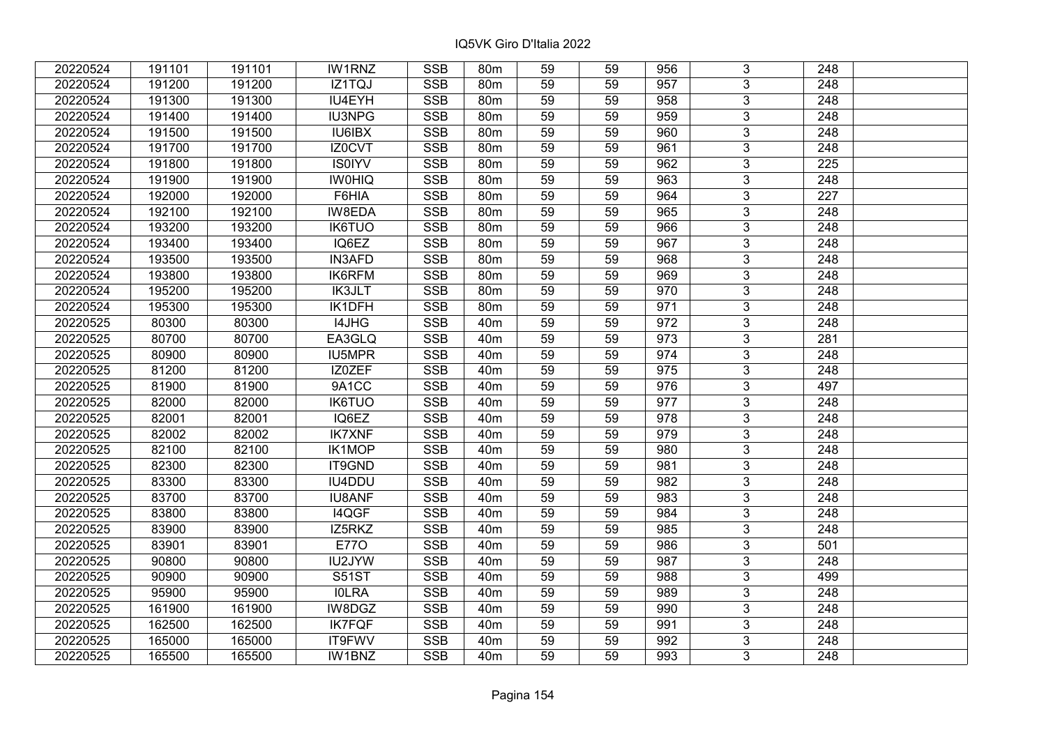| 20220524 | 191101 | 191101 | <b>IW1RNZ</b> | <b>SSB</b>              | 80 <sub>m</sub> | 59              | 59 | 956 | 3              | 248              |  |
|----------|--------|--------|---------------|-------------------------|-----------------|-----------------|----|-----|----------------|------------------|--|
| 20220524 | 191200 | 191200 | IZ1TQJ        | <b>SSB</b>              | 80 <sub>m</sub> | 59              | 59 | 957 | 3              | 248              |  |
| 20220524 | 191300 | 191300 | IU4EYH        | <b>SSB</b>              | 80m             | 59              | 59 | 958 | $\overline{3}$ | 248              |  |
| 20220524 | 191400 | 191400 | <b>IU3NPG</b> | <b>SSB</b>              | 80m             | 59              | 59 | 959 | $\overline{3}$ | 248              |  |
| 20220524 | 191500 | 191500 | IU6IBX        | <b>SSB</b>              | 80m             | 59              | 59 | 960 | $\overline{3}$ | 248              |  |
| 20220524 | 191700 | 191700 | IZ0CVT        | <b>SSB</b>              | 80m             | 59              | 59 | 961 | $\overline{3}$ | 248              |  |
| 20220524 | 191800 | 191800 | <b>IS0IYV</b> | <b>SSB</b>              | 80 <sub>m</sub> | 59              | 59 | 962 | $\overline{3}$ | 225              |  |
| 20220524 | 191900 | 191900 | <b>IWOHIQ</b> | <b>SSB</b>              | 80m             | 59              | 59 | 963 | $\overline{3}$ | 248              |  |
| 20220524 | 192000 | 192000 | F6HIA         | <b>SSB</b>              | 80m             | 59              | 59 | 964 | $\overline{3}$ | 227              |  |
| 20220524 | 192100 | 192100 | IW8EDA        | <b>SSB</b>              | 80m             | 59              | 59 | 965 | $\overline{3}$ | 248              |  |
| 20220524 | 193200 | 193200 | <b>IK6TUO</b> | <b>SSB</b>              | 80m             | 59              | 59 | 966 | $\overline{3}$ | 248              |  |
| 20220524 | 193400 | 193400 | IQ6EZ         | <b>SSB</b>              | 80m             | 59              | 59 | 967 | $\overline{3}$ | 248              |  |
| 20220524 | 193500 | 193500 | <b>IN3AFD</b> | <b>SSB</b>              | 80m             | 59              | 59 | 968 | $\overline{3}$ | 248              |  |
| 20220524 | 193800 | 193800 | IK6RFM        | <b>SSB</b>              | 80m             | 59              | 59 | 969 | 3              | 248              |  |
| 20220524 | 195200 | 195200 | <b>IK3JLT</b> | <b>SSB</b>              | 80 <sub>m</sub> | 59              | 59 | 970 | 3              | 248              |  |
| 20220524 | 195300 | 195300 | IK1DFH        | <b>SSB</b>              | 80 <sub>m</sub> | 59              | 59 | 971 | 3              | 248              |  |
| 20220525 | 80300  | 80300  | I4JHG         | <b>SSB</b>              | 40 <sub>m</sub> | 59              | 59 | 972 | 3              | 248              |  |
| 20220525 | 80700  | 80700  | EA3GLQ        | <b>SSB</b>              | 40 <sub>m</sub> | 59              | 59 | 973 | 3              | 281              |  |
| 20220525 | 80900  | 80900  | IU5MPR        | <b>SSB</b>              | 40 <sub>m</sub> | 59              | 59 | 974 | $\overline{3}$ | 248              |  |
| 20220525 | 81200  | 81200  | IZ0ZEF        | <b>SSB</b>              | 40 <sub>m</sub> | 59              | 59 | 975 | $\overline{3}$ | 248              |  |
| 20220525 | 81900  | 81900  | 9A1CC         | <b>SSB</b>              | 40 <sub>m</sub> | 59              | 59 | 976 | $\overline{3}$ | 497              |  |
| 20220525 | 82000  | 82000  | <b>IK6TUO</b> | <b>SSB</b>              | 40 <sub>m</sub> | 59              | 59 | 977 | $\overline{3}$ | 248              |  |
| 20220525 | 82001  | 82001  | IQ6EZ         | <b>SSB</b>              | 40 <sub>m</sub> | 59              | 59 | 978 | 3              | 248              |  |
| 20220525 | 82002  | 82002  | <b>IK7XNF</b> | <b>SSB</b>              | 40 <sub>m</sub> | 59              | 59 | 979 | $\overline{3}$ | 248              |  |
| 20220525 | 82100  | 82100  | IK1MOP        | <b>SSB</b>              | 40 <sub>m</sub> | 59              | 59 | 980 | $\overline{3}$ | 248              |  |
| 20220525 | 82300  | 82300  | IT9GND        | SSB                     | 40 <sub>m</sub> | $\overline{59}$ | 59 | 981 | $\overline{3}$ | $\overline{248}$ |  |
| 20220525 | 83300  | 83300  | IU4DDU        | <b>SSB</b>              | 40 <sub>m</sub> | 59              | 59 | 982 | $\overline{3}$ | $\overline{248}$ |  |
| 20220525 | 83700  | 83700  | <b>IU8ANF</b> | <b>SSB</b>              | 40 <sub>m</sub> | 59              | 59 | 983 | 3              | 248              |  |
| 20220525 | 83800  | 83800  | I4QGF         | <b>SSB</b>              | 40 <sub>m</sub> | 59              | 59 | 984 | $\overline{3}$ | $\overline{248}$ |  |
| 20220525 | 83900  | 83900  | IZ5RKZ        | <b>SSB</b>              | 40 <sub>m</sub> | 59              | 59 | 985 | $\overline{3}$ | $\overline{248}$ |  |
| 20220525 | 83901  | 83901  | <b>E770</b>   | <b>SSB</b>              | 40 <sub>m</sub> | 59              | 59 | 986 | $\overline{3}$ | 501              |  |
| 20220525 | 90800  | 90800  | <b>IU2JYW</b> | <b>SSB</b>              | 40 <sub>m</sub> | 59              | 59 | 987 | $\overline{3}$ | $\overline{248}$ |  |
| 20220525 | 90900  | 90900  | <b>S51ST</b>  | <b>SSB</b>              | 40 <sub>m</sub> | 59              | 59 | 988 | 3              | 499              |  |
| 20220525 | 95900  | 95900  | <b>IOLRA</b>  | <b>SSB</b>              | 40 <sub>m</sub> | 59              | 59 | 989 | 3              | 248              |  |
| 20220525 | 161900 | 161900 | IW8DGZ        | <b>SSB</b>              | 40 <sub>m</sub> | 59              | 59 | 990 | 3              | 248              |  |
| 20220525 | 162500 | 162500 | <b>IK7FQF</b> | <b>SSB</b>              | 40 <sub>m</sub> | 59              | 59 | 991 | 3              | 248              |  |
| 20220525 | 165000 | 165000 | IT9FWV        | $\overline{\text{SSB}}$ | 40 <sub>m</sub> | 59              | 59 | 992 | $\overline{3}$ | 248              |  |
| 20220525 | 165500 | 165500 | IW1BNZ        | <b>SSB</b>              | 40 <sub>m</sub> | 59              | 59 | 993 | $\overline{3}$ | 248              |  |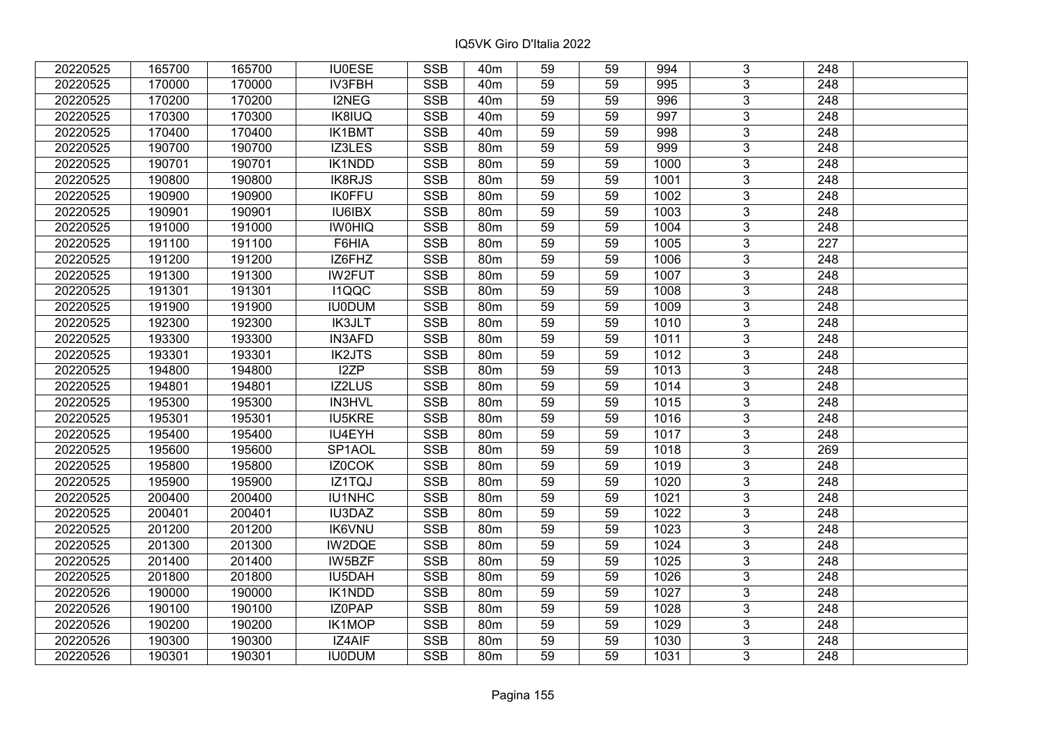| 20220525 | 165700 | 165700 | <b>IU0ESE</b> | <b>SSB</b>              | 40 <sub>m</sub> | 59              | 59 | 994  | 3              | 248              |  |
|----------|--------|--------|---------------|-------------------------|-----------------|-----------------|----|------|----------------|------------------|--|
| 20220525 | 170000 | 170000 | IV3FBH        | <b>SSB</b>              | 40 <sub>m</sub> | 59              | 59 | 995  | 3              | 248              |  |
| 20220525 | 170200 | 170200 | I2NEG         | <b>SSB</b>              | 40 <sub>m</sub> | 59              | 59 | 996  | $\overline{3}$ | 248              |  |
| 20220525 | 170300 | 170300 | IK8IUQ        | <b>SSB</b>              | 40 <sub>m</sub> | 59              | 59 | 997  | $\overline{3}$ | 248              |  |
| 20220525 | 170400 | 170400 | <b>IK1BMT</b> | <b>SSB</b>              | 40 <sub>m</sub> | 59              | 59 | 998  | $\overline{3}$ | 248              |  |
| 20220525 | 190700 | 190700 | IZ3LES        | SSB                     | 80m             | 59              | 59 | 999  | $\overline{3}$ | 248              |  |
| 20220525 | 190701 | 190701 | <b>IK1NDD</b> | <b>SSB</b>              | 80 <sub>m</sub> | 59              | 59 | 1000 | $\overline{3}$ | 248              |  |
| 20220525 | 190800 | 190800 | IK8RJS        | <b>SSB</b>              | 80m             | 59              | 59 | 1001 | $\overline{3}$ | 248              |  |
| 20220525 | 190900 | 190900 | <b>IK0FFU</b> | <b>SSB</b>              | 80m             | 59              | 59 | 1002 | $\overline{3}$ | 248              |  |
| 20220525 | 190901 | 190901 | <b>IU6IBX</b> | <b>SSB</b>              | 80 <sub>m</sub> | 59              | 59 | 1003 | $\overline{3}$ | 248              |  |
| 20220525 | 191000 | 191000 | <b>IWOHIQ</b> | <b>SSB</b>              | 80 <sub>m</sub> | 59              | 59 | 1004 | $\overline{3}$ | 248              |  |
| 20220525 | 191100 | 191100 | F6HIA         | <b>SSB</b>              | 80m             | 59              | 59 | 1005 | $\overline{3}$ | 227              |  |
| 20220525 | 191200 | 191200 | IZ6FHZ        | <b>SSB</b>              | 80m             | 59              | 59 | 1006 | $\overline{3}$ | 248              |  |
| 20220525 | 191300 | 191300 | <b>IW2FUT</b> | <b>SSB</b>              | 80m             | 59              | 59 | 1007 | 3              | 248              |  |
| 20220525 | 191301 | 191301 | I1QQC         | <b>SSB</b>              | 80 <sub>m</sub> | 59              | 59 | 1008 | 3              | 248              |  |
| 20220525 | 191900 | 191900 | <b>IU0DUM</b> | <b>SSB</b>              | 80 <sub>m</sub> | 59              | 59 | 1009 | 3              | 248              |  |
| 20220525 | 192300 | 192300 | <b>IK3JLT</b> | <b>SSB</b>              | 80m             | 59              | 59 | 1010 | 3              | 248              |  |
| 20220525 | 193300 | 193300 | <b>IN3AFD</b> | <b>SSB</b>              | 80 <sub>m</sub> | 59              | 59 | 1011 | 3              | 248              |  |
| 20220525 | 193301 | 193301 | <b>IK2JTS</b> | <b>SSB</b>              | 80m             | 59              | 59 | 1012 | $\overline{3}$ | 248              |  |
| 20220525 | 194800 | 194800 | I2ZP          | <b>SSB</b>              | 80m             | 59              | 59 | 1013 | $\overline{3}$ | 248              |  |
| 20220525 | 194801 | 194801 | <b>IZ2LUS</b> | <b>SSB</b>              | 80 <sub>m</sub> | 59              | 59 | 1014 | $\overline{3}$ | 248              |  |
| 20220525 | 195300 | 195300 | IN3HVL        | <b>SSB</b>              | 80m             | 59              | 59 | 1015 | $\overline{3}$ | 248              |  |
| 20220525 | 195301 | 195301 | <b>IU5KRE</b> | <b>SSB</b>              | 80m             | 59              | 59 | 1016 | 3              | 248              |  |
| 20220525 | 195400 | 195400 | IU4EYH        | <b>SSB</b>              | 80m             | 59              | 59 | 1017 | $\overline{3}$ | 248              |  |
| 20220525 | 195600 | 195600 | SP1AOL        | <b>SSB</b>              | 80m             | 59              | 59 | 1018 | $\overline{3}$ | 269              |  |
| 20220525 | 195800 | 195800 | IZ0COK        | <b>SSB</b>              | 80 <sub>m</sub> | $\overline{59}$ | 59 | 1019 | $\overline{3}$ | $\overline{248}$ |  |
| 20220525 | 195900 | 195900 | IZ1TQJ        | <b>SSB</b>              | 80m             | 59              | 59 | 1020 | $\overline{3}$ | $\overline{248}$ |  |
| 20220525 | 200400 | 200400 | IU1NHC        | <b>SSB</b>              | <b>80m</b>      | 59              | 59 | 1021 | 3              | 248              |  |
| 20220525 | 200401 | 200401 | <b>IU3DAZ</b> | <b>SSB</b>              | 80m             | 59              | 59 | 1022 | $\overline{3}$ | $\overline{248}$ |  |
| 20220525 | 201200 | 201200 | <b>IK6VNU</b> | <b>SSB</b>              | 80 <sub>m</sub> | 59              | 59 | 1023 | $\overline{3}$ | $\overline{248}$ |  |
| 20220525 | 201300 | 201300 | IW2DQE        | <b>SSB</b>              | 80 <sub>m</sub> | 59              | 59 | 1024 | $\overline{3}$ | 248              |  |
| 20220525 | 201400 | 201400 | IW5BZF        | <b>SSB</b>              | 80m             | 59              | 59 | 1025 | $\overline{3}$ | 248              |  |
| 20220525 | 201800 | 201800 | IU5DAH        | <b>SSB</b>              | 80m             | 59              | 59 | 1026 | 3              | 248              |  |
| 20220526 | 190000 | 190000 | IK1NDD        | <b>SSB</b>              | 80 <sub>m</sub> | 59              | 59 | 1027 | 3              | 248              |  |
| 20220526 | 190100 | 190100 | IZ0PAP        | <b>SSB</b>              | 80m             | 59              | 59 | 1028 | $\overline{3}$ | 248              |  |
| 20220526 | 190200 | 190200 | <b>IK1MOP</b> | <b>SSB</b>              | 80m             | 59              | 59 | 1029 | 3              | 248              |  |
| 20220526 | 190300 | 190300 | IZ4AIF        | $\overline{\text{SSB}}$ | 80 <sub>m</sub> | 59              | 59 | 1030 | $\overline{3}$ | 248              |  |
| 20220526 | 190301 | 190301 | <b>IU0DUM</b> | <b>SSB</b>              | 80 <sub>m</sub> | 59              | 59 | 1031 | $\overline{3}$ | 248              |  |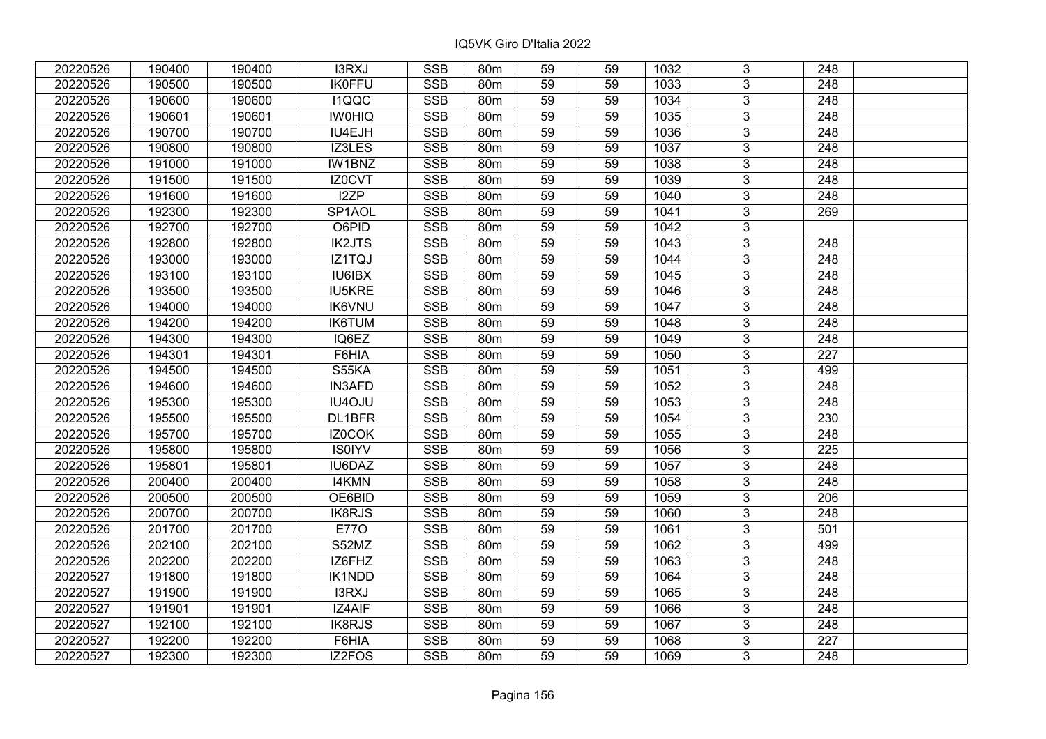| 20220526 | 190400 | 190400 | I3RXJ               | <b>SSB</b> | 80m             | 59              | 59 | 1032 | 3              | 248              |  |
|----------|--------|--------|---------------------|------------|-----------------|-----------------|----|------|----------------|------------------|--|
| 20220526 | 190500 | 190500 | <b>IK0FFU</b>       | <b>SSB</b> | 80 <sub>m</sub> | 59              | 59 | 1033 | $\overline{3}$ | 248              |  |
| 20220526 | 190600 | 190600 | I1QQC               | <b>SSB</b> | 80 <sub>m</sub> | 59              | 59 | 1034 | $\overline{3}$ | 248              |  |
| 20220526 | 190601 | 190601 | <b>IW0HIQ</b>       | <b>SSB</b> | 80m             | 59              | 59 | 1035 | $\overline{3}$ | $\overline{248}$ |  |
| 20220526 | 190700 | 190700 | IU4EJH              | <b>SSB</b> | 80m             | 59              | 59 | 1036 | $\overline{3}$ | 248              |  |
| 20220526 | 190800 | 190800 | IZ3LES              | <b>SSB</b> | 80m             | 59              | 59 | 1037 | $\overline{3}$ | $\overline{248}$ |  |
| 20220526 | 191000 | 191000 | IW1BNZ              | <b>SSB</b> | 80m             | 59              | 59 | 1038 | $\overline{3}$ | 248              |  |
| 20220526 | 191500 | 191500 | IZ0CVT              | <b>SSB</b> | 80m             | 59              | 59 | 1039 | $\overline{3}$ | 248              |  |
| 20220526 | 191600 | 191600 | I2ZP                | <b>SSB</b> | 80 <sub>m</sub> | $\overline{59}$ | 59 | 1040 | $\overline{3}$ | $\overline{248}$ |  |
| 20220526 | 192300 | 192300 | SP <sub>1</sub> AOL | <b>SSB</b> | 80m             | 59              | 59 | 1041 | $\overline{3}$ | 269              |  |
| 20220526 | 192700 | 192700 | O6PID               | <b>SSB</b> | 80m             | 59              | 59 | 1042 | $\overline{3}$ |                  |  |
| 20220526 | 192800 | 192800 | <b>IK2JTS</b>       | <b>SSB</b> | 80 <sub>m</sub> | $\overline{59}$ | 59 | 1043 | $\overline{3}$ | 248              |  |
| 20220526 | 193000 | 193000 | IZ1TQJ              | <b>SSB</b> | 80m             | 59              | 59 | 1044 | $\overline{3}$ | 248              |  |
| 20220526 | 193100 | 193100 | IU6IBX              | <b>SSB</b> | 80m             | 59              | 59 | 1045 | 3              | 248              |  |
| 20220526 | 193500 | 193500 | <b>IU5KRE</b>       | <b>SSB</b> | 80 <sub>m</sub> | 59              | 59 | 1046 | $\overline{3}$ | $\overline{248}$ |  |
| 20220526 | 194000 | 194000 | <b>IK6VNU</b>       | <b>SSB</b> | 80m             | 59              | 59 | 1047 | $\overline{3}$ | 248              |  |
| 20220526 | 194200 | 194200 | <b>IK6TUM</b>       | <b>SSB</b> | 80m             | 59              | 59 | 1048 | 3              | 248              |  |
| 20220526 | 194300 | 194300 | IQ6EZ               | <b>SSB</b> | 80 <sub>m</sub> | 59              | 59 | 1049 | $\overline{3}$ | 248              |  |
| 20220526 | 194301 | 194301 | F6HIA               | <b>SSB</b> | 80m             | 59              | 59 | 1050 | $\overline{3}$ | 227              |  |
| 20220526 | 194500 | 194500 | S55KA               | <b>SSB</b> | 80m             | 59              | 59 | 1051 | $\overline{3}$ | 499              |  |
| 20220526 | 194600 | 194600 | <b>IN3AFD</b>       | SSB        | 80 <sub>m</sub> | 59              | 59 | 1052 | $\overline{3}$ | 248              |  |
| 20220526 | 195300 | 195300 | IU4OJU              | <b>SSB</b> | 80m             | 59              | 59 | 1053 | $\overline{3}$ | 248              |  |
| 20220526 | 195500 | 195500 | DL1BFR              | <b>SSB</b> | 80m             | 59              | 59 | 1054 | $\overline{3}$ | 230              |  |
| 20220526 | 195700 | 195700 | IZ0COK              | <b>SSB</b> | 80 <sub>m</sub> | 59              | 59 | 1055 | $\overline{3}$ | 248              |  |
| 20220526 | 195800 | 195800 | <b>IS0IYV</b>       | <b>SSB</b> | 80m             | 59              | 59 | 1056 | $\overline{3}$ | 225              |  |
| 20220526 | 195801 | 195801 | IU6DAZ              | <b>SSB</b> | 80m             | 59              | 59 | 1057 | $\overline{3}$ | $\overline{248}$ |  |
| 20220526 | 200400 | 200400 | <b>I4KMN</b>        | <b>SSB</b> | 80m             | $\overline{59}$ | 59 | 1058 | $\overline{3}$ | $\overline{248}$ |  |
| 20220526 | 200500 | 200500 | OE6BID              | <b>SSB</b> | 80m             | 59              | 59 | 1059 | $\overline{3}$ | 206              |  |
| 20220526 | 200700 | 200700 | <b>IK8RJS</b>       | <b>SSB</b> | 80m             | 59              | 59 | 1060 | $\overline{3}$ | $\overline{248}$ |  |
| 20220526 | 201700 | 201700 | <b>E770</b>         | SSB        | 80 <sub>m</sub> | $\overline{59}$ | 59 | 1061 | $\overline{3}$ | 501              |  |
| 20220526 | 202100 | 202100 | S52MZ               | <b>SSB</b> | 80 <sub>m</sub> | 59              | 59 | 1062 | $\overline{3}$ | 499              |  |
| 20220526 | 202200 | 202200 | IZ6FHZ              | <b>SSB</b> | 80m             | 59              | 59 | 1063 | $\overline{3}$ | 248              |  |
| 20220527 | 191800 | 191800 | IK1NDD              | <b>SSB</b> | 80 <sub>m</sub> | 59              | 59 | 1064 | 3              | 248              |  |
| 20220527 | 191900 | 191900 | I3RXJ               | <b>SSB</b> | 80m             | 59              | 59 | 1065 | $\overline{3}$ | 248              |  |
| 20220527 | 191901 | 191901 | IZ4AIF              | <b>SSB</b> | 80m             | 59              | 59 | 1066 | $\overline{3}$ | 248              |  |
| 20220527 | 192100 | 192100 | IK8RJS              | <b>SSB</b> | 80 <sub>m</sub> | 59              | 59 | 1067 | 3              | 248              |  |
| 20220527 | 192200 | 192200 | F6HIA               | SSB        | 80m             | 59              | 59 | 1068 | $\overline{3}$ | $\overline{227}$ |  |
| 20220527 | 192300 | 192300 | IZ2FOS              | <b>SSB</b> | 80m             | 59              | 59 | 1069 | 3              | 248              |  |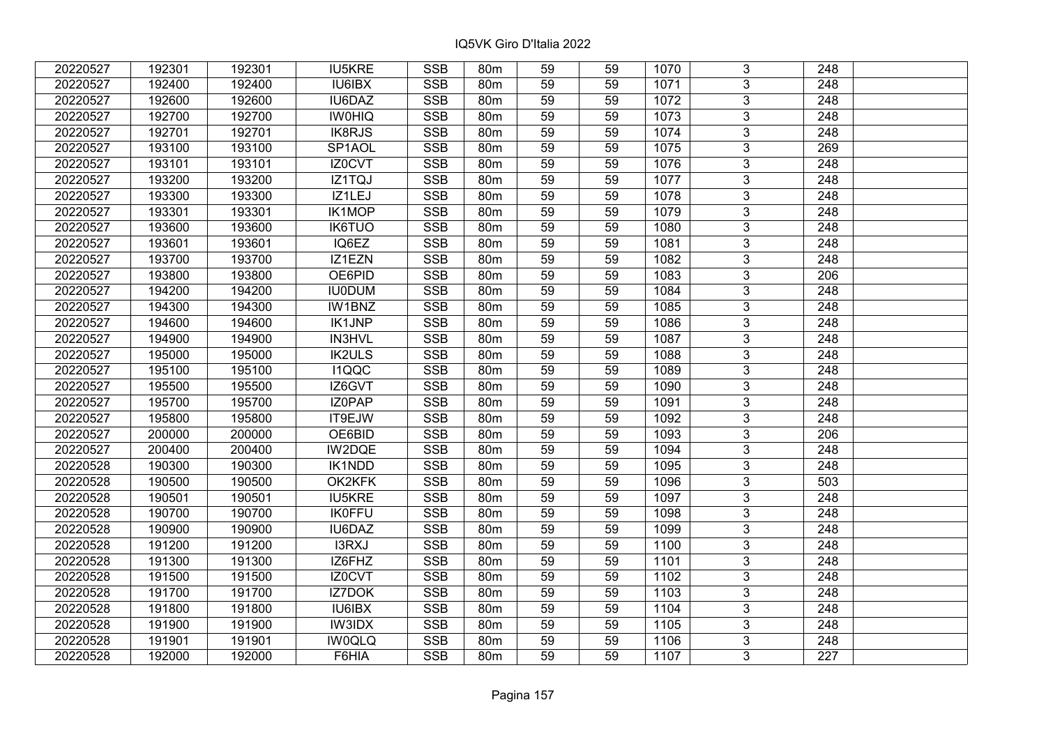| 20220527 | 192301 | 192301 | <b>IU5KRE</b> | <b>SSB</b> | 80 <sub>m</sub> | 59              | 59 | 1070 | 3              | 248              |  |
|----------|--------|--------|---------------|------------|-----------------|-----------------|----|------|----------------|------------------|--|
| 20220527 | 192400 | 192400 | IU6IBX        | <b>SSB</b> | 80m             | 59              | 59 | 1071 | $\overline{3}$ | 248              |  |
| 20220527 | 192600 | 192600 | IU6DAZ        | <b>SSB</b> | 80 <sub>m</sub> | 59              | 59 | 1072 | $\overline{3}$ | 248              |  |
| 20220527 | 192700 | 192700 | <b>IW0HIQ</b> | <b>SSB</b> | 80m             | 59              | 59 | 1073 | $\overline{3}$ | $\overline{248}$ |  |
| 20220527 | 192701 | 192701 | IK8RJS        | <b>SSB</b> | 80 <sub>m</sub> | 59              | 59 | 1074 | 3              | 248              |  |
| 20220527 | 193100 | 193100 | SP1AOL        | <b>SSB</b> | 80m             | 59              | 59 | 1075 | $\overline{3}$ | 269              |  |
| 20220527 | 193101 | 193101 | IZ0CVT        | <b>SSB</b> | 80m             | 59              | 59 | 1076 | $\overline{3}$ | 248              |  |
| 20220527 | 193200 | 193200 | IZ1TQJ        | <b>SSB</b> | 80m             | 59              | 59 | 1077 | 3              | 248              |  |
| 20220527 | 193300 | 193300 | IZ1LEJ        | <b>SSB</b> | 80m             | 59              | 59 | 1078 | $\overline{3}$ | $\overline{248}$ |  |
| 20220527 | 193301 | 193301 | <b>IK1MOP</b> | <b>SSB</b> | 80m             | 59              | 59 | 1079 | $\overline{3}$ | 248              |  |
| 20220527 | 193600 | 193600 | <b>IK6TUO</b> | <b>SSB</b> | 80 <sub>m</sub> | 59              | 59 | 1080 | 3              | 248              |  |
| 20220527 | 193601 | 193601 | IQ6EZ         | <b>SSB</b> | 80m             | 59              | 59 | 1081 | $\overline{3}$ | 248              |  |
| 20220527 | 193700 | 193700 | IZ1EZN        | <b>SSB</b> | 80m             | 59              | 59 | 1082 | 3              | 248              |  |
| 20220527 | 193800 | 193800 | OE6PID        | <b>SSB</b> | 80m             | 59              | 59 | 1083 | $\overline{3}$ | 206              |  |
| 20220527 | 194200 | 194200 | <b>IU0DUM</b> | <b>SSB</b> | 80m             | 59              | 59 | 1084 | $\overline{3}$ | 248              |  |
| 20220527 | 194300 | 194300 | IW1BNZ        | <b>SSB</b> | 80m             | 59              | 59 | 1085 | 3              | 248              |  |
| 20220527 | 194600 | 194600 | <b>IK1JNP</b> | <b>SSB</b> | 80 <sub>m</sub> | 59              | 59 | 1086 | $\overline{3}$ | 248              |  |
| 20220527 | 194900 | 194900 | <b>IN3HVL</b> | <b>SSB</b> | 80m             | 59              | 59 | 1087 | 3              | 248              |  |
| 20220527 | 195000 | 195000 | <b>IK2ULS</b> | <b>SSB</b> | 80 <sub>m</sub> | 59              | 59 | 1088 | 3              | 248              |  |
| 20220527 | 195100 | 195100 | <b>I1QQC</b>  | <b>SSB</b> | 80 <sub>m</sub> | 59              | 59 | 1089 | $\overline{3}$ | 248              |  |
| 20220527 | 195500 | 195500 | IZ6GVT        | <b>SSB</b> | 80m             | 59              | 59 | 1090 | $\overline{3}$ | 248              |  |
| 20220527 | 195700 | 195700 | IZ0PAP        | <b>SSB</b> | 80 <sub>m</sub> | 59              | 59 | 1091 | 3              | 248              |  |
| 20220527 | 195800 | 195800 | IT9EJW        | SSB        | 80 <sub>m</sub> | 59              | 59 | 1092 | $\overline{3}$ | 248              |  |
| 20220527 | 200000 | 200000 | OE6BID        | <b>SSB</b> | 80m             | 59              | 59 | 1093 | $\overline{3}$ | 206              |  |
| 20220527 | 200400 | 200400 | IW2DQE        | <b>SSB</b> | 80 <sub>m</sub> | 59              | 59 | 1094 | 3              | 248              |  |
| 20220528 | 190300 | 190300 | IK1NDD        | <b>SSB</b> | 80m             | 59              | 59 | 1095 | $\overline{3}$ | $\overline{248}$ |  |
| 20220528 | 190500 | 190500 | OK2KFK        | <b>SSB</b> | 80m             | 59              | 59 | 1096 | $\overline{3}$ | 503              |  |
| 20220528 | 190501 | 190501 | <b>IU5KRE</b> | <b>SSB</b> | 80m             | 59              | 59 | 1097 | $\overline{3}$ | $\overline{248}$ |  |
| 20220528 | 190700 | 190700 | <b>IK0FFU</b> | <b>SSB</b> | 80m             | 59              | 59 | 1098 | $\overline{3}$ | $\overline{248}$ |  |
| 20220528 | 190900 | 190900 | <b>IU6DAZ</b> | <b>SSB</b> | 80 <sub>m</sub> | 59              | 59 | 1099 | $\overline{3}$ | 248              |  |
| 20220528 | 191200 | 191200 | I3RXJ         | <b>SSB</b> | 80 <sub>m</sub> | $\overline{59}$ | 59 | 1100 | $\overline{3}$ | $\overline{248}$ |  |
| 20220528 | 191300 | 191300 | IZ6FHZ        | <b>SSB</b> | 80m             | 59              | 59 | 1101 | $\overline{3}$ | 248              |  |
| 20220528 | 191500 | 191500 | IZ0CVT        | <b>SSB</b> | 80m             | 59              | 59 | 1102 | 3              | 248              |  |
| 20220528 | 191700 | 191700 | IZ7DOK        | <b>SSB</b> | 80 <sub>m</sub> | 59              | 59 | 1103 | $\overline{3}$ | $\overline{248}$ |  |
| 20220528 | 191800 | 191800 | IU6IBX        | <b>SSB</b> | 80m             | 59              | 59 | 1104 | $\overline{3}$ | 248              |  |
| 20220528 | 191900 | 191900 | <b>IW3IDX</b> | <b>SSB</b> | 80m             | 59              | 59 | 1105 | 3              | 248              |  |
| 20220528 | 191901 | 191901 | <b>IW0QLQ</b> | SSB        | 80m             | 59              | 59 | 1106 | $\overline{3}$ | 248              |  |
| 20220528 | 192000 | 192000 | F6HIA         | <b>SSB</b> | 80 <sub>m</sub> | 59              | 59 | 1107 | $\overline{3}$ | 227              |  |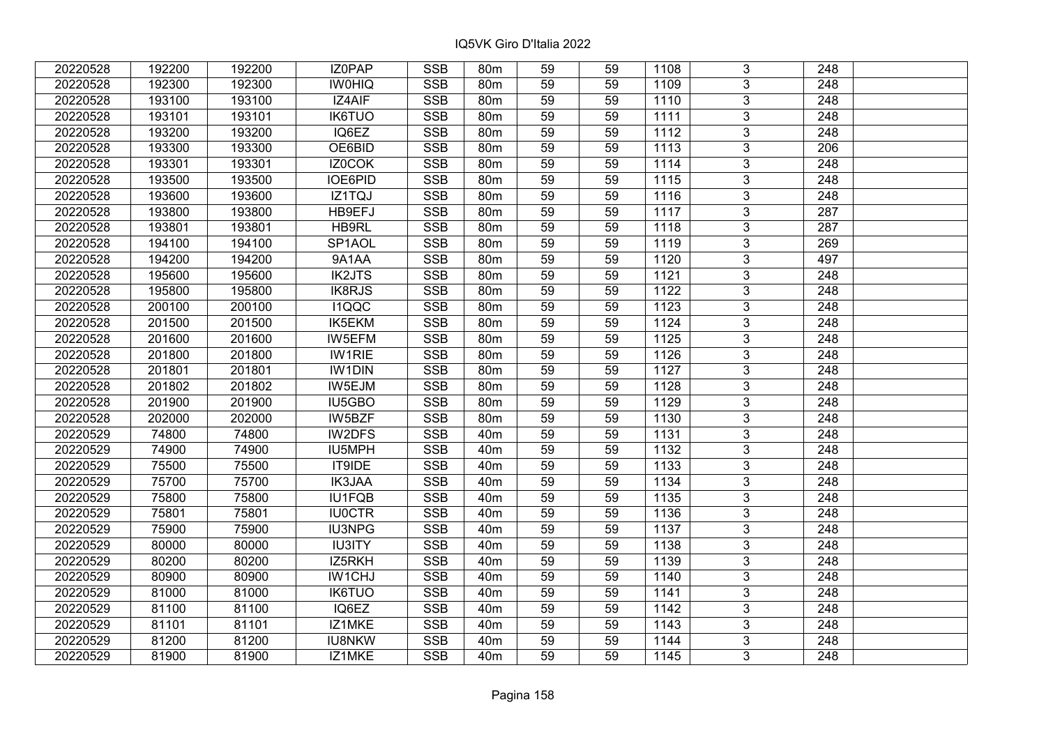| 20220528 | 192200 | 192200 | IZ0PAP              | <b>SSB</b>              | 80 <sub>m</sub> | 59              | 59 | 1108             | 3              | 248              |  |
|----------|--------|--------|---------------------|-------------------------|-----------------|-----------------|----|------------------|----------------|------------------|--|
| 20220528 | 192300 | 192300 | <b>IWOHIQ</b>       | <b>SSB</b>              | 80 <sub>m</sub> | 59              | 59 | 1109             | 3              | 248              |  |
| 20220528 | 193100 | 193100 | IZ4AIF              | SSB                     | 80 <sub>m</sub> | $\overline{59}$ | 59 | 1110             | $\overline{3}$ | 248              |  |
| 20220528 | 193101 | 193101 | <b>IK6TUO</b>       | <b>SSB</b>              | 80m             | 59              | 59 | 1111             | $\overline{3}$ | $\overline{248}$ |  |
| 20220528 | 193200 | 193200 | IQ6EZ               | <b>SSB</b>              | 80m             | 59              | 59 | 1112             | 3              | 248              |  |
| 20220528 | 193300 | 193300 | OE6BID              | <b>SSB</b>              | 80m             | 59              | 59 | 1113             | $\overline{3}$ | 206              |  |
| 20220528 | 193301 | 193301 | IZ0COK              | <b>SSB</b>              | 80m             | 59              | 59 | 1114             | $\overline{3}$ | 248              |  |
| 20220528 | 193500 | 193500 | <b>IOE6PID</b>      | <b>SSB</b>              | 80m             | 59              | 59 | 1115             | $\overline{3}$ | 248              |  |
| 20220528 | 193600 | 193600 | IZ1TQJ              | SSB                     | 80 <sub>m</sub> | $\overline{59}$ | 59 | $\frac{1116}{ }$ | $\overline{3}$ | $\overline{248}$ |  |
| 20220528 | 193800 | 193800 | HB9EFJ              | <b>SSB</b>              | 80m             | 59              | 59 | 1117             | $\overline{3}$ | 287              |  |
| 20220528 | 193801 | 193801 | HB9RL               | <b>SSB</b>              | 80m             | 59              | 59 | 1118             | 3              | 287              |  |
| 20220528 | 194100 | 194100 | SP <sub>1</sub> AOL | <b>SSB</b>              | 80m             | 59              | 59 | 1119             | $\overline{3}$ | 269              |  |
| 20220528 | 194200 | 194200 | 9A1AA               | <b>SSB</b>              | 80m             | 59              | 59 | 1120             | 3              | 497              |  |
| 20220528 | 195600 | 195600 | <b>IK2JTS</b>       | <b>SSB</b>              | 80m             | 59              | 59 | 1121             | 3              | 248              |  |
| 20220528 | 195800 | 195800 | IK8RJS              | <b>SSB</b>              | 80m             | 59              | 59 | 1122             | $\overline{3}$ | $\overline{248}$ |  |
| 20220528 | 200100 | 200100 | I1QQC               | <b>SSB</b>              | 80m             | 59              | 59 | 1123             | $\overline{3}$ | 248              |  |
| 20220528 | 201500 | 201500 | IK5EKM              | <b>SSB</b>              | 80m             | 59              | 59 | 1124             | 3              | 248              |  |
| 20220528 | 201600 | 201600 | IW5EFM              | <b>SSB</b>              | 80 <sub>m</sub> | 59              | 59 | 1125             | 3              | 248              |  |
| 20220528 | 201800 | 201800 | <b>IW1RIE</b>       | <b>SSB</b>              | 80m             | 59              | 59 | 1126             | $\overline{3}$ | 248              |  |
| 20220528 | 201801 | 201801 | <b>IW1DIN</b>       | <b>SSB</b>              | 80m             | 59              | 59 | 1127             | $\overline{3}$ | 248              |  |
| 20220528 | 201802 | 201802 | IW5EJM              | <b>SSB</b>              | 80 <sub>m</sub> | 59              | 59 | 1128             | $\overline{3}$ | 248              |  |
| 20220528 | 201900 | 201900 | IU5GBO              | <b>SSB</b>              | 80m             | 59              | 59 | 1129             | $\overline{3}$ | 248              |  |
| 20220528 | 202000 | 202000 | IW5BZF              | <b>SSB</b>              | 80m             | 59              | 59 | 1130             | 3              | 248              |  |
| 20220529 | 74800  | 74800  | IW2DFS              | <b>SSB</b>              | 40 <sub>m</sub> | 59              | 59 | 1131             | $\overline{3}$ | 248              |  |
| 20220529 | 74900  | 74900  | IU5MPH              | <b>SSB</b>              | 40 <sub>m</sub> | 59              | 59 | 1132             | $\overline{3}$ | 248              |  |
| 20220529 | 75500  | 75500  | IT9IDE              | <b>SSB</b>              | 40 <sub>m</sub> | 59              | 59 | 1133             | $\overline{3}$ | 248              |  |
| 20220529 | 75700  | 75700  | IK3JAA              | <b>SSB</b>              | 40 <sub>m</sub> | $\overline{59}$ | 59 | 1134             | $\overline{3}$ | $\overline{248}$ |  |
| 20220529 | 75800  | 75800  | IU1FQB              | <b>SSB</b>              | 40 <sub>m</sub> | 59              | 59 | 1135             | $\overline{3}$ | 248              |  |
| 20220529 | 75801  | 75801  | <b>IU0CTR</b>       | <b>SSB</b>              | 40 <sub>m</sub> | 59              | 59 | 1136             | $\overline{3}$ | $\overline{248}$ |  |
| 20220529 | 75900  | 75900  | <b>IU3NPG</b>       | $\overline{\text{SSB}}$ | 40 <sub>m</sub> | $\overline{59}$ | 59 | 1137             | $\overline{3}$ | $\overline{248}$ |  |
| 20220529 | 80000  | 80000  | <b>IU3ITY</b>       | <b>SSB</b>              | 40 <sub>m</sub> | 59              | 59 | 1138             | $\overline{3}$ | 248              |  |
| 20220529 | 80200  | 80200  | IZ5RKH              | <b>SSB</b>              | 40 <sub>m</sub> | 59              | 59 | 1139             | $\overline{3}$ | 248              |  |
| 20220529 | 80900  | 80900  | IW1CHJ              | <b>SSB</b>              | 40 <sub>m</sub> | 59              | 59 | 1140             | 3              | 248              |  |
| 20220529 | 81000  | 81000  | <b>IK6TUO</b>       | <b>SSB</b>              | 40 <sub>m</sub> | 59              | 59 | 1141             | $\overline{3}$ | 248              |  |
| 20220529 | 81100  | 81100  | IQ6EZ               | <b>SSB</b>              | 40 <sub>m</sub> | 59              | 59 | 1142             | $\overline{3}$ | 248              |  |
| 20220529 | 81101  | 81101  | IZ1MKE              | <b>SSB</b>              | 40 <sub>m</sub> | 59              | 59 | 1143             | 3              | 248              |  |
| 20220529 | 81200  | 81200  | <b>IU8NKW</b>       | <b>SSB</b>              | 40 <sub>m</sub> | 59              | 59 | 1144             | 3              | 248              |  |
| 20220529 | 81900  | 81900  | IZ1MKE              | <b>SSB</b>              | 40 <sub>m</sub> | 59              | 59 | 1145             | 3              | 248              |  |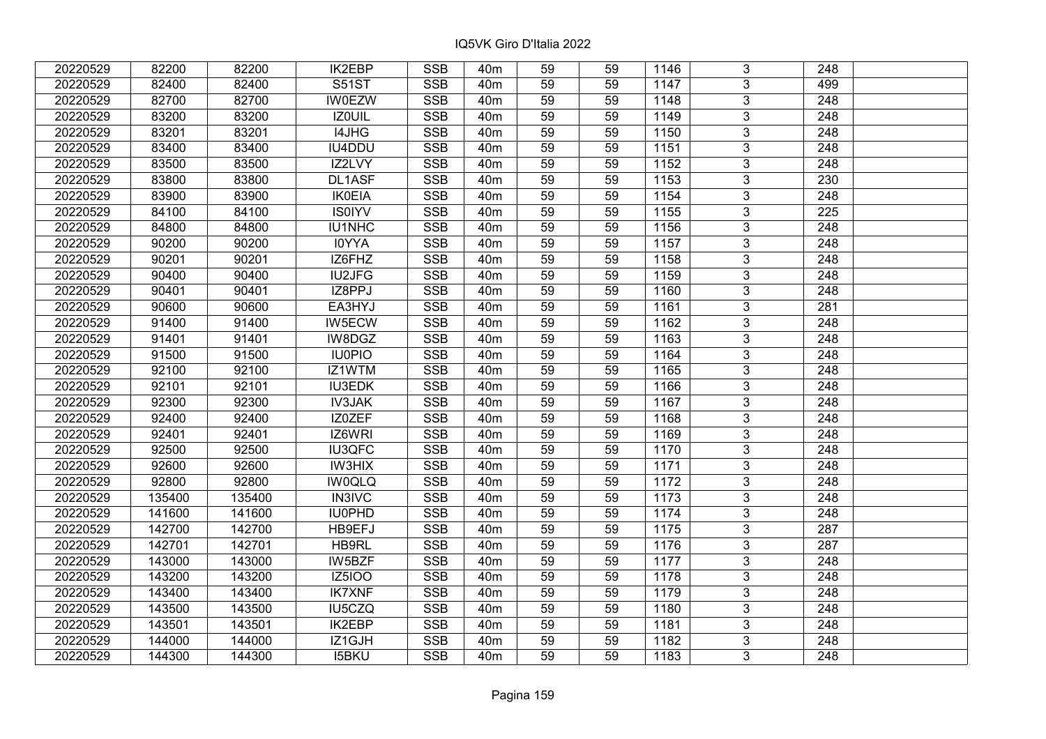| 20220529 | 82200  | 82200  | <b>IK2EBP</b> | <b>SSB</b>              | 40 <sub>m</sub> | 59              | 59 | 1146 | 3              | 248              |  |
|----------|--------|--------|---------------|-------------------------|-----------------|-----------------|----|------|----------------|------------------|--|
| 20220529 | 82400  | 82400  | <b>S51ST</b>  | <b>SSB</b>              | 40 <sub>m</sub> | 59              | 59 | 1147 | 3              | 499              |  |
| 20220529 | 82700  | 82700  | <b>IW0EZW</b> | SSB                     | 40 <sub>m</sub> | $\overline{59}$ | 59 | 1148 | $\overline{3}$ | 248              |  |
| 20220529 | 83200  | 83200  | IZ0UIL        | <b>SSB</b>              | 40 <sub>m</sub> | 59              | 59 | 1149 | $\overline{3}$ | $\overline{248}$ |  |
| 20220529 | 83201  | 83201  | I4JHG         | <b>SSB</b>              | 40 <sub>m</sub> | 59              | 59 | 1150 | 3              | 248              |  |
| 20220529 | 83400  | 83400  | IU4DDU        | <b>SSB</b>              | 40 <sub>m</sub> | 59              | 59 | 1151 | $\overline{3}$ | 248              |  |
| 20220529 | 83500  | 83500  | IZ2LVY        | <b>SSB</b>              | 40 <sub>m</sub> | 59              | 59 | 1152 | $\overline{3}$ | 248              |  |
| 20220529 | 83800  | 83800  | DL1ASF        | <b>SSB</b>              | 40 <sub>m</sub> | 59              | 59 | 1153 | 3              | 230              |  |
| 20220529 | 83900  | 83900  | <b>IK0EIA</b> | <b>SSB</b>              | 40 <sub>m</sub> | 59              | 59 | 1154 | $\overline{3}$ | $\overline{248}$ |  |
| 20220529 | 84100  | 84100  | <b>IS0IYV</b> | <b>SSB</b>              | 40 <sub>m</sub> | 59              | 59 | 1155 | $\overline{3}$ | 225              |  |
| 20220529 | 84800  | 84800  | IU1NHC        | <b>SSB</b>              | 40 <sub>m</sub> | 59              | 59 | 1156 | 3              | 248              |  |
| 20220529 | 90200  | 90200  | <b>IOYYA</b>  | <b>SSB</b>              | 40 <sub>m</sub> | 59              | 59 | 1157 | $\overline{3}$ | 248              |  |
| 20220529 | 90201  | 90201  | IZ6FHZ        | <b>SSB</b>              | 40 <sub>m</sub> | 59              | 59 | 1158 | 3              | 248              |  |
| 20220529 | 90400  | 90400  | <b>IU2JFG</b> | <b>SSB</b>              | 40 <sub>m</sub> | 59              | 59 | 1159 | $\overline{3}$ | 248              |  |
| 20220529 | 90401  | 90401  | IZ8PPJ        | <b>SSB</b>              | 40 <sub>m</sub> | 59              | 59 | 1160 | 3              | 248              |  |
| 20220529 | 90600  | 90600  | EA3HYJ        | <b>SSB</b>              | 40 <sub>m</sub> | 59              | 59 | 1161 | 3              | 281              |  |
| 20220529 | 91400  | 91400  | IW5ECW        | <b>SSB</b>              | 40 <sub>m</sub> | 59              | 59 | 1162 | 3              | 248              |  |
| 20220529 | 91401  | 91401  | IW8DGZ        | <b>SSB</b>              | 40 <sub>m</sub> | 59              | 59 | 1163 | 3              | 248              |  |
| 20220529 | 91500  | 91500  | <b>IU0PIO</b> | <b>SSB</b>              | 40 <sub>m</sub> | 59              | 59 | 1164 | 3              | 248              |  |
| 20220529 | 92100  | 92100  | IZ1WTM        | <b>SSB</b>              | 40 <sub>m</sub> | 59              | 59 | 1165 | $\overline{3}$ | 248              |  |
| 20220529 | 92101  | 92101  | <b>IU3EDK</b> | <b>SSB</b>              | 40 <sub>m</sub> | 59              | 59 | 1166 | $\overline{3}$ | 248              |  |
| 20220529 | 92300  | 92300  | <b>IV3JAK</b> | <b>SSB</b>              | 40 <sub>m</sub> | 59              | 59 | 1167 | 3              | 248              |  |
| 20220529 | 92400  | 92400  | IZ0ZEF        | <b>SSB</b>              | 40 <sub>m</sub> | 59              | 59 | 1168 | $\overline{3}$ | 248              |  |
| 20220529 | 92401  | 92401  | IZ6WRI        | <b>SSB</b>              | 40 <sub>m</sub> | 59              | 59 | 1169 | 3              | 248              |  |
| 20220529 | 92500  | 92500  | <b>IU3QFC</b> | <b>SSB</b>              | 40 <sub>m</sub> | 59              | 59 | 1170 | 3              | 248              |  |
| 20220529 | 92600  | 92600  | <b>IW3HIX</b> | <b>SSB</b>              | 40 <sub>m</sub> | 59              | 59 | 1171 | $\overline{3}$ | $\overline{248}$ |  |
| 20220529 | 92800  | 92800  | <b>IW0QLQ</b> | <b>SSB</b>              | 40 <sub>m</sub> | 59              | 59 | 1172 | $\overline{3}$ | $\overline{248}$ |  |
| 20220529 | 135400 | 135400 | <b>IN3IVC</b> | <b>SSB</b>              | 40 <sub>m</sub> | 59              | 59 | 1173 | $\overline{3}$ | $\overline{248}$ |  |
| 20220529 | 141600 | 141600 | IU0PHD        | <b>SSB</b>              | 40 <sub>m</sub> | 59              | 59 | 1174 | $\overline{3}$ | $\overline{248}$ |  |
| 20220529 | 142700 | 142700 | HB9EFJ        | <b>SSB</b>              | 40 <sub>m</sub> | 59              | 59 | 1175 | $\overline{3}$ | 287              |  |
| 20220529 | 142701 | 142701 | HB9RL         | SSB                     | 40 <sub>m</sub> | $\overline{59}$ | 59 | 1176 | $\overline{3}$ | $\overline{287}$ |  |
| 20220529 | 143000 | 143000 | IW5BZF        | <b>SSB</b>              | 40 <sub>m</sub> | 59              | 59 | 1177 | $\overline{3}$ | 248              |  |
| 20220529 | 143200 | 143200 | <b>IZ5IOO</b> | <b>SSB</b>              | 40 <sub>m</sub> | 59              | 59 | 1178 | 3              | 248              |  |
| 20220529 | 143400 | 143400 | <b>IK7XNF</b> | <b>SSB</b>              | 40 <sub>m</sub> | 59              | 59 | 1179 | $\overline{3}$ | $\overline{248}$ |  |
| 20220529 | 143500 | 143500 | IU5CZQ        | <b>SSB</b>              | 40 <sub>m</sub> | 59              | 59 | 1180 | 3              | 248              |  |
| 20220529 | 143501 | 143501 | <b>IK2EBP</b> | <b>SSB</b>              | 40 <sub>m</sub> | 59              | 59 | 1181 | 3              | 248              |  |
| 20220529 | 144000 | 144000 | IZ1GJH        | $\overline{\text{SSB}}$ | 40 <sub>m</sub> | 59              | 59 | 1182 | $\overline{3}$ | 248              |  |
| 20220529 | 144300 | 144300 | <b>I5BKU</b>  | <b>SSB</b>              | 40 <sub>m</sub> | 59              | 59 | 1183 | $\overline{3}$ | 248              |  |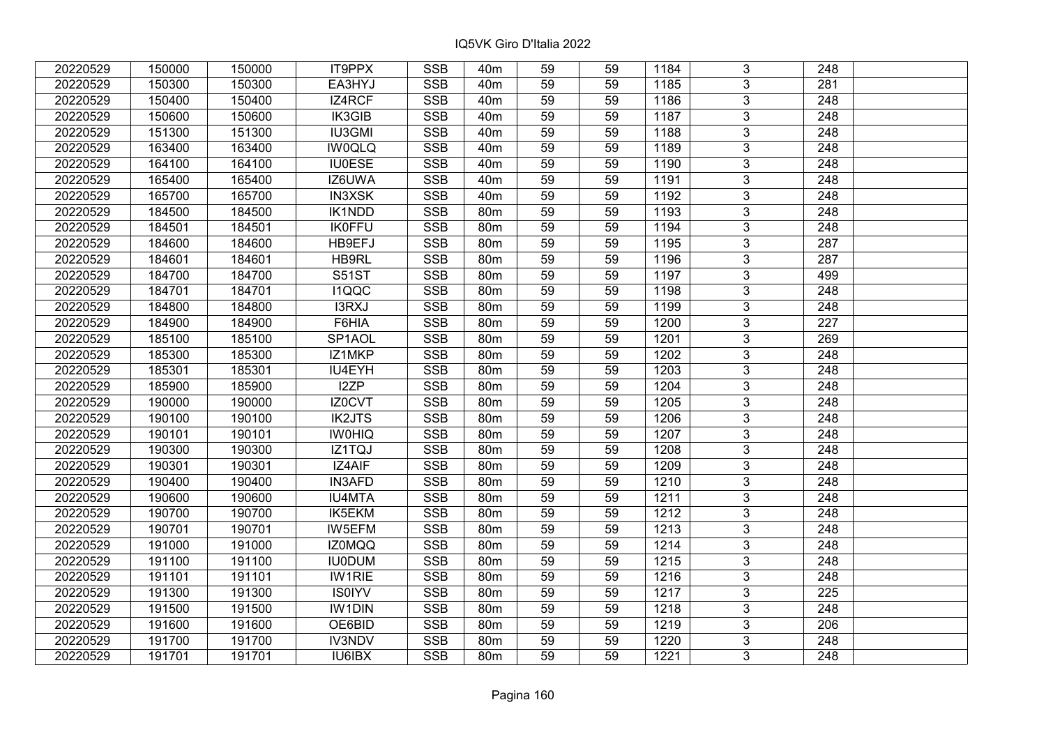| 20220529 | 150000 | 150000 | IT9PPX        | <b>SSB</b> | 40 <sub>m</sub> | 59              | 59 | 1184 | 3              | 248              |  |
|----------|--------|--------|---------------|------------|-----------------|-----------------|----|------|----------------|------------------|--|
| 20220529 | 150300 | 150300 | EA3HYJ        | <b>SSB</b> | 40 <sub>m</sub> | 59              | 59 | 1185 | $\overline{3}$ | 281              |  |
| 20220529 | 150400 | 150400 | IZ4RCF        | SSB        | 40 <sub>m</sub> | 59              | 59 | 1186 | $\overline{3}$ | 248              |  |
| 20220529 | 150600 | 150600 | IK3GIB        | <b>SSB</b> | 40 <sub>m</sub> | 59              | 59 | 1187 | $\overline{3}$ | $\overline{248}$ |  |
| 20220529 | 151300 | 151300 | <b>IU3GMI</b> | <b>SSB</b> | 40 <sub>m</sub> | 59              | 59 | 1188 | 3              | 248              |  |
| 20220529 | 163400 | 163400 | <b>IW0QLQ</b> | <b>SSB</b> | 40 <sub>m</sub> | 59              | 59 | 1189 | $\overline{3}$ | 248              |  |
| 20220529 | 164100 | 164100 | <b>IU0ESE</b> | <b>SSB</b> | 40 <sub>m</sub> | 59              | 59 | 1190 | $\overline{3}$ | 248              |  |
| 20220529 | 165400 | 165400 | IZ6UWA        | <b>SSB</b> | 40 <sub>m</sub> | 59              | 59 | 1191 | 3              | 248              |  |
| 20220529 | 165700 | 165700 | <b>IN3XSK</b> | <b>SSB</b> | 40 <sub>m</sub> | 59              | 59 | 1192 | $\overline{3}$ | $\overline{248}$ |  |
| 20220529 | 184500 | 184500 | <b>IK1NDD</b> | <b>SSB</b> | 80 <sub>m</sub> | 59              | 59 | 1193 | $\overline{3}$ | 248              |  |
| 20220529 | 184501 | 184501 | <b>IK0FFU</b> | <b>SSB</b> | 80m             | 59              | 59 | 1194 | 3              | 248              |  |
| 20220529 | 184600 | 184600 | HB9EFJ        | <b>SSB</b> | 80 <sub>m</sub> | 59              | 59 | 1195 | $\overline{3}$ | 287              |  |
| 20220529 | 184601 | 184601 | HB9RL         | <b>SSB</b> | 80m             | 59              | 59 | 1196 | 3              | 287              |  |
| 20220529 | 184700 | 184700 | <b>S51ST</b>  | <b>SSB</b> | 80m             | 59              | 59 | 1197 | $\overline{3}$ | 499              |  |
| 20220529 | 184701 | 184701 | <b>I1QQC</b>  | <b>SSB</b> | 80 <sub>m</sub> | 59              | 59 | 1198 | $\overline{3}$ | 248              |  |
| 20220529 | 184800 | 184800 | I3RXJ         | <b>SSB</b> | 80 <sub>m</sub> | 59              | 59 | 1199 | $\overline{3}$ | 248              |  |
| 20220529 | 184900 | 184900 | F6HIA         | <b>SSB</b> | 80 <sub>m</sub> | 59              | 59 | 1200 | $\overline{3}$ | $\overline{227}$ |  |
| 20220529 | 185100 | 185100 | SP1AOL        | <b>SSB</b> | 80 <sub>m</sub> | 59              | 59 | 1201 | 3              | 269              |  |
| 20220529 | 185300 | 185300 | IZ1MKP        | <b>SSB</b> | 80 <sub>m</sub> | 59              | 59 | 1202 | 3              | 248              |  |
| 20220529 | 185301 | 185301 | IU4EYH        | <b>SSB</b> | 80 <sub>m</sub> | 59              | 59 | 1203 | $\overline{3}$ | 248              |  |
| 20220529 | 185900 | 185900 | I2ZP          | <b>SSB</b> | 80m             | 59              | 59 | 1204 | $\overline{3}$ | 248              |  |
| 20220529 | 190000 | 190000 | IZ0CVT        | <b>SSB</b> | 80 <sub>m</sub> | 59              | 59 | 1205 | 3              | 248              |  |
| 20220529 | 190100 | 190100 | <b>IK2JTS</b> | SSB        | 80 <sub>m</sub> | 59              | 59 | 1206 | $\overline{3}$ | 248              |  |
| 20220529 | 190101 | 190101 | <b>IWOHIQ</b> | <b>SSB</b> | 80 <sub>m</sub> | 59              | 59 | 1207 | $\overline{3}$ | 248              |  |
| 20220529 | 190300 | 190300 | IZ1TQJ        | <b>SSB</b> | 80 <sub>m</sub> | 59              | 59 | 1208 | 3              | 248              |  |
| 20220529 | 190301 | 190301 | IZ4AIF        | <b>SSB</b> | 80 <sub>m</sub> | 59              | 59 | 1209 | $\overline{3}$ | $\overline{248}$ |  |
| 20220529 | 190400 | 190400 | <b>IN3AFD</b> | <b>SSB</b> | 80 <sub>m</sub> | 59              | 59 | 1210 | $\overline{3}$ | $\overline{248}$ |  |
| 20220529 | 190600 | 190600 | <b>IU4MTA</b> | <b>SSB</b> | 80 <sub>m</sub> | 59              | 59 | 1211 | $\overline{3}$ | $\overline{248}$ |  |
| 20220529 | 190700 | 190700 | IK5EKM        | <b>SSB</b> | 80 <sub>m</sub> | 59              | 59 | 1212 | $\overline{3}$ | $\overline{248}$ |  |
| 20220529 | 190701 | 190701 | <b>IW5EFM</b> | <b>SSB</b> | 80m             | 59              | 59 | 1213 | $\overline{3}$ | 248              |  |
| 20220529 | 191000 | 191000 | <b>IZ0MQQ</b> | SSB        | 80 <sub>m</sub> | $\overline{59}$ | 59 | 1214 | $\overline{3}$ | $\overline{248}$ |  |
| 20220529 | 191100 | 191100 | <b>IU0DUM</b> | <b>SSB</b> | 80 <sub>m</sub> | 59              | 59 | 1215 | $\overline{3}$ | 248              |  |
| 20220529 | 191101 | 191101 | <b>IW1RIE</b> | <b>SSB</b> | 80m             | 59              | 59 | 1216 | 3              | 248              |  |
| 20220529 | 191300 | 191300 | <b>IS0IYV</b> | <b>SSB</b> | 80 <sub>m</sub> | 59              | 59 | 1217 | $\overline{3}$ | 225              |  |
| 20220529 | 191500 | 191500 | <b>IW1DIN</b> | <b>SSB</b> | 80m             | 59              | 59 | 1218 | $\overline{3}$ | 248              |  |
| 20220529 | 191600 | 191600 | OE6BID        | <b>SSB</b> | 80m             | 59              | 59 | 1219 | 3              | 206              |  |
| 20220529 | 191700 | 191700 | <b>IV3NDV</b> | SSB        | 80m             | 59              | 59 | 1220 | $\overline{3}$ | 248              |  |
| 20220529 | 191701 | 191701 | IU6IBX        | <b>SSB</b> | 80 <sub>m</sub> | 59              | 59 | 1221 | $\overline{3}$ | 248              |  |